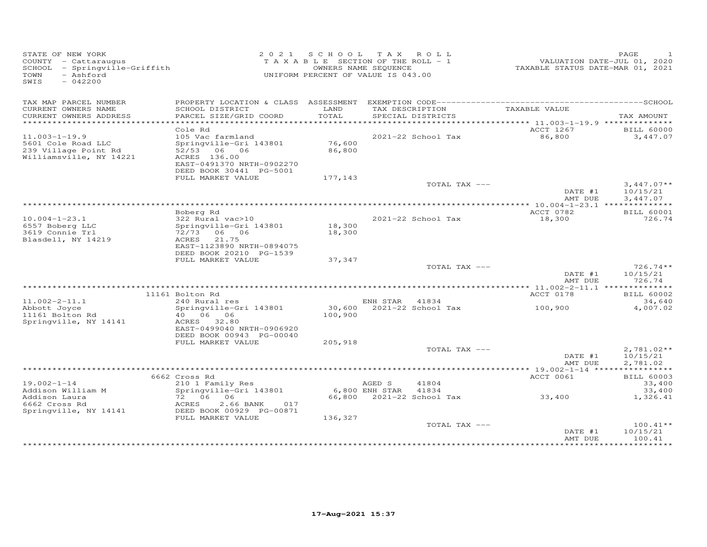| STATE OF NEW YORK<br>COUNTY - Cattaraugus<br>SCHOOL - Springville-Griffith<br>- Ashford<br>TOWN<br>SWIS<br>$-042200$ |                                                                                                                                               |                  | 2021 SCHOOL TAX ROLL<br>T A X A B L E SECTION OF THE ROLL - 1<br>OWNERS NAME SEQUENCE<br>UNIFORM PERCENT OF VALUE IS 043.00 | VALUATION DATE-JUL 01, 2020<br>TAXABLE STATUS DATE-MAR 01, 2021 | PAGE                                 |
|----------------------------------------------------------------------------------------------------------------------|-----------------------------------------------------------------------------------------------------------------------------------------------|------------------|-----------------------------------------------------------------------------------------------------------------------------|-----------------------------------------------------------------|--------------------------------------|
| TAX MAP PARCEL NUMBER<br>CURRENT OWNERS NAME<br>CURRENT OWNERS ADDRESS                                               | SCHOOL DISTRICT<br>PARCEL SIZE/GRID COORD                                                                                                     | LAND<br>TOTAL    | TAX DESCRIPTION<br>SPECIAL DISTRICTS                                                                                        | TAXABLE VALUE                                                   | TAX AMOUNT                           |
| ************************                                                                                             |                                                                                                                                               |                  |                                                                                                                             |                                                                 |                                      |
| $11.003 - 1 - 19.9$<br>5601 Cole Road LLC<br>239 Village Point Rd<br>Williamsville, NY 14221                         | Cole Rd<br>105 Vac farmland<br>Springville-Gri 143801<br>52/53 06 06<br>ACRES 136.00<br>EAST-0491370 NRTH-0902270<br>DEED BOOK 30441 PG-5001  | 76,600<br>86,800 | 2021-22 School Tax                                                                                                          | ACCT 1267<br>86,800                                             | <b>BILL 60000</b><br>3,447.07        |
|                                                                                                                      | FULL MARKET VALUE                                                                                                                             | 177,143          |                                                                                                                             |                                                                 |                                      |
|                                                                                                                      |                                                                                                                                               |                  | TOTAL TAX ---                                                                                                               | DATE #1<br>AMT DUE                                              | $3,447.07**$<br>10/15/21<br>3,447.07 |
|                                                                                                                      |                                                                                                                                               |                  |                                                                                                                             |                                                                 |                                      |
| $10.004 - 1 - 23.1$<br>6557 Boberg LLC<br>3619 Connie Trl<br>Blasdell, NY 14219                                      | Boberg Rd<br>322 Rural vac>10<br>Springville-Gri 143801<br>72/73 06 06<br>ACRES 21.75<br>EAST-1123890 NRTH-0894075<br>DEED BOOK 20210 PG-1539 | 18,300<br>18,300 | 2021-22 School Tax                                                                                                          | ACCT 0782<br>18,300                                             | <b>BILL 60001</b><br>726.74          |
|                                                                                                                      | FULL MARKET VALUE                                                                                                                             | 37,347           |                                                                                                                             |                                                                 |                                      |
|                                                                                                                      |                                                                                                                                               |                  | TOTAL TAX ---                                                                                                               | DATE #1<br>AMT DUE                                              | $726.74**$<br>10/15/21<br>726.74     |
|                                                                                                                      |                                                                                                                                               |                  |                                                                                                                             |                                                                 |                                      |
| $11.002 - 2 - 11.1$                                                                                                  | 11161 Bolton Rd<br>240 Rural res                                                                                                              |                  | ENH STAR 41834                                                                                                              | ACCT 0178                                                       | <b>BILL 60002</b><br>34,640          |
| Abbott Joyce<br>11161 Bolton Rd<br>Springville, NY 14141                                                             | Springville-Gri 143801<br>40 06 06<br>ACRES 32.80<br>EAST-0499040 NRTH-0906920<br>DEED BOOK 00943 PG-00040                                    | 100,900          | 30,600 2021-22 School Tax                                                                                                   | 100,900                                                         | 4,007.02                             |
|                                                                                                                      | FULL MARKET VALUE                                                                                                                             | 205,918          |                                                                                                                             |                                                                 |                                      |
|                                                                                                                      |                                                                                                                                               |                  | TOTAL TAX ---                                                                                                               | DATE #1<br>AMT DUE                                              | $2,781.02**$<br>10/15/21<br>2,781.02 |
|                                                                                                                      |                                                                                                                                               |                  |                                                                                                                             |                                                                 |                                      |
| $19.002 - 1 - 14$                                                                                                    | 6662 Cross Rd<br>210 1 Family Res                                                                                                             |                  | AGED S<br>41804                                                                                                             | ACCT 0061                                                       | <b>BILL 60003</b><br>33,400          |
| Addison William M<br>Addison Laura<br>6662 Cross Rd<br>Springville, NY 14141                                         | Springville-Gri 143801<br>$72 06 - 06$<br>2.66 BANK<br>ACRES<br>017<br>DEED BOOK 00929 PG-00871                                               |                  | 6,800 ENH STAR 41834<br>66,800 2021-22 School Tax 33,400                                                                    |                                                                 | 33,400<br>1,326.41                   |
|                                                                                                                      | FULL MARKET VALUE                                                                                                                             | 136,327          |                                                                                                                             |                                                                 |                                      |
|                                                                                                                      |                                                                                                                                               |                  | TOTAL TAX ---                                                                                                               | DATE #1<br>AMT DUE                                              | $100.41**$<br>10/15/21<br>100.41     |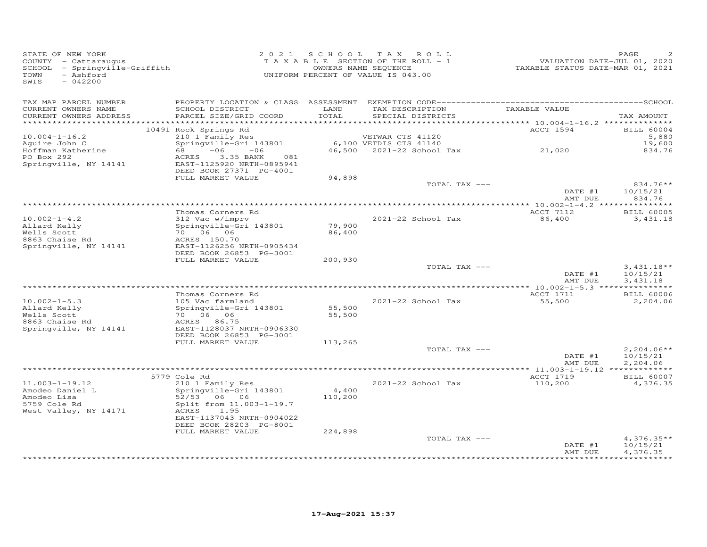| STATE OF NEW YORK<br>COUNTY - Cattaraugus<br>SCHOOL - Springville-Griffith<br>- Ashford<br>TOWN<br>SWIS<br>$-042200$ |                                                                                                   |                  | 2021 SCHOOL TAX ROLL<br>TAXABLE SECTION OF THE ROLL - 1<br>OWNERS NAME SEQUENCE<br>UNIFORM PERCENT OF VALUE IS 043.00 | VALUATION DATE-JUL 01, 2020<br>TAXABLE STATUS DATE-MAR 01, 2021 | PAGE                                 |
|----------------------------------------------------------------------------------------------------------------------|---------------------------------------------------------------------------------------------------|------------------|-----------------------------------------------------------------------------------------------------------------------|-----------------------------------------------------------------|--------------------------------------|
| TAX MAP PARCEL NUMBER<br>CURRENT OWNERS NAME<br>CURRENT OWNERS ADDRESS                                               | SCHOOL DISTRICT<br>PARCEL SIZE/GRID COORD                                                         | LAND<br>TOTAL    | TAX DESCRIPTION<br>SPECIAL DISTRICTS                                                                                  | TAXABLE VALUE                                                   | TAX AMOUNT                           |
|                                                                                                                      | 10491 Rock Springs Rd                                                                             |                  |                                                                                                                       | ACCT 1594                                                       | <b>BILL 60004</b>                    |
| $10.004 - 1 - 16.2$<br>Aquire John C                                                                                 | 210 1 Family Res<br>Springville-Gri 143801                                                        |                  | VETWAR CTS 41120<br>6,100 VETDIS CTS 41140<br>46.500 2021-22 School<br>46,500 2021-22 School Tax 21,020               |                                                                 | 5,880<br>19,600                      |
| Hoffman Katherine<br>PO Box 292<br>Springville, NY 14141                                                             | $68 -06 -06$<br>3.35 BANK<br>ACRES<br>081<br>EAST-1125920 NRTH-0895941<br>DEED BOOK 27371 PG-4001 |                  |                                                                                                                       |                                                                 | 834.76                               |
|                                                                                                                      | FULL MARKET VALUE                                                                                 | 94,898           | TOTAL TAX ---                                                                                                         |                                                                 | 834.76**                             |
|                                                                                                                      |                                                                                                   |                  |                                                                                                                       | DATE #1<br>AMT DUE                                              | 10/15/21<br>834.76                   |
|                                                                                                                      |                                                                                                   |                  |                                                                                                                       |                                                                 |                                      |
| $10.002 - 1 - 4.2$<br>Allard Kelly<br>Wells Scott                                                                    | Thomas Corners Rd<br>312 Vac w/imprv<br>Springville-Gri 143801<br>70 06 06                        | 79,900<br>86,400 | 2021-22 School Tax                                                                                                    | ACCT 7112<br>86,400                                             | <b>BILL 60005</b><br>3,431.18        |
| 8863 Chaise Rd<br>Springville, NY 14141                                                                              | ACRES 150.70<br>EAST-1126256 NRTH-0905434<br>DEED BOOK 26853 PG-3001                              |                  |                                                                                                                       |                                                                 |                                      |
|                                                                                                                      | FULL MARKET VALUE                                                                                 | 200,930          | TOTAL TAX ---                                                                                                         | DATE #1                                                         | $3,431.18**$<br>10/15/21             |
|                                                                                                                      |                                                                                                   |                  |                                                                                                                       | AMT DUE                                                         | 3,431.18                             |
|                                                                                                                      | Thomas Corners Rd                                                                                 |                  |                                                                                                                       | ACCT 1711                                                       | <b>BILL 60006</b>                    |
| $10.002 - 1 - 5.3$<br>Allard Kelly<br>Wells Scott<br>8863 Chaise Rd                                                  | 105 Vac farmland<br>Springville-Gri 143801<br>70 06 06<br>ACRES 86.75                             | 55,500<br>55,500 | 2021-22 School Tax                                                                                                    | 55,500                                                          | 2,204.06                             |
| Springville, NY 14141                                                                                                | EAST-1128037 NRTH-0906330<br>DEED BOOK 26853 PG-3001<br>FULL MARKET VALUE                         | 113,265          |                                                                                                                       |                                                                 |                                      |
|                                                                                                                      |                                                                                                   |                  | TOTAL TAX ---                                                                                                         | DATE #1<br>AMT DUE                                              | $2,204.06**$<br>10/15/21             |
|                                                                                                                      |                                                                                                   |                  |                                                                                                                       |                                                                 | 2,204.06                             |
|                                                                                                                      | 5779 Cole Rd                                                                                      |                  |                                                                                                                       | ACCT 1719                                                       | <b>BILL 60007</b>                    |
| $11.003 - 1 - 19.12$<br>Amodeo Daniel L<br>Amodeo Lisa<br>5759 Cole Rd                                               | 210 1 Family Res<br>Springville-Gri 143801<br>52/53 06 06<br>Split from 11.003-1-19.7             | 4,400<br>110,200 | 2021-22 School Tax                                                                                                    | 110,200                                                         | 4,376.35                             |
| West Valley, NY 14171                                                                                                | ACRES<br>1.95<br>EAST-1137043 NRTH-0904022<br>DEED BOOK 28203 PG-8001<br>FULL MARKET VALUE        | 224,898          |                                                                                                                       |                                                                 |                                      |
|                                                                                                                      |                                                                                                   |                  | TOTAL TAX ---                                                                                                         | DATE #1<br>AMT DUE                                              | $4,376.35**$<br>10/15/21<br>4,376.35 |
|                                                                                                                      |                                                                                                   |                  |                                                                                                                       |                                                                 |                                      |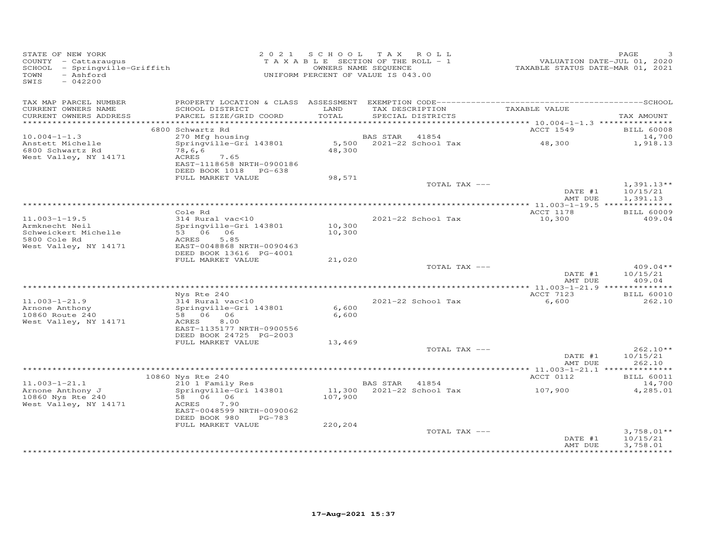| STATE OF NEW YORK<br>COUNTY - Cattaraugus<br>SCHOOL - Springville-Griffith<br>- Ashford<br>TOWN<br>SWIS<br>$-042200$ |                                                                                                      |                  | 2021 SCHOOL TAX ROLL<br>TAXABLE SECTION OF THE ROLL - 1<br>OWNERS NAME SEQUENCE<br>UNIFORM PERCENT OF VALUE IS 043.00 | VALUATION DATE-JUL 01, 2020<br>TAXABLE STATUS DATE-MAR 01, 2021 | PAGE                                 |
|----------------------------------------------------------------------------------------------------------------------|------------------------------------------------------------------------------------------------------|------------------|-----------------------------------------------------------------------------------------------------------------------|-----------------------------------------------------------------|--------------------------------------|
| TAX MAP PARCEL NUMBER<br>CURRENT OWNERS NAME                                                                         | SCHOOL DISTRICT                                                                                      | LAND             | TAX DESCRIPTION                                                                                                       | TAXABLE VALUE                                                   |                                      |
| CURRENT OWNERS ADDRESS<br>*************************                                                                  | PARCEL SIZE/GRID COORD                                                                               | TOTAL            | SPECIAL DISTRICTS                                                                                                     |                                                                 | TAX AMOUNT                           |
|                                                                                                                      | 6800 Schwartz Rd                                                                                     |                  |                                                                                                                       | ACCT 1549                                                       | <b>BILL 60008</b>                    |
| $10.004 - 1 - 1.3$                                                                                                   | 270 Mfg housing                                                                                      |                  | BAS STAR<br>41854                                                                                                     |                                                                 | 14,700                               |
| Anstett Michelle<br>6800 Schwartz Rd<br>West Valley, NY 14171                                                        | Springville-Gri 143801<br>78,6,6<br>ACRES<br>7.65                                                    | 48,300           | 5,500 2021-22 School Tax                                                                                              | 48,300                                                          | 1,918.13                             |
|                                                                                                                      | EAST-1118658 NRTH-0900186<br>DEED BOOK 1018 PG-638                                                   |                  |                                                                                                                       |                                                                 |                                      |
|                                                                                                                      | FULL MARKET VALUE                                                                                    | 98,571           | TOTAL TAX ---                                                                                                         | DATE #1<br>AMT DUE                                              | $1,391.13**$<br>10/15/21<br>1,391.13 |
|                                                                                                                      |                                                                                                      |                  |                                                                                                                       |                                                                 |                                      |
|                                                                                                                      | Cole Rd                                                                                              |                  |                                                                                                                       | ACCT 1178                                                       | <b>BILL 60009</b>                    |
| $11.003 - 1 - 19.5$<br>Armknecht Neil<br>Schweickert Michelle<br>5800 Cole Rd<br>West Valley, NY 14171               | 314 Rural vac<10<br>Springville-Gri 143801<br>53 06 06<br>ACRES<br>5.85<br>EAST-0048868 NRTH-0090463 | 10,300<br>10,300 | 2021-22 School Tax                                                                                                    | 10,300                                                          | 409.04                               |
|                                                                                                                      | DEED BOOK 13616 PG-4001                                                                              |                  |                                                                                                                       |                                                                 |                                      |
|                                                                                                                      | FULL MARKET VALUE                                                                                    | 21,020           |                                                                                                                       |                                                                 |                                      |
|                                                                                                                      |                                                                                                      |                  | TOTAL TAX ---                                                                                                         | DATE #1<br>AMT DUE                                              | $409.04**$<br>10/15/21<br>409.04     |
|                                                                                                                      | Nys Rte 240                                                                                          |                  |                                                                                                                       | ACCT 7123                                                       | <b>BILL 60010</b>                    |
| $11.003 - 1 - 21.9$<br>Arnone Anthony<br>10860 Route 240                                                             | 314 Rural vac<10<br>Springville-Gri 143801<br>58 06 06                                               | 6,600<br>6,600   | 2021-22 School Tax                                                                                                    | 6,600                                                           | 262.10                               |
| West Valley, NY 14171                                                                                                | ACRES<br>8.00<br>EAST-1135177 NRTH-0900556<br>DEED BOOK 24725 PG-2003                                |                  |                                                                                                                       |                                                                 |                                      |
|                                                                                                                      | FULL MARKET VALUE                                                                                    | 13,469           |                                                                                                                       |                                                                 |                                      |
|                                                                                                                      |                                                                                                      |                  | TOTAL TAX ---                                                                                                         | DATE #1<br>AMT DUE                                              | $262.10**$<br>10/15/21<br>262.10     |
|                                                                                                                      |                                                                                                      |                  |                                                                                                                       |                                                                 |                                      |
| $11.003 - 1 - 21.1$                                                                                                  | 10860 Nys Rte 240<br>210 1 Family Res                                                                |                  | BAS STAR 41854                                                                                                        | ACCT 0112                                                       | <b>BILL 60011</b><br>14,700          |
| Arnone Anthony J<br>10860 Nys Rte 240<br>West Valley, NY 14171                                                       | Springville-Gri 143801<br>58 06 06<br>ACRES<br>7.90                                                  | 107,900          | 11,300 2021-22 School Tax                                                                                             | 107,900                                                         | 4,285.01                             |
|                                                                                                                      | EAST-0048599 NRTH-0090062<br>DEED BOOK 980<br>$PG-783$                                               |                  |                                                                                                                       |                                                                 |                                      |
|                                                                                                                      | FULL MARKET VALUE                                                                                    | 220,204          | TOTAL TAX ---                                                                                                         | DATE #1<br>AMT DUE                                              | $3,758.01**$<br>10/15/21<br>3,758.01 |
|                                                                                                                      |                                                                                                      |                  |                                                                                                                       |                                                                 |                                      |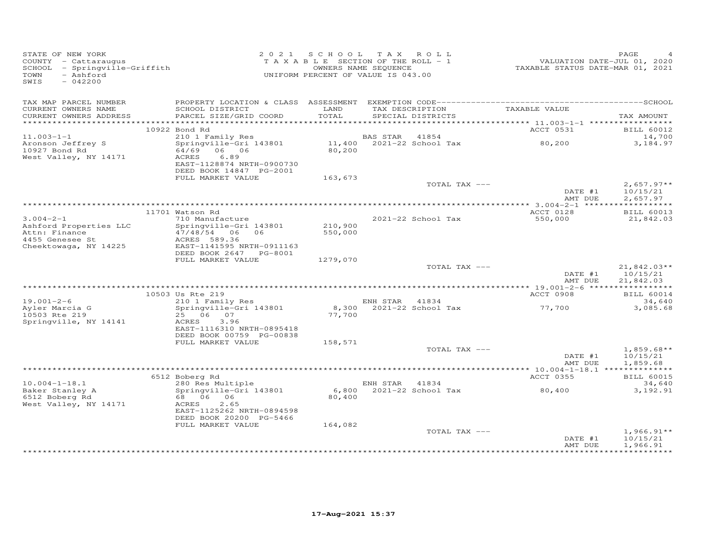| TAX MAP PARCEL NUMBER                                                                                                                                                                                                                                                                               | TAX AMOUNT                             |
|-----------------------------------------------------------------------------------------------------------------------------------------------------------------------------------------------------------------------------------------------------------------------------------------------------|----------------------------------------|
| TAX DESCRIPTION<br>LAND<br>TAXABLE VALUE<br>CURRENT OWNERS NAME<br>SCHOOL DISTRICT<br>PARCEL SIZE/GRID COORD<br>TOTAL<br>CURRENT OWNERS ADDRESS<br>SPECIAL DISTRICTS                                                                                                                                |                                        |
|                                                                                                                                                                                                                                                                                                     |                                        |
| 10922 Bond Rd<br>ACCT 0531                                                                                                                                                                                                                                                                          | <b>BILL 60012</b>                      |
| $11.003 - 1 - 1$<br>BAS STAR<br>210 1 Family Res<br>41854<br>BAS STAR    41854<br>11,400    2021-22 School Tax<br>80,200                                                                                                                                                                            | 14,700                                 |
| Aronson Jeffrey S<br>Springville-Gri 143801<br>10927 Bond Rd<br>64/69 06 06<br>80,200<br>6.89<br>West Valley, NY 14171<br>ACRES<br>EAST-1128874 NRTH-0900730<br>DEED BOOK 14847 PG-2001                                                                                                             | 3,184.97                               |
| FULL MARKET VALUE<br>163,673                                                                                                                                                                                                                                                                        |                                        |
| TOTAL TAX ---<br>DATE #1<br>AMT DUE                                                                                                                                                                                                                                                                 | $2,657.97**$<br>10/15/21<br>2,657.97   |
|                                                                                                                                                                                                                                                                                                     |                                        |
| 11701 Watson Rd<br>ACCT 0128                                                                                                                                                                                                                                                                        | <b>BILL 60013</b>                      |
| 710 Manufacture<br>$3.004 - 2 - 1$<br>2021-22 School Tax<br>550,000<br>Ashford Properties LLC<br>Springville-Gri 143801<br>210,900<br>Attn: Finance<br>47/48/54 06 06<br>550,000<br>4455 Genesee St<br>ACRES 589.36<br>Cheektowaga, NY 14225<br>EAST-1141595 NRTH-0911163<br>DEED BOOK 2647 PG-8001 | 21,842.03                              |
| FULL MARKET VALUE<br>1279,070                                                                                                                                                                                                                                                                       |                                        |
| TOTAL TAX ---<br>DATE #1<br>AMT DUE                                                                                                                                                                                                                                                                 | $21,842.03**$<br>10/15/21<br>21,842.03 |
| 10503 Us Rte 219<br>ACCT 0908                                                                                                                                                                                                                                                                       | <b>BILL 60014</b>                      |
| 210 1 Family Res<br>ENH STAR 41834<br>$19.001 - 2 - 6$                                                                                                                                                                                                                                              | 34,640                                 |
| 8,300 2021-22 School Tax<br>Springville-Gri 143801<br>19.001-2-0<br>Ayler Marcia G<br>77,700<br>25 06 07<br>77,700<br>Springville, NY 14141<br>ACRES<br>3.96<br>EAST-1116310 NRTH-0895418<br>DEED BOOK 00759 PG-00838                                                                               | 3,085.68                               |
| FULL MARKET VALUE<br>158,571                                                                                                                                                                                                                                                                        |                                        |
| TOTAL TAX ---<br>DATE #1<br>AMT DUE                                                                                                                                                                                                                                                                 | $1,859.68**$<br>10/15/21<br>1,859.68   |
|                                                                                                                                                                                                                                                                                                     |                                        |
| ACCT 0355<br>6512 Boberg Rd                                                                                                                                                                                                                                                                         | <b>BILL 60015</b>                      |
| 280 Res Multiple<br>$10.004 - 1 - 18.1$<br>ENH STAR 41834<br>80,400<br>Baker Stanley A<br>Springville-Gri 143801                                                                                                                                                                                    | 34,640<br>3,192.91                     |
| 6,800 2021-22 School Tax<br>80,400<br>6512 Boberg Rd<br>68 06 06<br>80,400<br>West Valley, NY 14171<br>ACRES<br>2.65<br>EAST-1125262 NRTH-0894598<br>DEED BOOK 20200 PG-5466<br>164,082<br>FULL MARKET VALUE                                                                                        |                                        |
| TOTAL TAX ---                                                                                                                                                                                                                                                                                       | $1,966.91**$                           |
| DATE #1<br>AMT DUE                                                                                                                                                                                                                                                                                  | 10/15/21<br>1,966.91                   |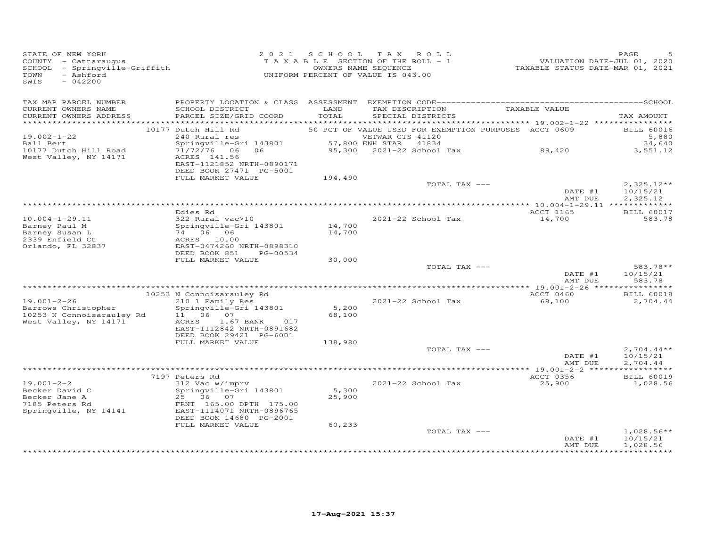| STATE OF NEW YORK<br>COUNTY - Cattaraugus<br>COONII - Caccaraugus<br>SCHOOL - Springville-Griffith<br>- Ashford<br>TOWN<br>$-042200$<br>SWIS |                                                                                                                                                            |                  | 2021 SCHOOL TAX ROLL<br>TAXABLE SECTION OF THE ROLL - 1<br>OWNERS NAME SEQUENCE<br>UNIFORM PERCENT OF VALUE IS 043.00 | VALUATION DATE-JUL 01, 2020<br>TAXABLE STATUS DATE-MAR 01, 2021 | PAGE                                 |
|----------------------------------------------------------------------------------------------------------------------------------------------|------------------------------------------------------------------------------------------------------------------------------------------------------------|------------------|-----------------------------------------------------------------------------------------------------------------------|-----------------------------------------------------------------|--------------------------------------|
| TAX MAP PARCEL NUMBER<br>CURRENT OWNERS NAME<br>CURRENT OWNERS ADDRESS                                                                       | SCHOOL DISTRICT<br>PARCEL SIZE/GRID COORD                                                                                                                  | LAND<br>TOTAL    | TAX DESCRIPTION TAXABLE VALUE<br>SPECIAL DISTRICTS                                                                    |                                                                 | TAX AMOUNT                           |
|                                                                                                                                              | 10177 Dutch Hill Rd                                                                                                                                        |                  | 50 PCT OF VALUE USED FOR EXEMPTION PURPOSES ACCT 0609                                                                 |                                                                 | <b>BILL 60016</b>                    |
| $19.002 - 1 - 22$<br>Ball Bert<br>10177 Dutch Hill Road<br>West Valley, NY 14171                                                             | $\frac{240}{21/72/76}$ Springville-Gri 143801 57,8<br>71/72/76 06 06<br>ACRES 141.56<br>EAST-1121852 NRTH-0890171<br>DEED BOOK 27471 PG-5001               |                  | VETWAR CTS 41120<br>57,800 ENH STAR 41834<br>37,800 ENR 31AR 41834<br>95,300 2021-22 School Tax 69,420                |                                                                 | 5,880<br>34,640<br>3,551.12          |
|                                                                                                                                              | FULL MARKET VALUE                                                                                                                                          | 194,490          |                                                                                                                       |                                                                 |                                      |
|                                                                                                                                              |                                                                                                                                                            |                  | TOTAL TAX ---                                                                                                         | DATE #1<br>AMT DUE                                              | $2,325.12**$<br>10/15/21<br>2,325.12 |
|                                                                                                                                              |                                                                                                                                                            |                  |                                                                                                                       |                                                                 |                                      |
| $10.004 - 1 - 29.11$<br>Barney Paul M<br>Barney Susan L<br>2339 Enfield Ct<br>Orlando, FL 32837                                              | Edies Rd<br>322 Rural vac>10<br>Springville-Gri 143801<br>74 06 06<br>ACRES 10.00<br>EAST-0474260 NRTH-0898310                                             | 14,700<br>14,700 | 2021-22 School Tax                                                                                                    | ACCT 1165<br>14,700                                             | <b>BILL 60017</b><br>583.78          |
|                                                                                                                                              | DEED BOOK 851 PG-00534<br>FULL MARKET VALUE                                                                                                                | 30,000           |                                                                                                                       |                                                                 |                                      |
|                                                                                                                                              |                                                                                                                                                            |                  | TOTAL TAX ---                                                                                                         | DATE #1<br>AMT DUE                                              | 583.78**<br>10/15/21<br>583.78       |
|                                                                                                                                              | 10253 N Connoisarauley Rd                                                                                                                                  |                  |                                                                                                                       | ACCT 0460                                                       | <b>BILL 60018</b>                    |
| $19.001 - 2 - 26$<br>Barrows Christopher<br>10253 N Connoisarauley Rd                                                                        | 210 1 Family Res<br>Springville-Gri 143801<br>11 06 07                                                                                                     | 5,200<br>68,100  | 2021-22 School Tax                                                                                                    | 68,100                                                          | 2,704.44                             |
| West Valley, NY 14171                                                                                                                        | ACRES<br>1.67 BANK 017<br>EAST-1112842 NRTH-0891682<br>DEED BOOK 29421 PG-6001<br>FULL MARKET VALUE                                                        | 138,980          |                                                                                                                       |                                                                 |                                      |
|                                                                                                                                              |                                                                                                                                                            |                  | TOTAL TAX ---                                                                                                         | DATE #1<br>AMT DUE                                              | $2,704.44**$<br>10/15/21<br>2,704.44 |
|                                                                                                                                              |                                                                                                                                                            |                  |                                                                                                                       |                                                                 |                                      |
| $19.001 - 2 - 2$<br>Becker David C<br>Becker Jane A<br>7185 Peters Rd<br>Springville, NY 14141                                               | 7197 Peters Rd<br>312 Vac w/imprv<br>Springville-Gri 143801<br>25 06 07<br>FRNT 165.00 DPTH 175.00<br>EAST-1114071 NRTH-0896765<br>DEED BOOK 14680 PG-2001 | 5,300<br>25,900  | 2021-22 School Tax                                                                                                    | ACCT 0356<br>25,900                                             | <b>BILL 60019</b><br>1,028.56        |
|                                                                                                                                              | FULL MARKET VALUE                                                                                                                                          | 60,233           | TOTAL TAX ---                                                                                                         | DATE #1<br>AMT DUE                                              | $1,028.56**$<br>10/15/21<br>1,028.56 |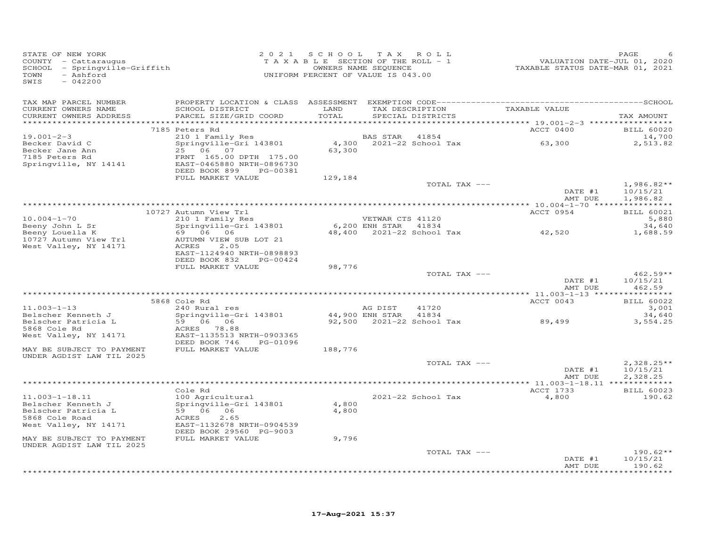| STATE OF NEW YORK<br>COUNTY - Cattaraugus<br>SCHOOL - Springville-Griffith<br>- Ashford<br>TOWN<br>$-042200$<br>SWIS |                                                                                                                                 |                | 2021 SCHOOL TAX ROLL<br>TAXABLE SECTION OF THE ROLL - 1<br>OWNERS NAME SEQUENCE<br>UNIFORM PERCENT OF VALUE IS 043.00 | TAXABLE STATUS DATE-MAR 01, 2021 | PAGE<br>VALUATION DATE-JUL 01, 2020       |
|----------------------------------------------------------------------------------------------------------------------|---------------------------------------------------------------------------------------------------------------------------------|----------------|-----------------------------------------------------------------------------------------------------------------------|----------------------------------|-------------------------------------------|
| TAX MAP PARCEL NUMBER<br>CURRENT OWNERS NAME                                                                         | SCHOOL DISTRICT                                                                                                                 | LAND           | TAX DESCRIPTION                                                                                                       | TAXABLE VALUE                    |                                           |
| CURRENT OWNERS ADDRESS                                                                                               | PARCEL SIZE/GRID COORD                                                                                                          | TOTAL          | SPECIAL DISTRICTS                                                                                                     |                                  | TAX AMOUNT                                |
|                                                                                                                      | 7185 Peters Rd                                                                                                                  |                |                                                                                                                       | ACCT 0400                        | <b>BILL 60020</b>                         |
| $19.001 - 2 - 3$                                                                                                     | 210 1 Family Res                                                                                                                |                | 41854<br>BAS STAR                                                                                                     |                                  | 14,700                                    |
| Becker David C<br>Becker Jane Ann<br>7185 Peters Rd<br>Springville, NY 14141                                         | Springville-Gri 143801<br>25 06 07<br>FRNT 165.00 DPTH 175.00<br>EAST-0465880 NRTH-0896730<br>DEED BOOK 899<br>PG-00381         | 63,300         | 4,300 2021-22 School Tax                                                                                              | 63,300                           | 2,513.82                                  |
|                                                                                                                      | FULL MARKET VALUE                                                                                                               | 129,184        |                                                                                                                       |                                  |                                           |
|                                                                                                                      |                                                                                                                                 |                | TOTAL TAX ---                                                                                                         | DATE #1<br>AMT DUE               | $1,986.82**$<br>10/15/21<br>1,986.82      |
|                                                                                                                      |                                                                                                                                 |                |                                                                                                                       |                                  |                                           |
| $10.004 - 1 - 70$                                                                                                    | 10727 Autumn View Trl<br>210 1 Family Res                                                                                       |                | VETWAR CTS 41120                                                                                                      | ACCT 0954                        | <b>BILL 60021</b><br>5,880                |
| Beeny John L Sr                                                                                                      | Springville-Gri 143801                                                                                                          |                | 6,200 ENH STAR 41834                                                                                                  |                                  | 34,640                                    |
| Beeny Louella K<br>10727 Autumn View Trl<br>West Valley, NY 14171                                                    | 69 06 06<br>AUTUMN VIEW SUB LOT 21<br>ACRES<br>2.05<br>EAST-1124940 NRTH-0898893<br>DEED BOOK 832<br>PG-00424                   |                | 48,400 2021-22 School Tax                                                                                             | 42,520                           | 1,688.59                                  |
|                                                                                                                      | FULL MARKET VALUE                                                                                                               | 98,776         |                                                                                                                       |                                  |                                           |
|                                                                                                                      |                                                                                                                                 |                | TOTAL TAX ---                                                                                                         | DATE #1<br>AMT DUE               | $462.59**$<br>10/15/21<br>462.59          |
|                                                                                                                      |                                                                                                                                 |                |                                                                                                                       |                                  |                                           |
|                                                                                                                      | 5868 Cole Rd                                                                                                                    |                |                                                                                                                       | ACCT 0043                        | <b>BILL 60022</b>                         |
| $11.003 - 1 - 13$<br>Belscher Kenneth J                                                                              | 240 Rural res<br>Springville-Gri 143801                                                                                         |                | AG DIST<br>41720<br>44,900 ENH STAR<br>41834                                                                          |                                  | 3,001<br>34,640                           |
| Belscher Patricia L<br>5868 Cole Rd                                                                                  | 59 06 06<br>ACRES 78.88                                                                                                         |                | 92,500 2021-22 School Tax                                                                                             | 89,499                           | 3,554.25                                  |
| West Valley, NY 14171                                                                                                | EAST-1135513 NRTH-0903365<br>DEED BOOK 746<br>PG-01096                                                                          |                |                                                                                                                       |                                  |                                           |
| MAY BE SUBJECT TO PAYMENT<br>UNDER AGDIST LAW TIL 2025                                                               | FULL MARKET VALUE                                                                                                               | 188,776        |                                                                                                                       |                                  |                                           |
|                                                                                                                      |                                                                                                                                 |                | TOTAL TAX ---                                                                                                         |                                  | $2.328.25**$                              |
|                                                                                                                      |                                                                                                                                 |                |                                                                                                                       | DATE #1<br>AMT DUE               | 10/15/21<br>2,328.25                      |
|                                                                                                                      |                                                                                                                                 |                |                                                                                                                       |                                  |                                           |
|                                                                                                                      | Cole Rd                                                                                                                         |                |                                                                                                                       | ACCT 1733                        | <b>BILL 60023</b>                         |
| $11.003 - 1 - 18.11$<br>Belscher Kenneth J<br>Belscher Patricia L<br>5868 Cole Road<br>West Valley, NY 14171         | 100 Agricultural<br>Springville-Gri 143801<br>59 06 06<br>ACRES<br>2.65<br>EAST-1132678 NRTH-0904539<br>DEED BOOK 29560 PG-9003 | 4,800<br>4,800 | 2021-22 School Tax                                                                                                    | 4,800                            | 190.62                                    |
| MAY BE SUBJECT TO PAYMENT                                                                                            | FULL MARKET VALUE                                                                                                               | 9,796          |                                                                                                                       |                                  |                                           |
| UNDER AGDIST LAW TIL 2025                                                                                            |                                                                                                                                 |                | TOTAL TAX ---                                                                                                         |                                  | $190.62**$                                |
|                                                                                                                      |                                                                                                                                 |                |                                                                                                                       | DATE #1<br>AMT DUE               | 10/15/21<br>190.62<br>* * * * * * * * * * |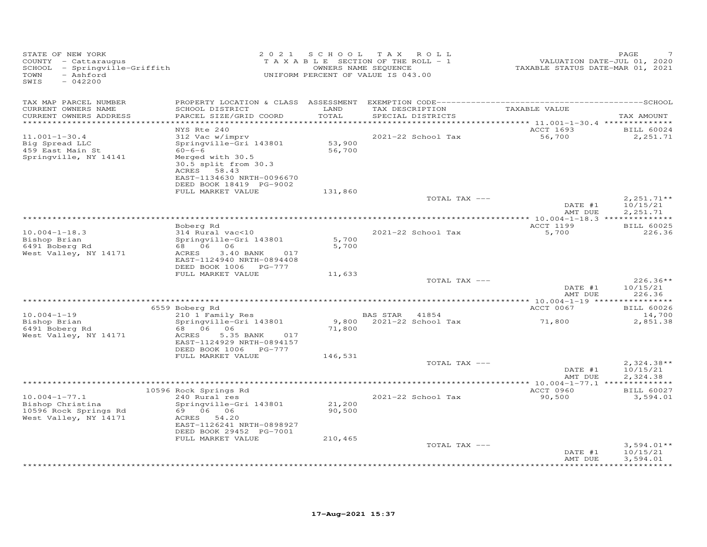| STATE OF NEW YORK<br>COUNTY - Cattaraugus<br>SCHOOL - Springville-Griffith<br>- Ashford<br>TOWN<br>$-042200$<br>SWIS | 2 0 2 1                                                                                                          |                  | SCHOOL TAX ROLL<br>TAXABLE SECTION OF THE ROLL - 1<br>OWNERS NAME SEQUENCE<br>UNIFORM PERCENT OF VALUE IS 043.00 | VALUATION DATE-JUL 01, 2020<br>TAXABLE STATUS DATE-MAR 01, 2021 | PAGE                                 |
|----------------------------------------------------------------------------------------------------------------------|------------------------------------------------------------------------------------------------------------------|------------------|------------------------------------------------------------------------------------------------------------------|-----------------------------------------------------------------|--------------------------------------|
| TAX MAP PARCEL NUMBER<br>CURRENT OWNERS NAME<br>CURRENT OWNERS ADDRESS<br>***********************                    | SCHOOL DISTRICT<br>PARCEL SIZE/GRID COORD                                                                        | LAND<br>TOTAL    | TAX DESCRIPTION<br>SPECIAL DISTRICTS                                                                             | TAXABLE VALUE                                                   | TAX AMOUNT                           |
| $11.001 - 1 - 30.4$<br>Big Spread LLC<br>459 East Main St                                                            | NYS Rte 240<br>312 Vac w/imprv<br>Springville-Gri 143801<br>$60 - 6 - 6$                                         | 53,900<br>56,700 | 2021-22 School Tax                                                                                               | ACCT 1693<br>56,700                                             | <b>BILL 60024</b><br>2,251.71        |
| Springville, NY 14141                                                                                                | Merged with 30.5<br>30.5 split from 30.3<br>ACRES 58.43<br>EAST-1134630 NRTH-0096670<br>DEED BOOK 18419 PG-9002  |                  |                                                                                                                  |                                                                 |                                      |
|                                                                                                                      | FULL MARKET VALUE                                                                                                | 131,860          | TOTAL TAX ---                                                                                                    | DATE #1<br>AMT DUE                                              | $2,251.71**$<br>10/15/21<br>2,251.71 |
|                                                                                                                      |                                                                                                                  |                  |                                                                                                                  |                                                                 |                                      |
| $10.004 - 1 - 18.3$                                                                                                  | Boberg Rd<br>314 Rural vac<10                                                                                    |                  | 2021-22 School Tax                                                                                               | ACCT 1199<br>5,700                                              | <b>BILL 60025</b><br>226.36          |
| Bishop Brian                                                                                                         | Springville-Gri 143801                                                                                           | 5,700            |                                                                                                                  |                                                                 |                                      |
| 6491 Boberg Rd<br>West Valley, NY 14171                                                                              | 68 06 06<br>ACRES<br>$3.40$ BANK<br>017<br>EAST-1124940 NRTH-0894408<br>DEED BOOK 1006 PG-777                    | 5,700            |                                                                                                                  |                                                                 |                                      |
|                                                                                                                      | FULL MARKET VALUE                                                                                                | 11,633           |                                                                                                                  |                                                                 | $226.36**$                           |
|                                                                                                                      |                                                                                                                  |                  | TOTAL TAX ---                                                                                                    | DATE #1<br>AMT DUE                                              | 10/15/21<br>226.36                   |
|                                                                                                                      |                                                                                                                  |                  |                                                                                                                  |                                                                 |                                      |
|                                                                                                                      | 6559 Boberg Rd                                                                                                   |                  |                                                                                                                  | ACCT 0067                                                       | <b>BILL 60026</b>                    |
| $10.004 - 1 - 19$<br>Bishop Brian<br>6491 Boberg Rd<br>West Valley, NY 14171                                         | 210 1 Family Res<br>Springville-Gri 143801<br>68 06 06<br>ACRES<br>5.35 BANK<br>017<br>EAST-1124929 NRTH-0894157 | 71,800           | BAS STAR 41854<br>9,800 2021-22 School Tax                                                                       | 71,800                                                          | 14,700<br>2,851.38                   |
|                                                                                                                      | DEED BOOK 1006 PG-777<br>FULL MARKET VALUE                                                                       | 146,531          |                                                                                                                  |                                                                 |                                      |
|                                                                                                                      |                                                                                                                  |                  | TOTAL TAX ---                                                                                                    | DATE #1<br>AMT DUE                                              | $2,324.38**$<br>10/15/21<br>2,324.38 |
|                                                                                                                      |                                                                                                                  |                  |                                                                                                                  |                                                                 |                                      |
| $10.004 - 1 - 77.1$                                                                                                  | 10596 Rock Springs Rd<br>240 Rural res                                                                           |                  | 2021-22 School Tax                                                                                               | ACCT 0960<br>90,500                                             | <b>BILL 60027</b><br>3,594.01        |
| Bishop Christina<br>10596 Rock Springs Rd<br>West Valley, NY 14171                                                   | Springville-Gri 143801<br>69 06 06<br>ACRES 54.20                                                                | 21,200<br>90,500 |                                                                                                                  |                                                                 |                                      |
|                                                                                                                      | EAST-1126241 NRTH-0898927<br>DEED BOOK 29452 PG-7001                                                             |                  |                                                                                                                  |                                                                 |                                      |
|                                                                                                                      | FULL MARKET VALUE                                                                                                | 210,465          | TOTAL TAX ---                                                                                                    | DATE #1                                                         | $3,594.01**$<br>10/15/21             |
|                                                                                                                      |                                                                                                                  |                  |                                                                                                                  | AMT DUE                                                         | 3,594.01                             |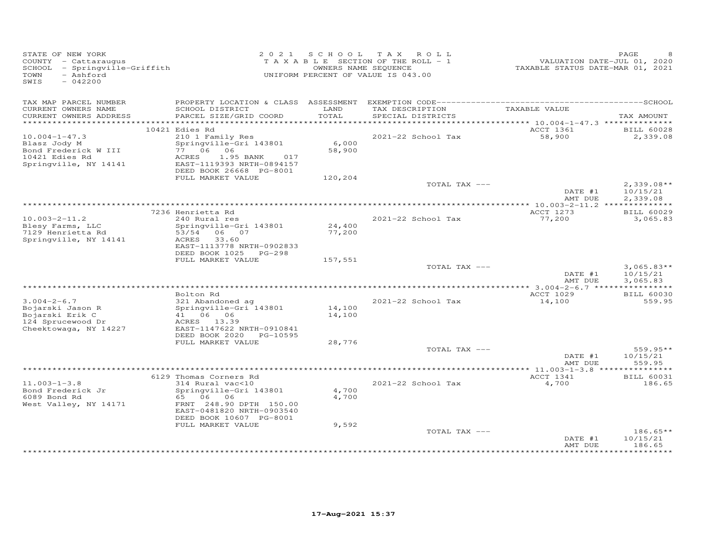| STATE OF NEW YORK<br>COUNTY - Cattaraugus<br>SCHOOL - Springville-Griffith<br>- Ashford<br>TOWN<br>SWIS<br>$-042200$ |                                                                                                                                             |                  | 2021 SCHOOL TAX ROLL<br>TAXABLE SECTION OF THE ROLL - 1<br>OWNERS NAME SEQUENCE<br>UNIFORM PERCENT OF VALUE IS 043.00 | VALUATION DATE-JUL 01, 2020<br>TAXABLE STATUS DATE-MAR 01, 2021 | PAGE                                 |
|----------------------------------------------------------------------------------------------------------------------|---------------------------------------------------------------------------------------------------------------------------------------------|------------------|-----------------------------------------------------------------------------------------------------------------------|-----------------------------------------------------------------|--------------------------------------|
| TAX MAP PARCEL NUMBER<br>CURRENT OWNERS NAME<br>CURRENT OWNERS ADDRESS                                               | SCHOOL DISTRICT<br>PARCEL SIZE/GRID COORD                                                                                                   | LAND<br>TOTAL    | TAX DESCRIPTION<br>SPECIAL DISTRICTS                                                                                  | TAXABLE VALUE                                                   | TAX AMOUNT                           |
|                                                                                                                      | **************                                                                                                                              |                  |                                                                                                                       | ********** 10.004-1-47.3 ***************                        |                                      |
|                                                                                                                      | 10421 Edies Rd                                                                                                                              |                  |                                                                                                                       | ACCT 1361                                                       | <b>BILL 60028</b>                    |
| $10.004 - 1 - 47.3$<br>Blasz Jody M<br>Bond Frederick W III<br>10421 Edies Rd<br>Springville, NY 14141               | 210 1 Family Res<br>Springville-Gri 143801<br>77 06 06<br>ACRES<br>1.95 BANK<br>017<br>EAST-1119393 NRTH-0894157<br>DEED BOOK 26668 PG-8001 | 6,000<br>58,900  | 2021-22 School Tax                                                                                                    | 58,900                                                          | 2,339.08                             |
|                                                                                                                      | FULL MARKET VALUE                                                                                                                           | 120,204          |                                                                                                                       |                                                                 |                                      |
|                                                                                                                      |                                                                                                                                             |                  | TOTAL TAX ---                                                                                                         | DATE #1<br>AMT DUE                                              | $2,339.08**$<br>10/15/21<br>2,339.08 |
|                                                                                                                      |                                                                                                                                             |                  |                                                                                                                       |                                                                 |                                      |
|                                                                                                                      | 7236 Henrietta Rd                                                                                                                           |                  |                                                                                                                       | ACCT 1273                                                       | <b>BILL 60029</b>                    |
| $10.003 - 2 - 11.2$<br>Blesy Farms, LLC<br>7129 Henrietta Rd<br>Springville, NY 14141                                | 240 Rural res<br>Springville-Gri 143801<br>53/54 06 07<br>33.60<br>ACRES<br>EAST-1113778 NRTH-0902833<br>DEED BOOK 1025 PG-298              | 24,400<br>77,200 | 2021-22 School Tax                                                                                                    | 77,200                                                          | 3,065.83                             |
|                                                                                                                      | FULL MARKET VALUE                                                                                                                           | 157,551          |                                                                                                                       |                                                                 |                                      |
|                                                                                                                      |                                                                                                                                             |                  | TOTAL TAX ---                                                                                                         | DATE #1<br>AMT DUE                                              | $3,065.83**$<br>10/15/21<br>3,065.83 |
|                                                                                                                      | Bolton Rd                                                                                                                                   |                  |                                                                                                                       | ACCT 1029                                                       | <b>BILL 60030</b>                    |
| $3.004 - 2 - 6.7$<br>Bojarski Jason R<br>Bojarski Erik C<br>124 Sprucewood Dr                                        | 321 Abandoned ag<br>Springville-Gri 143801<br>41 06 06<br>ACRES 13.39                                                                       | 14,100<br>14,100 | 2021-22 School Tax                                                                                                    | 14,100                                                          | 559.95                               |
| Cheektowaga, NY 14227                                                                                                | EAST-1147622 NRTH-0910841<br>DEED BOOK 2020 PG-10595                                                                                        |                  |                                                                                                                       |                                                                 |                                      |
|                                                                                                                      | FULL MARKET VALUE                                                                                                                           | 28,776           |                                                                                                                       |                                                                 |                                      |
|                                                                                                                      |                                                                                                                                             |                  | TOTAL TAX ---                                                                                                         | DATE #1<br>AMT DUE                                              | 559.95**<br>10/15/21<br>559.95       |
|                                                                                                                      |                                                                                                                                             |                  |                                                                                                                       |                                                                 |                                      |
| $11.003 - 1 - 3.8$<br>Bond Frederick Jr<br>6089 Bond Rd                                                              | 6129 Thomas Corners Rd<br>314 Rural vac<10<br>Springville-Gri 143801<br>65 06 06                                                            | 4,700<br>4,700   | 2021-22 School Tax                                                                                                    | ACCT 1341<br>4,700                                              | <b>BILL 60031</b><br>186.65          |
| West Valley, NY 14171                                                                                                | FRNT 248.90 DPTH 150.00<br>EAST-0481820 NRTH-0903540<br>DEED BOOK 10607 PG-8001                                                             |                  |                                                                                                                       |                                                                 |                                      |
|                                                                                                                      | FULL MARKET VALUE                                                                                                                           | 9,592            | TOTAL TAX ---                                                                                                         |                                                                 | $186.65**$                           |
|                                                                                                                      |                                                                                                                                             |                  |                                                                                                                       | DATE #1<br>AMT DUE                                              | 10/15/21<br>186.65<br>**********     |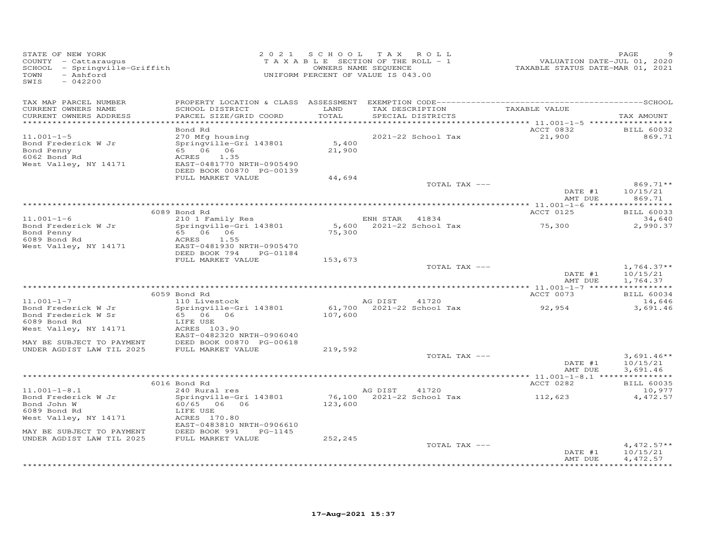| STATE OF NEW YORK<br>SIAIE OF NEW IONN<br>COUNTY - Cattaraugus<br>SCHOOL - Springville-Griffith<br>TOWN<br>- Ashford<br>SWIS<br>$-042200$ |                                                                                                                                                                 |                           | 2021 SCHOOL TAX ROLL<br>T A X A B L E SECTION OF THE ROLL - 1<br>OWNERS NAME SEQUENCE<br>UNIFORM PERCENT OF VALUE IS 043.00 | 25 FAGE<br>701, 2020<br>TAXABLE STATUS DATE-MAR 01, 2021 | PAGE                                                  |
|-------------------------------------------------------------------------------------------------------------------------------------------|-----------------------------------------------------------------------------------------------------------------------------------------------------------------|---------------------------|-----------------------------------------------------------------------------------------------------------------------------|----------------------------------------------------------|-------------------------------------------------------|
| TAX MAP PARCEL NUMBER<br>CURRENT OWNERS NAME<br>CURRENT OWNERS ADDRESS<br>**********************                                          | SCHOOL DISTRICT<br>PARCEL SIZE/GRID COORD                                                                                                                       | LAND<br>TOTAL             | TAX DESCRIPTION<br>SPECIAL DISTRICTS                                                                                        | TAXABLE VALUE                                            | TAX AMOUNT                                            |
| $11.001 - 1 - 5$<br>Bond Frederick W Jr<br>Bond Penny<br>6062 Bond Rd<br>West Valley, NY 14171                                            | Bond Rd<br>270 Mfg housing<br>Springville-Gri 143801<br>65 06 06<br>ACRES<br>1.35<br>EAST-0481770 NRTH-0905490<br>DEED BOOK 00870 PG-00139<br>FULL MARKET VALUE | 5,400<br>21,900<br>44,694 | 2021-22 School Tax                                                                                                          | ACCT 0832<br>21,900                                      | BILL 60032<br>869.71                                  |
|                                                                                                                                           |                                                                                                                                                                 |                           | TOTAL TAX ---                                                                                                               | DATE #1<br>AMT DUE                                       | 869.71**<br>10/15/21<br>869.71                        |
|                                                                                                                                           |                                                                                                                                                                 |                           |                                                                                                                             |                                                          |                                                       |
|                                                                                                                                           | 6089 Bond Rd                                                                                                                                                    |                           |                                                                                                                             | ACCT 0125                                                | <b>BILL 60033</b>                                     |
| $11.001 - 1 - 6$<br>Bond Frederick W Jr<br>Bond Penny<br>$\mathbf{d}$<br>6089 Bond Rd<br>West Valley, NY 14171                            | 210 1 Family Res<br>Springville-Gri 143801<br>65 06 06<br>ACRES 1.55<br>EAST-0481930 NRTH-0905470                                                               | 75,300                    | ENH STAR 41834<br>5,600 $2021-22$ School Tax                                                                                | 75,300                                                   | 34,640<br>2,990.37                                    |
|                                                                                                                                           | DEED BOOK 794 PG-01184                                                                                                                                          |                           |                                                                                                                             |                                                          |                                                       |
|                                                                                                                                           | FULL MARKET VALUE                                                                                                                                               | 153,673                   | TOTAL TAX ---                                                                                                               | DATE #1<br>AMT DUE                                       | $1,764.37**$<br>10/15/21<br>1,764.37                  |
|                                                                                                                                           |                                                                                                                                                                 |                           |                                                                                                                             |                                                          |                                                       |
| $11.001 - 1 - 7$<br>Bond Frederick W Jr<br>Bond Frederick W Sr<br>6089 Bond Rd<br>West Valley, NY 14171                                   | 6059 Bond Rd<br>110 Livestock<br>Springville-Gri 143801<br>65 06 06<br>LIFE USE<br>ACRES 103.90<br>EAST-0482320 NRTH-0906040                                    | 107,600                   | AG DIST 41720<br>61,700 $2021-22$ School Tax 92,954                                                                         | ACCT 0073                                                | <b>BILL 60034</b><br>14,646<br>3,691.46               |
| MAY BE SUBJECT TO PAYMENT<br>UNDER AGDIST LAW TIL 2025                                                                                    | DEED BOOK 00870 PG-00618<br>FULL MARKET VALUE                                                                                                                   | 219,592                   |                                                                                                                             |                                                          |                                                       |
|                                                                                                                                           |                                                                                                                                                                 |                           | TOTAL TAX ---                                                                                                               | DATE #1<br>AMT DUE                                       | $3,691.46**$<br>10/15/21<br>3,691.46                  |
|                                                                                                                                           |                                                                                                                                                                 |                           |                                                                                                                             |                                                          |                                                       |
| $11.001 - 1 - 8.1$<br>Bond Frederick W Jr<br>Bond John W<br>6089 Bond Rd<br>West Valley, NY 14171<br>MAY BE SUBJECT TO PAYMENT            | 6016 Bond Rd<br>240 Rural res<br>Springville-Gri 143801<br>60/65 06 06<br>LIFE USE<br>ACRES 170.80<br>EAST-0483810 NRTH-0906610<br>DEED BOOK 991<br>PG-1145     | 123,600                   | AG DIST 41720<br>76,100 $2021-22$ School Tax 112,623                                                                        | ACCT 0282                                                | <b>BILL 60035</b><br>10,977<br>4,472.57               |
| UNDER AGDIST LAW TIL 2025                                                                                                                 | FULL MARKET VALUE                                                                                                                                               | 252,245                   |                                                                                                                             |                                                          |                                                       |
|                                                                                                                                           |                                                                                                                                                                 |                           | TOTAL TAX ---                                                                                                               | DATE #1<br>AMT DUE                                       | $4,472.57**$<br>10/15/21<br>4,472.57<br>************* |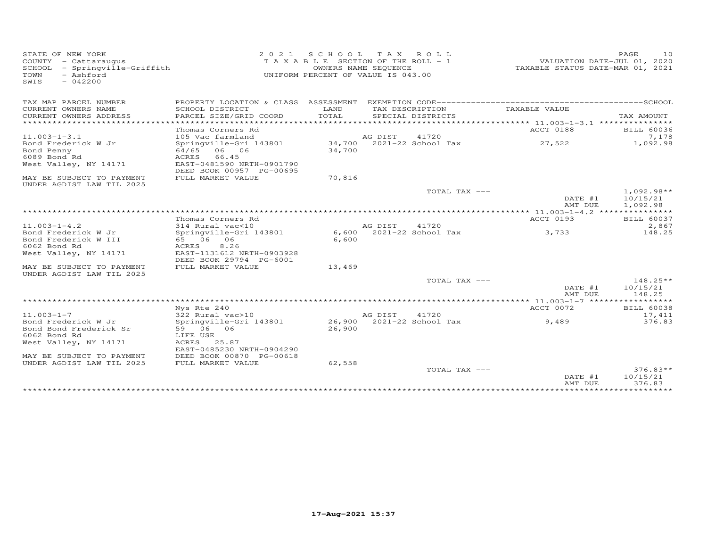| STATE OF NEW YORK<br>COUNTY - Cattaraugus<br>SCHOOL - Springville-Griffith<br>- Ashford<br>TOWN<br>$-042200$<br>SWIS | 2 0 2 1                                               | S C H O O L | TAX ROLL<br>TAXABLE SECTION OF THE ROLL - 1<br>OWNERS NAME SEQUENCE<br>UNIFORM PERCENT OF VALUE IS 043.00 | VALUATION DATE-JUL 01, 2020<br>TAXABLE STATUS DATE-MAR 01, 2021 | PAGE<br>10                           |
|----------------------------------------------------------------------------------------------------------------------|-------------------------------------------------------|-------------|-----------------------------------------------------------------------------------------------------------|-----------------------------------------------------------------|--------------------------------------|
| TAX MAP PARCEL NUMBER                                                                                                |                                                       |             |                                                                                                           |                                                                 |                                      |
| CURRENT OWNERS NAME                                                                                                  | SCHOOL DISTRICT                                       | LAND        | TAX DESCRIPTION                                                                                           | TAXABLE VALUE                                                   |                                      |
| CURRENT OWNERS ADDRESS<br>***********************                                                                    | PARCEL SIZE/GRID COORD                                | TOTAL       | SPECIAL DISTRICTS                                                                                         |                                                                 | TAX AMOUNT                           |
|                                                                                                                      | Thomas Corners Rd                                     |             |                                                                                                           | ACCT 0188                                                       | <b>BILL 60036</b>                    |
| $11.003 - 1 - 3.1$                                                                                                   | 105 Vac farmland                                      |             | AG DIST<br>41720                                                                                          |                                                                 | 7,178                                |
| Bond Frederick W Jr                                                                                                  | Springville-Gri 143801                                |             | 34,700 2021-22 School Tax                                                                                 | 27,522                                                          | 1,092.98                             |
| Bond Penny                                                                                                           | 64/65<br>06 06                                        | 34,700      |                                                                                                           |                                                                 |                                      |
| 6089 Bond Rd                                                                                                         | <b>ACRES</b><br>66.45                                 |             |                                                                                                           |                                                                 |                                      |
| West Valley, NY 14171                                                                                                | EAST-0481590 NRTH-0901790<br>DEED BOOK 00957 PG-00695 |             |                                                                                                           |                                                                 |                                      |
| MAY BE SUBJECT TO PAYMENT<br>UNDER AGDIST LAW TIL 2025                                                               | FULL MARKET VALUE                                     | 70,816      |                                                                                                           |                                                                 |                                      |
|                                                                                                                      |                                                       |             | TOTAL TAX ---                                                                                             | DATE #1<br>AMT DUE                                              | $1,092.98**$<br>10/15/21<br>1,092.98 |
|                                                                                                                      |                                                       |             |                                                                                                           |                                                                 |                                      |
|                                                                                                                      | Thomas Corners Rd                                     |             |                                                                                                           | ACCT 0193                                                       | BILL 60037                           |
| $11.003 - 1 - 4.2$                                                                                                   | 314 Rural vac<10                                      |             | 41720<br>AG DIST                                                                                          |                                                                 | 2,867                                |
| Bond Frederick W Jr                                                                                                  | Springville-Gri 143801                                |             | 6,600 2021-22 School Tax                                                                                  | 3,733                                                           | 148.25                               |
| Bond Frederick W III                                                                                                 | 65 06 06                                              | 6,600       |                                                                                                           |                                                                 |                                      |
| 6062 Bond Rd                                                                                                         | 8.26<br>ACRES<br>EAST-1131612 NRTH-0903928            |             |                                                                                                           |                                                                 |                                      |
| West Valley, NY 14171                                                                                                | DEED BOOK 29794 PG-6001                               |             |                                                                                                           |                                                                 |                                      |
| MAY BE SUBJECT TO PAYMENT<br>UNDER AGDIST LAW TIL 2025                                                               | FULL MARKET VALUE                                     | 13,469      |                                                                                                           |                                                                 |                                      |
|                                                                                                                      |                                                       |             | TOTAL TAX ---                                                                                             |                                                                 | $148.25**$                           |
|                                                                                                                      |                                                       |             |                                                                                                           | DATE #1<br>AMT DUE                                              | 10/15/21<br>148.25                   |
|                                                                                                                      |                                                       |             |                                                                                                           |                                                                 |                                      |
|                                                                                                                      | Nys Rte 240                                           |             |                                                                                                           | ACCT 0072                                                       | <b>BILL 60038</b>                    |
| $11.003 - 1 - 7$                                                                                                     | 322 Rural vac>10                                      |             | 41720<br>AG DIST                                                                                          |                                                                 | 17,411                               |
| Bond Frederick W Jr                                                                                                  | Springville-Gri 143801                                | 26,900      | 2021-22 School Tax                                                                                        | 9,489                                                           | 376.83                               |
| Bond Bond Frederick Sr                                                                                               | 59 06 06                                              | 26,900      |                                                                                                           |                                                                 |                                      |
| 6062 Bond Rd                                                                                                         | LIFE USE                                              |             |                                                                                                           |                                                                 |                                      |
| West Valley, NY 14171                                                                                                | 25.87<br>ACRES<br>EAST-0485230 NRTH-0904290           |             |                                                                                                           |                                                                 |                                      |
| MAY BE SUBJECT TO PAYMENT                                                                                            | DEED BOOK 00870 PG-00618                              |             |                                                                                                           |                                                                 |                                      |
| UNDER AGDIST LAW TIL 2025                                                                                            | FULL MARKET VALUE                                     | 62,558      |                                                                                                           |                                                                 |                                      |
|                                                                                                                      |                                                       |             | TOTAL TAX ---                                                                                             |                                                                 | $376.83**$                           |
|                                                                                                                      |                                                       |             |                                                                                                           | DATE #1<br>AMT DUE                                              | 10/15/21<br>376.83                   |
|                                                                                                                      |                                                       |             |                                                                                                           |                                                                 |                                      |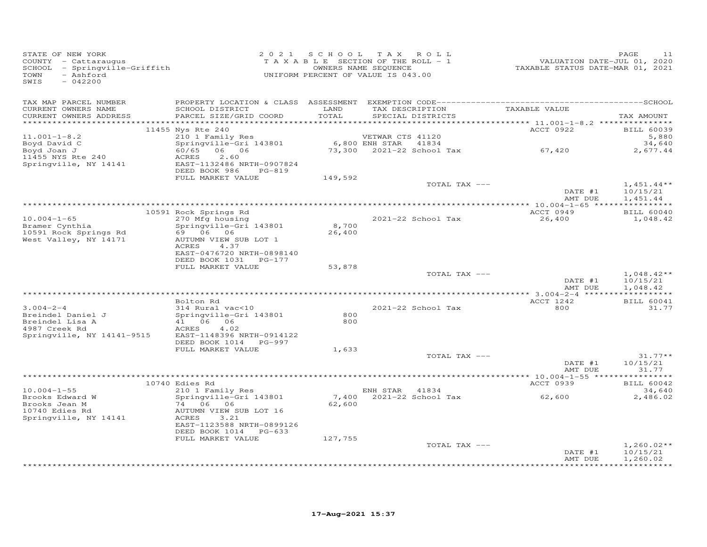| STATE OF NEW YORK<br>COUNTY - Cattaraugus<br>SCHOOL - Springville-Griffith<br>TOWN<br>- Ashford<br>SWIS<br>$-042200$ | 2 0 2 1                                                                                                                            |                 | SCHOOL TAX ROLL<br>T A X A B L E SECTION OF THE ROLL - 1<br>OWNERS NAME SEQUENCE<br>UNIFORM PERCENT OF VALUE IS 043.00 | 11.020<br>TAXABLE STATUS DATE-JUL 01, 2020<br>TAXABLE STATUS DATE-MAR 01, 2021 | PAGE<br>11                           |
|----------------------------------------------------------------------------------------------------------------------|------------------------------------------------------------------------------------------------------------------------------------|-----------------|------------------------------------------------------------------------------------------------------------------------|--------------------------------------------------------------------------------|--------------------------------------|
| TAX MAP PARCEL NUMBER<br>CURRENT OWNERS NAME<br>CURRENT OWNERS ADDRESS                                               | SCHOOL DISTRICT<br>PARCEL SIZE/GRID COORD                                                                                          | LAND<br>TOTAL   | TAX DESCRIPTION TAXABLE VALUE<br>SPECIAL DISTRICTS                                                                     |                                                                                | TAX AMOUNT                           |
|                                                                                                                      | 11455 Nys Rte 240                                                                                                                  |                 |                                                                                                                        | ACCT 0922                                                                      | <b>BILL 60039</b>                    |
| $11.001 - 1 - 8.2$<br>Boyd David C<br>Boyd Joan J<br>11455 NYS Rte 240<br>Springville, NY 14141                      | 210 1 Family Res<br>Springville-Gri 143801<br>60/65 06 06<br>ACRES<br>2.60<br>EAST-1132486 NRTH-0907824<br>PG-819                  |                 | VETWAR CTS 41120<br>6,800 ENH STAR 41834<br>73,300 2021-22 School Tax 67,420                                           |                                                                                | 5,880<br>34,640<br>2,677.44          |
|                                                                                                                      | DEED BOOK 986<br>FULL MARKET VALUE                                                                                                 | 149,592         |                                                                                                                        |                                                                                |                                      |
|                                                                                                                      |                                                                                                                                    |                 | TOTAL TAX ---                                                                                                          | DATE #1                                                                        | $1,451.44**$<br>10/15/21             |
|                                                                                                                      |                                                                                                                                    |                 |                                                                                                                        | AMT DUE                                                                        | 1,451.44                             |
| $10.004 - 1 - 65$                                                                                                    | 10591 Rock Springs Rd<br>270 Mfg housing                                                                                           |                 | 2021-22 School Tax                                                                                                     | ACCT 0949<br>26,400                                                            | <b>BILL 60040</b><br>1,048.42        |
| Bramer Cynthia<br>10591 Rock Springs Rd<br>West Valley, NY 14171                                                     | Springville-Gri 143801<br>69 06 06<br>AUTUMN VIEW SUB LOT 1<br>ACRES<br>4.37<br>EAST-0476720 NRTH-0898140<br>DEED BOOK 1031 PG-177 | 8,700<br>26,400 |                                                                                                                        |                                                                                |                                      |
|                                                                                                                      | FULL MARKET VALUE                                                                                                                  | 53,878          |                                                                                                                        |                                                                                |                                      |
|                                                                                                                      |                                                                                                                                    |                 | TOTAL TAX ---                                                                                                          | DATE #1<br>AMT DUE                                                             | $1,048.42**$<br>10/15/21<br>1,048.42 |
|                                                                                                                      | Bolton Rd                                                                                                                          |                 |                                                                                                                        | ACCT 1242                                                                      | <b>BILL 60041</b>                    |
| $3.004 - 2 - 4$<br>Breindel Daniel J<br>Breindel Lisa A                                                              | 314 Rural vac<10<br>Springville-Gri 143801<br>41 06 06                                                                             | 800<br>800      | 2021-22 School Tax                                                                                                     | 800                                                                            | 31.77                                |
| 4987 Creek Rd<br>Springville, NY 14141-9515                                                                          | 4.02<br>ACRES<br>EAST-1148396 NRTH-0914122<br>DEED BOOK 1014 PG-997<br>FULL MARKET VALUE                                           |                 |                                                                                                                        |                                                                                |                                      |
|                                                                                                                      |                                                                                                                                    | 1,633           | TOTAL TAX ---                                                                                                          | DATE #1                                                                        | $31.77**$<br>10/15/21                |
|                                                                                                                      |                                                                                                                                    |                 |                                                                                                                        | AMT DUE                                                                        | 31.77                                |
|                                                                                                                      | 10740 Edies Rd                                                                                                                     |                 |                                                                                                                        | ACCT 0939                                                                      | <b>BILL 60042</b>                    |
| $10.004 - 1 - 55$<br>Brooks Edward W<br>Brooks Jean M<br>10740 Edies Rd<br>Springville, NY 14141                     | 210 1 Family Res<br>Springville-Gri 143801<br>74 06 06<br>AUTUMN VIEW SUB LOT 16<br>ACRES<br>3.21<br>EAST-1123588 NRTH-0899126     | 7,400<br>62,600 | ENH STAR 41834<br>2021-22 School Tax                                                                                   | 62,600                                                                         | 34,640<br>2,486.02                   |
|                                                                                                                      | DEED BOOK 1014 PG-633<br>FULL MARKET VALUE                                                                                         | 127,755         |                                                                                                                        |                                                                                |                                      |
|                                                                                                                      |                                                                                                                                    |                 | TOTAL TAX ---                                                                                                          | DATE #1<br>AMT DUE                                                             | $1,260.02**$<br>10/15/21<br>1,260.02 |
|                                                                                                                      |                                                                                                                                    |                 |                                                                                                                        |                                                                                | **********                           |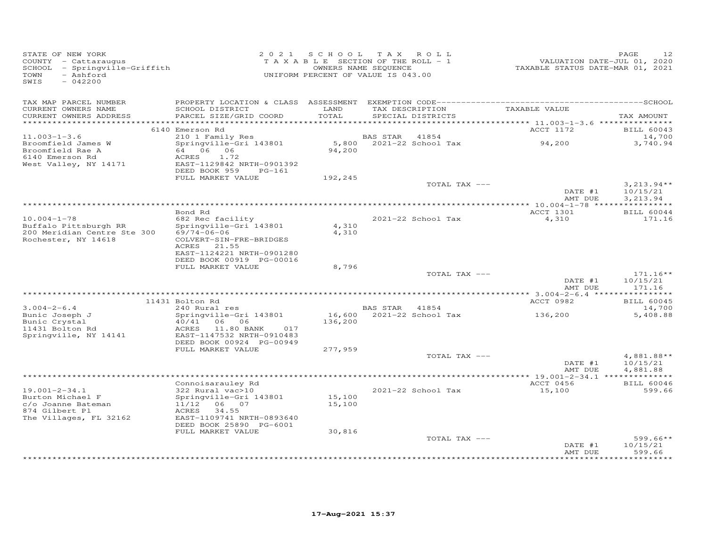| STATE OF NEW YORK<br>COUNTY - Cattaraugus<br>SCHOOL - Springville-Griffith<br>- Ashford<br>TOWN<br>SWIS<br>$-042200$ |                                                                                                                                                       |                    | 2021 SCHOOL TAX ROLL<br>TAXABLE SECTION OF THE ROLL - 1<br>OWNERS NAME SEQUENCE<br>UNIFORM PERCENT OF VALUE IS 043.00 | VALUATION DATE-JUL 01, 2020<br>TAXABLE STATUS DATE-MAR 01, 2021 | PAGE<br>12                           |
|----------------------------------------------------------------------------------------------------------------------|-------------------------------------------------------------------------------------------------------------------------------------------------------|--------------------|-----------------------------------------------------------------------------------------------------------------------|-----------------------------------------------------------------|--------------------------------------|
| TAX MAP PARCEL NUMBER<br>CURRENT OWNERS NAME<br>CURRENT OWNERS ADDRESS<br>***********************                    | SCHOOL DISTRICT<br>PARCEL SIZE/GRID COORD                                                                                                             | LAND<br>TOTAL      | TAX DESCRIPTION<br>SPECIAL DISTRICTS                                                                                  | TAXABLE VALUE                                                   | TAX AMOUNT                           |
|                                                                                                                      | 6140 Emerson Rd                                                                                                                                       |                    |                                                                                                                       | ACCT 1172                                                       | <b>BILL 60043</b>                    |
| $11.003 - 1 - 3.6$                                                                                                   | 210 1 Family Res                                                                                                                                      |                    | BAS STAR<br>41854                                                                                                     |                                                                 | 14,700                               |
| Broomfield James W<br>Broomfield Rae A<br>6140 Emerson Rd<br>West Valley, NY 14171                                   | Springville-Gri 143801<br>64 06 06<br>ACRES<br>1.72<br>EAST-1129842 NRTH-0901392<br>DEED BOOK 959<br>$PG-161$                                         | 5,800<br>94,200    | 2021-22 School Tax                                                                                                    | 94,200                                                          | 3,740.94                             |
|                                                                                                                      | FULL MARKET VALUE                                                                                                                                     | 192,245            |                                                                                                                       |                                                                 |                                      |
|                                                                                                                      |                                                                                                                                                       |                    | TOTAL TAX ---                                                                                                         | DATE #1<br>AMT DUE                                              | $3,213.94**$<br>10/15/21<br>3,213.94 |
|                                                                                                                      |                                                                                                                                                       |                    |                                                                                                                       |                                                                 |                                      |
|                                                                                                                      | Bond Rd                                                                                                                                               |                    |                                                                                                                       | ACCT 1301                                                       | <b>BILL 60044</b>                    |
| $10.004 - 1 - 78$<br>Buffalo Pittsburgh RR<br>200 Meridian Centre Ste 300<br>Rochester, NY 14618                     | 682 Rec facility<br>Springville-Gri 143801<br>$69/74 - 06 - 06$<br>COLVERT-SIN-FRE-BRIDGES<br>ACRES 21.55<br>EAST-1124221 NRTH-0901280                | 4,310<br>4,310     | 2021-22 School Tax                                                                                                    | 4,310                                                           | 171.16                               |
|                                                                                                                      | DEED BOOK 00919 PG-00016                                                                                                                              |                    |                                                                                                                       |                                                                 |                                      |
|                                                                                                                      | FULL MARKET VALUE                                                                                                                                     | 8,796              |                                                                                                                       |                                                                 | $171.16**$                           |
|                                                                                                                      |                                                                                                                                                       |                    | TOTAL TAX ---                                                                                                         | DATE #1<br>AMT DUE                                              | 10/15/21<br>171.16                   |
|                                                                                                                      |                                                                                                                                                       |                    |                                                                                                                       |                                                                 |                                      |
| $3.004 - 2 - 6.4$                                                                                                    | 11431 Bolton Rd<br>240 Rural res                                                                                                                      |                    | BAS STAR 41854                                                                                                        | ACCT 0982                                                       | <b>BILL 60045</b><br>14,700          |
| Bunic Joseph J<br>Bunic Crystal<br>11431 Bolton Rd<br>Springville, NY 14141                                          | Springville-Gri 143801<br>06 06<br>40/41<br>11.80 BANK 017<br>ACRES<br>EAST-1147532 NRTH-0910483<br>DEED BOOK 00924 PG-00949<br>FULL MARKET VALUE     | 136,200<br>277,959 | 16,600 2021-22 School Tax                                                                                             | 136,200                                                         | 5,408.88                             |
|                                                                                                                      |                                                                                                                                                       |                    | TOTAL TAX ---                                                                                                         |                                                                 | 4,881.88**                           |
|                                                                                                                      |                                                                                                                                                       |                    |                                                                                                                       | DATE #1<br>AMT DUE                                              | 10/15/21<br>4,881.88                 |
|                                                                                                                      |                                                                                                                                                       |                    |                                                                                                                       |                                                                 |                                      |
| $19.001 - 2 - 34.1$<br>Burton Michael F<br>c/o Joanne Bateman<br>874 Gilbert Pl<br>The Villages, FL 32162            | Connoisarauley Rd<br>322 Rural vac>10<br>Springville-Gri 143801<br>11/12 06 07<br>ACRES 34.55<br>EAST-1109741 NRTH-0893640<br>DEED BOOK 25890 PG-6001 | 15,100<br>15,100   | 2021-22 School Tax                                                                                                    | ACCT 0456<br>15,100                                             | <b>BILL 60046</b><br>599.66          |
|                                                                                                                      | FULL MARKET VALUE                                                                                                                                     | 30,816             | TOTAL TAX ---                                                                                                         |                                                                 | $599.66**$                           |
|                                                                                                                      |                                                                                                                                                       |                    |                                                                                                                       | DATE #1<br>AMT DUE                                              | 10/15/21<br>599.66                   |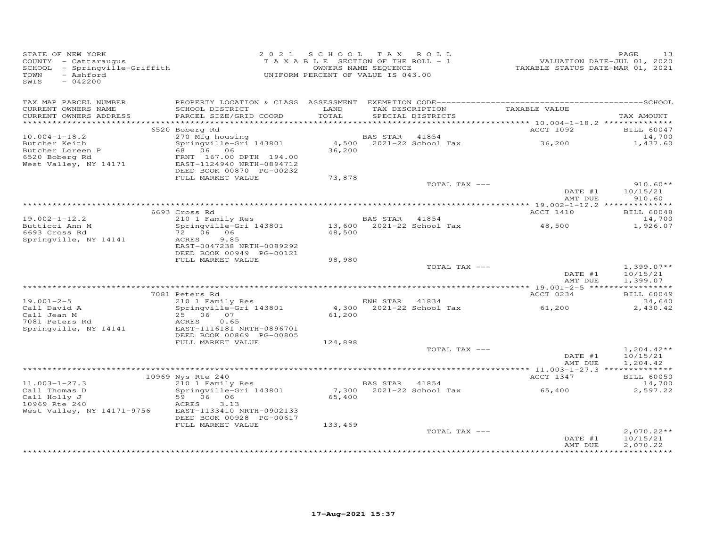| TAX MAP PARCEL NUMBER<br>TAX DESCRIPTION<br>TAXABLE VALUE<br>CURRENT OWNERS NAME<br>SCHOOL DISTRICT<br>LAND<br>TOTAL<br>PARCEL SIZE/GRID COORD<br>SPECIAL DISTRICTS<br>CURRENT OWNERS ADDRESS<br>TAX AMOUNT<br>ACCT 1092<br>6520 Boberg Rd<br><b>BILL 60047</b><br>270 Mfg housing<br>Springville-Gri 143801<br>$10.004 - 1 - 18.2$<br>BAS STAR 41854<br>14,700<br>$4,500$ 2021-22 School Tax 36,200<br>1,437.60<br>Butcher Keith<br>Butcher Loreen P<br>68 06 06<br>36,200<br>6520 Boberg Rd<br>FRNT 167.00 DPTH 194.00<br>West Valley, NY 14171<br>EAST-1124940 NRTH-0894712<br>DEED BOOK 00870 PG-00232<br>FULL MARKET VALUE<br>73,878<br>$910.60**$<br>TOTAL TAX ---<br>DATE #1<br>10/15/21<br>AMT DUE<br>910.60<br>6693 Cross Rd<br>ACCT 1410<br><b>BILL 60048</b><br>210 1 Family Res<br>Springville-Gri 143801<br>41854<br>$19.002 - 1 - 12.2$<br>14,700<br>Butticci Ann M<br>1,926.07<br>72 06 06<br>6693 Cross Rd<br>48,500<br>Springville, NY 14141<br>ACRES<br>9.85<br>EAST-0047238 NRTH-0089292<br>DEED BOOK 00949 PG-00121<br>FULL MARKET VALUE<br>98,980<br>TOTAL TAX ---<br>$1,399.07**$<br>DATE #1<br>10/15/21<br>AMT DUE<br>1,399.07<br>7081 Peters Rd<br>ACCT 0234<br><b>BILL 60049</b><br>210 1 Family Res<br>$19.001 - 2 - 5$<br>ENH STAR 41834<br>34,640<br>4,300 2021-22 School Tax<br>Call David A<br>Springville-Gri 143801<br>61,200<br>2,430.42<br>Call Jean M<br>25 06 07<br>61,200<br>7081 Peters Rd<br>ACRES<br>0.65<br>EAST-1116181 NRTH-0896701<br>Springville, NY 14141<br>DEED BOOK 00869 PG-00805<br>FULL MARKET VALUE<br>124,898<br>TOTAL TAX ---<br>$1,204.42**$<br>DATE #1<br>10/15/21<br>AMT DUE<br>1,204.42<br>ACCT 1347<br><b>BILL 60050</b><br>10969 Nys Rte 240<br>210 1 Family Res<br>$11.003 - 1 - 27.3$<br><b>BAS STAR</b> 41854<br>14,700<br>7,300 2021-22 School Tax<br>65,400<br>Call Thomas D<br>Springville-Gri 143801<br>2,597.22<br>Call Holly J<br>59 06 06<br>65,400<br>10969 Rte 240<br>ACRES<br>3.13<br>West Valley, NY 14171-9756<br>EAST-1133410 NRTH-0902133<br>DEED BOOK 00928 PG-00617<br>FULL MARKET VALUE<br>133,469<br>TOTAL TAX ---<br>$2,070.22**$<br>10/15/21<br>DATE #1<br>2,070.22<br>AMT DUE | STATE OF NEW YORK<br>COUNTY - Cattaraugus<br>SCHOOL - Springville-Griffith<br>- Ashford<br>TOWN<br>SWIS<br>$-042200$ | 2021 SCHOOL TAX ROLL<br>T A X A B L E SECTION OF THE ROLL - 1<br>UNIFORM PERCENT OF VALUE IS 043.00 | OWNERS NAME SEQUENCE | VALUATION DATE-JUL 01, 2020<br>TAXABLE STATUS DATE-MAR 01, 2021 | PAGE<br>13 |
|--------------------------------------------------------------------------------------------------------------------------------------------------------------------------------------------------------------------------------------------------------------------------------------------------------------------------------------------------------------------------------------------------------------------------------------------------------------------------------------------------------------------------------------------------------------------------------------------------------------------------------------------------------------------------------------------------------------------------------------------------------------------------------------------------------------------------------------------------------------------------------------------------------------------------------------------------------------------------------------------------------------------------------------------------------------------------------------------------------------------------------------------------------------------------------------------------------------------------------------------------------------------------------------------------------------------------------------------------------------------------------------------------------------------------------------------------------------------------------------------------------------------------------------------------------------------------------------------------------------------------------------------------------------------------------------------------------------------------------------------------------------------------------------------------------------------------------------------------------------------------------------------------------------------------------------------------------------------------------------------------------------------------------------------------------------------------------------------------------------------------------------------------------------------|----------------------------------------------------------------------------------------------------------------------|-----------------------------------------------------------------------------------------------------|----------------------|-----------------------------------------------------------------|------------|
|                                                                                                                                                                                                                                                                                                                                                                                                                                                                                                                                                                                                                                                                                                                                                                                                                                                                                                                                                                                                                                                                                                                                                                                                                                                                                                                                                                                                                                                                                                                                                                                                                                                                                                                                                                                                                                                                                                                                                                                                                                                                                                                                                                    |                                                                                                                      |                                                                                                     |                      |                                                                 |            |
|                                                                                                                                                                                                                                                                                                                                                                                                                                                                                                                                                                                                                                                                                                                                                                                                                                                                                                                                                                                                                                                                                                                                                                                                                                                                                                                                                                                                                                                                                                                                                                                                                                                                                                                                                                                                                                                                                                                                                                                                                                                                                                                                                                    |                                                                                                                      |                                                                                                     |                      |                                                                 |            |
|                                                                                                                                                                                                                                                                                                                                                                                                                                                                                                                                                                                                                                                                                                                                                                                                                                                                                                                                                                                                                                                                                                                                                                                                                                                                                                                                                                                                                                                                                                                                                                                                                                                                                                                                                                                                                                                                                                                                                                                                                                                                                                                                                                    |                                                                                                                      |                                                                                                     |                      |                                                                 |            |
|                                                                                                                                                                                                                                                                                                                                                                                                                                                                                                                                                                                                                                                                                                                                                                                                                                                                                                                                                                                                                                                                                                                                                                                                                                                                                                                                                                                                                                                                                                                                                                                                                                                                                                                                                                                                                                                                                                                                                                                                                                                                                                                                                                    |                                                                                                                      |                                                                                                     |                      |                                                                 |            |
|                                                                                                                                                                                                                                                                                                                                                                                                                                                                                                                                                                                                                                                                                                                                                                                                                                                                                                                                                                                                                                                                                                                                                                                                                                                                                                                                                                                                                                                                                                                                                                                                                                                                                                                                                                                                                                                                                                                                                                                                                                                                                                                                                                    |                                                                                                                      |                                                                                                     |                      |                                                                 |            |
|                                                                                                                                                                                                                                                                                                                                                                                                                                                                                                                                                                                                                                                                                                                                                                                                                                                                                                                                                                                                                                                                                                                                                                                                                                                                                                                                                                                                                                                                                                                                                                                                                                                                                                                                                                                                                                                                                                                                                                                                                                                                                                                                                                    |                                                                                                                      |                                                                                                     |                      |                                                                 |            |
|                                                                                                                                                                                                                                                                                                                                                                                                                                                                                                                                                                                                                                                                                                                                                                                                                                                                                                                                                                                                                                                                                                                                                                                                                                                                                                                                                                                                                                                                                                                                                                                                                                                                                                                                                                                                                                                                                                                                                                                                                                                                                                                                                                    |                                                                                                                      |                                                                                                     |                      |                                                                 |            |
|                                                                                                                                                                                                                                                                                                                                                                                                                                                                                                                                                                                                                                                                                                                                                                                                                                                                                                                                                                                                                                                                                                                                                                                                                                                                                                                                                                                                                                                                                                                                                                                                                                                                                                                                                                                                                                                                                                                                                                                                                                                                                                                                                                    |                                                                                                                      |                                                                                                     |                      |                                                                 |            |
|                                                                                                                                                                                                                                                                                                                                                                                                                                                                                                                                                                                                                                                                                                                                                                                                                                                                                                                                                                                                                                                                                                                                                                                                                                                                                                                                                                                                                                                                                                                                                                                                                                                                                                                                                                                                                                                                                                                                                                                                                                                                                                                                                                    |                                                                                                                      |                                                                                                     |                      |                                                                 |            |
|                                                                                                                                                                                                                                                                                                                                                                                                                                                                                                                                                                                                                                                                                                                                                                                                                                                                                                                                                                                                                                                                                                                                                                                                                                                                                                                                                                                                                                                                                                                                                                                                                                                                                                                                                                                                                                                                                                                                                                                                                                                                                                                                                                    |                                                                                                                      |                                                                                                     |                      |                                                                 |            |
|                                                                                                                                                                                                                                                                                                                                                                                                                                                                                                                                                                                                                                                                                                                                                                                                                                                                                                                                                                                                                                                                                                                                                                                                                                                                                                                                                                                                                                                                                                                                                                                                                                                                                                                                                                                                                                                                                                                                                                                                                                                                                                                                                                    |                                                                                                                      |                                                                                                     |                      |                                                                 |            |
|                                                                                                                                                                                                                                                                                                                                                                                                                                                                                                                                                                                                                                                                                                                                                                                                                                                                                                                                                                                                                                                                                                                                                                                                                                                                                                                                                                                                                                                                                                                                                                                                                                                                                                                                                                                                                                                                                                                                                                                                                                                                                                                                                                    |                                                                                                                      |                                                                                                     |                      |                                                                 |            |
|                                                                                                                                                                                                                                                                                                                                                                                                                                                                                                                                                                                                                                                                                                                                                                                                                                                                                                                                                                                                                                                                                                                                                                                                                                                                                                                                                                                                                                                                                                                                                                                                                                                                                                                                                                                                                                                                                                                                                                                                                                                                                                                                                                    |                                                                                                                      |                                                                                                     |                      |                                                                 |            |
|                                                                                                                                                                                                                                                                                                                                                                                                                                                                                                                                                                                                                                                                                                                                                                                                                                                                                                                                                                                                                                                                                                                                                                                                                                                                                                                                                                                                                                                                                                                                                                                                                                                                                                                                                                                                                                                                                                                                                                                                                                                                                                                                                                    |                                                                                                                      |                                                                                                     |                      |                                                                 |            |
|                                                                                                                                                                                                                                                                                                                                                                                                                                                                                                                                                                                                                                                                                                                                                                                                                                                                                                                                                                                                                                                                                                                                                                                                                                                                                                                                                                                                                                                                                                                                                                                                                                                                                                                                                                                                                                                                                                                                                                                                                                                                                                                                                                    |                                                                                                                      |                                                                                                     |                      |                                                                 |            |
|                                                                                                                                                                                                                                                                                                                                                                                                                                                                                                                                                                                                                                                                                                                                                                                                                                                                                                                                                                                                                                                                                                                                                                                                                                                                                                                                                                                                                                                                                                                                                                                                                                                                                                                                                                                                                                                                                                                                                                                                                                                                                                                                                                    |                                                                                                                      |                                                                                                     |                      |                                                                 |            |
|                                                                                                                                                                                                                                                                                                                                                                                                                                                                                                                                                                                                                                                                                                                                                                                                                                                                                                                                                                                                                                                                                                                                                                                                                                                                                                                                                                                                                                                                                                                                                                                                                                                                                                                                                                                                                                                                                                                                                                                                                                                                                                                                                                    |                                                                                                                      |                                                                                                     |                      |                                                                 |            |
|                                                                                                                                                                                                                                                                                                                                                                                                                                                                                                                                                                                                                                                                                                                                                                                                                                                                                                                                                                                                                                                                                                                                                                                                                                                                                                                                                                                                                                                                                                                                                                                                                                                                                                                                                                                                                                                                                                                                                                                                                                                                                                                                                                    |                                                                                                                      |                                                                                                     |                      |                                                                 |            |
|                                                                                                                                                                                                                                                                                                                                                                                                                                                                                                                                                                                                                                                                                                                                                                                                                                                                                                                                                                                                                                                                                                                                                                                                                                                                                                                                                                                                                                                                                                                                                                                                                                                                                                                                                                                                                                                                                                                                                                                                                                                                                                                                                                    |                                                                                                                      |                                                                                                     |                      |                                                                 |            |
|                                                                                                                                                                                                                                                                                                                                                                                                                                                                                                                                                                                                                                                                                                                                                                                                                                                                                                                                                                                                                                                                                                                                                                                                                                                                                                                                                                                                                                                                                                                                                                                                                                                                                                                                                                                                                                                                                                                                                                                                                                                                                                                                                                    |                                                                                                                      |                                                                                                     |                      |                                                                 |            |
|                                                                                                                                                                                                                                                                                                                                                                                                                                                                                                                                                                                                                                                                                                                                                                                                                                                                                                                                                                                                                                                                                                                                                                                                                                                                                                                                                                                                                                                                                                                                                                                                                                                                                                                                                                                                                                                                                                                                                                                                                                                                                                                                                                    |                                                                                                                      |                                                                                                     |                      |                                                                 |            |
|                                                                                                                                                                                                                                                                                                                                                                                                                                                                                                                                                                                                                                                                                                                                                                                                                                                                                                                                                                                                                                                                                                                                                                                                                                                                                                                                                                                                                                                                                                                                                                                                                                                                                                                                                                                                                                                                                                                                                                                                                                                                                                                                                                    |                                                                                                                      |                                                                                                     |                      |                                                                 |            |
|                                                                                                                                                                                                                                                                                                                                                                                                                                                                                                                                                                                                                                                                                                                                                                                                                                                                                                                                                                                                                                                                                                                                                                                                                                                                                                                                                                                                                                                                                                                                                                                                                                                                                                                                                                                                                                                                                                                                                                                                                                                                                                                                                                    |                                                                                                                      |                                                                                                     |                      |                                                                 |            |
|                                                                                                                                                                                                                                                                                                                                                                                                                                                                                                                                                                                                                                                                                                                                                                                                                                                                                                                                                                                                                                                                                                                                                                                                                                                                                                                                                                                                                                                                                                                                                                                                                                                                                                                                                                                                                                                                                                                                                                                                                                                                                                                                                                    |                                                                                                                      |                                                                                                     |                      |                                                                 |            |
|                                                                                                                                                                                                                                                                                                                                                                                                                                                                                                                                                                                                                                                                                                                                                                                                                                                                                                                                                                                                                                                                                                                                                                                                                                                                                                                                                                                                                                                                                                                                                                                                                                                                                                                                                                                                                                                                                                                                                                                                                                                                                                                                                                    |                                                                                                                      |                                                                                                     |                      |                                                                 |            |
|                                                                                                                                                                                                                                                                                                                                                                                                                                                                                                                                                                                                                                                                                                                                                                                                                                                                                                                                                                                                                                                                                                                                                                                                                                                                                                                                                                                                                                                                                                                                                                                                                                                                                                                                                                                                                                                                                                                                                                                                                                                                                                                                                                    |                                                                                                                      |                                                                                                     |                      |                                                                 |            |
|                                                                                                                                                                                                                                                                                                                                                                                                                                                                                                                                                                                                                                                                                                                                                                                                                                                                                                                                                                                                                                                                                                                                                                                                                                                                                                                                                                                                                                                                                                                                                                                                                                                                                                                                                                                                                                                                                                                                                                                                                                                                                                                                                                    |                                                                                                                      |                                                                                                     |                      |                                                                 |            |
|                                                                                                                                                                                                                                                                                                                                                                                                                                                                                                                                                                                                                                                                                                                                                                                                                                                                                                                                                                                                                                                                                                                                                                                                                                                                                                                                                                                                                                                                                                                                                                                                                                                                                                                                                                                                                                                                                                                                                                                                                                                                                                                                                                    |                                                                                                                      |                                                                                                     |                      |                                                                 |            |
|                                                                                                                                                                                                                                                                                                                                                                                                                                                                                                                                                                                                                                                                                                                                                                                                                                                                                                                                                                                                                                                                                                                                                                                                                                                                                                                                                                                                                                                                                                                                                                                                                                                                                                                                                                                                                                                                                                                                                                                                                                                                                                                                                                    |                                                                                                                      |                                                                                                     |                      |                                                                 |            |
|                                                                                                                                                                                                                                                                                                                                                                                                                                                                                                                                                                                                                                                                                                                                                                                                                                                                                                                                                                                                                                                                                                                                                                                                                                                                                                                                                                                                                                                                                                                                                                                                                                                                                                                                                                                                                                                                                                                                                                                                                                                                                                                                                                    |                                                                                                                      |                                                                                                     |                      |                                                                 |            |
|                                                                                                                                                                                                                                                                                                                                                                                                                                                                                                                                                                                                                                                                                                                                                                                                                                                                                                                                                                                                                                                                                                                                                                                                                                                                                                                                                                                                                                                                                                                                                                                                                                                                                                                                                                                                                                                                                                                                                                                                                                                                                                                                                                    |                                                                                                                      |                                                                                                     |                      |                                                                 |            |
|                                                                                                                                                                                                                                                                                                                                                                                                                                                                                                                                                                                                                                                                                                                                                                                                                                                                                                                                                                                                                                                                                                                                                                                                                                                                                                                                                                                                                                                                                                                                                                                                                                                                                                                                                                                                                                                                                                                                                                                                                                                                                                                                                                    |                                                                                                                      |                                                                                                     |                      |                                                                 |            |
|                                                                                                                                                                                                                                                                                                                                                                                                                                                                                                                                                                                                                                                                                                                                                                                                                                                                                                                                                                                                                                                                                                                                                                                                                                                                                                                                                                                                                                                                                                                                                                                                                                                                                                                                                                                                                                                                                                                                                                                                                                                                                                                                                                    |                                                                                                                      |                                                                                                     |                      |                                                                 |            |
|                                                                                                                                                                                                                                                                                                                                                                                                                                                                                                                                                                                                                                                                                                                                                                                                                                                                                                                                                                                                                                                                                                                                                                                                                                                                                                                                                                                                                                                                                                                                                                                                                                                                                                                                                                                                                                                                                                                                                                                                                                                                                                                                                                    |                                                                                                                      |                                                                                                     |                      |                                                                 |            |
|                                                                                                                                                                                                                                                                                                                                                                                                                                                                                                                                                                                                                                                                                                                                                                                                                                                                                                                                                                                                                                                                                                                                                                                                                                                                                                                                                                                                                                                                                                                                                                                                                                                                                                                                                                                                                                                                                                                                                                                                                                                                                                                                                                    |                                                                                                                      |                                                                                                     |                      |                                                                 |            |
|                                                                                                                                                                                                                                                                                                                                                                                                                                                                                                                                                                                                                                                                                                                                                                                                                                                                                                                                                                                                                                                                                                                                                                                                                                                                                                                                                                                                                                                                                                                                                                                                                                                                                                                                                                                                                                                                                                                                                                                                                                                                                                                                                                    |                                                                                                                      |                                                                                                     |                      |                                                                 |            |
|                                                                                                                                                                                                                                                                                                                                                                                                                                                                                                                                                                                                                                                                                                                                                                                                                                                                                                                                                                                                                                                                                                                                                                                                                                                                                                                                                                                                                                                                                                                                                                                                                                                                                                                                                                                                                                                                                                                                                                                                                                                                                                                                                                    |                                                                                                                      |                                                                                                     |                      |                                                                 |            |
|                                                                                                                                                                                                                                                                                                                                                                                                                                                                                                                                                                                                                                                                                                                                                                                                                                                                                                                                                                                                                                                                                                                                                                                                                                                                                                                                                                                                                                                                                                                                                                                                                                                                                                                                                                                                                                                                                                                                                                                                                                                                                                                                                                    |                                                                                                                      |                                                                                                     |                      |                                                                 |            |
|                                                                                                                                                                                                                                                                                                                                                                                                                                                                                                                                                                                                                                                                                                                                                                                                                                                                                                                                                                                                                                                                                                                                                                                                                                                                                                                                                                                                                                                                                                                                                                                                                                                                                                                                                                                                                                                                                                                                                                                                                                                                                                                                                                    |                                                                                                                      |                                                                                                     |                      |                                                                 |            |
|                                                                                                                                                                                                                                                                                                                                                                                                                                                                                                                                                                                                                                                                                                                                                                                                                                                                                                                                                                                                                                                                                                                                                                                                                                                                                                                                                                                                                                                                                                                                                                                                                                                                                                                                                                                                                                                                                                                                                                                                                                                                                                                                                                    |                                                                                                                      |                                                                                                     |                      |                                                                 |            |
|                                                                                                                                                                                                                                                                                                                                                                                                                                                                                                                                                                                                                                                                                                                                                                                                                                                                                                                                                                                                                                                                                                                                                                                                                                                                                                                                                                                                                                                                                                                                                                                                                                                                                                                                                                                                                                                                                                                                                                                                                                                                                                                                                                    |                                                                                                                      |                                                                                                     |                      |                                                                 |            |
|                                                                                                                                                                                                                                                                                                                                                                                                                                                                                                                                                                                                                                                                                                                                                                                                                                                                                                                                                                                                                                                                                                                                                                                                                                                                                                                                                                                                                                                                                                                                                                                                                                                                                                                                                                                                                                                                                                                                                                                                                                                                                                                                                                    |                                                                                                                      |                                                                                                     |                      |                                                                 |            |
|                                                                                                                                                                                                                                                                                                                                                                                                                                                                                                                                                                                                                                                                                                                                                                                                                                                                                                                                                                                                                                                                                                                                                                                                                                                                                                                                                                                                                                                                                                                                                                                                                                                                                                                                                                                                                                                                                                                                                                                                                                                                                                                                                                    |                                                                                                                      |                                                                                                     |                      |                                                                 |            |
|                                                                                                                                                                                                                                                                                                                                                                                                                                                                                                                                                                                                                                                                                                                                                                                                                                                                                                                                                                                                                                                                                                                                                                                                                                                                                                                                                                                                                                                                                                                                                                                                                                                                                                                                                                                                                                                                                                                                                                                                                                                                                                                                                                    |                                                                                                                      |                                                                                                     |                      |                                                                 |            |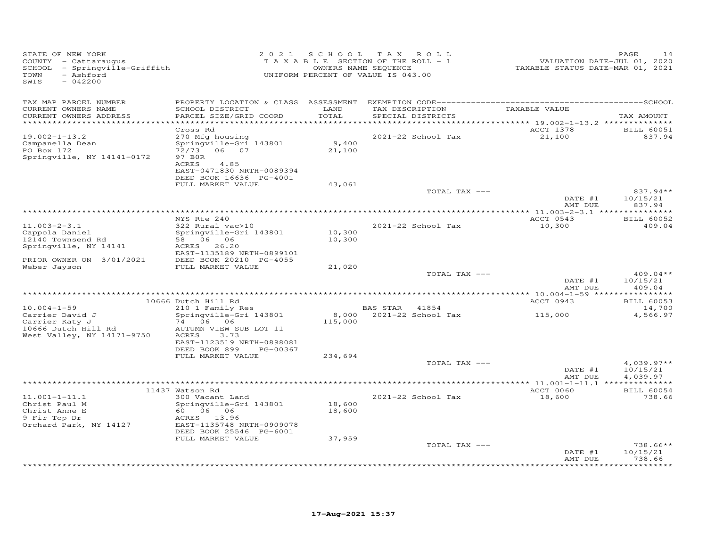| STATE OF NEW YORK<br>COUNTY - Cattaraugus<br>SCHOOL - Springville-Griffith<br>- Ashford<br>TOWN<br>SWIS<br>$-042200$ | 2 0 2 1                                                                                           | S C H O O L              | T A X<br>ROLL<br>TAXABLE SECTION OF THE ROLL - 1<br>OWNERS NAME SEQUENCE<br>UNIFORM PERCENT OF VALUE IS 043.00 | VALUATION DATE-JUL 01, 2020<br>TAXABLE STATUS DATE-MAR 01, 2021 | PAGE<br>14                           |
|----------------------------------------------------------------------------------------------------------------------|---------------------------------------------------------------------------------------------------|--------------------------|----------------------------------------------------------------------------------------------------------------|-----------------------------------------------------------------|--------------------------------------|
|                                                                                                                      |                                                                                                   |                          |                                                                                                                |                                                                 |                                      |
| TAX MAP PARCEL NUMBER<br>CURRENT OWNERS NAME<br>CURRENT OWNERS ADDRESS                                               | SCHOOL DISTRICT<br>PARCEL SIZE/GRID COORD                                                         | LAND<br>TOTAL<br>******* | TAX DESCRIPTION<br>SPECIAL DISTRICTS                                                                           | TAXABLE VALUE                                                   | TAX AMOUNT                           |
| $19.002 - 1 - 13.2$<br>Campanella Dean<br>PO Box 172                                                                 | Cross Rd<br>270 Mfg housing<br>Springville-Gri 143801<br>72/73<br>06 07                           | 9,400<br>21,100          | 2021-22 School Tax                                                                                             | ******** 19.002-1-13.2 **************<br>ACCT 1378<br>21,100    | <b>BILL 60051</b><br>837.94          |
| Springville, NY 14141-0172                                                                                           | 97 BOR<br>ACRES<br>4.85<br>EAST-0471830 NRTH-0089394<br>DEED BOOK 16636 PG-4001                   |                          |                                                                                                                |                                                                 |                                      |
|                                                                                                                      | FULL MARKET VALUE                                                                                 | 43,061                   |                                                                                                                |                                                                 |                                      |
|                                                                                                                      |                                                                                                   |                          | TOTAL TAX ---                                                                                                  | DATE #1<br>AMT DUE                                              | 837.94**<br>10/15/21<br>837.94       |
|                                                                                                                      | NYS Rte 240                                                                                       |                          |                                                                                                                |                                                                 |                                      |
| $11.003 - 2 - 3.1$<br>Cappola Daniel                                                                                 | 322 Rural vac>10<br>Springville-Gri 143801                                                        | 10,300                   | 2021-22 School Tax                                                                                             | ACCT 0543<br>10,300                                             | <b>BILL 60052</b><br>409.04          |
| 12140 Townsend Rd<br>Springville, NY 14141                                                                           | 58 06 06<br>ACRES 26.20<br>EAST-1135189 NRTH-0899101                                              | 10,300                   |                                                                                                                |                                                                 |                                      |
| PRIOR OWNER ON 3/01/2021<br>Weber Jayson                                                                             | DEED BOOK 20210 PG-4055<br>FULL MARKET VALUE                                                      | 21,020                   |                                                                                                                |                                                                 |                                      |
|                                                                                                                      |                                                                                                   |                          | TOTAL TAX ---                                                                                                  | DATE #1<br>AMT DUE                                              | $409.04**$<br>10/15/21<br>409.04     |
|                                                                                                                      |                                                                                                   |                          |                                                                                                                |                                                                 |                                      |
|                                                                                                                      | 10666 Dutch Hill Rd                                                                               |                          |                                                                                                                | ACCT 0943                                                       | <b>BILL 60053</b>                    |
| $10.004 - 1 - 59$<br>Carrier David J<br>Carrier Katy J                                                               | 210 1 Family Res<br>Springville-Gri 143801<br>74 06 06                                            | 8,000<br>115,000         | BAS STAR<br>41854<br>2021-22 School Tax                                                                        | 115,000                                                         | 14,700<br>4,566.97                   |
| 10666 Dutch Hill Rd<br>West Valley, NY 14171-9750                                                                    | AUTUMN VIEW SUB LOT 11<br>ACRES<br>3.73<br>EAST-1123519 NRTH-0898081<br>DEED BOOK 899<br>PG-00367 |                          |                                                                                                                |                                                                 |                                      |
|                                                                                                                      | FULL MARKET VALUE                                                                                 | 234,694                  |                                                                                                                |                                                                 |                                      |
|                                                                                                                      |                                                                                                   |                          | TOTAL TAX ---                                                                                                  | DATE #1<br>AMT DUE                                              | $4,039.97**$<br>10/15/21<br>4,039.97 |
|                                                                                                                      |                                                                                                   |                          |                                                                                                                |                                                                 |                                      |
| $11.001 - 1 - 11.1$                                                                                                  | 11437 Watson Rd<br>300 Vacant Land                                                                |                          | 2021-22 School Tax                                                                                             | ACCT 0060<br>18,600                                             | <b>BILL 60054</b><br>738.66          |
| Christ Paul M<br>Christ Anne E<br>9 Fir Top Dr                                                                       | Springville-Gri 143801<br>60 06 06<br>ACRES 13.96                                                 | 18,600<br>18,600         |                                                                                                                |                                                                 |                                      |
| Orchard Park, NY 14127                                                                                               | EAST-1135748 NRTH-0909078<br>DEED BOOK 25546 PG-6001<br>FULL MARKET VALUE                         | 37,959                   |                                                                                                                |                                                                 |                                      |
|                                                                                                                      |                                                                                                   |                          | TOTAL TAX ---                                                                                                  | DATE #1                                                         | $738.66**$<br>10/15/21               |
|                                                                                                                      |                                                                                                   |                          |                                                                                                                | AMT DUE                                                         | 738.66<br>*********                  |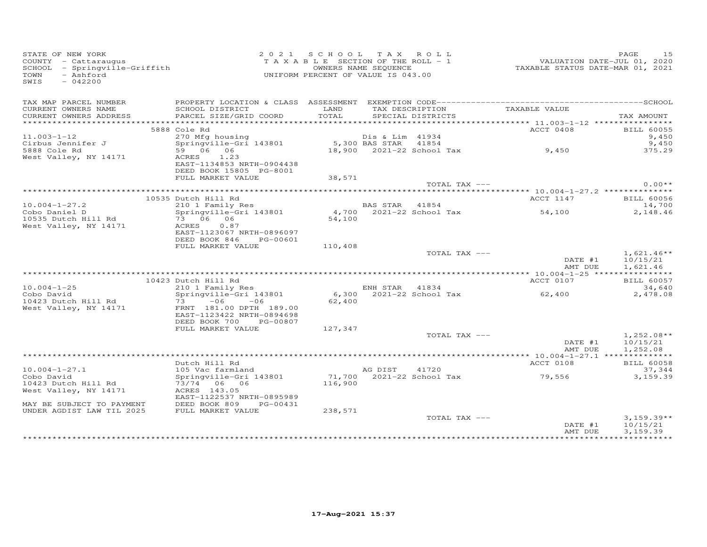| STATE OF NEW YORK<br>STATE OF NEW IORA<br>COUNTY - Cattaraugus<br>SCHOOL - Springville-Griffith<br>- Ashford<br>TOWN<br>SWIS<br>$-042200$ |                                                                                                                                                                                                                                                   | 2021 SCHOOL TAX ROLL<br>UNIFORM PERCENT OF VALUE IS 043.00 |                         | T A X A B L E SECTION OF THE ROLL - 1<br>T A X A B L E SECTION OF THE ROLL - 1<br>OWNERS NAME SEQUENCE TAXABLE STATUS DATE-MAR 01, 2021 | PAGE                                            | 1.5 |
|-------------------------------------------------------------------------------------------------------------------------------------------|---------------------------------------------------------------------------------------------------------------------------------------------------------------------------------------------------------------------------------------------------|------------------------------------------------------------|-------------------------|-----------------------------------------------------------------------------------------------------------------------------------------|-------------------------------------------------|-----|
| TAX MAP PARCEL NUMBER<br>CURRENT OWNERS NAME<br>CURRENT OWNERS ADDRESS                                                                    | SCHOOL DISTRICT<br>PARCEL SIZE/GRID COORD                                                                                                                                                                                                         |                                                            | TOTAL SPECIAL DISTRICTS | LAND TAX DESCRIPTION TAXABLE VALUE                                                                                                      | TAX AMOUNT                                      |     |
|                                                                                                                                           |                                                                                                                                                                                                                                                   |                                                            |                         |                                                                                                                                         |                                                 |     |
|                                                                                                                                           | 5888 Cole Rd                                                                                                                                                                                                                                      |                                                            |                         | ACCT 0408                                                                                                                               | <b>BILL 60055</b>                               |     |
| $11.003 - 1 - 12$                                                                                                                         |                                                                                                                                                                                                                                                   |                                                            |                         |                                                                                                                                         | 9,450<br>9,450                                  |     |
| Cirbus Jennifer J<br>5888 Cole Rd                                                                                                         |                                                                                                                                                                                                                                                   |                                                            |                         |                                                                                                                                         | 375.29                                          |     |
| West Valley, NY 14171                                                                                                                     | 270 (1981)<br>270 Mg bousing Disk Lim 41934<br>29 Mg bousing Disk Lim 41934<br>29 Mg bousing Disk Lim 41854<br>29 Mg bousses 1.23<br>2021-22 School Tax 3,450<br>2021-22 School Tax 3,450<br>EAST-1134853 NRTH-0904438<br>DEED BOOK 15805 PG-8001 |                                                            |                         |                                                                                                                                         |                                                 |     |
|                                                                                                                                           | FULL MARKET VALUE                                                                                                                                                                                                                                 | 38,571                                                     | TOTAL TAX ---           |                                                                                                                                         | $0.00**$                                        |     |
|                                                                                                                                           |                                                                                                                                                                                                                                                   |                                                            |                         |                                                                                                                                         |                                                 |     |
|                                                                                                                                           | 10535 Dutch Hill Rd                                                                                                                                                                                                                               |                                                            |                         | ACCT 1147                                                                                                                               | <b>BILL 60056</b>                               |     |
| $10.004 - 1 - 27.2$<br>Cobo Daniel D<br>10535 Dutch Hill Rd                                                                               | 210 1 Family Res<br>Springville-Gri 143801                                                                                                                                                                                                        |                                                            |                         | BAS STAR 41854<br>4,700 2021-22 School Tax 54,100<br>54,100                                                                             | 14,700<br>2,148.46                              |     |
| West Valley, NY 14171                                                                                                                     | 321111931110 311 - 1311<br>73 06 06<br>ACRES 0.87<br>EAST-1123067 NRTH-0896097<br>DEED BOOK 846 PG-00601                                                                                                                                          |                                                            |                         |                                                                                                                                         |                                                 |     |
|                                                                                                                                           | FULL MARKET VALUE                                                                                                                                                                                                                                 | 110,408                                                    |                         |                                                                                                                                         |                                                 |     |
|                                                                                                                                           |                                                                                                                                                                                                                                                   |                                                            | TOTAL TAX ---           | DATE #1                                                                                                                                 | $1,621.46**$<br>10/15/21<br>AMT DUE<br>1,621.46 |     |
|                                                                                                                                           |                                                                                                                                                                                                                                                   |                                                            |                         |                                                                                                                                         |                                                 |     |
|                                                                                                                                           | 10423 Dutch Hill Rd                                                                                                                                                                                                                               |                                                            |                         | ACCT 0107                                                                                                                               | <b>BILL 60057</b>                               |     |
| $10.004 - 1 - 25$                                                                                                                         | Ducch Hill Nu<br>210 1 Family Res<br>Springville-Gri 143801                                                                                                                                                                                       |                                                            |                         | ENH STAR 41834<br>6,300 2021-22 School Tax 62,400                                                                                       | 34,640                                          |     |
| Cobo David                                                                                                                                |                                                                                                                                                                                                                                                   |                                                            |                         |                                                                                                                                         | 2,478.08                                        |     |
| 10423 Dutch Hill Rd<br>West Valley, NY 14171                                                                                              | 73 - 06 - 00<br>FRNT 181.00 DPTH 189.00<br>- 2000 MPTH 1894698<br>EAST-1123422 NRTH-0894698<br>DEED BOOK 700 PG-00807                                                                                                                             | 62,400                                                     |                         |                                                                                                                                         |                                                 |     |
|                                                                                                                                           | FULL MARKET VALUE                                                                                                                                                                                                                                 | 127,347                                                    |                         |                                                                                                                                         |                                                 |     |
|                                                                                                                                           |                                                                                                                                                                                                                                                   |                                                            | TOTAL TAX ---           |                                                                                                                                         | $1,252.08**$<br>DATE #1<br>10/15/21             |     |
|                                                                                                                                           |                                                                                                                                                                                                                                                   |                                                            |                         | AMT DUE                                                                                                                                 | 1,252.08                                        |     |
|                                                                                                                                           | Dutch Hill Rd                                                                                                                                                                                                                                     |                                                            |                         | ACCT 0108                                                                                                                               | <b>BILL 60058</b>                               |     |
| $10.004 - 1 - 27.1$                                                                                                                       | 105 Vac farmland                                                                                                                                                                                                                                  |                                                            |                         |                                                                                                                                         | 37,344                                          |     |
| Cobo David                                                                                                                                | springville-Gri 143801                                                                                                                                                                                                                            |                                                            |                         | AG DIST       41720<br>71,700    2021–22  School  Tax                                 79,556                                            | 3,159.39                                        |     |
| 10423 Dutch Hill Rd                                                                                                                       | 73/74 06 06                                                                                                                                                                                                                                       | 116,900                                                    |                         |                                                                                                                                         |                                                 |     |
| West Valley, NY 14171                                                                                                                     | ACRES 143.05                                                                                                                                                                                                                                      |                                                            |                         |                                                                                                                                         |                                                 |     |
| MAY BE SUBJECT TO PAYMENT<br>UNDER AGDIST LAW TIL 2025                                                                                    | EAST-1122537 NRTH-0895989<br>DEED BOOK 809 PG-00431<br>FULL MARKET VALUE                                                                                                                                                                          | 238,571                                                    |                         |                                                                                                                                         |                                                 |     |
|                                                                                                                                           |                                                                                                                                                                                                                                                   |                                                            | TOTAL TAX ---           |                                                                                                                                         | $3,159.39**$                                    |     |
|                                                                                                                                           |                                                                                                                                                                                                                                                   |                                                            |                         | DATE #1<br>AMT DUE                                                                                                                      | 10/15/21<br>3,159.39                            |     |
|                                                                                                                                           |                                                                                                                                                                                                                                                   |                                                            |                         |                                                                                                                                         |                                                 |     |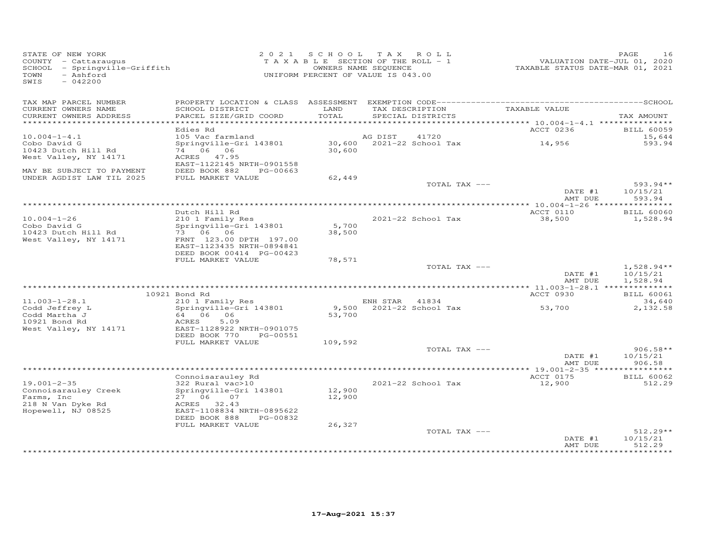| STATE OF NEW YORK<br>COUNTY - Cattaraugus<br>SCHOOL - Springville-Griffith<br>- Ashford<br>TOWN<br>SWIS<br>$-042200$ |                                                        |               | 2021 SCHOOL TAX ROLL<br>T A X A B L E SECTION OF THE ROLL - 1<br>OWNERS NAME SEQUENCE<br>UNIFORM PERCENT OF VALUE IS 043.00 | VALUATION DATE-JUL 01, 2020<br>TAXABLE STATUS DATE-MAR 01, 2021 | PAGE<br>16                    |
|----------------------------------------------------------------------------------------------------------------------|--------------------------------------------------------|---------------|-----------------------------------------------------------------------------------------------------------------------------|-----------------------------------------------------------------|-------------------------------|
| TAX MAP PARCEL NUMBER                                                                                                |                                                        |               |                                                                                                                             |                                                                 |                               |
| CURRENT OWNERS NAME<br>CURRENT OWNERS ADDRESS                                                                        | SCHOOL DISTRICT<br>PARCEL SIZE/GRID COORD              | LAND<br>TOTAL | TAX DESCRIPTION<br>SPECIAL DISTRICTS                                                                                        | TAXABLE VALUE                                                   | TAX AMOUNT                    |
| **********************                                                                                               | Edies Rd                                               |               |                                                                                                                             | ACCT 0236                                                       |                               |
| $10.004 - 1 - 4.1$                                                                                                   | 105 Vac farmland                                       |               | AG DIST<br>41720                                                                                                            |                                                                 | <b>BILL 60059</b><br>15,644   |
| Cobo David G                                                                                                         | Springville-Gri 143801                                 |               | 30,600 2021-22 School Tax                                                                                                   | 14,956                                                          | 593.94                        |
| 10423 Dutch Hill Rd                                                                                                  | 74 06 06                                               | 30,600        |                                                                                                                             |                                                                 |                               |
| West Valley, NY 14171                                                                                                | ACRES 47.95<br>EAST-1122145 NRTH-0901558               |               |                                                                                                                             |                                                                 |                               |
| MAY BE SUBJECT TO PAYMENT                                                                                            | DEED BOOK 882<br>PG-00663                              |               |                                                                                                                             |                                                                 |                               |
| UNDER AGDIST LAW TIL 2025                                                                                            | FULL MARKET VALUE                                      | 62,449        |                                                                                                                             |                                                                 |                               |
|                                                                                                                      |                                                        |               | TOTAL TAX ---                                                                                                               | DATE #1                                                         | $593.94**$<br>10/15/21        |
|                                                                                                                      |                                                        |               |                                                                                                                             | AMT DUE                                                         | 593.94                        |
|                                                                                                                      |                                                        |               |                                                                                                                             |                                                                 |                               |
| $10.004 - 1 - 26$                                                                                                    | Dutch Hill Rd<br>210 1 Family Res                      |               | 2021-22 School Tax                                                                                                          | ACCT 0110<br>38,500                                             | <b>BILL 60060</b><br>1,528.94 |
| Cobo David G                                                                                                         | Springville-Gri 143801                                 | 5,700         |                                                                                                                             |                                                                 |                               |
| 10423 Dutch Hill Rd                                                                                                  | 73 06 06                                               | 38,500        |                                                                                                                             |                                                                 |                               |
| West Valley, NY 14171                                                                                                | FRNT 123.00 DPTH 197.00<br>EAST-1123435 NRTH-0894841   |               |                                                                                                                             |                                                                 |                               |
|                                                                                                                      | DEED BOOK 00414 PG-00423                               |               |                                                                                                                             |                                                                 |                               |
|                                                                                                                      | FULL MARKET VALUE                                      | 78,571        |                                                                                                                             |                                                                 |                               |
|                                                                                                                      |                                                        |               | TOTAL TAX ---                                                                                                               | DATE #1                                                         | $1,528.94**$<br>10/15/21      |
|                                                                                                                      |                                                        |               |                                                                                                                             | AMT DUE                                                         | 1,528.94                      |
|                                                                                                                      |                                                        |               |                                                                                                                             |                                                                 |                               |
| $11.003 - 1 - 28.1$                                                                                                  | 10921 Bond Rd<br>210 1 Family Res                      |               | ENH STAR 41834                                                                                                              | ACCT 0930                                                       | <b>BILL 60061</b><br>34,640   |
| Codd Jeffrey L                                                                                                       | Springville-Gri 143801                                 |               | 9,500 2021-22 School Tax                                                                                                    | 53,700                                                          | 2,132.58                      |
| Codd Martha J                                                                                                        | 64 06 06                                               | 53,700        |                                                                                                                             |                                                                 |                               |
| 10921 Bond Rd                                                                                                        | ACRES<br>5.09                                          |               |                                                                                                                             |                                                                 |                               |
| West Valley, NY 14171                                                                                                | EAST-1128922 NRTH-0901075<br>DEED BOOK 770<br>PG-00551 |               |                                                                                                                             |                                                                 |                               |
|                                                                                                                      | FULL MARKET VALUE                                      | 109,592       |                                                                                                                             |                                                                 |                               |
|                                                                                                                      |                                                        |               | TOTAL TAX ---                                                                                                               |                                                                 | $906.58**$                    |
|                                                                                                                      |                                                        |               |                                                                                                                             | DATE #1<br>AMT DUE                                              | 10/15/21<br>906.58            |
|                                                                                                                      |                                                        |               |                                                                                                                             |                                                                 |                               |
|                                                                                                                      | Connoisarauley Rd                                      |               |                                                                                                                             | ACCT 0175                                                       | <b>BILL 60062</b>             |
| $19.001 - 2 - 35$                                                                                                    | 322 Rural vac>10                                       | 12,900        | 2021-22 School Tax                                                                                                          | 12,900                                                          | 512.29                        |
| Connoisarauley Creek<br>Farms, Inc                                                                                   | Springville-Gri 143801<br>27 06 07                     | 12,900        |                                                                                                                             |                                                                 |                               |
| 218 N Van Dyke Rd                                                                                                    | ACRES 32.43                                            |               |                                                                                                                             |                                                                 |                               |
| Hopewell, NJ 08525                                                                                                   | EAST-1108834 NRTH-0895622                              |               |                                                                                                                             |                                                                 |                               |
|                                                                                                                      | DEED BOOK 888<br>PG-00832<br>FULL MARKET VALUE         | 26,327        |                                                                                                                             |                                                                 |                               |
|                                                                                                                      |                                                        |               | TOTAL TAX ---                                                                                                               |                                                                 | $512.29**$                    |
|                                                                                                                      |                                                        |               |                                                                                                                             | DATE #1                                                         | 10/15/21                      |
|                                                                                                                      |                                                        |               |                                                                                                                             | AMT DUE                                                         | 512.29<br>**********          |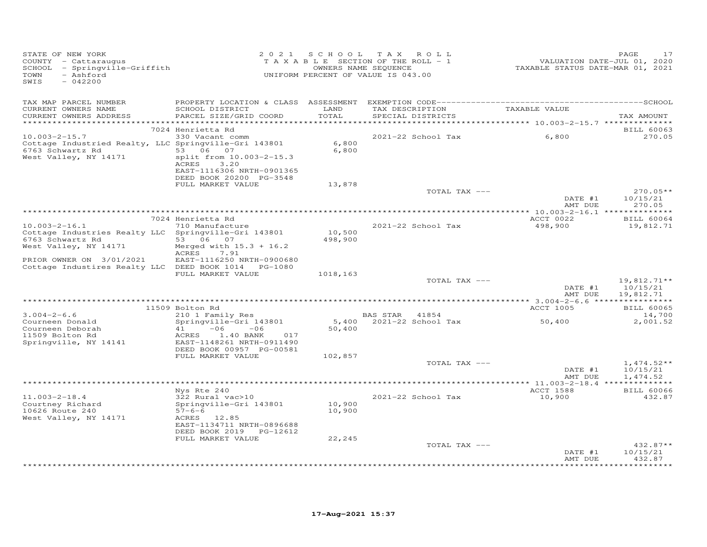| STATE OF NEW YORK<br>COUNTY - Cattaraugus<br>SCHOOL - Springville-Griffith<br>- Ashford<br>TOWN<br>SWIS<br>$-042200$      |                                                                                                                                                                       |                            | 2021 SCHOOL TAX ROLL<br>TAXABLE SECTION OF THE ROLL - 1<br>OWNERS NAME SEQUENCE<br>UNIFORM PERCENT OF VALUE IS 043.00 | TAXABLE STATUS DATE-MAR 01, 2021 | PAGE<br>17<br>VALUATION DATE-JUL 01, 2020 |
|---------------------------------------------------------------------------------------------------------------------------|-----------------------------------------------------------------------------------------------------------------------------------------------------------------------|----------------------------|-----------------------------------------------------------------------------------------------------------------------|----------------------------------|-------------------------------------------|
| TAX MAP PARCEL NUMBER<br>CURRENT OWNERS NAME<br>CURRENT OWNERS ADDRESS                                                    | SCHOOL DISTRICT<br>PARCEL SIZE/GRID COORD                                                                                                                             | LAND<br>TOTAL              | TAX DESCRIPTION TAXABLE VALUE<br>SPECIAL DISTRICTS                                                                    |                                  | TAX AMOUNT                                |
|                                                                                                                           | 7024 Henrietta Rd                                                                                                                                                     |                            |                                                                                                                       |                                  | <b>BILL 60063</b>                         |
| $10.003 - 2 - 15.7$<br>Cottage Industried Realty, LLC Springville-Gri 143801<br>6763 Schwartz Rd<br>West Valley, NY 14171 | 330 Vacant comm<br>53 06 07<br>split from 10.003-2-15.3<br>ACRES 3.20<br>EAST-1116306 NRTH-0901365<br>DEED BOOK 20200 PG-3548                                         | 6,800<br>6,800             | 2021-22 School Tax                                                                                                    | 6,800                            | 270.05                                    |
|                                                                                                                           | FULL MARKET VALUE                                                                                                                                                     | 13,878                     |                                                                                                                       |                                  |                                           |
|                                                                                                                           |                                                                                                                                                                       |                            | TOTAL TAX ---                                                                                                         | DATE #1<br>AMT DUE               | $270.05**$<br>10/15/21<br>270.05          |
|                                                                                                                           |                                                                                                                                                                       |                            |                                                                                                                       |                                  |                                           |
| $10.003 - 2 - 16.1$                                                                                                       | 7024 Henrietta Rd<br>710 Manufacture                                                                                                                                  |                            | 2021-22 School Tax                                                                                                    | ACCT 0022<br>498,900             | <b>BILL 60064</b>                         |
| Cottage Industries Realty LLC Springville-Gri 143801<br>6763 Schwartz Rd<br>West Valley, NY 14171                         | 53 06 07<br>Merged with $15.3 + 16.2$<br>ACRES<br>7.91                                                                                                                | 10,500<br>498,900          |                                                                                                                       |                                  | 19,812.71                                 |
| PRIOR OWNER ON 3/01/2021<br>Cottage Industires Realty LLC DEED BOOK 1014 PG-1080                                          | EAST-1116250 NRTH-0900680                                                                                                                                             |                            |                                                                                                                       |                                  |                                           |
|                                                                                                                           | FULL MARKET VALUE                                                                                                                                                     | 1018,163                   | TOTAL TAX ---                                                                                                         |                                  | $19,812.71**$                             |
|                                                                                                                           |                                                                                                                                                                       |                            |                                                                                                                       | DATE #1<br>AMT DUE               | 10/15/21<br>19,812.71                     |
|                                                                                                                           |                                                                                                                                                                       |                            |                                                                                                                       |                                  |                                           |
| $3.004 - 2 - 6.6$                                                                                                         | 11509 Bolton Rd<br>210 1 Family Res                                                                                                                                   |                            | BAS STAR 41854                                                                                                        | ACCT 1005                        | <b>BILL 60065</b><br>14,700               |
| Courneen Donald<br>Courneen Deborah<br>11509 Bolton Rd<br>Springville, NY 14141                                           | Springville-Gri 143801<br>$-06$<br>41<br>$-06$<br>ACRES<br>1.40 BANK<br>017<br>EAST-1148261 NRTH-0911490<br>DEED BOOK 00957 PG-00581                                  | 50,400                     | 5,400 2021-22 School Tax                                                                                              | 50,400                           | 2,001.52                                  |
|                                                                                                                           | FULL MARKET VALUE                                                                                                                                                     | 102,857                    |                                                                                                                       |                                  |                                           |
|                                                                                                                           |                                                                                                                                                                       |                            | TOTAL TAX ---                                                                                                         | DATE #1<br>AMT DUE               | $1,474.52**$<br>10/15/21<br>1,474.52      |
|                                                                                                                           |                                                                                                                                                                       |                            |                                                                                                                       |                                  |                                           |
| $11.003 - 2 - 18.4$<br>Courtney Richard<br>10626 Route 240<br>West Valley, NY 14171                                       | Nys Rte 240<br>322 Rural vac>10<br>Springville-Gri 143801<br>$57 - 6 - 6$<br>ACRES 12.85<br>EAST-1134711 NRTH-0896688<br>DEED BOOK 2019 PG-12612<br>FULL MARKET VALUE | 10,900<br>10,900<br>22,245 | 2021-22 School Tax                                                                                                    | ACCT 1588<br>10,900              | <b>BILL 60066</b><br>432.87               |
|                                                                                                                           |                                                                                                                                                                       |                            | TOTAL TAX ---                                                                                                         |                                  | $432.87**$                                |
|                                                                                                                           |                                                                                                                                                                       |                            |                                                                                                                       | DATE #1<br>AMT DUE               | 10/15/21<br>432.87<br>* * * * * * * * * * |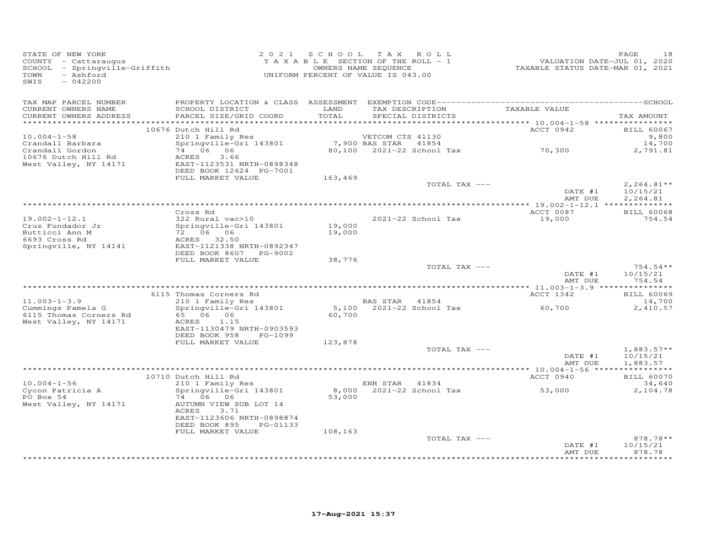| STATE OF NEW YORK<br>COUNTY - Cattaraugus<br>SCHOOL - Springville-Griffith<br>- Ashford<br>TOWN<br>SWIS<br>$-042200$ |                                                                                                                                                    |                  | 2021 SCHOOL TAX ROLL<br>TAXABLE SECTION OF THE ROLL - 1<br>OWNERS NAME SEQUENCE<br>UNIFORM PERCENT OF VALUE IS 043.00 | VALUATION DATE-JUL 01, 2020<br>TAXABLE STATUS DATE-MAR 01, 2021 | PAGE<br>18                              |
|----------------------------------------------------------------------------------------------------------------------|----------------------------------------------------------------------------------------------------------------------------------------------------|------------------|-----------------------------------------------------------------------------------------------------------------------|-----------------------------------------------------------------|-----------------------------------------|
| TAX MAP PARCEL NUMBER<br>CURRENT OWNERS NAME<br>CURRENT OWNERS ADDRESS                                               | SCHOOL DISTRICT<br>PARCEL SIZE/GRID COORD                                                                                                          | LAND<br>TOTAL    | TAX DESCRIPTION TAXABLE VALUE<br>SPECIAL DISTRICTS                                                                    |                                                                 | TAX AMOUNT                              |
|                                                                                                                      | 10676 Dutch Hill Rd                                                                                                                                |                  |                                                                                                                       | ACCT 0942                                                       | <b>BILL 60067</b>                       |
| $10.004 - 1 - 58$<br>Crandall Barbara<br>Crandall Gordon<br>10676 Dutch Hill Rd<br>West Valley, NY 14171             | 210 1 Family Res<br>Springville-Gri 143801<br>74 06 06<br>ACRES<br>3.66<br>EAST-1123531 NRTH-0898348<br>DEED BOOK 12624 PG-7001                    |                  | VETCOM CTS 41130<br>7,900 BAS STAR<br>41854<br>80,100 2021-22 School Tax 70,300                                       |                                                                 | 9,800<br>14,700<br>2,791.81             |
|                                                                                                                      | FULL MARKET VALUE                                                                                                                                  | 163,469          |                                                                                                                       |                                                                 |                                         |
|                                                                                                                      |                                                                                                                                                    |                  | TOTAL TAX ---                                                                                                         | DATE #1<br>AMT DUE                                              | $2,264.81**$<br>10/15/21<br>2,264.81    |
|                                                                                                                      | Cross Rd                                                                                                                                           |                  |                                                                                                                       | ACCT 0087                                                       | <b>BILL 60068</b>                       |
| $19.002 - 1 - 12.1$<br>Cruz Fundador Jr<br>Butticci Ann M<br>6693 Cross Rd<br>Springville, NY 14141                  | 322 Rural vac>10<br>Springville-Gri 143801<br>72 06 06<br>ACRES 32.50<br>EAST-1121338 NRTH-0892347                                                 | 19,000<br>19,000 | 2021-22 School Tax                                                                                                    | 19,000                                                          | 754.54                                  |
|                                                                                                                      | DEED BOOK 8607 PG-9002<br>FULL MARKET VALUE                                                                                                        | 38,776           |                                                                                                                       |                                                                 |                                         |
|                                                                                                                      |                                                                                                                                                    |                  | TOTAL TAX ---                                                                                                         | DATE #1<br>AMT DUE                                              | $754.54**$<br>10/15/21<br>754.54        |
|                                                                                                                      |                                                                                                                                                    |                  |                                                                                                                       |                                                                 |                                         |
| $11.003 - 1 - 3.9$<br>Cummings Pamela G<br>6115 Thomas Corners Rd<br>West Valley, NY 14171                           | 6115 Thomas Corners Rd<br>210 1 Family Res<br>zio i ramily kes<br>Springville-Gri 143801<br>65 06 06<br>ACRES<br>1.15<br>EAST-1130479 NRTH-0903593 | 60,700           | BAS STAR 41854<br>5,100 2021-22 School Tax                                                                            | ACCT 1342<br>60,700                                             | <b>BILL 60069</b><br>14,700<br>2,410.57 |
|                                                                                                                      | DEED BOOK 958<br>PG-1099                                                                                                                           |                  |                                                                                                                       |                                                                 |                                         |
|                                                                                                                      | FULL MARKET VALUE                                                                                                                                  | 123,878          | TOTAL TAX ---                                                                                                         | DATE #1<br>AMT DUE                                              | $1,883.57**$<br>10/15/21<br>1,883.57    |
|                                                                                                                      |                                                                                                                                                    |                  |                                                                                                                       |                                                                 |                                         |
| $10.004 - 1 - 56$                                                                                                    | 10710 Dutch Hill Rd<br>$210$ 1 Family Res                                                                                                          |                  | ENH STAR 41834                                                                                                        | ACCT 0940                                                       | <b>BILL 60070</b><br>34,640             |
| Cycon Patricia A<br>PO Box 54<br>West Valley, NY 14171                                                               | Springville-Gri 143801<br>74 06 06<br>AUTUMN VIEW SUB LOT 14<br>ACRES<br>3.71<br>EAST-1123606 NRTH-0898874<br>DEED BOOK 895<br>PG-01133            | 53,000           | 8,000 2021-22 School Tax                                                                                              | 53,000                                                          | 2,104.78                                |
|                                                                                                                      | FULL MARKET VALUE                                                                                                                                  | 108,163          | TOTAL TAX ---                                                                                                         |                                                                 | 878.78**                                |
|                                                                                                                      |                                                                                                                                                    |                  |                                                                                                                       | DATE #1<br>AMT DUE                                              | 10/15/21<br>878.78<br>******            |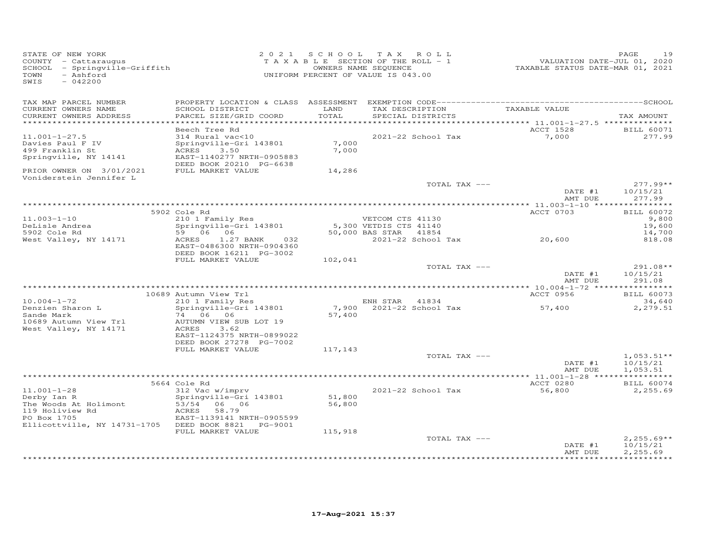| STATE OF NEW YORK<br>COUNTY - Cattaraugus<br>SCHOOL - Springville-Griffith<br>- Ashford<br>TOWN<br>$-042200$<br>SWIS                       | 2 0 2 1                                                                                                                                                                        |                             | SCHOOL TAX ROLL<br>T A X A B L E SECTION OF THE ROLL - 1<br>OWNERS NAME SEQUENCE<br>UNIFORM PERCENT OF VALUE IS 043.00 |                                     | PAGE<br>19<br>VALUATION DATE-JUL 01, 2020<br>TAXABLE STATUS DATE-MAR 01, 2021 |
|--------------------------------------------------------------------------------------------------------------------------------------------|--------------------------------------------------------------------------------------------------------------------------------------------------------------------------------|-----------------------------|------------------------------------------------------------------------------------------------------------------------|-------------------------------------|-------------------------------------------------------------------------------|
| TAX MAP PARCEL NUMBER<br>CURRENT OWNERS NAME<br>CURRENT OWNERS ADDRESS                                                                     | SCHOOL DISTRICT<br>PARCEL SIZE/GRID COORD                                                                                                                                      | LAND<br>TOTAL               | TAX DESCRIPTION<br>SPECIAL DISTRICTS                                                                                   | TAXABLE VALUE                       | TAX AMOUNT                                                                    |
|                                                                                                                                            | Beech Tree Rd                                                                                                                                                                  |                             |                                                                                                                        | ACCT 1528                           | <b>BILL 60071</b>                                                             |
| $11.001 - 1 - 27.5$<br>Davies Paul F IV<br>499 Franklin St<br>Springville, NY 14141                                                        | 314 Rural vac<10<br>Springville-Gri 143801<br>ACRES<br>3.50<br>EAST-1140277 NRTH-0905883<br>DEED BOOK 20210 PG-6638                                                            | 7,000<br>7,000              | 2021-22 School Tax                                                                                                     | 7,000                               | 277.99                                                                        |
| PRIOR OWNER ON 3/01/2021                                                                                                                   | FULL MARKET VALUE                                                                                                                                                              | 14,286                      |                                                                                                                        |                                     |                                                                               |
| Voniderstein Jennifer L                                                                                                                    |                                                                                                                                                                                |                             |                                                                                                                        | TOTAL TAX ---<br>DATE #1<br>AMT DUE | $277.99**$<br>10/15/21<br>277.99                                              |
|                                                                                                                                            |                                                                                                                                                                                |                             |                                                                                                                        |                                     |                                                                               |
| $11.003 - 1 - 10$<br>DeLisle Andrea<br>5902 Cole Rd<br>West Valley, NY 14171                                                               | 5902 Cole Rd<br>210 1 Family Res<br>Springville-Gri 143801<br>59 06 06<br>ACRES<br>1.27 BANK<br>032                                                                            |                             | VETCOM CTS 41130<br>5,300 VETDIS CTS 41140<br>50,000 BAS STAR 41854<br>2021-22 School Tax                              | ACCT 0703<br>20,600                 | <b>BILL 60072</b><br>9,800<br>19,600<br>14,700<br>818.08                      |
|                                                                                                                                            | EAST-0486300 NRTH-0904360<br>DEED BOOK 16211 PG-3002<br>FULL MARKET VALUE                                                                                                      | 102,041                     |                                                                                                                        | TOTAL TAX ---<br>DATE #1            | 291.08**<br>10/15/21                                                          |
|                                                                                                                                            |                                                                                                                                                                                |                             |                                                                                                                        | AMT DUE                             | 291.08                                                                        |
|                                                                                                                                            | 10689 Autumn View Trl                                                                                                                                                          |                             |                                                                                                                        | ACCT 0956                           | <b>BILL 60073</b>                                                             |
| $10.004 - 1 - 72$<br>Denzien Sharon L<br>Sande Mark<br>10689 Autumn View Trl<br>West Valley, NY 14171                                      | 210 1 Family Res<br>Springville-Gri 143801<br>74 06 06<br>AUTUMN VIEW SUB LOT 19<br>ACRES<br>3.62<br>EAST-1124375 NRTH-0899022<br>DEED BOOK 27278 PG-7002<br>FULL MARKET VALUE | 57,400<br>117,143           | ENH STAR 41834<br>7,900 2021-22 School Tax                                                                             | 57,400                              | 34,640<br>2,279.51                                                            |
|                                                                                                                                            |                                                                                                                                                                                |                             |                                                                                                                        | TOTAL TAX ---                       | $1,053.51**$                                                                  |
|                                                                                                                                            |                                                                                                                                                                                |                             |                                                                                                                        | DATE #1<br>AMT DUE                  | 10/15/21<br>1,053.51                                                          |
|                                                                                                                                            | 5664 Cole Rd                                                                                                                                                                   |                             |                                                                                                                        | ACCT 0280                           | <b>BILL 60074</b>                                                             |
| $11.001 - 1 - 28$<br>Derby Ian R<br>The Woods At Holimont<br>119 Holiview Rd<br>PO Box 1705<br>Ellicottville, NY 14731-1705 DEED BOOK 8821 | 312 Vac w/imprv<br>Springville-Gri 143801<br>53/54 06 06<br>ACRES<br>58.79<br>EAST-1139141 NRTH-0905599<br>PG-9001<br>FULL MARKET VALUE                                        | 51,800<br>56,800<br>115,918 | 2021-22 School Tax                                                                                                     | 56,800                              | 2,255.69                                                                      |
|                                                                                                                                            |                                                                                                                                                                                |                             |                                                                                                                        | TOTAL TAX ---<br>DATE #1<br>AMT DUE | $2,255.69**$<br>10/15/21<br>2,255.69                                          |
|                                                                                                                                            |                                                                                                                                                                                |                             |                                                                                                                        |                                     |                                                                               |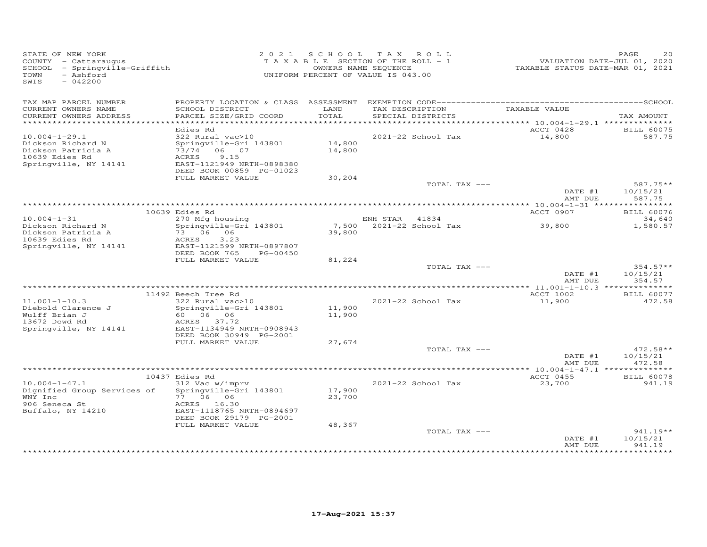| TAX MAP PARCEL NUMBER<br>TAX DESCRIPTION TAXABLE VALUE<br>CURRENT OWNERS NAME<br>SCHOOL DISTRICT<br>LAND<br>TOTAL<br>CURRENT OWNERS ADDRESS<br>PARCEL SIZE/GRID COORD<br>SPECIAL DISTRICTS<br>TAX AMOUNT<br>ACCT 0428<br>Edies Rd<br><b>BILL 60075</b><br>2021-22 School Tax<br>$10.004 - 1 - 29.1$<br>322 Rural vac>10<br>14,800<br>587.75<br>14,800<br>Dickson Richard N<br>Springville-Gri 143801<br>73/74 06 07<br>14,800<br>Dickson Patricia A<br>10639 Edies Rd<br>ACRES<br>9.15<br>EAST-1121949 NRTH-0898380<br>Springville, NY 14141<br>DEED BOOK 00859 PG-01023<br>FULL MARKET VALUE<br>30,204<br>$587.75**$<br>TOTAL TAX ---<br>10/15/21<br>DATE #1<br>587.75<br>AMT DUE<br>ACCT 0907<br>10639 Edies Rd<br><b>BILL 60076</b><br>270 Mfg housing<br>$10.004 - 1 - 31$<br>ENH STAR 41834<br>34,640<br>Springville-Gri 143801<br>7,500 2021-22 School Tax<br>39,800<br>Dickson Richard N<br>1,580.57<br>73 06 06<br>Dickson Patricia A<br>39,800<br>10639 Edies Rd<br>ACRES<br>3.23<br>EAST-1121599 NRTH-0897807<br>Springville, NY 14141<br>DEED BOOK 765<br>PG-00450<br>FULL MARKET VALUE<br>81,224<br>TOTAL TAX ---<br>$354.57**$<br>DATE #1<br>10/15/21<br>AMT DUE<br>354.57<br>11492 Beech Tree Rd<br>ACCT 1002<br><b>BILL 60077</b><br>$322$ Rural vac > 10<br>$11.001 - 1 - 10.3$<br>2021-22 School Tax<br>11,900<br>472.58<br>Springville-Gri 143801<br>Diebold Clarence J<br>11,900<br>Wulff Brian J<br>60 06 06<br>11,900<br>13672 Dowd Rd<br>ACRES 37.72<br>Springville, NY 14141<br>EAST-1134949 NRTH-0908943<br>DEED BOOK 30949 PG-2001<br>FULL MARKET VALUE<br>27,674<br>TOTAL TAX ---<br>$472.58**$<br>DATE #1<br>10/15/21<br>AMT DUE<br>472.58<br>ACCT 0455<br>10437 Edies Rd<br><b>BILL 60078</b><br>312 Vac w/imprv<br>$10.004 - 1 - 47.1$<br>2021-22 School Tax<br>23,700<br>941.19<br>17,900<br>Dignified Group Services of<br>Springville-Gri 143801<br>WNY Inc<br>77 06 06<br>23,700<br>906 Seneca St<br>ACRES 16.30<br>Buffalo, NY 14210<br>EAST-1118765 NRTH-0894697<br>DEED BOOK 29179 PG-2001<br>48,367<br>FULL MARKET VALUE<br>$941.19**$<br>TOTAL TAX ---<br>10/15/21<br>DATE #1<br>941.19<br>AMT DUE<br>*********** | STATE OF NEW YORK<br>COUNTY - Cattaraugus<br>SCHOOL - Springville-Griffith<br>- Ashford<br>TOWN<br>$-042200$<br>SWIS |  | 2021 SCHOOL TAX ROLL<br>T A X A B L E SECTION OF THE ROLL - 1<br>OWNERS NAME SEQUENCE<br>UNIFORM PERCENT OF VALUE IS 043.00 | --------<br>VALUATION DATE-JUL 01, 2020<br>TAXABLE STATUS DATE-MAR 01, 2021 | PAGE<br>20 |
|---------------------------------------------------------------------------------------------------------------------------------------------------------------------------------------------------------------------------------------------------------------------------------------------------------------------------------------------------------------------------------------------------------------------------------------------------------------------------------------------------------------------------------------------------------------------------------------------------------------------------------------------------------------------------------------------------------------------------------------------------------------------------------------------------------------------------------------------------------------------------------------------------------------------------------------------------------------------------------------------------------------------------------------------------------------------------------------------------------------------------------------------------------------------------------------------------------------------------------------------------------------------------------------------------------------------------------------------------------------------------------------------------------------------------------------------------------------------------------------------------------------------------------------------------------------------------------------------------------------------------------------------------------------------------------------------------------------------------------------------------------------------------------------------------------------------------------------------------------------------------------------------------------------------------------------------------------------------------------------------------------------------------------------------------------------------------------------------------------------------------------------------------------|----------------------------------------------------------------------------------------------------------------------|--|-----------------------------------------------------------------------------------------------------------------------------|-----------------------------------------------------------------------------|------------|
|                                                                                                                                                                                                                                                                                                                                                                                                                                                                                                                                                                                                                                                                                                                                                                                                                                                                                                                                                                                                                                                                                                                                                                                                                                                                                                                                                                                                                                                                                                                                                                                                                                                                                                                                                                                                                                                                                                                                                                                                                                                                                                                                                         |                                                                                                                      |  |                                                                                                                             |                                                                             |            |
|                                                                                                                                                                                                                                                                                                                                                                                                                                                                                                                                                                                                                                                                                                                                                                                                                                                                                                                                                                                                                                                                                                                                                                                                                                                                                                                                                                                                                                                                                                                                                                                                                                                                                                                                                                                                                                                                                                                                                                                                                                                                                                                                                         |                                                                                                                      |  |                                                                                                                             |                                                                             |            |
|                                                                                                                                                                                                                                                                                                                                                                                                                                                                                                                                                                                                                                                                                                                                                                                                                                                                                                                                                                                                                                                                                                                                                                                                                                                                                                                                                                                                                                                                                                                                                                                                                                                                                                                                                                                                                                                                                                                                                                                                                                                                                                                                                         |                                                                                                                      |  |                                                                                                                             |                                                                             |            |
|                                                                                                                                                                                                                                                                                                                                                                                                                                                                                                                                                                                                                                                                                                                                                                                                                                                                                                                                                                                                                                                                                                                                                                                                                                                                                                                                                                                                                                                                                                                                                                                                                                                                                                                                                                                                                                                                                                                                                                                                                                                                                                                                                         |                                                                                                                      |  |                                                                                                                             |                                                                             |            |
|                                                                                                                                                                                                                                                                                                                                                                                                                                                                                                                                                                                                                                                                                                                                                                                                                                                                                                                                                                                                                                                                                                                                                                                                                                                                                                                                                                                                                                                                                                                                                                                                                                                                                                                                                                                                                                                                                                                                                                                                                                                                                                                                                         |                                                                                                                      |  |                                                                                                                             |                                                                             |            |
|                                                                                                                                                                                                                                                                                                                                                                                                                                                                                                                                                                                                                                                                                                                                                                                                                                                                                                                                                                                                                                                                                                                                                                                                                                                                                                                                                                                                                                                                                                                                                                                                                                                                                                                                                                                                                                                                                                                                                                                                                                                                                                                                                         |                                                                                                                      |  |                                                                                                                             |                                                                             |            |
|                                                                                                                                                                                                                                                                                                                                                                                                                                                                                                                                                                                                                                                                                                                                                                                                                                                                                                                                                                                                                                                                                                                                                                                                                                                                                                                                                                                                                                                                                                                                                                                                                                                                                                                                                                                                                                                                                                                                                                                                                                                                                                                                                         |                                                                                                                      |  |                                                                                                                             |                                                                             |            |
|                                                                                                                                                                                                                                                                                                                                                                                                                                                                                                                                                                                                                                                                                                                                                                                                                                                                                                                                                                                                                                                                                                                                                                                                                                                                                                                                                                                                                                                                                                                                                                                                                                                                                                                                                                                                                                                                                                                                                                                                                                                                                                                                                         |                                                                                                                      |  |                                                                                                                             |                                                                             |            |
|                                                                                                                                                                                                                                                                                                                                                                                                                                                                                                                                                                                                                                                                                                                                                                                                                                                                                                                                                                                                                                                                                                                                                                                                                                                                                                                                                                                                                                                                                                                                                                                                                                                                                                                                                                                                                                                                                                                                                                                                                                                                                                                                                         |                                                                                                                      |  |                                                                                                                             |                                                                             |            |
|                                                                                                                                                                                                                                                                                                                                                                                                                                                                                                                                                                                                                                                                                                                                                                                                                                                                                                                                                                                                                                                                                                                                                                                                                                                                                                                                                                                                                                                                                                                                                                                                                                                                                                                                                                                                                                                                                                                                                                                                                                                                                                                                                         |                                                                                                                      |  |                                                                                                                             |                                                                             |            |
|                                                                                                                                                                                                                                                                                                                                                                                                                                                                                                                                                                                                                                                                                                                                                                                                                                                                                                                                                                                                                                                                                                                                                                                                                                                                                                                                                                                                                                                                                                                                                                                                                                                                                                                                                                                                                                                                                                                                                                                                                                                                                                                                                         |                                                                                                                      |  |                                                                                                                             |                                                                             |            |
|                                                                                                                                                                                                                                                                                                                                                                                                                                                                                                                                                                                                                                                                                                                                                                                                                                                                                                                                                                                                                                                                                                                                                                                                                                                                                                                                                                                                                                                                                                                                                                                                                                                                                                                                                                                                                                                                                                                                                                                                                                                                                                                                                         |                                                                                                                      |  |                                                                                                                             |                                                                             |            |
|                                                                                                                                                                                                                                                                                                                                                                                                                                                                                                                                                                                                                                                                                                                                                                                                                                                                                                                                                                                                                                                                                                                                                                                                                                                                                                                                                                                                                                                                                                                                                                                                                                                                                                                                                                                                                                                                                                                                                                                                                                                                                                                                                         |                                                                                                                      |  |                                                                                                                             |                                                                             |            |
|                                                                                                                                                                                                                                                                                                                                                                                                                                                                                                                                                                                                                                                                                                                                                                                                                                                                                                                                                                                                                                                                                                                                                                                                                                                                                                                                                                                                                                                                                                                                                                                                                                                                                                                                                                                                                                                                                                                                                                                                                                                                                                                                                         |                                                                                                                      |  |                                                                                                                             |                                                                             |            |
|                                                                                                                                                                                                                                                                                                                                                                                                                                                                                                                                                                                                                                                                                                                                                                                                                                                                                                                                                                                                                                                                                                                                                                                                                                                                                                                                                                                                                                                                                                                                                                                                                                                                                                                                                                                                                                                                                                                                                                                                                                                                                                                                                         |                                                                                                                      |  |                                                                                                                             |                                                                             |            |
|                                                                                                                                                                                                                                                                                                                                                                                                                                                                                                                                                                                                                                                                                                                                                                                                                                                                                                                                                                                                                                                                                                                                                                                                                                                                                                                                                                                                                                                                                                                                                                                                                                                                                                                                                                                                                                                                                                                                                                                                                                                                                                                                                         |                                                                                                                      |  |                                                                                                                             |                                                                             |            |
|                                                                                                                                                                                                                                                                                                                                                                                                                                                                                                                                                                                                                                                                                                                                                                                                                                                                                                                                                                                                                                                                                                                                                                                                                                                                                                                                                                                                                                                                                                                                                                                                                                                                                                                                                                                                                                                                                                                                                                                                                                                                                                                                                         |                                                                                                                      |  |                                                                                                                             |                                                                             |            |
|                                                                                                                                                                                                                                                                                                                                                                                                                                                                                                                                                                                                                                                                                                                                                                                                                                                                                                                                                                                                                                                                                                                                                                                                                                                                                                                                                                                                                                                                                                                                                                                                                                                                                                                                                                                                                                                                                                                                                                                                                                                                                                                                                         |                                                                                                                      |  |                                                                                                                             |                                                                             |            |
|                                                                                                                                                                                                                                                                                                                                                                                                                                                                                                                                                                                                                                                                                                                                                                                                                                                                                                                                                                                                                                                                                                                                                                                                                                                                                                                                                                                                                                                                                                                                                                                                                                                                                                                                                                                                                                                                                                                                                                                                                                                                                                                                                         |                                                                                                                      |  |                                                                                                                             |                                                                             |            |
|                                                                                                                                                                                                                                                                                                                                                                                                                                                                                                                                                                                                                                                                                                                                                                                                                                                                                                                                                                                                                                                                                                                                                                                                                                                                                                                                                                                                                                                                                                                                                                                                                                                                                                                                                                                                                                                                                                                                                                                                                                                                                                                                                         |                                                                                                                      |  |                                                                                                                             |                                                                             |            |
|                                                                                                                                                                                                                                                                                                                                                                                                                                                                                                                                                                                                                                                                                                                                                                                                                                                                                                                                                                                                                                                                                                                                                                                                                                                                                                                                                                                                                                                                                                                                                                                                                                                                                                                                                                                                                                                                                                                                                                                                                                                                                                                                                         |                                                                                                                      |  |                                                                                                                             |                                                                             |            |
|                                                                                                                                                                                                                                                                                                                                                                                                                                                                                                                                                                                                                                                                                                                                                                                                                                                                                                                                                                                                                                                                                                                                                                                                                                                                                                                                                                                                                                                                                                                                                                                                                                                                                                                                                                                                                                                                                                                                                                                                                                                                                                                                                         |                                                                                                                      |  |                                                                                                                             |                                                                             |            |
|                                                                                                                                                                                                                                                                                                                                                                                                                                                                                                                                                                                                                                                                                                                                                                                                                                                                                                                                                                                                                                                                                                                                                                                                                                                                                                                                                                                                                                                                                                                                                                                                                                                                                                                                                                                                                                                                                                                                                                                                                                                                                                                                                         |                                                                                                                      |  |                                                                                                                             |                                                                             |            |
|                                                                                                                                                                                                                                                                                                                                                                                                                                                                                                                                                                                                                                                                                                                                                                                                                                                                                                                                                                                                                                                                                                                                                                                                                                                                                                                                                                                                                                                                                                                                                                                                                                                                                                                                                                                                                                                                                                                                                                                                                                                                                                                                                         |                                                                                                                      |  |                                                                                                                             |                                                                             |            |
|                                                                                                                                                                                                                                                                                                                                                                                                                                                                                                                                                                                                                                                                                                                                                                                                                                                                                                                                                                                                                                                                                                                                                                                                                                                                                                                                                                                                                                                                                                                                                                                                                                                                                                                                                                                                                                                                                                                                                                                                                                                                                                                                                         |                                                                                                                      |  |                                                                                                                             |                                                                             |            |
|                                                                                                                                                                                                                                                                                                                                                                                                                                                                                                                                                                                                                                                                                                                                                                                                                                                                                                                                                                                                                                                                                                                                                                                                                                                                                                                                                                                                                                                                                                                                                                                                                                                                                                                                                                                                                                                                                                                                                                                                                                                                                                                                                         |                                                                                                                      |  |                                                                                                                             |                                                                             |            |
|                                                                                                                                                                                                                                                                                                                                                                                                                                                                                                                                                                                                                                                                                                                                                                                                                                                                                                                                                                                                                                                                                                                                                                                                                                                                                                                                                                                                                                                                                                                                                                                                                                                                                                                                                                                                                                                                                                                                                                                                                                                                                                                                                         |                                                                                                                      |  |                                                                                                                             |                                                                             |            |
|                                                                                                                                                                                                                                                                                                                                                                                                                                                                                                                                                                                                                                                                                                                                                                                                                                                                                                                                                                                                                                                                                                                                                                                                                                                                                                                                                                                                                                                                                                                                                                                                                                                                                                                                                                                                                                                                                                                                                                                                                                                                                                                                                         |                                                                                                                      |  |                                                                                                                             |                                                                             |            |
|                                                                                                                                                                                                                                                                                                                                                                                                                                                                                                                                                                                                                                                                                                                                                                                                                                                                                                                                                                                                                                                                                                                                                                                                                                                                                                                                                                                                                                                                                                                                                                                                                                                                                                                                                                                                                                                                                                                                                                                                                                                                                                                                                         |                                                                                                                      |  |                                                                                                                             |                                                                             |            |
|                                                                                                                                                                                                                                                                                                                                                                                                                                                                                                                                                                                                                                                                                                                                                                                                                                                                                                                                                                                                                                                                                                                                                                                                                                                                                                                                                                                                                                                                                                                                                                                                                                                                                                                                                                                                                                                                                                                                                                                                                                                                                                                                                         |                                                                                                                      |  |                                                                                                                             |                                                                             |            |
|                                                                                                                                                                                                                                                                                                                                                                                                                                                                                                                                                                                                                                                                                                                                                                                                                                                                                                                                                                                                                                                                                                                                                                                                                                                                                                                                                                                                                                                                                                                                                                                                                                                                                                                                                                                                                                                                                                                                                                                                                                                                                                                                                         |                                                                                                                      |  |                                                                                                                             |                                                                             |            |
|                                                                                                                                                                                                                                                                                                                                                                                                                                                                                                                                                                                                                                                                                                                                                                                                                                                                                                                                                                                                                                                                                                                                                                                                                                                                                                                                                                                                                                                                                                                                                                                                                                                                                                                                                                                                                                                                                                                                                                                                                                                                                                                                                         |                                                                                                                      |  |                                                                                                                             |                                                                             |            |
|                                                                                                                                                                                                                                                                                                                                                                                                                                                                                                                                                                                                                                                                                                                                                                                                                                                                                                                                                                                                                                                                                                                                                                                                                                                                                                                                                                                                                                                                                                                                                                                                                                                                                                                                                                                                                                                                                                                                                                                                                                                                                                                                                         |                                                                                                                      |  |                                                                                                                             |                                                                             |            |
|                                                                                                                                                                                                                                                                                                                                                                                                                                                                                                                                                                                                                                                                                                                                                                                                                                                                                                                                                                                                                                                                                                                                                                                                                                                                                                                                                                                                                                                                                                                                                                                                                                                                                                                                                                                                                                                                                                                                                                                                                                                                                                                                                         |                                                                                                                      |  |                                                                                                                             |                                                                             |            |
|                                                                                                                                                                                                                                                                                                                                                                                                                                                                                                                                                                                                                                                                                                                                                                                                                                                                                                                                                                                                                                                                                                                                                                                                                                                                                                                                                                                                                                                                                                                                                                                                                                                                                                                                                                                                                                                                                                                                                                                                                                                                                                                                                         |                                                                                                                      |  |                                                                                                                             |                                                                             |            |
|                                                                                                                                                                                                                                                                                                                                                                                                                                                                                                                                                                                                                                                                                                                                                                                                                                                                                                                                                                                                                                                                                                                                                                                                                                                                                                                                                                                                                                                                                                                                                                                                                                                                                                                                                                                                                                                                                                                                                                                                                                                                                                                                                         |                                                                                                                      |  |                                                                                                                             |                                                                             |            |
|                                                                                                                                                                                                                                                                                                                                                                                                                                                                                                                                                                                                                                                                                                                                                                                                                                                                                                                                                                                                                                                                                                                                                                                                                                                                                                                                                                                                                                                                                                                                                                                                                                                                                                                                                                                                                                                                                                                                                                                                                                                                                                                                                         |                                                                                                                      |  |                                                                                                                             |                                                                             |            |
|                                                                                                                                                                                                                                                                                                                                                                                                                                                                                                                                                                                                                                                                                                                                                                                                                                                                                                                                                                                                                                                                                                                                                                                                                                                                                                                                                                                                                                                                                                                                                                                                                                                                                                                                                                                                                                                                                                                                                                                                                                                                                                                                                         |                                                                                                                      |  |                                                                                                                             |                                                                             |            |
|                                                                                                                                                                                                                                                                                                                                                                                                                                                                                                                                                                                                                                                                                                                                                                                                                                                                                                                                                                                                                                                                                                                                                                                                                                                                                                                                                                                                                                                                                                                                                                                                                                                                                                                                                                                                                                                                                                                                                                                                                                                                                                                                                         |                                                                                                                      |  |                                                                                                                             |                                                                             |            |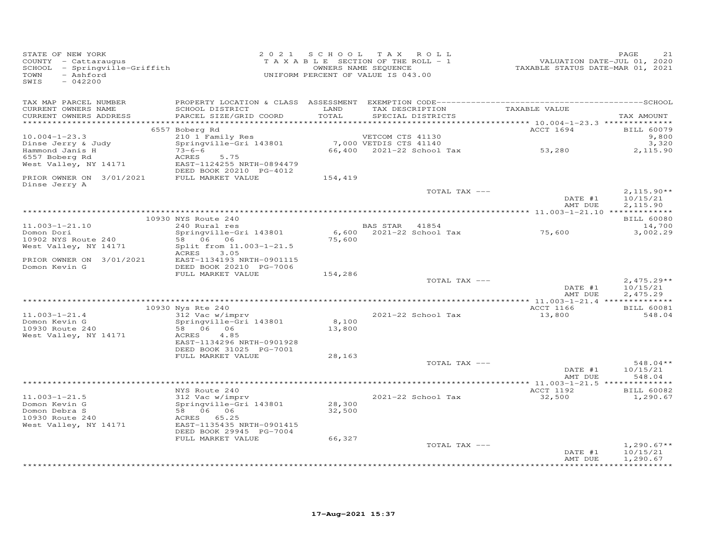| STATE OF NEW YORK<br>COUNTY - Cattaraugus<br>SCHOOL - Springville-Griffith<br>- Ashford<br>TOWN<br>$-042200$<br>SWIS |                                                                                                          |                 | 2021 SCHOOL TAX ROLL<br>TAXABLE SECTION OF THE ROLL - 1<br>OWNERS NAME SEQUENCE<br>UNIFORM PERCENT OF VALUE IS 043.00 | 1<br>VALUATION DATE-JUL 01, 2020<br>TAXABLE STATUS DATE-MAR 01, 2021 | PAGE<br>21                       |
|----------------------------------------------------------------------------------------------------------------------|----------------------------------------------------------------------------------------------------------|-----------------|-----------------------------------------------------------------------------------------------------------------------|----------------------------------------------------------------------|----------------------------------|
| TAX MAP PARCEL NUMBER<br>CURRENT OWNERS NAME<br>CURRENT OWNERS ADDRESS                                               | SCHOOL DISTRICT<br>PARCEL SIZE/GRID COORD                                                                | LAND<br>TOTAL   | TAX DESCRIPTION TAXABLE VALUE<br>SPECIAL DISTRICTS                                                                    |                                                                      | TAX AMOUNT                       |
|                                                                                                                      | 6557 Boberg Rd                                                                                           |                 |                                                                                                                       | ACCT 1694                                                            | <b>BILL 60079</b>                |
| $10.004 - 1 - 23.3$                                                                                                  | 210 1 Family Res                                                                                         |                 | VETCOM CTS 41130                                                                                                      |                                                                      | 9,800                            |
| Dinse Jerry & Judy<br>Hammond Janis H                                                                                | Springville-Gri 143801<br>$73 - 6 - 6$                                                                   |                 |                                                                                                                       |                                                                      | 3,320<br>2,115.90                |
| 6557 Boberg Rd<br>West Valley, NY 14171                                                                              | 5.75<br>ACRES<br>EAST-1124255 NRTH-0894479                                                               |                 |                                                                                                                       |                                                                      |                                  |
| PRIOR OWNER ON 3/01/2021 FULL MARKET VALUE<br>Dinse Jerry A                                                          | DEED BOOK 20210 PG-4012                                                                                  | 154,419         |                                                                                                                       |                                                                      |                                  |
|                                                                                                                      |                                                                                                          |                 | TOTAL TAX ---                                                                                                         | DATE #1                                                              | $2,115.90**$<br>10/15/21         |
|                                                                                                                      |                                                                                                          |                 |                                                                                                                       | AMT DUE                                                              | 2,115.90                         |
|                                                                                                                      | 10930 NYS Route 240<br>240 Rural res                                                                     |                 |                                                                                                                       |                                                                      | <b>BILL 60080</b>                |
| $11.003 - 1 - 21.10$                                                                                                 |                                                                                                          |                 | BAS STAR 41854                                                                                                        |                                                                      | 14,700                           |
| Domon Dori<br>10902 NYS Route 240                                                                                    | Springville-Gri 143801<br>58 06 06                                                                       | 75,600          | $6,600$ 2021-22 School Tax 75,600                                                                                     |                                                                      | 3,002.29                         |
| West Valley, NY 14171                                                                                                | Split from 11.003-1-21.5<br>ACRES 3.05                                                                   |                 |                                                                                                                       |                                                                      |                                  |
| PRIOR OWNER ON 3/01/2021<br>Domon Kevin G                                                                            | EAST-1134193 NRTH-0901115<br>DEED BOOK 20210 PG-7006<br>FULL MARKET VALUE                                | 154,286         |                                                                                                                       |                                                                      |                                  |
|                                                                                                                      |                                                                                                          |                 | TOTAL TAX ---                                                                                                         |                                                                      | $2,475.29**$                     |
|                                                                                                                      |                                                                                                          |                 |                                                                                                                       | DATE #1<br>AMT DUE                                                   | 10/15/21<br>2,475.29             |
|                                                                                                                      | 10930 Nys Rte 240                                                                                        |                 |                                                                                                                       | ACCT 1166                                                            | <b>BILL 60081</b>                |
| $11.003 - 1 - 21.4$                                                                                                  | 312 Vac w/imprv                                                                                          |                 | 2021-22 School Tax                                                                                                    | 13,800                                                               | 548.04                           |
| Domon Kevin G<br>10930 Route 240<br>West Valley, NY 14171                                                            | Springville-Gri 143801<br>58 06 06<br>ACRES 4.85<br>EAST-1134296 NRTH-0901928<br>DEED BOOK 31025 PG-7001 | 8,100<br>13,800 |                                                                                                                       |                                                                      |                                  |
|                                                                                                                      | FULL MARKET VALUE                                                                                        | 28,163          |                                                                                                                       |                                                                      |                                  |
|                                                                                                                      |                                                                                                          |                 | TOTAL TAX ---                                                                                                         | DATE #1<br>AMT DUE                                                   | $548.04**$<br>10/15/21<br>548.04 |
|                                                                                                                      |                                                                                                          |                 |                                                                                                                       |                                                                      |                                  |
|                                                                                                                      | NYS Route 240                                                                                            |                 |                                                                                                                       | ACCT 1192                                                            | <b>BILL 60082</b>                |
| $11.003 - 1 - 21.5$<br>Domon Kevin G                                                                                 | 312 Vac w/imprv                                                                                          | 28,300          | 2021-22 School Tax                                                                                                    | 32,500                                                               | 1,290.67                         |
|                                                                                                                      | Sir (100 11 - 1)<br>Springville-Gri 143801<br>58 06 06                                                   | 32,500          |                                                                                                                       |                                                                      |                                  |
| Domon Debra S<br>10930 Route 240<br>West Valley, NY 14171                                                            | ACRES 65.25<br>EAST-1135435 NRTH-0901415<br>DEED BOOK 29945 PG-7004                                      |                 |                                                                                                                       |                                                                      |                                  |
|                                                                                                                      | FULL MARKET VALUE                                                                                        | 66,327          |                                                                                                                       |                                                                      |                                  |
|                                                                                                                      |                                                                                                          |                 | TOTAL TAX ---                                                                                                         | DATE #1                                                              | $1,290.67**$<br>10/15/21         |
|                                                                                                                      |                                                                                                          |                 |                                                                                                                       | AMT DUE                                                              | 1,290.67                         |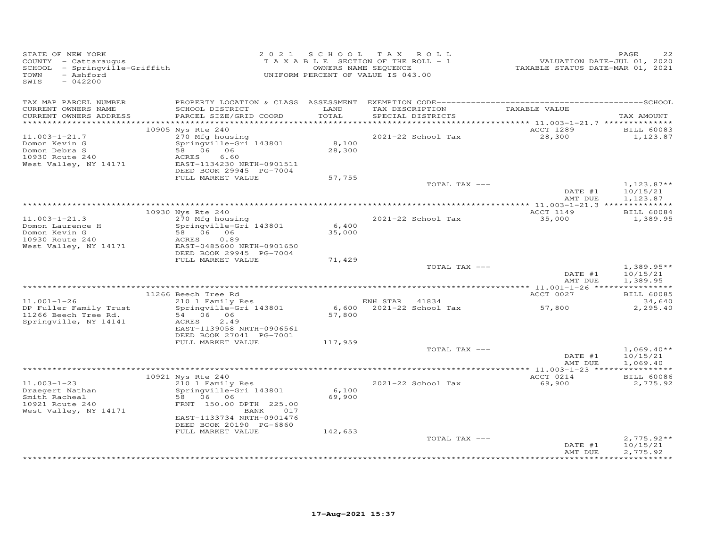| STATE OF NEW YORK<br>COUNTY - Cattaraugus<br>SCHOOL - Springville-Griffith<br>- Ashford<br>TOWN<br>SWIS<br>$-042200$ | 2 0 2 1                                                                                                                                                                  |                           | SCHOOL TAX ROLL<br>TAXABLE SECTION OF THE ROLL - 1<br>OWNERS NAME SEQUENCE<br>UNIFORM PERCENT OF VALUE IS 043.00 | VALUATION DATE-JUL 01, 2020<br>TAXABLE STATUS DATE-MAR 01, 2021 | PAGE                                 |
|----------------------------------------------------------------------------------------------------------------------|--------------------------------------------------------------------------------------------------------------------------------------------------------------------------|---------------------------|------------------------------------------------------------------------------------------------------------------|-----------------------------------------------------------------|--------------------------------------|
| TAX MAP PARCEL NUMBER<br>CURRENT OWNERS NAME<br>CURRENT OWNERS ADDRESS                                               | SCHOOL DISTRICT<br>PARCEL SIZE/GRID COORD                                                                                                                                | LAND<br>TOTAL             | TAX DESCRIPTION TAXABLE VALUE<br>SPECIAL DISTRICTS                                                               |                                                                 | TAX AMOUNT                           |
| $11.003 - 1 - 21.7$<br>Domon Kevin G<br>Domon Debra S<br>10930 Route 240<br>West Valley, NY 14171                    | 10905 Nys Rte 240<br>270 Mfg housing<br>Springville-Gri 143801<br>58 06 06<br>ACRES<br>6.60<br>EAST-1134230 NRTH-0901511<br>DEED BOOK 29945 PG-7004<br>FULL MARKET VALUE | 8,100<br>28,300<br>57,755 | 2021-22 School Tax                                                                                               | ACCT 1289<br>28,300                                             | <b>BILL 60083</b><br>1,123.87        |
|                                                                                                                      |                                                                                                                                                                          |                           | TOTAL TAX ---                                                                                                    | DATE #1<br>AMT DUE                                              | $1,123.87**$<br>10/15/21<br>1,123.87 |
|                                                                                                                      |                                                                                                                                                                          |                           |                                                                                                                  |                                                                 |                                      |
| $11.003 - 1 - 21.3$<br>Domon Laurence H<br>Domon Kevin G<br>10930 Route 240                                          | 10930 Nys Rte 240<br>270 Mfg housing<br>Springville-Gri 143801<br>58 06 06<br>ACRES<br>0.89                                                                              | 6,400<br>35,000           | 2021-22 School Tax                                                                                               | ACCT 1149<br>35,000                                             | <b>BILL 60084</b><br>1,389.95        |
| West Valley, NY 14171                                                                                                | EAST-0485600 NRTH-0901650<br>DEED BOOK 29945 PG-7004<br>FULL MARKET VALUE                                                                                                | 71,429                    | TOTAL TAX ---                                                                                                    | DATE #1                                                         | $1,389.95**$<br>10/15/21             |
|                                                                                                                      |                                                                                                                                                                          |                           |                                                                                                                  | AMT DUE                                                         | 1,389.95                             |
| $11.001 - 1 - 26$                                                                                                    | 11266 Beech Tree Rd<br>210 1 Family Res                                                                                                                                  |                           | ENH STAR 41834                                                                                                   | ACCT 0027                                                       | <b>BILL 60085</b><br>34,640          |
| DP Fuller Family Trust<br>11266 Beech Tree Rd.<br>Springville, NY 14141                                              | Springville-Gri 143801<br>54 06 06<br>2.49<br>ACRES<br>EAST-1139058 NRTH-0906561<br>DEED BOOK 27041 PG-7001                                                              | 57,800                    | 6,600 2021-22 School Tax                                                                                         | 57,800                                                          | 2,295.40                             |
|                                                                                                                      | FULL MARKET VALUE                                                                                                                                                        | 117,959                   |                                                                                                                  |                                                                 |                                      |
|                                                                                                                      |                                                                                                                                                                          |                           | TOTAL TAX ---                                                                                                    | DATE #1<br>AMT DUE                                              | $1,069.40**$<br>10/15/21<br>1,069.40 |
|                                                                                                                      | 10921 Nys Rte 240                                                                                                                                                        |                           |                                                                                                                  | ACCT 0214                                                       | <b>BILL 60086</b>                    |
| $11.003 - 1 - 23$<br>Draegert Nathan<br>Smith Racheal<br>10921 Route 240<br>West Valley, NY 14171                    | 210 1 Family Res<br>Springville-Gri 143801<br>58 06 06<br>FRNT 150.00 DPTH 225.00<br>BANK 017<br>EAST-1133734 NRTH-0901476<br>DEED BOOK 20190 PG-6860                    | 6,100<br>69,900           | 2021-22 School Tax                                                                                               | 69,900                                                          | 2,775.92                             |
|                                                                                                                      | FULL MARKET VALUE                                                                                                                                                        | 142,653                   | TOTAL TAX ---                                                                                                    | DATE #1<br>AMT DUE                                              | $2,775.92**$<br>10/15/21<br>2,775.92 |
|                                                                                                                      |                                                                                                                                                                          |                           |                                                                                                                  |                                                                 |                                      |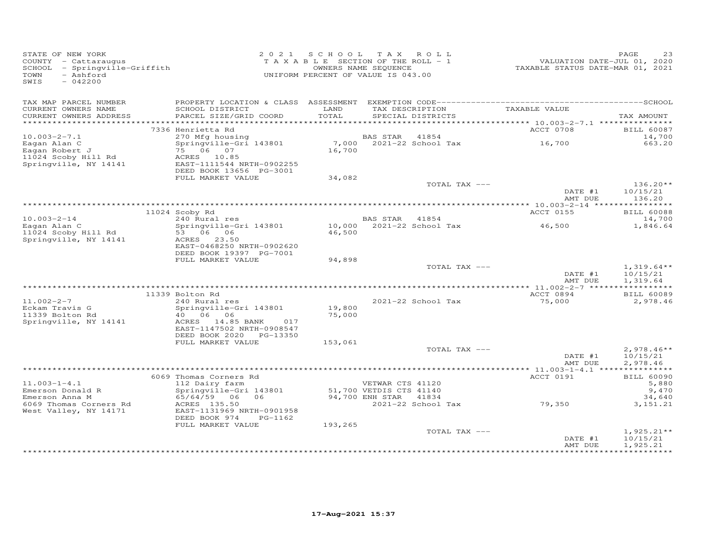| STATE OF NEW YORK<br>COUNTY - Cattaraugus<br>SCHOOL - Springville-Griffith<br>- Ashford<br>TOWN<br>SWIS<br>$-042200$ |                                                                           |                  | 2021 SCHOOL TAX ROLL<br>T A X A B L E SECTION OF THE ROLL - 1<br>OWNERS NAME SEQUENCE<br>UNIFORM PERCENT OF VALUE IS 043.00 |                 | VALUATION DATE-JUL 01, 2020<br>TAXABLE STATUS DATE-MAR 01, 2021                          | PAGE<br>23               |
|----------------------------------------------------------------------------------------------------------------------|---------------------------------------------------------------------------|------------------|-----------------------------------------------------------------------------------------------------------------------------|-----------------|------------------------------------------------------------------------------------------|--------------------------|
| TAX MAP PARCEL NUMBER                                                                                                |                                                                           |                  |                                                                                                                             |                 |                                                                                          |                          |
| CURRENT OWNERS NAME<br>CURRENT OWNERS ADDRESS                                                                        | SCHOOL DISTRICT<br>PARCEL SIZE/GRID COORD                                 | LAND<br>TOTAL    | SPECIAL DISTRICTS                                                                                                           | TAX DESCRIPTION | TAXABLE VALUE                                                                            | TAX AMOUNT               |
|                                                                                                                      |                                                                           |                  |                                                                                                                             |                 |                                                                                          |                          |
|                                                                                                                      | 7336 Henrietta Rd                                                         |                  |                                                                                                                             |                 | ACCT 0708                                                                                | <b>BILL 60087</b>        |
| $10.003 - 2 - 7.1$                                                                                                   | 270 Mfg housing<br>Springville-Gri 143801 7,000 2021-22 School Tax 16,700 |                  |                                                                                                                             |                 |                                                                                          | 14,700                   |
| Eagan Alan C<br>Eagan Robert J                                                                                       | 75 06 07                                                                  | 16,700           |                                                                                                                             |                 |                                                                                          | 663.20                   |
| 11024 Scoby Hill Rd                                                                                                  | ACRES 10.85                                                               |                  |                                                                                                                             |                 |                                                                                          |                          |
| Springville, NY 14141                                                                                                | EAST-1111544 NRTH-0902255                                                 |                  |                                                                                                                             |                 |                                                                                          |                          |
|                                                                                                                      | DEED BOOK 13656 PG-3001<br>FULL MARKET VALUE                              | 34,082           |                                                                                                                             |                 |                                                                                          |                          |
|                                                                                                                      |                                                                           |                  |                                                                                                                             | TOTAL TAX ---   |                                                                                          | $136.20**$               |
|                                                                                                                      |                                                                           |                  |                                                                                                                             |                 | DATE #1<br>AMT DUE                                                                       | 10/15/21<br>136.20       |
|                                                                                                                      |                                                                           |                  |                                                                                                                             |                 |                                                                                          |                          |
|                                                                                                                      | 11024 Scoby Rd                                                            |                  |                                                                                                                             |                 | ACCT 0155                                                                                | <b>BILL 60088</b>        |
| $10.003 - 2 - 14$                                                                                                    | 240 Rural res                                                             |                  | BAS STAR 41854                                                                                                              |                 | BAS STAR     41854<br>10,000     2021–22 School Tax                               46,500 | 14,700                   |
| Eagan Alan C<br>11024 Scoby Hill Rd                                                                                  | Springville-Gri 143801<br>53 06 06                                        | 46,500           |                                                                                                                             |                 |                                                                                          | 1,846.64                 |
| Springville, NY 14141                                                                                                | ACRES 23.50                                                               |                  |                                                                                                                             |                 |                                                                                          |                          |
|                                                                                                                      | EAST-0468250 NRTH-0902620                                                 |                  |                                                                                                                             |                 |                                                                                          |                          |
|                                                                                                                      | DEED BOOK 19397 PG-7001                                                   |                  |                                                                                                                             |                 |                                                                                          |                          |
|                                                                                                                      | FULL MARKET VALUE                                                         | 94,898           |                                                                                                                             |                 |                                                                                          |                          |
|                                                                                                                      |                                                                           |                  |                                                                                                                             | TOTAL TAX ---   | DATE #1                                                                                  | $1,319.64**$<br>10/15/21 |
|                                                                                                                      |                                                                           |                  |                                                                                                                             |                 | AMT DUE                                                                                  | 1,319.64                 |
|                                                                                                                      |                                                                           |                  |                                                                                                                             |                 |                                                                                          |                          |
|                                                                                                                      | 11339 Bolton Rd                                                           |                  |                                                                                                                             |                 | ACCT 0894                                                                                | <b>BILL 60089</b>        |
| $11.002 - 2 - 7$                                                                                                     | 240 Rural res                                                             |                  | 2021-22 School Tax                                                                                                          |                 | 75,000                                                                                   | 2,978.46                 |
| Eckam Travis G<br>11339 Bolton Rd                                                                                    | Springville-Gri 143801<br>40 06 06                                        | 19,800<br>75,000 |                                                                                                                             |                 |                                                                                          |                          |
| Springville, NY 14141                                                                                                | ACRES 14.85 BANK 017                                                      |                  |                                                                                                                             |                 |                                                                                          |                          |
|                                                                                                                      | EAST-1147502 NRTH-0908547                                                 |                  |                                                                                                                             |                 |                                                                                          |                          |
|                                                                                                                      | DEED BOOK 2020 PG-13350                                                   |                  |                                                                                                                             |                 |                                                                                          |                          |
|                                                                                                                      | FULL MARKET VALUE                                                         | 153,061          |                                                                                                                             |                 |                                                                                          |                          |
|                                                                                                                      |                                                                           |                  |                                                                                                                             | TOTAL TAX ---   | DATE #1                                                                                  | $2,978.46**$<br>10/15/21 |
|                                                                                                                      |                                                                           |                  |                                                                                                                             |                 | AMT DUE                                                                                  | 2,978.46                 |
|                                                                                                                      |                                                                           |                  |                                                                                                                             |                 |                                                                                          |                          |
|                                                                                                                      | 6069 Thomas Corners Rd                                                    |                  |                                                                                                                             |                 | ACCT 0191                                                                                | <b>BILL 60090</b>        |
| $11.003 - 1 - 4.1$                                                                                                   | 112 Dairy farm                                                            |                  | VETWAR CTS 41120                                                                                                            |                 |                                                                                          | 5,880                    |
| Emerson Donald R<br>Emerson Anna M                                                                                   | Springville-Gri 143801<br>$65/64/59$ 06 06                                |                  | 51,700 VETDIS CTS 41140<br>94,700 ENH STAR 41834                                                                            |                 |                                                                                          | 9,470<br>34,640          |
| 6069 Thomas Corners Rd                                                                                               | ACRES 135.50                                                              |                  |                                                                                                                             |                 | سمبر سمبر 2021–22 School Tax<br>2021–22 School Tax 79,350                                | 3, 151.21                |
| West Valley, NY 14171                                                                                                | EAST-1131969 NRTH-0901958                                                 |                  |                                                                                                                             |                 |                                                                                          |                          |
|                                                                                                                      | DEED BOOK 974<br>PG-1162                                                  |                  |                                                                                                                             |                 |                                                                                          |                          |
|                                                                                                                      | FULL MARKET VALUE                                                         | 193,265          |                                                                                                                             |                 |                                                                                          |                          |
|                                                                                                                      |                                                                           |                  |                                                                                                                             | TOTAL TAX ---   | DATE #1                                                                                  | $1,925.21**$<br>10/15/21 |
|                                                                                                                      |                                                                           |                  |                                                                                                                             |                 | AMT DUE                                                                                  | 1,925.21                 |
|                                                                                                                      |                                                                           |                  |                                                                                                                             |                 |                                                                                          |                          |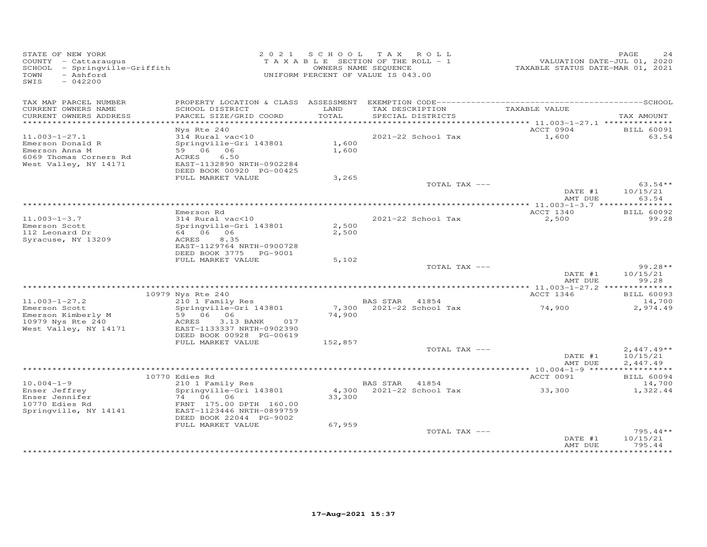| STATE OF NEW YORK<br>COUNTY - Cattaraugus<br>SCHOOL - Springville-Griffith<br>- Ashford<br>TOWN<br>SWIS<br>$-042200$ |                                                                                                                                               |                   | 2021 SCHOOL TAX ROLL<br>TAXABLE SECTION OF THE ROLL - 1<br>OWNERS NAME SEQUENCE<br>UNIFORM PERCENT OF VALUE IS 043.00 | VALUATION DATE-JUL 01, 2020<br>TAXABLE STATUS DATE-MAR 01, 2021 | PAGE<br>24                     |
|----------------------------------------------------------------------------------------------------------------------|-----------------------------------------------------------------------------------------------------------------------------------------------|-------------------|-----------------------------------------------------------------------------------------------------------------------|-----------------------------------------------------------------|--------------------------------|
| TAX MAP PARCEL NUMBER<br>CURRENT OWNERS NAME<br>CURRENT OWNERS ADDRESS                                               | SCHOOL DISTRICT<br>PARCEL SIZE/GRID COORD                                                                                                     | LAND<br>TOTAL     | TAX DESCRIPTION<br>SPECIAL DISTRICTS                                                                                  | TAXABLE VALUE                                                   | TAX AMOUNT                     |
|                                                                                                                      |                                                                                                                                               |                   |                                                                                                                       | ********** 11.003-1-27.1 ***************                        |                                |
| $11.003 - 1 - 27.1$<br>Emerson Donald R<br>Emerson Anna M<br>6069 Thomas Corners Rd<br>West Valley, NY 14171         | Nys Rte 240<br>314 Rural vac<10<br>Springville-Gri 143801<br>59 06 06<br>ACRES<br>6.50<br>EAST-1132890 NRTH-0902284                           | 1,600<br>1,600    | 2021-22 School Tax                                                                                                    | ACCT 0904<br>1,600                                              | <b>BILL 60091</b><br>63.54     |
|                                                                                                                      | DEED BOOK 00920 PG-00425<br>FULL MARKET VALUE                                                                                                 | 3,265             |                                                                                                                       |                                                                 |                                |
|                                                                                                                      |                                                                                                                                               |                   | TOTAL TAX ---                                                                                                         | DATE #1<br>AMT DUE                                              | $63.54**$<br>10/15/21<br>63.54 |
|                                                                                                                      |                                                                                                                                               |                   |                                                                                                                       |                                                                 |                                |
| $11.003 - 1 - 3.7$<br>Emerson Scott<br>112 Leonard Dr<br>Syracuse, NY 13209                                          | Emerson Rd<br>314 Rural vac<10<br>Springville-Gri 143801<br>64 06 06<br>ACRES<br>8.35<br>EAST-1129764 NRTH-0900728<br>DEED BOOK 3775 PG-9001  | 2,500<br>2,500    | 2021-22 School Tax                                                                                                    | ACCT 1340<br>2,500                                              | <b>BILL 60092</b><br>99.28     |
|                                                                                                                      | FULL MARKET VALUE                                                                                                                             | 5,102             |                                                                                                                       |                                                                 |                                |
|                                                                                                                      |                                                                                                                                               |                   | TOTAL TAX ---                                                                                                         | DATE #1<br>AMT DUE                                              | $99.28**$<br>10/15/21<br>99.28 |
|                                                                                                                      | 10979 Nys Rte 240                                                                                                                             |                   |                                                                                                                       | ACCT 1346                                                       | <b>BILL 60093</b>              |
| $11.003 - 1 - 27.2$                                                                                                  | 210 1 Family Res                                                                                                                              |                   | BAS STAR 41854                                                                                                        |                                                                 | 14,700                         |
| Emerson Scott<br>Emerson Kimberly M<br>10979 Nys Rte 240<br>West Valley, NY 14171                                    | Springville-Gri 143801<br>59 06 06<br>ACRES<br>3.13 BANK<br>017<br>EAST-1133337 NRTH-0902390<br>DEED BOOK 00928 PG-00619<br>FULL MARKET VALUE | 74,900<br>152,857 | 7,300 2021-22 School Tax                                                                                              | 74,900                                                          | 2,974.49                       |
|                                                                                                                      |                                                                                                                                               |                   | TOTAL TAX ---                                                                                                         |                                                                 | $2,447.49**$                   |
|                                                                                                                      |                                                                                                                                               |                   |                                                                                                                       | DATE #1<br>AMT DUE                                              | 10/15/21<br>2,447.49           |
|                                                                                                                      | 10770 Edies Rd                                                                                                                                |                   |                                                                                                                       | ACCT 0091                                                       | <b>BILL 60094</b>              |
| $10.004 - 1 - 9$                                                                                                     | 210 1 Family Res                                                                                                                              |                   | BAS STAR 41854                                                                                                        |                                                                 | 14,700                         |
| Enser Jeffrey<br>Enser Jennifer<br>10770 Edies Rd<br>Springville, NY 14141                                           | Springville-Gri 143801<br>74 06 06<br>FRNT 175.00 DPTH 160.00<br>EAST-1123446 NRTH-0899759<br>DEED BOOK 22044 PG-9002                         | 33,300            | 4,300 2021-22 School Tax                                                                                              | 33,300                                                          | 1,322.44                       |
|                                                                                                                      | FULL MARKET VALUE                                                                                                                             | 67,959            | TOTAL TAX ---                                                                                                         | DATE #1                                                         | $795.44**$<br>10/15/21         |
|                                                                                                                      |                                                                                                                                               |                   |                                                                                                                       | AMT DUE                                                         | 795.44<br>***********          |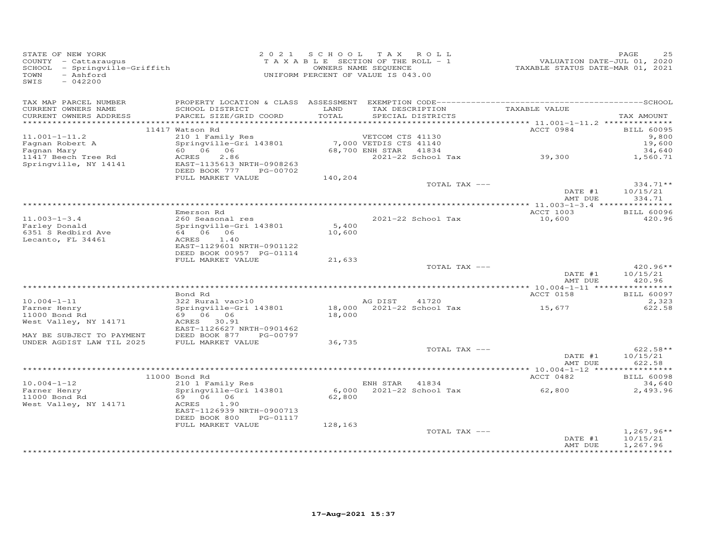| STATE OF NEW YORK<br>SIAIE OF NEW IORR<br>COUNTY - Cattaraugus<br>SCHOOL - Springville-Griffith<br>TOWN<br>- Ashford<br>SWIS<br>$-042200$ |                                                                                                  | 2021 SCHOOL TAX ROLL<br>UNIFORM PERCENT OF VALUE IS 043.00 | OWNERS NAME SEQUENCE | TAXABLE SECTION OF THE ROLL - 1                      | 2020<br>TAXABLE STATUS DATE-JUL 01, 2020<br>TAXABLE STATUS DATE-MAR 01, 2021 | PAGE<br>25                 |
|-------------------------------------------------------------------------------------------------------------------------------------------|--------------------------------------------------------------------------------------------------|------------------------------------------------------------|----------------------|------------------------------------------------------|------------------------------------------------------------------------------|----------------------------|
| TAX MAP PARCEL NUMBER                                                                                                                     |                                                                                                  |                                                            |                      |                                                      |                                                                              |                            |
| CURRENT OWNERS NAME<br>CURRENT OWNERS ADDRESS                                                                                             | SCHOOL DISTRICT<br>PARCEL SIZE/GRID COORD                                                        | LAND<br>TOTAL                                              |                      | TAX DESCRIPTION<br>SPECIAL DISTRICTS                 | TAXABLE VALUE                                                                | TAX AMOUNT                 |
|                                                                                                                                           |                                                                                                  |                                                            |                      |                                                      | ACCT 0984                                                                    |                            |
| $11.001 - 1 - 11.2$                                                                                                                       | 11417 Watson Rd                                                                                  |                                                            |                      |                                                      |                                                                              | <b>BILL 60095</b><br>9,800 |
| Fagnan Robert A                                                                                                                           | vercom crs 41130<br>210 1 Family Res<br>Springville-Gri 143801<br>60 06 06 68,700 ENH STAR 41834 |                                                            |                      |                                                      |                                                                              | 19,600                     |
| Fagnan Mary                                                                                                                               |                                                                                                  |                                                            |                      |                                                      |                                                                              | 34,640                     |
| 11417 Beech Tree Rd<br>Springville, NY 14141                                                                                              | <b>ACRES</b><br>2.86                                                                             |                                                            |                      |                                                      | 2021-22 School Tax 39,300                                                    | 1,560.71                   |
|                                                                                                                                           | EAST-1135613 NRTH-0908263                                                                        |                                                            |                      |                                                      |                                                                              |                            |
|                                                                                                                                           | DEED BOOK 777 PG-00702<br>FULL MARKET VALUE                                                      |                                                            |                      |                                                      |                                                                              |                            |
|                                                                                                                                           |                                                                                                  | 140,204                                                    |                      | TOTAL TAX ---                                        |                                                                              | $334.71**$                 |
|                                                                                                                                           |                                                                                                  |                                                            |                      |                                                      | DATE #1                                                                      | 10/15/21                   |
|                                                                                                                                           |                                                                                                  |                                                            |                      |                                                      | AMT DUE                                                                      | 334.71                     |
|                                                                                                                                           |                                                                                                  |                                                            |                      |                                                      |                                                                              |                            |
|                                                                                                                                           | Emerson Rd                                                                                       |                                                            |                      |                                                      | ACCT 1003                                                                    | <b>BILL 60096</b>          |
| $11.003 - 1 - 3.4$                                                                                                                        | 260 Seasonal res<br>Springville-Gri 143801                                                       | 5,400                                                      |                      | 2021-22 School Tax                                   | 10,600                                                                       | 420.96                     |
| Farley Donald<br>6351 S Redbird Ave                                                                                                       |                                                                                                  | 10,600                                                     |                      |                                                      |                                                                              |                            |
| Lecanto, FL 34461                                                                                                                         | ACRES 1.40                                                                                       |                                                            |                      |                                                      |                                                                              |                            |
|                                                                                                                                           | EAST-1129601 NRTH-0901122                                                                        |                                                            |                      |                                                      |                                                                              |                            |
|                                                                                                                                           | DEED BOOK 00957 PG-01114                                                                         |                                                            |                      |                                                      |                                                                              |                            |
|                                                                                                                                           | FULL MARKET VALUE                                                                                | 21,633                                                     |                      |                                                      |                                                                              |                            |
|                                                                                                                                           |                                                                                                  |                                                            |                      | TOTAL TAX ---                                        | DATE #1                                                                      | 420.96**<br>10/15/21       |
|                                                                                                                                           |                                                                                                  |                                                            |                      |                                                      | AMT DUE                                                                      | 420.96                     |
|                                                                                                                                           |                                                                                                  |                                                            |                      |                                                      |                                                                              |                            |
|                                                                                                                                           | Bond Rd                                                                                          |                                                            |                      |                                                      | <b>ACCT 0158</b>                                                             | <b>BILL 60097</b>          |
| $10.004 - 1 - 11$                                                                                                                         | $322$ Rural vac > 10                                                                             |                                                            |                      | AG DIST 41/20<br>18,000 2021-22 School Tax<br>18,000 |                                                                              | 2,323                      |
| Farner Henry                                                                                                                              | Springville-Gri 143801                                                                           |                                                            |                      |                                                      | 15,677                                                                       | 622.58                     |
| 11000 Bond Rd<br>West Valley, NY 14171                                                                                                    | 69 06 06<br>ACRES 30.91                                                                          |                                                            |                      |                                                      |                                                                              |                            |
|                                                                                                                                           | EAST-1126627 NRTH-0901462                                                                        |                                                            |                      |                                                      |                                                                              |                            |
| MAY BE SUBJECT TO PAYMENT                                                                                                                 | DEED BOOK 877 PG-00797                                                                           |                                                            |                      |                                                      |                                                                              |                            |
| UNDER AGDIST LAW TIL 2025                                                                                                                 | FULL MARKET VALUE                                                                                | 36,735                                                     |                      |                                                      |                                                                              |                            |
|                                                                                                                                           |                                                                                                  |                                                            |                      | TOTAL TAX ---                                        |                                                                              | $622.58**$                 |
|                                                                                                                                           |                                                                                                  |                                                            |                      |                                                      | $\text{DATE}$ #1                                                             | 10/15/21                   |
|                                                                                                                                           |                                                                                                  |                                                            |                      |                                                      | AMT DUE                                                                      | 622.58                     |
|                                                                                                                                           | 11000 Bond Rd                                                                                    |                                                            |                      |                                                      | ACCT 0482                                                                    | <b>BILL 60098</b>          |
| $10.004 - 1 - 12$                                                                                                                         | 210 1 Family Res                                                                                 |                                                            | ENH STAR 41834       |                                                      |                                                                              | 34,640                     |
| Farner Henry<br>11000 Bond Rd                                                                                                             | Springville-Gri 143801                                                                           |                                                            |                      |                                                      |                                                                              | 2,493.96                   |
| 11000 Bond Rd                                                                                                                             | Springville-Gri 145001<br>69 06 06                                                               | 62,800                                                     |                      |                                                      |                                                                              |                            |
| West Valley, NY 14171                                                                                                                     | ACRES 1.90                                                                                       |                                                            |                      |                                                      |                                                                              |                            |
|                                                                                                                                           | EAST-1126939 NRTH-0900713                                                                        |                                                            |                      |                                                      |                                                                              |                            |
|                                                                                                                                           | DEED BOOK 800<br>PG-01117<br>FULL MARKET VALUE                                                   | 128,163                                                    |                      |                                                      |                                                                              |                            |
|                                                                                                                                           |                                                                                                  |                                                            |                      | TOTAL TAX ---                                        |                                                                              | $1,267.96**$               |
|                                                                                                                                           |                                                                                                  |                                                            |                      |                                                      | DATE #1                                                                      | 10/15/21                   |
|                                                                                                                                           |                                                                                                  |                                                            |                      |                                                      | AMT DUE                                                                      | 1,267.96                   |
|                                                                                                                                           |                                                                                                  |                                                            |                      |                                                      |                                                                              |                            |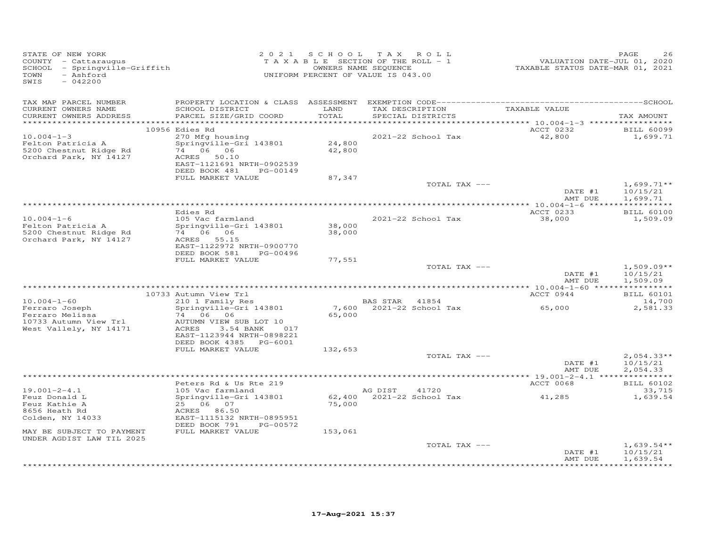| STATE OF NEW YORK<br>- Ashford<br>TOWN<br>SWIS<br>$-042200$                                                                  |                                                                                                                                                                                                                  |                            | 2021 SCHOOL TAX ROLL<br>TAXABLE SECTION OF THE ROLL - 1<br>OWNERS NAME SEQUENCE<br>UNIFORM PERCENT OF VALUE IS 043.00 | 2020<br>VALUATION DATE-JUL 01, 2020<br>TAXABLE STATUS DATE-MAR 01, 2021 | PAGE                                                |
|------------------------------------------------------------------------------------------------------------------------------|------------------------------------------------------------------------------------------------------------------------------------------------------------------------------------------------------------------|----------------------------|-----------------------------------------------------------------------------------------------------------------------|-------------------------------------------------------------------------|-----------------------------------------------------|
| TAX MAP PARCEL NUMBER<br>CURRENT OWNERS NAME<br>CURRENT OWNERS ADDRESS                                                       | SCHOOL DISTRICT<br>PARCEL SIZE/GRID COORD                                                                                                                                                                        | LAND<br>TOTAL              | TAX DESCRIPTION TAXABLE VALUE<br>SPECIAL DISTRICTS                                                                    |                                                                         | TAX AMOUNT                                          |
| $10.004 - 1 - 3$<br>Felton Patricia A<br>5200 Chestnut Ridge Rd<br>Orchard Park, NY 14127                                    | 10956 Edies Rd<br>270 Mfg housing<br>Springville-Gri 143801<br>$74 \t 06 \t 06$<br>ACRES 50.10<br>EAST-1121691 NRTH-0902539<br>DEED BOOK 481 PG-00149<br>FULL MARKET VALUE                                       | 24,800<br>42,800<br>87,347 | 2021-22 School Tax                                                                                                    | ACCT 0232<br>42,800                                                     | BILL 60099<br>1,699.71                              |
|                                                                                                                              |                                                                                                                                                                                                                  |                            | TOTAL TAX ---                                                                                                         | DATE #1<br>AMT DUE                                                      | $1,699.71**$<br>10/15/21<br>1,699.71                |
| $10.004 - 1 - 6$                                                                                                             | Edies Rd<br>105 Vac farmland                                                                                                                                                                                     | 38,000                     | 2021-22 School Tax                                                                                                    | ACCT 0233<br>38,000                                                     | <b>BILL 60100</b><br>1,509.09                       |
| Felton Patricia A<br>5200 Chestnut Ridge Rd<br>Orchard Park, NY 14127                                                        | Springville-Gri 143801<br>74 06 06<br>ACRES 55.15<br>EAST-1122972 NRTH-0900770<br>DEED BOOK 581<br>PG-00496<br>FULL MARKET VALUE                                                                                 | 38,000<br>77,551           | TOTAL TAX ---                                                                                                         | DATE #1                                                                 | $1,509.09**$<br>10/15/21                            |
|                                                                                                                              |                                                                                                                                                                                                                  |                            |                                                                                                                       | AMT DUE                                                                 | 1,509.09                                            |
| $10.004 - 1 - 60$<br>Ferraro Joseph<br>Ferraro Melissa<br>Ferraro Melissa<br>10733 Autumn View Trl<br>West Vallely, NY 14171 | 10733 Autumn View Trl<br>Autumn View Trl<br>210 1 Family Res<br>Springville-Gri 143801<br>74 06 06<br>AUTUMN VIEW SUB LOT 10<br>ACRES<br>3.54 BANK<br>017<br>EAST-1123944 NRTH-0898221<br>DEED BOOK 4385 PG-6001 | 65,000                     | BAS STAR 41854<br>7,600 $2021-22$ School Tax 65,000                                                                   | ACCT 0944                                                               | <b>BILL 60101</b><br>14,700<br>2,581.33             |
|                                                                                                                              | FULL MARKET VALUE                                                                                                                                                                                                | 132,653                    | TOTAL TAX ---                                                                                                         | DATE #1<br>AMT DUE                                                      | $2,054.33**$<br>10/15/21<br>2,054.33                |
|                                                                                                                              | Peters Rd & Us Rte 219                                                                                                                                                                                           |                            |                                                                                                                       | ACCT 0068                                                               | <b>BILL 60102</b>                                   |
| $19.001 - 2 - 4.1$<br>Feuz Donald L<br>Feuz Kathie A<br>8656 Heath Rd<br>Colden, NY 14033                                    | 105 Vac farmland<br>Springville-Gri 143801<br>25 06 07<br>ACRES 86.50<br>EAST-1115132 NRTH-0895951<br>DEED BOOK 791<br>PG-00572                                                                                  | 75,000                     | AG DIST 41720<br>$62,400$ $2021-22$ School Tax $41,285$                                                               |                                                                         | 33,715<br>1,639.54                                  |
| MAY BE SUBJECT TO PAYMENT<br>UNDER AGDIST LAW TIL 2025                                                                       | FULL MARKET VALUE                                                                                                                                                                                                | 153,061                    |                                                                                                                       |                                                                         |                                                     |
|                                                                                                                              |                                                                                                                                                                                                                  |                            | TOTAL TAX ---                                                                                                         | DATE #1<br>AMT DUE                                                      | $1,639.54**$<br>10/15/21<br>1,639.54<br>*********** |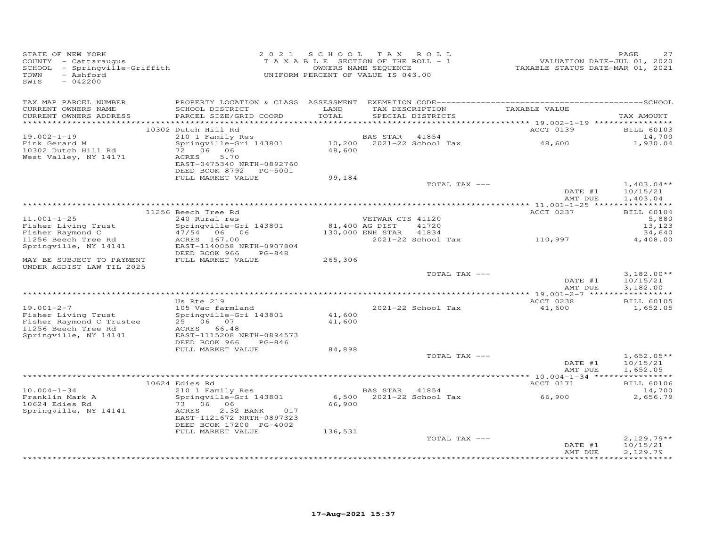| STATE OF NEW YORK<br>COUNTY - Cattaraugus<br>SCHOOL - Springville-Griffith<br>- Ashford<br>TOWN<br>SWIS<br>$-042200$ |                                                                                                                         |                | 2021 SCHOOL TAX ROLL<br>TAXABLE SECTION OF THE ROLL - 1<br>OWNERS NAME SEQUENCE<br>UNIFORM PERCENT OF VALUE IS 043.00 |                             | VALUATION DATE-JUL 01, 2020<br>TAXABLE STATUS DATE-MAR 01, 2021 | PAGE<br>27                           |
|----------------------------------------------------------------------------------------------------------------------|-------------------------------------------------------------------------------------------------------------------------|----------------|-----------------------------------------------------------------------------------------------------------------------|-----------------------------|-----------------------------------------------------------------|--------------------------------------|
| TAX MAP PARCEL NUMBER<br>CURRENT OWNERS NAME<br>CURRENT OWNERS ADDRESS<br>************************                   | SCHOOL DISTRICT<br>PARCEL SIZE/GRID COORD                                                                               | LAND<br>TOTAL  | TAX DESCRIPTION<br>SPECIAL DISTRICTS                                                                                  |                             | TAXABLE VALUE                                                   | TAX AMOUNT                           |
|                                                                                                                      | 10302 Dutch Hill Rd                                                                                                     |                |                                                                                                                       |                             | ACCT 0139                                                       | <b>BILL 60103</b>                    |
| $19.002 - 1 - 19$                                                                                                    | 210 1 Family Res                                                                                                        |                | BAS STAR 41854                                                                                                        |                             |                                                                 | 14,700                               |
| Fink Gerard M<br>10302 Dutch Hill Rd<br>West Valley, NY 14171                                                        | Springville-Gri 143801<br>72 06 06<br>ACRES<br>5.70<br>EAST-0475340 NRTH-0892760<br>DEED BOOK 8792 PG-5001              |                | 10,200 2021-22 School Tax<br>48,600                                                                                   |                             | 48,600                                                          | 1,930.04                             |
|                                                                                                                      | FULL MARKET VALUE                                                                                                       | 99,184         |                                                                                                                       | TOTAL TAX ---               |                                                                 | $1,403.04**$                         |
|                                                                                                                      |                                                                                                                         |                |                                                                                                                       |                             | DATE #1<br>AMT DUE                                              | 10/15/21<br>1,403.04                 |
|                                                                                                                      | 11256 Beech Tree Rd                                                                                                     |                |                                                                                                                       |                             | ACCT 0237                                                       | <b>BILL 60104</b>                    |
| $11.001 - 1 - 25$                                                                                                    | 240 Rural res                                                                                                           |                | VETWAR CTS 41120                                                                                                      |                             |                                                                 | 5,880                                |
| Fisher Living Trust                                                                                                  | Springville-Gri 143801                                                                                                  | 81,400 AG DIST |                                                                                                                       | 41720                       |                                                                 | 13,123                               |
| Fisher Raymond C<br>11256 Beech Tree Rd                                                                              | 47/54 06 06<br>ACRES 167.00                                                                                             |                | 130,000 ENH STAR                                                                                                      | 41834<br>2021-22 School Tax | 110,997                                                         | 34,640<br>4,408.00                   |
| Springville, NY 14141                                                                                                | EAST-1140058 NRTH-0907804<br>DEED BOOK 966<br>PG-848                                                                    |                |                                                                                                                       |                             |                                                                 |                                      |
| MAY BE SUBJECT TO PAYMENT<br>UNDER AGDIST LAW TIL 2025                                                               | FULL MARKET VALUE                                                                                                       | 265,306        |                                                                                                                       |                             |                                                                 |                                      |
|                                                                                                                      |                                                                                                                         |                |                                                                                                                       | TOTAL TAX ---               | DATE #1<br>AMT DUE                                              | $3,182.00**$<br>10/15/21<br>3,182.00 |
|                                                                                                                      | Us Rte 219                                                                                                              |                |                                                                                                                       |                             | ACCT 0238                                                       | <b>BILL 60105</b>                    |
| $19.001 - 2 - 7$<br>Fisher Living Trust                                                                              | 105 Vac farmland<br>Springville-Gri 143801                                                                              | 41,600         | 2021-22 School Tax                                                                                                    |                             | 41,600                                                          | 1,652.05                             |
| Fisher Raymond C Trustee<br>11256 Beech Tree Rd<br>Springville, NY 14141                                             | 25 06 07<br>ACRES 66.48<br>EAST-1115208 NRTH-0894573                                                                    | 41,600         |                                                                                                                       |                             |                                                                 |                                      |
|                                                                                                                      | DEED BOOK 966<br>PG-846                                                                                                 |                |                                                                                                                       |                             |                                                                 |                                      |
|                                                                                                                      | FULL MARKET VALUE                                                                                                       | 84,898         |                                                                                                                       | TOTAL TAX ---               |                                                                 | $1,652.05**$                         |
|                                                                                                                      |                                                                                                                         |                |                                                                                                                       |                             | DATE #1<br>AMT DUE                                              | 10/15/21<br>1,652.05                 |
|                                                                                                                      |                                                                                                                         |                |                                                                                                                       |                             |                                                                 |                                      |
| $10.004 - 1 - 34$                                                                                                    | 10624 Edies Rd<br>210 1 Family Res                                                                                      |                | BAS STAR 41854                                                                                                        |                             | ACCT 0171                                                       | <b>BILL 60106</b><br>14,700          |
| Franklin Mark A<br>10624 Edies Rd<br>Springville, NY 14141                                                           | Springville-Gri 143801<br>73 06 06<br>ACRES<br>2.32 BANK<br>017<br>EAST-1121672 NRTH-0897323<br>DEED BOOK 17200 PG-4002 | 66,900         |                                                                                                                       | 6,500 2021-22 School Tax    | 66,900                                                          | 2,656.79                             |
|                                                                                                                      | FULL MARKET VALUE                                                                                                       | 136,531        |                                                                                                                       | TOTAL TAX ---               | DATE #1                                                         | $2,129.79**$<br>10/15/21             |
|                                                                                                                      |                                                                                                                         |                |                                                                                                                       |                             | AMT DUE                                                         | 2,129.79<br>***********              |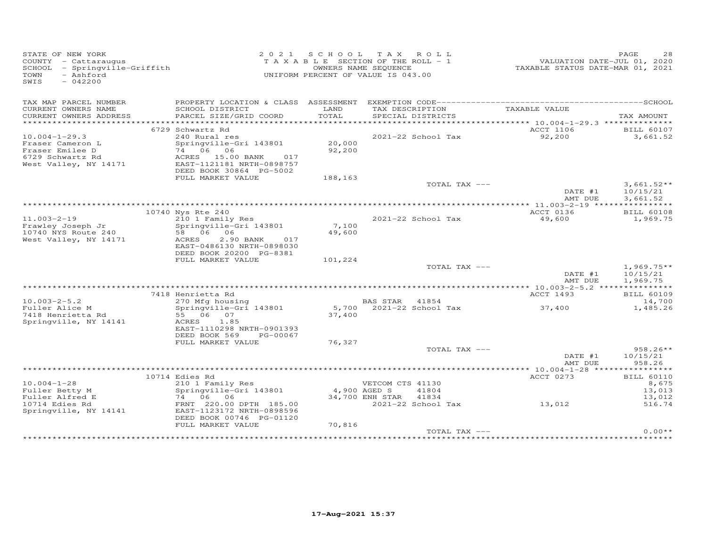| STATE OF NEW YORK<br>COUNTY - Cattaraugus<br>SCHOOL - Springville-Griffith<br>- Ashford<br>TOWN<br>SWIS<br>$-042200$ |                                                                                                                                                                            | 2021 SCHOOL      | TAX ROLL<br>TAXABLE SECTION OF THE ROLL - 1<br>OWNERS NAME SEQUENCE<br>UNIFORM PERCENT OF VALUE IS 043.00 |                                                       | PAGE<br>28<br>VALUATION DATE-JUL 01, 2020<br>TAXABLE STATUS DATE-MAR 01, 2021 |
|----------------------------------------------------------------------------------------------------------------------|----------------------------------------------------------------------------------------------------------------------------------------------------------------------------|------------------|-----------------------------------------------------------------------------------------------------------|-------------------------------------------------------|-------------------------------------------------------------------------------|
| TAX MAP PARCEL NUMBER<br>CURRENT OWNERS NAME<br>CURRENT OWNERS ADDRESS                                               | PROPERTY LOCATION & CLASS ASSESSMENT<br>SCHOOL DISTRICT<br>PARCEL SIZE/GRID COORD                                                                                          | LAND<br>TOTAL    | TAX DESCRIPTION<br>SPECIAL DISTRICTS                                                                      | TAXABLE VALUE                                         | TAX AMOUNT                                                                    |
| **********************                                                                                               | *************************                                                                                                                                                  | **************   |                                                                                                           | ACCT 1106                                             |                                                                               |
| $10.004 - 1 - 29.3$<br>Fraser Cameron L<br>Fraser Emilee D<br>6729 Schwartz Rd<br>West Valley, NY 14171              | 6729 Schwartz Rd<br>240 Rural res<br>Springville-Gri 143801<br>74 06<br>06<br>ACRES 15.00 BANK<br>017<br>EAST-1121181 NRTH-0898757<br>DEED BOOK 30864 PG-5002              | 20,000<br>92,200 | 2021-22 School Tax                                                                                        | 92,200                                                | <b>BILL 60107</b><br>3,661.52                                                 |
|                                                                                                                      | FULL MARKET VALUE                                                                                                                                                          | 188,163          |                                                                                                           |                                                       |                                                                               |
|                                                                                                                      |                                                                                                                                                                            |                  |                                                                                                           | TOTAL TAX ---<br>DATE #1<br>AMT DUE                   | $3,661.52**$<br>10/15/21<br>3,661.52                                          |
|                                                                                                                      |                                                                                                                                                                            |                  |                                                                                                           |                                                       |                                                                               |
| $11.003 - 2 - 19$<br>Frawley Joseph Jr<br>10740 NYS Route 240<br>West Valley, NY 14171                               | 10740 Nys Rte 240<br>210 1 Family Res<br>Springville-Gri 143801<br>58 06 06<br>ACRES<br>2.90 BANK<br>017<br>EAST-0486130 NRTH-0898030<br>DEED BOOK 20200 PG-8381           | 7,100<br>49,600  | 2021-22 School Tax                                                                                        | ACCT 0136<br>49,600                                   | <b>BILL 60108</b><br>1,969.75                                                 |
|                                                                                                                      | FULL MARKET VALUE                                                                                                                                                          | 101,224          |                                                                                                           |                                                       |                                                                               |
|                                                                                                                      |                                                                                                                                                                            |                  |                                                                                                           | TOTAL TAX ---<br>DATE #1<br>AMT DUE                   | $1,969.75**$<br>10/15/21<br>1,969.75                                          |
|                                                                                                                      |                                                                                                                                                                            |                  |                                                                                                           |                                                       |                                                                               |
| $10.003 - 2 - 5.2$<br>Fuller Alice M<br>7418 Henrietta Rd<br>Springville, NY 14141                                   | 7418 Henrietta Rd<br>270 Mfg housing<br>Springville-Gri 143801<br>55 06 07<br>ACRES<br>1.85<br>EAST-1110298 NRTH-0901393<br>DEED BOOK 569<br>PG-00067<br>FULL MARKET VALUE | 37,400<br>76,327 | BAS STAR 41854<br>5,700 2021-22 School Tax                                                                | ACCT 1493<br>37,400                                   | <b>BILL 60109</b><br>14,700<br>1,485.26                                       |
|                                                                                                                      |                                                                                                                                                                            |                  |                                                                                                           | TOTAL TAX ---<br>DATE #1                              | $958.26**$<br>10/15/21                                                        |
|                                                                                                                      |                                                                                                                                                                            |                  |                                                                                                           | AMT DUE                                               | 958.26                                                                        |
|                                                                                                                      |                                                                                                                                                                            |                  |                                                                                                           | ************** 10.004-1-28 *****                      | ***********                                                                   |
| $10.004 - 1 - 28$<br>Fuller Betty M<br>Fuller Alfred E                                                               | 10714 Edies Rd<br>210 1 Family Res<br>Springville-Gri 143801<br>74 06 06                                                                                                   | 4,900 AGED S     | VETCOM CTS 41130<br>41804<br>34,700 ENH STAR<br>41834                                                     | ACCT 0273                                             | <b>BILL 60110</b><br>8,675<br>13,013<br>13,012                                |
| 10714 Edies Rd<br>Springville, NY 14141                                                                              | FRNT 220.00 DPTH 185.00<br>EAST-1123172 NRTH-0898596<br>DEED BOOK 00746 PG-01120<br>FULL MARKET VALUE                                                                      | 70,816           | 2021-22 School Tax                                                                                        | 13,012                                                | 516.74                                                                        |
|                                                                                                                      |                                                                                                                                                                            |                  | **********************************                                                                        | TOTAL TAX ---<br>************************************ | $0.00**$                                                                      |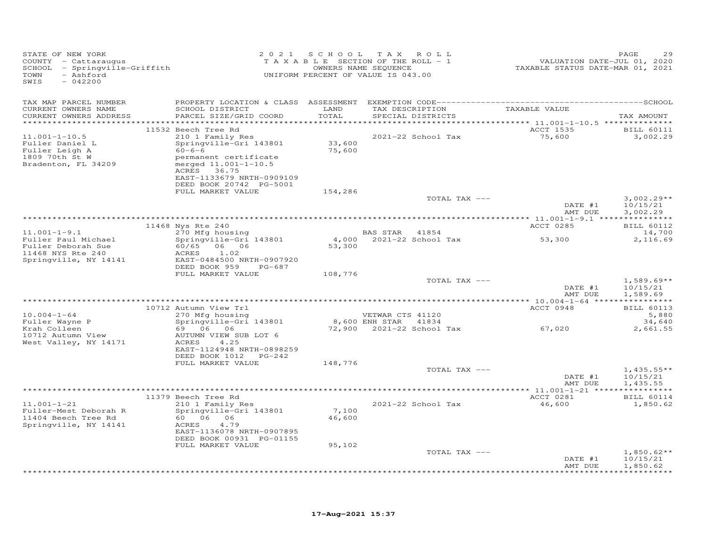| STATE OF NEW YORK<br>COUNTY - Cattaraugus<br>SCHOOL - Springville-Griffith<br>- Ashford<br>TOWN<br>$-042200$<br>SWIS |                                                                                                                                                                                                           |                  | 2021 SCHOOL TAX ROLL<br>TAXABLE SECTION OF THE ROLL - 1<br>OWNERS NAME SEQUENCE<br>UNIFORM PERCENT OF VALUE IS 043.00 | 220<br>VALUATION DATE-JUL 01, 2020<br>TAXABLE STATUS DATE-MAR 01, 2021 | PAGE                                 |
|----------------------------------------------------------------------------------------------------------------------|-----------------------------------------------------------------------------------------------------------------------------------------------------------------------------------------------------------|------------------|-----------------------------------------------------------------------------------------------------------------------|------------------------------------------------------------------------|--------------------------------------|
| TAX MAP PARCEL NUMBER<br>CURRENT OWNERS NAME<br>CURRENT OWNERS ADDRESS<br>************************                   | SCHOOL DISTRICT<br>PARCEL SIZE/GRID COORD                                                                                                                                                                 | LAND<br>TOTAL    | TAX DESCRIPTION<br>SPECIAL DISTRICTS                                                                                  | TAXABLE VALUE                                                          | TAX AMOUNT                           |
| $11.001 - 1 - 10.5$<br>Fuller Daniel L<br>Fuller Leigh A<br>1809 70th St W<br>Bradenton, FL 34209                    | 11532 Beech Tree Rd<br>210 1 Family Res<br>Springville-Gri 143801<br>$60 - 6 - 6$<br>permanent certificate<br>merged 11.001-1-10.5<br>ACRES 36.75<br>EAST-1133679 NRTH-0909109<br>DEED BOOK 20742 PG-5001 | 33,600<br>75,600 | 2021-22 School Tax                                                                                                    | ACCT 1535<br>75,600                                                    | <b>BILL 60111</b><br>3,002.29        |
|                                                                                                                      | FULL MARKET VALUE                                                                                                                                                                                         | 154,286          | TOTAL TAX ---                                                                                                         | DATE #1<br>AMT DUE                                                     | $3,002.29**$<br>10/15/21<br>3,002.29 |
|                                                                                                                      |                                                                                                                                                                                                           |                  |                                                                                                                       |                                                                        |                                      |
|                                                                                                                      | 11468 Nys Rte 240                                                                                                                                                                                         |                  |                                                                                                                       | ACCT 0285                                                              | <b>BILL 60112</b>                    |
| $11.001 - 1 - 9.1$<br>Fuller Paul Michael<br>Fuller Deborah Sue<br>11468 NYS Rte 240<br>Springville, NY 14141        | 270 Mfg housing<br>Springville-Gri 143801<br>60/65 06 06<br>ACRES<br>1.02<br>EAST-0484500 NRTH-0907920<br>DEED BOOK 959 PG-687                                                                            | 53,300           | BAS STAR 41854<br>4,000 2021-22 School Tax                                                                            | 53,300                                                                 | 14,700<br>2,116.69                   |
|                                                                                                                      | FULL MARKET VALUE                                                                                                                                                                                         | 108,776          |                                                                                                                       |                                                                        |                                      |
|                                                                                                                      |                                                                                                                                                                                                           |                  | TOTAL TAX ---                                                                                                         | DATE #1<br>AMT DUE                                                     | $1,589.69**$<br>10/15/21<br>1,589.69 |
|                                                                                                                      |                                                                                                                                                                                                           |                  |                                                                                                                       |                                                                        |                                      |
| $10.004 - 1 - 64$<br>Fuller Wayne P                                                                                  | 10712 Autumn View Trl<br>270 Mfg housing<br>Springville-Gri 143801                                                                                                                                        |                  | VETWAR CTS 41120<br>8,600 ENH STAR 41834                                                                              | ACCT 0948                                                              | <b>BILL 60113</b><br>5,880<br>34,640 |
| Krah Colleen<br>10712 Autumn View<br>West Valley, NY 14171                                                           | 69 06 06 07<br>AUTUMN VIEW SUB LOT 6<br>ACRES<br>4.25<br>EAST-1124948 NRTH-0898259<br>DEED BOOK 1012 PG-242                                                                                               |                  | 72,900 2021-22 School Tax 67,020                                                                                      |                                                                        | 2,661.55                             |
|                                                                                                                      | FULL MARKET VALUE                                                                                                                                                                                         | 148,776          |                                                                                                                       |                                                                        |                                      |
|                                                                                                                      |                                                                                                                                                                                                           |                  | TOTAL TAX ---                                                                                                         | DATE #1<br>AMT DUE                                                     | $1,435.55**$<br>10/15/21<br>1,435.55 |
|                                                                                                                      |                                                                                                                                                                                                           |                  |                                                                                                                       |                                                                        |                                      |
| $11.001 - 1 - 21$<br>Fuller-Mest Deborah R<br>11404 Beech Tree Rd<br>Springville, NY 14141                           | 11379 Beech Tree Rd<br>$210$ 1 Family Res<br>Springville-Gri 143801<br>60 06 06<br>ACRES<br>4.79<br>EAST-1136078 NRTH-0907895<br>DEED BOOK 00931 PG-01155                                                 | 7,100<br>46,600  | 2021-22 School Tax                                                                                                    | ACCT 0281<br>46,600                                                    | <b>BILL 60114</b><br>1,850.62        |
|                                                                                                                      | FULL MARKET VALUE                                                                                                                                                                                         | 95,102           | TOTAL TAX ---                                                                                                         |                                                                        | $1,850.62**$                         |
|                                                                                                                      |                                                                                                                                                                                                           |                  |                                                                                                                       | DATE #1<br>AMT DUE                                                     | 10/15/21<br>1,850.62                 |
|                                                                                                                      |                                                                                                                                                                                                           |                  |                                                                                                                       |                                                                        | * * * * * * * * * * *                |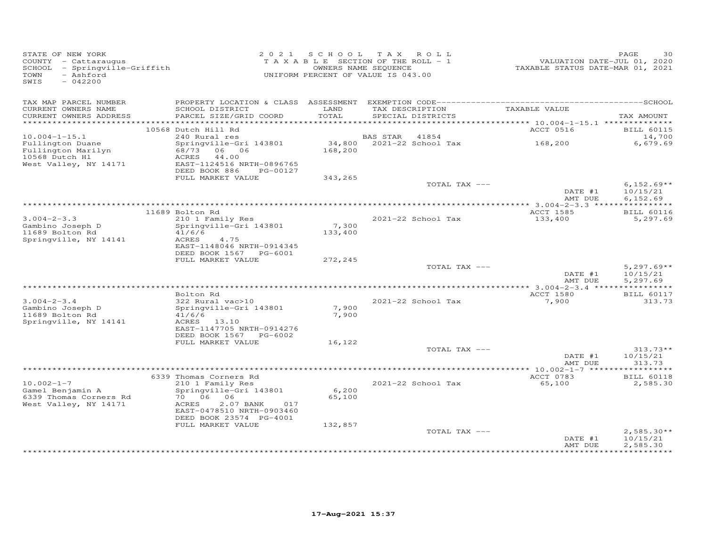| STATE OF NEW YORK<br>COUNTY - Cattaraugus<br>SCHOOL - Springville-Griffith<br>- Ashford<br>TOWN<br>SWIS<br>$-042200$ |                                                                             |                | 2021 SCHOOL TAX ROLL<br>TAXABLE SECTION OF THE ROLL - 1<br>OWNERS NAME SEQUENCE<br>UNIFORM PERCENT OF VALUE IS 043.00 | VALUATION DATE-JUL 01, 2020<br>TAXABLE STATUS DATE-MAR 01, 2021 | PAGE<br>30                           |
|----------------------------------------------------------------------------------------------------------------------|-----------------------------------------------------------------------------|----------------|-----------------------------------------------------------------------------------------------------------------------|-----------------------------------------------------------------|--------------------------------------|
| TAX MAP PARCEL NUMBER                                                                                                |                                                                             |                |                                                                                                                       |                                                                 |                                      |
| CURRENT OWNERS NAME<br>CURRENT OWNERS ADDRESS                                                                        | SCHOOL DISTRICT<br>PARCEL SIZE/GRID COORD                                   | LAND<br>TOTAL  | TAX DESCRIPTION<br>SPECIAL DISTRICTS                                                                                  | TAXABLE VALUE                                                   | TAX AMOUNT                           |
|                                                                                                                      |                                                                             |                |                                                                                                                       |                                                                 |                                      |
|                                                                                                                      | 10568 Dutch Hill Rd                                                         |                |                                                                                                                       | ACCT 0516                                                       | <b>BILL 60115</b>                    |
| $10.004 - 1 - 15.1$                                                                                                  | 240 Rural res                                                               |                | <b>BAS STAR</b><br>41854                                                                                              |                                                                 | 14,700                               |
| Fullington Duane<br>Fullington Marilyn<br>10568 Dutch Hl                                                             | Springville-Gri 143801<br>68/73 06 06<br>ACRES<br>44.00                     | 168,200        | 34,800 2021-22 School Tax                                                                                             | 168,200                                                         | 6,679.69                             |
| West Valley, NY 14171                                                                                                | EAST-1124516 NRTH-0896765<br>DEED BOOK 886<br>PG-00127<br>FULL MARKET VALUE | 343,265        |                                                                                                                       |                                                                 |                                      |
|                                                                                                                      |                                                                             |                | TOTAL TAX ---                                                                                                         | DATE #1                                                         | $6,152.69**$<br>10/15/21<br>6,152.69 |
|                                                                                                                      |                                                                             |                |                                                                                                                       | AMT DUE                                                         |                                      |
|                                                                                                                      | 11689 Bolton Rd                                                             |                |                                                                                                                       | ACCT 1585                                                       | <b>BILL 60116</b>                    |
| $3.004 - 2 - 3.3$<br>Gambino Joseph D                                                                                | 210 1 Family Res<br>Springville-Gri 143801                                  | 7,300          | 2021-22 School Tax                                                                                                    | 133,400                                                         | 5,297.69                             |
| 11689 Bolton Rd<br>Springville, NY 14141                                                                             | 41/6/6<br>ACRES<br>4.75<br>EAST-1148046 NRTH-0914345                        | 133,400        |                                                                                                                       |                                                                 |                                      |
|                                                                                                                      | DEED BOOK 1567 PG-6001<br>FULL MARKET VALUE                                 | 272,245        |                                                                                                                       |                                                                 |                                      |
|                                                                                                                      |                                                                             |                | TOTAL TAX ---                                                                                                         | DATE #1                                                         | $5,297.69**$<br>10/15/21             |
|                                                                                                                      |                                                                             |                |                                                                                                                       | AMT DUE                                                         | 5,297.69                             |
|                                                                                                                      | Bolton Rd                                                                   |                |                                                                                                                       | <b>ACCT 1580</b>                                                | <b>BILL 60117</b>                    |
| $3.004 - 2 - 3.4$                                                                                                    | 322 Rural vac>10                                                            |                | 2021-22 School Tax                                                                                                    | 7,900                                                           | 313.73                               |
| Gambino Joseph D<br>11689 Bolton Rd                                                                                  | Springville-Gri 143801<br>41/6/6                                            | 7,900<br>7,900 |                                                                                                                       |                                                                 |                                      |
| Springville, NY 14141                                                                                                | ACRES 13.10<br>EAST-1147705 NRTH-0914276<br>DEED BOOK 1567 PG-6002          |                |                                                                                                                       |                                                                 |                                      |
|                                                                                                                      | FULL MARKET VALUE                                                           | 16,122         |                                                                                                                       |                                                                 |                                      |
|                                                                                                                      |                                                                             |                | TOTAL TAX ---                                                                                                         |                                                                 | $313.73**$                           |
|                                                                                                                      |                                                                             |                |                                                                                                                       | DATE #1<br>AMT DUE                                              | 10/15/21<br>313.73<br>*********      |
|                                                                                                                      | 6339 Thomas Corners Rd                                                      |                |                                                                                                                       | ACCT 0783                                                       | <b>BILL 60118</b>                    |
| $10.002 - 1 - 7$<br>Gamel Benjamin A                                                                                 | 210 1 Family Res<br>Springville-Gri 143801                                  | 6,200          | 2021-22 School Tax                                                                                                    | 65,100                                                          | 2,585.30                             |
| 6339 Thomas Corners Rd<br>West Valley, NY 14171                                                                      | 70 06 06<br>ACRES<br>2.07 BANK<br>017<br>EAST-0478510 NRTH-0903460          | 65,100         |                                                                                                                       |                                                                 |                                      |
|                                                                                                                      | DEED BOOK 23574 PG-4001                                                     |                |                                                                                                                       |                                                                 |                                      |
|                                                                                                                      | FULL MARKET VALUE                                                           | 132,857        |                                                                                                                       |                                                                 |                                      |
|                                                                                                                      |                                                                             |                | TOTAL TAX ---                                                                                                         | DATE #1<br>AMT DUE                                              | $2,585.30**$<br>10/15/21<br>2,585.30 |
|                                                                                                                      |                                                                             |                |                                                                                                                       |                                                                 |                                      |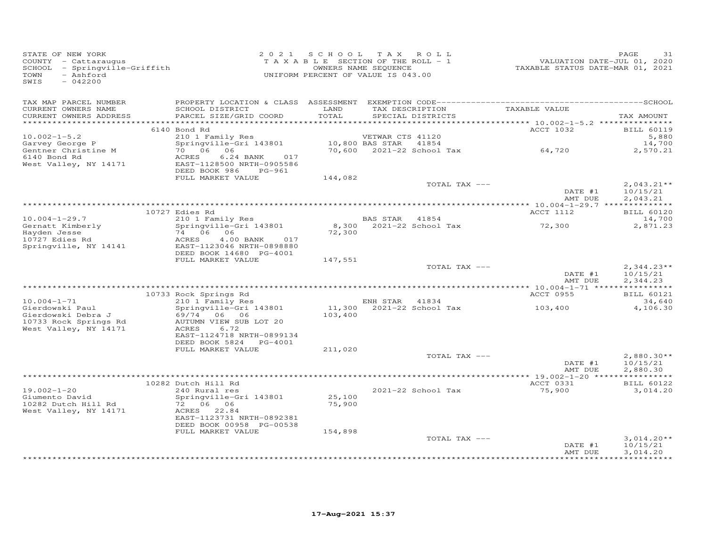| STATE OF NEW YORK<br>COUNTY - Cattaraugus<br>SCHOOL - Springville-Griffith<br>TOWN<br>- Ashford<br>SWIS<br>$-042200$ |                                                                                                 |                  | 2021 SCHOOL TAX ROLL<br>T A X A B L E SECTION OF THE ROLL - 1<br>OWNERS NAME SEQUENCE<br>UNIFORM PERCENT OF VALUE IS 043.00 |               | 1.54 rAD<br>VALUATION DATE-JUL 01, 2020<br>TAXABLE STATUS DATE-MAR 01, 2021 | PAGE<br>31                           |
|----------------------------------------------------------------------------------------------------------------------|-------------------------------------------------------------------------------------------------|------------------|-----------------------------------------------------------------------------------------------------------------------------|---------------|-----------------------------------------------------------------------------|--------------------------------------|
| TAX MAP PARCEL NUMBER<br>CURRENT OWNERS NAME                                                                         | SCHOOL DISTRICT                                                                                 | LAND             |                                                                                                                             |               | TAX DESCRIPTION TAXABLE VALUE                                               |                                      |
| CURRENT OWNERS ADDRESS                                                                                               | PARCEL SIZE/GRID COORD                                                                          | TOTAL            | SPECIAL DISTRICTS                                                                                                           |               |                                                                             | TAX AMOUNT                           |
|                                                                                                                      | 6140 Bond Rd                                                                                    |                  |                                                                                                                             |               | ACCT 1032                                                                   | <b>BILL 60119</b>                    |
| $10.002 - 1 - 5.2$<br>Garvey George P<br>Gentner Christine M<br>6140 Bond Rd                                         | 210 1 Family Res<br>Springville-Gri 143801<br>70 06 06<br>ACRES<br>$6.24$ BANK<br>017           |                  | VETWAR CTS 41120<br>10,800 BAS STAR 41854<br>70.600 2021-22 School                                                          |               | 10,000 BAS SIAR 41054<br>70,600 2021-22 School Tax 64,720                   | 5,880<br>14,700<br>2,570.21          |
| West Valley, NY 14171                                                                                                | EAST-1128500 NRTH-0905586<br>DEED BOOK 986 PG-961<br>FULL MARKET VALUE                          | 144,082          |                                                                                                                             |               |                                                                             |                                      |
|                                                                                                                      |                                                                                                 |                  |                                                                                                                             | TOTAL TAX --- | DATE #1<br>AMT DUE                                                          | $2,043.21**$<br>10/15/21<br>2,043.21 |
|                                                                                                                      |                                                                                                 |                  |                                                                                                                             |               |                                                                             |                                      |
| $10.004 - 1 - 29.7$                                                                                                  | 10727 Edies Rd<br>210 1 Family Res                                                              |                  | BAS STAR 41854                                                                                                              |               | ACCT 1112                                                                   | <b>BILL 60120</b><br>14,700          |
| Gernatt Kimberly<br>Hayden Jesse<br>10727 Edies Rd                                                                   | Springville-Gri 143801<br>74 06 06<br>ACRES<br>4.00 BANK 017                                    | 72,300           | 8,300 2021-22 School Tax                                                                                                    |               | 72,300                                                                      | 2,871.23                             |
| Springville, NY 14141                                                                                                | EAST-1123046 NRTH-0898880<br>DEED BOOK 14680 PG-4001                                            |                  |                                                                                                                             |               |                                                                             |                                      |
|                                                                                                                      | FULL MARKET VALUE                                                                               | 147,551          |                                                                                                                             | TOTAL TAX --- |                                                                             | $2,344.23**$                         |
|                                                                                                                      |                                                                                                 |                  |                                                                                                                             |               | DATE #1<br>AMT DUE                                                          | 10/15/21<br>2,344.23                 |
|                                                                                                                      | 10733 Rock Springs Rd                                                                           |                  |                                                                                                                             |               | ACCT 0955                                                                   | <b>BILL 60121</b>                    |
| $10.004 - 1 - 71$                                                                                                    | 210 1 Family Res                                                                                |                  | ENH STAR 41834<br>11,300 2021-22 School Tax                                                                                 |               |                                                                             | 34,640                               |
| Gierdowski Paul<br>Gierdowski Debra J<br>10733 Rock Springs Rd                                                       | Springville-Gri 143801<br>69/74 06 06<br>AUTUMN VIEW SUB LOT 20                                 | 103,400          |                                                                                                                             |               | 103,400                                                                     | 4,106.30                             |
| West Valley, NY 14171                                                                                                | ACRES<br>6.72<br>EAST-1124718 NRTH-0899134<br>DEED BOOK 5824 PG-4001<br>FULL MARKET VALUE       | 211,020          |                                                                                                                             |               |                                                                             |                                      |
|                                                                                                                      |                                                                                                 |                  |                                                                                                                             | TOTAL TAX --- |                                                                             | $2,880.30**$                         |
|                                                                                                                      |                                                                                                 |                  |                                                                                                                             |               | DATE #1<br>AMT DUE                                                          | 10/15/21<br>2,880.30                 |
|                                                                                                                      | 10282 Dutch Hill Rd                                                                             |                  |                                                                                                                             |               | ACCT 0331                                                                   | <b>BILL 60122</b>                    |
| $19.002 - 1 - 20$<br>Giumento David<br>10282 Dutch Hill Rd<br>West Valley, NY 14171                                  | 240 Rural res<br>Springville-Gri 143801<br>72 06 06<br>ACRES 22.84<br>EAST-1123731 NRTH-0892381 | 25,100<br>75,900 | 2021-22 School Tax                                                                                                          |               | 75,900                                                                      | 3,014.20                             |
|                                                                                                                      | DEED BOOK 00958 PG-00538                                                                        |                  |                                                                                                                             |               |                                                                             |                                      |
|                                                                                                                      | FULL MARKET VALUE                                                                               | 154,898          |                                                                                                                             | TOTAL TAX --- | DATE #1<br>AMT DUE                                                          | $3,014.20**$<br>10/15/21<br>3,014.20 |
|                                                                                                                      |                                                                                                 |                  |                                                                                                                             |               |                                                                             | * * * * * * * * * * * *              |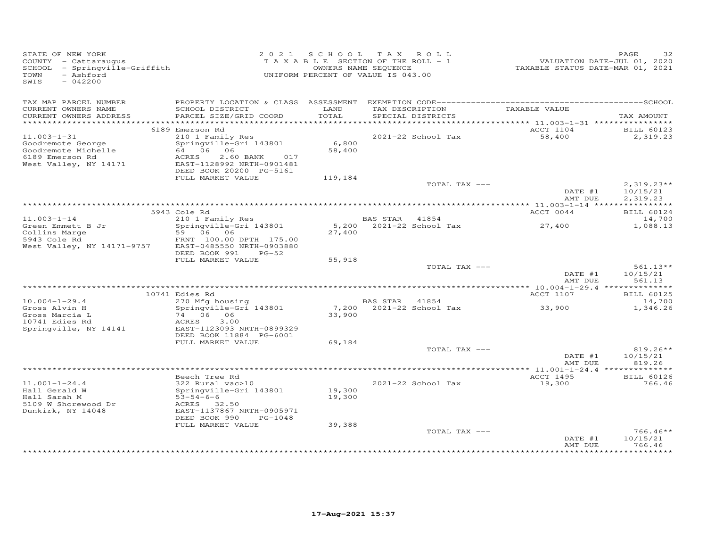| STATE OF NEW YORK<br>COUNTY - Cattaraugus<br>SCHOOL - Springville-Griffith<br>- Ashford<br>TOWN<br>$-042200$<br>SWIS |                                                                                           |                 | 2021 SCHOOL TAX ROLL<br>T A X A B L E SECTION OF THE ROLL - 1<br>OWNERS NAME SEQUENCE<br>UNIFORM PERCENT OF VALUE IS 043.00 |                    | 32<br>PAGE                  |
|----------------------------------------------------------------------------------------------------------------------|-------------------------------------------------------------------------------------------|-----------------|-----------------------------------------------------------------------------------------------------------------------------|--------------------|-----------------------------|
| TAX MAP PARCEL NUMBER<br>CURRENT OWNERS NAME<br>CURRENT OWNERS ADDRESS                                               | SCHOOL DISTRICT<br>PARCEL SIZE/GRID COORD                                                 | LAND<br>TOTAL   | TAX DESCRIPTION TAXABLE VALUE<br>SPECIAL DISTRICTS                                                                          |                    | TAX AMOUNT                  |
|                                                                                                                      |                                                                                           |                 |                                                                                                                             |                    |                             |
|                                                                                                                      | 6189 Emerson Rd                                                                           |                 |                                                                                                                             | ACCT 1104          | <b>BILL 60123</b>           |
| $11.003 - 1 - 31$                                                                                                    | 210 1 Family Res                                                                          |                 | 2021-22 School Tax                                                                                                          | 58,400             | 2,319.23                    |
| Goodremote George<br>Goodremote Michelle<br>6189 Emerson Rd<br>West Valley, NY 14171                                 | Springville-Gri 143801<br>64 06 06<br>ACRES<br>2.60 BANK 017<br>EAST-1128992 NRTH-0901481 | 6,800<br>58,400 |                                                                                                                             |                    |                             |
|                                                                                                                      | DEED BOOK 20200 PG-5161                                                                   |                 |                                                                                                                             |                    |                             |
|                                                                                                                      | FULL MARKET VALUE                                                                         | 119,184         | TOTAL TAX ---                                                                                                               |                    | $2,319.23**$                |
|                                                                                                                      |                                                                                           |                 |                                                                                                                             | DATE #1<br>AMT DUE | 10/15/21<br>2,319.23        |
|                                                                                                                      |                                                                                           |                 |                                                                                                                             |                    |                             |
|                                                                                                                      | 5943 Cole Rd                                                                              |                 |                                                                                                                             | ACCT 0044          | <b>BILL 60124</b>           |
| $11.003 - 1 - 14$                                                                                                    | Cole nu<br>210 1 Family Res<br>Springville-Gri 143801                                     |                 | BAS STAR 41854                                                                                                              |                    | 14,700                      |
| Green Emmett B Jr<br>Collins Marge                                                                                   | 59 06 06                                                                                  | 27,400          | 5,200 2021-22 School Tax                                                                                                    | 27,400             | 1,088.13                    |
| 5943 Cole Rd<br>West Valley, NY 14171-9757 EAST-0485550 NRTH-0903880                                                 | FRNT 100.00 DPTH 175.00                                                                   |                 |                                                                                                                             |                    |                             |
|                                                                                                                      | DEED BOOK 991<br>PG-52<br>FULL MARKET VALUE                                               | 55,918          |                                                                                                                             |                    |                             |
|                                                                                                                      |                                                                                           |                 | TOTAL TAX ---                                                                                                               |                    | $561.13**$                  |
|                                                                                                                      |                                                                                           |                 |                                                                                                                             | DATE #1<br>AMT DUE | 10/15/21<br>561.13          |
|                                                                                                                      |                                                                                           |                 |                                                                                                                             |                    |                             |
|                                                                                                                      | 10741 Edies Rd                                                                            |                 |                                                                                                                             | ACCT 1107          | <b>BILL 60125</b>           |
| $10.004 - 1 - 29.4$                                                                                                  | 270 Mfg housing                                                                           |                 | BAS STAR 41854                                                                                                              |                    | 14,700                      |
| Gross Alvin H<br>Gross Marcia L                                                                                      | Springville-Gri 143801<br>74 06 06                                                        | 33,900          | 7,200 2021-22 School Tax                                                                                                    | 33,900             | 1,346.26                    |
| 10741 Edies Rd                                                                                                       | 3.00<br>ACRES                                                                             |                 |                                                                                                                             |                    |                             |
| Springville, NY 14141                                                                                                | EAST-1123093 NRTH-0899329<br>DEED BOOK 11884 PG-6001                                      |                 |                                                                                                                             |                    |                             |
|                                                                                                                      | FULL MARKET VALUE                                                                         | 69,184          |                                                                                                                             |                    |                             |
|                                                                                                                      |                                                                                           |                 | TOTAL TAX ---                                                                                                               |                    | $819.26**$                  |
|                                                                                                                      |                                                                                           |                 |                                                                                                                             | DATE #1            | 10/15/21                    |
|                                                                                                                      |                                                                                           |                 |                                                                                                                             | AMT DUE            | 819.26                      |
|                                                                                                                      | Beech Tree Rd                                                                             |                 |                                                                                                                             | ACCT 1495          |                             |
| $11.001 - 1 - 24.4$                                                                                                  | 322 Rural vac>10                                                                          |                 | 2021-22 School Tax                                                                                                          | 19,300             | <b>BILL 60126</b><br>766.46 |
| Hall Gerald W                                                                                                        | Springville-Gri 143801                                                                    | 19,300          |                                                                                                                             |                    |                             |
| Hall Sarah M                                                                                                         | $53 - 54 - 6 - 6$                                                                         | 19,300          |                                                                                                                             |                    |                             |
| 5109 W Shorewood Dr<br>Dunkirk, NY 14048                                                                             | ACRES 32.50<br>EAST-1137867 NRTH-0905971                                                  |                 |                                                                                                                             |                    |                             |
|                                                                                                                      | DEED BOOK 990<br>PG-1048                                                                  |                 |                                                                                                                             |                    |                             |
|                                                                                                                      | FULL MARKET VALUE                                                                         | 39,388          |                                                                                                                             |                    |                             |
|                                                                                                                      |                                                                                           |                 | TOTAL TAX ---                                                                                                               |                    | $766.46**$                  |
|                                                                                                                      |                                                                                           |                 |                                                                                                                             | DATE #1<br>AMT DUE | 10/15/21<br>766.46          |
|                                                                                                                      |                                                                                           |                 |                                                                                                                             |                    |                             |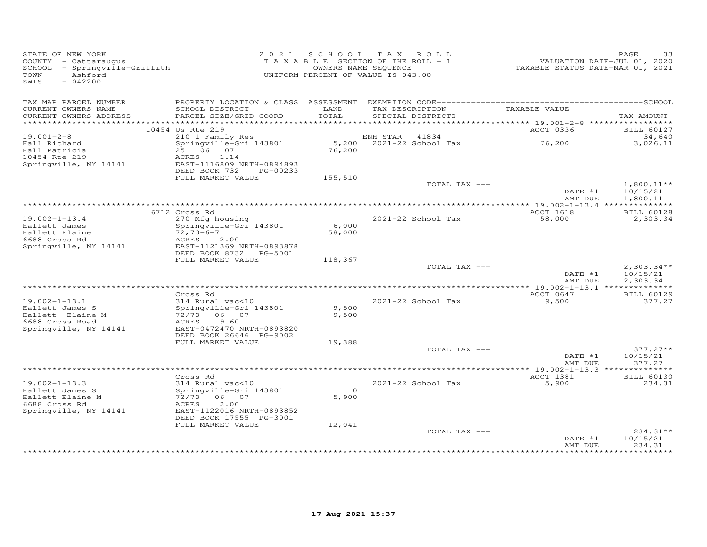| STATE OF NEW YORK<br>COUNTY - Cattaraugus<br>SCHOOL - Springville-Griffith<br>- Ashford<br>TOWN<br>SWIS<br>$-042200$ |                                                                                                                                         | 2021 SCHOOL TAX ROLL<br>TAXABLE SECTION OF THE ROLL - 1<br>UNIFORM PERCENT OF VALUE IS 043.00 | OWNERS NAME SEQUENCE |                                      | VALUATION DATE-JUL 01, 2020<br>TAXABLE STATUS DATE-MAR 01, 2021 | PAGE<br>33                           |
|----------------------------------------------------------------------------------------------------------------------|-----------------------------------------------------------------------------------------------------------------------------------------|-----------------------------------------------------------------------------------------------|----------------------|--------------------------------------|-----------------------------------------------------------------|--------------------------------------|
| TAX MAP PARCEL NUMBER<br>CURRENT OWNERS NAME<br>CURRENT OWNERS ADDRESS                                               | SCHOOL DISTRICT<br>PARCEL SIZE/GRID COORD                                                                                               | LAND<br>TOTAL                                                                                 |                      | TAX DESCRIPTION<br>SPECIAL DISTRICTS | TAXABLE VALUE                                                   | TAX AMOUNT                           |
|                                                                                                                      | *************                                                                                                                           |                                                                                               |                      |                                      | ********** 19.001-2-8 ******************                        |                                      |
| $19.001 - 2 - 8$                                                                                                     | 10454 Us Rte 219<br>210 1 Family Res                                                                                                    |                                                                                               | ENH STAR             | 41834                                | ACCT 0336                                                       | <b>BILL 60127</b><br>34,640          |
| Hall Richard<br>Hall Patricia<br>10454 Rte 219<br>Springville, NY 14141                                              | Springville-Gri 143801<br>25 06 07<br>ACRES<br>1.14<br>EAST-1116809 NRTH-0894893<br>DEED BOOK 732<br>PG-00233                           | 76,200                                                                                        |                      | 5,200 2021-22 School Tax             | 76,200                                                          | 3,026.11                             |
|                                                                                                                      | FULL MARKET VALUE                                                                                                                       | 155,510                                                                                       |                      |                                      |                                                                 |                                      |
|                                                                                                                      |                                                                                                                                         |                                                                                               |                      | TOTAL TAX ---                        | DATE #1<br>AMT DUE                                              | $1,800.11**$<br>10/15/21<br>1,800.11 |
|                                                                                                                      |                                                                                                                                         |                                                                                               |                      |                                      |                                                                 |                                      |
|                                                                                                                      | 6712 Cross Rd                                                                                                                           |                                                                                               |                      |                                      | ACCT 1618                                                       | <b>BILL 60128</b>                    |
| $19.002 - 1 - 13.4$<br>Hallett James<br>Hallett Elaine<br>6688 Cross Rd<br>Springville, NY 14141                     | 270 Mfg housing<br>Springville-Gri 143801<br>$72,73-6-7$<br><b>ACRES</b><br>2,00<br>EAST-1121369 NRTH-0893878<br>DEED BOOK 8732 PG-5001 | 6,000<br>58,000                                                                               |                      | 2021-22 School Tax                   | 58,000                                                          | 2,303.34                             |
|                                                                                                                      | FULL MARKET VALUE                                                                                                                       | 118,367                                                                                       |                      |                                      |                                                                 |                                      |
|                                                                                                                      |                                                                                                                                         |                                                                                               |                      | TOTAL TAX ---                        | DATE #1<br>AMT DUE                                              | $2,303.34**$<br>10/15/21<br>2,303.34 |
|                                                                                                                      | Cross Rd                                                                                                                                |                                                                                               |                      |                                      | ACCT 0647                                                       | <b>BILL 60129</b>                    |
| $19.002 - 1 - 13.1$<br>Hallett James S<br>Hallett Elaine M<br>6688 Cross Road                                        | 314 Rural vac<10<br>Springville-Gri 143801<br>72/73 06 07<br>9.60<br>ACRES                                                              | 9,500<br>9,500                                                                                |                      | 2021-22 School Tax                   | 9,500                                                           | 377.27                               |
| Springville, NY 14141                                                                                                | EAST-0472470 NRTH-0893820<br>DEED BOOK 26646 PG-9002                                                                                    |                                                                                               |                      |                                      |                                                                 |                                      |
|                                                                                                                      | FULL MARKET VALUE                                                                                                                       | 19,388                                                                                        |                      |                                      |                                                                 |                                      |
|                                                                                                                      |                                                                                                                                         |                                                                                               |                      | TOTAL TAX ---                        | DATE #1<br>AMT DUE                                              | $377.27**$<br>10/15/21<br>377.27     |
|                                                                                                                      |                                                                                                                                         |                                                                                               |                      |                                      |                                                                 |                                      |
| $19.002 - 1 - 13.3$<br>Hallett James S<br>Hallett Elaine M<br>6688 Cross Rd<br>Springville, NY 14141                 | Cross Rd<br>314 Rural vac<10<br>Springville-Gri 143801<br>72/73 06 07<br>ACRES<br>2,00<br>EAST-1122016 NRTH-0893852                     | $\overline{0}$<br>5,900                                                                       |                      | 2021-22 School Tax                   | ACCT 1381<br>5,900                                              | <b>BILL 60130</b><br>234.31          |
|                                                                                                                      | DEED BOOK 17555 PG-3001                                                                                                                 |                                                                                               |                      |                                      |                                                                 |                                      |
|                                                                                                                      | FULL MARKET VALUE                                                                                                                       | 12,041                                                                                        |                      | TOTAL TAX ---                        | DATE #1                                                         | $234.31**$<br>10/15/21               |
|                                                                                                                      |                                                                                                                                         |                                                                                               |                      |                                      | AMT DUE                                                         | 234.31<br>***********                |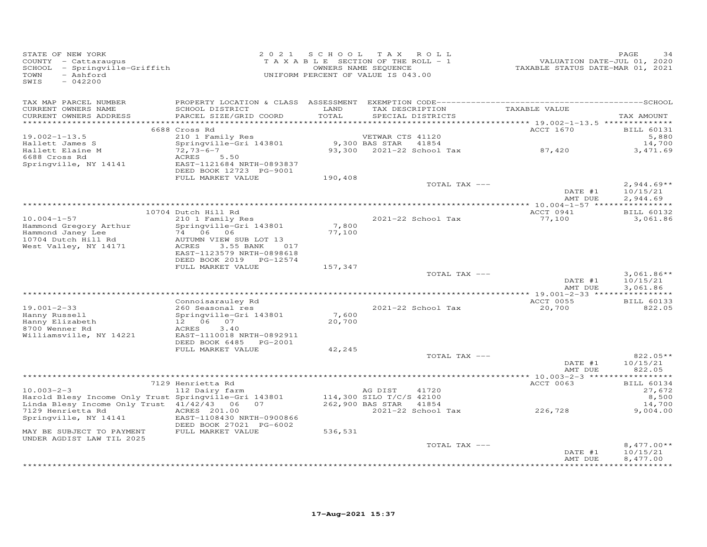| STATE OF NEW YORK<br>COUNTY - Cattaraugus<br>SCHOOL - Springville-Griffith<br>TOWN<br>- Ashford<br>SWIS<br>$-042200$   | 2 0 2 1                                                                                                                 | SCHOOL TAX    | ROLL<br>TAXABLE SECTION OF THE ROLL - 1<br>OWNERS NAME SEQUENCE<br>UNIFORM PERCENT OF VALUE IS 043.00 | VALUATION DATE-JUL 01, 2020<br>TAXABLE STATUS DATE-MAR 01, 2021 | PAGE<br>34                                     |
|------------------------------------------------------------------------------------------------------------------------|-------------------------------------------------------------------------------------------------------------------------|---------------|-------------------------------------------------------------------------------------------------------|-----------------------------------------------------------------|------------------------------------------------|
| TAX MAP PARCEL NUMBER<br>CURRENT OWNERS NAME<br>CURRENT OWNERS ADDRESS<br>**********************                       | SCHOOL DISTRICT<br>PARCEL SIZE/GRID COORD                                                                               | LAND<br>TOTAL | TAX DESCRIPTION<br>SPECIAL DISTRICTS                                                                  | TAXABLE VALUE                                                   | TAX AMOUNT                                     |
|                                                                                                                        | 6688 Cross Rd                                                                                                           |               |                                                                                                       | ACCT 1670                                                       | <b>BILL 60131</b>                              |
| $19.002 - 1 - 13.5$<br>Hallett James S<br>Hallett Elaine M                                                             | 210 1 Family Res<br>Springville-Gri 143801<br>$72,73-6-7$                                                               |               | VETWAR CTS 41120<br>9,300 BAS STAR<br>41854<br>93,300 2021-22 School Tax                              | 87,420                                                          | 5,880<br>14,700<br>3, 471.69                   |
| 6688 Cross Rd<br>Springville, NY 14141                                                                                 | ACRES<br>5.50<br>EAST-1121684 NRTH-0893837<br>DEED BOOK 12723 PG-9001                                                   |               |                                                                                                       |                                                                 |                                                |
|                                                                                                                        | FULL MARKET VALUE                                                                                                       | 190,408       | TOTAL TAX ---                                                                                         |                                                                 | $2,944.69**$                                   |
|                                                                                                                        |                                                                                                                         |               |                                                                                                       | DATE #1<br>AMT DUE                                              | 10/15/21<br>2,944.69                           |
|                                                                                                                        |                                                                                                                         |               |                                                                                                       |                                                                 |                                                |
| $10.004 - 1 - 57$<br>Hammond Gregory Arthur                                                                            | 10704 Dutch Hill Rd<br>210 1 Family Res<br>Springville-Gri 143801                                                       | 7,800         | 2021-22 School Tax                                                                                    | ACCT 0941<br>77,100                                             | <b>BILL 60132</b><br>3,061.86                  |
| Hammond Janey Lee<br>10704 Dutch Hill Rd<br>West Valley, NY 14171                                                      | 74 06 06<br>AUTUMN VIEW SUB LOT 13<br>3.55 BANK<br>ACRES<br>017<br>EAST-1123579 NRTH-0898618<br>DEED BOOK 2019 PG-12574 | 77,100        |                                                                                                       |                                                                 |                                                |
|                                                                                                                        | FULL MARKET VALUE                                                                                                       | 157,347       |                                                                                                       |                                                                 |                                                |
|                                                                                                                        |                                                                                                                         |               | TOTAL TAX ---                                                                                         | DATE #1<br>AMT DUE                                              | $3,061.86**$<br>10/15/21<br>3,061.86           |
|                                                                                                                        |                                                                                                                         |               |                                                                                                       |                                                                 |                                                |
| $19.001 - 2 - 33$<br>Hanny Russell                                                                                     | Connoisarauley Rd<br>260 Seasonal res<br>Springville-Gri 143801                                                         | 7,600         | 2021-22 School Tax                                                                                    | ACCT 0055<br>20,700                                             | <b>BILL 60133</b><br>822.05                    |
| Hanny Elizabeth<br>8700 Wenner Rd<br>Williamsville, NY 14221                                                           | 12  06  07<br>ACRES<br>3.40<br>EAST-1110018 NRTH-0892911<br>DEED BOOK 6485 PG-2001                                      | 20,700        |                                                                                                       |                                                                 |                                                |
|                                                                                                                        | FULL MARKET VALUE                                                                                                       | 42,245        |                                                                                                       |                                                                 |                                                |
|                                                                                                                        |                                                                                                                         |               | TOTAL TAX ---                                                                                         | DATE #1<br>AMT DUE                                              | 822.05**<br>10/15/21<br>822.05                 |
|                                                                                                                        |                                                                                                                         |               |                                                                                                       |                                                                 |                                                |
| $10.003 - 2 - 3$<br>Harold Blesy Income Only Trust Springville-Gri 143801<br>Linda Blesy Income Only Trust 41/42/43 06 | 7129 Henrietta Rd<br>112 Dairy farm<br>07                                                                               |               | AG DIST<br>41720<br>114,300 SILO T/C/S 42100<br>262,900 BAS STAR<br>41854                             | ACCT 0063                                                       | <b>BILL 60134</b><br>27,672<br>8,500<br>14,700 |
| 7129 Henrietta Rd<br>Springville, NY 14141                                                                             | ACRES 201.00<br>EAST-1108430 NRTH-0900866<br>DEED BOOK 27021 PG-6002                                                    |               | 2021-22 School Tax                                                                                    | 226,728                                                         | 9,004.00                                       |
| MAY BE SUBJECT TO PAYMENT<br>UNDER AGDIST LAW TIL 2025                                                                 | FULL MARKET VALUE                                                                                                       | 536,531       |                                                                                                       |                                                                 |                                                |
|                                                                                                                        |                                                                                                                         |               | TOTAL TAX ---                                                                                         | DATE #1                                                         | $8,477.00**$<br>10/15/21                       |
|                                                                                                                        |                                                                                                                         |               |                                                                                                       | AMT DUE                                                         | 8,477.00<br>* * * * * * * * * *                |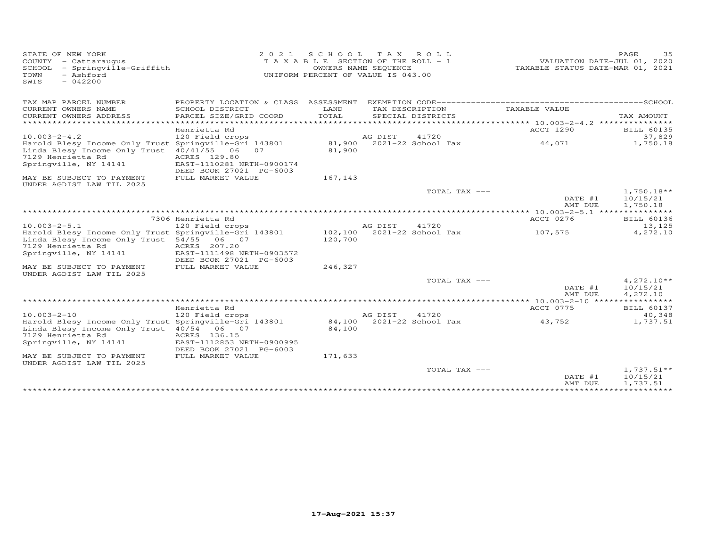| STATE OF NEW YORK<br>COUNTY - Cattaraugus<br>SCHOOL - Springville-Griffith<br>- Ashford<br>TOWN<br>$-042200$<br>SWIS                                      | 2 0 2 1                                                                                                   | S C H O O L<br>T A X A B L E SECTION OF THE ROLL - 1<br>UNIFORM PERCENT OF VALUE IS 043.00 | OWNERS NAME SEQUENCE | TAX ROLL                             | VALUATION DATE-JUL 01, 2020<br>TAXABLE STATUS DATE-MAR 01, 2021 | PAGE                 | 35                 |
|-----------------------------------------------------------------------------------------------------------------------------------------------------------|-----------------------------------------------------------------------------------------------------------|--------------------------------------------------------------------------------------------|----------------------|--------------------------------------|-----------------------------------------------------------------|----------------------|--------------------|
| TAX MAP PARCEL NUMBER                                                                                                                                     | PROPERTY LOCATION & CLASS ASSESSMENT                                                                      |                                                                                            |                      |                                      |                                                                 |                      |                    |
| CURRENT OWNERS NAME<br>CURRENT OWNERS ADDRESS<br>**********************                                                                                   | SCHOOL DISTRICT<br>PARCEL SIZE/GRID COORD                                                                 | LAND<br>TOTAL                                                                              |                      | TAX DESCRIPTION<br>SPECIAL DISTRICTS | TAXABLE VALUE                                                   | TAX AMOUNT           |                    |
|                                                                                                                                                           | Henrietta Rd                                                                                              |                                                                                            |                      |                                      | <b>ACCT 1290</b>                                                |                      | <b>BILL 60135</b>  |
| $10.003 - 2 - 4.2$                                                                                                                                        | 120 Field crops                                                                                           |                                                                                            | AG DIST              | 41720                                |                                                                 |                      | 37,829             |
| Harold Blesy Income Only Trust Springville-Gri 143801<br>Linda Blesy Income Only Trust<br>7129 Henrietta Rd<br>Springville, NY 14141                      | 40/41/55<br>06<br>07<br>ACRES 129.80<br>EAST-1110281 NRTH-0900174<br>DEED BOOK 27021 PG-6003              | 81,900<br>81,900                                                                           |                      | 2021-22 School Tax                   | 44,071                                                          |                      | 1,750.18           |
| MAY BE SUBJECT TO PAYMENT<br>UNDER AGDIST LAW TIL 2025                                                                                                    | FULL MARKET VALUE                                                                                         | 167,143                                                                                    |                      |                                      |                                                                 |                      |                    |
|                                                                                                                                                           |                                                                                                           |                                                                                            |                      | TOTAL TAX ---                        | DATE #1<br>AMT DUE                                              | 10/15/21<br>1,750.18 | $1,750.18**$       |
|                                                                                                                                                           |                                                                                                           |                                                                                            |                      |                                      |                                                                 |                      |                    |
|                                                                                                                                                           | 7306 Henrietta Rd                                                                                         |                                                                                            |                      |                                      | ACCT 0276                                                       |                      | <b>BILL 60136</b>  |
| $10.003 - 2 - 5.1$                                                                                                                                        | 120 Field crops                                                                                           |                                                                                            | AG DIST              | 41720                                |                                                                 |                      | 13,125             |
| Harold Blesy Income Only Trust Springville-Gri 143801<br>Linda Blesy Income Only Trust 54/55<br>7129 Henrietta Rd<br>Springville, NY 14141                | 06 07<br>ACRES 207.20<br>EAST-1111498 NRTH-0903572<br>DEED BOOK 27021 PG-6003                             | 102,100<br>120,700                                                                         |                      | 2021-22 School Tax                   | 107,575                                                         |                      | 4,272.10           |
| MAY BE SUBJECT TO PAYMENT<br>UNDER AGDIST LAW TIL 2025                                                                                                    | FULL MARKET VALUE                                                                                         | 246,327                                                                                    |                      |                                      |                                                                 |                      |                    |
|                                                                                                                                                           |                                                                                                           |                                                                                            |                      | TOTAL TAX ---                        | DATE #1<br>AMT DUE                                              | 10/15/21<br>4,272.10 | $4,272.10**$       |
|                                                                                                                                                           |                                                                                                           |                                                                                            |                      |                                      | ******** 10.003-2-10 *****                                      | ***********          |                    |
|                                                                                                                                                           | Henrietta Rd                                                                                              |                                                                                            |                      |                                      | ACCT 0775                                                       |                      | <b>BILL 60137</b>  |
| $10.003 - 2 - 10$<br>Harold Blesy Income Only Trust Springville-Gri 143801<br>Linda Blesy Income Only Trust<br>7129 Henrietta Rd<br>Springville, NY 14141 | 120 Field crops<br>40/54<br>06 07<br>ACRES 136.15<br>EAST-1112853 NRTH-0900995<br>DEED BOOK 27021 PG-6003 | 84,100                                                                                     | AG DIST              | 41720<br>84,100 2021-22 School Tax   | 43,752                                                          |                      | 40,348<br>1,737.51 |
| MAY BE SUBJECT TO PAYMENT<br>UNDER AGDIST LAW TIL 2025                                                                                                    | FULL MARKET VALUE                                                                                         | 171,633                                                                                    |                      |                                      |                                                                 |                      |                    |
|                                                                                                                                                           |                                                                                                           |                                                                                            |                      | TOTAL TAX ---                        | DATE #1<br>AMT DUE                                              | 10/15/21<br>1,737.51 | $1,737.51**$       |
|                                                                                                                                                           |                                                                                                           |                                                                                            |                      |                                      |                                                                 |                      |                    |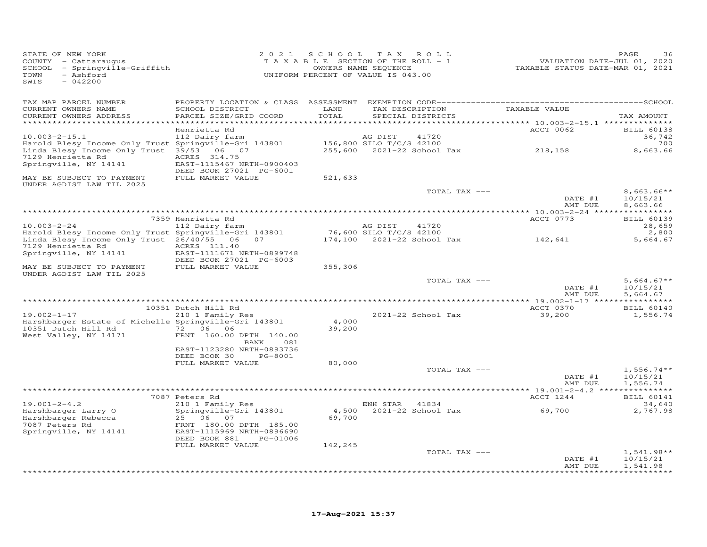| STATE OF NEW YORK<br>COUNTY - Cattaraugus<br>SCHOOL - Springville-Griffith<br>- Ashford<br>TOWN<br>SWIS<br>$-042200$ |                                                         | 2021 SCHOOL | TAX ROLL<br>TAXABLE SECTION OF THE ROLL - 1<br>OWNERS NAME SEQUENCE<br>UNIFORM PERCENT OF VALUE IS 043.00 | VALUATION DATE-JUL 01, 2020<br>TAXABLE STATUS DATE-MAR 01, 2021 | PAGE                          |
|----------------------------------------------------------------------------------------------------------------------|---------------------------------------------------------|-------------|-----------------------------------------------------------------------------------------------------------|-----------------------------------------------------------------|-------------------------------|
| TAX MAP PARCEL NUMBER<br>CURRENT OWNERS NAME                                                                         | PROPERTY LOCATION & CLASS ASSESSMENT<br>SCHOOL DISTRICT | LAND        | TAX DESCRIPTION                                                                                           | TAXABLE VALUE                                                   |                               |
| CURRENT OWNERS ADDRESS                                                                                               | PARCEL SIZE/GRID COORD                                  | TOTAL       | SPECIAL DISTRICTS                                                                                         |                                                                 | TAX AMOUNT                    |
| *********************                                                                                                | *************************************<br>Henrietta Rd   |             |                                                                                                           | ACCT 0062                                                       | <b>BILL 60138</b>             |
| $10.003 - 2 - 15.1$                                                                                                  | 112 Dairy farm                                          |             | 41720<br>AG DIST                                                                                          |                                                                 | 36,742                        |
| Harold Blesy Income Only Trust Springville-Gri 143801<br>Linda Blesy Income Only Trust 39/53 06 07                   |                                                         |             | 156,800 SILO T/C/S 42100<br>255,600 2021-22 School Tax                                                    | 218,158                                                         | 700<br>8,663.66               |
| 7129 Henrietta Rd<br>Springville, NY 14141                                                                           | ACRES 314.75<br>EAST-1115467 NRTH-0900403               |             |                                                                                                           |                                                                 |                               |
| MAY BE SUBJECT TO PAYMENT<br>UNDER AGDIST LAW TIL 2025                                                               | DEED BOOK 27021 PG-6001<br>FULL MARKET VALUE            | 521,633     |                                                                                                           |                                                                 |                               |
|                                                                                                                      |                                                         |             | TOTAL TAX ---                                                                                             |                                                                 | $8,663.66**$<br>10/15/21      |
|                                                                                                                      |                                                         |             |                                                                                                           | DATE #1<br>AMT DUE                                              | 8,663.66                      |
|                                                                                                                      |                                                         |             |                                                                                                           |                                                                 |                               |
| $10.003 - 2 - 24$                                                                                                    | 7359 Henrietta Rd<br>112 Dairy farm                     |             | AG DIST<br>41720                                                                                          | ACCT 0773                                                       | <b>BILL 60139</b><br>28,659   |
| Harold Blesy Income Only Trust Springville-Gri 143801                                                                |                                                         |             | 76,600 SILO T/C/S 42100                                                                                   |                                                                 | 2,800                         |
| Linda Blesy Income Only Trust 26/40/55 06<br>7129 Henrietta Rd                                                       | 07<br>ACRES 111.40                                      |             | 174,100 2021-22 School Tax                                                                                | 142,641                                                         | 5,664.67                      |
| Springville, NY 14141                                                                                                | EAST-1111671 NRTH-0899748                               |             |                                                                                                           |                                                                 |                               |
| MAY BE SUBJECT TO PAYMENT                                                                                            | DEED BOOK 27021 PG-6003<br>FULL MARKET VALUE            | 355,306     |                                                                                                           |                                                                 |                               |
| UNDER AGDIST LAW TIL 2025                                                                                            |                                                         |             |                                                                                                           |                                                                 |                               |
|                                                                                                                      |                                                         |             | TOTAL TAX ---                                                                                             |                                                                 | $5,664.67**$                  |
|                                                                                                                      |                                                         |             |                                                                                                           | DATE #1<br>AMT DUE                                              | 10/15/21<br>5,664.67          |
|                                                                                                                      |                                                         |             |                                                                                                           |                                                                 |                               |
| $19.002 - 1 - 17$                                                                                                    | 10351 Dutch Hill Rd<br>210 1 Family Res                 |             | 2021-22 School Tax                                                                                        | ACCT 0370<br>39,200                                             | <b>BILL 60140</b><br>1,556.74 |
| Harshbarger Estate of Michelle Springville-Gri 143801                                                                |                                                         | 4,000       |                                                                                                           |                                                                 |                               |
| 10351 Dutch Hill Rd<br>West Valley, NY 14171                                                                         | 72 06 06<br>FRNT 160.00 DPTH 140.00                     | 39,200      |                                                                                                           |                                                                 |                               |
|                                                                                                                      | BANK<br>081                                             |             |                                                                                                           |                                                                 |                               |
|                                                                                                                      | EAST-1123280 NRTH-0893736                               |             |                                                                                                           |                                                                 |                               |
|                                                                                                                      | DEED BOOK 30<br>PG-8001<br>FULL MARKET VALUE            | 80,000      |                                                                                                           |                                                                 |                               |
|                                                                                                                      |                                                         |             | TOTAL TAX ---                                                                                             |                                                                 | $1,556.74**$                  |
|                                                                                                                      |                                                         |             |                                                                                                           | DATE #1<br>AMT DUE                                              | 10/15/21<br>1,556.74          |
|                                                                                                                      |                                                         |             |                                                                                                           |                                                                 |                               |
| $19.001 - 2 - 4.2$                                                                                                   | 7087 Peters Rd<br>210 1 Family Res                      |             | ENH STAR 41834                                                                                            | ACCT 1244                                                       | <b>BILL 60141</b><br>34,640   |
| Harshbarger Larry O                                                                                                  | Springville-Gri 143801                                  |             | 4,500 2021-22 School Tax                                                                                  | 69,700                                                          | 2,767.98                      |
| Harshbarger Rebecca                                                                                                  | 25 06 07                                                | 69,700      |                                                                                                           |                                                                 |                               |
| 7087 Peters Rd<br>Springville, NY 14141                                                                              | FRNT 180.00 DPTH 185.00<br>EAST-1115969 NRTH-0896690    |             |                                                                                                           |                                                                 |                               |
|                                                                                                                      | DEED BOOK 881<br>PG-01006                               |             |                                                                                                           |                                                                 |                               |
|                                                                                                                      | FULL MARKET VALUE                                       | 142,245     | TOTAL TAX ---                                                                                             |                                                                 | $1,541.98**$                  |
|                                                                                                                      |                                                         |             |                                                                                                           | DATE #1                                                         | 10/15/21                      |
|                                                                                                                      |                                                         |             |                                                                                                           | AMT DUE                                                         | 1,541.98                      |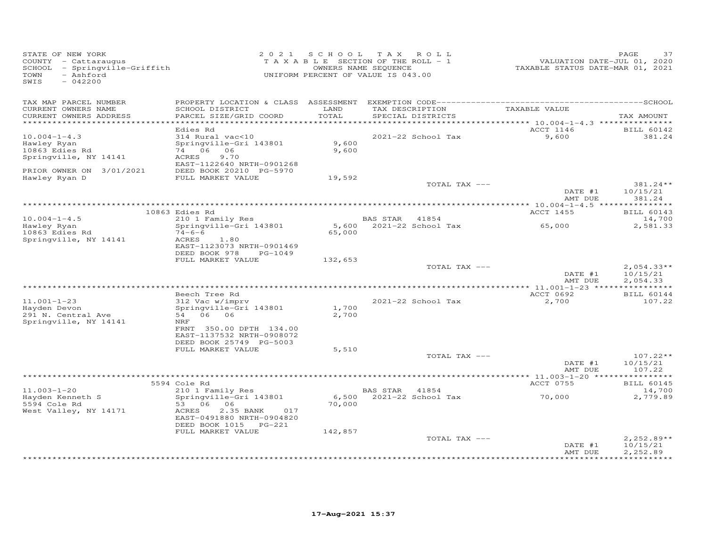| STATE OF NEW YORK<br>COUNTY - Cattaraugus<br>SCHOOL<br>- Springville-Griffith<br>- Ashford<br>TOWN<br>SWIS<br>$-042200$ | 2 0 2 1                                                                                                                  | S C H O O L     | T A X<br>ROLL<br>TAXABLE SECTION OF THE ROLL - 1<br>OWNERS NAME SEQUENCE<br>UNIFORM PERCENT OF VALUE IS 043.00 | VALUATION DATE-JUL 01, 2020<br>TAXABLE STATUS DATE-MAR 01, 2021 | PAGE<br>37                           |
|-------------------------------------------------------------------------------------------------------------------------|--------------------------------------------------------------------------------------------------------------------------|-----------------|----------------------------------------------------------------------------------------------------------------|-----------------------------------------------------------------|--------------------------------------|
| TAX MAP PARCEL NUMBER<br>CURRENT OWNERS NAME<br>CURRENT OWNERS ADDRESS<br>************************                      | SCHOOL DISTRICT<br>PARCEL SIZE/GRID COORD                                                                                | LAND<br>TOTAL   | TAX DESCRIPTION<br>SPECIAL DISTRICTS                                                                           | TAXABLE VALUE                                                   | TAX AMOUNT                           |
|                                                                                                                         | Edies Rd                                                                                                                 |                 |                                                                                                                | ACCT 1146                                                       | <b>BILL 60142</b>                    |
| $10.004 - 1 - 4.3$<br>Hawley Ryan<br>10863 Edies Rd<br>Springville, NY 14141                                            | 314 Rural vac<10<br>Springville-Gri 143801<br>74 06<br>06<br>ACRES<br>9.70                                               | 9,600<br>9,600  | 2021-22 School Tax                                                                                             | 9,600                                                           | 381.24                               |
| PRIOR OWNER ON 3/01/2021                                                                                                | EAST-1122640 NRTH-0901268<br>DEED BOOK 20210 PG-5970                                                                     |                 |                                                                                                                |                                                                 |                                      |
| Hawley Ryan D                                                                                                           | FULL MARKET VALUE                                                                                                        | 19,592          | TOTAL TAX ---                                                                                                  |                                                                 | 381.24**                             |
|                                                                                                                         |                                                                                                                          |                 |                                                                                                                | DATE #1<br>AMT DUE                                              | 10/15/21<br>381.24                   |
|                                                                                                                         | 10863 Edies Rd                                                                                                           |                 |                                                                                                                | ************** 10.004-1-4.5 ****************                    |                                      |
| $10.004 - 1 - 4.5$                                                                                                      | 210 1 Family Res                                                                                                         |                 | BAS STAR 41854                                                                                                 | ACCT 1455                                                       | <b>BILL 60143</b><br>14,700          |
| Hawley Ryan<br>10863 Edies Rd                                                                                           | Springville-Gri 143801<br>$74 - 6 - 6$                                                                                   | 5,600<br>65,000 | $2021 - 22$ School Tax                                                                                         | 65,000                                                          | 2,581.33                             |
| Springville, NY 14141                                                                                                   | ACRES<br>1.80<br>EAST-1123073 NRTH-0901469<br>DEED BOOK 978<br>PG-1049                                                   |                 |                                                                                                                |                                                                 |                                      |
|                                                                                                                         | FULL MARKET VALUE                                                                                                        | 132,653         |                                                                                                                |                                                                 |                                      |
|                                                                                                                         |                                                                                                                          |                 | TOTAL TAX ---                                                                                                  | DATE #1<br>AMT DUE                                              | $2,054.33**$<br>10/15/21<br>2,054.33 |
|                                                                                                                         |                                                                                                                          |                 |                                                                                                                |                                                                 |                                      |
| $11.001 - 1 - 23$                                                                                                       | Beech Tree Rd<br>312 Vac w/imprv                                                                                         |                 | 2021-22 School Tax                                                                                             | ACCT 0692                                                       | <b>BILL 60144</b><br>107.22          |
| Hayden Devon<br>291 N. Central Ave<br>Springville, NY 14141                                                             | Springville-Gri 143801<br>06 06<br>54<br>NRF                                                                             | 1,700<br>2,700  |                                                                                                                | 2,700                                                           |                                      |
|                                                                                                                         | FRNT 350.00 DPTH 134.00<br>EAST-1137532 NRTH-0908072<br>DEED BOOK 25749 PG-5003                                          |                 |                                                                                                                |                                                                 |                                      |
|                                                                                                                         | FULL MARKET VALUE                                                                                                        | 5,510           | TOTAL TAX ---                                                                                                  |                                                                 | $107.22**$                           |
|                                                                                                                         |                                                                                                                          |                 |                                                                                                                | DATE #1<br>AMT DUE                                              | 10/15/21<br>107.22                   |
|                                                                                                                         |                                                                                                                          |                 |                                                                                                                |                                                                 |                                      |
| $11.003 - 1 - 20$                                                                                                       | 5594 Cole Rd<br>210 1 Family Res                                                                                         |                 | BAS STAR<br>41854                                                                                              | ACCT 0755                                                       | <b>BILL 60145</b><br>14,700          |
| Hayden Kenneth S<br>5594 Cole Rd<br>West Valley, NY 14171                                                               | Springville-Gri 143801<br>53 06<br>06<br>ACRES<br>2.35 BANK<br>017<br>EAST-0491880 NRTH-0904820<br>DEED BOOK 1015 PG-221 | 6,500<br>70,000 | 2021-22 School Tax                                                                                             | 70,000                                                          | 2,779.89                             |
|                                                                                                                         | FULL MARKET VALUE                                                                                                        | 142,857         |                                                                                                                |                                                                 |                                      |
|                                                                                                                         |                                                                                                                          |                 | TOTAL TAX ---                                                                                                  | DATE #1<br>AMT DUE                                              | $2,252.89**$<br>10/15/21<br>2,252.89 |
|                                                                                                                         |                                                                                                                          |                 |                                                                                                                |                                                                 |                                      |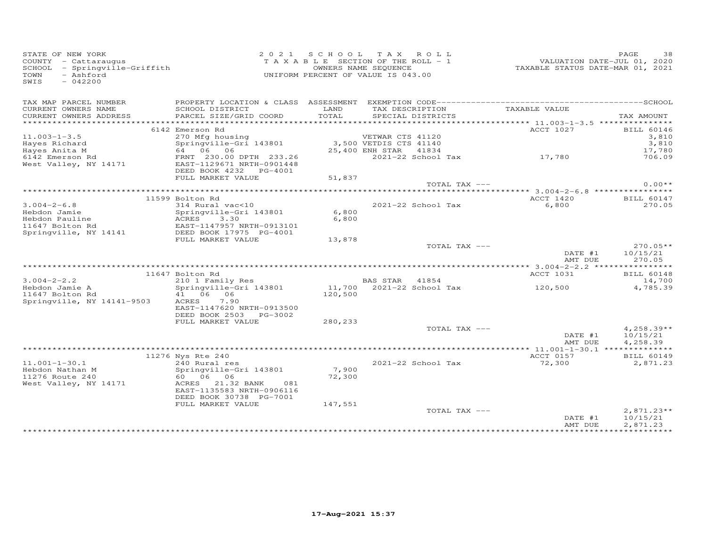| STATE OF NEW YORK<br>- Ashford<br>TOWN<br>$-042200$<br>SWIS |                                                                                                                                                                           |         | 2021 SCHOOL TAX ROLL<br>TAXABLE SECTION OF THE ROLL - 1<br>OWNERS NAME SEQUENCE<br>UNIFORM PERCENT OF VALUE IS 043.00 |               | VALUATION DATE-JUL 01, 2020<br>TAXABLE STATUS DATE-MAR 01, 2021 | PAGE             | 38                          |
|-------------------------------------------------------------|---------------------------------------------------------------------------------------------------------------------------------------------------------------------------|---------|-----------------------------------------------------------------------------------------------------------------------|---------------|-----------------------------------------------------------------|------------------|-----------------------------|
|                                                             |                                                                                                                                                                           |         |                                                                                                                       |               |                                                                 |                  |                             |
| TAX MAP PARCEL NUMBER<br>CURRENT OWNERS NAME                | SCHOOL DISTRICT                                                                                                                                                           | LAND    | TAX DESCRIPTION                                                                                                       |               | TAXABLE VALUE                                                   |                  |                             |
| CURRENT OWNERS ADDRESS                                      | PARCEL SIZE/GRID COORD                                                                                                                                                    | TOTAL   | SPECIAL DISTRICTS                                                                                                     |               | ********************* 11.003-1-3.5 ***************              |                  | TAX AMOUNT                  |
|                                                             | 6142 Emerson Rd                                                                                                                                                           |         |                                                                                                                       |               | ACCT 1027                                                       |                  | <b>BILL 60146</b>           |
| $11.003 - 1 - 3.5$                                          |                                                                                                                                                                           |         |                                                                                                                       |               |                                                                 |                  | 3,810                       |
|                                                             |                                                                                                                                                                           |         |                                                                                                                       |               |                                                                 |                  | 3,810                       |
| Hayes Richard<br>Hayes Anita M<br>6142 Emerson Rd           |                                                                                                                                                                           |         |                                                                                                                       |               |                                                                 |                  | 17,780                      |
| West Valley, NY 14171                                       | 270 Mfg housing<br>Springville-Gri 143801 3,500 VETNAR CTS 41140<br>64 06 06 25,400 ENH STAR 41834<br>FRNT 230.00 DPTH 233.26 2021-22 School<br>EAST-1129671 NRTH-0901448 |         |                                                                                                                       |               |                                                                 |                  | 706.09                      |
|                                                             | DEED BOOK 4232 PG-4001                                                                                                                                                    |         |                                                                                                                       |               |                                                                 |                  |                             |
|                                                             | FULL MARKET VALUE                                                                                                                                                         | 51,837  |                                                                                                                       |               |                                                                 |                  |                             |
|                                                             |                                                                                                                                                                           |         |                                                                                                                       | TOTAL TAX --- |                                                                 |                  | $0.00**$                    |
|                                                             |                                                                                                                                                                           |         |                                                                                                                       |               |                                                                 |                  |                             |
|                                                             | 11599 Bolton Rd                                                                                                                                                           |         |                                                                                                                       |               | ACCT 1420                                                       |                  | <b>BILL 60147</b>           |
| $3.004 - 2 - 6.8$<br>Hebdon Jamie                           | 314 Rural vac<10<br>Springville-Gri 143801                                                                                                                                | 6,800   | 2021-22 School Tax                                                                                                    |               | 6,800                                                           |                  | 270.05                      |
|                                                             |                                                                                                                                                                           | 6,800   |                                                                                                                       |               |                                                                 |                  |                             |
| Hebdon Pauline<br>11647 Bolton Rd                           |                                                                                                                                                                           |         |                                                                                                                       |               |                                                                 |                  |                             |
| Springville, NY 14141                                       | Springville-Gri 143801<br>ACRES 3.30<br>EAST-1147957 NRTH-0913101<br>DEED BOOK 17975 PG-4001<br>FIILL MARKET VALUE                                                        |         |                                                                                                                       |               |                                                                 |                  |                             |
|                                                             | FULL MARKET VALUE                                                                                                                                                         | 13,878  |                                                                                                                       |               |                                                                 |                  |                             |
|                                                             |                                                                                                                                                                           |         |                                                                                                                       | TOTAL TAX --- |                                                                 |                  | $270.05**$                  |
|                                                             |                                                                                                                                                                           |         |                                                                                                                       |               |                                                                 | DATE #1 10/15/21 |                             |
|                                                             |                                                                                                                                                                           |         |                                                                                                                       |               | AMT DUE                                                         |                  | 270.05                      |
|                                                             |                                                                                                                                                                           |         |                                                                                                                       |               |                                                                 |                  |                             |
| $3.004 - 2 - 2.2$                                           | 11647 Bolton Rd                                                                                                                                                           |         | BAS STAR 41854                                                                                                        |               | ACCT 1031                                                       |                  | <b>BILL 60148</b><br>14,700 |
| Hebdon Jamie A                                              | 210 1 Family Res<br>Springville-Gri 143801                                                                                                                                |         | BAS SIAR 41004<br>11,700 2021-22 School Tax 120,500                                                                   |               |                                                                 |                  | 4,785.39                    |
| 11647 Bolton Rd                                             | 41 06 06                                                                                                                                                                  | 120,500 |                                                                                                                       |               |                                                                 |                  |                             |
| Springville, NY 14141-9503                                  | ACRES 7.90                                                                                                                                                                |         |                                                                                                                       |               |                                                                 |                  |                             |
|                                                             | EAST-1147620 NRTH-0913500                                                                                                                                                 |         |                                                                                                                       |               |                                                                 |                  |                             |
|                                                             | DEED BOOK 2503 PG-3002                                                                                                                                                    |         |                                                                                                                       |               |                                                                 |                  |                             |
|                                                             | FULL MARKET VALUE                                                                                                                                                         | 280,233 |                                                                                                                       |               |                                                                 |                  |                             |
|                                                             |                                                                                                                                                                           |         |                                                                                                                       | TOTAL TAX --- |                                                                 |                  | $4,258.39**$                |
|                                                             |                                                                                                                                                                           |         |                                                                                                                       |               |                                                                 | DATE #1          | 10/15/21                    |
|                                                             |                                                                                                                                                                           |         |                                                                                                                       |               | AMT DUE                                                         |                  | 4,258.39                    |
|                                                             | 11276 Nys Rte 240                                                                                                                                                         |         |                                                                                                                       |               | ACCT 0157                                                       |                  | <b>BILL 60149</b>           |
| $11.001 - 1 - 30.1$                                         | 240 Rural res                                                                                                                                                             |         | 2021-22 School Tax                                                                                                    |               | 72,300                                                          |                  | 2,871.23                    |
| Hebdon Nathan M                                             | Springville-Gri 143801                                                                                                                                                    | 7,900   |                                                                                                                       |               |                                                                 |                  |                             |
| 11276 Route 240                                             | 60 06 06                                                                                                                                                                  | 72,300  |                                                                                                                       |               |                                                                 |                  |                             |
| West Valley, NY 14171                                       | ACRES 21.32 BANK<br>081                                                                                                                                                   |         |                                                                                                                       |               |                                                                 |                  |                             |
|                                                             | EAST-1135583 NRTH-0906116                                                                                                                                                 |         |                                                                                                                       |               |                                                                 |                  |                             |
|                                                             | DEED BOOK 30738 PG-7001                                                                                                                                                   |         |                                                                                                                       |               |                                                                 |                  |                             |
|                                                             | FULL MARKET VALUE                                                                                                                                                         | 147,551 |                                                                                                                       |               |                                                                 |                  |                             |
|                                                             |                                                                                                                                                                           |         |                                                                                                                       | TOTAL TAX --- |                                                                 |                  | $2,871.23**$                |
|                                                             |                                                                                                                                                                           |         |                                                                                                                       |               | DATE #1<br>AMT DUE                                              |                  | 10/15/21<br>2,871.23        |
|                                                             |                                                                                                                                                                           |         |                                                                                                                       |               | *****************************                                   |                  |                             |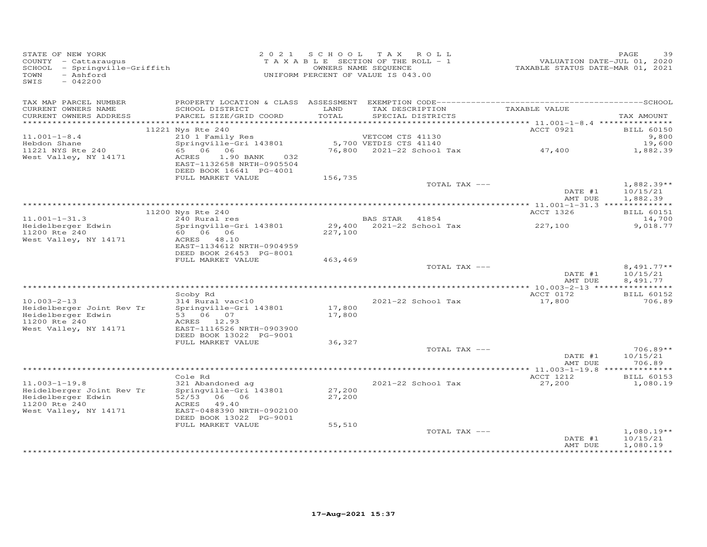| STATE OF NEW YORK<br>COUNTY - Cattaraugus<br>SCHOOL - Springville-Griffith<br>- Ashford<br>TOWN<br>SWIS<br>$-042200$ |                                                                                |                  | 2021 SCHOOL TAX ROLL<br>OWNERS NAME SEQUENCE<br>UNIFORM PERCENT OF VALUE IS 043.00 |           | PAGE<br>39                 |
|----------------------------------------------------------------------------------------------------------------------|--------------------------------------------------------------------------------|------------------|------------------------------------------------------------------------------------|-----------|----------------------------|
| TAX MAP PARCEL NUMBER                                                                                                |                                                                                |                  |                                                                                    |           |                            |
| CURRENT OWNERS NAME<br>CURRENT OWNERS ADDRESS                                                                        | SCHOOL DISTRICT<br>PARCEL SIZE/GRID COORD                                      | LAND<br>TOTAL    | TAX DESCRIPTION TAXABLE VALUE<br>SPECIAL DISTRICTS                                 |           | TAX AMOUNT                 |
|                                                                                                                      |                                                                                |                  |                                                                                    |           |                            |
| $11.001 - 1 - 8.4$                                                                                                   | 11221 Nys Rte 240                                                              |                  | VETCOM CTS 41130                                                                   | ACCT 0921 | <b>BILL 60150</b><br>9,800 |
| Hebdon Shane                                                                                                         | 210 1 Family Res<br>Springville-Gri 143801                                     |                  | 5,700 VETDIS CTS 41140                                                             |           | 19,600                     |
| 11221 NYS Rte 240                                                                                                    | 65 06 06 07                                                                    |                  | 76,800 2021-22 School Tax 47,400                                                   |           | 1,882.39                   |
| West Valley, NY 14171                                                                                                | ACRES<br>1.90 BANK 032<br>EAST-1132658 NRTH-0905504<br>DEED BOOK 16641 PG-4001 |                  |                                                                                    |           |                            |
|                                                                                                                      | FULL MARKET VALUE                                                              | 156,735          |                                                                                    |           |                            |
|                                                                                                                      |                                                                                |                  | TOTAL TAX ---                                                                      | DATE #1   | $1,882.39**$<br>10/15/21   |
|                                                                                                                      |                                                                                |                  |                                                                                    | AMT DUE   | 1,882.39                   |
|                                                                                                                      | 11200 Nys Rte 240                                                              |                  |                                                                                    | ACCT 1326 | <b>BILL 60151</b>          |
| $11.001 - 1 - 31.3$                                                                                                  | 240 Rural res                                                                  |                  | BAS STAR 41854                                                                     |           | 14,700                     |
| Heidelberger Edwin                                                                                                   | Springville-Gri 143801                                                         |                  | BAS SIAR 41004<br>29,400 2021-22 School Tax 227,100                                |           | 9,018.77                   |
| 11200 Rte 240<br>West Valley, NY 14171                                                                               | ACRES 48.10<br>EAST-1134612 NRTH-0904959                                       | 227,100          |                                                                                    |           |                            |
|                                                                                                                      | DEED BOOK 26453 PG-8001                                                        |                  |                                                                                    |           |                            |
|                                                                                                                      | FULL MARKET VALUE                                                              | 463,469          | TOTAL TAX ---                                                                      |           | $8,491.77**$               |
|                                                                                                                      |                                                                                |                  |                                                                                    | DATE #1   | 10/15/21                   |
|                                                                                                                      |                                                                                |                  |                                                                                    | AMT DUE   | 8,491.77                   |
|                                                                                                                      |                                                                                |                  |                                                                                    |           |                            |
|                                                                                                                      | Scoby Rd                                                                       |                  |                                                                                    | ACCT 0172 | <b>BILL 60152</b>          |
| $10.003 - 2 - 13$                                                                                                    | 314 Rural vac<10                                                               |                  | 2021-22 School Tax                                                                 | 17,800    | 706.89                     |
| 10.003-2-13<br>Heidelberger Joint Rev Tr<br>Heidelberger Edwin                                                       | Springville-Gri 143801<br>53 06 07                                             | 17,800<br>17,800 |                                                                                    |           |                            |
| 11200 Rte 240                                                                                                        | ACRES 12.93                                                                    |                  |                                                                                    |           |                            |
| West Valley, NY 14171                                                                                                | EAST-1116526 NRTH-0903900                                                      |                  |                                                                                    |           |                            |
|                                                                                                                      | DEED BOOK 13022 PG-9001                                                        |                  |                                                                                    |           |                            |
|                                                                                                                      | FULL MARKET VALUE                                                              | 36,327           |                                                                                    |           |                            |
|                                                                                                                      |                                                                                |                  | TOTAL TAX ---                                                                      | DATE #1   | $706.89**$<br>10/15/21     |
|                                                                                                                      |                                                                                |                  |                                                                                    | AMT DUE   | 706.89                     |
|                                                                                                                      |                                                                                |                  |                                                                                    |           |                            |
|                                                                                                                      | Cole Rd                                                                        |                  |                                                                                    | ACCT 1212 | <b>BILL 60153</b>          |
| $11.003 - 1 - 19.8$                                                                                                  | 321 Abandoned ag                                                               |                  | 2021-22 School Tax                                                                 | 27,200    | 1,080.19                   |
| Heidelberger Joint Rev Tr<br>Heidelberger Edwin                                                                      | Springville-Gri 143801<br>52/53 06 06                                          | 27,200<br>27,200 |                                                                                    |           |                            |
| 11200 Rte 240<br>West Valley, NY 14171                                                                               | ACRES 49.40<br>EAST-0488390 NRTH-0902100                                       |                  |                                                                                    |           |                            |
|                                                                                                                      | DEED BOOK 13022 PG-9001                                                        |                  |                                                                                    |           |                            |
|                                                                                                                      | FULL MARKET VALUE                                                              | 55,510           |                                                                                    |           |                            |
|                                                                                                                      |                                                                                |                  | TOTAL TAX ---                                                                      | DATE #1   | $1,080.19**$<br>10/15/21   |
|                                                                                                                      |                                                                                |                  |                                                                                    | AMT DUE   | 1,080.19                   |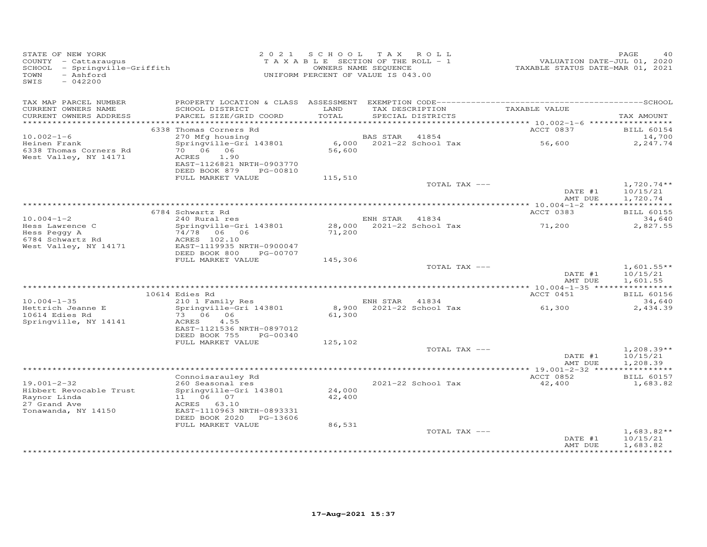| TAX MAP PARCEL NUMBER<br>TAX DESCRIPTION<br>TAXABLE VALUE<br>CURRENT OWNERS NAME<br>SCHOOL DISTRICT<br>LAND<br>PARCEL SIZE/GRID COORD<br>TOTAL<br>CURRENT OWNERS ADDRESS<br>SPECIAL DISTRICTS<br>6338 Thomas Corners Rd<br>ACCT 0837<br>270 Mfg housing<br>Springville-Gri 143801 6,000 2021-22 School Tax<br>$10.002 - 1 - 6$<br>56,600<br>Heinen Frank<br>70 06 06<br>56,600<br>6338 Thomas Corners Rd<br>West Valley, NY 14171<br>ACRES<br>1.90<br>EAST-1126821 NRTH-0903770<br>DEED BOOK 879 PG-00810<br>FULL MARKET VALUE<br>115,510 | PAGE<br>40<br>VALUATION DATE-JUL 01, 2020<br>TAXABLE STATUS DATE-MAR 01, 2021 |
|-------------------------------------------------------------------------------------------------------------------------------------------------------------------------------------------------------------------------------------------------------------------------------------------------------------------------------------------------------------------------------------------------------------------------------------------------------------------------------------------------------------------------------------------|-------------------------------------------------------------------------------|
|                                                                                                                                                                                                                                                                                                                                                                                                                                                                                                                                           |                                                                               |
|                                                                                                                                                                                                                                                                                                                                                                                                                                                                                                                                           | TAX AMOUNT                                                                    |
|                                                                                                                                                                                                                                                                                                                                                                                                                                                                                                                                           |                                                                               |
|                                                                                                                                                                                                                                                                                                                                                                                                                                                                                                                                           | <b>BILL 60154</b>                                                             |
|                                                                                                                                                                                                                                                                                                                                                                                                                                                                                                                                           | 14,700<br>2,247.74                                                            |
|                                                                                                                                                                                                                                                                                                                                                                                                                                                                                                                                           |                                                                               |
|                                                                                                                                                                                                                                                                                                                                                                                                                                                                                                                                           |                                                                               |
| TOTAL TAX ---<br>DATE #1                                                                                                                                                                                                                                                                                                                                                                                                                                                                                                                  | $1,720.74**$<br>10/15/21                                                      |
| AMT DUE                                                                                                                                                                                                                                                                                                                                                                                                                                                                                                                                   | 1,720.74                                                                      |
|                                                                                                                                                                                                                                                                                                                                                                                                                                                                                                                                           |                                                                               |
| 6784 Schwartz Rd<br>ACCT 0383<br>240 Rural res<br>$10.004 - 1 - 2$<br>ENH STAR 41834                                                                                                                                                                                                                                                                                                                                                                                                                                                      | <b>BILL 60155</b><br>34,640                                                   |
| 71,200<br>Springville-Gri 143801<br>Hess Lawrence C                                                                                                                                                                                                                                                                                                                                                                                                                                                                                       | 2,827.55                                                                      |
| 74/78 06 06<br>71,200<br>Hess Peggy A                                                                                                                                                                                                                                                                                                                                                                                                                                                                                                     |                                                                               |
| 6784 Schwartz Rd<br>ACRES 102.10                                                                                                                                                                                                                                                                                                                                                                                                                                                                                                          |                                                                               |
| West Valley, NY 14171<br>EAST-1119935 NRTH-0900047<br>DEED BOOK 800 PG-00707                                                                                                                                                                                                                                                                                                                                                                                                                                                              |                                                                               |
| FULL MARKET VALUE<br>145,306                                                                                                                                                                                                                                                                                                                                                                                                                                                                                                              |                                                                               |
| TOTAL TAX ---                                                                                                                                                                                                                                                                                                                                                                                                                                                                                                                             | $1,601.55**$                                                                  |
| DATE #1<br>AMT DUE                                                                                                                                                                                                                                                                                                                                                                                                                                                                                                                        | 10/15/21<br>1,601.55                                                          |
| ACCT 0451<br>10614 Edies Rd                                                                                                                                                                                                                                                                                                                                                                                                                                                                                                               | <b>BILL 60156</b>                                                             |
| 210 1 Family Res<br>$10.004 - 1 - 35$<br>ENH STAR 41834                                                                                                                                                                                                                                                                                                                                                                                                                                                                                   | 34,640                                                                        |
| 8,900 2021-22 School Tax<br>Hettrich Jeanne E<br>Springville-Gri 143801<br>61,300                                                                                                                                                                                                                                                                                                                                                                                                                                                         | 2,434.39                                                                      |
| 10614 Edies Rd<br>73 06 06<br>61,300<br>Springville, NY 14141<br>ACRES<br>4.55                                                                                                                                                                                                                                                                                                                                                                                                                                                            |                                                                               |
| EAST-1121536 NRTH-0897012                                                                                                                                                                                                                                                                                                                                                                                                                                                                                                                 |                                                                               |
| DEED BOOK 755<br>PG-00340                                                                                                                                                                                                                                                                                                                                                                                                                                                                                                                 |                                                                               |
| FULL MARKET VALUE<br>125,102                                                                                                                                                                                                                                                                                                                                                                                                                                                                                                              |                                                                               |
| TOTAL TAX ---<br>DATE #1                                                                                                                                                                                                                                                                                                                                                                                                                                                                                                                  | $1,208.39**$<br>10/15/21                                                      |
| AMT DUE                                                                                                                                                                                                                                                                                                                                                                                                                                                                                                                                   | 1,208.39                                                                      |
|                                                                                                                                                                                                                                                                                                                                                                                                                                                                                                                                           |                                                                               |
| ACCT 0852<br>Connoisarauley Rd<br>$19.001 - 2 - 32$                                                                                                                                                                                                                                                                                                                                                                                                                                                                                       | <b>BILL 60157</b>                                                             |
| 2021-22 School Tax<br>42,400<br>260 Seasonal res<br>24,000<br>Springville-Gri 143801<br>Hibbert Revocable Trust                                                                                                                                                                                                                                                                                                                                                                                                                           | 1,683.82                                                                      |
| Raynor Linda<br>11 06 07<br>42,400                                                                                                                                                                                                                                                                                                                                                                                                                                                                                                        |                                                                               |
| 27 Grand Ave<br>ACRES 63.10                                                                                                                                                                                                                                                                                                                                                                                                                                                                                                               |                                                                               |
| Tonawanda, NY 14150<br>EAST-1110963 NRTH-0893331<br>DEED BOOK 2020 PG-13606                                                                                                                                                                                                                                                                                                                                                                                                                                                               |                                                                               |
| FULL MARKET VALUE<br>86,531                                                                                                                                                                                                                                                                                                                                                                                                                                                                                                               |                                                                               |
| TOTAL TAX ---                                                                                                                                                                                                                                                                                                                                                                                                                                                                                                                             |                                                                               |
| DATE #1<br>AMT DUE                                                                                                                                                                                                                                                                                                                                                                                                                                                                                                                        | $1,683.82**$<br>10/15/21                                                      |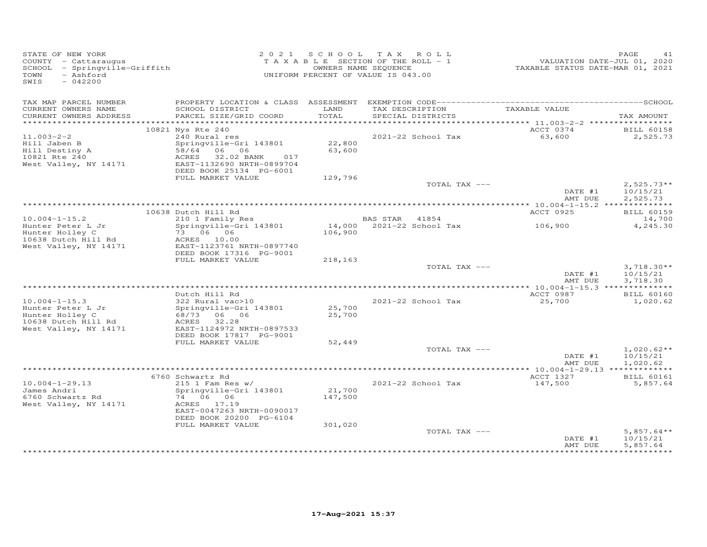| STATE OF NEW YORK<br>COUNTY - Cattaraugus<br>SCHOOL - Springville-Griffith<br>- Ashford<br>TOWN<br>SWIS<br>$-042200$ |                                                      |                  | 2021 SCHOOL TAX ROLL<br>T A X A B L E SECTION OF THE ROLL - 1<br>OWNERS NAME SEQUENCE<br>UNIFORM PERCENT OF VALUE IS 043.00 | VALUATION DATE-JUL 01, 2020<br>TAXABLE STATUS DATE-MAR 01, 2021 | PAGE<br>41                           |
|----------------------------------------------------------------------------------------------------------------------|------------------------------------------------------|------------------|-----------------------------------------------------------------------------------------------------------------------------|-----------------------------------------------------------------|--------------------------------------|
| TAX MAP PARCEL NUMBER<br>CURRENT OWNERS NAME                                                                         | SCHOOL DISTRICT                                      | LAND             | TAX DESCRIPTION TAXABLE VALUE                                                                                               |                                                                 |                                      |
| CURRENT OWNERS ADDRESS                                                                                               | PARCEL SIZE/GRID COORD                               | TOTAL            | SPECIAL DISTRICTS                                                                                                           |                                                                 | TAX AMOUNT                           |
|                                                                                                                      |                                                      |                  |                                                                                                                             | ACCT 0374                                                       |                                      |
| $11.003 - 2 - 2$                                                                                                     | 10821 Nys Rte 240<br>240 Rural res                   |                  | 2021-22 School Tax                                                                                                          | 63,600                                                          | <b>BILL 60158</b><br>2,525.73        |
| Hill Jaben B                                                                                                         | Springville-Gri 143801                               | 22,800           |                                                                                                                             |                                                                 |                                      |
| Hill Destiny A<br>10821 Rte 240                                                                                      | 58/64 06 06<br>ACRES<br>32.02 BANK<br>017            | 63,600           |                                                                                                                             |                                                                 |                                      |
| West Valley, NY 14171                                                                                                | EAST-1132690 NRTH-0899704<br>DEED BOOK 25134 PG-6001 |                  |                                                                                                                             |                                                                 |                                      |
|                                                                                                                      | FULL MARKET VALUE                                    | 129,796          |                                                                                                                             |                                                                 |                                      |
|                                                                                                                      |                                                      |                  | TOTAL TAX ---                                                                                                               | DATE #1<br>AMT DUE                                              | $2,525.73**$<br>10/15/21<br>2,525.73 |
|                                                                                                                      |                                                      |                  |                                                                                                                             |                                                                 |                                      |
| $10.004 - 1 - 15.2$                                                                                                  | 10638 Dutch Hill Rd<br>210 1 Family Res              |                  | BAS STAR 41854                                                                                                              | ACCT 0925                                                       | <b>BILL 60159</b>                    |
| Hunter Peter L Jr                                                                                                    | Springville-Gri 143801                               |                  | 14,000 2021-22 School Tax                                                                                                   | 106,900                                                         | 14,700<br>4,245.30                   |
| Hunter Holley C                                                                                                      | 73 06 06<br>ACRES 10.00                              | 106,900          |                                                                                                                             |                                                                 |                                      |
| 10638 Dutch Hill Rd<br>West Valley, NY 14171                                                                         | EAST-1123761 NRTH-0897740                            |                  |                                                                                                                             |                                                                 |                                      |
|                                                                                                                      | DEED BOOK 17316 PG-9001                              |                  |                                                                                                                             |                                                                 |                                      |
|                                                                                                                      | FULL MARKET VALUE                                    | 218,163          | TOTAL TAX ---                                                                                                               |                                                                 | $3,718.30**$                         |
|                                                                                                                      |                                                      |                  |                                                                                                                             | DATE #1                                                         | 10/15/21                             |
|                                                                                                                      |                                                      |                  |                                                                                                                             | AMT DUE                                                         | 3,718.30                             |
|                                                                                                                      | Dutch Hill Rd                                        |                  |                                                                                                                             | ACCT 0987                                                       | <b>BILL 60160</b>                    |
| $10.004 - 1 - 15.3$                                                                                                  | $322$ Rural vac $>10$                                |                  | 2021-22 School Tax                                                                                                          | 25,700                                                          | 1,020.62                             |
| Hunter Peter L Jr<br>Hunter Holley C                                                                                 | Springville-Gri 143801<br>68/73 06 06                | 25,700<br>25,700 |                                                                                                                             |                                                                 |                                      |
| 10638 Dutch Hill Rd                                                                                                  | ACRES<br>32.28                                       |                  |                                                                                                                             |                                                                 |                                      |
| West Valley, NY 14171                                                                                                | EAST-1124972 NRTH-0897533<br>DEED BOOK 17817 PG-9001 |                  |                                                                                                                             |                                                                 |                                      |
|                                                                                                                      | FULL MARKET VALUE                                    | 52,449           |                                                                                                                             |                                                                 |                                      |
|                                                                                                                      |                                                      |                  | TOTAL TAX ---                                                                                                               |                                                                 | $1,020.62**$                         |
|                                                                                                                      |                                                      |                  |                                                                                                                             | DATE #1<br>AMT DUE                                              | 10/15/21<br>1,020.62                 |
|                                                                                                                      |                                                      |                  |                                                                                                                             |                                                                 |                                      |
| $10.004 - 1 - 29.13$                                                                                                 | 6760 Schwartz Rd<br>$215$ 1 Fam Res w/               |                  |                                                                                                                             | ACCT 1327                                                       | <b>BILL 60161</b>                    |
| James Andri                                                                                                          | Springville-Gri 143801                               | 21,700           | 2021-22 School Tax                                                                                                          | 147,500                                                         | 5,857.64                             |
| 6760 Schwartz Rd                                                                                                     | 74 06 06                                             | 147,500          |                                                                                                                             |                                                                 |                                      |
| West Valley, NY 14171                                                                                                | ACRES 17.19<br>EAST-0047263 NRTH-0090017             |                  |                                                                                                                             |                                                                 |                                      |
|                                                                                                                      | DEED BOOK 20200 PG-6104<br>FULL MARKET VALUE         | 301,020          |                                                                                                                             |                                                                 |                                      |
|                                                                                                                      |                                                      |                  | TOTAL TAX ---                                                                                                               | DATE #1                                                         | $5,857.64**$<br>10/15/21             |
|                                                                                                                      |                                                      |                  |                                                                                                                             | AMT DUE                                                         | 5,857.64                             |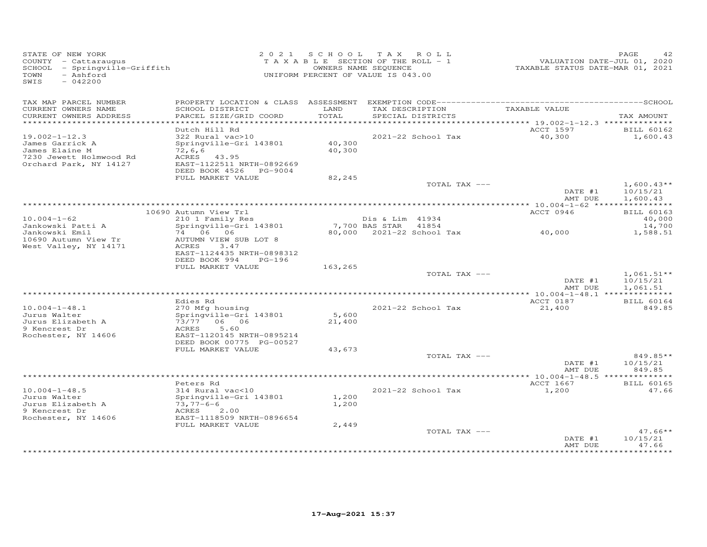| STATE OF NEW YORK<br>COUNTY - Cattaraugus<br>SCHOOL - Springville-Griffith<br>- Ashford<br>TOWN<br>SWIS<br>$-042200$ |                                                                                                                                               |                         | 2021 SCHOOL TAX ROLL<br>TAXABLE SECTION OF THE ROLL - 1<br>OWNERS NAME SEQUENCE<br>UNIFORM PERCENT OF VALUE IS 043.00 | VALUATION DATE-JUL 01, 2020<br>TAXABLE STATUS DATE-MAR 01, 2021 | PAGE<br>42                            |
|----------------------------------------------------------------------------------------------------------------------|-----------------------------------------------------------------------------------------------------------------------------------------------|-------------------------|-----------------------------------------------------------------------------------------------------------------------|-----------------------------------------------------------------|---------------------------------------|
| TAX MAP PARCEL NUMBER<br>CURRENT OWNERS NAME<br>CURRENT OWNERS ADDRESS                                               | SCHOOL DISTRICT<br>PARCEL SIZE/GRID COORD                                                                                                     | LAND<br>TOTAL           | TAX DESCRIPTION<br>SPECIAL DISTRICTS                                                                                  | TAXABLE VALUE                                                   | TAX AMOUNT                            |
| ***********************                                                                                              |                                                                                                                                               |                         |                                                                                                                       |                                                                 |                                       |
| $19.002 - 1 - 12.3$<br>James Garrick A<br>James Elaine M<br>7230 Jewett Holmwood Rd<br>Orchard Park, NY 14127        | Dutch Hill Rd<br>322 Rural vac>10<br>Springville-Gri 143801<br>72, 6, 6<br>ACRES 43.95<br>EAST-1122511 NRTH-0892669<br>DEED BOOK 4526 PG-9004 | 40,300<br>40,300        | 2021-22 School Tax                                                                                                    | ACCT 1597<br>40,300                                             | <b>BILL 60162</b><br>1,600.43         |
|                                                                                                                      | FULL MARKET VALUE                                                                                                                             | 82,245                  |                                                                                                                       |                                                                 |                                       |
|                                                                                                                      |                                                                                                                                               |                         | TOTAL TAX ---                                                                                                         | DATE #1<br>AMT DUE                                              | $1,600.43**$<br>10/15/21<br>1,600.43  |
|                                                                                                                      |                                                                                                                                               |                         |                                                                                                                       |                                                                 |                                       |
| $10.004 - 1 - 62$<br>Jankowski Patti A                                                                               | 10690 Autumn View Trl<br>210 1 Family Res<br>Springville-Gri 143801                                                                           |                         | Dis & Lim 41934<br>7,700 BAS STAR<br>41854                                                                            | ACCT 0946                                                       | <b>BILL 60163</b><br>40,000<br>14,700 |
| Jankowski Emil<br>10690 Autumn View Tr<br>West Valley, NY 14171                                                      | 74 06 06<br>AUTUMN VIEW SUB LOT 8<br>ACRES<br>3.47<br>EAST-1124435 NRTH-0898312<br>DEED BOOK 994<br>$PG-196$                                  |                         | 80,000 2021-22 School Tax                                                                                             | 40,000                                                          | 1,588.51                              |
|                                                                                                                      | FULL MARKET VALUE                                                                                                                             | 163,265                 |                                                                                                                       |                                                                 |                                       |
|                                                                                                                      |                                                                                                                                               |                         | TOTAL TAX ---                                                                                                         | DATE #1<br>AMT DUE                                              | $1,061.51**$<br>10/15/21<br>1,061.51  |
|                                                                                                                      |                                                                                                                                               |                         |                                                                                                                       |                                                                 |                                       |
| $10.004 - 1 - 48.1$<br>Jurus Walter                                                                                  | Edies Rd<br>270 Mfg housing<br>Springville-Gri 143801                                                                                         | 5,600                   | 2021-22 School Tax                                                                                                    | ACCT 0187<br>21,400                                             | <b>BILL 60164</b><br>849.85           |
| Jurus Elizabeth A<br>9 Kencrest Dr<br>Rochester, NY 14606                                                            | 73/77 06 06<br>5.60<br>ACRES<br>EAST-1120145 NRTH-0895214<br>DEED BOOK 00775 PG-00527                                                         | 21,400                  |                                                                                                                       |                                                                 |                                       |
|                                                                                                                      | FULL MARKET VALUE                                                                                                                             | 43,673                  |                                                                                                                       |                                                                 |                                       |
|                                                                                                                      |                                                                                                                                               |                         | TOTAL TAX ---                                                                                                         | DATE #1<br>AMT DUE                                              | 849.85**<br>10/15/21<br>849.85        |
|                                                                                                                      |                                                                                                                                               |                         |                                                                                                                       |                                                                 |                                       |
| $10.004 - 1 - 48.5$<br>Jurus Walter<br>Jurus Elizabeth A<br>9 Kencrest Dr<br>Rochester, NY 14606                     | Peters Rd<br>314 Rural vac<10<br>Springville-Gri 143801<br>$73,77-6-6$<br>ACRES<br>2.00<br>EAST-1118509 NRTH-0896654<br>FULL MARKET VALUE     | 1,200<br>1,200<br>2,449 | 2021-22 School Tax                                                                                                    | ACCT 1667<br>1,200                                              | <b>BILL 60165</b><br>47.66            |
|                                                                                                                      |                                                                                                                                               |                         | TOTAL TAX ---                                                                                                         |                                                                 | $47.66**$                             |
|                                                                                                                      |                                                                                                                                               |                         |                                                                                                                       | DATE #1<br>AMT DUE                                              | 10/15/21<br>47.66<br>.                |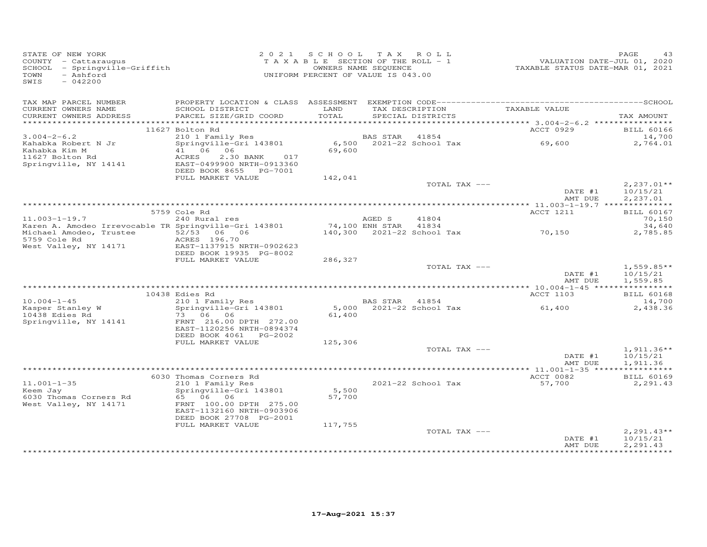| STATE OF NEW YORK<br>COUNTY - Cattaraugus<br>SCHOOL - Springville-Griffith<br>- Ashford<br>TOWN<br>SWIS<br>$-042200$ |                                              | 2021 SCHOOL TAX ROLL<br>T A X A B L E SECTION OF THE ROLL - 1<br>UNIFORM PERCENT OF VALUE IS 043.00 | OWNERS NAME SEQUENCE |                                                    | VALUATION DATE-JUL 01, 2020<br>TAXABLE STATUS DATE-MAR 01, 2021 | PAGE<br>43         |
|----------------------------------------------------------------------------------------------------------------------|----------------------------------------------|-----------------------------------------------------------------------------------------------------|----------------------|----------------------------------------------------|-----------------------------------------------------------------|--------------------|
| TAX MAP PARCEL NUMBER                                                                                                |                                              |                                                                                                     |                      |                                                    |                                                                 |                    |
| CURRENT OWNERS NAME<br>CURRENT OWNERS ADDRESS                                                                        | SCHOOL DISTRICT<br>PARCEL SIZE/GRID COORD    | LAND<br>TOTAL                                                                                       |                      | TAX DESCRIPTION TAXABLE VALUE<br>SPECIAL DISTRICTS |                                                                 | TAX AMOUNT         |
|                                                                                                                      |                                              |                                                                                                     |                      |                                                    |                                                                 |                    |
|                                                                                                                      | 11627 Bolton Rd                              |                                                                                                     |                      |                                                    | ACCT 0929                                                       | <b>BILL 60166</b>  |
| $3.004 - 2 - 6.2$<br>Kahabka Robert N Jr                                                                             | 210 1 Family Res<br>Springville-Gri 143801   |                                                                                                     | BAS STAR 41854       | 6,500 2021-22 School Tax                           | 69,600                                                          | 14,700<br>2,764.01 |
| Kahabka Kim M                                                                                                        | 41 06 06                                     | 69,600                                                                                              |                      |                                                    |                                                                 |                    |
| 11627 Bolton Rd                                                                                                      | ACRES<br>2.30 BANK<br>017                    |                                                                                                     |                      |                                                    |                                                                 |                    |
| Springville, NY 14141                                                                                                | EAST-0499900 NRTH-0913360                    |                                                                                                     |                      |                                                    |                                                                 |                    |
|                                                                                                                      | DEED BOOK 8655 PG-7001                       |                                                                                                     |                      |                                                    |                                                                 |                    |
|                                                                                                                      | FULL MARKET VALUE                            | 142,041                                                                                             |                      |                                                    |                                                                 |                    |
|                                                                                                                      |                                              |                                                                                                     |                      | TOTAL TAX ---                                      |                                                                 | $2,237.01**$       |
|                                                                                                                      |                                              |                                                                                                     |                      |                                                    | DATE #1                                                         | 10/15/21           |
|                                                                                                                      |                                              |                                                                                                     |                      |                                                    | AMT DUE                                                         | 2,237.01           |
|                                                                                                                      | 5759 Cole Rd                                 |                                                                                                     |                      |                                                    | ACCT 1211                                                       | <b>BILL 60167</b>  |
| $11.003 - 1 - 19.7$                                                                                                  | 240 Rural res                                |                                                                                                     | AGED S               | 41804                                              |                                                                 | 70,150             |
| Karen A. Amodeo Irrevocable TR Springville-Gri 143801                                                                |                                              |                                                                                                     | 74,100 ENH STAR      | 41834                                              |                                                                 | 34,640             |
| Michael Amodeo, Trustee                                                                                              | 52/53 06 06                                  |                                                                                                     |                      | 140,300 2021-22 School Tax                         | 70,150                                                          | 2,785.85           |
| 5759 Cole Rd                                                                                                         | ACRES 196.70                                 |                                                                                                     |                      |                                                    |                                                                 |                    |
| West Valley, NY 14171                                                                                                | EAST-1137915 NRTH-0902623                    |                                                                                                     |                      |                                                    |                                                                 |                    |
|                                                                                                                      | DEED BOOK 19935 PG-8002<br>FULL MARKET VALUE | 286,327                                                                                             |                      |                                                    |                                                                 |                    |
|                                                                                                                      |                                              |                                                                                                     |                      | TOTAL TAX ---                                      |                                                                 | $1,559.85**$       |
|                                                                                                                      |                                              |                                                                                                     |                      |                                                    | DATE #1                                                         | 10/15/21           |
|                                                                                                                      |                                              |                                                                                                     |                      |                                                    | AMT DUE                                                         | 1,559.85           |
|                                                                                                                      |                                              |                                                                                                     |                      |                                                    |                                                                 |                    |
|                                                                                                                      | 10438 Edies Rd                               |                                                                                                     |                      |                                                    | ACCT 1103                                                       | <b>BILL 60168</b>  |
| $10.004 - 1 - 45$                                                                                                    | 210 1 Family Res                             |                                                                                                     | BAS STAR 41854       |                                                    |                                                                 | 14,700             |
| Kasper Stanley W<br>10438 Edies Rd                                                                                   | Springville-Gri 143801<br>73 06 06           | 61,400                                                                                              |                      | 5,000 2021-22 School Tax                           | 61,400                                                          | 2,438.36           |
| Springville, NY 14141                                                                                                | FRNT 216.00 DPTH 272.00                      |                                                                                                     |                      |                                                    |                                                                 |                    |
|                                                                                                                      | EAST-1120256 NRTH-0894374                    |                                                                                                     |                      |                                                    |                                                                 |                    |
|                                                                                                                      | DEED BOOK 4061 PG-2002                       |                                                                                                     |                      |                                                    |                                                                 |                    |
|                                                                                                                      | FULL MARKET VALUE                            | 125,306                                                                                             |                      |                                                    |                                                                 |                    |
|                                                                                                                      |                                              |                                                                                                     |                      | TOTAL TAX ---                                      |                                                                 | $1,911.36**$       |
|                                                                                                                      |                                              |                                                                                                     |                      |                                                    | DATE #1                                                         | 10/15/21           |
|                                                                                                                      |                                              |                                                                                                     |                      |                                                    | AMT DUE                                                         | 1,911.36           |
|                                                                                                                      | 6030 Thomas Corners Rd                       |                                                                                                     |                      |                                                    | ACCT 0082                                                       | <b>BILL 60169</b>  |
| $11.001 - 1 - 35$                                                                                                    | 210 1 Family Res                             |                                                                                                     |                      | 2021-22 School Tax                                 | 57,700                                                          | 2,291.43           |
| Keem Jay                                                                                                             | Springville-Gri 143801                       | 5,500                                                                                               |                      |                                                    |                                                                 |                    |
| 6030 Thomas Corners Rd                                                                                               | 65 06 06                                     | 57,700                                                                                              |                      |                                                    |                                                                 |                    |
| West Valley, NY 14171                                                                                                | FRNT 100.00 DPTH 275.00                      |                                                                                                     |                      |                                                    |                                                                 |                    |
|                                                                                                                      | EAST-1132160 NRTH-0903906                    |                                                                                                     |                      |                                                    |                                                                 |                    |
|                                                                                                                      | DEED BOOK 27708 PG-2001<br>FULL MARKET VALUE | 117,755                                                                                             |                      |                                                    |                                                                 |                    |
|                                                                                                                      |                                              |                                                                                                     |                      | TOTAL TAX ---                                      |                                                                 | $2,291.43**$       |
|                                                                                                                      |                                              |                                                                                                     |                      |                                                    | DATE #1                                                         | 10/15/21           |
|                                                                                                                      |                                              |                                                                                                     |                      |                                                    | AMT DUE                                                         | 2,291.43           |
|                                                                                                                      |                                              |                                                                                                     |                      |                                                    |                                                                 |                    |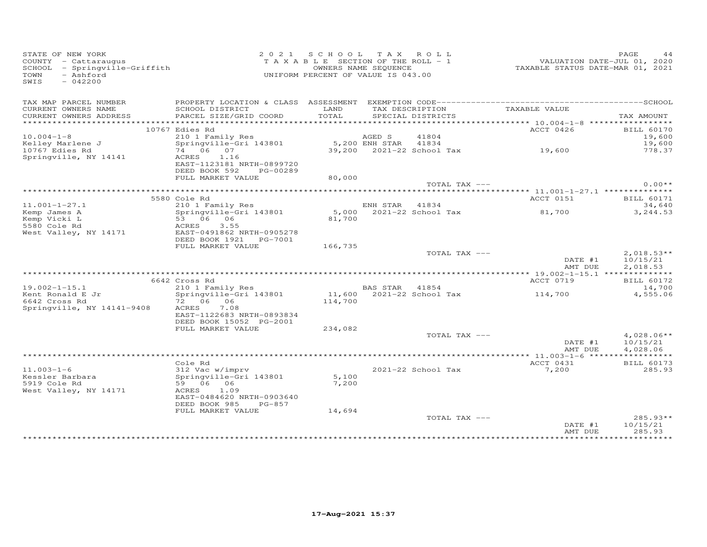| STATE OF NEW YORK<br>COUNTY - Cattaraugus<br>SCHOOL - Springville-Griffith<br>- Ashford<br>TOWN<br>$-042200$<br>SWIS |                                                                   | 2021 SCHOOL TAX ROLL<br>T A X A B L E SECTION OF THE ROLL - 1<br>OWNERS NAME SEQUENCE<br>UNIFORM PERCENT OF VALUE IS 043.00 |                |                                      | VALUATION DATE-JUL 01, 2020<br>TAXABLE STATUS DATE-MAR 01, 2021 | PAGE                |                   |
|----------------------------------------------------------------------------------------------------------------------|-------------------------------------------------------------------|-----------------------------------------------------------------------------------------------------------------------------|----------------|--------------------------------------|-----------------------------------------------------------------|---------------------|-------------------|
| TAX MAP PARCEL NUMBER<br>CURRENT OWNERS NAME<br>CURRENT OWNERS ADDRESS                                               | SCHOOL DISTRICT<br>PARCEL SIZE/GRID COORD                         | LAND<br>TOTAL                                                                                                               |                | TAX DESCRIPTION<br>SPECIAL DISTRICTS | TAXABLE VALUE                                                   | TAX AMOUNT          |                   |
|                                                                                                                      |                                                                   |                                                                                                                             |                |                                      |                                                                 |                     |                   |
|                                                                                                                      | 10767 Edies Rd                                                    |                                                                                                                             |                |                                      | ACCT 0426                                                       |                     | <b>BILL 60170</b> |
| $10.004 - 1 - 8$                                                                                                     | 210 1 Family Res<br>Springville-Gri 143801                        |                                                                                                                             | AGED S         | 41804                                |                                                                 |                     | 19,600<br>19,600  |
| Kelley Marlene J<br>10767 Edies Rd                                                                                   | $74\ 06\ 07$                                                      |                                                                                                                             |                |                                      | 5,200 ENH STAR 41834<br>39,200 2021-22 School Tax 19,600        |                     | 778.37            |
| Springville, NY 14141                                                                                                | ACRES 1.16<br>EAST-1123181 NRTH-0899720<br>DEED BOOK 592 PG-00289 |                                                                                                                             |                |                                      |                                                                 |                     |                   |
|                                                                                                                      | FULL MARKET VALUE                                                 | 80,000                                                                                                                      |                |                                      |                                                                 |                     |                   |
|                                                                                                                      |                                                                   |                                                                                                                             |                | TOTAL TAX ---                        |                                                                 |                     | $0.00**$          |
|                                                                                                                      | 5580 Cole Rd                                                      |                                                                                                                             |                |                                      | ACCT 0151                                                       |                     | <b>BILL 60171</b> |
| $11.001 - 1 - 27.1$                                                                                                  | 210 1 Family Res                                                  |                                                                                                                             | ENH STAR 41834 |                                      |                                                                 |                     | 34,640            |
| Kemp James A                                                                                                         | Springville-Gri 143801                                            |                                                                                                                             |                | 5,000 2021-22 School Tax<br>81,700   | 81,700                                                          |                     | 3,244.53          |
| Kemp Vicki L                                                                                                         | Springville-Gri 143801<br>53 06 06<br>- 3003 055                  |                                                                                                                             |                |                                      |                                                                 |                     |                   |
| 5580 Cole Rd<br>West Valley, NY 14171                                                                                | ACRES 3.55<br>EAST-0491862 NRTH-0905278                           |                                                                                                                             |                |                                      |                                                                 |                     |                   |
|                                                                                                                      | DEED BOOK 1921    PG-7001                                         |                                                                                                                             |                |                                      |                                                                 |                     |                   |
|                                                                                                                      | FULL MARKET VALUE                                                 | 166,735                                                                                                                     |                | TOTAL TAX ---                        |                                                                 |                     | $2,018.53**$      |
|                                                                                                                      |                                                                   |                                                                                                                             |                |                                      | DATE #1                                                         |                     | 10/15/21          |
|                                                                                                                      |                                                                   |                                                                                                                             |                |                                      | AMT DUE                                                         |                     | 2,018.53          |
|                                                                                                                      | 6642 Cross Rd                                                     |                                                                                                                             |                |                                      | ACCT 0719                                                       |                     | <b>BILL 60172</b> |
| $19.002 - 1 - 15.1$                                                                                                  | cross .w<br>210 1 Family Res<br>Springville-Gri 143801            |                                                                                                                             |                |                                      | BAS STAR 41854<br>11,600 2021-22 School Tax 114,700             |                     | 14,700            |
| Kent Ronald E Jr                                                                                                     |                                                                   |                                                                                                                             |                |                                      |                                                                 |                     | 4,555.06          |
| 6642 Cross Rd                                                                                                        |                                                                   | 114,700                                                                                                                     |                |                                      |                                                                 |                     |                   |
| Springville, NY 14141-9408                                                                                           | 7.08<br>ACRES<br>EAST-1122683 NRTH-0893834                        |                                                                                                                             |                |                                      |                                                                 |                     |                   |
|                                                                                                                      | DEED BOOK 15052 PG-2001                                           |                                                                                                                             |                |                                      |                                                                 |                     |                   |
|                                                                                                                      | FULL MARKET VALUE                                                 | 234,082                                                                                                                     |                |                                      |                                                                 |                     |                   |
|                                                                                                                      |                                                                   |                                                                                                                             |                | TOTAL TAX ---                        |                                                                 |                     | $4,028.06**$      |
|                                                                                                                      |                                                                   |                                                                                                                             |                |                                      |                                                                 | DATE #1<br>10/15/21 |                   |
|                                                                                                                      |                                                                   |                                                                                                                             |                |                                      | AMT DUE                                                         | 4,028.06            |                   |
|                                                                                                                      | Cole Rd                                                           |                                                                                                                             |                |                                      | ACCT 0431                                                       |                     | <b>BILL 60173</b> |
| $11.003 - 1 - 6$                                                                                                     | 312 Vac w/imprv                                                   |                                                                                                                             |                | 2021-22 School Tax                   | 7,200                                                           |                     | 285.93            |
| Kessler Barbara<br>Expansional                                                                                       | Springville-Gri 143801                                            | 5,100                                                                                                                       |                |                                      |                                                                 |                     |                   |
| 5919 Cole Rd                                                                                                         | 59 06 06                                                          | 7,200                                                                                                                       |                |                                      |                                                                 |                     |                   |
| West Valley, NY 14171                                                                                                | ACRES 1.09<br>EAST-0484620 NRTH-0903640                           |                                                                                                                             |                |                                      |                                                                 |                     |                   |
|                                                                                                                      | DEED BOOK 985<br>PG-857                                           |                                                                                                                             |                |                                      |                                                                 |                     |                   |
|                                                                                                                      | FULL MARKET VALUE                                                 | 14,694                                                                                                                      |                |                                      |                                                                 |                     |                   |
|                                                                                                                      |                                                                   |                                                                                                                             |                | TOTAL TAX ---                        |                                                                 |                     | 285.93**          |
|                                                                                                                      |                                                                   |                                                                                                                             |                |                                      | DATE #1                                                         | 10/15/21            |                   |
|                                                                                                                      |                                                                   |                                                                                                                             |                |                                      | AMT DUE                                                         |                     | 285.93            |
|                                                                                                                      |                                                                   |                                                                                                                             |                |                                      |                                                                 |                     |                   |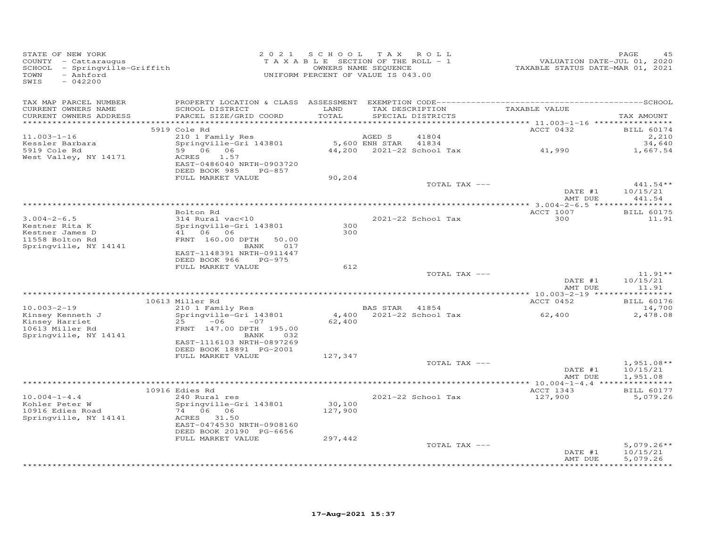| STATE OF NEW YORK<br>COUNTY - Cattaraugus<br>SCHOOL - Springville-Griffith<br>- Ashford<br>TOWN<br>SWIS<br>$-042200$ |                                                                                                                                                                      | 2021 SCHOOL<br>TAXABLE SECTION OF THE ROLL - 1<br>UNIFORM PERCENT OF VALUE IS 043.00 | TAX ROLL<br>OWNERS NAME SEQUENCE |                                             | VALUATION DATE-JUL 01, 2020<br>TAXABLE STATUS DATE-MAR 01, 2021 | PAGE<br>45                           |
|----------------------------------------------------------------------------------------------------------------------|----------------------------------------------------------------------------------------------------------------------------------------------------------------------|--------------------------------------------------------------------------------------|----------------------------------|---------------------------------------------|-----------------------------------------------------------------|--------------------------------------|
| TAX MAP PARCEL NUMBER<br>CURRENT OWNERS NAME<br>CURRENT OWNERS ADDRESS                                               | PROPERTY LOCATION & CLASS ASSESSMENT<br>SCHOOL DISTRICT<br>PARCEL SIZE/GRID COORD                                                                                    | LAND<br>TOTAL<br>********                                                            | TAX DESCRIPTION                  | SPECIAL DISTRICTS                           | TAXABLE VALUE<br>******** 11.003-1-16 *****************         | TAX AMOUNT                           |
|                                                                                                                      | 5919 Cole Rd                                                                                                                                                         |                                                                                      |                                  |                                             | ACCT 0432                                                       | <b>BILL 60174</b>                    |
| $11.003 - 1 - 16$<br>Kessler Barbara<br>5919 Cole Rd<br>West Valley, NY 14171                                        | 210 1 Family Res<br>Springville-Gri 143801<br>59 06 06<br>1.57<br>ACRES<br>EAST-0486040 NRTH-0903720<br>DEED BOOK 985<br>PG-857                                      |                                                                                      | AGED S<br>5,600 ENH STAR         | 41804<br>41834<br>44,200 2021-22 School Tax | 41,990                                                          | 2,210<br>34,640<br>1,667.54          |
|                                                                                                                      | FULL MARKET VALUE                                                                                                                                                    | 90,204                                                                               |                                  |                                             |                                                                 |                                      |
|                                                                                                                      |                                                                                                                                                                      |                                                                                      |                                  | TOTAL TAX ---                               | DATE #1<br>AMT DUE                                              | 441.54**<br>10/15/21<br>441.54       |
|                                                                                                                      |                                                                                                                                                                      |                                                                                      |                                  |                                             |                                                                 |                                      |
| $3.004 - 2 - 6.5$<br>Kestner Rita K<br>Kestner James D<br>11558 Bolton Rd<br>Springville, NY 14141                   | Bolton Rd<br>314 Rural vac<10<br>Springville-Gri 143801<br>41 06 06<br>FRNT 160.00 DPTH<br>50.00<br>017<br>BANK<br>EAST-1148391 NRTH-0911447                         | 300<br>300                                                                           |                                  | 2021-22 School Tax                          | ACCT 1007<br>300                                                | <b>BILL 60175</b><br>11.91           |
|                                                                                                                      | DEED BOOK 966<br>$PG-975$<br>FULL MARKET VALUE                                                                                                                       | 612                                                                                  |                                  |                                             |                                                                 |                                      |
|                                                                                                                      |                                                                                                                                                                      |                                                                                      |                                  | TOTAL TAX ---                               | DATE #1                                                         | $11.91**$<br>10/15/21                |
|                                                                                                                      |                                                                                                                                                                      |                                                                                      |                                  |                                             | AMT DUE                                                         | 11.91                                |
|                                                                                                                      | 10613 Miller Rd                                                                                                                                                      |                                                                                      |                                  |                                             | ACCT 0452                                                       | <b>BILL 60176</b>                    |
| $10.003 - 2 - 19$<br>Kinsey Kenneth J<br>Kinsey Harriet<br>10613 Miller Rd<br>Springville, NY 14141                  | 210 1 Family Res<br>Springville-Gri 143801<br>$-06$<br>25<br>$-07$<br>FRNT 147.00 DPTH 195.00<br>BANK<br>032<br>EAST-1116103 NRTH-0897269<br>DEED BOOK 18891 PG-2001 | 4,400<br>62,400                                                                      | BAS STAR 41854                   | 2021-22 School Tax                          | 62,400                                                          | 14,700<br>2,478.08                   |
|                                                                                                                      | FULL MARKET VALUE                                                                                                                                                    | 127,347                                                                              |                                  |                                             |                                                                 |                                      |
|                                                                                                                      |                                                                                                                                                                      |                                                                                      |                                  | TOTAL TAX ---                               | DATE #1<br>AMT DUE                                              | $1,951.08**$<br>10/15/21<br>1,951.08 |
|                                                                                                                      | 10916 Edies Rd                                                                                                                                                       |                                                                                      |                                  |                                             |                                                                 | ***********<br><b>BILL 60177</b>     |
| $10.004 - 1 - 4.4$<br>Kohler Peter W<br>10916 Edies Road<br>Springville, NY 14141                                    | 240 Rural res<br>Springville-Gri 143801<br>74 06 06<br>ACRES 31.50<br>EAST-0474530 NRTH-0908160<br>DEED BOOK 20190 PG-6656                                           | 30,100<br>127,900                                                                    |                                  | 2021-22 School Tax                          | ACCT 1343<br>127,900                                            | 5,079.26                             |
|                                                                                                                      | FULL MARKET VALUE                                                                                                                                                    | 297,442                                                                              |                                  | TOTAL TAX ---                               | DATE #1<br>AMT DUE                                              | $5,079.26**$<br>10/15/21<br>5,079.26 |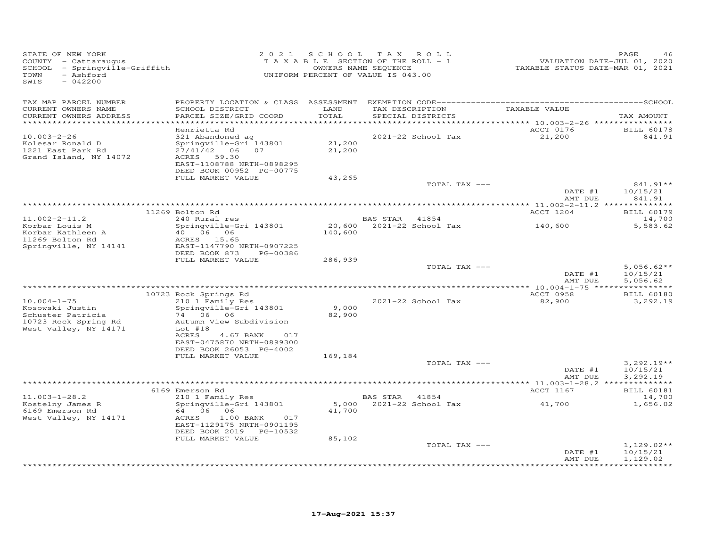| STATE OF NEW YORK<br>COUNTY - Cattaraugus<br>- Springville-Griffith<br>SCHOOL<br>- Ashford<br>TOWN<br>$-042200$<br>SWIS | 2 0 2 1                                                | S C H O O L<br>T A X A B L E SECTION OF THE ROLL - 1<br>OWNERS NAME SEQUENCE<br>UNIFORM PERCENT OF VALUE IS 043.00 | T A X          | ROLL <sup></sup>   | VALUATION DATE-JUL 01, 2020<br>TAXABLE STATUS DATE-MAR 01, 2021 | PAGE<br>46               |
|-------------------------------------------------------------------------------------------------------------------------|--------------------------------------------------------|--------------------------------------------------------------------------------------------------------------------|----------------|--------------------|-----------------------------------------------------------------|--------------------------|
| TAX MAP PARCEL NUMBER                                                                                                   |                                                        |                                                                                                                    |                |                    |                                                                 |                          |
| CURRENT OWNERS NAME                                                                                                     | SCHOOL DISTRICT                                        | LAND                                                                                                               |                | TAX DESCRIPTION    | TAXABLE VALUE                                                   |                          |
| CURRENT OWNERS ADDRESS                                                                                                  | PARCEL SIZE/GRID COORD                                 | TOTAL<br>*******                                                                                                   |                | SPECIAL DISTRICTS  | *********** 10.003-2-26 ****************                        | TAX AMOUNT               |
|                                                                                                                         | Henrietta Rd                                           |                                                                                                                    |                |                    | ACCT 0176                                                       | <b>BILL 60178</b>        |
| $10.003 - 2 - 26$                                                                                                       | 321 Abandoned ag                                       |                                                                                                                    |                | 2021-22 School Tax | 21,200                                                          | 841.91                   |
| Kolesar Ronald D                                                                                                        | Springville-Gri 143801                                 | 21,200                                                                                                             |                |                    |                                                                 |                          |
| 1221 East Park Rd                                                                                                       | $27/41/42$ 06<br>07                                    | 21,200                                                                                                             |                |                    |                                                                 |                          |
| Grand Island, NY 14072                                                                                                  | <b>ACRES</b><br>59.30<br>EAST-1108788 NRTH-0898295     |                                                                                                                    |                |                    |                                                                 |                          |
|                                                                                                                         | DEED BOOK 00952 PG-00775                               |                                                                                                                    |                |                    |                                                                 |                          |
|                                                                                                                         | FULL MARKET VALUE                                      | 43,265                                                                                                             |                |                    |                                                                 |                          |
|                                                                                                                         |                                                        |                                                                                                                    |                | TOTAL TAX ---      |                                                                 | 841.91**                 |
|                                                                                                                         |                                                        |                                                                                                                    |                |                    | DATE #1<br>AMT DUE                                              | 10/15/21<br>841.91       |
|                                                                                                                         |                                                        |                                                                                                                    |                |                    |                                                                 |                          |
|                                                                                                                         | 11269 Bolton Rd                                        |                                                                                                                    |                |                    | ACCT 1204                                                       | <b>BILL 60179</b>        |
| $11.002 - 2 - 11.2$                                                                                                     | 240 Rural res                                          |                                                                                                                    | BAS STAR 41854 |                    |                                                                 | 14,700                   |
| Korbar Louis M                                                                                                          | Springville-Gri 143801                                 | 20,600                                                                                                             |                | 2021-22 School Tax | 140,600                                                         | 5,583.62                 |
| Korbar Kathleen A<br>11269 Bolton Rd                                                                                    | 40 06 06<br>ACRES 15.65                                | 140,600                                                                                                            |                |                    |                                                                 |                          |
| Springville, NY 14141                                                                                                   | EAST-1147790 NRTH-0907225                              |                                                                                                                    |                |                    |                                                                 |                          |
|                                                                                                                         | DEED BOOK 873<br>PG-00386                              |                                                                                                                    |                |                    |                                                                 |                          |
|                                                                                                                         | FULL MARKET VALUE                                      | 286,939                                                                                                            |                |                    |                                                                 |                          |
|                                                                                                                         |                                                        |                                                                                                                    |                | TOTAL TAX ---      | DATE #1                                                         | $5,056.62**$<br>10/15/21 |
|                                                                                                                         |                                                        |                                                                                                                    |                |                    | AMT DUE                                                         | 5,056.62                 |
|                                                                                                                         |                                                        |                                                                                                                    |                |                    | ******* 10.004-1-75 *****************                           |                          |
|                                                                                                                         | 10723 Rock Springs Rd                                  |                                                                                                                    |                |                    | ACCT 0958                                                       | <b>BILL 60180</b>        |
| $10.004 - 1 - 75$                                                                                                       | 210 1 Family Res                                       |                                                                                                                    |                | 2021-22 School Tax | 82,900                                                          | 3,292.19                 |
| Kosowski Justin<br>Schuster Patricia                                                                                    | Springville-Gri 143801<br>74 06<br>06                  | 9,000<br>82,900                                                                                                    |                |                    |                                                                 |                          |
| 10723 Rock Spring Rd                                                                                                    | Autumn View Subdivision                                |                                                                                                                    |                |                    |                                                                 |                          |
| West Valley, NY 14171                                                                                                   | Lot $#18$                                              |                                                                                                                    |                |                    |                                                                 |                          |
|                                                                                                                         | ACRES<br>4.67 BANK<br>017                              |                                                                                                                    |                |                    |                                                                 |                          |
|                                                                                                                         | EAST-0475870 NRTH-0899300<br>DEED BOOK 26053 PG-4002   |                                                                                                                    |                |                    |                                                                 |                          |
|                                                                                                                         | FULL MARKET VALUE                                      | 169,184                                                                                                            |                |                    |                                                                 |                          |
|                                                                                                                         |                                                        |                                                                                                                    |                | TOTAL TAX ---      |                                                                 | $3,292.19**$             |
|                                                                                                                         |                                                        |                                                                                                                    |                |                    | DATE #1                                                         | 10/15/21                 |
|                                                                                                                         |                                                        |                                                                                                                    |                |                    | AMT DUE                                                         | 3,292.19                 |
|                                                                                                                         | 6169 Emerson Rd                                        |                                                                                                                    |                |                    | ACCT 1167                                                       | <b>BILL 60181</b>        |
| $11.003 - 1 - 28.2$                                                                                                     | 210 1 Family Res                                       |                                                                                                                    | BAS STAR 41854 |                    |                                                                 | 14,700                   |
| Kostelny James R                                                                                                        | Springville-Gri 143801                                 | 5,000                                                                                                              |                | 2021-22 School Tax | 41,700                                                          | 1,656.02                 |
| 6169 Emerson Rd                                                                                                         | 64 06 06                                               | 41,700                                                                                                             |                |                    |                                                                 |                          |
| West Valley, NY 14171                                                                                                   | ACRES<br>1.00 BANK<br>017<br>EAST-1129175 NRTH-0901195 |                                                                                                                    |                |                    |                                                                 |                          |
|                                                                                                                         | DEED BOOK 2019 PG-10532                                |                                                                                                                    |                |                    |                                                                 |                          |
|                                                                                                                         | FULL MARKET VALUE                                      | 85,102                                                                                                             |                |                    |                                                                 |                          |
|                                                                                                                         |                                                        |                                                                                                                    |                | TOTAL TAX ---      |                                                                 | $1,129.02**$             |
|                                                                                                                         |                                                        |                                                                                                                    |                |                    | DATE #1                                                         | 10/15/21                 |
|                                                                                                                         |                                                        |                                                                                                                    |                |                    | AMT DUE                                                         | 1,129.02<br>************ |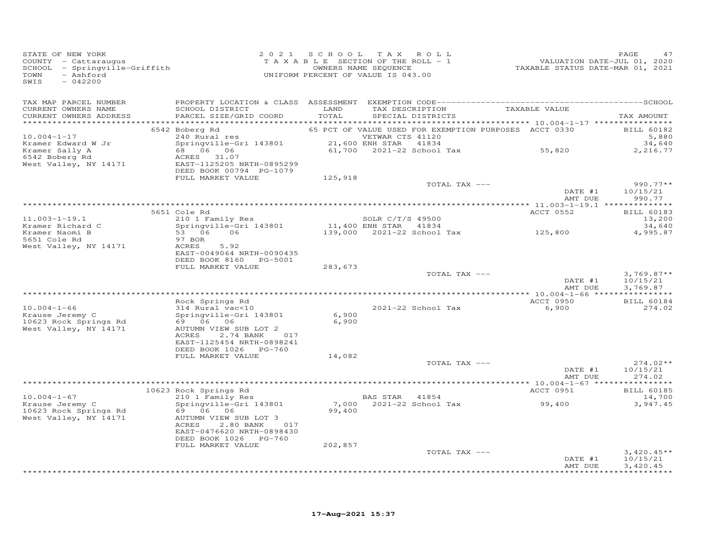| TAX MAP PARCEL NUMBER<br>TAX DESCRIPTION TAXABLE VALUE<br>SPECIAL DISTRICTS<br>CURRENT OWNERS NAME<br>SCHOOL DISTRICT<br>LAND<br>CURRENT OWNERS ADDRESS<br>PARCEL SIZE/GRID COORD<br>TOTAL<br>65 PCT OF VALUE USED FOR EXEMPTION PURPOSES ACCT 0330<br>6542 Boberg Rd<br>$10.004 - 1 - 17$<br>--- Autal res<br>Springville-Gri 143801 (DETWAR CTS 41120)<br>68 06 06 06 06 (DETWAR STAR 41834)<br>ACRES 31.07<br>Kramer Edward W Jr<br>61,700 2021-22 School Tax 55,820<br>Kramer Sally A<br>6542 Boberg Rd | TAX AMOUNT<br><b>BILL 60182</b><br>5,880<br>34,640<br>2,216.77<br>$990.77**$<br>10/15/21<br>990.77 |
|-------------------------------------------------------------------------------------------------------------------------------------------------------------------------------------------------------------------------------------------------------------------------------------------------------------------------------------------------------------------------------------------------------------------------------------------------------------------------------------------------------------|----------------------------------------------------------------------------------------------------|
|                                                                                                                                                                                                                                                                                                                                                                                                                                                                                                             |                                                                                                    |
|                                                                                                                                                                                                                                                                                                                                                                                                                                                                                                             |                                                                                                    |
|                                                                                                                                                                                                                                                                                                                                                                                                                                                                                                             |                                                                                                    |
|                                                                                                                                                                                                                                                                                                                                                                                                                                                                                                             |                                                                                                    |
|                                                                                                                                                                                                                                                                                                                                                                                                                                                                                                             |                                                                                                    |
| West Valley, NY 14171<br>EAST-1125205 NRTH-0895299<br>DEED BOOK 00794 PG-1079                                                                                                                                                                                                                                                                                                                                                                                                                               |                                                                                                    |
| FULL MARKET VALUE<br>125,918                                                                                                                                                                                                                                                                                                                                                                                                                                                                                |                                                                                                    |
| TOTAL TAX ---<br>DATE #1<br>AMT DUE                                                                                                                                                                                                                                                                                                                                                                                                                                                                         |                                                                                                    |
|                                                                                                                                                                                                                                                                                                                                                                                                                                                                                                             |                                                                                                    |
| 5651 Cole Rd<br>ACCT 0552                                                                                                                                                                                                                                                                                                                                                                                                                                                                                   | <b>BILL 60183</b>                                                                                  |
| 210 1 Family Res<br>$11.003 - 1 - 19.1$<br>SOLR C/T/S 49500                                                                                                                                                                                                                                                                                                                                                                                                                                                 | 13,200                                                                                             |
| 11,400 ENH STAR 41834<br>139,000 2021-22 School Tax 125,800<br>Springville-Gri 143801<br>Kramer Richard C<br>53 06 06                                                                                                                                                                                                                                                                                                                                                                                       | 34,640<br>4,995.87                                                                                 |
| Kramer Naomi B<br>Kramer Naomi B<br>5651 Cole Rd<br>97 BOR                                                                                                                                                                                                                                                                                                                                                                                                                                                  |                                                                                                    |
| West Valley, NY 14171<br>5.92<br>ACRES                                                                                                                                                                                                                                                                                                                                                                                                                                                                      |                                                                                                    |
| EAST-0049064 NRTH-0090435                                                                                                                                                                                                                                                                                                                                                                                                                                                                                   |                                                                                                    |
| DEED BOOK 8160 PG-5001                                                                                                                                                                                                                                                                                                                                                                                                                                                                                      |                                                                                                    |
| FULL MARKET VALUE<br>283,673<br>TOTAL TAX ---                                                                                                                                                                                                                                                                                                                                                                                                                                                               | $3,769.87**$                                                                                       |
| DATE #1<br>AMT DUE                                                                                                                                                                                                                                                                                                                                                                                                                                                                                          | 10/15/21<br>3,769.87                                                                               |
|                                                                                                                                                                                                                                                                                                                                                                                                                                                                                                             |                                                                                                    |
| Rock Springs Rd<br>ACCT 0950                                                                                                                                                                                                                                                                                                                                                                                                                                                                                | <b>BILL 60184</b>                                                                                  |
| $314$ Rural $\text{vac} < 10$<br>$10.004 - 1 - 66$<br>2021-22 School Tax<br>6,900<br>Springville-Gri 143801<br>6,900<br>Krause Jeremy C                                                                                                                                                                                                                                                                                                                                                                     | 274.02                                                                                             |
| 10623 Rock Springs Rd<br>69 06 06 07<br>6,900                                                                                                                                                                                                                                                                                                                                                                                                                                                               |                                                                                                    |
| West Valley, NY 14171<br>AUTUMN VIEW SUB LOT 2                                                                                                                                                                                                                                                                                                                                                                                                                                                              |                                                                                                    |
| ACRES<br>2.74 BANK<br>017                                                                                                                                                                                                                                                                                                                                                                                                                                                                                   |                                                                                                    |
| EAST-1125454 NRTH-0898241<br>DEED BOOK 1026    PG-760                                                                                                                                                                                                                                                                                                                                                                                                                                                       |                                                                                                    |
| FULL MARKET VALUE<br>14,082                                                                                                                                                                                                                                                                                                                                                                                                                                                                                 |                                                                                                    |
| TOTAL TAX ---                                                                                                                                                                                                                                                                                                                                                                                                                                                                                               | $274.02**$                                                                                         |
| DATE #1                                                                                                                                                                                                                                                                                                                                                                                                                                                                                                     | 10/15/21                                                                                           |
| AMT DUE                                                                                                                                                                                                                                                                                                                                                                                                                                                                                                     | 274.02                                                                                             |
| ACCT 0951<br>10623 Rock Springs Rd                                                                                                                                                                                                                                                                                                                                                                                                                                                                          | <b>BILL 60185</b>                                                                                  |
| 210 1 Family Res<br>$10.004 - 1 - 67$<br>BAS STAR 41854                                                                                                                                                                                                                                                                                                                                                                                                                                                     | 14,700                                                                                             |
| 210 1 ramiiy nes<br>Springville-Gri 143801<br>7,000 2021-22 School Tax<br>99,400<br>Krause Jeremy C                                                                                                                                                                                                                                                                                                                                                                                                         | 3,947.45                                                                                           |
| 10623 Rock Springs Rd<br>69 06 06 07<br>99,400                                                                                                                                                                                                                                                                                                                                                                                                                                                              |                                                                                                    |
| West Valley, NY 14171<br>AUTUMN VIEW SUB LOT 3<br>ACRES<br>2.80 BANK<br>017                                                                                                                                                                                                                                                                                                                                                                                                                                 |                                                                                                    |
| EAST-0476620 NRTH-0898430                                                                                                                                                                                                                                                                                                                                                                                                                                                                                   |                                                                                                    |
| DEED BOOK 1026    PG-760                                                                                                                                                                                                                                                                                                                                                                                                                                                                                    |                                                                                                    |
| 202,857<br>FULL MARKET VALUE                                                                                                                                                                                                                                                                                                                                                                                                                                                                                |                                                                                                    |
| TOTAL TAX ---                                                                                                                                                                                                                                                                                                                                                                                                                                                                                               | $3,420.45**$                                                                                       |
| DATE #1<br>AMT DUE<br>3,420.45                                                                                                                                                                                                                                                                                                                                                                                                                                                                              | 10/15/21                                                                                           |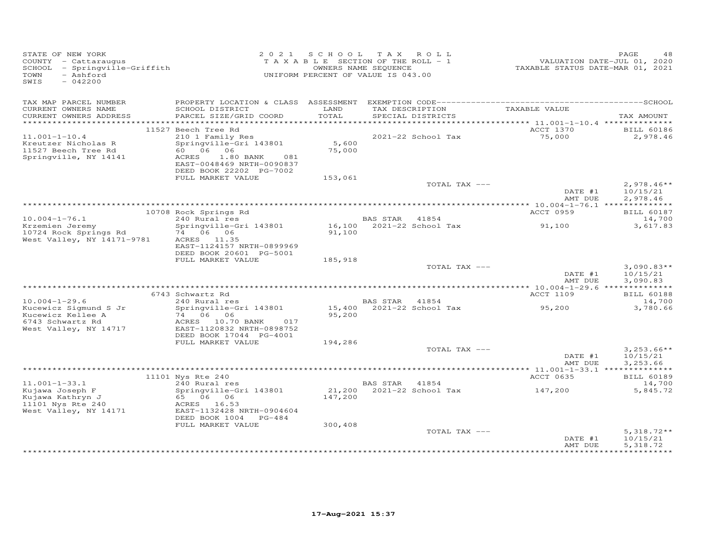| STATE OF NEW YORK<br>COUNTY - Cattaraugus<br>SCHOOL - Springville-Griffith<br>- Ashford<br>TOWN<br>SWIS<br>$-042200$ |                                                                                   | 2021 SCHOOL TAX ROLL<br>T A X A B L E SECTION OF THE ROLL - 1<br>OWNERS NAME SEQUENCE<br>UNIFORM PERCENT OF VALUE IS 043.00 |                |                                    | VALUATION DATE-JUL 01, 2020<br>TAXABLE STATUS DATE-MAR 01, 2021 | PAGE<br>48                           |
|----------------------------------------------------------------------------------------------------------------------|-----------------------------------------------------------------------------------|-----------------------------------------------------------------------------------------------------------------------------|----------------|------------------------------------|-----------------------------------------------------------------|--------------------------------------|
| TAX MAP PARCEL NUMBER<br>CURRENT OWNERS NAME                                                                         | SCHOOL DISTRICT                                                                   | LAND                                                                                                                        |                | TAX DESCRIPTION                    | TAXABLE VALUE                                                   |                                      |
| CURRENT OWNERS ADDRESS                                                                                               | PARCEL SIZE/GRID COORD                                                            | TOTAL                                                                                                                       |                | SPECIAL DISTRICTS                  |                                                                 | TAX AMOUNT                           |
|                                                                                                                      |                                                                                   |                                                                                                                             |                |                                    |                                                                 |                                      |
| $11.001 - 1 - 10.4$                                                                                                  | 11527 Beech Tree Rd<br>210 1 Family Res                                           |                                                                                                                             |                | 2021-22 School Tax                 | ACCT 1370<br>75,000                                             | <b>BILL 60186</b><br>2,978.46        |
| Kreutzer Nicholas R<br>11527 Beech Tree Rd                                                                           | Springville-Gri 143801<br>60        06        06                                  | 5,600<br>75,000                                                                                                             |                |                                    |                                                                 |                                      |
| Springville, NY 14141                                                                                                | ACRES<br>1.80 BANK<br>081<br>EAST-0048469 NRTH-0090837<br>DEED BOOK 22202 PG-7002 |                                                                                                                             |                |                                    |                                                                 |                                      |
|                                                                                                                      | FULL MARKET VALUE                                                                 | 153,061                                                                                                                     |                |                                    |                                                                 |                                      |
|                                                                                                                      |                                                                                   |                                                                                                                             |                | TOTAL TAX ---                      | DATE #1<br>AMT DUE                                              | $2,978.46**$<br>10/15/21<br>2,978.46 |
|                                                                                                                      |                                                                                   |                                                                                                                             |                |                                    |                                                                 |                                      |
|                                                                                                                      | 10708 Rock Springs Rd                                                             |                                                                                                                             |                |                                    | ACCT 0959                                                       | BILL 60187                           |
| $10.004 - 1 - 76.1$<br>Krzemien Jeremy                                                                               | 240 Rural res<br>Springville-Gri 143801                                           |                                                                                                                             | BAS STAR       | 41854<br>16,100 2021-22 School Tax | 91,100                                                          | 14,700<br>3,617.83                   |
| 10724 Rock Springs Rd<br>West Valley, NY 14171-9781                                                                  | 74 06 06<br>ACRES 11.35<br>EAST-1124157 NRTH-0899969<br>DEED BOOK 20601 PG-5001   | 91,100                                                                                                                      |                |                                    |                                                                 |                                      |
|                                                                                                                      | FULL MARKET VALUE                                                                 | 185,918                                                                                                                     |                |                                    |                                                                 |                                      |
|                                                                                                                      |                                                                                   |                                                                                                                             |                | TOTAL TAX ---                      | DATE #1                                                         | $3,090.83**$<br>10/15/21             |
|                                                                                                                      |                                                                                   |                                                                                                                             |                |                                    | AMT DUE                                                         | 3,090.83                             |
|                                                                                                                      | 6743 Schwartz Rd                                                                  |                                                                                                                             |                |                                    | ACCT 1109                                                       | <b>BILL 60188</b>                    |
| $10.004 - 1 - 29.6$                                                                                                  | $240$ Rural res                                                                   |                                                                                                                             | BAS STAR 41854 |                                    |                                                                 | 14,700                               |
| Kucewicz Sigmund S Jr<br>Kucewicz Kellee A<br>6743 Schwartz Rd                                                       | Springville-Gri 143801<br>74 06 06<br>ACRES 10.70 BANK<br>017                     | 95,200                                                                                                                      |                |                                    | 95,200                                                          | 3,780.66                             |
| West Valley, NY 14717                                                                                                | EAST-1120832 NRTH-0898752<br>DEED BOOK 17044 PG-4001                              |                                                                                                                             |                |                                    |                                                                 |                                      |
|                                                                                                                      | FULL MARKET VALUE                                                                 | 194,286                                                                                                                     |                |                                    |                                                                 |                                      |
|                                                                                                                      |                                                                                   |                                                                                                                             |                | TOTAL TAX ---                      | DATE #1<br>AMT DUE                                              | $3,253.66**$<br>10/15/21<br>3.253.66 |
|                                                                                                                      |                                                                                   |                                                                                                                             |                |                                    |                                                                 |                                      |
|                                                                                                                      | 11101 Nys Rte 240                                                                 |                                                                                                                             |                |                                    | ACCT 0635                                                       | <b>BILL 60189</b>                    |
| $11.001 - 1 - 33.1$<br>Kujawa Joseph F                                                                               | 240 Rural res<br>Springville-Gri 143801                                           |                                                                                                                             | BAS STAR 41854 | 21,200 2021-22 School Tax          | 147,200                                                         | 14,700<br>5,845.72                   |
| Kujawa Kathryn J<br>11101 Nys Rte 240<br>West Valley, NY 14171                                                       | 65 06 06<br>ACRES 16.53<br>EAST-1132428 NRTH-0904604                              | 147,200                                                                                                                     |                |                                    |                                                                 |                                      |
|                                                                                                                      | DEED BOOK 1004 PG-484                                                             |                                                                                                                             |                |                                    |                                                                 |                                      |
|                                                                                                                      | FULL MARKET VALUE                                                                 | 300,408                                                                                                                     |                |                                    |                                                                 |                                      |
|                                                                                                                      |                                                                                   |                                                                                                                             |                | TOTAL TAX ---                      | DATE #1<br>AMT DUE                                              | $5,318.72**$<br>10/15/21<br>5,318.72 |
|                                                                                                                      |                                                                                   |                                                                                                                             |                |                                    |                                                                 |                                      |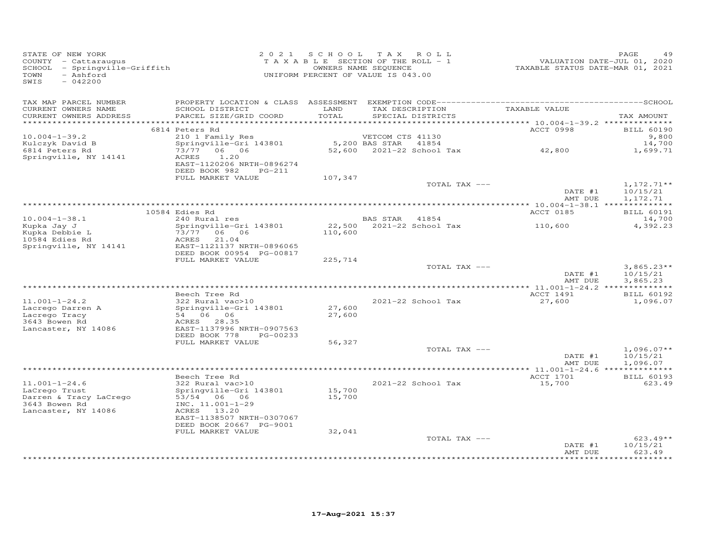| STATE OF NEW YORK<br>COUNTY - Cattaraugus<br>SCHOOL - Springville-Griffith<br>- Ashford<br>TOWN<br>SWIS<br>$-042200$ |                                                                                                                                    | 2021 SCHOOL TAX ROLL<br>TAXABLE SECTION OF THE ROLL - 1<br>UNIFORM PERCENT OF VALUE IS 043.00 | OWNERS NAME SEQUENCE               |                                      | VALUATION DATE-JUL 01, 2020<br>TAXABLE STATUS DATE-MAR 01, 2021 | PAGE<br>49                           |
|----------------------------------------------------------------------------------------------------------------------|------------------------------------------------------------------------------------------------------------------------------------|-----------------------------------------------------------------------------------------------|------------------------------------|--------------------------------------|-----------------------------------------------------------------|--------------------------------------|
| TAX MAP PARCEL NUMBER<br>CURRENT OWNERS NAME<br>CURRENT OWNERS ADDRESS<br>*************************                  | SCHOOL DISTRICT<br>PARCEL SIZE/GRID COORD                                                                                          | LAND<br>TOTAL                                                                                 |                                    | TAX DESCRIPTION<br>SPECIAL DISTRICTS | TAXABLE VALUE                                                   | TAX AMOUNT                           |
|                                                                                                                      | 6814 Peters Rd                                                                                                                     |                                                                                               |                                    |                                      | ACCT 0998                                                       | <b>BILL 60190</b>                    |
| $10.004 - 1 - 39.2$<br>Kulczyk David B<br>6814 Peters Rd<br>Springville, NY 14141                                    | 210 1 Family Res<br>Springville-Gri 143801<br>73/77 06 06<br>ACRES<br>1.20<br>EAST-1120206 NRTH-0896274<br>DEED BOOK 982<br>PG-211 |                                                                                               | VETCOM CTS 41130<br>5,200 BAS STAR | 41854<br>52,600 2021-22 School Tax   | 42,800                                                          | 9,800<br>14,700<br>1,699.71          |
|                                                                                                                      | FULL MARKET VALUE                                                                                                                  | 107,347                                                                                       |                                    |                                      |                                                                 |                                      |
|                                                                                                                      |                                                                                                                                    |                                                                                               |                                    | TOTAL TAX ---                        | DATE #1<br>AMT DUE                                              | $1,172.71**$<br>10/15/21<br>1,172.71 |
|                                                                                                                      | 10584 Edies Rd                                                                                                                     |                                                                                               |                                    |                                      | ACCT 0185                                                       | <b>BILL 60191</b>                    |
| $10.004 - 1 - 38.1$                                                                                                  | 240 Rural res                                                                                                                      |                                                                                               | BAS STAR 41854                     |                                      |                                                                 | 14,700                               |
| Kupka Jay J<br>Kupka Debbie L<br>10584 Edies Rd<br>Springville, NY 14141                                             | Springville-Gri 143801<br>73/77 06 06<br>21.04<br>ACRES<br>EAST-1121137 NRTH-0896065                                               | 110,600                                                                                       | 22,500 2021-22 School Tax          |                                      | 110,600                                                         | 4,392.23                             |
|                                                                                                                      | DEED BOOK 00954 PG-00817<br>FULL MARKET VALUE                                                                                      |                                                                                               |                                    |                                      |                                                                 |                                      |
|                                                                                                                      |                                                                                                                                    | 225,714                                                                                       |                                    | TOTAL TAX ---                        | DATE #1<br>AMT DUE                                              | $3,865.23**$<br>10/15/21<br>3,865.23 |
|                                                                                                                      |                                                                                                                                    |                                                                                               |                                    |                                      |                                                                 |                                      |
| $11.001 - 1 - 24.2$<br>Lacrego Darren A<br>Lacrego Tracy<br>3643 Bowen Rd                                            | Beech Tree Rd<br>322 Rural vac>10<br>Springville-Gri 143801<br>54 06 06<br>ACRES 28.35                                             | 27,600<br>27,600                                                                              |                                    | 2021-22 School Tax                   | ACCT 1491<br>27,600                                             | <b>BILL 60192</b><br>1,096.07        |
| Lancaster, NY 14086                                                                                                  | EAST-1137996 NRTH-0907563<br>DEED BOOK 778<br>PG-00233<br>FULL MARKET VALUE                                                        | 56,327                                                                                        |                                    |                                      |                                                                 |                                      |
|                                                                                                                      |                                                                                                                                    |                                                                                               |                                    | TOTAL TAX ---                        | DATE #1<br>AMT DUE                                              | $1,096.07**$<br>10/15/21<br>1,096.07 |
|                                                                                                                      |                                                                                                                                    |                                                                                               |                                    |                                      | **** 11.001-1-24.6 ***************                              |                                      |
| $11.001 - 1 - 24.6$<br>LaCrego Trust<br>Darren & Tracy LaCrego<br>3643 Bowen Rd                                      | Beech Tree Rd<br>322 Rural vac>10<br>Springville-Gri 143801<br>53/54 06 06<br>INC. 11.001-1-29                                     | 15,700<br>15,700                                                                              |                                    | 2021-22 School Tax                   | ACCT 1701<br>15,700                                             | <b>BILL 60193</b><br>623.49          |
| Lancaster, NY 14086                                                                                                  | ACRES 13.20<br>EAST-1138507 NRTH-0307067<br>DEED BOOK 20667 PG-9001<br>FULL MARKET VALUE                                           | 32,041                                                                                        |                                    |                                      |                                                                 |                                      |
|                                                                                                                      |                                                                                                                                    |                                                                                               |                                    | TOTAL TAX ---                        | DATE #1<br>AMT DUE                                              | $623.49**$<br>10/15/21<br>623.49     |
|                                                                                                                      |                                                                                                                                    |                                                                                               |                                    |                                      |                                                                 |                                      |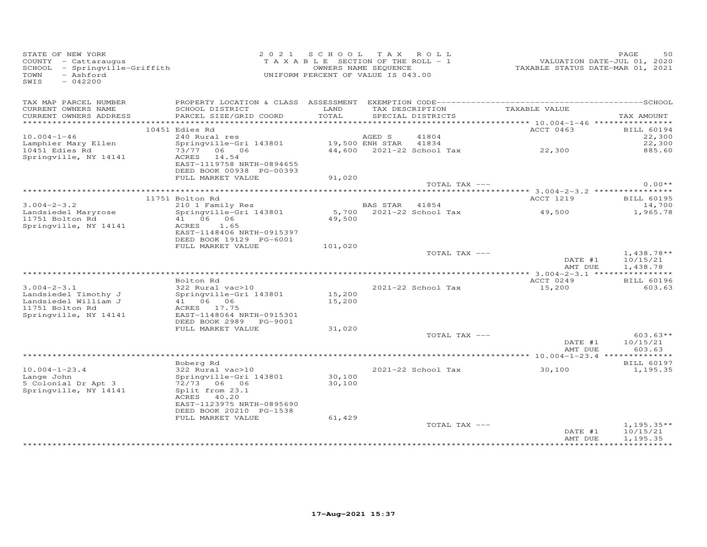| STATE OF NEW YORK<br>COUNTY - Cattaraugus<br>SCHOOL - Springville-Griffith<br>- Ashford<br>TOWN<br>$-042200$<br>SWIS |                                                                      | 2021 SCHOOL TAX ROLL<br>TAXABLE SECTION OF THE ROLL - 1<br>UNIFORM PERCENT OF VALUE IS 043.00 | OWNERS NAME SEQUENCE |                                      | VALUATION DATE-JUL 01, 2020<br>TAXABLE STATUS DATE-MAR 01, 2021 | PAGE<br>50                           |
|----------------------------------------------------------------------------------------------------------------------|----------------------------------------------------------------------|-----------------------------------------------------------------------------------------------|----------------------|--------------------------------------|-----------------------------------------------------------------|--------------------------------------|
| TAX MAP PARCEL NUMBER<br>CURRENT OWNERS NAME<br>CURRENT OWNERS ADDRESS                                               | SCHOOL DISTRICT<br>PARCEL SIZE/GRID COORD                            | LAND<br>TOTAL                                                                                 |                      | TAX DESCRIPTION<br>SPECIAL DISTRICTS | TAXABLE VALUE                                                   | TAX AMOUNT                           |
|                                                                                                                      |                                                                      |                                                                                               |                      |                                      |                                                                 |                                      |
|                                                                                                                      | 10451 Edies Rd                                                       |                                                                                               |                      |                                      | ACCT 0463                                                       | <b>BILL 60194</b>                    |
| $10.004 - 1 - 46$                                                                                                    | 240 Rural res                                                        |                                                                                               | AGED S               | 41804                                |                                                                 | 22,300                               |
| Lamphier Mary Ellen                                                                                                  | Springville-Gri 143801                                               |                                                                                               | 19,500 ENH STAR      | 41834                                |                                                                 | 22,300                               |
| 10451 Edies Rd                                                                                                       | 73/77 06 06                                                          |                                                                                               |                      |                                      | 44,600 2021-22 School Tax 22,300                                | 885.60                               |
| Springville, NY 14141                                                                                                | ACRES 14.54<br>EAST-1119758 NRTH-0894655<br>DEED BOOK 00938 PG-00393 |                                                                                               |                      |                                      |                                                                 |                                      |
|                                                                                                                      | FULL MARKET VALUE                                                    | 91,020                                                                                        |                      |                                      |                                                                 |                                      |
|                                                                                                                      |                                                                      |                                                                                               |                      | TOTAL TAX ---                        |                                                                 | $0.00**$                             |
|                                                                                                                      | 11751 Bolton Rd                                                      |                                                                                               |                      |                                      | ACCT 1219                                                       | <b>BILL 60195</b>                    |
| $3.004 - 2 - 3.2$                                                                                                    | 210 1 Family Res                                                     |                                                                                               | BAS STAR 41854       |                                      |                                                                 | 14,700                               |
| Landsiedel Maryrose                                                                                                  | Springville-Gri 143801                                               |                                                                                               |                      |                                      | 5,700  2021-22  School Tax   49,500                             | 1,965.78                             |
| 11751 Bolton Rd                                                                                                      | 41 06 06                                                             | 49,500                                                                                        |                      |                                      |                                                                 |                                      |
| Springville, NY 14141                                                                                                | ACRES<br>1.65                                                        |                                                                                               |                      |                                      |                                                                 |                                      |
|                                                                                                                      | EAST-1148406 NRTH-0915397                                            |                                                                                               |                      |                                      |                                                                 |                                      |
|                                                                                                                      | DEED BOOK 19129 PG-6001                                              |                                                                                               |                      |                                      |                                                                 |                                      |
|                                                                                                                      | FULL MARKET VALUE                                                    | 101,020                                                                                       |                      |                                      |                                                                 |                                      |
|                                                                                                                      |                                                                      |                                                                                               |                      | TOTAL TAX ---                        | DATE #1<br>AMT DUE                                              | $1,438.78**$<br>10/15/21<br>1,438.78 |
|                                                                                                                      |                                                                      |                                                                                               |                      |                                      |                                                                 |                                      |
|                                                                                                                      | Bolton Rd                                                            |                                                                                               |                      |                                      | ACCT 0249                                                       | <b>BILL 60196</b>                    |
| $3.004 - 2 - 3.1$                                                                                                    | 322 Rural vac>10                                                     |                                                                                               |                      | 2021-22 School Tax                   | 15,200                                                          | 603.63                               |
| Landsiedel Timothy J                                                                                                 | Springville-Gri 143801                                               | 15,200                                                                                        |                      |                                      |                                                                 |                                      |
| Landsiedel William J<br>11751 Bolton Rd                                                                              | 41 06 06<br>ACRES 17.75                                              | 15,200                                                                                        |                      |                                      |                                                                 |                                      |
| Springville, NY 14141                                                                                                | EAST-1148064 NRTH-0915301                                            |                                                                                               |                      |                                      |                                                                 |                                      |
|                                                                                                                      | DEED BOOK 2989 PG-9001                                               |                                                                                               |                      |                                      |                                                                 |                                      |
|                                                                                                                      | FULL MARKET VALUE                                                    | 31,020                                                                                        |                      |                                      |                                                                 |                                      |
|                                                                                                                      |                                                                      |                                                                                               |                      | TOTAL TAX ---                        |                                                                 | $603.63**$                           |
|                                                                                                                      |                                                                      |                                                                                               |                      |                                      | DATE #1                                                         | 10/15/21                             |
|                                                                                                                      |                                                                      |                                                                                               |                      |                                      | AMT DUE                                                         | 603.63                               |
|                                                                                                                      |                                                                      |                                                                                               |                      |                                      |                                                                 |                                      |
| $10.004 - 1 - 23.4$                                                                                                  | Boberg Rd<br>322 Rural vac>10                                        |                                                                                               |                      | 2021-22 School Tax                   | 30,100                                                          | <b>BILL 60197</b><br>1,195.35        |
| Lange John                                                                                                           | Springville-Gri 143801                                               | 30,100                                                                                        |                      |                                      |                                                                 |                                      |
| 5 Colonial Dr Apt 3                                                                                                  | 72/73 06 06                                                          | 30,100                                                                                        |                      |                                      |                                                                 |                                      |
| Springville, NY 14141                                                                                                | Split from 23.1                                                      |                                                                                               |                      |                                      |                                                                 |                                      |
|                                                                                                                      | 40.20<br>ACRES                                                       |                                                                                               |                      |                                      |                                                                 |                                      |
|                                                                                                                      | EAST-1123975 NRTH-0895690                                            |                                                                                               |                      |                                      |                                                                 |                                      |
|                                                                                                                      | DEED BOOK 20210 PG-1538<br>FULL MARKET VALUE                         |                                                                                               |                      |                                      |                                                                 |                                      |
|                                                                                                                      |                                                                      | 61,429                                                                                        |                      | TOTAL TAX ---                        |                                                                 | $1,195.35**$                         |
|                                                                                                                      |                                                                      |                                                                                               |                      |                                      | DATE #1                                                         | 10/15/21                             |
|                                                                                                                      |                                                                      |                                                                                               |                      |                                      | AMT DUE                                                         | 1,195.35                             |
|                                                                                                                      |                                                                      |                                                                                               |                      |                                      |                                                                 |                                      |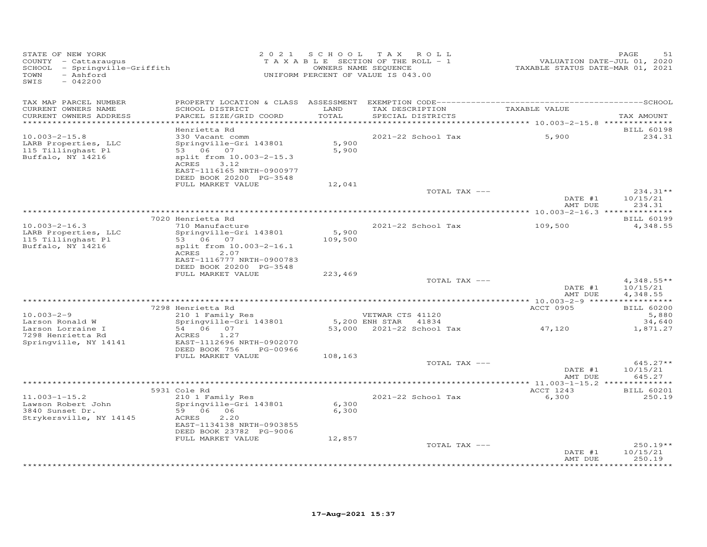| STATE OF NEW YORK<br>COUNTY - Cattaraugus<br>SCHOOL - Springville-Griffith<br>- Ashford<br>TOWN<br>SWIS<br>$-042200$ |                                                                                                                                                                         |                  | 2021 SCHOOL TAX ROLL<br>TAXABLE SECTION OF THE ROLL - 1<br>OWNERS NAME SEQUENCE<br>UNIFORM PERCENT OF VALUE IS 043.00 | --------<br>TAXABLE STATUS DATE-JUL 01, 2020<br>TAXABLE STATUS DATE-MAR 01, 2021 | PAGE<br>51                                      |
|----------------------------------------------------------------------------------------------------------------------|-------------------------------------------------------------------------------------------------------------------------------------------------------------------------|------------------|-----------------------------------------------------------------------------------------------------------------------|----------------------------------------------------------------------------------|-------------------------------------------------|
| TAX MAP PARCEL NUMBER<br>CURRENT OWNERS NAME<br>CURRENT OWNERS ADDRESS<br>************************                   | SCHOOL DISTRICT<br>PARCEL SIZE/GRID COORD                                                                                                                               | LAND<br>TOTAL    | TAX DESCRIPTION TAXABLE VALUE<br>SPECIAL DISTRICTS                                                                    |                                                                                  | TAX AMOUNT                                      |
| $10.003 - 2 - 15.8$<br>LARB Properties, LLC<br>115 Tillinghast Pl<br>Buffalo, NY 14216                               | Henrietta Rd<br>330 Vacant comm<br>Springville-Gri 143801<br>53 06 07<br>split from 10.003-2-15.3<br>ACRES 3.12<br>EAST-1116165 NRTH-0900977<br>DEED BOOK 20200 PG-3548 | 5,900<br>5,900   | 2021-22 School Tax                                                                                                    | 5,900                                                                            | <b>BILL 60198</b><br>234.31                     |
|                                                                                                                      | FULL MARKET VALUE                                                                                                                                                       | 12,041           | TOTAL TAX ---                                                                                                         | DATE #1<br>AMT DUE                                                               | 234.31**<br>10/15/21<br>234.31                  |
|                                                                                                                      |                                                                                                                                                                         |                  |                                                                                                                       |                                                                                  |                                                 |
| $10.003 - 2 - 16.3$<br>LARB Properties, LLC<br>115 Tillinghast Pl<br>Buffalo, NY 14216                               | 7020 Henrietta Rd<br>710 Manufacture<br>Springville-Gri 143801<br>53 06 07<br>split from 10.003-2-16.1<br>ACRES<br>2.07<br>EAST-1116777 NRTH-0900783                    | 5,900<br>109,500 | 2021-22 School Tax                                                                                                    | 109,500                                                                          | <b>BILL 60199</b><br>4,348.55                   |
|                                                                                                                      | DEED BOOK 20200 PG-3548<br>FULL MARKET VALUE                                                                                                                            |                  |                                                                                                                       |                                                                                  |                                                 |
|                                                                                                                      |                                                                                                                                                                         | 223,469          | TOTAL TAX ---                                                                                                         | DATE #1<br>AMT DUE                                                               | $4,348.55**$<br>10/15/21<br>4,348.55            |
|                                                                                                                      |                                                                                                                                                                         |                  |                                                                                                                       |                                                                                  |                                                 |
| $10.003 - 2 - 9$                                                                                                     | 7298 Henrietta Rd<br>210 1 Family Res                                                                                                                                   |                  | VETWAR CTS 41120                                                                                                      | ACCT 0905                                                                        | <b>BILL 60200</b><br>5,880                      |
| Larson Ronald W                                                                                                      | Springville-Gri 143801                                                                                                                                                  |                  | 5,200 ENH STAR 41834                                                                                                  |                                                                                  | 34,640                                          |
| Larson Lorraine I<br>7298 Henrietta Rd<br>Springville, NY 14141                                                      | 54 06 07<br>ACRES 1.27<br>EAST-1112696 NRTH-0902070<br>DEED BOOK 756<br>PG-00966                                                                                        |                  | 53,000 2021-22 School Tax                                                                                             | 47,120                                                                           | 1,871.27                                        |
|                                                                                                                      | FULL MARKET VALUE                                                                                                                                                       | 108,163          | TOTAL TAX ---                                                                                                         | DATE #1                                                                          | $645.27**$<br>10/15/21                          |
|                                                                                                                      |                                                                                                                                                                         |                  |                                                                                                                       | AMT DUE                                                                          | 645.27                                          |
|                                                                                                                      | 5931 Cole Rd                                                                                                                                                            |                  |                                                                                                                       | ACCT 1243                                                                        | <b>BILL 60201</b>                               |
| $11.003 - 1 - 15.2$<br>Lawson Robert John<br>3840 Sunset Dr.<br>Strykersville, NY 14145                              | 210 1 Family Res<br>Springville-Gri 143801<br>59 06 06<br>ACRES<br>2,20<br>EAST-1134138 NRTH-0903855<br>DEED BOOK 23782 PG-9006                                         | 6,300<br>6,300   | 2021-22 School Tax                                                                                                    | 6,300                                                                            | 250.19                                          |
|                                                                                                                      | FULL MARKET VALUE                                                                                                                                                       | 12,857           |                                                                                                                       |                                                                                  |                                                 |
|                                                                                                                      |                                                                                                                                                                         |                  | TOTAL TAX ---                                                                                                         | DATE #1<br>AMT DUE                                                               | $250.19**$<br>10/15/21<br>250.19<br>*********** |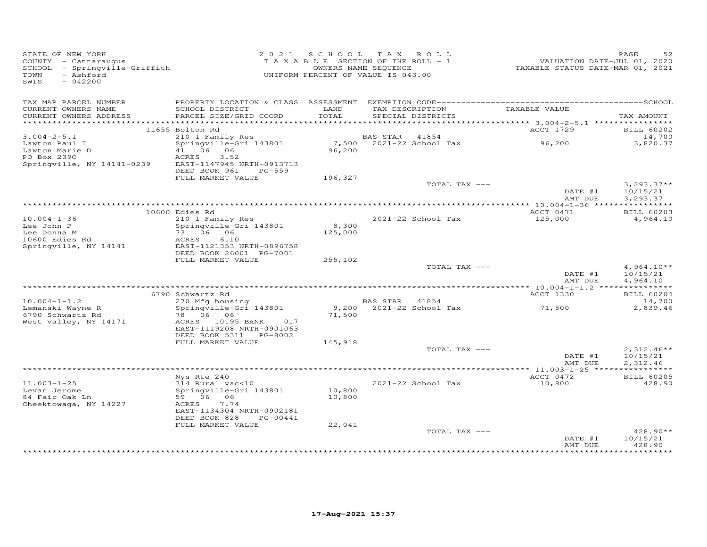| STATE OF NEW YORK<br>COUNTY - Cattaraugus<br>SCHOOL - Springville-Griffith<br>- Ashford<br>TOWN<br>SWIS<br>$-042200$ |                                                      |         | 2021 SCHOOL TAX ROLL<br>T A X A B L E SECTION OF THE ROLL - 1<br>OWNERS NAME SEQUENCE<br>UNIFORM PERCENT OF VALUE IS 043.00 |               | 52<br>PAGE<br>VALUATION DATE-JUL 01, 2020<br>TAXABLE STATUS DATE-MAR 01, 2021 |
|----------------------------------------------------------------------------------------------------------------------|------------------------------------------------------|---------|-----------------------------------------------------------------------------------------------------------------------------|---------------|-------------------------------------------------------------------------------|
| TAX MAP PARCEL NUMBER<br>CURRENT OWNERS NAME                                                                         | SCHOOL DISTRICT                                      | LAND    | TAX DESCRIPTION                                                                                                             | TAXABLE VALUE |                                                                               |
| CURRENT OWNERS ADDRESS                                                                                               | PARCEL SIZE/GRID COORD                               | TOTAL   | SPECIAL DISTRICTS                                                                                                           |               | TAX AMOUNT                                                                    |
|                                                                                                                      | 11655 Bolton Rd                                      |         |                                                                                                                             | ACCT 1729     | <b>BILL 60202</b>                                                             |
| $3.004 - 2 - 5.1$                                                                                                    | 210 1 Family Res                                     |         | BAS STAR 41854                                                                                                              |               | 14,700                                                                        |
| Lawton Paul I                                                                                                        | Springville-Gri 143801                               |         | 7,500 2021-22 School Tax                                                                                                    | 96,200        | 3,820.37                                                                      |
| Lawton radio<br>Lawton Marie D<br>2000                                                                               | 41 06 06                                             | 96,200  |                                                                                                                             |               |                                                                               |
| Springville, NY 14141-0239                                                                                           | ACRES<br>3.52<br>EAST-1147945 NRTH-0913713           |         |                                                                                                                             |               |                                                                               |
|                                                                                                                      | DEED BOOK 961<br>PG-559                              |         |                                                                                                                             |               |                                                                               |
|                                                                                                                      | FULL MARKET VALUE                                    | 196,327 |                                                                                                                             |               |                                                                               |
|                                                                                                                      |                                                      |         |                                                                                                                             | TOTAL TAX --- | $3,293.37**$<br>DATE #1<br>10/15/21                                           |
|                                                                                                                      |                                                      |         |                                                                                                                             |               | 3,293.37<br>AMT DUE                                                           |
|                                                                                                                      |                                                      |         |                                                                                                                             |               |                                                                               |
|                                                                                                                      | 10600 Edies Rd                                       |         |                                                                                                                             | ACCT 0471     | <b>BILL 60203</b>                                                             |
| $10.004 - 1 - 36$<br>Lee John P                                                                                      | 210 1 Family Res<br>Springville-Gri 143801           | 8,300   | 2021-22 School Tax                                                                                                          | 125,000       | 4,964.10                                                                      |
| Lee Donna M                                                                                                          | 73 06 06                                             | 125,000 |                                                                                                                             |               |                                                                               |
| 10600 Edies Rd                                                                                                       | ACRES<br>6.10                                        |         |                                                                                                                             |               |                                                                               |
| Springville, NY 14141                                                                                                | EAST-1121353 NRTH-0896758<br>DEED BOOK 26001 PG-7001 |         |                                                                                                                             |               |                                                                               |
|                                                                                                                      | FULL MARKET VALUE                                    | 255,102 |                                                                                                                             |               |                                                                               |
|                                                                                                                      |                                                      |         |                                                                                                                             | TOTAL TAX --- | $4,964.10**$                                                                  |
|                                                                                                                      |                                                      |         |                                                                                                                             |               | DATE #1<br>10/15/21                                                           |
|                                                                                                                      |                                                      |         |                                                                                                                             |               | AMT DUE<br>4,964.10                                                           |
|                                                                                                                      | 6790 Schwartz Rd                                     |         |                                                                                                                             | ACCT 1330     | <b>BILL 60204</b>                                                             |
| $10.004 - 1 - 1.2$                                                                                                   | 270 Mfg housing                                      |         | BAS STAR 41854                                                                                                              |               | 14,700                                                                        |
| Lemanski Wayne R<br>4790 Schwartz Rd                                                                                 | Springville-Gri 143801<br>78 06 06                   |         | 9,200 2021-22 School Tax                                                                                                    | 71,500        | 2,839.46                                                                      |
| 6790 Schwartz Rd<br>West Valley, NY 14171                                                                            | ACRES 10.95 BANK 017                                 | 71,500  |                                                                                                                             |               |                                                                               |
|                                                                                                                      | EAST-1119208 NRTH-0901063                            |         |                                                                                                                             |               |                                                                               |
|                                                                                                                      | DEED BOOK 5311 PG-8002                               |         |                                                                                                                             |               |                                                                               |
|                                                                                                                      | FULL MARKET VALUE                                    | 145,918 |                                                                                                                             | TOTAL TAX --- | $2,312.46**$                                                                  |
|                                                                                                                      |                                                      |         |                                                                                                                             |               | DATE #1<br>10/15/21                                                           |
|                                                                                                                      |                                                      |         |                                                                                                                             |               | AMT DUE<br>2,312.46                                                           |
|                                                                                                                      | Nys Rte 240                                          |         |                                                                                                                             | ACCT 0472     |                                                                               |
| $11.003 - 1 - 25$                                                                                                    | 314 Rural vac<10                                     |         | 2021-22 School Tax                                                                                                          | 10,800        | <b>BILL 60205</b><br>428.90                                                   |
| Levan Jerome                                                                                                         | Springville-Gri 143801                               | 10,800  |                                                                                                                             |               |                                                                               |
| 84 Fair Oak Ln                                                                                                       | 59 06 06                                             | 10,800  |                                                                                                                             |               |                                                                               |
| Cheektowaga, NY 14227                                                                                                | ACRES<br>7.74<br>EAST-1134304 NRTH-0902181           |         |                                                                                                                             |               |                                                                               |
|                                                                                                                      | DEED BOOK 828<br>PG-00441                            |         |                                                                                                                             |               |                                                                               |
|                                                                                                                      | FULL MARKET VALUE                                    | 22,041  |                                                                                                                             |               |                                                                               |
|                                                                                                                      |                                                      |         |                                                                                                                             | TOTAL TAX --- | $428.90**$                                                                    |
|                                                                                                                      |                                                      |         |                                                                                                                             |               | 10/15/21<br>DATE #1<br>428.90<br>AMT DUE                                      |
|                                                                                                                      |                                                      |         |                                                                                                                             |               |                                                                               |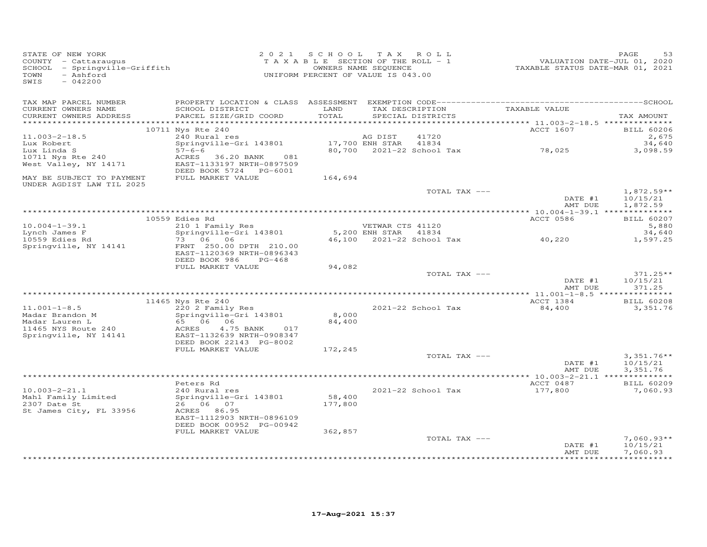| STATE OF NEW YORK<br>COUNTY - Cattaraugus<br>SCHOOL - Springville-Griffith<br>- Ashford<br>TOWN<br>SWIS<br>$-042200$ |                                                                                                                                           | 2021 SCHOOL TAX ROLL<br>TAXABLE SECTION OF THE ROLL - 1<br>UNIFORM PERCENT OF VALUE IS 043.00 | OWNERS NAME SEQUENCE                     |                                             | VALUATION DATE-JUL 01, 2020<br>TAXABLE STATUS DATE-MAR 01, 2021 | PAGE<br>53                           |
|----------------------------------------------------------------------------------------------------------------------|-------------------------------------------------------------------------------------------------------------------------------------------|-----------------------------------------------------------------------------------------------|------------------------------------------|---------------------------------------------|-----------------------------------------------------------------|--------------------------------------|
| TAX MAP PARCEL NUMBER<br>CURRENT OWNERS NAME<br>CURRENT OWNERS ADDRESS<br>************************                   | SCHOOL DISTRICT<br>PARCEL SIZE/GRID COORD                                                                                                 | LAND<br>TOTAL                                                                                 |                                          | TAX DESCRIPTION<br>SPECIAL DISTRICTS        | TAXABLE VALUE                                                   | TAX AMOUNT                           |
|                                                                                                                      | 10711 Nys Rte 240                                                                                                                         |                                                                                               |                                          |                                             | ACCT 1607                                                       | <b>BILL 60206</b>                    |
| $11.003 - 2 - 18.5$<br>Lux Robert<br>Lux Linda S<br>10711 Nys Rte 240<br>West Valley, NY 14171                       | 240 Rural res<br>Springville-Gri 143801<br>$57 - 6 - 6$<br>ACRES 36.20 BANK<br>081<br>EAST-1133197 NRTH-0897509<br>DEED BOOK 5724 PG-6001 |                                                                                               | AG DIST<br>17,700 ENH STAR               | 41720<br>41834<br>80,700 2021-22 School Tax | 78,025                                                          | 2,675<br>34,640<br>3,098.59          |
| MAY BE SUBJECT TO PAYMENT                                                                                            | FULL MARKET VALUE                                                                                                                         | 164,694                                                                                       |                                          |                                             |                                                                 |                                      |
| UNDER AGDIST LAW TIL 2025                                                                                            |                                                                                                                                           |                                                                                               |                                          | TOTAL TAX ---                               | DATE #1                                                         | $1,872.59**$<br>10/15/21             |
|                                                                                                                      |                                                                                                                                           |                                                                                               |                                          |                                             | AMT DUE                                                         | 1,872.59                             |
|                                                                                                                      | 10559 Edies Rd                                                                                                                            |                                                                                               |                                          |                                             | ACCT 0586                                                       | <b>BILL 60207</b>                    |
| $10.004 - 1 - 39.1$<br>Lynch James F                                                                                 | 210 1 Family Res<br>Springville-Gri 143801                                                                                                |                                                                                               | VETWAR CTS 41120<br>5,200 ENH STAR 41834 |                                             |                                                                 | 5,880<br>34,640                      |
| 10559 Edies Rd                                                                                                       | 73 06 06                                                                                                                                  |                                                                                               |                                          | 46,100 2021-22 School Tax                   | 40,220                                                          | 1,597.25                             |
| Springville, NY 14141                                                                                                | FRNT 250.00 DPTH 210.00<br>EAST-1120369 NRTH-0896343<br>DEED BOOK 986<br>$PG-468$                                                         |                                                                                               |                                          |                                             |                                                                 |                                      |
|                                                                                                                      | FULL MARKET VALUE                                                                                                                         | 94,082                                                                                        |                                          | TOTAL TAX ---                               |                                                                 | $371.25**$                           |
|                                                                                                                      |                                                                                                                                           |                                                                                               |                                          |                                             | DATE #1<br>AMT DUE                                              | 10/15/21<br>371.25                   |
|                                                                                                                      | 11465 Nys Rte 240                                                                                                                         |                                                                                               |                                          |                                             | ACCT 1384                                                       | <b>BILL 60208</b>                    |
| $11.001 - 1 - 8.5$<br>Madar Brandon M<br>Madar Lauren L                                                              | 220 2 Family Res<br>Springville-Gri 143801<br>65 06 06                                                                                    | 8,000<br>84,400                                                                               |                                          | 2021-22 School Tax                          | 84,400                                                          | 3,351.76                             |
| 11465 NYS Route 240<br>Springville, NY 14141                                                                         | ACRES<br>4.75 BANK<br>017<br>EAST-1132639 NRTH-0908347<br>DEED BOOK 22143 PG-8002                                                         |                                                                                               |                                          |                                             |                                                                 |                                      |
|                                                                                                                      | FULL MARKET VALUE                                                                                                                         | 172,245                                                                                       |                                          |                                             |                                                                 |                                      |
|                                                                                                                      |                                                                                                                                           |                                                                                               |                                          | TOTAL TAX ---                               | DATE #1<br>AMT DUE                                              | $3,351.76**$<br>10/15/21<br>3,351.76 |
|                                                                                                                      |                                                                                                                                           |                                                                                               |                                          |                                             |                                                                 |                                      |
| $10.003 - 2 - 21.1$                                                                                                  | Peters Rd<br>240 Rural res                                                                                                                |                                                                                               |                                          | 2021-22 School Tax                          | ACCT 0487<br>177,800                                            | <b>BILL 60209</b><br>7,060.93        |
| Mahl Family Limited<br>2307 Date St<br>St James City, FL 33956                                                       | Springville-Gri 143801<br>26 06 07<br>ACRES 86.95<br>EAST-1112903 NRTH-0896109<br>DEED BOOK 00952 PG-00942                                | 58,400<br>177,800                                                                             |                                          |                                             |                                                                 |                                      |
|                                                                                                                      | FULL MARKET VALUE                                                                                                                         | 362,857                                                                                       |                                          | TOTAL TAX ---                               | DATE #1                                                         | $7,060.93**$<br>10/15/21             |
|                                                                                                                      |                                                                                                                                           |                                                                                               |                                          |                                             | AMT DUE                                                         | 7,060.93<br>* * * * * * * * * * * *  |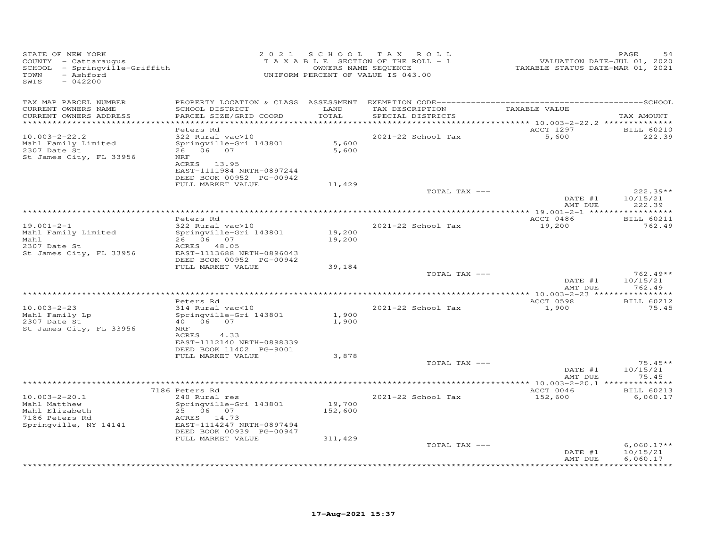| STATE OF NEW YORK<br>COUNTY - Cattaraugus<br>SCHOOL - Springville-Griffith<br>TOWN<br>- Ashford<br>SWIS<br>$-042200$ |                                                       |                   | 2021 SCHOOL TAX ROLL<br>TAXABLE SECTION OF THE ROLL - 1<br>OWNERS NAME SEQUENCE<br>UNIFORM PERCENT OF VALUE IS 043.00 | VALUATION DATE-JUL 01, 2020<br>TAXABLE STATUS DATE-MAR 01, 2021 | PAGE<br>54           |
|----------------------------------------------------------------------------------------------------------------------|-------------------------------------------------------|-------------------|-----------------------------------------------------------------------------------------------------------------------|-----------------------------------------------------------------|----------------------|
| TAX MAP PARCEL NUMBER                                                                                                |                                                       |                   |                                                                                                                       |                                                                 |                      |
| CURRENT OWNERS NAME<br>CURRENT OWNERS ADDRESS<br>**********************                                              | SCHOOL DISTRICT<br>PARCEL SIZE/GRID COORD             | LAND<br>TOTAL     | TAX DESCRIPTION<br>SPECIAL DISTRICTS                                                                                  | TAXABLE VALUE                                                   | TAX AMOUNT           |
|                                                                                                                      | Peters Rd                                             |                   |                                                                                                                       | ACCT 1297                                                       | <b>BILL 60210</b>    |
| $10.003 - 2 - 22.2$                                                                                                  | 322 Rural vac>10                                      |                   | 2021-22 School Tax                                                                                                    | 5,600                                                           | 222.39               |
| Mahl Family Limited                                                                                                  | Springville-Gri 143801                                | 5,600             |                                                                                                                       |                                                                 |                      |
| 2307 Date St                                                                                                         | 26 06 07                                              | 5,600             |                                                                                                                       |                                                                 |                      |
| St James City, FL 33956                                                                                              | <b>NRF</b>                                            |                   |                                                                                                                       |                                                                 |                      |
|                                                                                                                      | ACRES 13.95                                           |                   |                                                                                                                       |                                                                 |                      |
|                                                                                                                      | EAST-1111984 NRTH-0897244<br>DEED BOOK 00952 PG-00942 |                   |                                                                                                                       |                                                                 |                      |
|                                                                                                                      | FULL MARKET VALUE                                     | 11,429            |                                                                                                                       |                                                                 |                      |
|                                                                                                                      |                                                       |                   | TOTAL TAX ---                                                                                                         |                                                                 | $222.39**$           |
|                                                                                                                      |                                                       |                   |                                                                                                                       | DATE #1                                                         | 10/15/21             |
|                                                                                                                      |                                                       |                   |                                                                                                                       | AMT DUE                                                         | 222.39               |
|                                                                                                                      |                                                       |                   | *************************************                                                                                 | *************** 19.001-2-1 ******************                   |                      |
| $19.001 - 2 - 1$                                                                                                     | Peters Rd                                             |                   | 2021-22 School Tax                                                                                                    | ACCT 0486<br>19,200                                             | <b>BILL 60211</b>    |
| Mahl Family Limited                                                                                                  | 322 Rural vac>10<br>Springville-Gri 143801            | 19,200            |                                                                                                                       |                                                                 | 762.49               |
| Mahl                                                                                                                 | 26 06 07                                              | 19,200            |                                                                                                                       |                                                                 |                      |
| 2307 Date St                                                                                                         | ACRES 48.05                                           |                   |                                                                                                                       |                                                                 |                      |
| St James City, FL 33956                                                                                              | EAST-1113688 NRTH-0896043                             |                   |                                                                                                                       |                                                                 |                      |
|                                                                                                                      | DEED BOOK 00952 PG-00942                              |                   |                                                                                                                       |                                                                 |                      |
|                                                                                                                      | FULL MARKET VALUE                                     | 39,184            | TOTAL TAX ---                                                                                                         |                                                                 | $762.49**$           |
|                                                                                                                      |                                                       |                   |                                                                                                                       | DATE #1                                                         | 10/15/21             |
|                                                                                                                      |                                                       |                   |                                                                                                                       | AMT DUE                                                         | 762.49               |
|                                                                                                                      |                                                       |                   |                                                                                                                       |                                                                 |                      |
|                                                                                                                      | Peters Rd                                             |                   |                                                                                                                       | ACCT 0598                                                       | <b>BILL 60212</b>    |
| $10.003 - 2 - 23$                                                                                                    | 314 Rural vac<10                                      |                   | 2021-22 School Tax                                                                                                    | 1,900                                                           | 75.45                |
| Mahl Family Lp<br>2307 Date St                                                                                       | Springville-Gri 143801<br>40   06   07                | 1,900<br>1,900    |                                                                                                                       |                                                                 |                      |
| St James City, FL 33956                                                                                              | NRF                                                   |                   |                                                                                                                       |                                                                 |                      |
|                                                                                                                      | ACRES<br>4.33                                         |                   |                                                                                                                       |                                                                 |                      |
|                                                                                                                      | EAST-1112140 NRTH-0898339                             |                   |                                                                                                                       |                                                                 |                      |
|                                                                                                                      | DEED BOOK 11402 PG-9001                               |                   |                                                                                                                       |                                                                 |                      |
|                                                                                                                      | FULL MARKET VALUE                                     | 3,878             | TOTAL TAX ---                                                                                                         |                                                                 | $75.45**$            |
|                                                                                                                      |                                                       |                   |                                                                                                                       | DATE #1                                                         | 10/15/21             |
|                                                                                                                      |                                                       |                   |                                                                                                                       | AMT DUE                                                         | 75.45                |
|                                                                                                                      |                                                       |                   |                                                                                                                       |                                                                 |                      |
|                                                                                                                      | 7186 Peters Rd                                        |                   |                                                                                                                       | ACCT 0046                                                       | <b>BILL 60213</b>    |
| $10.003 - 2 - 20.1$                                                                                                  | 240 Rural res                                         |                   | 2021-22 School Tax                                                                                                    | 152,600                                                         | 6,060.17             |
| Mahl Matthew<br>Mahl Elizabeth                                                                                       | Springville-Gri 143801<br>25 06 07                    | 19,700<br>152,600 |                                                                                                                       |                                                                 |                      |
| 7186 Peters Rd                                                                                                       | ACRES 14.73                                           |                   |                                                                                                                       |                                                                 |                      |
| Springville, NY 14141                                                                                                | EAST-1114247 NRTH-0897494                             |                   |                                                                                                                       |                                                                 |                      |
|                                                                                                                      | DEED BOOK 00939 PG-00947                              |                   |                                                                                                                       |                                                                 |                      |
|                                                                                                                      | FULL MARKET VALUE                                     | 311,429           |                                                                                                                       |                                                                 |                      |
|                                                                                                                      |                                                       |                   | TOTAL TAX ---                                                                                                         |                                                                 | $6,060.17**$         |
|                                                                                                                      |                                                       |                   |                                                                                                                       | DATE #1<br>AMT DUE                                              | 10/15/21<br>6,060.17 |
|                                                                                                                      |                                                       |                   |                                                                                                                       |                                                                 |                      |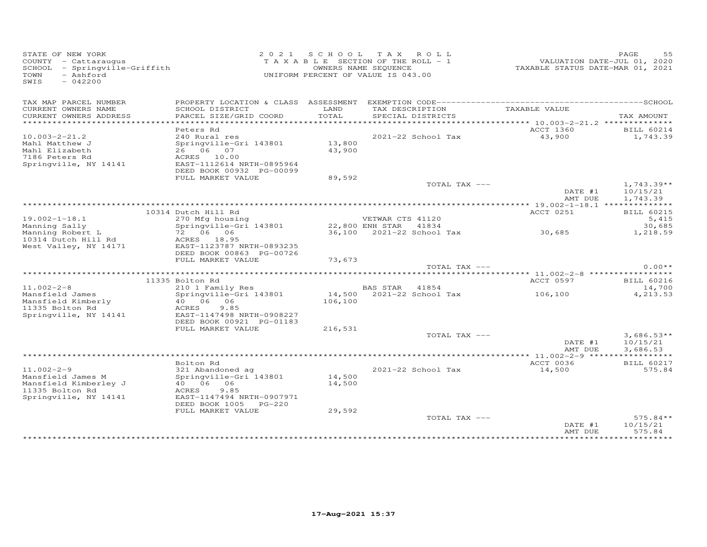| STATE OF NEW YORK<br>COUNTY - Cattaraugus<br>SCHOOL - Springville-Griffith<br>- Ashford<br>TOWN<br>SWIS<br>$-042200$ |                                                                                                 | 2021 SCHOOL      | TAX ROLL<br>TAXABLE SECTION OF THE ROLL - 1<br>OWNERS NAME SEQUENCE<br>UNIFORM PERCENT OF VALUE IS 043.00 |                                     | PAGE<br>55<br>VALUATION DATE-JUL 01, 2020<br>TAXABLE STATUS DATE-MAR 01, 2021 |
|----------------------------------------------------------------------------------------------------------------------|-------------------------------------------------------------------------------------------------|------------------|-----------------------------------------------------------------------------------------------------------|-------------------------------------|-------------------------------------------------------------------------------|
| TAX MAP PARCEL NUMBER<br>CURRENT OWNERS NAME<br>CURRENT OWNERS ADDRESS                                               | SCHOOL DISTRICT<br>PARCEL SIZE/GRID COORD                                                       | LAND<br>TOTAL    | TAX DESCRIPTION<br>SPECIAL DISTRICTS                                                                      | TAXABLE VALUE                       | TAX AMOUNT                                                                    |
| *************************                                                                                            |                                                                                                 |                  |                                                                                                           |                                     |                                                                               |
|                                                                                                                      | Peters Rd                                                                                       |                  |                                                                                                           | ACCT 1360                           | BILL 60214                                                                    |
| $10.003 - 2 - 21.2$<br>Mahl Matthew J<br>Mahl Elizabeth<br>7186 Peters Rd<br>Springville, NY 14141                   | 240 Rural res<br>Springville-Gri 143801<br>26 06 07<br>ACRES 10.00<br>EAST-1112614 NRTH-0895964 | 13,800<br>43,900 | 2021-22 School Tax                                                                                        | 43,900                              | 1,743.39                                                                      |
|                                                                                                                      | DEED BOOK 00932 PG-00099                                                                        |                  |                                                                                                           |                                     |                                                                               |
|                                                                                                                      | FULL MARKET VALUE                                                                               | 89,592           |                                                                                                           |                                     |                                                                               |
|                                                                                                                      |                                                                                                 |                  |                                                                                                           | TOTAL TAX ---<br>DATE #1<br>AMT DUE | $1,743.39**$<br>10/15/21<br>1,743.39                                          |
|                                                                                                                      |                                                                                                 |                  |                                                                                                           |                                     |                                                                               |
|                                                                                                                      | 10314 Dutch Hill Rd                                                                             |                  |                                                                                                           | ACCT 0251                           | <b>BILL 60215</b>                                                             |
| $19.002 - 1 - 18.1$                                                                                                  | 270 Mfg housing                                                                                 |                  | VETWAR CTS 41120                                                                                          |                                     | 5,415                                                                         |
| Manning Sally<br>Manning Robert L                                                                                    | Springville-Gri 143801<br>72 06 06                                                              |                  | 22,800 ENH STAR 41834<br>36,100 2021-22 School Tax                                                        | 30,685                              | 30,685                                                                        |
| 10314 Dutch Hill Rd                                                                                                  | ACRES 18.95                                                                                     |                  |                                                                                                           |                                     | 1,218.59                                                                      |
| West Valley, NY 14171                                                                                                | EAST-1123787 NRTH-0893235<br>DEED BOOK 00863 PG-00726                                           |                  |                                                                                                           |                                     |                                                                               |
|                                                                                                                      | FULL MARKET VALUE                                                                               | 73,673           |                                                                                                           | TOTAL TAX ---                       | $0.00**$                                                                      |
|                                                                                                                      |                                                                                                 |                  |                                                                                                           |                                     |                                                                               |
|                                                                                                                      | 11335 Bolton Rd                                                                                 |                  |                                                                                                           | ACCT 0597                           | <b>BILL 60216</b>                                                             |
| $11.002 - 2 - 8$                                                                                                     | 210 1 Family Res                                                                                |                  | BAS STAR 41854                                                                                            |                                     | 14,700                                                                        |
| Mansfield James<br>Mansfield Kimberly<br>11335 Bolton Rd                                                             | Springville-Gri 143801<br>40 06 06<br>9.85<br>ACRES                                             | 106,100          | 14,500 2021-22 School Tax                                                                                 | 106,100                             | 4,213.53                                                                      |
| Springville, NY 14141                                                                                                | EAST-1147498 NRTH-0908227<br>DEED BOOK 00921 PG-01183                                           |                  |                                                                                                           |                                     |                                                                               |
|                                                                                                                      | FULL MARKET VALUE                                                                               | 216,531          |                                                                                                           | TOTAL TAX ---                       |                                                                               |
|                                                                                                                      |                                                                                                 |                  |                                                                                                           | DATE #1<br>AMT DUE                  | $3,686.53**$<br>10/15/21<br>3,686.53                                          |
|                                                                                                                      |                                                                                                 |                  |                                                                                                           |                                     |                                                                               |
|                                                                                                                      | Bolton Rd                                                                                       |                  |                                                                                                           | ACCT 0036                           | <b>BILL 60217</b>                                                             |
| $11.002 - 2 - 9$<br>Mansfield James M<br>Mansfield Kimberley J                                                       | 321 Abandoned ag<br>Springville-Gri 143801<br>40 06 06                                          | 14,500<br>14,500 | 2021-22 School Tax                                                                                        | 14,500                              | 575.84                                                                        |
| 11335 Bolton Rd<br>Springville, NY 14141                                                                             | 9.85<br>ACRES<br>EAST-1147494 NRTH-0907971<br>DEED BOOK 1005 PG-220                             |                  |                                                                                                           |                                     |                                                                               |
|                                                                                                                      | FULL MARKET VALUE                                                                               | 29,592           |                                                                                                           | TOTAL TAX ---<br>DATE #1            | $575.84**$<br>10/15/21                                                        |
|                                                                                                                      |                                                                                                 |                  |                                                                                                           | AMT DUE                             | 575.84                                                                        |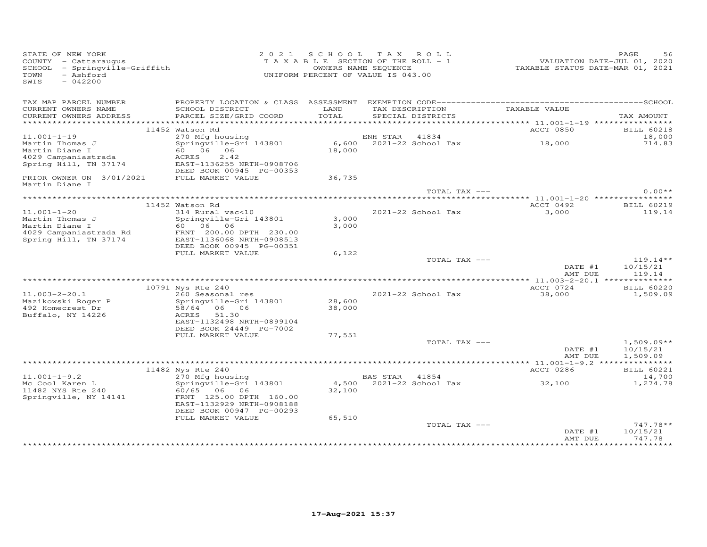| STATE OF NEW YORK<br>COUNTY - Cattaraugus<br>SCHOOL - Springville-Griffith<br>TOWN<br>- Ashford<br>SWIS<br>$-042200$ |                                                                                  |                  | 2021 SCHOOL TAX ROLL<br>TAXABLE SECTION OF THE ROLL - 1<br>OWNERS NAME SEQUENCE<br>UNIFORM PERCENT OF VALUE IS 043.00 | VALUATION DATE-JUL 01, 2020<br>TAXABLE STATUS DATE-MAR 01, 2021 | PAGE<br>56                           |
|----------------------------------------------------------------------------------------------------------------------|----------------------------------------------------------------------------------|------------------|-----------------------------------------------------------------------------------------------------------------------|-----------------------------------------------------------------|--------------------------------------|
| TAX MAP PARCEL NUMBER<br>CURRENT OWNERS NAME<br>CURRENT OWNERS ADDRESS                                               | SCHOOL DISTRICT<br>PARCEL SIZE/GRID COORD                                        | LAND<br>TOTAL    | TAX DESCRIPTION<br>SPECIAL DISTRICTS                                                                                  | TAXABLE VALUE                                                   | TAX AMOUNT                           |
|                                                                                                                      | 11452 Watson Rd                                                                  |                  |                                                                                                                       | ACCT 0850                                                       | <b>BILL 60218</b>                    |
| $11.001 - 1 - 19$                                                                                                    | 270 Mfg housing                                                                  |                  |                                                                                                                       |                                                                 | 18,000                               |
| Martin Thomas J<br>Martin Diane I<br>4029 Campaniastrada                                                             | Springville-Gri 143801<br>60 06 06<br>ACRES<br>2.42                              | 18,000           | ENH STAR 41834<br>6,600 2021-22 School Tax                                                                            | 18,000                                                          | 714.83                               |
| Spring Hill, TN 37174                                                                                                | EAST-1136255 NRTH-0908706<br>DEED BOOK 00945 PG-00353                            |                  |                                                                                                                       |                                                                 |                                      |
| PRIOR OWNER ON 3/01/2021<br>Martin Diane I                                                                           | FULL MARKET VALUE                                                                | 36,735           |                                                                                                                       |                                                                 |                                      |
|                                                                                                                      |                                                                                  |                  |                                                                                                                       | TOTAL TAX ---                                                   | $0.00**$                             |
|                                                                                                                      | 11452 Watson Rd                                                                  |                  |                                                                                                                       | ACCT 0492                                                       | <b>BILL 60219</b>                    |
| $11.001 - 1 - 20$                                                                                                    | 314 Rural vac<10                                                                 |                  | 2021-22 School Tax                                                                                                    | 3,000                                                           | 119.14                               |
| Martin Thomas J                                                                                                      | Springville-Gri 143801                                                           | 3,000            |                                                                                                                       |                                                                 |                                      |
| Martin Diane I                                                                                                       | 60 06 06                                                                         | 3,000            |                                                                                                                       |                                                                 |                                      |
| 4029 Campaniastrada Rd<br>Spring Hill, TN 37174                                                                      | FRNT 200.00 DPTH 230.00<br>EAST-1136068 NRTH-0908513<br>DEED BOOK 00945 PG-00351 |                  |                                                                                                                       |                                                                 |                                      |
|                                                                                                                      | FULL MARKET VALUE                                                                | 6,122            |                                                                                                                       |                                                                 |                                      |
|                                                                                                                      |                                                                                  |                  | TOTAL TAX ---                                                                                                         | DATE #1<br>AMT DUE                                              | $119.14**$<br>10/15/21<br>119.14     |
|                                                                                                                      |                                                                                  |                  |                                                                                                                       |                                                                 |                                      |
|                                                                                                                      | 10791 Nys Rte 240                                                                |                  |                                                                                                                       | ACCT 0724                                                       | <b>BILL 60220</b>                    |
| $11.003 - 2 - 20.1$<br>Mazikowski Roger P<br>492 Homecrest Dr                                                        | 260 Seasonal res<br>Springville-Gri 143801<br>58/64 06 06                        | 28,600<br>38,000 | 2021-22 School Tax                                                                                                    | 38,000                                                          | 1,509.09                             |
| Buffalo, NY 14226                                                                                                    | ACRES<br>51.30<br>EAST-1132498 NRTH-0899104<br>DEED BOOK 24449 PG-7002           |                  |                                                                                                                       |                                                                 |                                      |
|                                                                                                                      | FULL MARKET VALUE                                                                | 77,551           |                                                                                                                       |                                                                 |                                      |
|                                                                                                                      |                                                                                  |                  | TOTAL TAX ---                                                                                                         | DATE #1<br>AMT DUE                                              | $1,509.09**$<br>10/15/21<br>1,509.09 |
|                                                                                                                      |                                                                                  |                  |                                                                                                                       |                                                                 |                                      |
|                                                                                                                      | 11482 Nys Rte 240                                                                |                  |                                                                                                                       | ACCT 0286                                                       | <b>BILL 60221</b>                    |
| $11.001 - 1 - 9.2$<br>Mc Cool Karen L<br>11482 NYS Rte 240                                                           | 270 Mfg housing<br>Springville-Gri 143801<br>60/65 06 06                         | 32,100           | BAS STAR 41854                                                                                                        | 4,500 2021-22 School Tax 32,100                                 | 14,700<br>1,274.78                   |
| Springville, NY 14141                                                                                                | FRNT 125.00 DPTH 160.00<br>EAST-1132929 NRTH-0908188<br>DEED BOOK 00947 PG-00293 |                  |                                                                                                                       |                                                                 |                                      |
|                                                                                                                      | FULL MARKET VALUE                                                                | 65,510           |                                                                                                                       |                                                                 | $747.78**$                           |
|                                                                                                                      |                                                                                  |                  | TOTAL TAX ---                                                                                                         | DATE #1<br>AMT DUE                                              | 10/15/21<br>747.78                   |
|                                                                                                                      |                                                                                  |                  |                                                                                                                       |                                                                 |                                      |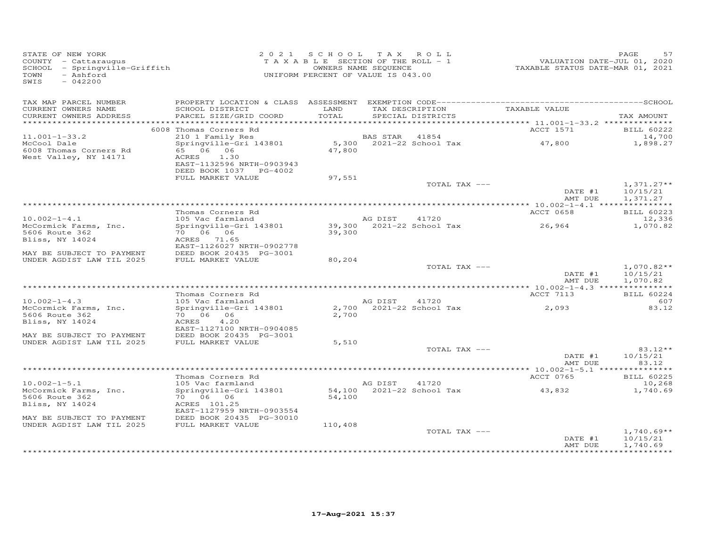| STATE OF NEW YORK<br>COUNTY - Cattaraugus<br>SCHOOL - Springville-Griffith<br>- Ashford<br>TOWN<br>SWIS<br>$-042200$ |                                                      | 2021 SCHOOL TAX ROLL<br>T A X A B L E SECTION OF THE ROLL - 1<br>UNIFORM PERCENT OF VALUE IS 043.00 | OWNERS NAME SEQUENCE                 |                 | VALUATION DATE-JUL 01, 2020<br>TAXABLE STATUS DATE-MAR 01, 2021 | PAGE<br>57                  |
|----------------------------------------------------------------------------------------------------------------------|------------------------------------------------------|-----------------------------------------------------------------------------------------------------|--------------------------------------|-----------------|-----------------------------------------------------------------|-----------------------------|
| TAX MAP PARCEL NUMBER                                                                                                |                                                      |                                                                                                     |                                      |                 |                                                                 |                             |
| CURRENT OWNERS NAME<br>CURRENT OWNERS ADDRESS                                                                        | SCHOOL DISTRICT<br>PARCEL SIZE/GRID COORD            | LAND<br>TOTAL                                                                                       | SPECIAL DISTRICTS                    | TAX DESCRIPTION | TAXABLE VALUE                                                   | TAX AMOUNT                  |
| ***********************                                                                                              |                                                      |                                                                                                     |                                      |                 |                                                                 |                             |
| $11.001 - 1 - 33.2$                                                                                                  | 6008 Thomas Corners Rd<br>210 1 Family Res           |                                                                                                     | BAS STAR                             | 41854           | ACCT 1571                                                       | <b>BILL 60222</b><br>14,700 |
| McCool Dale                                                                                                          | Springville-Gri 143801                               |                                                                                                     | 5,300 2021-22 School Tax             |                 | 47,800                                                          | 1,898.27                    |
| 6008 Thomas Corners Rd<br>West Valley, NY 14171                                                                      | 65 06 06<br>ACRES 1.30<br>EAST-1132596 NRTH-0903943  | 47,800                                                                                              |                                      |                 |                                                                 |                             |
|                                                                                                                      | DEED BOOK 1037 PG-4002                               |                                                                                                     |                                      |                 |                                                                 |                             |
|                                                                                                                      | FULL MARKET VALUE                                    | 97,551                                                                                              |                                      |                 |                                                                 |                             |
|                                                                                                                      |                                                      |                                                                                                     |                                      | TOTAL TAX ---   | DATE #1                                                         | $1,371.27**$<br>10/15/21    |
|                                                                                                                      |                                                      |                                                                                                     |                                      |                 | AMT DUE                                                         | 1,371.27                    |
|                                                                                                                      | Thomas Corners Rd                                    |                                                                                                     |                                      |                 | ACCT 0658                                                       | <b>BILL 60223</b>           |
| $10.002 - 1 - 4.1$                                                                                                   | 105 Vac farmland                                     |                                                                                                     | AG DIST                              | 41720           |                                                                 | 12,336                      |
| McCormick Farms, Inc.                                                                                                | Springville-Gri 143801                               |                                                                                                     | 39,300 2021-22 School Tax            |                 | 26,964                                                          | 1,070.82                    |
| 5606 Route 362                                                                                                       |                                                      | 39,300                                                                                              |                                      |                 |                                                                 |                             |
| Bliss, NY 14024                                                                                                      | ACRES 71.65                                          |                                                                                                     |                                      |                 |                                                                 |                             |
| MAY BE SUBJECT TO PAYMENT                                                                                            | EAST-1126027 NRTH-0902778<br>DEED BOOK 20435 PG-3001 |                                                                                                     |                                      |                 |                                                                 |                             |
| UNDER AGDIST LAW TIL 2025                                                                                            | FULL MARKET VALUE                                    | 80,204                                                                                              |                                      |                 |                                                                 |                             |
|                                                                                                                      |                                                      |                                                                                                     |                                      | TOTAL TAX ---   |                                                                 | $1,070.82**$                |
|                                                                                                                      |                                                      |                                                                                                     |                                      |                 | DATE #1                                                         | 10/15/21                    |
|                                                                                                                      |                                                      |                                                                                                     |                                      |                 | AMT DUE                                                         | 1,070.82                    |
|                                                                                                                      | Thomas Corners Rd                                    |                                                                                                     |                                      |                 | ACCT 7113                                                       | <b>BILL 60224</b>           |
| $10.002 - 1 - 4.3$                                                                                                   | 105 Vac farmland                                     |                                                                                                     | AG DIST 41720                        |                 |                                                                 | 607                         |
| McCormick Farms, Inc.                                                                                                | Springville-Gri 143801                               |                                                                                                     | 2,700 2021-22 School Tax             |                 | 2,093                                                           | 83.12                       |
| 5606 Route 362                                                                                                       | 70 06 06                                             | 2,700                                                                                               |                                      |                 |                                                                 |                             |
| Bliss, NY 14024                                                                                                      | 4.20<br>ACRES                                        |                                                                                                     |                                      |                 |                                                                 |                             |
|                                                                                                                      | EAST-1127100 NRTH-0904085                            |                                                                                                     |                                      |                 |                                                                 |                             |
| MAY BE SUBJECT TO PAYMENT<br>UNDER AGDIST LAW TIL 2025                                                               | DEED BOOK 20435 PG-3001<br>FULL MARKET VALUE         | 5,510                                                                                               |                                      |                 |                                                                 |                             |
|                                                                                                                      |                                                      |                                                                                                     |                                      | TOTAL TAX ---   |                                                                 | $83.12**$                   |
|                                                                                                                      |                                                      |                                                                                                     |                                      |                 | DATE #1                                                         | 10/15/21                    |
|                                                                                                                      |                                                      |                                                                                                     |                                      |                 | AMT DUE                                                         | 83.12                       |
|                                                                                                                      |                                                      |                                                                                                     |                                      |                 |                                                                 |                             |
|                                                                                                                      | Thomas Corners Rd                                    |                                                                                                     |                                      |                 | ACCT 0765                                                       | <b>BILL 60225</b>           |
| $10.002 - 1 - 5.1$<br>McCormick Farms, Inc.                                                                          | 105 Vac farmland<br>Springville-Gri 143801           |                                                                                                     | AG DIST<br>54,100 2021-22 School Tax | 41720           | 43,832                                                          | 10,268<br>1,740.69          |
| 5606 Route 362                                                                                                       | 70 06 06                                             | 54,100                                                                                              |                                      |                 |                                                                 |                             |
| Bliss, NY 14024                                                                                                      | ACRES 101.25                                         |                                                                                                     |                                      |                 |                                                                 |                             |
|                                                                                                                      | EAST-1127959 NRTH-0903554                            |                                                                                                     |                                      |                 |                                                                 |                             |
| MAY BE SUBJECT TO PAYMENT                                                                                            | DEED BOOK 20435 PG-30010                             |                                                                                                     |                                      |                 |                                                                 |                             |
| UNDER AGDIST LAW TIL 2025                                                                                            | FULL MARKET VALUE                                    | 110,408                                                                                             |                                      |                 |                                                                 |                             |
|                                                                                                                      |                                                      |                                                                                                     |                                      | TOTAL TAX ---   | DATE #1                                                         | $1,740.69**$<br>10/15/21    |
|                                                                                                                      |                                                      |                                                                                                     |                                      |                 | AMT DUE                                                         | 1,740.69                    |
|                                                                                                                      |                                                      |                                                                                                     |                                      |                 |                                                                 |                             |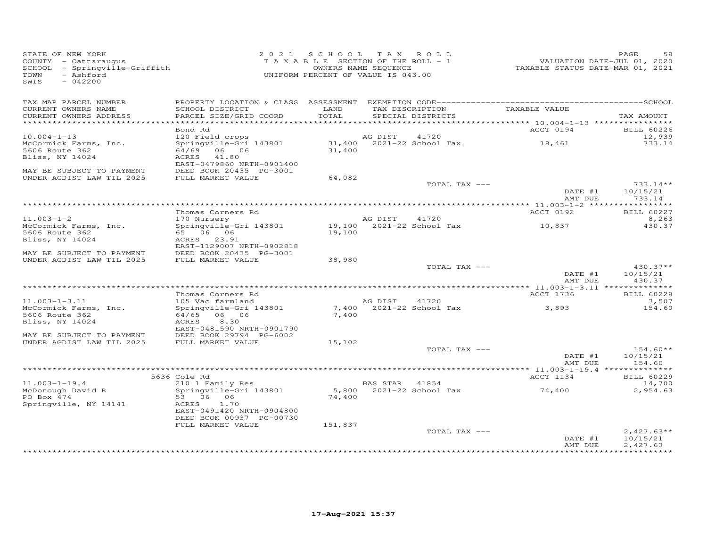| STATE OF NEW YORK<br>COUNTY - Cattaraugus<br>SCHOOL - Springville-Griffith<br>- Ashford<br>TOWN<br>SWIS<br>$-042200$ |                                                                                       |               | 2021 SCHOOL TAX ROLL<br>TAXABLE SECTION OF THE ROLL - 1<br>OWNERS NAME SEQUENCE<br>UNIFORM PERCENT OF VALUE IS 043.00 | VALUATION DATE-JUL 01, 2020<br>TAXABLE STATUS DATE-MAR 01, 2021 | 58<br>PAGE                           |
|----------------------------------------------------------------------------------------------------------------------|---------------------------------------------------------------------------------------|---------------|-----------------------------------------------------------------------------------------------------------------------|-----------------------------------------------------------------|--------------------------------------|
| TAX MAP PARCEL NUMBER<br>CURRENT OWNERS NAME<br>CURRENT OWNERS ADDRESS                                               | SCHOOL DISTRICT<br>PARCEL SIZE/GRID COORD                                             | LAND<br>TOTAL | TAX DESCRIPTION<br>SPECIAL DISTRICTS                                                                                  | TAXABLE VALUE                                                   | TAX AMOUNT                           |
|                                                                                                                      |                                                                                       |               |                                                                                                                       |                                                                 |                                      |
|                                                                                                                      | Bond Rd                                                                               |               |                                                                                                                       | ACCT 0194                                                       | <b>BILL 60226</b>                    |
| $10.004 - 1 - 13$<br>McCormick Farms, Inc.                                                                           | 120 Field crops<br>Springville-Gri 143801 31,400 2021-22 School Tax                   |               | AG DIST<br>41720                                                                                                      | 18,461                                                          | 12,939<br>733.14                     |
| 5606 Route 362<br>Bliss, NY 14024<br>MAY BE SUBJECT TO PAYMENT                                                       | 64/69 06 06<br>ACRES<br>41.80<br>EAST-0479860 NRTH-0901400<br>DEED BOOK 20435 PG-3001 | 31,400        |                                                                                                                       |                                                                 |                                      |
| UNDER AGDIST LAW TIL 2025                                                                                            | FULL MARKET VALUE                                                                     | 64,082        |                                                                                                                       |                                                                 |                                      |
|                                                                                                                      |                                                                                       |               | TOTAL TAX ---                                                                                                         | DATE #1                                                         | $733.14**$<br>10/15/21               |
|                                                                                                                      |                                                                                       |               |                                                                                                                       | AMT DUE                                                         | 733.14                               |
|                                                                                                                      | Thomas Corners Rd                                                                     |               |                                                                                                                       | ACCT 0192                                                       | BILL 60227                           |
| $11.003 - 1 - 2$                                                                                                     | 170 Nursery                                                                           |               | AG DIST<br>41720                                                                                                      |                                                                 | 8,263                                |
| McCormick Farms, Inc.<br>5606 Route 362<br>Bliss, NY 14024                                                           | Springville-Gri 143801<br>ACRES 23.91<br>EAST-1129007 NRTH-0902818                    | 19,100        | 19,100 2021-22 School Tax                                                                                             | 10,837                                                          | 430.37                               |
| MAY BE SUBJECT TO PAYMENT                                                                                            | DEED BOOK 20435 PG-3001                                                               |               |                                                                                                                       |                                                                 |                                      |
| UNDER AGDIST LAW TIL 2025                                                                                            | FULL MARKET VALUE                                                                     | 38,980        |                                                                                                                       |                                                                 |                                      |
|                                                                                                                      |                                                                                       |               | TOTAL TAX ---                                                                                                         | DATE #1<br>AMT DUE                                              | $430.37**$<br>10/15/21<br>430.37     |
|                                                                                                                      |                                                                                       |               |                                                                                                                       |                                                                 |                                      |
| $11.003 - 1 - 3.11$                                                                                                  | Thomas Corners Rd<br>105 Vac farmland                                                 |               | AG DIST<br>41720                                                                                                      | ACCT 1736                                                       | <b>BILL 60228</b><br>3,507           |
| McCormick Farms, Inc.<br>5606 Route 362                                                                              | Springville-Gri 143801<br>64/65 06 06                                                 | 7,400         | 7,400 2021-22 School Tax                                                                                              | 3,893                                                           | 154.60                               |
| Bliss, NY 14024                                                                                                      | 8.30<br>ACRES<br>EAST-0481590 NRTH-0901790                                            |               |                                                                                                                       |                                                                 |                                      |
| MAY BE SUBJECT TO PAYMENT                                                                                            | DEED BOOK 29794 PG-6002                                                               |               |                                                                                                                       |                                                                 |                                      |
| UNDER AGDIST LAW TIL 2025                                                                                            | FULL MARKET VALUE                                                                     | 15,102        | TOTAL TAX ---                                                                                                         |                                                                 | $154.60**$                           |
|                                                                                                                      |                                                                                       |               |                                                                                                                       | DATE #1<br>AMT DUE                                              | 10/15/21<br>154.60                   |
|                                                                                                                      |                                                                                       |               |                                                                                                                       |                                                                 |                                      |
|                                                                                                                      | 5636 Cole Rd                                                                          |               |                                                                                                                       | ACCT 1134                                                       | <b>BILL 60229</b>                    |
| $11.003 - 1 - 19.4$<br>McDonough David R                                                                             | 210 1 Family Res<br>Springville-Gri 143801                                            |               | BAS STAR 41854<br>5,800 2021-22 School Tax                                                                            | 74,400                                                          | 14,700<br>2,954.63                   |
| PO Box 474<br>Springville, NY 14141                                                                                  | 53 06 06<br>ACRES<br>1.70                                                             | 74,400        |                                                                                                                       |                                                                 |                                      |
|                                                                                                                      | EAST-0491420 NRTH-0904800<br>DEED BOOK 00937 PG-00730                                 |               |                                                                                                                       |                                                                 |                                      |
|                                                                                                                      | FULL MARKET VALUE                                                                     | 151,837       |                                                                                                                       |                                                                 |                                      |
|                                                                                                                      |                                                                                       |               | TOTAL TAX ---                                                                                                         | DATE #1<br>AMT DUE                                              | $2,427.63**$<br>10/15/21<br>2,427.63 |
|                                                                                                                      |                                                                                       |               |                                                                                                                       |                                                                 | ************                         |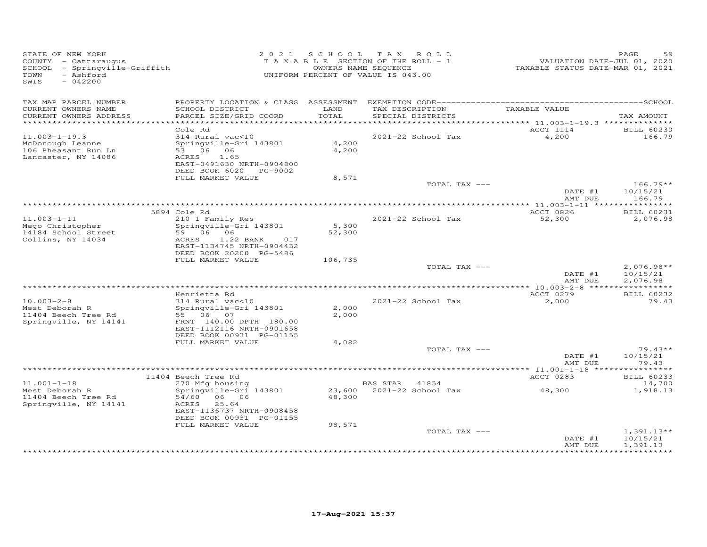| STATE OF NEW YORK<br>COUNTY - Cattaraugus<br>SCHOOL - Springville-Griffith<br>- Ashford<br>TOWN<br>SWIS<br>$-042200$ |                                                                                                                                                             | 2021 SCHOOL     | TAX ROLL<br>TAXABLE SECTION OF THE ROLL - 1<br>OWNERS NAME SEQUENCE<br>UNIFORM PERCENT OF VALUE IS 043.00 | VALUATION DATE-JUL 01, 2020<br>TAXABLE STATUS DATE-MAR 01, 2021 | PAGE<br>59                           |
|----------------------------------------------------------------------------------------------------------------------|-------------------------------------------------------------------------------------------------------------------------------------------------------------|-----------------|-----------------------------------------------------------------------------------------------------------|-----------------------------------------------------------------|--------------------------------------|
| TAX MAP PARCEL NUMBER<br>CURRENT OWNERS NAME<br>CURRENT OWNERS ADDRESS                                               | SCHOOL DISTRICT<br>PARCEL SIZE/GRID COORD                                                                                                                   | LAND<br>TOTAL   | TAX DESCRIPTION<br>SPECIAL DISTRICTS                                                                      | TAXABLE VALUE                                                   | TAX AMOUNT                           |
|                                                                                                                      |                                                                                                                                                             |                 |                                                                                                           | ACCT 1114                                                       |                                      |
| $11.003 - 1 - 19.3$<br>McDonough Leanne<br>106 Pheasant Run Ln<br>Lancaster, NY 14086                                | Cole Rd<br>314 Rural vac<10<br>Springville-Gri 143801<br>53 06 06<br>ACRES<br>1.65<br>EAST-0491630 NRTH-0904800<br>DEED BOOK 6020 PG-9002                   | 4,200<br>4,200  | 2021-22 School Tax                                                                                        | 4,200                                                           | <b>BILL 60230</b><br>166.79          |
|                                                                                                                      | FULL MARKET VALUE                                                                                                                                           | 8,571           |                                                                                                           |                                                                 |                                      |
|                                                                                                                      |                                                                                                                                                             |                 | TOTAL TAX ---                                                                                             | DATE #1<br>AMT DUE                                              | $166.79**$<br>10/15/21<br>166.79     |
|                                                                                                                      |                                                                                                                                                             |                 |                                                                                                           |                                                                 |                                      |
| $11.003 - 1 - 11$<br>Mego Christopher<br>14184 School Street<br>Collins, NY 14034                                    | 5894 Cole Rd<br>210 1 Family Res<br>Springville-Gri 143801<br>59 06 06<br>ACRES<br>1.22 BANK<br>017<br>EAST-1134745 NRTH-0904432<br>DEED BOOK 20200 PG-5486 | 5,300<br>52,300 | 2021-22 School Tax                                                                                        | ACCT 0826<br>52,300                                             | <b>BILL 60231</b><br>2,076.98        |
|                                                                                                                      | FULL MARKET VALUE                                                                                                                                           | 106,735         |                                                                                                           |                                                                 |                                      |
|                                                                                                                      |                                                                                                                                                             |                 | TOTAL TAX ---                                                                                             | DATE #1<br>AMT DUE                                              | $2,076.98**$<br>10/15/21<br>2,076.98 |
|                                                                                                                      | Henrietta Rd                                                                                                                                                |                 |                                                                                                           | ACCT 0279                                                       | <b>BILL 60232</b>                    |
| $10.003 - 2 - 8$<br>Mest Deborah R<br>11404 Beech Tree Rd<br>Springville, NY 14141                                   | 314 Rural vac<10<br>Springville-Gri 143801<br>55 06 07<br>FRNT 140.00 DPTH 180.00<br>EAST-1112116 NRTH-0901658<br>DEED BOOK 00931 PG-01155                  | 2,000<br>2,000  | 2021-22 School Tax                                                                                        | 2,000                                                           | 79.43                                |
|                                                                                                                      | FULL MARKET VALUE                                                                                                                                           | 4,082           |                                                                                                           |                                                                 |                                      |
|                                                                                                                      |                                                                                                                                                             |                 | TOTAL TAX ---                                                                                             | DATE #1<br>AMT DUE                                              | $79.43**$<br>10/15/21<br>79.43       |
|                                                                                                                      | **************************************                                                                                                                      |                 |                                                                                                           | ******** 11.001-1-18 ***                                        | * * * * * * * *                      |
| $11.001 - 1 - 18$                                                                                                    | 11404 Beech Tree Rd<br>270 Mfg housing                                                                                                                      |                 | BAS STAR 41854                                                                                            | ACCT 0283                                                       | <b>BILL 60233</b><br>14,700          |
| Mest Deborah R<br>11404 Beech Tree Rd<br>Springville, NY 14141                                                       | Springville-Gri 143801<br>54/60<br>06 06<br>25.64<br>ACRES<br>EAST-1136737 NRTH-0908458<br>DEED BOOK 00931 PG-01155                                         | 48,300          | 23,600 2021-22 School Tax                                                                                 | 48,300                                                          | 1,918.13                             |
|                                                                                                                      | FULL MARKET VALUE                                                                                                                                           | 98,571          | TOTAL TAX ---                                                                                             | DATE #1<br>AMT DUE                                              | $1,391.13**$<br>10/15/21<br>1,391.13 |
|                                                                                                                      |                                                                                                                                                             |                 |                                                                                                           |                                                                 |                                      |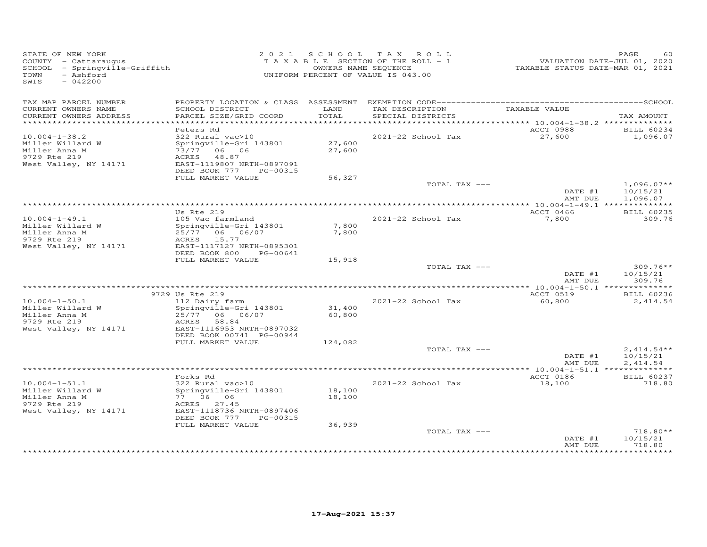| STATE OF NEW YORK<br>COUNTY - Cattaraugus<br>SCHOOL - Springville-Griffith<br>- Ashford<br>TOWN<br>SWIS<br>$-042200$ |                                                                                                                                 |                  | 2021 SCHOOL TAX ROLL<br>T A X A B L E SECTION OF THE ROLL - 1<br>OWNERS NAME SEQUENCE<br>UNIFORM PERCENT OF VALUE IS 043.00 | VALUATION DATE-JUL 01, 2020<br>TAXABLE STATUS DATE-MAR 01, 2021 | PAGE<br>60                                    |
|----------------------------------------------------------------------------------------------------------------------|---------------------------------------------------------------------------------------------------------------------------------|------------------|-----------------------------------------------------------------------------------------------------------------------------|-----------------------------------------------------------------|-----------------------------------------------|
| TAX MAP PARCEL NUMBER<br>CURRENT OWNERS NAME<br>CURRENT OWNERS ADDRESS                                               | SCHOOL DISTRICT<br>PARCEL SIZE/GRID COORD                                                                                       | LAND<br>TOTAL    | TAX DESCRIPTION<br>SPECIAL DISTRICTS                                                                                        | TAXABLE VALUE                                                   | TAX AMOUNT                                    |
|                                                                                                                      |                                                                                                                                 |                  |                                                                                                                             |                                                                 |                                               |
|                                                                                                                      | Peters Rd                                                                                                                       |                  |                                                                                                                             | ACCT 0988                                                       | <b>BILL 60234</b>                             |
| $10.004 - 1 - 38.2$<br>Miller Willard W<br>Miller Anna M<br>9729 Rte 219<br>West Valley, NY 14171                    | 322 Rural vac>10<br>Springville-Gri 143801<br>73/77 06 06<br>ACRES 48.87<br>EAST-1119807 NRTH-0897091<br>DEED BOOK 777 PG-00315 | 27,600<br>27,600 | 2021-22 School Tax                                                                                                          | 27,600                                                          | 1,096.07                                      |
|                                                                                                                      | FULL MARKET VALUE                                                                                                               | 56,327           |                                                                                                                             |                                                                 |                                               |
|                                                                                                                      |                                                                                                                                 |                  | TOTAL TAX ---                                                                                                               | DATE #1<br>AMT DUE                                              | $1,096.07**$<br>10/15/21<br>1,096.07          |
|                                                                                                                      |                                                                                                                                 |                  |                                                                                                                             |                                                                 |                                               |
| $10.004 - 1 - 49.1$                                                                                                  | Us Rte 219<br>105 Vac farmland                                                                                                  |                  | 2021-22 School Tax                                                                                                          | ACCT 0466<br>7,800                                              | <b>BILL 60235</b><br>309.76                   |
| Miller Willard W<br>Miller Anna M<br>9729 Rte 219<br>West Valley, NY 14171                                           | Springville-Gri 143801<br>25/77 06 06/07<br>ACRES 15.77<br>EAST-1117127 NRTH-0895301<br>DEED BOOK 800<br>PG-00641               | 7,800<br>7,800   |                                                                                                                             |                                                                 |                                               |
|                                                                                                                      | FULL MARKET VALUE                                                                                                               | 15,918           |                                                                                                                             |                                                                 |                                               |
|                                                                                                                      |                                                                                                                                 |                  | TOTAL TAX ---                                                                                                               | DATE #1<br>AMT DUE                                              | $309.76**$<br>10/15/21<br>309.76              |
|                                                                                                                      |                                                                                                                                 |                  |                                                                                                                             |                                                                 |                                               |
| $10.004 - 1 - 50.1$                                                                                                  | 9729 Us Rte 219<br>112 Dairy farm                                                                                               |                  | 2021-22 School Tax                                                                                                          | ACCT 0519<br>60,800                                             | <b>BILL 60236</b><br>2,414.54                 |
| Miller Willard W                                                                                                     | Springville-Gri 143801                                                                                                          | 31,400           |                                                                                                                             |                                                                 |                                               |
| Miller Anna M<br>9729 Rte 219                                                                                        | 25/77 06 06/07<br>58.84<br>ACRES                                                                                                | 60,800           |                                                                                                                             |                                                                 |                                               |
| West Valley, NY 14171                                                                                                | EAST-1116953 NRTH-0897032<br>DEED BOOK 00741 PG-00944                                                                           |                  |                                                                                                                             |                                                                 |                                               |
|                                                                                                                      | FULL MARKET VALUE                                                                                                               | 124,082          |                                                                                                                             |                                                                 |                                               |
|                                                                                                                      |                                                                                                                                 |                  | TOTAL TAX ---                                                                                                               | DATE #1<br>AMT DUE                                              | $2,414.54**$<br>10/15/21<br>2.414.54          |
|                                                                                                                      |                                                                                                                                 |                  |                                                                                                                             |                                                                 |                                               |
|                                                                                                                      | Forks Rd                                                                                                                        |                  |                                                                                                                             | ACCT 0186                                                       | <b>BILL 60237</b>                             |
| $10.004 - 1 - 51.1$<br>Miller Willard W<br>Miller Anna M<br>9729 Rte 219<br>West Valley, NY 14171                    | 322 Rural vac>10<br>Springville-Gri 143801<br>77 06 06<br>ACRES 27.45<br>EAST-1118736 NRTH-0897406<br>DEED BOOK 777<br>PG-00315 | 18,100<br>18,100 | 2021-22 School Tax                                                                                                          | 18,100                                                          | 718.80                                        |
|                                                                                                                      | FULL MARKET VALUE                                                                                                               | 36,939           |                                                                                                                             |                                                                 |                                               |
|                                                                                                                      |                                                                                                                                 |                  | TOTAL TAX ---                                                                                                               | DATE #1<br>AMT DUE                                              | 718.80**<br>10/15/21<br>718.80<br>*********** |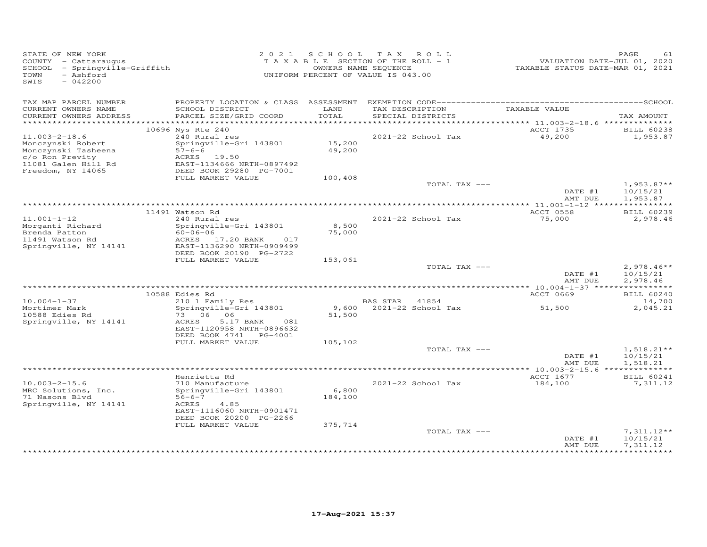| STATE OF NEW YORK<br>COUNTY - Cattaraugus<br>SCHOOL - Springville-Griffith<br>- Ashford<br>TOWN<br>$-042200$<br>SWIS |                                                        |                  | 2021 SCHOOL TAX ROLL<br>TAXABLE SECTION OF THE ROLL - 1<br>OWNERS NAME SEQUENCE<br>UNIFORM PERCENT OF VALUE IS 043.00 | VALUATION DATE-JUL 01, 2020<br>TAXABLE STATUS DATE-MAR 01, 2021 | PAGE<br>61                    |
|----------------------------------------------------------------------------------------------------------------------|--------------------------------------------------------|------------------|-----------------------------------------------------------------------------------------------------------------------|-----------------------------------------------------------------|-------------------------------|
| TAX MAP PARCEL NUMBER<br>CURRENT OWNERS NAME<br>CURRENT OWNERS ADDRESS                                               | SCHOOL DISTRICT<br>PARCEL SIZE/GRID COORD              | LAND<br>TOTAL    | TAX DESCRIPTION<br>SPECIAL DISTRICTS                                                                                  | TAXABLE VALUE                                                   | TAX AMOUNT                    |
| *************************                                                                                            |                                                        |                  |                                                                                                                       |                                                                 |                               |
|                                                                                                                      | 10696 Nys Rte 240                                      |                  |                                                                                                                       | ACCT 1735                                                       | <b>BILL 60238</b>             |
| $11.003 - 2 - 18.6$                                                                                                  | 240 Rural res                                          |                  | 2021-22 School Tax                                                                                                    | 49,200                                                          | 1,953.87                      |
| Monczynski Robert<br>Monczynski Tasheena                                                                             | Springville-Gri 143801<br>$57 - 6 - 6$                 | 15,200<br>49,200 |                                                                                                                       |                                                                 |                               |
| c/o Ron Previty                                                                                                      | ACRES 19.50                                            |                  |                                                                                                                       |                                                                 |                               |
| 11081 Galen Hill Rd                                                                                                  | EAST-1134666 NRTH-0897492                              |                  |                                                                                                                       |                                                                 |                               |
| Freedom, NY 14065                                                                                                    | DEED BOOK 29280 PG-7001                                |                  |                                                                                                                       |                                                                 |                               |
|                                                                                                                      | FULL MARKET VALUE                                      | 100,408          | TOTAL TAX ---                                                                                                         |                                                                 | $1,953.87**$                  |
|                                                                                                                      |                                                        |                  |                                                                                                                       | DATE #1                                                         | 10/15/21                      |
|                                                                                                                      |                                                        |                  |                                                                                                                       | AMT DUE                                                         | 1,953.87                      |
|                                                                                                                      |                                                        |                  |                                                                                                                       |                                                                 |                               |
| $11.001 - 1 - 12$                                                                                                    | 11491 Watson Rd<br>240 Rural res                       |                  | 2021-22 School Tax                                                                                                    | ACCT 0558<br>75,000                                             | <b>BILL 60239</b><br>2,978.46 |
| Morganti Richard                                                                                                     | Springville-Gri 143801                                 | 8,500            |                                                                                                                       |                                                                 |                               |
| Brenda Patton                                                                                                        | $60 - 06 - 06$                                         | 75,000           |                                                                                                                       |                                                                 |                               |
| 11491 Watson Rd                                                                                                      | ACRES 17.20 BANK<br>017                                |                  |                                                                                                                       |                                                                 |                               |
| Springville, NY 14141                                                                                                | EAST-1136290 NRTH-0909499<br>DEED BOOK 20190 PG-2722   |                  |                                                                                                                       |                                                                 |                               |
|                                                                                                                      | FULL MARKET VALUE                                      | 153,061          |                                                                                                                       |                                                                 |                               |
|                                                                                                                      |                                                        |                  | TOTAL TAX ---                                                                                                         |                                                                 | $2,978.46**$                  |
|                                                                                                                      |                                                        |                  |                                                                                                                       | DATE #1                                                         | 10/15/21                      |
|                                                                                                                      |                                                        |                  |                                                                                                                       | AMT DUE                                                         | 2,978.46                      |
|                                                                                                                      | 10588 Edies Rd                                         |                  |                                                                                                                       | ACCT 0669                                                       | <b>BILL 60240</b>             |
| $10.004 - 1 - 37$                                                                                                    | 210 1 Family Res                                       |                  | BAS STAR 41854                                                                                                        |                                                                 | 14,700                        |
| Mortimer Mark                                                                                                        | Springville-Gri 143801                                 |                  | 9,600 2021-22 School Tax                                                                                              | 51,500                                                          | 2,045.21                      |
| 10588 Edies Rd                                                                                                       | 73 06 06                                               | 51,500           |                                                                                                                       |                                                                 |                               |
| Springville, NY 14141                                                                                                | ACRES<br>5.17 BANK<br>081<br>EAST-1120958 NRTH-0896632 |                  |                                                                                                                       |                                                                 |                               |
|                                                                                                                      | DEED BOOK 4741 PG-4001                                 |                  |                                                                                                                       |                                                                 |                               |
|                                                                                                                      | FULL MARKET VALUE                                      | 105,102          |                                                                                                                       |                                                                 |                               |
|                                                                                                                      |                                                        |                  | TOTAL TAX ---                                                                                                         |                                                                 | $1,518.21**$                  |
|                                                                                                                      |                                                        |                  |                                                                                                                       | DATE #1<br>AMT DUE                                              | 10/15/21<br>1,518.21          |
|                                                                                                                      |                                                        |                  |                                                                                                                       |                                                                 |                               |
|                                                                                                                      | Henrietta Rd                                           |                  |                                                                                                                       | ACCT 1677                                                       | <b>BILL 60241</b>             |
| $10.003 - 2 - 15.6$                                                                                                  | 710 Manufacture                                        |                  | 2021-22 School Tax                                                                                                    | 184,100                                                         | 7,311.12                      |
| MRC Solutions, Inc.<br>71 Nasons Blvd                                                                                | Springville-Gri 143801<br>$56 - 6 - 7$                 | 6,800<br>184,100 |                                                                                                                       |                                                                 |                               |
| Springville, NY 14141                                                                                                | ACRES<br>4.85                                          |                  |                                                                                                                       |                                                                 |                               |
|                                                                                                                      | EAST-1116060 NRTH-0901471                              |                  |                                                                                                                       |                                                                 |                               |
|                                                                                                                      | DEED BOOK 20200 PG-2266                                |                  |                                                                                                                       |                                                                 |                               |
|                                                                                                                      | FULL MARKET VALUE                                      | 375,714          | TOTAL TAX ---                                                                                                         |                                                                 | $7,311.12**$                  |
|                                                                                                                      |                                                        |                  |                                                                                                                       | DATE #1                                                         | 10/15/21                      |
|                                                                                                                      |                                                        |                  |                                                                                                                       | AMT DUE                                                         | 7,311.12                      |
|                                                                                                                      |                                                        |                  |                                                                                                                       |                                                                 | <b>*********</b>              |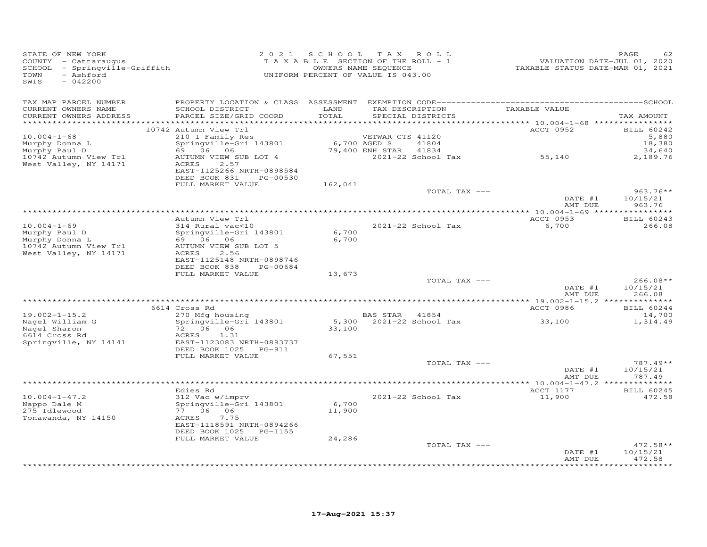| STATE OF NEW YORK<br>COUNTY - Cattaraugus<br>SCHOOL - Springville-Griffith<br>- Ashford<br>TOWN<br>$-042200$<br>SWIS |                                                                     | 2021 SCHOOL<br>TAXABLE SECTION OF THE ROLL - 1<br>UNIFORM PERCENT OF VALUE IS 043.00 | T A X<br>OWNERS NAME SEQUENCE | ROLL                                 | TAXABLE STATUS DATE-MAR 01, 2021 | PAGE<br>62<br>VALUATION DATE-JUL 01, 2020 |
|----------------------------------------------------------------------------------------------------------------------|---------------------------------------------------------------------|--------------------------------------------------------------------------------------|-------------------------------|--------------------------------------|----------------------------------|-------------------------------------------|
| TAX MAP PARCEL NUMBER<br>CURRENT OWNERS NAME<br>CURRENT OWNERS ADDRESS<br>************************                   | SCHOOL DISTRICT<br>PARCEL SIZE/GRID COORD                           | LAND<br>TOTAL                                                                        |                               | TAX DESCRIPTION<br>SPECIAL DISTRICTS | TAXABLE VALUE                    | TAX AMOUNT                                |
|                                                                                                                      | 10742 Autumn View Trl                                               |                                                                                      |                               |                                      | ACCT 0952                        | <b>BILL 60242</b>                         |
| $10.004 - 1 - 68$                                                                                                    | 210 1 Family Res                                                    |                                                                                      | VETWAR CTS 41120              |                                      |                                  | 5,880                                     |
| Murphy Donna L<br>Murphy Paul D                                                                                      | Springville-Gri 143801<br>69 06 06                                  | 6,700 AGED S                                                                         | 79,400 ENH STAR               | 41804<br>41834                       |                                  | 18,380<br>34,640                          |
| 10742 Autumn View Trl<br>West Valley, NY 14171                                                                       | AUTUMN VIEW SUB LOT 4<br>ACRES<br>2.57                              |                                                                                      |                               | 2021-22 School Tax                   | 55,140                           | 2,189.76                                  |
|                                                                                                                      | EAST-1125266 NRTH-0898584<br>DEED BOOK 831<br>PG-00530              |                                                                                      |                               |                                      |                                  |                                           |
|                                                                                                                      | FULL MARKET VALUE                                                   | 162,041                                                                              |                               | TOTAL TAX ---                        |                                  | $963.76**$                                |
|                                                                                                                      |                                                                     |                                                                                      |                               |                                      | DATE #1<br>AMT DUE               | 10/15/21<br>963.76                        |
|                                                                                                                      | Autumn View Trl                                                     |                                                                                      |                               |                                      | ACCT 0953                        | <b>BILL 60243</b>                         |
| $10.004 - 1 - 69$                                                                                                    | 314 Rural vac<10                                                    |                                                                                      |                               | 2021-22 School Tax                   | 6,700                            | 266.08                                    |
| Murphy Paul D<br>Murphy Donna L                                                                                      | Springville-Gri 143801<br>69 06 06                                  | 6,700<br>6,700                                                                       |                               |                                      |                                  |                                           |
| 10742 Autumn View Trl<br>West Valley, NY 14171                                                                       | AUTUMN VIEW SUB LOT 5<br>ACRES<br>2.56<br>EAST-1125148 NRTH-0898746 |                                                                                      |                               |                                      |                                  |                                           |
|                                                                                                                      | DEED BOOK 838<br>PG-00684                                           |                                                                                      |                               |                                      |                                  |                                           |
|                                                                                                                      | FULL MARKET VALUE                                                   | 13,673                                                                               |                               | TOTAL TAX ---                        |                                  | $266.08**$                                |
|                                                                                                                      |                                                                     |                                                                                      |                               |                                      | DATE #1<br>AMT DUE               | 10/15/21<br>266.08                        |
|                                                                                                                      | 6614 Cross Rd                                                       |                                                                                      |                               |                                      | ACCT 0986                        | BILL 60244                                |
| $19.002 - 1 - 15.2$                                                                                                  | 270 Mfg housing                                                     |                                                                                      | BAS STAR 41854                |                                      |                                  | 14,700                                    |
| Nagel William G                                                                                                      | Springville-Gri 143801                                              |                                                                                      |                               | 5,300 2021-22 School Tax             | 33,100                           | 1,314.49                                  |
| Nagel Sharon<br>6614 Cross Rd                                                                                        | 72 06 06<br>ACRES<br>1.31                                           | 33,100                                                                               |                               |                                      |                                  |                                           |
| Springville, NY 14141                                                                                                | EAST-1123083 NRTH-0893737<br>DEED BOOK 1025 PG-911                  |                                                                                      |                               |                                      |                                  |                                           |
|                                                                                                                      | FULL MARKET VALUE                                                   | 67,551                                                                               |                               | TOTAL TAX ---                        |                                  | $787.49**$                                |
|                                                                                                                      |                                                                     |                                                                                      |                               |                                      | DATE #1<br>AMT DUE               | 10/15/21<br>787.49                        |
|                                                                                                                      |                                                                     |                                                                                      |                               |                                      |                                  |                                           |
|                                                                                                                      | Edies Rd                                                            |                                                                                      |                               |                                      | ACCT 1177                        | <b>BILL 60245</b>                         |
| $10.004 - 1 - 47.2$<br>Nappo Dale M                                                                                  | 312 Vac w/imprv<br>Springville-Gri 143801                           | 6,700                                                                                |                               | 2021-22 School Tax                   | 11,900                           | 472.58                                    |
| 275 Idlewood                                                                                                         | 77 06 06                                                            | 11,900                                                                               |                               |                                      |                                  |                                           |
| Tonawanda, NY 14150                                                                                                  | ACRES<br>7.75<br>EAST-1118591 NRTH-0894266                          |                                                                                      |                               |                                      |                                  |                                           |
|                                                                                                                      | DEED BOOK 1025 PG-1155<br>FULL MARKET VALUE                         | 24,286                                                                               |                               |                                      |                                  |                                           |
|                                                                                                                      |                                                                     |                                                                                      |                               | TOTAL TAX ---                        |                                  | $472.58**$                                |
|                                                                                                                      |                                                                     |                                                                                      |                               |                                      | DATE #1<br>AMT DUE               | 10/15/21<br>472.58                        |
|                                                                                                                      |                                                                     |                                                                                      |                               |                                      |                                  | *********                                 |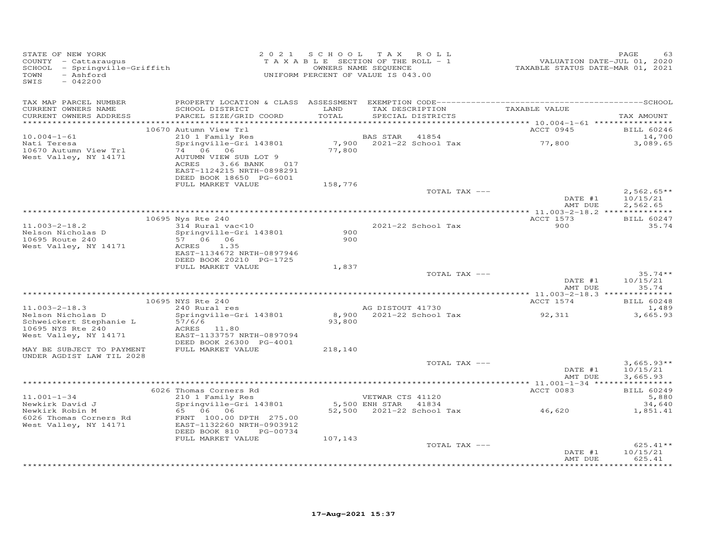| STATE OF NEW YORK<br>COUNTY - Cattaraugus<br>SCHOOL - Springville-Griffith<br>TOWN<br>- Ashford<br>SWIS<br>$-042200$ |                                                                                                         |               | 2021 SCHOOL TAX ROLL<br>TAXABLE SECTION OF THE ROLL - 1<br>OWNERS NAME SEQUENCE<br>UNIFORM PERCENT OF VALUE IS 043.00 | VALUATION DATE-JUL 01, 2020<br>TAXABLE STATUS DATE-MAR 01, 2021 | PAGE<br>63                           |
|----------------------------------------------------------------------------------------------------------------------|---------------------------------------------------------------------------------------------------------|---------------|-----------------------------------------------------------------------------------------------------------------------|-----------------------------------------------------------------|--------------------------------------|
| TAX MAP PARCEL NUMBER<br>CURRENT OWNERS NAME<br>CURRENT OWNERS ADDRESS<br>************************                   | SCHOOL DISTRICT<br>PARCEL SIZE/GRID COORD                                                               | LAND<br>TOTAL | TAX DESCRIPTION<br>SPECIAL DISTRICTS                                                                                  | TAXABLE VALUE                                                   | TAX AMOUNT                           |
|                                                                                                                      | 10670 Autumn View Trl                                                                                   |               |                                                                                                                       | ACCT 0945                                                       | <b>BILL 60246</b>                    |
| $10.004 - 1 - 61$<br>Nati Teresa<br>10670 Autumn View Trl                                                            | 210 1 Family Res<br>Springville-Gri 143801<br>74 06 06                                                  | 77,800        | BAS STAR 41854<br>7,900 2021-22 School Tax                                                                            | 77,800                                                          | 14,700<br>3,089.65                   |
| West Valley, NY 14171                                                                                                | AUTUMN VIEW SUB LOT 9<br>ACRES<br>3.66 BANK 017<br>EAST-1124215 NRTH-0898291<br>DEED BOOK 18650 PG-6001 |               |                                                                                                                       |                                                                 |                                      |
|                                                                                                                      | FULL MARKET VALUE                                                                                       | 158,776       |                                                                                                                       |                                                                 |                                      |
|                                                                                                                      |                                                                                                         |               | TOTAL TAX ---                                                                                                         | DATE #1<br>AMT DUE                                              | $2,562.65**$<br>10/15/21<br>2,562.65 |
|                                                                                                                      | 10695 Nys Rte 240                                                                                       |               |                                                                                                                       | ACCT 1573                                                       | BILL 60247                           |
| $11.003 - 2 - 18.2$<br>Nelson Nicholas D<br>10695 Route 240                                                          | 314 Rural vac<10<br>Springville-Gri 143801<br>57 06 06                                                  | 900<br>900    | 2021-22 School Tax                                                                                                    | 900                                                             | 35.74                                |
| West Valley, NY 14171                                                                                                | 1.35<br>ACRES<br>EAST-1134672 NRTH-0897946<br>DEED BOOK 20210 PG-1725                                   |               |                                                                                                                       |                                                                 |                                      |
|                                                                                                                      | FULL MARKET VALUE                                                                                       | 1,837         | TOTAL TAX ---                                                                                                         |                                                                 | $35.74**$                            |
|                                                                                                                      |                                                                                                         |               |                                                                                                                       | DATE #1<br>AMT DUE                                              | 10/15/21<br>35.74                    |
|                                                                                                                      | 10695 NYS Rte 240                                                                                       |               |                                                                                                                       | ACCT 1574                                                       | <b>BILL 60248</b>                    |
| $11.003 - 2 - 18.3$<br>Nelson Nicholas D<br>Schweickert Stephanie L                                                  | 240 Rural res<br>Springville-Gri 143801<br>57/6/6                                                       | 93,800        | AG DISTOUT 41730<br>8,900 2021-22 School Tax                                                                          | 92,311                                                          | 1,489<br>3,665.93                    |
| 10695 NYS Rte 240<br>West Valley, NY 14171                                                                           | ACRES 11.80<br>EAST-1133757 NRTH-0897094<br>DEED BOOK 26300 PG-4001                                     |               |                                                                                                                       |                                                                 |                                      |
| MAY BE SUBJECT TO PAYMENT<br>UNDER AGDIST LAW TIL 2028                                                               | FULL MARKET VALUE                                                                                       | 218,140       |                                                                                                                       |                                                                 |                                      |
|                                                                                                                      |                                                                                                         |               | TOTAL TAX ---                                                                                                         | DATE #1<br>AMT DUE                                              | $3.665.93**$<br>10/15/21<br>3,665.93 |
|                                                                                                                      | 6026 Thomas Corners Rd                                                                                  |               |                                                                                                                       | ACCT 0083                                                       | <b>BILL 60249</b>                    |
| $11.001 - 1 - 34$                                                                                                    | 210 1 Family Res                                                                                        |               | VETWAR CTS 41120                                                                                                      |                                                                 | 5,880                                |
| Newkirk David J<br>Newkirk Robin M                                                                                   | Springville-Gri 143801<br>65 06 06                                                                      |               | 5,500 ENH STAR 41834<br>52,500  2021-22  School Tax  46,620                                                           |                                                                 | 34,640<br>1,851.41                   |
| 6026 Thomas Corners Rd<br>West Valley, NY 14171                                                                      | FRNT 100.00 DPTH 275.00<br>EAST-1132260 NRTH-0903912<br>DEED BOOK 810<br>PG-00734                       |               |                                                                                                                       |                                                                 |                                      |
|                                                                                                                      | FULL MARKET VALUE                                                                                       | 107,143       |                                                                                                                       |                                                                 |                                      |
|                                                                                                                      |                                                                                                         |               | TOTAL TAX ---                                                                                                         | DATE #1<br>AMT DUE                                              | $625.41**$<br>10/15/21<br>625.41     |
|                                                                                                                      |                                                                                                         |               | **************************************                                                                                |                                                                 | ********                             |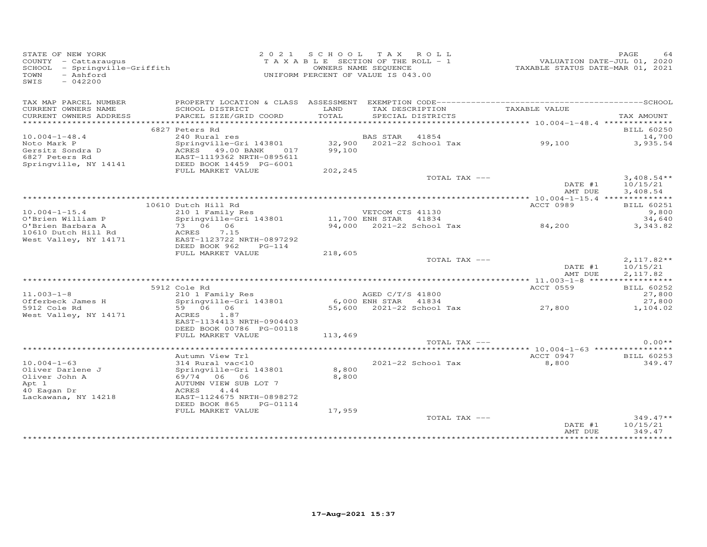| STATE OF NEW YORK<br>county - Cattaraugus<br>SCHOOL - Springville-Griffith<br>TOWN<br>- Ashford<br>SWIS<br>$-042200$ |                                                                                        |               | 2021 SCHOOL TAX ROLL<br>TAXABLE SECTION OF THE ROLL - 1<br>OWNERS NAME SEQUENCE<br>UNIFORM PERCENT OF VALUE IS 043.00 | valuation date-JUL 01, 2020<br>TAXABLE STATUS DATE-MAR 01, 2021 | PAGE<br>64            |
|----------------------------------------------------------------------------------------------------------------------|----------------------------------------------------------------------------------------|---------------|-----------------------------------------------------------------------------------------------------------------------|-----------------------------------------------------------------|-----------------------|
| TAX MAP PARCEL NUMBER                                                                                                |                                                                                        |               |                                                                                                                       |                                                                 |                       |
| CURRENT OWNERS NAME<br>CURRENT OWNERS ADDRESS                                                                        | SCHOOL DISTRICT<br>PARCEL SIZE/GRID COORD                                              | LAND<br>TOTAL | TAX DESCRIPTION<br>SPECIAL DISTRICTS                                                                                  | TAXABLE VALUE                                                   | TAX AMOUNT            |
|                                                                                                                      | 6827 Peters Rd                                                                         |               |                                                                                                                       |                                                                 | <b>BILL 60250</b>     |
| $10.004 - 1 - 48.4$                                                                                                  | 240 Rural res                                                                          |               | BAS STAR 41854                                                                                                        |                                                                 | 14,700                |
| Noto Mark P                                                                                                          | Springville-Gri 143801 32,900 2021-22 School Tax 99,100<br>ACRES 49.00 BANK 017 99,100 |               |                                                                                                                       |                                                                 | 3,935.54              |
| Gersitz Sondra D<br>6827 Peters Rd                                                                                   | ACRES 49.00 BANK 017                                                                   |               |                                                                                                                       |                                                                 |                       |
|                                                                                                                      | EAST-1119362 NRTH-0895611                                                              |               |                                                                                                                       |                                                                 |                       |
| Springville, NY 14141                                                                                                | DEED BOOK 14459 PG-6001                                                                |               |                                                                                                                       |                                                                 |                       |
|                                                                                                                      | FULL MARKET VALUE                                                                      | 202,245       | TOTAL TAX ---                                                                                                         |                                                                 | $3,408.54**$          |
|                                                                                                                      |                                                                                        |               |                                                                                                                       | DATE #1                                                         | 10/15/21              |
|                                                                                                                      |                                                                                        |               |                                                                                                                       | AMT DUE                                                         | 3,408.54              |
|                                                                                                                      |                                                                                        |               |                                                                                                                       |                                                                 |                       |
|                                                                                                                      | 10610 Dutch Hill Rd                                                                    |               |                                                                                                                       | ACCT 0989                                                       | <b>BILL 60251</b>     |
| $10.004 - 1 - 15.4$                                                                                                  | 210 1 Family Res                                                                       |               | VETCOM CTS 41130                                                                                                      |                                                                 | 9,800                 |
| O'Brien William P                                                                                                    | Springville-Gri 143801 11,700 ENH STAR 41834                                           |               |                                                                                                                       |                                                                 | 34,640                |
| O'Brien Barbara A                                                                                                    | 73 06 06                                                                               |               | 11, YOU ENH SIAR 41004<br>94,000 2021-22 School Tax 84,200                                                            |                                                                 | 3,343.82              |
| 10610 Dutch Hill Rd<br>West Valley, NY 14171                                                                         | ACRES 7.15<br>EAST-1123722 NRTH-0897292                                                |               |                                                                                                                       |                                                                 |                       |
|                                                                                                                      | DEED BOOK 962<br>$PG-114$                                                              |               |                                                                                                                       |                                                                 |                       |
|                                                                                                                      | FULL MARKET VALUE                                                                      | 218,605       |                                                                                                                       |                                                                 |                       |
|                                                                                                                      |                                                                                        |               | TOTAL TAX ---                                                                                                         |                                                                 | $2,117.82**$          |
|                                                                                                                      |                                                                                        |               |                                                                                                                       | DATE #1                                                         | 10/15/21              |
|                                                                                                                      |                                                                                        |               |                                                                                                                       | AMT DUE                                                         | 2,117.82              |
|                                                                                                                      |                                                                                        |               |                                                                                                                       |                                                                 |                       |
|                                                                                                                      | 5912 Cole Rd                                                                           |               |                                                                                                                       | ACCT 0559                                                       | BILL 60252            |
| $11.003 - 1 - 8$                                                                                                     | 210 1 Family Res<br>Springville-Gri 143801                                             |               | AGED C/T/S 41800<br>6,000 ENH STAR 41834                                                                              |                                                                 | 27,800                |
| Offerbeck James H<br>5912 Cole Rd                                                                                    | 59 06 06                                                                               |               | 6,000 ENGLD C/1/S 41800<br>6,000 ENH STAR 41834<br>55,600 2021-22 School Tax 27,800                                   |                                                                 | 27,800<br>1,104.02    |
| West Valley, NY 14171                                                                                                | ACRES 1.87                                                                             |               |                                                                                                                       |                                                                 |                       |
|                                                                                                                      | EAST-1134413 NRTH-0904403                                                              |               |                                                                                                                       |                                                                 |                       |
|                                                                                                                      | DEED BOOK 00786 PG-00118                                                               |               |                                                                                                                       |                                                                 |                       |
|                                                                                                                      | FULL MARKET VALUE                                                                      | 113,469       |                                                                                                                       |                                                                 |                       |
|                                                                                                                      |                                                                                        |               | TOTAL TAX ---                                                                                                         |                                                                 | $0.00**$              |
|                                                                                                                      |                                                                                        |               |                                                                                                                       |                                                                 |                       |
|                                                                                                                      | Autumn View Trl                                                                        |               |                                                                                                                       | ACCT 0947                                                       | <b>BILL 60253</b>     |
| $10.004 - 1 - 63$<br>Oliver Darlene J                                                                                | 314 Rural vac<10<br>Springville-Gri 143801                                             | 8,800         | 2021-22 School Tax                                                                                                    | 8,800                                                           | 349.47                |
| Oliver John A                                                                                                        | 69/74 06 06                                                                            | 8,800         |                                                                                                                       |                                                                 |                       |
| Apt 1                                                                                                                | AUTUMN VIEW SUB LOT 7                                                                  |               |                                                                                                                       |                                                                 |                       |
| 40 Eagan Dr                                                                                                          | ACRES<br>4.44                                                                          |               |                                                                                                                       |                                                                 |                       |
| Lackawana, NY 14218                                                                                                  | EAST-1124675 NRTH-0898272                                                              |               |                                                                                                                       |                                                                 |                       |
|                                                                                                                      | DEED BOOK 865<br>PG-01114                                                              |               |                                                                                                                       |                                                                 |                       |
|                                                                                                                      | FULL MARKET VALUE                                                                      | 17,959        |                                                                                                                       |                                                                 |                       |
|                                                                                                                      |                                                                                        |               | TOTAL TAX ---                                                                                                         |                                                                 | $349.47**$            |
|                                                                                                                      |                                                                                        |               |                                                                                                                       | DATE #1                                                         | 10/15/21              |
|                                                                                                                      |                                                                                        |               |                                                                                                                       | AMT DUE                                                         | 349.47<br>*********** |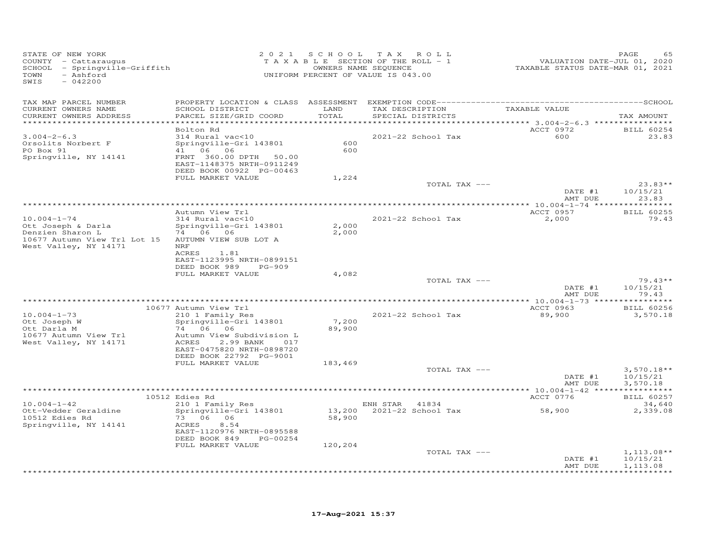| STATE OF NEW YORK<br>COUNTY - Cattaraugus<br>SCHOOL - Springville-Griffith<br>TOWN<br>- Ashford<br>SWIS<br>$-042200$ | 2 0 2 1                                                                                                                                                                  |                   | SCHOOL TAX ROLL<br>TAXABLE SECTION OF THE ROLL - 1<br>OWNERS NAME SEQUENCE<br>UNIFORM PERCENT OF VALUE IS 043.00 | VALUATION DATE-JUL 01, 2020<br>TAXABLE STATUS DATE-MAR 01, 2021 | PAGE<br>65                           |
|----------------------------------------------------------------------------------------------------------------------|--------------------------------------------------------------------------------------------------------------------------------------------------------------------------|-------------------|------------------------------------------------------------------------------------------------------------------|-----------------------------------------------------------------|--------------------------------------|
| TAX MAP PARCEL NUMBER<br>CURRENT OWNERS NAME                                                                         | SCHOOL DISTRICT                                                                                                                                                          | LAND              | TAX DESCRIPTION                                                                                                  | TAXABLE VALUE                                                   |                                      |
| CURRENT OWNERS ADDRESS<br>************************                                                                   | PARCEL SIZE/GRID COORD                                                                                                                                                   | TOTAL             | SPECIAL DISTRICTS                                                                                                |                                                                 | TAX AMOUNT                           |
|                                                                                                                      | Bolton Rd                                                                                                                                                                |                   |                                                                                                                  | ACCT 0972                                                       | <b>BILL 60254</b>                    |
| $3.004 - 2 - 6.3$<br>Orsolits Norbert F<br>PO Box 91<br>Springville, NY 14141                                        | 314 Rural vac<10<br>Springville-Gri 143801<br>41 06 06<br>FRNT 360.00 DPTH<br>50.00<br>EAST-1148375 NRTH-0911249<br>DEED BOOK 00922 PG-00463                             | 600<br>600        | 2021-22 School Tax                                                                                               | 600                                                             | 23.83                                |
|                                                                                                                      | FULL MARKET VALUE                                                                                                                                                        | 1,224             |                                                                                                                  |                                                                 |                                      |
|                                                                                                                      |                                                                                                                                                                          |                   | TOTAL TAX ---                                                                                                    | DATE #1<br>AMT DUE                                              | $23.83**$<br>10/15/21<br>23.83       |
|                                                                                                                      |                                                                                                                                                                          |                   |                                                                                                                  |                                                                 |                                      |
|                                                                                                                      | Autumn View Trl                                                                                                                                                          |                   |                                                                                                                  | ACCT 0957                                                       | <b>BILL 60255</b>                    |
| $10.004 - 1 - 74$<br>Ott Joseph & Darla<br>Denzien Sharon L<br>10677 Autumn View Trl Lot 15<br>West Valley, NY 14171 | 314 Rural vac<10<br>Springville-Gri 143801<br>74 06 06<br>AUTUMN VIEW SUB LOT A<br>NRF<br>ACRES<br>1.81<br>EAST-1123995 NRTH-0899151                                     | 2,000<br>2,000    | 2021-22 School Tax                                                                                               | 2,000                                                           | 79.43                                |
|                                                                                                                      | DEED BOOK 989<br>PG-909<br>FULL MARKET VALUE                                                                                                                             | 4,082             |                                                                                                                  |                                                                 |                                      |
|                                                                                                                      |                                                                                                                                                                          |                   | TOTAL TAX ---                                                                                                    |                                                                 | $79.43**$                            |
|                                                                                                                      |                                                                                                                                                                          |                   |                                                                                                                  | DATE #1<br>AMT DUE                                              | 10/15/21<br>79.43                    |
|                                                                                                                      | 10677 Autumn View Trl                                                                                                                                                    |                   |                                                                                                                  | ACCT 0963                                                       | <b>BILL 60256</b>                    |
| $10.004 - 1 - 73$<br>Ott Joseph W<br>Ott Darla M<br>10677 Autumn View Trl<br>West Valley, NY 14171                   | 210 1 Family Res<br>Springville-Gri 143801<br>74 06 06<br>Autumn View Subdivision L<br>ACRES<br>2.99 BANK<br>017<br>EAST-0475820 NRTH-0898720<br>DEED BOOK 22792 PG-9001 | 7,200<br>89,900   | 2021-22 School Tax                                                                                               | 89,900                                                          | 3,570.18                             |
|                                                                                                                      | FULL MARKET VALUE                                                                                                                                                        | 183,469           |                                                                                                                  |                                                                 |                                      |
|                                                                                                                      |                                                                                                                                                                          |                   | TOTAL TAX ---                                                                                                    | DATE #1<br>AMT DUE                                              | $3,570.18**$<br>10/15/21<br>3,570.18 |
|                                                                                                                      |                                                                                                                                                                          |                   | ***************************                                                                                      | ********** 10.004-1-42 *****************                        |                                      |
| $10.004 - 1 - 42$                                                                                                    | 10512 Edies Rd<br>210 1 Family Res                                                                                                                                       |                   | ENH STAR 41834                                                                                                   | ACCT 0776                                                       | <b>BILL 60257</b><br>34,640          |
| Ott-Vedder Geraldine<br>10512 Edies Rd<br>Springville, NY 14141                                                      | Springville-Gri 143801<br>73 06 06<br>ACRES<br>8.54<br>EAST-1120976 NRTH-0895588<br>DEED BOOK 849<br>PG-00254<br>FULL MARKET VALUE                                       | 58,900<br>120,204 | 13,200 2021-22 School Tax                                                                                        | 58,900                                                          | 2,339.08                             |
|                                                                                                                      |                                                                                                                                                                          |                   | TOTAL TAX ---                                                                                                    |                                                                 | $1,113.08**$                         |
|                                                                                                                      |                                                                                                                                                                          |                   | ***********************                                                                                          | DATE #1<br>AMT DUE                                              | 10/15/21<br>1,113.08<br>**********   |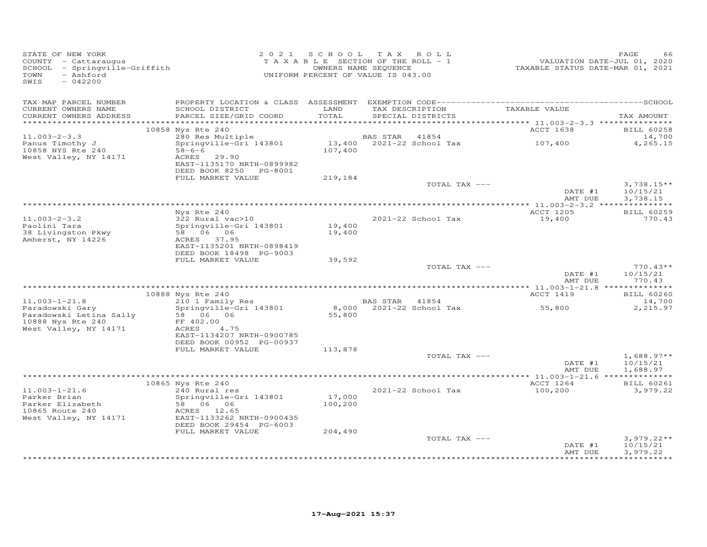| STATE OF NEW YORK<br>COUNTY - Cattaraugus<br>SCHOOL - Springville-Griffith<br>- Ashford<br>TOWN<br>SWIS<br>$-042200$ |                                                                                                         | 2021 SCHOOL TAX ROLL<br>TAXABLE SECTION OF THE ROLL - 1<br>OWNERS NAME SEQUENCE<br>UNIFORM PERCENT OF VALUE IS 043.00 |          |                                      | TAXABLE STATUS DATE-MAR 01, 2021 | PAGE<br>VALUATION DATE-JUL 01, 2020 |
|----------------------------------------------------------------------------------------------------------------------|---------------------------------------------------------------------------------------------------------|-----------------------------------------------------------------------------------------------------------------------|----------|--------------------------------------|----------------------------------|-------------------------------------|
| TAX MAP PARCEL NUMBER<br>CURRENT OWNERS NAME<br>CURRENT OWNERS ADDRESS                                               | SCHOOL DISTRICT<br>PARCEL SIZE/GRID COORD                                                               | LAND<br>TOTAL                                                                                                         |          | TAX DESCRIPTION<br>SPECIAL DISTRICTS | TAXABLE VALUE                    | TAX AMOUNT                          |
| ************************                                                                                             | 10858 Nys Rte 240                                                                                       |                                                                                                                       |          |                                      | ACCT 1638                        | <b>BILL 60258</b>                   |
| $11.003 - 2 - 3.3$<br>Panus Timothy J                                                                                | 280 Res Multiple<br>Springville-Gri 143801                                                              |                                                                                                                       | BAS STAR | 41854<br>13,400 2021-22 School Tax   | 107,400                          | 14,700<br>4,265.15                  |
| 10858 NYS Rte 240<br>West Valley, NY 14171                                                                           | $58 - 6 - 6$<br>ACRES 29.90<br>EAST-1135170 NRTH-0899982<br>DEED BOOK 8250 PG-8001<br>FULL MARKET VALUE | 107,400<br>219,184                                                                                                    |          |                                      |                                  |                                     |
|                                                                                                                      |                                                                                                         |                                                                                                                       |          | TOTAL TAX ---                        |                                  | $3,738.15**$                        |
|                                                                                                                      |                                                                                                         |                                                                                                                       |          |                                      | DATE #1<br>AMT DUE               | 10/15/21<br>3,738.15                |
|                                                                                                                      |                                                                                                         |                                                                                                                       |          |                                      |                                  |                                     |
| $11.003 - 2 - 3.2$<br>Paolini Tara                                                                                   | Nys Rte 240<br>322 Rural vac>10<br>Springville-Gri 143801                                               | 19,400                                                                                                                |          | 2021-22 School Tax                   | ACCT 1205<br>19,400              | <b>BILL 60259</b><br>770.43         |
| 38 Livingston Pkwy<br>Amherst, NY 14226                                                                              | 58 06 06<br>ACRES 37.95<br>EAST-1135201 NRTH-0898419<br>DEED BOOK 18498 PG-9003                         | 19,400                                                                                                                |          |                                      |                                  |                                     |
|                                                                                                                      | FULL MARKET VALUE                                                                                       | 39,592                                                                                                                |          |                                      |                                  |                                     |
|                                                                                                                      |                                                                                                         |                                                                                                                       |          | TOTAL TAX ---                        | DATE #1<br>AMT DUE               | $770.43**$<br>10/15/21<br>770.43    |
|                                                                                                                      |                                                                                                         |                                                                                                                       |          |                                      |                                  |                                     |
| $11.003 - 1 - 21.8$                                                                                                  | 10888 Nys Rte 240<br>210 1 Family Res                                                                   |                                                                                                                       | BAS STAR | 41854                                | ACCT 1419                        | <b>BILL 60260</b><br>14,700         |
| Paradowski Gary<br>Paradowski Letina Sally<br>10888 Nys Rte 240<br>West Valley, NY 14171                             | Springville-Gri 143801<br>58 06 06<br>FF 402.00<br>4.75<br>ACRES                                        | 8,000<br>55,800                                                                                                       |          | 2021-22 School Tax                   | 55,800                           | 2,215.97                            |
|                                                                                                                      | EAST-1134207 NRTH-0900785<br>DEED BOOK 00952 PG-00937                                                   |                                                                                                                       |          |                                      |                                  |                                     |
|                                                                                                                      | FULL MARKET VALUE                                                                                       | 113,878                                                                                                               |          | TOTAL TAX ---                        |                                  | $1,688.97**$                        |
|                                                                                                                      |                                                                                                         |                                                                                                                       |          |                                      | DATE #1<br>AMT DUE               | 10/15/21<br>1,688.97                |
|                                                                                                                      | 10865 Nys Rte 240                                                                                       |                                                                                                                       |          |                                      | ACCT 1264                        | <b>BILL 60261</b>                   |
| $11.003 - 1 - 21.6$<br>Parker Brian<br>Parker Elizabeth                                                              | 240 Rural res<br>Springville-Gri 143801<br>58 06 06                                                     | 17,000<br>100,200                                                                                                     |          | 2021-22 School Tax                   | 100,200                          | 3,979.22                            |
| 10865 Route 240<br>West Valley, NY 14171                                                                             | ACRES 12.65<br>EAST-1133262 NRTH-0900435<br>DEED BOOK 29454 PG-6003                                     |                                                                                                                       |          |                                      |                                  |                                     |
|                                                                                                                      | FULL MARKET VALUE                                                                                       | 204,490                                                                                                               |          | TOTAL TAX ---                        |                                  | $3,979.22**$                        |
|                                                                                                                      |                                                                                                         |                                                                                                                       |          |                                      | DATE #1<br>AMT DUE               | 10/15/21<br>3,979.22                |
|                                                                                                                      |                                                                                                         |                                                                                                                       |          |                                      |                                  |                                     |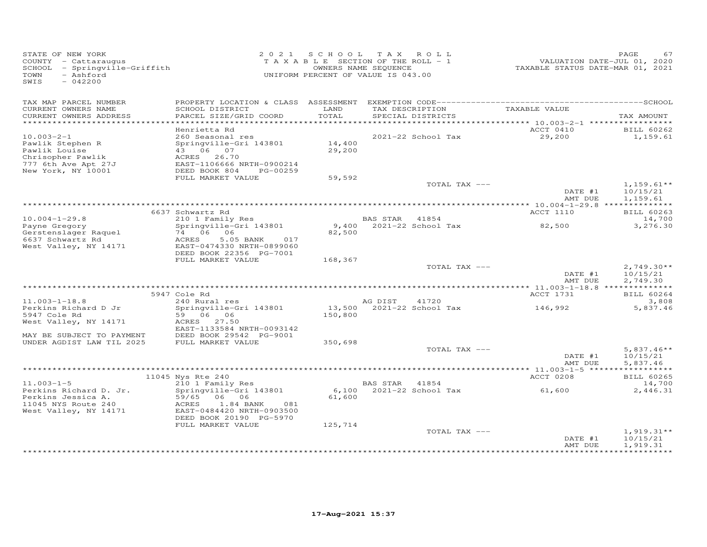| STATE OF NEW YORK<br>COUNTY - Cattaraugus<br>SCHOOL - Springville-Griffith<br>- Ashford<br>TOWN<br>SWIS<br>$-042200$ | 2021 SCHOOL      | TAXABLE SECTION OF THE ROLL - 1<br>OWNERS NAME SEQUENCE<br>UNIFORM PERCENT OF VALUE IS 043.00 | TAX ROLL        |                                      |               | PAGE<br>67<br>VALUATION DATE-JUL 01, 2020<br>TAXABLE STATUS DATE-MAR 01, 2021 |
|----------------------------------------------------------------------------------------------------------------------|------------------|-----------------------------------------------------------------------------------------------|-----------------|--------------------------------------|---------------|-------------------------------------------------------------------------------|
| TAX MAP PARCEL NUMBER                                                                                                |                  |                                                                                               |                 |                                      |               |                                                                               |
| CURRENT OWNERS NAME<br>SCHOOL DISTRICT<br>CURRENT OWNERS ADDRESS<br>PARCEL SIZE/GRID COORD                           |                  | LAND<br>TOTAL                                                                                 |                 | TAX DESCRIPTION<br>SPECIAL DISTRICTS | TAXABLE VALUE | TAX AMOUNT                                                                    |
| ************************                                                                                             |                  |                                                                                               |                 |                                      |               |                                                                               |
| Henrietta Rd                                                                                                         |                  |                                                                                               |                 |                                      | ACCT 0410     | <b>BILL 60262</b>                                                             |
| $10.003 - 2 - 1$<br>260 Seasonal res                                                                                 |                  |                                                                                               |                 | 2021-22 School Tax                   | 29,200        | 1,159.61                                                                      |
| Springville-Gri 143801<br>Pawlik Stephen R                                                                           |                  | 14,400                                                                                        |                 |                                      |               |                                                                               |
| Pawlik Louise<br>43 06 07                                                                                            |                  | 29,200                                                                                        |                 |                                      |               |                                                                               |
| Chrisopher Pawlik<br>ACRES 26.70<br>777 6th Ave Apt 27J                                                              |                  |                                                                                               |                 |                                      |               |                                                                               |
| EAST-1106666 NRTH-0900214<br>New York, NY 10001<br>DEED BOOK 804                                                     | PG-00259         |                                                                                               |                 |                                      |               |                                                                               |
| FULL MARKET VALUE                                                                                                    |                  | 59,592                                                                                        |                 |                                      |               |                                                                               |
|                                                                                                                      |                  |                                                                                               |                 | TOTAL TAX ---                        |               | $1,159.61**$                                                                  |
|                                                                                                                      |                  |                                                                                               |                 |                                      | DATE #1       | 10/15/21                                                                      |
|                                                                                                                      |                  |                                                                                               |                 |                                      | AMT DUE       | 1,159.61                                                                      |
| 6637 Schwartz Rd                                                                                                     |                  |                                                                                               |                 |                                      | ACCT 1110     | BILL 60263                                                                    |
| 210 1 Family Res<br>$10.004 - 1 - 29.8$                                                                              |                  |                                                                                               | <b>BAS STAR</b> | 41854                                |               | 14,700                                                                        |
| Springville-Gri 143801<br>Payne Gregory                                                                              |                  |                                                                                               |                 | 9,400 2021-22 School Tax             | 82,500        | 3,276.30                                                                      |
| Gerstenslager Raquel<br>74 06 06                                                                                     |                  | 82,500                                                                                        |                 |                                      |               |                                                                               |
| 6637 Schwartz Rd<br>ACRES                                                                                            | 5.05 BANK<br>017 |                                                                                               |                 |                                      |               |                                                                               |
| EAST-0474330 NRTH-0899060<br>West Valley, NY 14171                                                                   |                  |                                                                                               |                 |                                      |               |                                                                               |
| DEED BOOK 22356 PG-7001<br>FULL MARKET VALUE                                                                         |                  | 168,367                                                                                       |                 |                                      |               |                                                                               |
|                                                                                                                      |                  |                                                                                               |                 | TOTAL TAX ---                        |               | $2,749.30**$                                                                  |
|                                                                                                                      |                  |                                                                                               |                 |                                      |               | DATE #1<br>10/15/21                                                           |
|                                                                                                                      |                  |                                                                                               |                 |                                      | AMT DUE       | 2,749.30                                                                      |
|                                                                                                                      |                  |                                                                                               |                 |                                      |               |                                                                               |
| 5947 Cole Rd                                                                                                         |                  |                                                                                               |                 |                                      | ACCT 1731     | <b>BILL 60264</b>                                                             |
| 240 Rural res<br>$11.003 - 1 - 18.8$<br>Springville-Gri 143801<br>Perkins Richard D Jr                               |                  |                                                                                               | AG DIST         | 41720<br>13,500 2021-22 School Tax   | 146,992       | 3,808<br>5,837.46                                                             |
| 59 06 06<br>5947 Cole Rd                                                                                             |                  | 150,800                                                                                       |                 |                                      |               |                                                                               |
| ACRES 27.50<br>West Valley, NY 14171                                                                                 |                  |                                                                                               |                 |                                      |               |                                                                               |
| EAST-1133584 NRTH-0093142                                                                                            |                  |                                                                                               |                 |                                      |               |                                                                               |
| MAY BE SUBJECT TO PAYMENT<br>DEED BOOK 29542 PG-9001                                                                 |                  |                                                                                               |                 |                                      |               |                                                                               |
| UNDER AGDIST LAW TIL 2025<br>FULL MARKET VALUE                                                                       |                  | 350,698                                                                                       |                 |                                      |               |                                                                               |
|                                                                                                                      |                  |                                                                                               |                 | TOTAL TAX ---                        | DATE #1       | $5,837.46**$<br>10/15/21                                                      |
|                                                                                                                      |                  |                                                                                               |                 |                                      |               | AMT DUE<br>5,837.46                                                           |
|                                                                                                                      |                  |                                                                                               |                 |                                      |               | ***********                                                                   |
| 11045 Nys Rte 240                                                                                                    |                  |                                                                                               |                 |                                      | ACCT 0208     | BILL 60265                                                                    |
| $11.003 - 1 - 5$<br>210 1 Family Res                                                                                 |                  |                                                                                               | BAS STAR 41854  |                                      |               | 14,700                                                                        |
| Springville-Gri 143801<br>Perkins Richard D. Jr.                                                                     |                  |                                                                                               |                 | 6,100 2021-22 School Tax             | 61,600        | 2,446.31                                                                      |
| Perkins Jessica A.<br>59/65<br>06 06<br>11045 NYS Route 240                                                          | 081              | 61,600                                                                                        |                 |                                      |               |                                                                               |
| ACRES<br>1.84 BANK<br>West Valley, NY 14171<br>EAST-0484420 NRTH-0903500                                             |                  |                                                                                               |                 |                                      |               |                                                                               |
| DEED BOOK 20190 PG-5970                                                                                              |                  |                                                                                               |                 |                                      |               |                                                                               |
| FULL MARKET VALUE                                                                                                    |                  | 125,714                                                                                       |                 |                                      |               |                                                                               |
|                                                                                                                      |                  |                                                                                               |                 | TOTAL TAX ---                        |               | $1,919.31**$                                                                  |
|                                                                                                                      |                  |                                                                                               |                 |                                      | DATE #1       | 10/15/21                                                                      |
|                                                                                                                      |                  |                                                                                               |                 |                                      |               | 1,919.31<br>AMT DUE                                                           |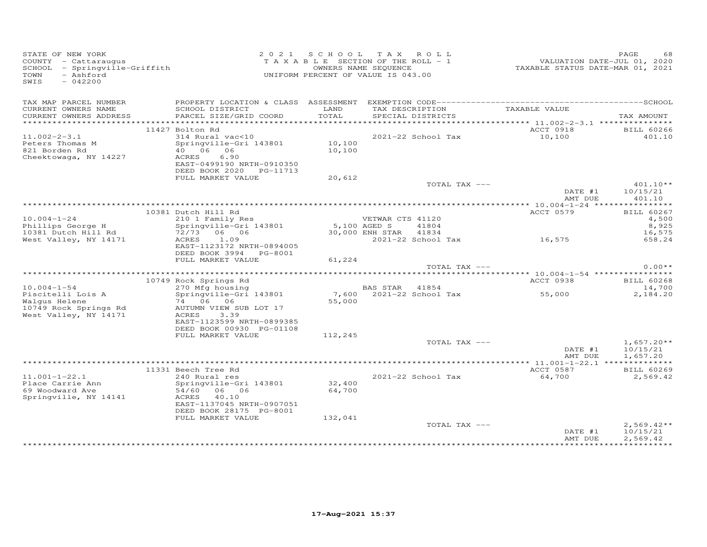| STATE OF NEW YORK<br>COUNTY - Cattaraugus<br>SCHOOL - Springville-Griffith<br>- Ashford<br>TOWN<br>SWIS<br>$-042200$ |                                                                                                                                                         | 2021 SCHOOL TAX ROLL<br>TAXABLE SECTION OF THE ROLL - 1<br>UNIFORM PERCENT OF VALUE IS 043.00 | OWNERS NAME SEQUENCE |                                                     | VALUATION DATE-JUL 01, 2020<br>TAXABLE STATUS DATE-MAR 01, 2021 | PAGE<br>68                                    |
|----------------------------------------------------------------------------------------------------------------------|---------------------------------------------------------------------------------------------------------------------------------------------------------|-----------------------------------------------------------------------------------------------|----------------------|-----------------------------------------------------|-----------------------------------------------------------------|-----------------------------------------------|
| TAX MAP PARCEL NUMBER<br>CURRENT OWNERS NAME                                                                         | SCHOOL DISTRICT                                                                                                                                         | LAND                                                                                          |                      | TAX DESCRIPTION                                     | TAXABLE VALUE                                                   |                                               |
| CURRENT OWNERS ADDRESS                                                                                               | PARCEL SIZE/GRID COORD                                                                                                                                  | TOTAL                                                                                         |                      | SPECIAL DISTRICTS                                   |                                                                 | TAX AMOUNT                                    |
|                                                                                                                      | 11427 Bolton Rd                                                                                                                                         |                                                                                               |                      |                                                     | ACCT 0918                                                       | <b>BILL 60266</b>                             |
| $11.002 - 2 - 3.1$<br>Peters Thomas M<br>821 Borden Rd<br>Cheektowaga, NY 14227                                      | 314 Rural vac<10<br>Springville-Gri 143801<br>40 06 06<br>ACRES<br>6.90<br>EAST-0499190 NRTH-0910350                                                    | 10,100<br>10,100                                                                              |                      | 2021-22 School Tax                                  | 10,100                                                          | 401.10                                        |
|                                                                                                                      | DEED BOOK 2020 PG-11713<br>FULL MARKET VALUE                                                                                                            | 20,612                                                                                        |                      |                                                     |                                                                 |                                               |
|                                                                                                                      |                                                                                                                                                         |                                                                                               |                      | TOTAL TAX ---                                       |                                                                 | $401.10**$                                    |
|                                                                                                                      |                                                                                                                                                         |                                                                                               |                      |                                                     | DATE #1<br>AMT DUE                                              | 10/15/21<br>401.10                            |
|                                                                                                                      |                                                                                                                                                         |                                                                                               |                      |                                                     |                                                                 |                                               |
| $10.004 - 1 - 24$<br>Phillips George H<br>10381 Dutch Hill Rd                                                        | 10381 Dutch Hill Rd<br>210 1 Family Res<br>Springville-Gri 143801 5,100 AGED S 41120<br>72/73 06 06 30,000 ENH STAR 41834<br>ACRES 1.09                 |                                                                                               | VETWAR CTS 41120     |                                                     | ACCT 0579                                                       | <b>BILL 60267</b><br>4,500<br>8,925<br>16,575 |
| West Valley, NY 14171                                                                                                | EAST-1123172 NRTH-0894005<br>DEED BOOK 3994 PG-8001<br>FULL MARKET VALUE                                                                                | 61,224                                                                                        |                      |                                                     | 2021-22 School Tax 16,575                                       | 658.24                                        |
|                                                                                                                      |                                                                                                                                                         |                                                                                               |                      | TOTAL TAX ---                                       |                                                                 | $0.00**$                                      |
|                                                                                                                      |                                                                                                                                                         |                                                                                               |                      |                                                     |                                                                 |                                               |
|                                                                                                                      | 10749 Rock Springs Rd<br>$270$ Mfg housing                                                                                                              |                                                                                               |                      |                                                     | ACCT 0938                                                       | BILL 60268                                    |
| $10.004 - 1 - 54$<br>Piscitelli Lois A<br>Walqus Helene<br>10749 Rock Springs Rd<br>West Valley, NY 14171            | Springville-Gri 143801<br>74 06 06<br>AUTUMN VIEW SUB LOT 17<br>ACRES<br>3.39<br>EAST-1123599 NRTH-0899385                                              | 55,000                                                                                        |                      | BAS STAR     41854<br>7,600    2021-22  School  Tax | 55,000                                                          | 14,700<br>2,184.20                            |
|                                                                                                                      | DEED BOOK 00930 PG-01108<br>FULL MARKET VALUE                                                                                                           | 112,245                                                                                       |                      |                                                     |                                                                 |                                               |
|                                                                                                                      |                                                                                                                                                         |                                                                                               |                      | TOTAL TAX ---                                       | DATE #1<br>AMT DUE                                              | $1,657.20**$<br>10/15/21<br>1,657.20          |
|                                                                                                                      |                                                                                                                                                         |                                                                                               |                      |                                                     |                                                                 |                                               |
| $11.001 - 1 - 22.1$<br>Place Carrie Ann<br>69 Woodward Ave<br>Springville, NY 14141                                  | 11331 Beech Tree Rd<br>240 Rural res<br>Springville-Gri 143801<br>54/60 06 06<br>40.10<br>ACRES<br>EAST-1137045 NRTH-0907051<br>DEED BOOK 28175 PG-8001 | 32,400<br>64,700                                                                              |                      | 2021-22 School Tax                                  | ACCT 0587<br>64,700                                             | <b>BILL 60269</b><br>2,569.42                 |
|                                                                                                                      | FULL MARKET VALUE                                                                                                                                       | 132,041                                                                                       |                      | TOTAL TAX ---                                       | DATE #1<br>AMT DUE                                              | $2,569.42**$<br>10/15/21<br>2,569.42          |
|                                                                                                                      |                                                                                                                                                         |                                                                                               |                      |                                                     |                                                                 |                                               |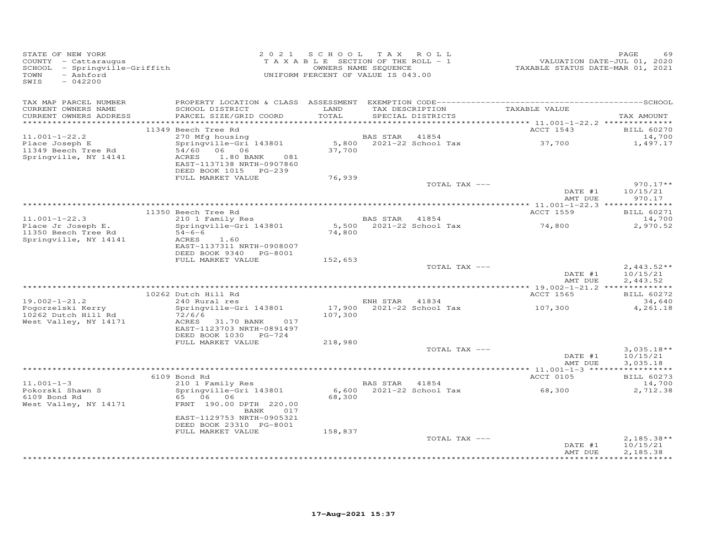| STATE OF NEW YORK<br>COUNTY - Cattaraugus<br>SCHOOL - Springville-Griffith<br>TOWN<br>- Ashford<br>SWIS<br>$-042200$ |                                                                                                                                                           |               | 2021 SCHOOL TAX ROLL<br>T A X A B L E SECTION OF THE ROLL - 1<br>OWNERS NAME SEQUENCE<br>UNIFORM PERCENT OF VALUE IS 043.00 |                          | VALUATION DATE-JUL 01, 2020<br>TAXABLE STATUS DATE-MAR 01, 2021 | PAGE<br>69                              |
|----------------------------------------------------------------------------------------------------------------------|-----------------------------------------------------------------------------------------------------------------------------------------------------------|---------------|-----------------------------------------------------------------------------------------------------------------------------|--------------------------|-----------------------------------------------------------------|-----------------------------------------|
| TAX MAP PARCEL NUMBER<br>CURRENT OWNERS NAME<br>CURRENT OWNERS ADDRESS                                               | SCHOOL DISTRICT<br>PARCEL SIZE/GRID COORD                                                                                                                 | LAND<br>TOTAL | SPECIAL DISTRICTS                                                                                                           |                          | TAX DESCRIPTION TAXABLE VALUE                                   | TAX AMOUNT                              |
|                                                                                                                      | 11349 Beech Tree Rd                                                                                                                                       |               |                                                                                                                             |                          | ACCT 1543                                                       | <b>BILL 60270</b>                       |
| $11.001 - 1 - 22.2$<br>Place Joseph E<br>11349 Beech Tree Rd<br>Springville, NY 14141                                | 270 Mfg housing<br>Springville-Gri 143801<br>54/60 06 06<br>ACRES<br>1.80 BANK<br>081<br>EAST-1137138 NRTH-0907860                                        | 37,700        | <b>BAS STAR</b> 41854                                                                                                       |                          |                                                                 | 14,700<br>1,497.17                      |
|                                                                                                                      | FULL MARKET VALUE                                                                                                                                         | 76,939        |                                                                                                                             |                          |                                                                 |                                         |
|                                                                                                                      |                                                                                                                                                           |               |                                                                                                                             | TOTAL TAX ---            | DATE #1<br>AMT DUE                                              | $970.17**$<br>10/15/21<br>970.17        |
|                                                                                                                      |                                                                                                                                                           |               |                                                                                                                             |                          |                                                                 |                                         |
| $11.001 - 1 - 22.3$                                                                                                  | 11350 Beech Tree Rd<br>beech iree Rd<br>210 1 Family Res                                                                                                  |               | BAS STAR 41854                                                                                                              |                          | ACCT 1559                                                       | <b>BILL 60271</b><br>14,700             |
| Place Jr Joseph E.<br>11350 Beech Tree Rd<br>Springville, NY 14141                                                   | Springville-Gri 143801<br>$54-6-6$<br>ACRES<br>1.60<br>EAST-1137311 NRTH-0908007<br>DEED BOOK 9340 PG-8001                                                | 74,800        |                                                                                                                             | 5,500 2021-22 School Tax | 74,800                                                          | 2,970.52                                |
|                                                                                                                      | FULL MARKET VALUE                                                                                                                                         | 152,653       |                                                                                                                             |                          |                                                                 |                                         |
|                                                                                                                      |                                                                                                                                                           |               |                                                                                                                             | TOTAL TAX ---            | DATE #1<br>AMT DUE                                              | $2,443.52**$<br>10/15/21<br>2,443.52    |
|                                                                                                                      |                                                                                                                                                           |               |                                                                                                                             |                          |                                                                 |                                         |
| $19.002 - 1 - 21.2$<br>Pogorzelski Kerry<br>10262 Dutch Hill Rd<br>West Valley, NY 14171                             | 10262 Dutch Hill Rd<br>240 Rural res<br>Springville-Gri 143801<br>72/6/6<br>ACRES 31.70 BANK<br>017<br>EAST-1123703 NRTH-0891497<br>DEED BOOK 1030 PG-724 | 107,300       | ENH STAR 41834                                                                                                              |                          | ACCT 1565<br>17,900 $2021-22$ School Tax 107,300                | <b>BILL 60272</b><br>34,640<br>4,261.18 |
|                                                                                                                      | FULL MARKET VALUE                                                                                                                                         | 218,980       |                                                                                                                             |                          |                                                                 |                                         |
|                                                                                                                      |                                                                                                                                                           |               |                                                                                                                             | TOTAL TAX ---            | DATE #1<br>AMT DUE                                              | $3,035.18**$<br>10/15/21<br>3,035.18    |
|                                                                                                                      | 6109 Bond Rd                                                                                                                                              |               |                                                                                                                             |                          | ACCT 0105                                                       | <b>BILL 60273</b>                       |
| $11.001 - 1 - 3$                                                                                                     | 210 1 Family Res                                                                                                                                          |               | BAS STAR 41854                                                                                                              |                          |                                                                 | 14,700                                  |
| Pokorski Shawn S<br>6109 Bond Rd<br>West Valley, NY 14171                                                            | Springville-Gri 143801<br>65 06 06<br>FRNT 190.00 DPTH 220.00<br>BANK<br>017<br>EAST-1129753 NRTH-0905321<br>DEED BOOK 23310 PG-8001                      | 68,300        |                                                                                                                             | 6,600 2021-22 School Tax | 68,300                                                          | 2,712.38                                |
|                                                                                                                      | FULL MARKET VALUE                                                                                                                                         | 158,837       |                                                                                                                             | TOTAL TAX ---            | DATE #1<br>AMT DUE                                              | $2,185.38**$<br>10/15/21<br>2,185.38    |
|                                                                                                                      |                                                                                                                                                           |               |                                                                                                                             |                          |                                                                 |                                         |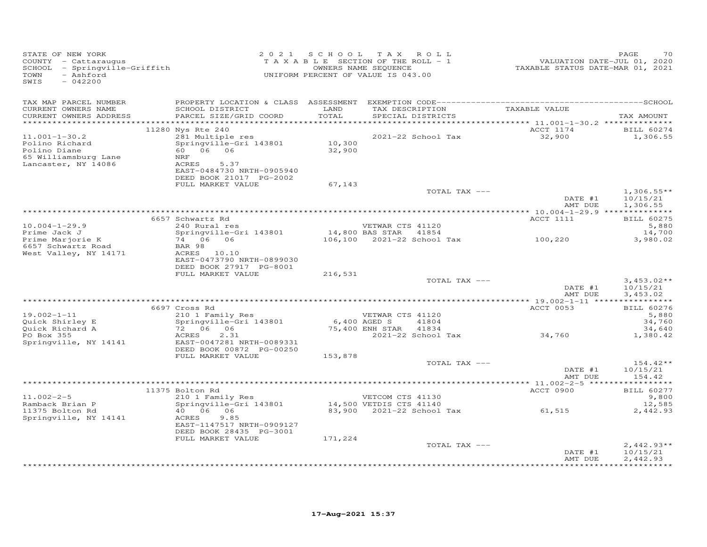| STATE OF NEW YORK<br>COUNTY - Cattaraugus<br>SCHOOL - Springville-Griffith<br>TOWN<br>- Ashford<br>SWIS<br>$-042200$ |                                                                                                                                                             |                  | 2021 SCHOOL TAX ROLL<br>T A X A B L E SECTION OF THE ROLL - 1<br>OWNERS NAME SEQUENCE<br>UNIFORM PERCENT OF VALUE IS 043.00 |                                             | VALUATION DATE-JUL 01, 2020<br>TAXABLE STATUS DATE-MAR 01, 2021 | PAGE<br>70                                                                                   |
|----------------------------------------------------------------------------------------------------------------------|-------------------------------------------------------------------------------------------------------------------------------------------------------------|------------------|-----------------------------------------------------------------------------------------------------------------------------|---------------------------------------------|-----------------------------------------------------------------|----------------------------------------------------------------------------------------------|
| TAX MAP PARCEL NUMBER<br>CURRENT OWNERS NAME<br>CURRENT OWNERS ADDRESS<br>************************                   | SCHOOL DISTRICT<br>PARCEL SIZE/GRID COORD                                                                                                                   | LAND<br>TOTAL    | TAX DESCRIPTION<br>SPECIAL DISTRICTS                                                                                        |                                             | TAXABLE VALUE                                                   | TAX AMOUNT                                                                                   |
| $11.001 - 1 - 30.2$<br>Polino Richard<br>Polino Diane<br>65 Williamsburg Lane<br>Lancaster, NY 14086                 | 11280 Nys Rte 240<br>281 Multiple res<br>Springville-Gri 143801<br>60 06 06<br>NRF<br>5.37<br>ACRES<br>EAST-0484730 NRTH-0905940<br>DEED BOOK 21017 PG-2002 | 10,300<br>32,900 | 2021-22 School Tax                                                                                                          |                                             | ACCT 1174<br>32,900                                             | BILL 60274<br>1,306.55                                                                       |
|                                                                                                                      | FULL MARKET VALUE                                                                                                                                           | 67,143           |                                                                                                                             | TOTAL TAX ---                               | DATE #1<br>AMT DUE                                              | $1,306.55**$<br>10/15/21<br>1,306.55                                                         |
| $10.004 - 1 - 29.9$<br>Prime Jack J<br>Prime Marjorie K<br>6657 Schwartz Road<br>West Valley, NY 14171               | 6657 Schwartz Rd<br>240 Rural res<br>Springville-Gri 143801<br>74 06 06<br>BAR 98<br>ACRES 10.10<br>EAST-0473790 NRTH-0899030<br>DEED BOOK 27917 PG-8001    |                  | VETWAR CTS 41120<br>14,800 BAS STAR 41854                                                                                   | 106,100 2021-22 School Tax 100,220          | ACCT 1111                                                       | <b>BILL 60275</b><br>5,880<br>14,700<br>3,980.02                                             |
|                                                                                                                      | FULL MARKET VALUE                                                                                                                                           | 216,531          |                                                                                                                             | TOTAL TAX ---                               | DATE #1                                                         | $3,453.02**$<br>10/15/21                                                                     |
|                                                                                                                      | 6697 Cross Rd                                                                                                                                               |                  |                                                                                                                             |                                             | AMT DUE<br>ACCT 0053                                            | 3,453.02<br><b>BILL 60276</b>                                                                |
| $19.002 - 1 - 11$<br>Quick Shirley E<br>Quick Richard A<br>PO Box 355<br>Springville, NY 14141                       | 210 1 Family Res<br>Springville-Gri 143801<br>72 06 06<br>2.31<br>ACRES<br>EAST-0047281 NRTH-0089331<br>DEED BOOK 00872 PG-00250                            | 6,400 AGED S     | VETWAR CTS 41120<br>75,400 ENH STAR                                                                                         | 41804<br>41834<br>2021-22 School Tax 34,760 |                                                                 | 5,880<br>34,760<br>34,640<br>1,380.42                                                        |
|                                                                                                                      | FULL MARKET VALUE                                                                                                                                           | 153,878          |                                                                                                                             | TOTAL TAX ---                               | DATE #1<br>AMT DUE                                              | $154.42**$<br>10/15/21<br>154.42                                                             |
|                                                                                                                      |                                                                                                                                                             |                  |                                                                                                                             |                                             |                                                                 |                                                                                              |
| $11.002 - 2 - 5$<br>Ramback Brian P<br>11375 Bolton Rd<br>Springville, NY 14141                                      | 11375 Bolton Rd<br>210 1 Family Res<br>Springville-Gri 143801<br>40   06   06<br>ACRES<br>9.85<br>EAST-1147517 NRTH-0909127<br>DEED BOOK 28435 PG-3001      |                  | VETCOM CTS 41130<br>14,500 VETDIS CTS 41140                                                                                 |                                             | ACCT 0900<br>83,900 2021-22 School Tax 61,515                   | <b>BILL 60277</b><br>9,800<br>12,585<br>2,442.93                                             |
|                                                                                                                      | FULL MARKET VALUE                                                                                                                                           | 171,224          |                                                                                                                             | TOTAL TAX ---                               | DATE #1<br>AMT DUE                                              | $2,442.93**$<br>10/15/21<br>2,442.93<br>۹ تا ۲۰۰۰ تا ۲۰۰۰ تا ۲۰۰۰ تا ۲۰۰۰ تا ۲۰۰۰ تا ۲۰۰۰ تا |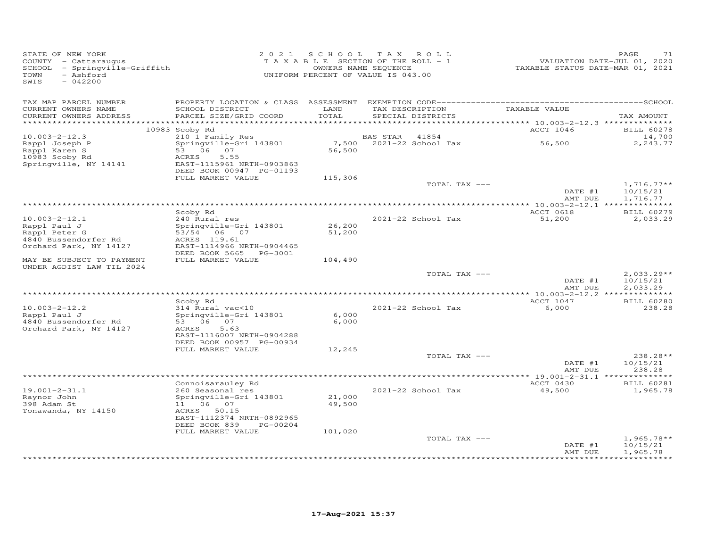| TAX MAP PARCEL NUMBER<br>CURRENT OWNERS NAME<br>LAND<br>TAXABLE VALUE<br>SCHOOL DISTRICT<br>TAX DESCRIPTION                                                                                                       |                                      |
|-------------------------------------------------------------------------------------------------------------------------------------------------------------------------------------------------------------------|--------------------------------------|
| PARCEL SIZE/GRID COORD<br>TOTAL<br>CURRENT OWNERS ADDRESS<br>SPECIAL DISTRICTS                                                                                                                                    | TAX AMOUNT                           |
| ***********************<br>10983 Scoby Rd<br>ACCT 1046                                                                                                                                                            | <b>BILL 60278</b>                    |
| $10.003 - 2 - 12.3$<br>210 1 Family Res<br>BAS STAR<br>41854                                                                                                                                                      | 14,700                               |
| Rappl Joseph P<br>Springville-Gri 143801<br>7,500<br>2021-22 School Tax<br>56,500<br>53 06 07<br>56,500<br>Rappl Karen S<br>10983 Scoby Rd<br>ACRES<br>5.55<br>Springville, NY 14141<br>EAST-1115961 NRTH-0903863 | 2,243.77                             |
| DEED BOOK 00947 PG-01193                                                                                                                                                                                          |                                      |
| FULL MARKET VALUE<br>115,306                                                                                                                                                                                      |                                      |
| TOTAL TAX ---<br>DATE #1<br>AMT DUE                                                                                                                                                                               | $1,716.77**$<br>10/15/21<br>1,716.77 |
|                                                                                                                                                                                                                   |                                      |
| Scoby Rd<br>ACCT 0618<br>$10.003 - 2 - 12.1$<br>240 Rural res<br>2021-22 School Tax<br>51,200<br>Rappl Paul J<br>Springville-Gri 143801<br>26,200<br>Rappl Peter G<br>53/54 06 07<br>51,200                       | <b>BILL 60279</b><br>2,033.29        |
| 4840 Bussendorfer Rd<br>ACRES 119.61<br>Orchard Park, NY 14127<br>EAST-1114966 NRTH-0904465<br>DEED BOOK 5665<br>PG-3001                                                                                          |                                      |
| FULL MARKET VALUE<br>MAY BE SUBJECT TO PAYMENT<br>104,490<br>UNDER AGDIST LAW TIL 2024                                                                                                                            |                                      |
| TOTAL TAX ---<br>DATE #1<br>AMT DUE                                                                                                                                                                               | $2,033.29**$<br>10/15/21<br>2,033.29 |
|                                                                                                                                                                                                                   |                                      |
| ACCT 1047<br>Scoby Rd<br>$10.003 - 2 - 12.2$<br>314 Rural vac<10<br>2021-22 School Tax<br>6,000<br>6,000<br>Rappl Paul J<br>Springville-Gri 143801<br>6,000<br>4840 Bussendorfer Rd<br>53 06<br>07                | <b>BILL 60280</b><br>238.28          |
| Orchard Park, NY 14127<br>5.63<br>ACRES<br>EAST-1116007 NRTH-0904288<br>DEED BOOK 00957 PG-00934                                                                                                                  |                                      |
| 12,245<br>FULL MARKET VALUE<br>TOTAL TAX ---                                                                                                                                                                      | 238.28**                             |
| DATE #1<br>AMT DUE                                                                                                                                                                                                | 10/15/21<br>238.28                   |
| Connoisarauley Rd<br>ACCT 0430                                                                                                                                                                                    | <b>BILL 60281</b>                    |
| $19.001 - 2 - 31.1$<br>260 Seasonal res<br>2021-22 School Tax<br>49,500<br>Raynor John<br>21,000<br>Springville-Gri 143801<br>398 Adam St<br>11   06   07<br>49,500                                               | 1,965.78                             |
| Tonawanda, NY 14150<br>ACRES 50.15<br>EAST-1112374 NRTH-0892965<br>DEED BOOK 839<br>PG-00204<br>FULL MARKET VALUE<br>101,020                                                                                      |                                      |
| TOTAL TAX ---<br>DATE #1<br>AMT DUE                                                                                                                                                                               | $1,965.78**$<br>10/15/21<br>1,965.78 |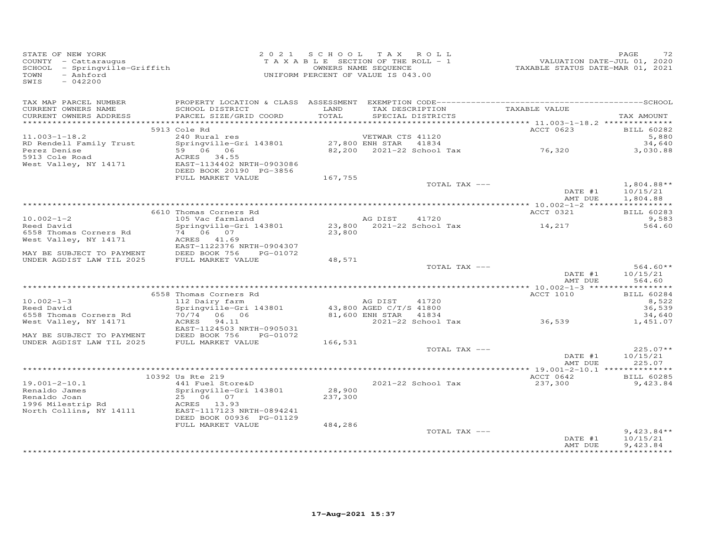| STATE OF NEW YORK<br>COUNTY - Cattaraugus<br>SCHOOL - Springville-Griffith<br>- Ashford<br>$-042200$<br>SWIS                                                                                                                                         |                                                                                                                                                        |         | 2021 SCHOOL TAX ROLL<br>2 V 2 1 S U A U U A A K U L L<br>T A X A B L E SECTION OF THE ROLL - 1 VALUATION DATE-JUL 01, 2020<br>OWNERS NAME SEQUENCE TAXABLE STATUS DATE-MAR 01, 2021<br>UNIFORM PERCENT OF VALUE IS 043.00 |                      | PAGE<br>72                                                                                    |
|------------------------------------------------------------------------------------------------------------------------------------------------------------------------------------------------------------------------------------------------------|--------------------------------------------------------------------------------------------------------------------------------------------------------|---------|---------------------------------------------------------------------------------------------------------------------------------------------------------------------------------------------------------------------------|----------------------|-----------------------------------------------------------------------------------------------|
| TAX MAP PARCEL NUMBER                                                                                                                                                                                                                                |                                                                                                                                                        |         |                                                                                                                                                                                                                           |                      |                                                                                               |
| CURRENT OWNERS NAME<br>CURRENT OWNERS ADDRESS                                                                                                                                                                                                        | PARCEL SIZE/GRID COORD                                                                                                                                 |         |                                                                                                                                                                                                                           |                      | TAX AMOUNT                                                                                    |
|                                                                                                                                                                                                                                                      |                                                                                                                                                        |         |                                                                                                                                                                                                                           |                      |                                                                                               |
|                                                                                                                                                                                                                                                      | 5913 Cole Rd                                                                                                                                           |         |                                                                                                                                                                                                                           | ACCT 0623            | BILL 60282                                                                                    |
| $11.003 - 1 - 18.2$                                                                                                                                                                                                                                  | 240 Rural res<br>240 Rural res<br>Springville-Gri 143801 27,800 ENH STAR 41834                                                                         |         | VETWAR CTS 41120                                                                                                                                                                                                          |                      | 5,880                                                                                         |
|                                                                                                                                                                                                                                                      |                                                                                                                                                        |         | 27,800 ENH SIAR 41834<br>82,200 2021-22 School Tax 76,320                                                                                                                                                                 |                      | 34,640<br>3,030.88                                                                            |
| RD Rendell Family Trust<br>Perez Denise<br>59 06 06<br>5913 Cole Road<br>West Valley, NY 14171<br>RES 34.55<br>RES 34.55<br>RES 34.55<br>RES 34.55<br>RES 34.55<br>RES 2003086                                                                       |                                                                                                                                                        |         |                                                                                                                                                                                                                           |                      |                                                                                               |
|                                                                                                                                                                                                                                                      |                                                                                                                                                        |         |                                                                                                                                                                                                                           |                      |                                                                                               |
|                                                                                                                                                                                                                                                      | DEED BOOK 20190 PG-3856                                                                                                                                |         |                                                                                                                                                                                                                           |                      |                                                                                               |
|                                                                                                                                                                                                                                                      | FULL MARKET VALUE                                                                                                                                      | 167,755 | TOTAL TAX ---                                                                                                                                                                                                             |                      | $1,804.88**$                                                                                  |
|                                                                                                                                                                                                                                                      |                                                                                                                                                        |         |                                                                                                                                                                                                                           | DATE #1              | 10/15/21                                                                                      |
|                                                                                                                                                                                                                                                      |                                                                                                                                                        |         |                                                                                                                                                                                                                           |                      | AMT DUE 1,804.88                                                                              |
|                                                                                                                                                                                                                                                      |                                                                                                                                                        |         |                                                                                                                                                                                                                           |                      |                                                                                               |
|                                                                                                                                                                                                                                                      | 6610 Thomas Corners Rd                                                                                                                                 |         |                                                                                                                                                                                                                           | ACCT 0321            | <b>BILL 60283</b><br>9,583                                                                    |
| 10.002-1-2<br>Reed David                                                                                                                                                                                                                             |                                                                                                                                                        |         |                                                                                                                                                                                                                           |                      | 564.60                                                                                        |
| 6558 Thomas Corners Rd $\begin{array}{ccc} 74 & 06 & 07 \\ \text{West Valley, NY 14171} & \text{ACRES} & 41.69 \end{array}$                                                                                                                          |                                                                                                                                                        |         |                                                                                                                                                                                                                           |                      |                                                                                               |
|                                                                                                                                                                                                                                                      |                                                                                                                                                        |         |                                                                                                                                                                                                                           |                      |                                                                                               |
|                                                                                                                                                                                                                                                      | EAST-1122376 NRTH-0904307                                                                                                                              |         |                                                                                                                                                                                                                           |                      |                                                                                               |
| MAY BE SUBJECT TO PAYMENT<br>UNDER AGDIST LAW TIL 2025 FULL MARKET VALUE 48,571                                                                                                                                                                      |                                                                                                                                                        |         |                                                                                                                                                                                                                           |                      |                                                                                               |
|                                                                                                                                                                                                                                                      |                                                                                                                                                        |         | TOTAL TAX ---                                                                                                                                                                                                             |                      |                                                                                               |
|                                                                                                                                                                                                                                                      |                                                                                                                                                        |         |                                                                                                                                                                                                                           |                      | $\begin{array}{ccc}\n\text{DATE} & \#1 & 10/15/21 \\ \hline\n\text{10} & 564.60\n\end{array}$ |
|                                                                                                                                                                                                                                                      |                                                                                                                                                        |         |                                                                                                                                                                                                                           |                      |                                                                                               |
|                                                                                                                                                                                                                                                      |                                                                                                                                                        |         |                                                                                                                                                                                                                           | <b>ACCT 1010</b>     | BILL 60284                                                                                    |
| $10.002 - 1 - 3$                                                                                                                                                                                                                                     | 6558 Thomas Corners Rd<br>112 Dairy farm<br>Springville-Gri 143801<br>70/74 06 06 81,600 ENH STAR 41834<br>ACRES 94.11<br>2021-22 School Tax<br>36,539 |         |                                                                                                                                                                                                                           |                      | 8,522                                                                                         |
| Reed David                                                                                                                                                                                                                                           |                                                                                                                                                        |         |                                                                                                                                                                                                                           |                      | 36,539                                                                                        |
| 6558 Thomas Corners Rd                                                                                                                                                                                                                               |                                                                                                                                                        |         |                                                                                                                                                                                                                           |                      | 34,640                                                                                        |
| West Valley, NY 14171                                                                                                                                                                                                                                | EAST-1124503 NRTH-0905031                                                                                                                              |         |                                                                                                                                                                                                                           |                      | 1,451.07                                                                                      |
| MAY BE SUBJECT TO PAYMENT FORED BOOK 756 PG-01072<br>UNDER AGDIST LAW TIL 2025 FULL MARKET VALUE 166,531                                                                                                                                             |                                                                                                                                                        |         |                                                                                                                                                                                                                           |                      |                                                                                               |
|                                                                                                                                                                                                                                                      |                                                                                                                                                        |         |                                                                                                                                                                                                                           |                      |                                                                                               |
|                                                                                                                                                                                                                                                      |                                                                                                                                                        |         | TOTAL TAX ---                                                                                                                                                                                                             | DATE #1              | $225.07**$<br>10/15/21                                                                        |
|                                                                                                                                                                                                                                                      |                                                                                                                                                        |         |                                                                                                                                                                                                                           | AMT DUE              | 225.07                                                                                        |
|                                                                                                                                                                                                                                                      |                                                                                                                                                        |         |                                                                                                                                                                                                                           |                      |                                                                                               |
|                                                                                                                                                                                                                                                      | 10392 Us Rte 219                                                                                                                                       |         |                                                                                                                                                                                                                           | ACCT 0642 BILL 60285 |                                                                                               |
|                                                                                                                                                                                                                                                      |                                                                                                                                                        |         | 2021-22 School Tax                                                                                                                                                                                                        | 237,300              | 9,423.84                                                                                      |
|                                                                                                                                                                                                                                                      |                                                                                                                                                        |         |                                                                                                                                                                                                                           |                      |                                                                                               |
|                                                                                                                                                                                                                                                      |                                                                                                                                                        |         |                                                                                                                                                                                                                           |                      |                                                                                               |
| 19.001-2-10.1<br>Renaldo James<br>Renaldo Joan 25 06 07<br>1996 Milestrip Rd<br>North Collins, NY 14111<br>1996 Milestrip Rd<br>1996 Milestrip Rd<br>1996 Milestrip Rd<br>1996 Milestrip Rd<br>1996 Milestrip Rd<br>1996 Milestrip Rd<br>1996 Milest |                                                                                                                                                        |         |                                                                                                                                                                                                                           |                      |                                                                                               |
|                                                                                                                                                                                                                                                      | DEED BOOK 00936 PG-01129                                                                                                                               |         |                                                                                                                                                                                                                           |                      |                                                                                               |
|                                                                                                                                                                                                                                                      | FULL MARKET VALUE                                                                                                                                      | 484,286 |                                                                                                                                                                                                                           |                      |                                                                                               |
|                                                                                                                                                                                                                                                      |                                                                                                                                                        |         | TOTAL TAX ---                                                                                                                                                                                                             | DATE #1              | $9,423.84**$<br>10/15/21                                                                      |
|                                                                                                                                                                                                                                                      |                                                                                                                                                        |         |                                                                                                                                                                                                                           | AMT DUE              | 9,423.84                                                                                      |
|                                                                                                                                                                                                                                                      |                                                                                                                                                        |         |                                                                                                                                                                                                                           |                      |                                                                                               |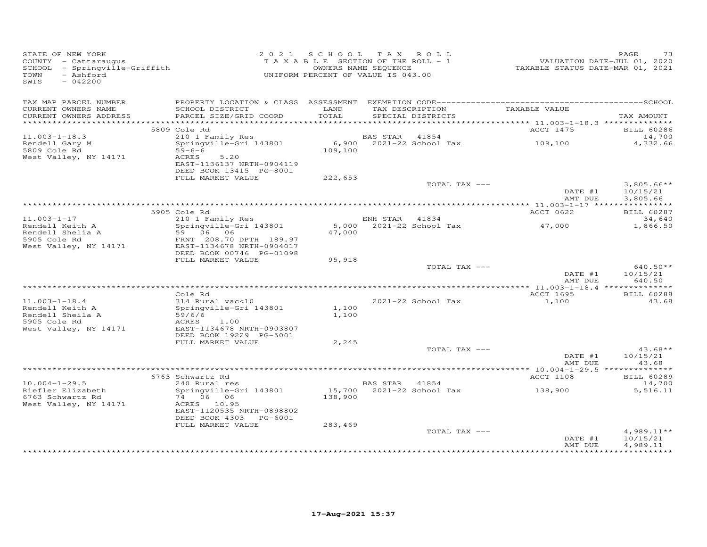| STATE OF NEW YORK<br>COUNTY - Cattaraugus<br>SCHOOL - Springville-Griffith<br>- Ashford<br>TOWN<br>SWIS<br>$-042200$ |                                                       | 2021 SCHOOL TAX ROLL<br>T A X A B L E SECTION OF THE ROLL - 1<br>UNIFORM PERCENT OF VALUE IS 043.00 | OWNERS NAME SEQUENCE |                                            | VALUATION DATE-JUL 01, 2020<br>TAXABLE STATUS DATE-MAR 01, 2021 | PAGE<br>73                  |
|----------------------------------------------------------------------------------------------------------------------|-------------------------------------------------------|-----------------------------------------------------------------------------------------------------|----------------------|--------------------------------------------|-----------------------------------------------------------------|-----------------------------|
| TAX MAP PARCEL NUMBER                                                                                                |                                                       |                                                                                                     |                      |                                            |                                                                 |                             |
| CURRENT OWNERS NAME<br>CURRENT OWNERS ADDRESS                                                                        | SCHOOL DISTRICT<br>PARCEL SIZE/GRID COORD             | LAND<br>TOTAL                                                                                       |                      | TAX DESCRIPTION<br>SPECIAL DISTRICTS       | TAXABLE VALUE                                                   | TAX AMOUNT                  |
|                                                                                                                      |                                                       |                                                                                                     |                      |                                            |                                                                 |                             |
|                                                                                                                      | 5809 Cole Rd                                          |                                                                                                     |                      |                                            | ACCT 1475                                                       | <b>BILL 60286</b>           |
| $11.003 - 1 - 18.3$<br>Rendell Gary M                                                                                | 210 1 Family Res<br>Springville-Gri 143801            |                                                                                                     |                      | BAS STAR 41854<br>6,900 2021-22 School Tax | 109,100                                                         | 14,700<br>4,332.66          |
| 5809 Cole Rd                                                                                                         | $59 - 6 - 6$                                          | 109,100                                                                                             |                      |                                            |                                                                 |                             |
| West Valley, NY 14171                                                                                                | 5.20<br>ACRES                                         |                                                                                                     |                      |                                            |                                                                 |                             |
|                                                                                                                      | EAST-1136137 NRTH-0904119                             |                                                                                                     |                      |                                            |                                                                 |                             |
|                                                                                                                      | DEED BOOK 13415 PG-8001                               |                                                                                                     |                      |                                            |                                                                 |                             |
|                                                                                                                      | FULL MARKET VALUE                                     | 222,653                                                                                             |                      | TOTAL TAX ---                              |                                                                 | $3,805.66**$                |
|                                                                                                                      |                                                       |                                                                                                     |                      |                                            | DATE #1                                                         | 10/15/21                    |
|                                                                                                                      |                                                       |                                                                                                     |                      |                                            | AMT DUE                                                         | 3,805.66                    |
|                                                                                                                      |                                                       |                                                                                                     |                      |                                            |                                                                 |                             |
| $11.003 - 1 - 17$                                                                                                    | 5905 Cole Rd                                          |                                                                                                     | ENH STAR 41834       |                                            | ACCT 0622                                                       | <b>BILL 60287</b><br>34,640 |
| Rendell Keith A                                                                                                      | COIE RG<br>210 1 Family Res<br>Springville-Gri 143801 |                                                                                                     |                      | 5,000 2021-22 School Tax                   | 47,000                                                          | 1,866.50                    |
| Rendell Shelia A<br>5905 Cole Rd                                                                                     | 59 06 06                                              | 47,000                                                                                              |                      |                                            |                                                                 |                             |
| 5905 Cole Rd                                                                                                         | FRNT 208.70 DPTH 189.97                               |                                                                                                     |                      |                                            |                                                                 |                             |
| West Valley, NY 14171                                                                                                | EAST-1134678 NRTH-0904017<br>DEED BOOK 00746 PG-01098 |                                                                                                     |                      |                                            |                                                                 |                             |
|                                                                                                                      | FULL MARKET VALUE                                     | 95,918                                                                                              |                      |                                            |                                                                 |                             |
|                                                                                                                      |                                                       |                                                                                                     |                      | TOTAL TAX ---                              |                                                                 | $640.50**$                  |
|                                                                                                                      |                                                       |                                                                                                     |                      |                                            | DATE #1                                                         | 10/15/21                    |
|                                                                                                                      |                                                       |                                                                                                     |                      |                                            | AMT DUE                                                         | 640.50                      |
|                                                                                                                      | Cole Rd                                               |                                                                                                     |                      |                                            | ACCT 1695                                                       | <b>BILL 60288</b>           |
| $11.003 - 1 - 18.4$                                                                                                  | 314 Rural vac<10                                      |                                                                                                     |                      | 2021-22 School Tax                         | 1,100                                                           | 43.68                       |
| Rendell Keith A                                                                                                      | Springville-Gri 143801                                | 1,100                                                                                               |                      |                                            |                                                                 |                             |
| Rendell Sheila A                                                                                                     | Sprin.<br>59/6/6<br>ACRES                             | 1,100                                                                                               |                      |                                            |                                                                 |                             |
| 5905 Cole Rd<br>West Valley, NY 14171                                                                                | 1.00<br>EAST-1134678 NRTH-0903807                     |                                                                                                     |                      |                                            |                                                                 |                             |
|                                                                                                                      | DEED BOOK 19229 PG-5001                               |                                                                                                     |                      |                                            |                                                                 |                             |
|                                                                                                                      | FULL MARKET VALUE                                     | 2,245                                                                                               |                      |                                            |                                                                 |                             |
|                                                                                                                      |                                                       |                                                                                                     |                      | TOTAL TAX ---                              |                                                                 | $43.68**$                   |
|                                                                                                                      |                                                       |                                                                                                     |                      |                                            | DATE #1<br>AMT DUE                                              | 10/15/21<br>43.68           |
|                                                                                                                      |                                                       |                                                                                                     |                      |                                            |                                                                 |                             |
|                                                                                                                      | 6763 Schwartz Rd                                      |                                                                                                     |                      |                                            | ACCT 1108                                                       | <b>BILL 60289</b>           |
| $10.004 - 1 - 29.5$                                                                                                  | 240 Rural res                                         |                                                                                                     | BAS STAR 41854       |                                            |                                                                 | 14,700                      |
| Riefler Elizabeth                                                                                                    | Springville-Gri 143801                                |                                                                                                     |                      | 15,700 2021-22 School Tax                  | 138,900                                                         | 5,516.11                    |
| 6763 Schwartz Rd<br>West Valley, NY 14171                                                                            | 74 06 06<br>ACRES 10.95                               | 138,900                                                                                             |                      |                                            |                                                                 |                             |
|                                                                                                                      | EAST-1120535 NRTH-0898802                             |                                                                                                     |                      |                                            |                                                                 |                             |
|                                                                                                                      | DEED BOOK 4303 PG-6001                                |                                                                                                     |                      |                                            |                                                                 |                             |
|                                                                                                                      | FULL MARKET VALUE                                     | 283,469                                                                                             |                      |                                            |                                                                 |                             |
|                                                                                                                      |                                                       |                                                                                                     |                      | TOTAL TAX ---                              | DATE #1                                                         | $4,989.11**$<br>10/15/21    |
|                                                                                                                      |                                                       |                                                                                                     |                      |                                            | AMT DUE                                                         | 4,989.11                    |
|                                                                                                                      |                                                       |                                                                                                     |                      |                                            |                                                                 |                             |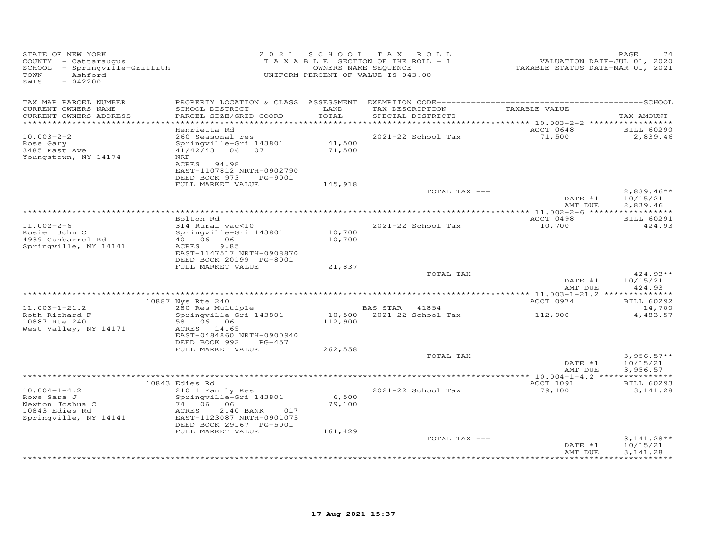| STATE OF NEW YORK<br>COUNTY - Cattaraugus<br>SCHOOL - Springville-Griffith<br>- Ashford<br>TOWN<br>$-042200$<br>SWIS |                                                                                                                                                                                                  |                            | 2021 SCHOOL TAX ROLL<br>TAXABLE SECTION OF THE ROLL - 1<br>OWNERS NAME SEQUENCE<br>UNIFORM PERCENT OF VALUE IS 043.00 | VALUATION DATE-JUL 01, 2020<br>TAXABLE STATUS DATE-MAR 01, 2021 | PAGE<br>74                                             |
|----------------------------------------------------------------------------------------------------------------------|--------------------------------------------------------------------------------------------------------------------------------------------------------------------------------------------------|----------------------------|-----------------------------------------------------------------------------------------------------------------------|-----------------------------------------------------------------|--------------------------------------------------------|
| TAX MAP PARCEL NUMBER<br>CURRENT OWNERS NAME<br>CURRENT OWNERS ADDRESS                                               | SCHOOL DISTRICT<br>PARCEL SIZE/GRID COORD                                                                                                                                                        | LAND<br>TOTAL              | TAX DESCRIPTION<br>SPECIAL DISTRICTS                                                                                  | TAXABLE VALUE                                                   | TAX AMOUNT                                             |
| ***********************<br>$10.003 - 2 - 2$<br>Rose Gary<br>3485 East Ave<br>Youngstown, NY 14174                    | ****************************<br>Henrietta Rd<br>260 Seasonal res<br>Springville-Gri 143801<br>$41/42/43$ 06<br>07<br>NRF<br>ACRES 94.98<br>EAST-1107812 NRTH-0902790<br>DEED BOOK 973<br>PG-9001 | 41,500<br>71,500           | 2021-22 School Tax                                                                                                    | ACCT 0648<br>71,500                                             | <b>BILL 60290</b><br>2,839.46                          |
|                                                                                                                      | FULL MARKET VALUE                                                                                                                                                                                | 145,918                    | TOTAL TAX ---                                                                                                         | DATE #1                                                         | $2,839.46**$<br>10/15/21                               |
| $11.002 - 2 - 6$<br>Rosier John C<br>4939 Gunbarrel Rd<br>Springville, NY 14141                                      | Bolton Rd<br>314 Rural vac<10<br>Springville-Gri 143801<br>40 06<br>06<br>ACRES<br>9.85<br>EAST-1147517 NRTH-0908870<br>DEED BOOK 20199 PG-8001                                                  | 10,700<br>10,700           | 2021-22 School Tax                                                                                                    | AMT DUE<br>ACCT 0498<br>10,700                                  | 2,839.46<br>***********<br><b>BILL 60291</b><br>424.93 |
|                                                                                                                      | FULL MARKET VALUE                                                                                                                                                                                | 21,837                     | TOTAL TAX ---                                                                                                         | DATE #1<br>AMT DUE                                              | $424.93**$<br>10/15/21<br>424.93                       |
| $11.003 - 1 - 21.2$<br>Roth Richard F<br>10887 Rte 240<br>West Valley, NY 14171                                      | 10887 Nys Rte 240<br>280 Res Multiple<br>Springville-Gri 143801<br>58 06 06<br>ACRES 14.65<br>EAST-0484860 NRTH-0900940<br>DEED BOOK 992<br>PG-457                                               | 10,500<br>112,900          | BAS STAR 41854<br>2021-22 School Tax                                                                                  | ACCT 0974<br>112,900                                            | <b>BILL 60292</b><br>14,700<br>4,483.57                |
|                                                                                                                      | FULL MARKET VALUE                                                                                                                                                                                | 262,558                    | TOTAL TAX ---                                                                                                         | DATE #1<br>AMT DUE                                              | $3,956.57**$<br>10/15/21<br>3,956.57                   |
| $10.004 - 1 - 4.2$<br>Rowe Sara J<br>Newton Joshua C<br>10843 Edies Rd<br>Springville, NY 14141                      | 10843 Edies Rd<br>210 1 Family Res<br>Springville-Gri 143801<br>74 06 06<br>ACRES<br>2.40 BANK<br>017<br>EAST-1123087 NRTH-0901075<br>DEED BOOK 29167 PG-5001<br>FULL MARKET VALUE               | 6,500<br>79,100<br>161,429 | 2021-22 School Tax                                                                                                    | ACCT 1091<br>79,100                                             | <b>BILL 60293</b><br>3, 141.28                         |
|                                                                                                                      |                                                                                                                                                                                                  |                            | TOTAL TAX ---                                                                                                         | DATE #1<br>AMT DUE                                              | $3,141.28**$<br>10/15/21<br>3, 141.28                  |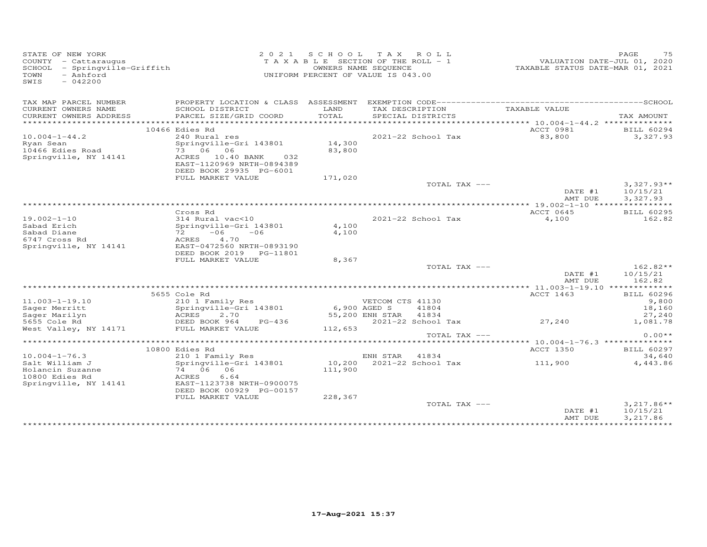| STATE OF NEW YORK<br>COUNTY - Cattaraugus<br>SCHOOL - Springville-Griffith<br>- Ashford<br>TOWN<br>$-042200$<br>SWIS |                                                      |              | 2021 SCHOOL TAX ROLL<br>T A X A B L E SECTION OF THE ROLL - 1<br>OWNERS NAME SEQUENCE<br>UNIFORM PERCENT OF VALUE IS 043.00 | VALUATION DATE-JUL 01, 2020<br>TAXABLE STATUS DATE-MAR 01, 2021 | 75<br>PAGE               |
|----------------------------------------------------------------------------------------------------------------------|------------------------------------------------------|--------------|-----------------------------------------------------------------------------------------------------------------------------|-----------------------------------------------------------------|--------------------------|
| TAX MAP PARCEL NUMBER                                                                                                |                                                      |              |                                                                                                                             |                                                                 |                          |
| CURRENT OWNERS NAME                                                                                                  | SCHOOL DISTRICT                                      | LAND         | TAX DESCRIPTION                                                                                                             | TAXABLE VALUE                                                   |                          |
| CURRENT OWNERS ADDRESS                                                                                               | PARCEL SIZE/GRID COORD                               | TOTAL        | SPECIAL DISTRICTS                                                                                                           | ****************** 10.004-1-44.2 ***************                | TAX AMOUNT               |
|                                                                                                                      | 10466 Edies Rd                                       |              |                                                                                                                             | ACCT 0981                                                       | BILL 60294               |
| $10.004 - 1 - 44.2$                                                                                                  | 240 Rural res                                        |              | 2021-22 School Tax                                                                                                          | 83,800                                                          | 3,327.93                 |
| Ryan Sean                                                                                                            | Springville-Gri 143801                               | 14,300       |                                                                                                                             |                                                                 |                          |
| 10466 Edies Road                                                                                                     | 73 06 06                                             | 83,800       |                                                                                                                             |                                                                 |                          |
| Springville, NY 14141                                                                                                | ACRES 10.40 BANK<br>032                              |              |                                                                                                                             |                                                                 |                          |
|                                                                                                                      | EAST-1120969 NRTH-0894389<br>DEED BOOK 29935 PG-6001 |              |                                                                                                                             |                                                                 |                          |
|                                                                                                                      | FULL MARKET VALUE                                    | 171,020      |                                                                                                                             |                                                                 |                          |
|                                                                                                                      |                                                      |              | TOTAL TAX ---                                                                                                               |                                                                 | $3,327.93**$             |
|                                                                                                                      |                                                      |              |                                                                                                                             | DATE #1                                                         | 10/15/21                 |
|                                                                                                                      |                                                      |              |                                                                                                                             | AMT DUE                                                         | 3,327.93                 |
|                                                                                                                      |                                                      |              |                                                                                                                             |                                                                 |                          |
|                                                                                                                      | Cross Rd                                             |              |                                                                                                                             | ACCT 0645                                                       | <b>BILL 60295</b>        |
| $19.002 - 1 - 10$<br>Sabad Erich                                                                                     | 314 Rural vac<10<br>Springville-Gri 143801           | 4,100        | 2021-22 School Tax                                                                                                          | 4,100                                                           | 162.82                   |
| Sabad Diane                                                                                                          | $-06$<br>72 —<br>$-06$                               | 4,100        |                                                                                                                             |                                                                 |                          |
| 6747 Cross Rd                                                                                                        | 4.70<br>ACRES                                        |              |                                                                                                                             |                                                                 |                          |
| Springville, NY 14141                                                                                                | EAST-0472560 NRTH-0893190                            |              |                                                                                                                             |                                                                 |                          |
|                                                                                                                      | DEED BOOK 2019    PG-11801                           |              |                                                                                                                             |                                                                 |                          |
|                                                                                                                      | FULL MARKET VALUE                                    | 8,367        |                                                                                                                             |                                                                 |                          |
|                                                                                                                      |                                                      |              | TOTAL TAX ---                                                                                                               |                                                                 | $162.82**$               |
|                                                                                                                      |                                                      |              |                                                                                                                             | DATE #1<br>AMT DUE                                              | 10/15/21                 |
|                                                                                                                      |                                                      |              |                                                                                                                             |                                                                 | 162.82                   |
|                                                                                                                      | 5655 Cole Rd                                         |              |                                                                                                                             | ACCT 1463                                                       | <b>BILL 60296</b>        |
| $11.003 - 1 - 19.10$                                                                                                 | 210 1 Family Res                                     |              | VETCOM CTS 41130                                                                                                            |                                                                 | 9,800                    |
| Sager Merritt                                                                                                        | Springville-Gri 143801                               | 6,900 AGED S | 41804                                                                                                                       |                                                                 | 18,160                   |
| Sager Marilyn                                                                                                        | ACRES<br>2.70                                        |              | 55,200 ENH STAR<br>41834                                                                                                    |                                                                 | 27,240                   |
| 5655 Cole Rd                                                                                                         | DEED BOOK 964 PG-436                                 |              | 2021-22 School Tax                                                                                                          | 27,240                                                          | 1,081.78                 |
| West Valley, NY 14171                                                                                                | FULL MARKET VALUE                                    | 112,653      |                                                                                                                             |                                                                 |                          |
|                                                                                                                      |                                                      |              | TOTAL TAX ---                                                                                                               |                                                                 | $0.00**$                 |
|                                                                                                                      | 10800 Edies Rd                                       |              |                                                                                                                             | <b>ACCT 1350</b>                                                | <b>BILL 60297</b>        |
| $10.004 - 1 - 76.3$                                                                                                  | 210 1 Family Res                                     |              | ENH STAR 41834                                                                                                              |                                                                 | 34,640                   |
| Salt William J                                                                                                       | Springville-Gri 143801                               |              | 10,200 2021-22 School Tax                                                                                                   | 111,900                                                         | 4,443.86                 |
| Holancin Suzanne                                                                                                     | 74 06 06                                             | 111,900      |                                                                                                                             |                                                                 |                          |
| 10800 Edies Rd                                                                                                       | ACRES<br>6.64                                        |              |                                                                                                                             |                                                                 |                          |
| Springville, NY 14141                                                                                                | EAST-1123738 NRTH-0900075                            |              |                                                                                                                             |                                                                 |                          |
|                                                                                                                      | DEED BOOK 00929 PG-00157                             |              |                                                                                                                             |                                                                 |                          |
|                                                                                                                      | FULL MARKET VALUE                                    | 228,367      |                                                                                                                             |                                                                 |                          |
|                                                                                                                      |                                                      |              | TOTAL TAX ---                                                                                                               | DATE #1                                                         | $3,217.86**$<br>10/15/21 |
|                                                                                                                      |                                                      |              |                                                                                                                             | AMT DUE                                                         | 3,217.86                 |
|                                                                                                                      |                                                      |              |                                                                                                                             |                                                                 |                          |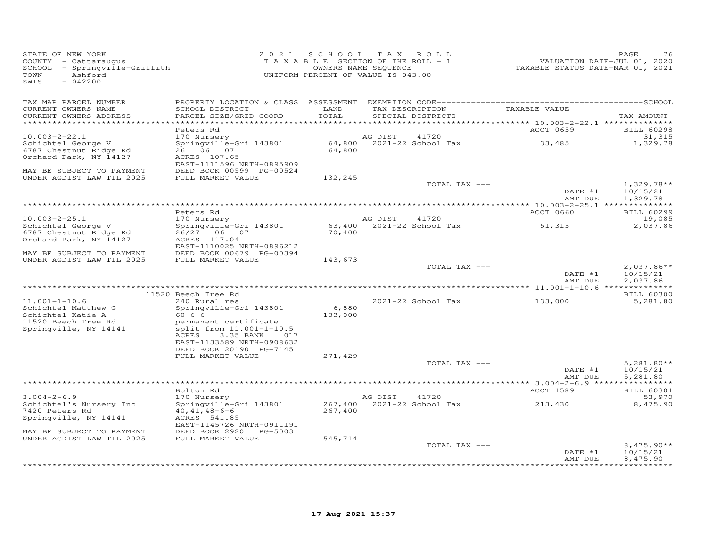| STATE OF NEW YORK<br>COUNTY - Cattaraugus<br>SCHOOL<br>- Springville-Griffith<br>TOWN<br>- Ashford<br>SWIS<br>$-042200$ |                                                                                                                                                                                                   | 2021 SCHOOL TAX<br>TAXABLE SECTION OF THE ROLL - 1<br>OWNERS NAME SEQUENCE<br>UNIFORM PERCENT OF VALUE IS 043.00 |         | ROLL                                 | VALUATION DATE-JUL 01, 2020<br>TAXABLE STATUS DATE-MAR 01, 2021 | PAGE<br>76                                                  |
|-------------------------------------------------------------------------------------------------------------------------|---------------------------------------------------------------------------------------------------------------------------------------------------------------------------------------------------|------------------------------------------------------------------------------------------------------------------|---------|--------------------------------------|-----------------------------------------------------------------|-------------------------------------------------------------|
| TAX MAP PARCEL NUMBER<br>CURRENT OWNERS NAME<br>CURRENT OWNERS ADDRESS<br>**********************                        | SCHOOL DISTRICT<br>PARCEL SIZE/GRID COORD                                                                                                                                                         | LAND<br>TOTAL                                                                                                    |         | TAX DESCRIPTION<br>SPECIAL DISTRICTS | TAXABLE VALUE                                                   | TAX AMOUNT                                                  |
|                                                                                                                         | Peters Rd                                                                                                                                                                                         |                                                                                                                  |         |                                      | ACCT 0659                                                       | <b>BILL 60298</b>                                           |
| $10.003 - 2 - 22.1$<br>Schichtel George V<br>6787 Chestnut Ridge Rd<br>Orchard Park, NY 14127                           | 170 Nursery<br>Springville-Gri 143801<br>26 06 07<br>ACRES 107.65                                                                                                                                 | 64,800                                                                                                           | AG DIST | 41720<br>64,800 2021-22 School Tax   | 33,485                                                          | 31,315<br>1,329.78                                          |
| MAY BE SUBJECT TO PAYMENT<br>UNDER AGDIST LAW TIL 2025                                                                  | EAST-1111596 NRTH-0895909<br>DEED BOOK 00599 PG-00524<br>FULL MARKET VALUE                                                                                                                        | 132,245                                                                                                          |         |                                      |                                                                 |                                                             |
|                                                                                                                         |                                                                                                                                                                                                   |                                                                                                                  |         | TOTAL TAX ---                        | DATE #1<br>AMT DUE                                              | $1,329.78**$<br>10/15/21<br>1,329.78                        |
|                                                                                                                         |                                                                                                                                                                                                   |                                                                                                                  |         |                                      |                                                                 |                                                             |
| $10.003 - 2 - 25.1$                                                                                                     | Peters Rd<br>170 Nursery                                                                                                                                                                          |                                                                                                                  | AG DIST | 41720                                | ACCT 0660                                                       | <b>BILL 60299</b><br>19,085                                 |
| Schichtel George V<br>6787 Chestnut Ridge Rd<br>Orchard Park, NY 14127                                                  | Springville-Gri 143801<br>26/27 06 07<br>ACRES 117.04<br>EAST-1110025 NRTH-0896212                                                                                                                | 70,400                                                                                                           |         | 63,400 2021-22 School Tax            | 51,315                                                          | 2,037.86                                                    |
| MAY BE SUBJECT TO PAYMENT                                                                                               | DEED BOOK 00679 PG-00394                                                                                                                                                                          |                                                                                                                  |         |                                      |                                                                 |                                                             |
| UNDER AGDIST LAW TIL 2025                                                                                               | FULL MARKET VALUE                                                                                                                                                                                 | 143,673                                                                                                          |         | TOTAL TAX ---                        | DATE #1<br>AMT DUE                                              | $2,037.86**$<br>10/15/21<br>2,037.86                        |
|                                                                                                                         | 11520 Beech Tree Rd                                                                                                                                                                               |                                                                                                                  |         |                                      |                                                                 | <b>BILL 60300</b>                                           |
| $11.001 - 1 - 10.6$<br>Schichtel Matthew G<br>Schichtel Katie A<br>11520 Beech Tree Rd<br>Springville, NY 14141         | 240 Rural res<br>Springville-Gri 143801<br>$60 - 6 - 6$<br>permanent certificate<br>split from 11.001-1-10.5<br>3.35 BANK<br>ACRES<br>017<br>EAST-1133589 NRTH-0908632<br>DEED BOOK 20190 PG-7145 | 6,880<br>133,000                                                                                                 |         | 2021-22 School Tax                   | 133,000                                                         | 5,281.80                                                    |
|                                                                                                                         | FULL MARKET VALUE                                                                                                                                                                                 | 271,429                                                                                                          |         |                                      |                                                                 |                                                             |
|                                                                                                                         |                                                                                                                                                                                                   |                                                                                                                  |         | TOTAL TAX ---                        | DATE #1<br>AMT DUE                                              | $5.281.80**$<br>10/15/21<br>5,281.80                        |
|                                                                                                                         | Bolton Rd                                                                                                                                                                                         |                                                                                                                  |         |                                      | ACCT 1589                                                       | <b>BILL 60301</b>                                           |
| $3.004 - 2 - 6.9$<br>Schichtel's Nursery Inc<br>7420 Peters Rd<br>Springville, NY 14141<br>MAY BE SUBJECT TO PAYMENT    | 170 Nursery<br>Springville-Gri 143801<br>$40, 41, 48 - 6 - 6$<br>ACRES 541.85<br>EAST-1145726 NRTH-0911191<br>DEED BOOK 2920 PG-5003                                                              | 267,400                                                                                                          | AG DIST | 41720<br>267,400 2021-22 School Tax  | 213,430                                                         | 53,970<br>8,475.90                                          |
| UNDER AGDIST LAW TIL 2025                                                                                               | FULL MARKET VALUE                                                                                                                                                                                 | 545,714                                                                                                          |         |                                      |                                                                 |                                                             |
|                                                                                                                         |                                                                                                                                                                                                   |                                                                                                                  |         | TOTAL TAX ---                        | DATE #1<br>AMT DUE                                              | $8,475.90**$<br>10/15/21<br>8,475.90<br>* * * * * * * * * * |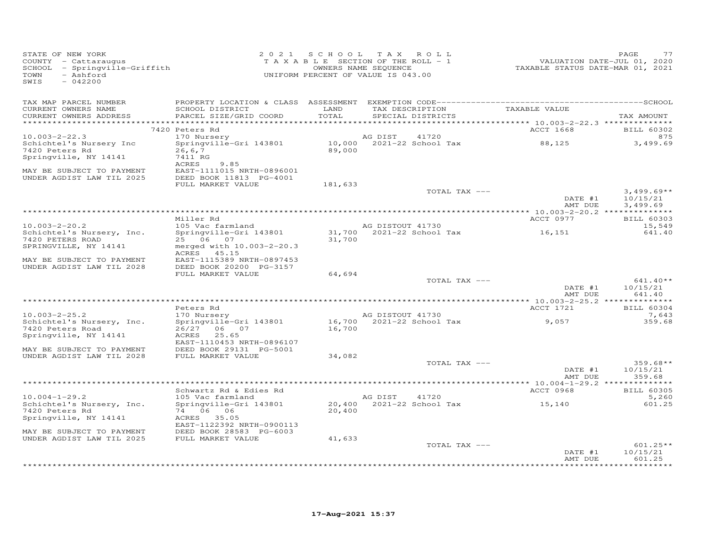| STATE OF NEW YORK<br>COUNTY - Cattaraugus<br>SCHOOL - Springville-Griffith<br>- Ashford<br>TOWN<br>SWIS<br>$-042200$ |                                                                     |               | 2021 SCHOOL TAX ROLL<br>T A X A B L E SECTION OF THE ROLL - 1<br>OWNERS NAME SEQUENCE<br>UNIFORM PERCENT OF VALUE IS 043.00 | <br>VALUATION DATE-JUL 01, 2020<br>TAXABLE STATUS DATE-MAR 01, 2021 | PAGE<br>77                           |
|----------------------------------------------------------------------------------------------------------------------|---------------------------------------------------------------------|---------------|-----------------------------------------------------------------------------------------------------------------------------|---------------------------------------------------------------------|--------------------------------------|
| TAX MAP PARCEL NUMBER<br>CURRENT OWNERS NAME<br>CURRENT OWNERS ADDRESS                                               | SCHOOL DISTRICT<br>PARCEL SIZE/GRID COORD                           | LAND<br>TOTAL | TAX DESCRIPTION TAXABLE VALUE<br>SPECIAL DISTRICTS                                                                          |                                                                     | TAX AMOUNT                           |
|                                                                                                                      | 7420 Peters Rd                                                      |               |                                                                                                                             | ACCT 1668                                                           | <b>BILL 60302</b>                    |
| $10.003 - 2 - 22.3$                                                                                                  | 170 Nursery                                                         |               | 41720<br>AG DIST                                                                                                            |                                                                     | 875                                  |
| Schichtel's Nursery Inc<br>7420 Peters Rd                                                                            | Springville-Gri 143801<br>26, 6, 7                                  |               | 10,000 2021-22 School Tax<br>89,000                                                                                         | 88,125                                                              | 3,499.69                             |
| Springville, NY 14141                                                                                                | 7411 RG<br>ACRES<br>9.85                                            |               |                                                                                                                             |                                                                     |                                      |
| MAY BE SUBJECT TO PAYMENT<br>UNDER AGDIST LAW TIL 2025                                                               | EAST-1111015 NRTH-0896001<br>DEED BOOK 11813 PG-4001                |               |                                                                                                                             |                                                                     |                                      |
|                                                                                                                      | FULL MARKET VALUE                                                   | 181,633       |                                                                                                                             |                                                                     |                                      |
|                                                                                                                      |                                                                     |               | TOTAL TAX ---                                                                                                               | DATE #1<br>AMT DUE                                                  | $3,499.69**$<br>10/15/21<br>3,499.69 |
|                                                                                                                      |                                                                     |               |                                                                                                                             |                                                                     |                                      |
| $10.003 - 2 - 20.2$                                                                                                  | Miller Rd<br>105 Vac farmland                                       |               | AG DISTOUT 41730                                                                                                            | ACCT 0977                                                           | <b>BILL 60303</b><br>15,549          |
| Schichtel's Nursery, Inc.                                                                                            | Springville-Gri 143801                                              |               | $31,700$ $2021-22$ School Tax                                                                                               | 16,151                                                              | 641.40                               |
| 7420 PETERS ROAD                                                                                                     | 25 06 07                                                            | 31,700        |                                                                                                                             |                                                                     |                                      |
| SPRINGVILLE, NY 14141                                                                                                | merged with 10.003-2-20.3<br>ACRES 45.15                            |               |                                                                                                                             |                                                                     |                                      |
| MAY BE SUBJECT TO PAYMENT<br>UNDER AGDIST LAW TIL 2028                                                               | EAST-1115389 NRTH-0897453<br>DEED BOOK 20200 PG-3157                |               |                                                                                                                             |                                                                     |                                      |
|                                                                                                                      | FULL MARKET VALUE                                                   | 64,694        | TOTAL TAX ---                                                                                                               |                                                                     | $641.40**$                           |
|                                                                                                                      |                                                                     |               |                                                                                                                             | DATE #1<br>AMT DUE                                                  | 10/15/21<br>641.40                   |
|                                                                                                                      |                                                                     |               |                                                                                                                             |                                                                     |                                      |
|                                                                                                                      | Peters Rd                                                           |               | AG DISTOUT 41730                                                                                                            | ACCT 1721                                                           | <b>BILL 60304</b>                    |
| $10.003 - 2 - 25.2$<br>Schichtel's Nursery, Inc.                                                                     | 170 Nursery<br>Springville-Gri 143801                               |               | AG DISTOUT 41730<br>16,700 2021-22 School Tax                                                                               | 9,057                                                               | 7,643<br>359.68                      |
| 7420 Peters Road<br>Springville, NY 14141                                                                            | 26/27 06 07<br>25.65<br>ACRES<br>EAST-1110453 NRTH-0896107          | 16,700        |                                                                                                                             |                                                                     |                                      |
| MAY BE SUBJECT TO PAYMENT                                                                                            | DEED BOOK 29131 PG-5001                                             |               |                                                                                                                             |                                                                     |                                      |
| UNDER AGDIST LAW TIL 2028                                                                                            | FULL MARKET VALUE                                                   | 34,082        | TOTAL TAX ---                                                                                                               | DATE #1                                                             | $359.68**$<br>10/15/21               |
|                                                                                                                      |                                                                     |               |                                                                                                                             | AMT DUE                                                             | 359.68                               |
|                                                                                                                      | Schwartz Rd & Edies Rd                                              |               |                                                                                                                             | ACCT 0968                                                           | <b>BILL 60305</b>                    |
| $10.004 - 1 - 29.2$                                                                                                  | 105 Vac farmland                                                    |               | AG DIST<br>41720                                                                                                            |                                                                     | 5,260                                |
| Schichtel's Nursery, Inc.<br>7420 Peters Rd                                                                          | Springville-Gri 143801<br>74 06 06                                  | 20,400        |                                                                                                                             | 15,140                                                              | 601.25                               |
| Springville, NY 14141<br>MAY BE SUBJECT TO PAYMENT                                                                   | ACRES 35.05<br>EAST-1122392 NRTH-0900113<br>DEED BOOK 28583 PG-6003 |               |                                                                                                                             |                                                                     |                                      |
| UNDER AGDIST LAW TIL 2025                                                                                            | FULL MARKET VALUE                                                   | 41,633        |                                                                                                                             |                                                                     |                                      |
|                                                                                                                      |                                                                     |               | TOTAL TAX ---                                                                                                               |                                                                     | $601.25**$                           |
|                                                                                                                      |                                                                     |               |                                                                                                                             | DATE #1<br>AMT DUE                                                  | 10/15/21<br>601.25                   |
|                                                                                                                      |                                                                     |               |                                                                                                                             |                                                                     | بله بله بله بله بله بله بله ب        |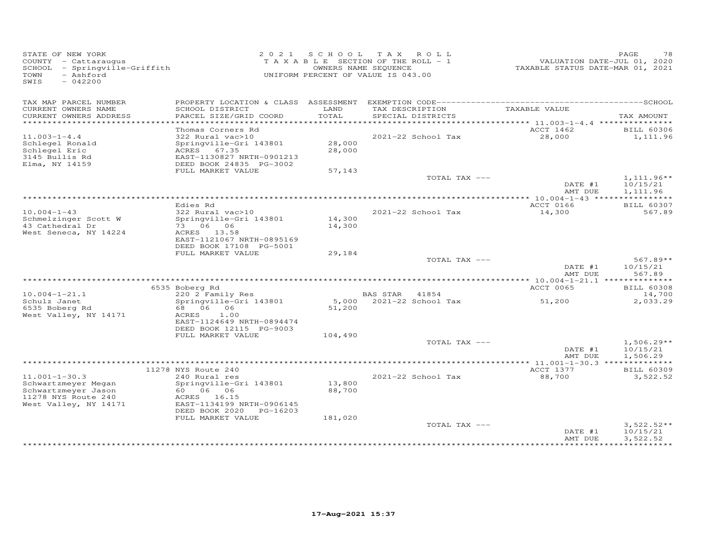| STATE OF NEW YORK<br>COUNTY - Cattaraugus<br>SCHOOL - Springville-Griffith<br>- Ashford<br>TOWN<br>SWIS<br>$-042200$ |                                              | 2021 SCHOOL TAX ROLL<br>T A X A B L E SECTION OF THE ROLL - 1<br>UNIFORM PERCENT OF VALUE IS 043.00 | OWNERS NAME SEQUENCE |                          | VALUATION DATE-JUL 01, 2020<br>TAXABLE STATUS DATE-MAR 01, 2021 | PAGE<br>78         |
|----------------------------------------------------------------------------------------------------------------------|----------------------------------------------|-----------------------------------------------------------------------------------------------------|----------------------|--------------------------|-----------------------------------------------------------------|--------------------|
| TAX MAP PARCEL NUMBER<br>CURRENT OWNERS NAME                                                                         | SCHOOL DISTRICT                              | LAND                                                                                                |                      | TAX DESCRIPTION          | TAXABLE VALUE                                                   |                    |
| CURRENT OWNERS ADDRESS<br>*********************                                                                      | PARCEL SIZE/GRID COORD                       | TOTAL                                                                                               |                      | SPECIAL DISTRICTS        |                                                                 | TAX AMOUNT         |
|                                                                                                                      | Thomas Corners Rd                            |                                                                                                     |                      |                          | ACCT 1462                                                       | <b>BILL 60306</b>  |
| $11.003 - 1 - 4.4$                                                                                                   | 322 Rural vac>10                             |                                                                                                     |                      | 2021-22 School Tax       | 28,000                                                          | 1,111.96           |
| Schlegel Ronald                                                                                                      | Springville-Gri 143801                       | 28,000                                                                                              |                      |                          |                                                                 |                    |
| Schlegel Eric                                                                                                        | ACRES 67.35                                  | 28,000                                                                                              |                      |                          |                                                                 |                    |
| 3145 Bullis Rd                                                                                                       | EAST-1130827 NRTH-0901213                    |                                                                                                     |                      |                          |                                                                 |                    |
| Elma, NY 14159                                                                                                       | DEED BOOK 24835 PG-3002<br>FULL MARKET VALUE | 57,143                                                                                              |                      |                          |                                                                 |                    |
|                                                                                                                      |                                              |                                                                                                     |                      | TOTAL TAX ---            |                                                                 | $1,111.96**$       |
|                                                                                                                      |                                              |                                                                                                     |                      |                          | DATE #1                                                         | 10/15/21           |
|                                                                                                                      |                                              |                                                                                                     |                      |                          | AMT DUE                                                         | 1,111.96           |
|                                                                                                                      |                                              |                                                                                                     |                      |                          |                                                                 |                    |
|                                                                                                                      | Edies Rd                                     |                                                                                                     |                      |                          | ACCT 0166                                                       | <b>BILL 60307</b>  |
| $10.004 - 1 - 43$<br>Schmelzinger Scott W                                                                            | 322 Rural vac>10<br>Springville-Gri 143801   | 14,300                                                                                              |                      | 2021-22 School Tax       | 14,300                                                          | 567.89             |
| 43 Cathedral Dr                                                                                                      | 73 06 06                                     | 14,300                                                                                              |                      |                          |                                                                 |                    |
| West Seneca, NY 14224                                                                                                | ACRES 13.58                                  |                                                                                                     |                      |                          |                                                                 |                    |
|                                                                                                                      | EAST-1121067 NRTH-0895169                    |                                                                                                     |                      |                          |                                                                 |                    |
|                                                                                                                      | DEED BOOK 17108 PG-5001                      |                                                                                                     |                      |                          |                                                                 |                    |
|                                                                                                                      | FULL MARKET VALUE                            | 29,184                                                                                              |                      |                          |                                                                 |                    |
|                                                                                                                      |                                              |                                                                                                     |                      | TOTAL TAX ---            | DATE #1                                                         | $567.89**$         |
|                                                                                                                      |                                              |                                                                                                     |                      |                          | AMT DUE                                                         | 10/15/21<br>567.89 |
|                                                                                                                      |                                              |                                                                                                     |                      |                          | *********** 10.004-1-21.1 ***************                       |                    |
|                                                                                                                      | 6535 Boberg Rd                               |                                                                                                     |                      |                          | ACCT 0065                                                       | <b>BILL 60308</b>  |
| $10.004 - 1 - 21.1$                                                                                                  | 220 2 Family Res                             |                                                                                                     | BAS STAR 41854       |                          |                                                                 | 14,700             |
| Schulz Janet                                                                                                         | Springville-Gri 143801                       |                                                                                                     |                      | 5,000 2021-22 School Tax | 51,200                                                          | 2,033.29           |
| 6535 Boberg Rd                                                                                                       | 68 06 06                                     | 51,200                                                                                              |                      |                          |                                                                 |                    |
| West Valley, NY 14171                                                                                                | ACRES<br>1.00<br>EAST-1124649 NRTH-0894474   |                                                                                                     |                      |                          |                                                                 |                    |
|                                                                                                                      | DEED BOOK 12115 PG-9003                      |                                                                                                     |                      |                          |                                                                 |                    |
|                                                                                                                      | FULL MARKET VALUE                            | 104,490                                                                                             |                      |                          |                                                                 |                    |
|                                                                                                                      |                                              |                                                                                                     |                      | TOTAL TAX ---            |                                                                 | $1,506.29**$       |
|                                                                                                                      |                                              |                                                                                                     |                      |                          | DATE #1                                                         | 10/15/21           |
|                                                                                                                      |                                              |                                                                                                     |                      |                          | AMT DUE                                                         | 1,506.29           |
|                                                                                                                      | 11278 NYS Route 240                          |                                                                                                     |                      |                          | ACCT 1377                                                       | <b>BILL 60309</b>  |
| $11.001 - 1 - 30.3$                                                                                                  | 240 Rural res                                |                                                                                                     |                      | 2021-22 School Tax       | 88,700                                                          | 3,522.52           |
| Schwartzmeyer Megan                                                                                                  | Springville-Gri 143801                       | 13,800                                                                                              |                      |                          |                                                                 |                    |
| Schwartzmeyer Jason                                                                                                  |                                              | 88,700                                                                                              |                      |                          |                                                                 |                    |
| 11278 NYS Route 240                                                                                                  | ACRES 16.15                                  |                                                                                                     |                      |                          |                                                                 |                    |
| West Valley, NY 14171                                                                                                | EAST-1134199 NRTH-0906145                    |                                                                                                     |                      |                          |                                                                 |                    |
|                                                                                                                      | DEED BOOK 2020 PG-16203                      |                                                                                                     |                      |                          |                                                                 |                    |
|                                                                                                                      | FULL MARKET VALUE                            | 181,020                                                                                             |                      | TOTAL TAX ---            |                                                                 | $3,522.52**$       |
|                                                                                                                      |                                              |                                                                                                     |                      |                          | DATE #1                                                         | 10/15/21           |
|                                                                                                                      |                                              |                                                                                                     |                      |                          | AMT DUE                                                         | 3,522.52           |
|                                                                                                                      |                                              |                                                                                                     |                      |                          |                                                                 |                    |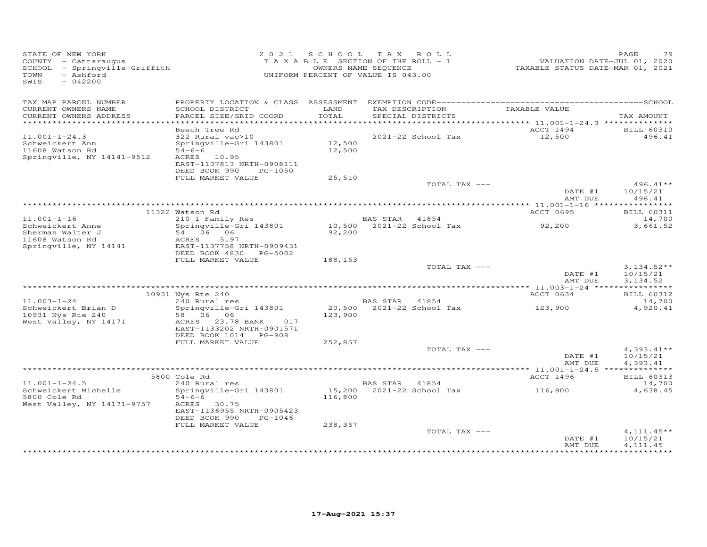| STATE OF NEW YORK<br>COUNTY - Cattaraugus<br>SCHOOL - Springville-Griffith<br>- Ashford<br>TOWN<br>SWIS<br>$-042200$ |                                                                                                                                                     |                  | 2021 SCHOOL TAX ROLL<br>TAXABLE SECTION OF THE ROLL - 1<br>OWNERS NAME SEQUENCE<br>UNIFORM PERCENT OF VALUE IS 043.00 | VALUATION DATE-JUL 01, 2020<br>TAXABLE STATUS DATE-MAR 01, 2021 | PAGE<br>79                            |
|----------------------------------------------------------------------------------------------------------------------|-----------------------------------------------------------------------------------------------------------------------------------------------------|------------------|-----------------------------------------------------------------------------------------------------------------------|-----------------------------------------------------------------|---------------------------------------|
| TAX MAP PARCEL NUMBER<br>CURRENT OWNERS NAME<br>CURRENT OWNERS ADDRESS                                               | SCHOOL DISTRICT<br>PARCEL SIZE/GRID COORD                                                                                                           | LAND<br>TOTAL    | TAX DESCRIPTION<br>SPECIAL DISTRICTS                                                                                  | TAXABLE VALUE                                                   | TAX AMOUNT                            |
|                                                                                                                      |                                                                                                                                                     |                  |                                                                                                                       |                                                                 |                                       |
| $11.001 - 1 - 24.3$<br>Schweickert Ann<br>11608 Watson Rd<br>Springville, NY 14141-9512                              | Beech Tree Rd<br>322 Rural vac>10<br>Springville-Gri 143801<br>$54 - 6 - 6$<br>ACRES 10.95<br>EAST-1137813 NRTH-0908111<br>DEED BOOK 990<br>PG-1050 | 12,500<br>12,500 | 2021-22 School Tax                                                                                                    | ACCT 1494<br>12,500                                             | <b>BILL 60310</b><br>496.41           |
|                                                                                                                      | FULL MARKET VALUE                                                                                                                                   | 25,510           |                                                                                                                       |                                                                 |                                       |
|                                                                                                                      |                                                                                                                                                     |                  | TOTAL TAX ---                                                                                                         | DATE #1<br>AMT DUE                                              | $496.41**$<br>10/15/21<br>496.41      |
|                                                                                                                      |                                                                                                                                                     |                  |                                                                                                                       |                                                                 |                                       |
|                                                                                                                      | 11322 Watson Rd                                                                                                                                     |                  |                                                                                                                       | ACCT 0695                                                       | <b>BILL 60311</b>                     |
| $11.001 - 1 - 16$<br>Schweickert Anne<br>Sherman Walter J<br>11608 Watson Rd                                         | 210 1 Family Res<br>Springville-Gri 143801<br>54 06 06<br>ACRES<br>5.97<br>EAST-1137758 NRTH-0909431                                                | 92,200           | <b>BAS STAR</b><br>41854<br>10,500 2021-22 School Tax                                                                 | 92,200                                                          | 14,700<br>3,661.52                    |
| Springville, NY 14141                                                                                                | DEED BOOK 4830 PG-5002                                                                                                                              |                  |                                                                                                                       |                                                                 |                                       |
|                                                                                                                      | FULL MARKET VALUE                                                                                                                                   | 188,163          |                                                                                                                       |                                                                 |                                       |
|                                                                                                                      |                                                                                                                                                     |                  | TOTAL TAX ---                                                                                                         | DATE #1<br>AMT DUE                                              | $3,134.52**$<br>10/15/21<br>3,134.52  |
|                                                                                                                      | 10931 Nys Rte 240                                                                                                                                   |                  |                                                                                                                       | ACCT 0634                                                       | <b>BILL 60312</b>                     |
| $11.003 - 1 - 24$                                                                                                    | 240 Rural res                                                                                                                                       |                  | BAS STAR 41854                                                                                                        |                                                                 | 14,700                                |
| Schweickert Brian D<br>10931 Nys Rte 240<br>West Valley, NY 14171                                                    | Springville-Gri 143801<br>58 06 06<br>ACRES 23.78 BANK<br>017<br>EAST-1133202 NRTH-0901571<br>DEED BOOK 1014 PG-908                                 | 123,900          | 20,500 2021-22 School Tax                                                                                             | 123,900                                                         | 4,920.41                              |
|                                                                                                                      | FULL MARKET VALUE                                                                                                                                   | 252,857          |                                                                                                                       |                                                                 |                                       |
|                                                                                                                      |                                                                                                                                                     |                  | TOTAL TAX ---                                                                                                         | DATE #1<br>AMT DUE                                              | $4,393.41**$<br>10/15/21<br>4,393.41  |
|                                                                                                                      |                                                                                                                                                     |                  |                                                                                                                       |                                                                 |                                       |
| $11.001 - 1 - 24.5$                                                                                                  | 5800 Cole Rd<br>240 Rural res                                                                                                                       |                  | BAS STAR 41854                                                                                                        | ACCT 1496                                                       | <b>BILL 60313</b><br>14,700           |
| Schweickert Michelle<br>5800 Cole Rd<br>West Valley, NY 14171-9757                                                   | Springville-Gri 143801<br>$54 - 6 - 6$<br>ACRES 30.75<br>EAST-1136955 NRTH-0905423<br>DEED BOOK 990<br>PG-1046                                      | 116,800          | 15,200 2021-22 School Tax                                                                                             | 116,800                                                         | 4,638.45                              |
|                                                                                                                      | FULL MARKET VALUE                                                                                                                                   | 238,367          |                                                                                                                       |                                                                 |                                       |
|                                                                                                                      |                                                                                                                                                     |                  | TOTAL TAX ---                                                                                                         | DATE #1<br>AMT DUE                                              | $4,111.45**$<br>10/15/21<br>4, 111.45 |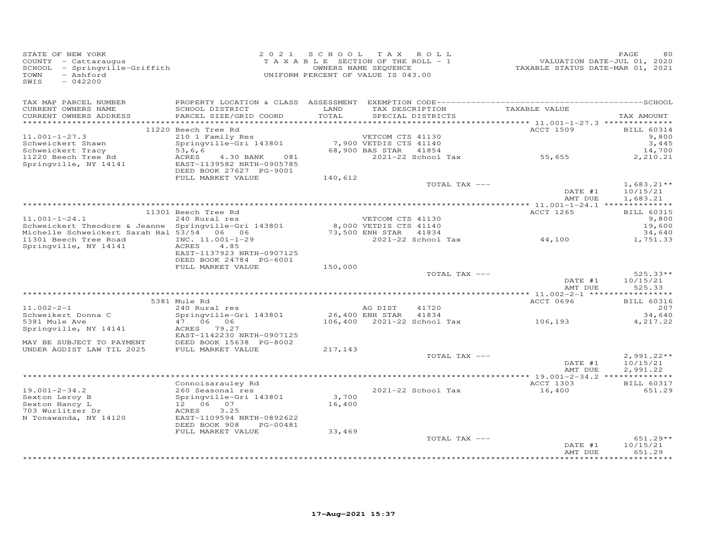| STATE OF NEW YORK<br>COUNTY - Cattaraugus<br>SCHOOL - Springville-Griffith<br>- Ashford<br>TOWN<br>$-042200$<br>SWIS |                                                                                   |               | 2021 SCHOOL TAX ROLL<br>T A X A B L E SECTION OF THE ROLL - 1<br>OWNERS NAME SEQUENCE<br>UNIFORM PERCENT OF VALUE IS 043.00 | VALUATION DATE-JUL 01, 2020<br>TAXABLE STATUS DATE-MAR 01, 2021 | PAGE<br>80               |
|----------------------------------------------------------------------------------------------------------------------|-----------------------------------------------------------------------------------|---------------|-----------------------------------------------------------------------------------------------------------------------------|-----------------------------------------------------------------|--------------------------|
| TAX MAP PARCEL NUMBER<br>CURRENT OWNERS NAME<br>CURRENT OWNERS ADDRESS                                               | SCHOOL DISTRICT<br>PARCEL SIZE/GRID COORD                                         | LAND<br>TOTAL | TAX DESCRIPTION<br>SPECIAL DISTRICTS                                                                                        | TAXABLE VALUE                                                   | TAX AMOUNT               |
|                                                                                                                      |                                                                                   |               |                                                                                                                             |                                                                 |                          |
|                                                                                                                      | 11220 Beech Tree Rd                                                               |               |                                                                                                                             | <b>ACCT 1509</b>                                                | <b>BILL 60314</b>        |
| $11.001 - 1 - 27.3$                                                                                                  | 210 1 Family Res                                                                  |               | VETCOM CTS 41130                                                                                                            |                                                                 | 9,800                    |
| Schweickert Shawn                                                                                                    | Springville-Gri 143801                                                            |               | 7,900 VETDIS CTS 41140                                                                                                      |                                                                 | 3,445                    |
| Schweickert Tracy                                                                                                    | 53, 6, 6                                                                          |               | 68,900 BAS STAR 41854<br>$2021-22$ School Tax $55,655$                                                                      |                                                                 | 14,700                   |
| 11220 Beech Tree Rd<br>Springville, NY 14141                                                                         | ACRES<br>4.30 BANK<br>081<br>EAST-1139582 NRTH-0905785<br>DEED BOOK 27627 PG-9001 |               |                                                                                                                             |                                                                 | 2,210.21                 |
|                                                                                                                      | FULL MARKET VALUE                                                                 | 140,612       |                                                                                                                             |                                                                 |                          |
|                                                                                                                      |                                                                                   |               | TOTAL TAX ---                                                                                                               | DATE #1                                                         | $1,683.21**$<br>10/15/21 |
|                                                                                                                      |                                                                                   |               |                                                                                                                             | AMT DUE                                                         | 1,683.21                 |
|                                                                                                                      |                                                                                   |               |                                                                                                                             |                                                                 |                          |
|                                                                                                                      | 11301 Beech Tree Rd                                                               |               |                                                                                                                             | ACCT 1265                                                       | <b>BILL 60315</b>        |
| $11.001 - 1 - 24.1$                                                                                                  | 240 Rural res                                                                     |               | VETCOM CTS 41130                                                                                                            |                                                                 | 9,800                    |
| Schweickert Theodore & Jeanne Springville-Gri 143801                                                                 |                                                                                   |               | 8,000 VETDIS CTS 41140<br>73,500 ENH STAR 41834<br>2021-22 School                                                           |                                                                 | 19,600                   |
| Michelle Schweickert Sarah Hal 53/54 06 06<br>11301 Beech Tree Road                                                  | INC. 11.001-1-29                                                                  |               | 2021-22 School Tax                                                                                                          | 44,100                                                          | 34,640<br>1,751.33       |
| Springville, NY 14141                                                                                                | 4.85<br>ACRES<br>EAST-1137923 NRTH-0907125<br>DEED BOOK 24784 PG-6001             |               |                                                                                                                             |                                                                 |                          |
|                                                                                                                      | FULL MARKET VALUE                                                                 | 150,000       |                                                                                                                             |                                                                 |                          |
|                                                                                                                      |                                                                                   |               | TOTAL TAX ---                                                                                                               | DATE #1                                                         | $525.33**$<br>10/15/21   |
|                                                                                                                      |                                                                                   |               |                                                                                                                             | AMT DUE                                                         | 525.33                   |
|                                                                                                                      | 5381 Mule Rd                                                                      |               |                                                                                                                             | ACCT 0696                                                       | <b>BILL 60316</b>        |
| $11.002 - 2 - 1$                                                                                                     | 240 Rural res                                                                     |               | AG DIST<br>41720                                                                                                            |                                                                 | 207                      |
| Schweikert Donna C                                                                                                   | Springville-Gri 143801                                                            |               | 26,400 ENH STAR<br>41834                                                                                                    |                                                                 | 34,640                   |
| 5381 Mule Ave                                                                                                        | 47 06 06                                                                          |               | 106,400 2021-22 School Tax                                                                                                  | 106,193                                                         | 4,217.22                 |
| Springville, NY 14141                                                                                                | ACRES 79.27<br>EAST-1142230 NRTH-0907125                                          |               |                                                                                                                             |                                                                 |                          |
| MAY BE SUBJECT TO PAYMENT<br>UNDER AGDIST LAW TIL 2025                                                               | DEED BOOK 15638 PG-8002<br>FULL MARKET VALUE                                      |               |                                                                                                                             |                                                                 |                          |
|                                                                                                                      |                                                                                   | 217,143       | TOTAL TAX ---                                                                                                               |                                                                 | $2,991.22**$             |
|                                                                                                                      |                                                                                   |               |                                                                                                                             | DATE #1<br>AMT DUE                                              | 10/15/21<br>2,991.22     |
|                                                                                                                      |                                                                                   |               |                                                                                                                             |                                                                 |                          |
|                                                                                                                      | Connoisarauley Rd                                                                 |               |                                                                                                                             | ACCT 1303                                                       | <b>BILL 60317</b>        |
| $19.001 - 2 - 34.2$<br>Sexton Leroy B                                                                                | 260 Seasonal res<br>Springville-Gri 143801                                        | 3,700         | 2021-22 School Tax                                                                                                          | 16,400                                                          | 651.29                   |
| Sexton Nancy L                                                                                                       | 12  06  07                                                                        | 16,400        |                                                                                                                             |                                                                 |                          |
| 703 Wurlitzer Dr                                                                                                     | ACRES<br>3.25                                                                     |               |                                                                                                                             |                                                                 |                          |
| N Tonawanda, NY 14120                                                                                                | EAST-1109594 NRTH-0892622<br>DEED BOOK 908<br>PG-00481                            |               |                                                                                                                             |                                                                 |                          |
|                                                                                                                      | FULL MARKET VALUE                                                                 | 33,469        |                                                                                                                             |                                                                 |                          |
|                                                                                                                      |                                                                                   |               | TOTAL TAX ---                                                                                                               | DATE #1                                                         | 651.29**<br>10/15/21     |
|                                                                                                                      |                                                                                   |               |                                                                                                                             | AMT DUE                                                         | 651.29                   |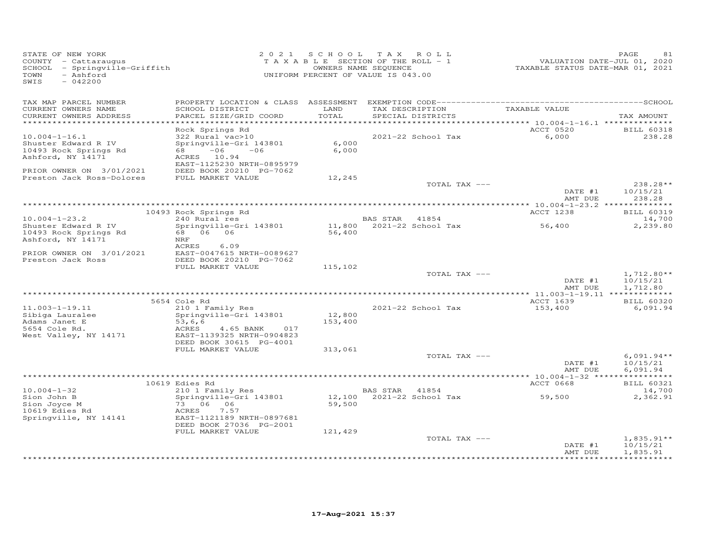| STATE OF NEW YORK<br>COUNTY - Cattaraugus<br>- Springville-Griffith<br>SCHOOL<br>TOWN<br>- Ashford<br>$-042200$<br>SWIS | 2 0 2 1                                                                                                                                                        | S C H O O L       | T A X<br>ROLL<br>TAXABLE SECTION OF THE ROLL - 1<br>OWNERS NAME SEQUENCE<br>UNIFORM PERCENT OF VALUE IS 043.00 | VALUATION DATE-JUL 01, 2020<br>TAXABLE STATUS DATE-MAR 01, 2021 | PAGE<br>81                           |
|-------------------------------------------------------------------------------------------------------------------------|----------------------------------------------------------------------------------------------------------------------------------------------------------------|-------------------|----------------------------------------------------------------------------------------------------------------|-----------------------------------------------------------------|--------------------------------------|
| TAX MAP PARCEL NUMBER<br>CURRENT OWNERS NAME<br>CURRENT OWNERS ADDRESS                                                  | SCHOOL DISTRICT<br>PARCEL SIZE/GRID COORD                                                                                                                      | LAND<br>TOTAL     | TAX DESCRIPTION<br>SPECIAL DISTRICTS                                                                           | TAXABLE VALUE                                                   | TAX AMOUNT                           |
| ************************                                                                                                |                                                                                                                                                                |                   |                                                                                                                |                                                                 |                                      |
| $10.004 - 1 - 16.1$<br>Shuster Edward R IV<br>10493 Rock Springs Rd<br>Ashford, NY 14171<br>PRIOR OWNER ON 3/01/2021    | Rock Springs Rd<br>322 Rural vac>10<br>Springville-Gri 143801<br>68 —<br>$-06$<br>$-06$<br>ACRES 10.94<br>EAST-1125230 NRTH-0895979<br>DEED BOOK 20210 PG-7062 | 6,000<br>6,000    | 2021-22 School Tax                                                                                             | ACCT 0520<br>6,000                                              | <b>BILL 60318</b><br>238.28          |
| Preston Jack Ross-Dolores                                                                                               | FULL MARKET VALUE                                                                                                                                              | 12,245            |                                                                                                                |                                                                 |                                      |
|                                                                                                                         |                                                                                                                                                                |                   | TOTAL TAX ---                                                                                                  | DATE #1<br>AMT DUE                                              | 238.28**<br>10/15/21<br>238.28       |
|                                                                                                                         |                                                                                                                                                                |                   |                                                                                                                |                                                                 |                                      |
| $10.004 - 1 - 23.2$                                                                                                     | 10493 Rock Springs Rd<br>240 Rural res                                                                                                                         |                   | BAS STAR 41854                                                                                                 | ACCT 1238                                                       | <b>BILL 60319</b><br>14,700          |
| Shuster Edward R IV                                                                                                     | Springville-Gri 143801                                                                                                                                         | 11,800            | $2021 - 22$ School Tax                                                                                         | 56,400                                                          | 2,239.80                             |
| 10493 Rock Springs Rd<br>Ashford, NY 14171                                                                              | 68 06 06<br>NRF                                                                                                                                                | 56,400            |                                                                                                                |                                                                 |                                      |
| PRIOR OWNER ON 3/01/2021<br>Preston Jack Ross                                                                           | ACRES<br>6.09<br>EAST-0047615 NRTH-0089627<br>DEED BOOK 20210 PG-7062                                                                                          |                   |                                                                                                                |                                                                 |                                      |
|                                                                                                                         | FULL MARKET VALUE                                                                                                                                              | 115,102           | TOTAL TAX ---                                                                                                  | DATE #1                                                         | $1,712.80**$<br>10/15/21             |
|                                                                                                                         |                                                                                                                                                                |                   |                                                                                                                | AMT DUE                                                         | 1,712.80                             |
|                                                                                                                         |                                                                                                                                                                |                   |                                                                                                                | ******* 11.003-1-19.11 *************<br>ACCT 1639               |                                      |
| $11.003 - 1 - 19.11$                                                                                                    | 5654 Cole Rd<br>210 1 Family Res                                                                                                                               |                   | 2021-22 School Tax                                                                                             | 153,400                                                         | <b>BILL 60320</b><br>6,091.94        |
| Sibiga Lauralee<br>Adams Janet E                                                                                        | Springville-Gri 143801<br>53, 6, 6                                                                                                                             | 12,800<br>153,400 |                                                                                                                |                                                                 |                                      |
| 5654 Cole Rd.<br>West Valley, NY 14171                                                                                  | ACRES<br>4.65 BANK<br>017<br>EAST-1139325 NRTH-0904823<br>DEED BOOK 30615 PG-4001                                                                              |                   |                                                                                                                |                                                                 |                                      |
|                                                                                                                         | FULL MARKET VALUE                                                                                                                                              | 313,061           |                                                                                                                |                                                                 |                                      |
|                                                                                                                         |                                                                                                                                                                |                   | TOTAL TAX ---                                                                                                  | DATE #1<br>AMT DUE                                              | $6,091.94**$<br>10/15/21<br>6,091.94 |
|                                                                                                                         |                                                                                                                                                                |                   |                                                                                                                | *********** 10.004-1-32 ****                                    | * * * * * * * * * * * *              |
| $10.004 - 1 - 32$                                                                                                       | 10619 Edies Rd                                                                                                                                                 |                   | BAS STAR<br>41854                                                                                              | <b>ACCT 0668</b>                                                | <b>BILL 60321</b><br>14,700          |
| Sion John B<br>Sion Joyce M                                                                                             | 210 1 Family Res<br>Springville-Gri 143801<br>73 06 06                                                                                                         | 12,100<br>59,500  | 2021-22 School Tax                                                                                             | 59,500                                                          | 2,362.91                             |
| 10619 Edies Rd<br>Springville, NY 14141                                                                                 | ACRES<br>7.57<br>EAST-1121189 NRTH-0897681                                                                                                                     |                   |                                                                                                                |                                                                 |                                      |
|                                                                                                                         | DEED BOOK 27036 PG-2001<br>FULL MARKET VALUE                                                                                                                   | 121,429           |                                                                                                                |                                                                 |                                      |
|                                                                                                                         |                                                                                                                                                                |                   | TOTAL TAX ---                                                                                                  | DATE #1                                                         | $1,835.91**$<br>10/15/21             |
|                                                                                                                         |                                                                                                                                                                |                   |                                                                                                                | AMT DUE<br>***************                                      | 1,835.91<br>***********              |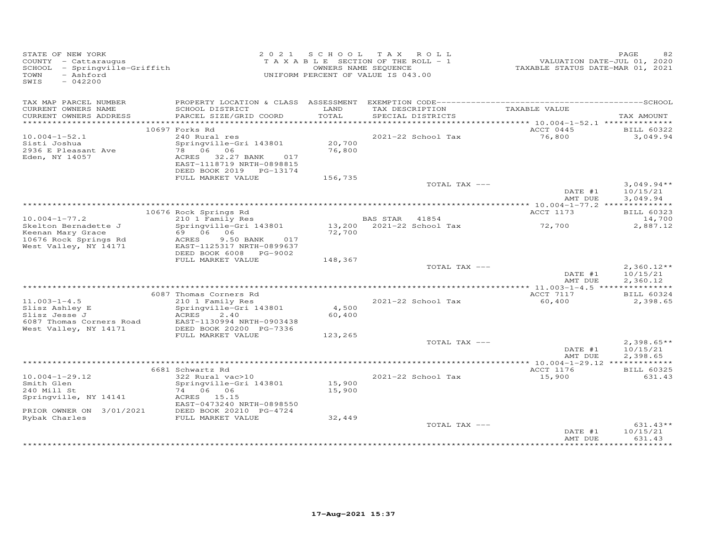| STATE OF NEW YORK<br>COUNTY - Cattaraugus<br>SCHOOL - Springville-Griffith<br>- Ashford<br>TOWN<br>SWIS<br>$-042200$ |                                                                                                                                                       |                  | 2021 SCHOOL TAX ROLL<br>TAXABLE SECTION OF THE ROLL - 1<br>OWNERS NAME SEQUENCE<br>UNIFORM PERCENT OF VALUE IS 043.00 | VALUATION DATE-JUL 01, 2020<br>TAXABLE STATUS DATE-MAR 01, 2021 | PAGE                                 |
|----------------------------------------------------------------------------------------------------------------------|-------------------------------------------------------------------------------------------------------------------------------------------------------|------------------|-----------------------------------------------------------------------------------------------------------------------|-----------------------------------------------------------------|--------------------------------------|
| TAX MAP PARCEL NUMBER                                                                                                |                                                                                                                                                       |                  |                                                                                                                       |                                                                 |                                      |
| CURRENT OWNERS NAME<br>CURRENT OWNERS ADDRESS                                                                        | SCHOOL DISTRICT<br>PARCEL SIZE/GRID COORD                                                                                                             | LAND<br>TOTAL    | TAX DESCRIPTION<br>SPECIAL DISTRICTS                                                                                  | TAXABLE VALUE                                                   | TAX AMOUNT                           |
|                                                                                                                      |                                                                                                                                                       |                  |                                                                                                                       | ACCT 0445                                                       |                                      |
| $10.004 - 1 - 52.1$<br>Sisti Joshua<br>2936 E Pleasant Ave<br>Eden, NY 14057                                         | 10697 Forks Rd<br>240 Rural res<br>Springville-Gri 143801<br>78 06 06<br>ACRES 32.27 BANK 017<br>EAST-1118719 NRTH-0898815<br>DEED BOOK 2019 PG-13174 | 20,700<br>76,800 | 2021-22 School Tax                                                                                                    | 76,800                                                          | <b>BILL 60322</b><br>3,049.94        |
|                                                                                                                      | FULL MARKET VALUE                                                                                                                                     | 156,735          |                                                                                                                       |                                                                 |                                      |
|                                                                                                                      |                                                                                                                                                       |                  | TOTAL TAX ---                                                                                                         | DATE #1                                                         | $3,049.94**$<br>10/15/21             |
|                                                                                                                      |                                                                                                                                                       |                  |                                                                                                                       | AMT DUE                                                         | 3,049.94                             |
|                                                                                                                      | 10676 Rock Springs Rd                                                                                                                                 |                  |                                                                                                                       | ACCT 1173                                                       | <b>BILL 60323</b>                    |
| $10.004 - 1 - 77.2$                                                                                                  | 210 1 Family Res                                                                                                                                      |                  | BAS STAR 41854                                                                                                        |                                                                 | 14,700                               |
| Skelton Bernadette J<br>Keenan Mary Grace<br>10676 Rock Springs Rd<br>West Valley, NY 14171                          | Springville-Gri 143801<br>69 06 06<br>ACRES<br>9.50 BANK<br>017<br>EAST-1125317 NRTH-0899637<br>DEED BOOK 6008 PG-9002                                | 72,700           | 13,200 2021-22 School Tax                                                                                             | 72,700                                                          | 2,887.12                             |
|                                                                                                                      | FULL MARKET VALUE                                                                                                                                     | 148,367          |                                                                                                                       |                                                                 |                                      |
|                                                                                                                      |                                                                                                                                                       |                  | TOTAL TAX ---                                                                                                         | DATE #1<br>AMT DUE                                              | $2,360.12**$<br>10/15/21<br>2,360.12 |
|                                                                                                                      |                                                                                                                                                       |                  |                                                                                                                       |                                                                 |                                      |
| $11.003 - 1 - 4.5$                                                                                                   | 6087 Thomas Corners Rd<br>210 1 Family Res                                                                                                            |                  | 2021-22 School Tax                                                                                                    | ACCT 7117<br>60,400                                             | <b>BILL 60324</b><br>2,398.65        |
| Slisz Ashley E<br>Slisz Jesse J<br>6087 Thomas Corners Road                                                          | Springville-Gri 143801<br>ACRES<br>2,40<br>EAST-1130994 NRTH-0903438                                                                                  | 4,500<br>60,400  |                                                                                                                       |                                                                 |                                      |
| West Valley, NY 14171                                                                                                | DEED BOOK 20200 PG-7336<br>FULL MARKET VALUE                                                                                                          | 123,265          |                                                                                                                       |                                                                 |                                      |
|                                                                                                                      |                                                                                                                                                       |                  | TOTAL TAX ---                                                                                                         | DATE #1<br>AMT DUE                                              | $2,398.65**$<br>10/15/21<br>2,398.65 |
|                                                                                                                      |                                                                                                                                                       |                  |                                                                                                                       |                                                                 |                                      |
| $10.004 - 1 - 29.12$<br>Smith Glen<br>240 Mill St<br>Springville, NY 14141<br>PRIOR OWNER ON 3/01/2021               | 6681 Schwartz Rd<br>322 Rural vac>10<br>Springville-Gri 143801<br>74 06 06<br>ACRES 15.15<br>EAST-0473240 NRTH-0898550<br>DEED BOOK 20210 PG-4724     | 15,900<br>15,900 | 2021-22 School Tax                                                                                                    | ACCT 1176<br>15,900                                             | <b>BILL 60325</b><br>631.43          |
| Rybak Charles                                                                                                        | FULL MARKET VALUE                                                                                                                                     | 32,449           | TOTAL TAX ---                                                                                                         |                                                                 | 631.43**                             |
|                                                                                                                      |                                                                                                                                                       |                  |                                                                                                                       | DATE #1<br>AMT DUE                                              | 10/15/21<br>631.43                   |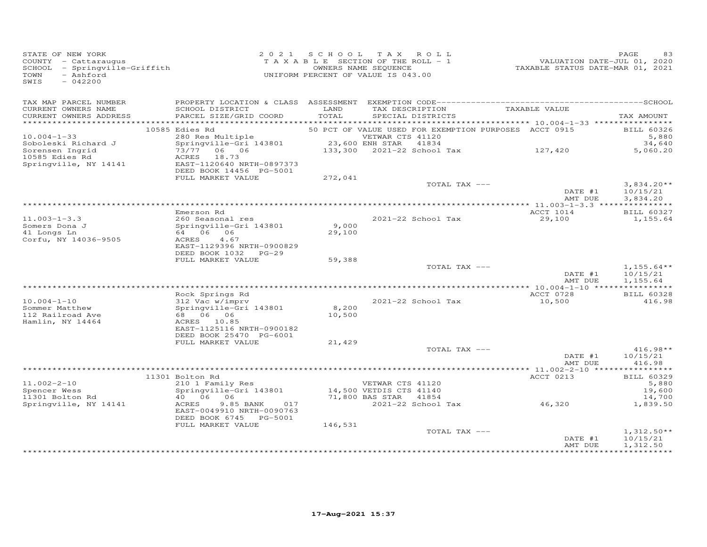| STATE OF NEW YORK<br>COUNTY - Cattaraugus<br>SCHOOL - Springville-Griffith<br>TOWN<br>- Ashford<br>SWIS<br>$-042200$ |                                                                  |               | 2021 SCHOOL TAX ROLL<br>TAXABLE SECTION OF THE ROLL - 1<br>OWNERS NAME SEQUENCE<br>UNIFORM PERCENT OF VALUE IS 043.00 | VALUATION DATE-JUL 01, 2020<br>TAXABLE STATUS DATE-MAR 01, 2021 | PAGE<br>83               |
|----------------------------------------------------------------------------------------------------------------------|------------------------------------------------------------------|---------------|-----------------------------------------------------------------------------------------------------------------------|-----------------------------------------------------------------|--------------------------|
| TAX MAP PARCEL NUMBER<br>CURRENT OWNERS NAME<br>CURRENT OWNERS ADDRESS                                               | SCHOOL DISTRICT<br>PARCEL SIZE/GRID COORD                        | LAND<br>TOTAL | TAX DESCRIPTION<br>SPECIAL DISTRICTS                                                                                  | TAXABLE VALUE                                                   | TAX AMOUNT               |
|                                                                                                                      | 10585 Edies Rd                                                   |               | 50 PCT OF VALUE USED FOR EXEMPTION PURPOSES ACCT 0915                                                                 |                                                                 | <b>BILL 60326</b>        |
| $10.004 - 1 - 33$                                                                                                    |                                                                  |               |                                                                                                                       |                                                                 | 5,880                    |
| Soboleski Richard J                                                                                                  | 280 Res Multiple<br>Springville-Gri 143801 23,600 ENH STAR 41834 |               |                                                                                                                       |                                                                 | 34,640                   |
| Sorensen Ingrid                                                                                                      | 73/77 06 06                                                      |               | $133,300$ 2021-22 School Tax $127,420$                                                                                |                                                                 | 5,060.20                 |
| 10585 Edies Rd                                                                                                       | ACRES 18.73                                                      |               |                                                                                                                       |                                                                 |                          |
| Springville, NY 14141                                                                                                | EAST-1120640 NRTH-0897373                                        |               |                                                                                                                       |                                                                 |                          |
|                                                                                                                      | DEED BOOK 14456 PG-5001<br>FULL MARKET VALUE                     | 272,041       |                                                                                                                       |                                                                 |                          |
|                                                                                                                      |                                                                  |               | TOTAL TAX ---                                                                                                         |                                                                 | $3,834.20**$             |
|                                                                                                                      |                                                                  |               |                                                                                                                       | DATE #1                                                         | 10/15/21                 |
|                                                                                                                      |                                                                  |               |                                                                                                                       | AMT DUE                                                         | 3,834.20                 |
|                                                                                                                      |                                                                  |               |                                                                                                                       |                                                                 |                          |
|                                                                                                                      | Emerson Rd                                                       |               |                                                                                                                       | ACCT 1014                                                       | BILL 60327               |
| $11.003 - 1 - 3.3$<br>Somers Dona J                                                                                  | 260 Seasonal res<br>Springville-Gri 143801                       | 9,000         | 2021-22 School Tax                                                                                                    | 29,100                                                          | 1,155.64                 |
| 41 Longs Ln                                                                                                          | 64 06 06                                                         | 29,100        |                                                                                                                       |                                                                 |                          |
| Corfu, NY 14036-9505                                                                                                 | ACRES<br>4.67                                                    |               |                                                                                                                       |                                                                 |                          |
|                                                                                                                      | EAST-1129396 NRTH-0900829                                        |               |                                                                                                                       |                                                                 |                          |
|                                                                                                                      | DEED BOOK 1032 PG-29                                             |               |                                                                                                                       |                                                                 |                          |
|                                                                                                                      | FULL MARKET VALUE                                                | 59,388        |                                                                                                                       |                                                                 |                          |
|                                                                                                                      |                                                                  |               | TOTAL TAX ---                                                                                                         | DATE #1                                                         | $1,155.64**$<br>10/15/21 |
|                                                                                                                      |                                                                  |               |                                                                                                                       | AMT DUE                                                         | 1,155.64                 |
|                                                                                                                      |                                                                  |               |                                                                                                                       |                                                                 |                          |
|                                                                                                                      | Rock Springs Rd                                                  |               |                                                                                                                       | ACCT 0728                                                       | <b>BILL 60328</b>        |
| $10.004 - 1 - 10$                                                                                                    | коск Springs Rd<br>312 Vac w/imprv                               |               | 2021-22 School Tax                                                                                                    | 10,500                                                          | 416.98                   |
| Sommer Matthew                                                                                                       | Springville-Gri 143801                                           | 8,200         |                                                                                                                       |                                                                 |                          |
| 112 Railroad Ave<br>Hamlin, NY 14464                                                                                 | 68        06        06<br>ACRES 10.85                            | 10,500        |                                                                                                                       |                                                                 |                          |
|                                                                                                                      | EAST-1125116 NRTH-0900182                                        |               |                                                                                                                       |                                                                 |                          |
|                                                                                                                      | DEED BOOK 25470 PG-6001                                          |               |                                                                                                                       |                                                                 |                          |
|                                                                                                                      | FULL MARKET VALUE                                                | 21,429        |                                                                                                                       |                                                                 |                          |
|                                                                                                                      |                                                                  |               | TOTAL TAX ---                                                                                                         |                                                                 | $416.98**$               |
|                                                                                                                      |                                                                  |               |                                                                                                                       | DATE #1                                                         | 10/15/21                 |
|                                                                                                                      |                                                                  |               |                                                                                                                       | AMT DUE                                                         | 416.98                   |
|                                                                                                                      | 11301 Bolton Rd                                                  |               |                                                                                                                       | ACCT 0213                                                       | BILL 60329               |
| $11.002 - 2 - 10$                                                                                                    | 210 1 Family Res                                                 |               | VETWAR CTS 41120                                                                                                      |                                                                 | 5,880                    |
| Spencer Wess                                                                                                         | Springville-Gri 143801                                           |               | 14,500 VETDIS CTS 41140                                                                                               |                                                                 | 19,600                   |
| 11301 Bolton Rd                                                                                                      | 40 06 06                                                         |               | 71,800 BAS STAR 41854                                                                                                 |                                                                 | 14,700                   |
| Springville, NY 14141                                                                                                | ACRES<br>9.85 BANK<br>017                                        |               | 2021-22 School Tax                                                                                                    | 46,320                                                          | 1,839.50                 |
|                                                                                                                      | EAST-0049910 NRTH-0090763                                        |               |                                                                                                                       |                                                                 |                          |
|                                                                                                                      | DEED BOOK 6745 PG-5001<br>FULL MARKET VALUE                      | 146,531       |                                                                                                                       |                                                                 |                          |
|                                                                                                                      |                                                                  |               | TOTAL TAX ---                                                                                                         |                                                                 | $1,312.50**$             |
|                                                                                                                      |                                                                  |               |                                                                                                                       | DATE #1                                                         | 10/15/21                 |
|                                                                                                                      |                                                                  |               |                                                                                                                       | AMT DUE                                                         | 1,312.50                 |
|                                                                                                                      |                                                                  |               |                                                                                                                       |                                                                 | ***********              |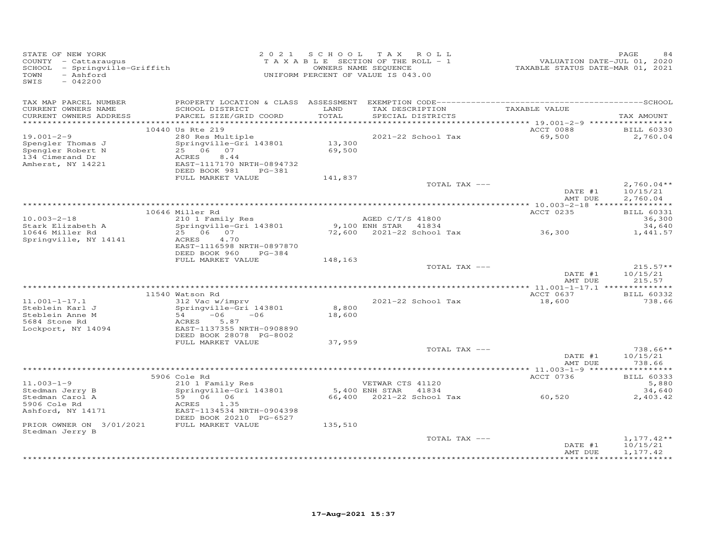| STATE OF NEW YORK<br>COUNTY - Cattaraugus<br>SCHOOL - Springville-Griffith<br>- Ashford<br>TOWN<br>SWIS<br>$-042200$ |                                                                                                              | 2021 SCHOOL      | TAX ROLL<br>TAXABLE SECTION OF THE ROLL - 1<br>OWNERS NAME SEQUENCE<br>UNIFORM PERCENT OF VALUE IS 043.00 | VALUATION DATE-JUL 01, 2020<br>TAXABLE STATUS DATE-MAR 01, 2021 | PAGE                                 |
|----------------------------------------------------------------------------------------------------------------------|--------------------------------------------------------------------------------------------------------------|------------------|-----------------------------------------------------------------------------------------------------------|-----------------------------------------------------------------|--------------------------------------|
| TAX MAP PARCEL NUMBER<br>CURRENT OWNERS NAME<br>CURRENT OWNERS ADDRESS                                               | SCHOOL DISTRICT<br>PARCEL SIZE/GRID COORD                                                                    | LAND<br>TOTAL    | TAX DESCRIPTION TAXABLE VALUE<br>SPECIAL DISTRICTS                                                        |                                                                 | TAX AMOUNT                           |
|                                                                                                                      | 10440 Us Rte 219                                                                                             |                  |                                                                                                           | ACCT 0088                                                       | <b>BILL 60330</b>                    |
| $19.001 - 2 - 9$<br>Spengler Thomas J<br>Spengler Robert N<br>134 Cimerand Dr<br>Amherst, NY 14221                   | 280 Res Multiple<br>Springville-Gri 143801<br>$2\bar{5}$ 06 07<br>8.44<br>ACRES<br>EAST-1117170 NRTH-0894732 | 13,300<br>69,500 | 2021-22 School Tax                                                                                        | 69,500                                                          | 2,760.04                             |
|                                                                                                                      | DEED BOOK 981 PG-381                                                                                         |                  |                                                                                                           |                                                                 |                                      |
|                                                                                                                      | FULL MARKET VALUE                                                                                            | 141,837          | TOTAL TAX ---                                                                                             |                                                                 |                                      |
|                                                                                                                      |                                                                                                              |                  |                                                                                                           | DATE #1<br>AMT DUE                                              | $2,760.04**$<br>10/15/21<br>2,760.04 |
|                                                                                                                      |                                                                                                              |                  |                                                                                                           |                                                                 |                                      |
|                                                                                                                      | 10646 Miller Rd<br>$210$ 1 Family Res                                                                        |                  |                                                                                                           | ACCT 0235                                                       | <b>BILL 60331</b>                    |
| $10.003 - 2 - 18$<br>Stark Elizabeth A                                                                               | Springville-Gri 143801                                                                                       |                  | AGED C/T/S 41800                                                                                          |                                                                 | 36,300<br>34,640                     |
| 10646 Miller Rd                                                                                                      | 25 06 07                                                                                                     |                  | 9,100 ENH STAR 41834<br>72,600 2021-22 School Tax 36,300                                                  |                                                                 | 1,441.57                             |
| Springville, NY 14141                                                                                                | 4.70<br>ACRES<br>EAST-1116598 NRTH-0897870<br>DEED BOOK 960 PG-384                                           |                  |                                                                                                           |                                                                 |                                      |
|                                                                                                                      | FULL MARKET VALUE                                                                                            | 148,163          | TOTAL TAX ---                                                                                             |                                                                 | $215.57**$                           |
|                                                                                                                      |                                                                                                              |                  |                                                                                                           | DATE #1<br>AMT DUE                                              | 10/15/21<br>215.57                   |
|                                                                                                                      |                                                                                                              |                  |                                                                                                           |                                                                 |                                      |
|                                                                                                                      | 11540 Watson Rd                                                                                              |                  |                                                                                                           | ACCT 0637                                                       | <b>BILL 60332</b>                    |
| $11.001 - 1 - 17.1$<br>Steblein Karl J<br>Steblein Anne M<br>5684 Stone Rd<br>Lockport, NY 14094                     | 312 Vac w/imprv<br>Springville-Gri 143801<br>$54 -06 -06$<br>5.87<br>ACRES<br>EAST-1137355 NRTH-0908890      | 8,800<br>18,600  | 2021-22 School Tax                                                                                        | 18,600                                                          | 738.66                               |
|                                                                                                                      | DEED BOOK 28078 PG-8002<br>FULL MARKET VALUE                                                                 | 37,959           |                                                                                                           |                                                                 |                                      |
|                                                                                                                      |                                                                                                              |                  | TOTAL TAX ---                                                                                             | DATE #1                                                         | $738.66**$<br>10/15/21               |
|                                                                                                                      |                                                                                                              |                  |                                                                                                           | AMT DUE                                                         | 738.66                               |
|                                                                                                                      | 5906 Cole Rd                                                                                                 |                  |                                                                                                           | ACCT 0736                                                       | <b>BILL 60333</b>                    |
| $11.003 - 1 - 9$                                                                                                     | 210 1 Family Res                                                                                             |                  | VETWAR CTS 41120                                                                                          |                                                                 | 5,880                                |
|                                                                                                                      | Springville-Gri 143801                                                                                       |                  | 5,400 ENH STAR 41834                                                                                      |                                                                 | 34,640                               |
| Illous - -<br>Stedman Carol A<br>Stedman Carol A<br>F <sup>ong</sup> Cole Rd<br>Ashford, NY 14171                    | 59 06 06<br>1.35<br>ACRES<br>EAST-1134534 NRTH-0904398<br>DEED BOOK 20210 PG-6527                            |                  |                                                                                                           |                                                                 | 2,403.42                             |
| PRIOR OWNER ON 3/01/2021 FULL MARKET VALUE                                                                           |                                                                                                              | 135,510          |                                                                                                           |                                                                 |                                      |
| Stedman Jerry B                                                                                                      |                                                                                                              |                  | TOTAL TAX ---                                                                                             | DATE #1<br>AMT DUE                                              | $1,177.42**$<br>10/15/21<br>1,177.42 |
|                                                                                                                      |                                                                                                              |                  |                                                                                                           |                                                                 |                                      |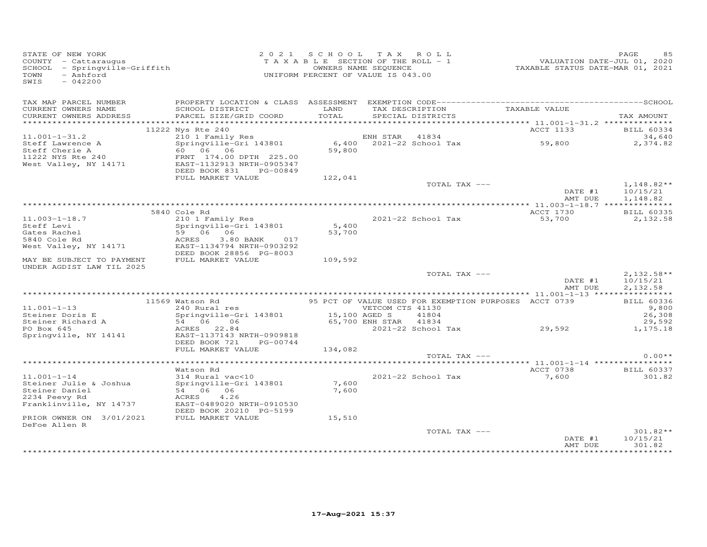| STATE OF NEW YORK<br>COUNTY - Cattaraugus<br>SCHOOL - Springville-Griffith<br>- Ashford<br>TOWN<br>SWIS<br>$-042200$ |                                                                                                                                        | 2021 SCHOOL TAX ROLL<br>TAXABLE SECTION OF THE ROLL - 1<br>UNIFORM PERCENT OF VALUE IS 043.00 | OWNERS NAME SEQUENCE  |                    | VALUATION DATE-JUL 01, 2020<br>TAXABLE STATUS DATE-MAR 01, 2021 | PAGE<br>85                  |
|----------------------------------------------------------------------------------------------------------------------|----------------------------------------------------------------------------------------------------------------------------------------|-----------------------------------------------------------------------------------------------|-----------------------|--------------------|-----------------------------------------------------------------|-----------------------------|
| TAX MAP PARCEL NUMBER<br>CURRENT OWNERS NAME                                                                         | SCHOOL DISTRICT                                                                                                                        | LAND                                                                                          |                       |                    |                                                                 |                             |
| CURRENT OWNERS ADDRESS                                                                                               | PARCEL SIZE/GRID COORD                                                                                                                 | TOTAL                                                                                         |                       | SPECIAL DISTRICTS  | TAX DESCRIPTION TAXABLE VALUE                                   | TAX AMOUNT                  |
|                                                                                                                      |                                                                                                                                        |                                                                                               |                       |                    |                                                                 |                             |
| $11.001 - 1 - 31.2$                                                                                                  | 11222 Nys Rte 240                                                                                                                      |                                                                                               |                       |                    | ACCT 1133                                                       | <b>BILL 60334</b><br>34,640 |
| Steff Lawrence A                                                                                                     |                                                                                                                                        |                                                                                               |                       |                    | 59,800                                                          | 2,374.82                    |
| Steff Cherie A                                                                                                       | 210 1 Family Res<br>Springville-Gri 143801 6,400 2021-22 School Tax<br>60 06 06 59,800<br>- springviile<br>160 06 06                   |                                                                                               |                       |                    |                                                                 |                             |
| 11222 NYS Rte 240<br>West Valley, NY 14171 (EAST-1132913 NRTH-0905347                                                |                                                                                                                                        |                                                                                               |                       |                    |                                                                 |                             |
|                                                                                                                      | DEED BOOK 831 PG-00849                                                                                                                 |                                                                                               |                       |                    |                                                                 |                             |
|                                                                                                                      | FULL MARKET VALUE                                                                                                                      | 122,041                                                                                       |                       |                    |                                                                 |                             |
|                                                                                                                      |                                                                                                                                        |                                                                                               |                       | TOTAL TAX ---      |                                                                 | $1,148.82**$                |
|                                                                                                                      |                                                                                                                                        |                                                                                               |                       |                    | DATE #1<br>AMT DUE                                              | 10/15/21<br>1,148.82        |
|                                                                                                                      | 5840 Cole Rd                                                                                                                           |                                                                                               |                       |                    | ACCT 1730                                                       | <b>BILL 60335</b>           |
| $11.003 - 1 - 18.7$                                                                                                  | 210 1 Family Res                                                                                                                       |                                                                                               |                       | 2021-22 School Tax | 53,700                                                          | 2,132.58                    |
| Steff Levi                                                                                                           | Springville-Gri 143801                                                                                                                 | 5,400                                                                                         |                       |                    |                                                                 |                             |
| Gates Rachel                                                                                                         | 59 06 06                                                                                                                               | 53,700                                                                                        |                       |                    |                                                                 |                             |
| 5840 Cole Rd<br>West Valley, NY 14171                                                                                | 3.80 BANK 017<br>ACRES<br>EAST-1134794 NRTH-0903292                                                                                    |                                                                                               |                       |                    |                                                                 |                             |
|                                                                                                                      | DEED BOOK 28856 PG-8003                                                                                                                |                                                                                               |                       |                    |                                                                 |                             |
| MAY BE SUBJECT TO PAYMENT                                                                                            | FULL MARKET VALUE                                                                                                                      | 109,592                                                                                       |                       |                    |                                                                 |                             |
| UNDER AGDIST LAW TIL 2025                                                                                            |                                                                                                                                        |                                                                                               |                       | TOTAL TAX ---      |                                                                 | $2,132.58**$                |
|                                                                                                                      |                                                                                                                                        |                                                                                               |                       |                    | $\overline{\text{DATE}}_{\text{true}}$<br>AMT DUE               | 10/15/21<br>2,132.58        |
|                                                                                                                      |                                                                                                                                        |                                                                                               |                       |                    |                                                                 |                             |
| $11.001 - 1 - 13$                                                                                                    | Watson Rd<br>240 Rural res                                   95 PCT OF VALUE USED FOR EXEMPTION PURPOSES  ACCT 0739<br>11569 Watson Rd |                                                                                               |                       |                    |                                                                 | <b>BILL 60336</b><br>9,800  |
| Steiner Doris E                                                                                                      | Springville-Gri 143801 15,100 AGED S                                                                                                   |                                                                                               |                       | 41804              |                                                                 | 26,308                      |
| Steiner Richard A<br>PO Box 645                                                                                      | Springville-Gri Issovi<br>54 06 06<br>----- 22.94                                                                                      |                                                                                               | 65,700 ENH STAR 41834 |                    |                                                                 | 29,592                      |
| Springville, NY 14141 EAST-1137143 NRTH-0909818                                                                      | ACRES 22.84                                                                                                                            |                                                                                               |                       | 2021-22 School Tax | 29,592                                                          | 1,175.18                    |
|                                                                                                                      | DEED BOOK 721 PG-00744                                                                                                                 |                                                                                               |                       |                    |                                                                 |                             |
|                                                                                                                      | FULL MARKET VALUE                                                                                                                      | 134,082                                                                                       |                       |                    |                                                                 |                             |
|                                                                                                                      |                                                                                                                                        |                                                                                               |                       | TOTAL TAX ---      |                                                                 | $0.00**$                    |
|                                                                                                                      | Watson Rd                                                                                                                              |                                                                                               |                       |                    | ACCT 0738                                                       | <b>BILL 60337</b>           |
| $11.001 - 1 - 14$                                                                                                    | watson kd<br>314 Rural vac<10                                                                                                          |                                                                                               |                       | 2021-22 School Tax | 7,600                                                           | 301.82                      |
| Steiner Julie & Joshua                                                                                               | Springville-Gri 143801                                                                                                                 | 7,600                                                                                         |                       |                    |                                                                 |                             |
| Steiner Daniel                                                                                                       | 54 06 06                                                                                                                               | 7,600                                                                                         |                       |                    |                                                                 |                             |
| 2234 Peevy Rd<br>Franklinville, NY 14737                                                                             | 4.26<br>ACRES<br>EAST-0489020 NRTH-0910530                                                                                             |                                                                                               |                       |                    |                                                                 |                             |
|                                                                                                                      | DEED BOOK 20210 PG-5199                                                                                                                |                                                                                               |                       |                    |                                                                 |                             |
| PRIOR OWNER ON 3/01/2021                                                                                             | FULL MARKET VALUE                                                                                                                      | 15,510                                                                                        |                       |                    |                                                                 |                             |
| DeFoe Allen R                                                                                                        |                                                                                                                                        |                                                                                               |                       |                    |                                                                 | $301.82**$                  |
|                                                                                                                      |                                                                                                                                        |                                                                                               |                       | TOTAL TAX ---      | DATE #1                                                         | 10/15/21                    |
|                                                                                                                      |                                                                                                                                        |                                                                                               |                       |                    | AMT DUE                                                         | 301.82                      |
|                                                                                                                      |                                                                                                                                        |                                                                                               |                       |                    |                                                                 | <b>+++++++++++</b>          |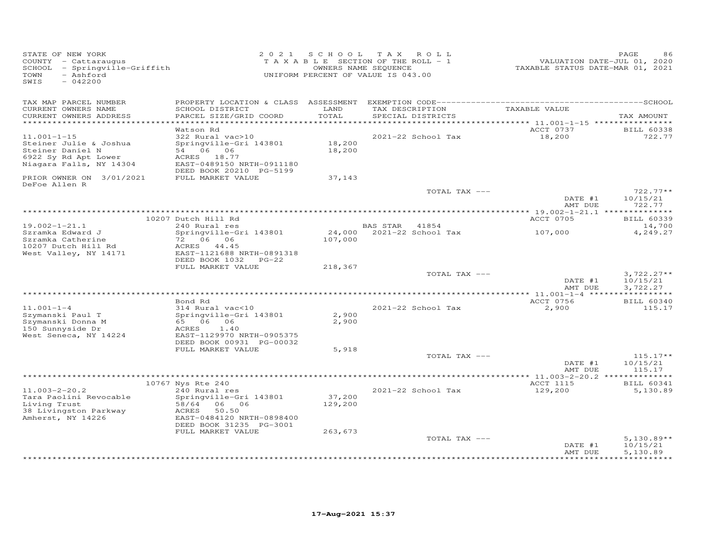| STATE OF NEW YORK<br>COUNTY - Cattaraugus<br>SCHOOL - Springville-Griffith<br>TOWN<br>- Ashford<br>SWIS<br>$-042200$ | 2 0 2 1                                                                                                                                                                       | SCHOOL TAX ROLL<br>TAXABLE SECTION OF THE ROLL - 1<br>OWNERS NAME SEQUENCE<br>UNIFORM PERCENT OF VALUE IS 043.00 |                |                                      | TAXABLE STATUS DATE-MAR 01, 2021        | PAGE<br>86<br>VALUATION DATE-JUL 01, 2020 |
|----------------------------------------------------------------------------------------------------------------------|-------------------------------------------------------------------------------------------------------------------------------------------------------------------------------|------------------------------------------------------------------------------------------------------------------|----------------|--------------------------------------|-----------------------------------------|-------------------------------------------|
| TAX MAP PARCEL NUMBER<br>CURRENT OWNERS NAME<br>CURRENT OWNERS ADDRESS                                               | SCHOOL DISTRICT<br>PARCEL SIZE/GRID COORD                                                                                                                                     | LAND<br>TOTAL                                                                                                    |                | TAX DESCRIPTION<br>SPECIAL DISTRICTS | TAXABLE VALUE                           | TAX AMOUNT                                |
| **********************                                                                                               |                                                                                                                                                                               |                                                                                                                  |                |                                      |                                         |                                           |
| $11.001 - 1 - 15$<br>Steiner Julie & Joshua<br>Steiner Daniel N<br>6922 Sy Rd Apt Lower<br>Niagara Falls, NY 14304   | Watson Rd<br>322 Rural vac>10<br>Springville-Gri 143801<br>54 06 06<br>ACRES 18.77<br>EAST-0489150 NRTH-0911180<br>DEED BOOK 20210 PG-5199                                    | 18,200<br>18,200                                                                                                 |                | 2021-22 School Tax                   | ACCT 0737<br>18,200                     | <b>BILL 60338</b><br>722.77               |
| PRIOR OWNER ON 3/01/2021                                                                                             | FULL MARKET VALUE                                                                                                                                                             | 37,143                                                                                                           |                |                                      |                                         |                                           |
| DeFoe Allen R                                                                                                        |                                                                                                                                                                               |                                                                                                                  |                | TOTAL TAX ---                        | DATE #1                                 | $722.77**$<br>10/15/21                    |
|                                                                                                                      |                                                                                                                                                                               |                                                                                                                  |                |                                      | AMT DUE<br>********** 19.002-1-21.1 *** | 722.77<br>**********                      |
| $19.002 - 1 - 21.1$                                                                                                  | 10207 Dutch Hill Rd<br>240 Rural res                                                                                                                                          |                                                                                                                  | BAS STAR 41854 |                                      | ACCT 0705                               | <b>BILL 60339</b><br>14,700               |
| Szramka Edward J<br>Szramka Catherine<br>10207 Dutch Hill Rd<br>West Valley, NY 14171                                | Springville-Gri 143801<br>72 06 06<br>ACRES 44.45<br>EAST-1121688 NRTH-0891318                                                                                                | 24,000<br>107,000                                                                                                |                | 2021-22 School Tax                   | 107,000                                 | 4,249.27                                  |
|                                                                                                                      | DEED BOOK 1032 PG-22<br>FULL MARKET VALUE                                                                                                                                     | 218,367                                                                                                          |                |                                      |                                         |                                           |
|                                                                                                                      |                                                                                                                                                                               |                                                                                                                  |                | TOTAL TAX ---                        | DATE #1<br>AMT DUE                      | $3,722.27**$<br>10/15/21<br>3,722.27      |
|                                                                                                                      | Bond Rd                                                                                                                                                                       |                                                                                                                  |                |                                      | ACCT 0756                               | <b>BILL 60340</b>                         |
| $11.001 - 1 - 4$<br>Szymanski Paul T<br>Szymanski Donna M<br>150 Sunnyside Dr<br>West Seneca, NY 14224               | 314 Rural vac<10<br>Springville-Gri 143801<br>65 06 06<br>ACRES<br>1.40<br>EAST-1129970 NRTH-0905375<br>DEED BOOK 00931 PG-00032                                              | 2,900<br>2,900                                                                                                   |                | 2021-22 School Tax                   | 2,900                                   | 115.17                                    |
|                                                                                                                      | FULL MARKET VALUE                                                                                                                                                             | 5,918                                                                                                            |                | TOTAL TAX ---                        |                                         | $115.17**$                                |
|                                                                                                                      |                                                                                                                                                                               |                                                                                                                  |                |                                      | DATE #1<br>AMT DUE                      | 10/15/21<br>115.17                        |
|                                                                                                                      |                                                                                                                                                                               |                                                                                                                  |                |                                      |                                         |                                           |
| $11.003 - 2 - 20.2$<br>Tara Paolini Revocable<br>Living Trust<br>38 Livingston Parkway<br>Amherst, NY 14226          | 10767 Nys Rte 240<br>240 Rural res<br>Springville-Gri 143801<br>58/64<br>06 06<br>50.50<br>ACRES<br>EAST-0484120 NRTH-0898400<br>DEED BOOK 31235 PG-3001<br>FULL MARKET VALUE | 37,200<br>129,200<br>263,673                                                                                     |                | 2021-22 School Tax                   | ACCT 1115<br>129,200                    | <b>BILL 60341</b><br>5,130.89             |
|                                                                                                                      |                                                                                                                                                                               |                                                                                                                  |                | TOTAL TAX ---                        | DATE #1<br>AMT DUE                      | $5,130.89**$<br>10/15/21<br>5,130.89      |
|                                                                                                                      |                                                                                                                                                                               |                                                                                                                  |                |                                      |                                         |                                           |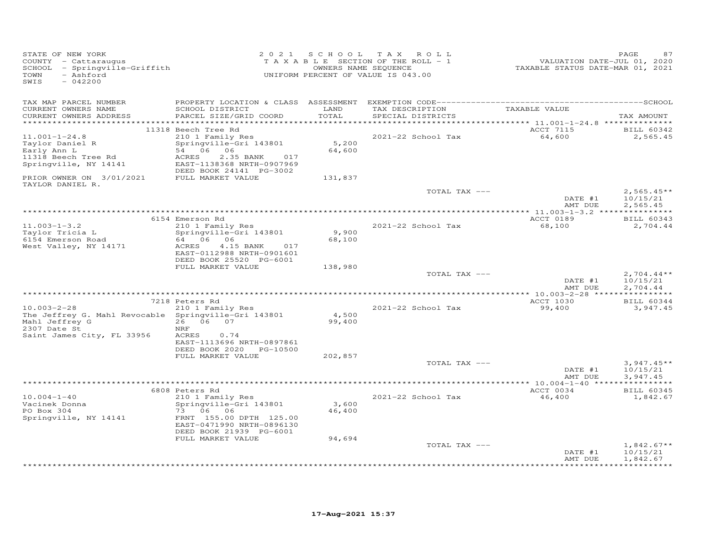| STATE OF NEW YORK<br>COUNTY - Cattaraugus<br>SCHOOL - Springville-Griffith<br>- Ashford<br>TOWN<br>$-042200$<br>SWTS |                                                                                                                                                                    | 2021 SCHOOL TAX | ROLL<br>TAXABLE SECTION OF THE ROLL - 1<br>OWNERS NAME SEQUENCE<br>UNIFORM PERCENT OF VALUE IS 043.00 | VALUATION DATE-JUL 01, 2020<br>TAXABLE STATUS DATE-MAR 01, 2021 | PAGE<br>87                                          |
|----------------------------------------------------------------------------------------------------------------------|--------------------------------------------------------------------------------------------------------------------------------------------------------------------|-----------------|-------------------------------------------------------------------------------------------------------|-----------------------------------------------------------------|-----------------------------------------------------|
| TAX MAP PARCEL NUMBER<br>CURRENT OWNERS NAME<br>CURRENT OWNERS ADDRESS                                               | SCHOOL DISTRICT<br>PARCEL SIZE/GRID COORD                                                                                                                          | LAND<br>TOTAL   | TAX DESCRIPTION<br>SPECIAL DISTRICTS                                                                  | TAXABLE VALUE                                                   | TAX AMOUNT                                          |
|                                                                                                                      |                                                                                                                                                                    |                 |                                                                                                       |                                                                 |                                                     |
| $11.001 - 1 - 24.8$<br>Taylor Daniel R<br>Early Ann L<br>11318 Beech Tree Rd<br>Springville, NY 14141                | 11318 Beech Tree Rd<br>210 1 Family Res<br>Springville-Gri 143801<br>54 06 06<br>ACRES<br>2.35 BANK<br>017<br>EAST-1138368 NRTH-0907969<br>DEED BOOK 24141 PG-3002 | 5,200<br>64,600 | 2021-22 School Tax                                                                                    | ACCT 7115<br>64,600                                             | BILL 60342<br>2,565.45                              |
| PRIOR OWNER ON 3/01/2021                                                                                             | FULL MARKET VALUE                                                                                                                                                  | 131,837         |                                                                                                       |                                                                 |                                                     |
| TAYLOR DANIEL R.                                                                                                     |                                                                                                                                                                    |                 | TOTAL TAX ---                                                                                         | DATE #1                                                         | $2,565.45**$<br>10/15/21                            |
|                                                                                                                      |                                                                                                                                                                    |                 |                                                                                                       | AMT DUE                                                         | 2,565.45                                            |
|                                                                                                                      |                                                                                                                                                                    |                 |                                                                                                       |                                                                 |                                                     |
| $11.003 - 1 - 3.2$<br>Taylor Tricia L<br>6154 Emerson Road                                                           | 6154 Emerson Rd<br>210 1 Family Res<br>Springville-Gri 143801<br>64 06 06                                                                                          | 9,900<br>68,100 | 2021-22 School Tax                                                                                    | ACCT 0189<br>68,100                                             | <b>BILL 60343</b><br>2,704.44                       |
| West Valley, NY 14171                                                                                                | ACRES<br>4.15 BANK<br>017<br>EAST-0112988 NRTH-0901601<br>DEED BOOK 25520 PG-6001<br>FULL MARKET VALUE                                                             | 138,980         |                                                                                                       |                                                                 |                                                     |
|                                                                                                                      |                                                                                                                                                                    |                 | TOTAL TAX ---                                                                                         | DATE #1<br>AMT DUE                                              | $2,704.44**$<br>10/15/21<br>2,704.44                |
|                                                                                                                      | 7218 Peters Rd                                                                                                                                                     |                 |                                                                                                       | <b>ACCT 1030</b>                                                | <b>BILL 60344</b>                                   |
| $10.003 - 2 - 28$<br>The Jeffrey G. Mahl Revocable Springville-Gri 143801<br>Mahl Jeffrey G<br>2307 Date St          | 210 1 Family Res<br>26 06 07<br>NRF                                                                                                                                | 4,500<br>99,400 | 2021-22 School Tax                                                                                    | 99,400                                                          | 3,947.45                                            |
| Saint James City, FL 33956                                                                                           | ACRES<br>0.74<br>EAST-1113696 NRTH-0897861<br>DEED BOOK 2020 PG-10500<br>FULL MARKET VALUE                                                                         | 202,857         |                                                                                                       |                                                                 |                                                     |
|                                                                                                                      |                                                                                                                                                                    |                 | TOTAL TAX ---                                                                                         | DATE #1<br>AMT DUE                                              | $3,947.45**$<br>10/15/21<br>3,947.45                |
|                                                                                                                      |                                                                                                                                                                    |                 |                                                                                                       |                                                                 |                                                     |
| $10.004 - 1 - 40$<br>Vacinek Donna<br>PO Box 304<br>Springville, NY 14141                                            | 6808 Peters Rd<br>210 1 Family Res<br>Springville-Gri 143801<br>73 06 06<br>FRNT 155.00 DPTH 125.00<br>EAST-0471990 NRTH-0896130<br>DEED BOOK 21939 PG-6001        | 3,600<br>46,400 | 2021-22 School Tax                                                                                    | ACCT 0034<br>46,400                                             | <b>BILL 60345</b><br>1,842.67                       |
|                                                                                                                      | FULL MARKET VALUE                                                                                                                                                  | 94,694          |                                                                                                       |                                                                 |                                                     |
|                                                                                                                      |                                                                                                                                                                    |                 | TOTAL TAX ---                                                                                         | DATE #1<br>AMT DUE                                              | $1,842.67**$<br>10/15/21<br>1,842.67<br>*********** |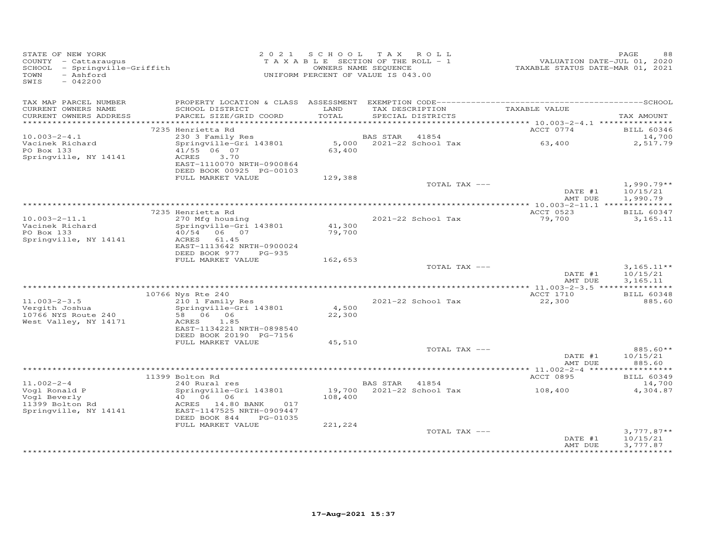| STATE OF NEW YORK<br>COUNTY - Cattaraugus<br>COUNTY - Cattaraugus<br>SCHOOL - Springville-Griffith<br>- Ashford<br>TOWN<br>SWIS<br>$-042200$ |                                                   |               | 2021 SCHOOL TAX ROLL<br>T A X A B L E SECTION OF THE ROLL - 1<br>OWNERS NAME SEQUENCE<br>UNIFORM PERCENT OF VALUE IS 043.00 | VALUATION DATE-JUL 01, 2020<br>TAXABLE STATUS DATE-MAR 01, 2021 | PAGE<br>88                    |
|----------------------------------------------------------------------------------------------------------------------------------------------|---------------------------------------------------|---------------|-----------------------------------------------------------------------------------------------------------------------------|-----------------------------------------------------------------|-------------------------------|
| TAX MAP PARCEL NUMBER                                                                                                                        |                                                   |               |                                                                                                                             |                                                                 |                               |
| CURRENT OWNERS NAME<br>CURRENT OWNERS ADDRESS                                                                                                | SCHOOL DISTRICT<br>PARCEL SIZE/GRID COORD         | LAND<br>TOTAL | TAX DESCRIPTION<br>SPECIAL DISTRICTS                                                                                        | TAXABLE VALUE                                                   | TAX AMOUNT                    |
|                                                                                                                                              |                                                   |               |                                                                                                                             |                                                                 |                               |
|                                                                                                                                              | 7235 Henrietta Rd                                 |               |                                                                                                                             | ACCT 0774                                                       | <b>BILL 60346</b>             |
| $10.003 - 2 - 4.1$                                                                                                                           | 230 3 Family Res<br>Springville-Gri 143801        |               | BAS STAR 41854                                                                                                              | 63,400                                                          | 14,700                        |
| Vacinek Richard<br>PO Box 133                                                                                                                | 41/55 06 07                                       | 63,400        | 5,000 2021-22 School Tax                                                                                                    |                                                                 | 2,517.79                      |
| Springville, NY 14141                                                                                                                        | ACRES<br>3.70                                     |               |                                                                                                                             |                                                                 |                               |
|                                                                                                                                              | EAST-1110070 NRTH-0900864                         |               |                                                                                                                             |                                                                 |                               |
|                                                                                                                                              | DEED BOOK 00925 PG-00103                          |               |                                                                                                                             |                                                                 |                               |
|                                                                                                                                              | FULL MARKET VALUE                                 | 129,388       | TOTAL TAX ---                                                                                                               |                                                                 | $1,990.79**$                  |
|                                                                                                                                              |                                                   |               |                                                                                                                             | DATE #1                                                         | 10/15/21                      |
|                                                                                                                                              |                                                   |               |                                                                                                                             | AMT DUE                                                         | 1,990.79                      |
|                                                                                                                                              |                                                   |               |                                                                                                                             |                                                                 |                               |
| $10.003 - 2 - 11.1$                                                                                                                          | 7235 Henrietta Rd<br>270 Mfg housing              |               | 2021-22 School Tax                                                                                                          | ACCT 0523<br>79,700                                             | <b>BILL 60347</b><br>3,165.11 |
| Vacinek Richard                                                                                                                              | Springville-Gri 143801                            | 41,300        |                                                                                                                             |                                                                 |                               |
| PO Box 133                                                                                                                                   | 40/54 06 07                                       | 79,700        |                                                                                                                             |                                                                 |                               |
| Springville, NY 14141                                                                                                                        | ACRES<br>61.45                                    |               |                                                                                                                             |                                                                 |                               |
|                                                                                                                                              | EAST-1113642 NRTH-0900024<br>DEED BOOK 977 PG-935 |               |                                                                                                                             |                                                                 |                               |
|                                                                                                                                              | FULL MARKET VALUE                                 | 162,653       |                                                                                                                             |                                                                 |                               |
|                                                                                                                                              |                                                   |               | TOTAL TAX ---                                                                                                               |                                                                 | $3,165.11**$                  |
|                                                                                                                                              |                                                   |               |                                                                                                                             | DATE #1                                                         | 10/15/21                      |
|                                                                                                                                              |                                                   |               |                                                                                                                             | AMT DUE                                                         | 3,165.11                      |
|                                                                                                                                              | 10766 Nys Rte 240                                 |               |                                                                                                                             | ACCT 1710                                                       | <b>BILL 60348</b>             |
| $11.003 - 2 - 3.5$                                                                                                                           | 210 1 Family Res                                  |               | 2021-22 School Tax                                                                                                          | 22,300                                                          | 885.60                        |
| Vergith Joshua                                                                                                                               | Springville-Gri 143801                            | 4,500         |                                                                                                                             |                                                                 |                               |
| 10766 NYS Route 240<br>West Valley, NY 14171                                                                                                 | 58 06 06<br>1.85<br>ACRES                         | 22,300        |                                                                                                                             |                                                                 |                               |
|                                                                                                                                              | EAST-1134221 NRTH-0898540                         |               |                                                                                                                             |                                                                 |                               |
|                                                                                                                                              | DEED BOOK 20190 PG-7156                           |               |                                                                                                                             |                                                                 |                               |
|                                                                                                                                              | FULL MARKET VALUE                                 | 45,510        |                                                                                                                             |                                                                 |                               |
|                                                                                                                                              |                                                   |               | TOTAL TAX ---                                                                                                               | DATE #1                                                         | 885.60**<br>10/15/21          |
|                                                                                                                                              |                                                   |               |                                                                                                                             | AMT DUE                                                         | 885.60                        |
|                                                                                                                                              |                                                   |               |                                                                                                                             |                                                                 |                               |
|                                                                                                                                              | 11399 Bolton Rd                                   |               |                                                                                                                             | ACCT 0895                                                       | <b>BILL 60349</b>             |
| $11.002 - 2 - 4$                                                                                                                             | 240 Rural res                                     |               | BAS STAR 41854                                                                                                              |                                                                 | 14,700                        |
| Vogl Ronald P<br>Vogl Beverly<br>11399 Bolton Rd<br>Springwill                                                                               | Springville-Gri 143801<br>40 06 06                | 108,400       | 19,700 2021-22 School Tax                                                                                                   | 108,400                                                         | 4,304.87                      |
|                                                                                                                                              | ACRES 14.80 BANK<br>017                           |               |                                                                                                                             |                                                                 |                               |
| Springville, NY 14141                                                                                                                        | EAST-1147525 NRTH-0909447                         |               |                                                                                                                             |                                                                 |                               |
|                                                                                                                                              | DEED BOOK 844<br>PG-01035                         |               |                                                                                                                             |                                                                 |                               |
|                                                                                                                                              | FULL MARKET VALUE                                 | 221,224       | TOTAL TAX ---                                                                                                               |                                                                 | $3,777.87**$                  |
|                                                                                                                                              |                                                   |               |                                                                                                                             | DATE #1                                                         | 10/15/21                      |
|                                                                                                                                              |                                                   |               |                                                                                                                             | AMT DUE                                                         | 3,777.87                      |
|                                                                                                                                              |                                                   |               |                                                                                                                             |                                                                 |                               |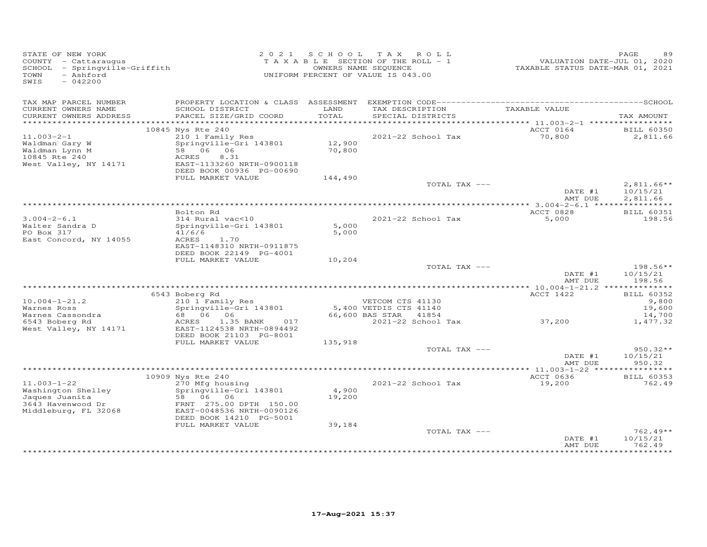| STATE OF NEW YORK<br>COUNTY - Cattaraugus<br>SCHOOL - Springville-Griffith<br>TOWN<br>- Ashford<br>SWIS<br>$-042200$ |                                                                                         |                 | 2021 SCHOOL TAX ROLL<br>TAXABLE SECTION OF THE ROLL - 1<br>OWNERS NAME SEQUENCE<br>UNIFORM PERCENT OF VALUE IS 043.00 | VALUATION DATE-JUL 01, 2020<br>TAXABLE STATUS DATE-MAR 01, 2021 | PAGE                              |
|----------------------------------------------------------------------------------------------------------------------|-----------------------------------------------------------------------------------------|-----------------|-----------------------------------------------------------------------------------------------------------------------|-----------------------------------------------------------------|-----------------------------------|
| TAX MAP PARCEL NUMBER<br>CURRENT OWNERS NAME                                                                         | SCHOOL DISTRICT                                                                         | LAND            | TAX DESCRIPTION                                                                                                       | TAXABLE VALUE                                                   |                                   |
| CURRENT OWNERS ADDRESS                                                                                               | PARCEL SIZE/GRID COORD                                                                  | TOTAL           | SPECIAL DISTRICTS                                                                                                     |                                                                 | TAX AMOUNT                        |
|                                                                                                                      | 10845 Nys Rte 240                                                                       |                 |                                                                                                                       | ACCT 0164                                                       | <b>BILL 60350</b>                 |
| $11.003 - 2 - 1$                                                                                                     | 210 1 Family Res                                                                        |                 | 2021-22 School Tax                                                                                                    | 70,800                                                          | 2,811.66                          |
| Waldman Gary W<br>Waldman Lynn M<br>10845 Rte 240<br>West Valley, NY 14171                                           | Springville-Gri 143801 12,900<br>58 06 06<br>ACRES<br>8.31<br>EAST-1133260 NRTH-0900118 | 70,800          |                                                                                                                       |                                                                 |                                   |
|                                                                                                                      | DEED BOOK 00936 PG-00690<br>FULL MARKET VALUE                                           | 144,490         |                                                                                                                       |                                                                 |                                   |
|                                                                                                                      |                                                                                         |                 | TOTAL TAX ---                                                                                                         | DATE #1                                                         | $2,811.66**$<br>10/15/21          |
|                                                                                                                      |                                                                                         |                 |                                                                                                                       | AMT DUE                                                         | 2,811.66                          |
|                                                                                                                      | Bolton Rd                                                                               |                 |                                                                                                                       | ACCT 0828                                                       | <b>BILL 60351</b>                 |
| $3.004 - 2 - 6.1$<br>Walter Sandra D<br>PO Box 317                                                                   | 314 Rural vac<10<br>Springville-Gri 143801<br>41/6/6                                    | 5,000<br>5,000  | 2021-22 School Tax                                                                                                    | 5,000                                                           | 198.56                            |
| East Concord, NY 14055                                                                                               | ACRES<br>1.70<br>EAST-1148310 NRTH-0911875<br>DEED BOOK 22149 PG-4001                   |                 |                                                                                                                       |                                                                 |                                   |
|                                                                                                                      | FULL MARKET VALUE                                                                       | 10,204          |                                                                                                                       |                                                                 |                                   |
|                                                                                                                      |                                                                                         |                 | TOTAL TAX ---                                                                                                         | DATE #1<br>AMT DUE                                              | $198.56**$<br>10/15/21<br>198.56  |
|                                                                                                                      |                                                                                         |                 |                                                                                                                       |                                                                 |                                   |
| $10.004 - 1 - 21.2$                                                                                                  | 6543 Boberg Rd<br>$210$ 1 Family Res                                                    |                 | VETCOM CTS 41130                                                                                                      | ACCT 1422                                                       | <b>BILL 60352</b><br>9,800        |
| Warnes Ross<br>Warnes Cassondra                                                                                      | Springville-Gri 143801<br>68 06 06                                                      |                 | 5,400 VETDIS CTS 41140<br>66,600 BAS STAR<br>41854                                                                    |                                                                 | 19,600<br>14,700                  |
| 6543 Boberg Rd<br>West Valley, NY 14171                                                                              | 1.35 BANK<br>017<br>ACRES<br>EAST-1124538 NRTH-0894492<br>DEED BOOK 21103 PG-8001       |                 | 2021-22 School Tax 37,200                                                                                             |                                                                 | 1,477.32                          |
|                                                                                                                      | FULL MARKET VALUE                                                                       | 135,918         |                                                                                                                       |                                                                 |                                   |
|                                                                                                                      |                                                                                         |                 | TOTAL TAX ---                                                                                                         | DATE #1<br>AMT DUE                                              | $950.32**$<br>10/15/21<br>950.32  |
|                                                                                                                      |                                                                                         |                 |                                                                                                                       |                                                                 |                                   |
| $11.003 - 1 - 22$                                                                                                    | 10909 Nys Rte 240<br>270 Mfg housing                                                    |                 | 2021-22 School Tax                                                                                                    | ACCT 0636<br>19,200                                             | <b>BILL 60353</b><br>762.49       |
| Washington Shelley<br>Jaques Juanita                                                                                 | Springville-Gri 143801<br>58 06 06                                                      | 4,900<br>19,200 |                                                                                                                       |                                                                 |                                   |
| 3643 Havenwood Dr<br>Middleburg, FL 32068                                                                            | FRNT 275.00 DPTH 150.00<br>EAST-0048536 NRTH-0090126<br>DEED BOOK 14210 PG-5001         |                 |                                                                                                                       |                                                                 |                                   |
|                                                                                                                      | FULL MARKET VALUE                                                                       | 39,184          |                                                                                                                       |                                                                 | $762.49**$                        |
|                                                                                                                      |                                                                                         |                 | TOTAL TAX ---                                                                                                         | DATE #1<br>AMT DUE                                              | 10/15/21<br>762.49<br>*********** |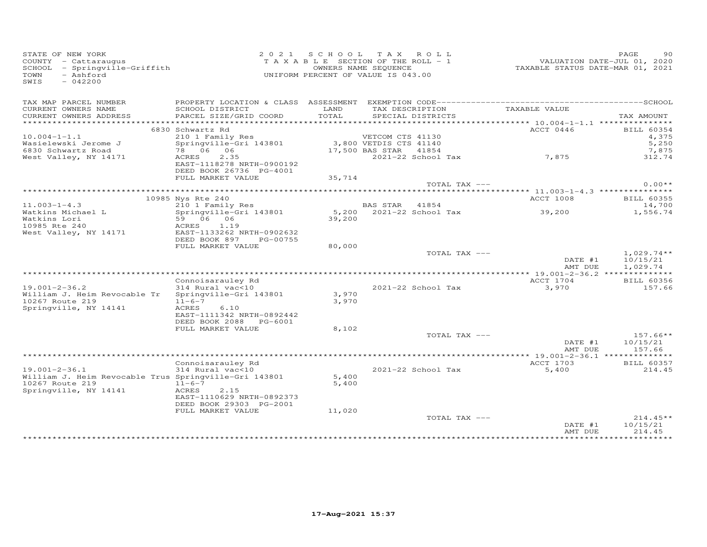| STATE OF NEW YORK<br>COUNTY - Cattaraugus<br>SCHOOL - Springville-Griffith<br>- Ashford<br>TOWN<br>$-042200$<br>SWIS |                                                        |               | 2021 SCHOOL TAX ROLL<br>T A X A B L E SECTION OF THE ROLL - 1<br>OWNERS NAME SEQUENCE<br>UNIFORM PERCENT OF VALUE IS 043.00 | VALUATION DATE-JUL 01, 2020<br>TAXABLE STATUS DATE-MAR 01, 2021 | PAGE<br>90                           |
|----------------------------------------------------------------------------------------------------------------------|--------------------------------------------------------|---------------|-----------------------------------------------------------------------------------------------------------------------------|-----------------------------------------------------------------|--------------------------------------|
| TAX MAP PARCEL NUMBER                                                                                                |                                                        |               |                                                                                                                             |                                                                 |                                      |
| CURRENT OWNERS NAME<br>CURRENT OWNERS ADDRESS                                                                        | SCHOOL DISTRICT<br>PARCEL SIZE/GRID COORD              | LAND<br>TOTAL | TAX DESCRIPTION<br>SPECIAL DISTRICTS                                                                                        | TAXABLE VALUE                                                   | TAX AMOUNT                           |
| ***********************                                                                                              |                                                        |               |                                                                                                                             |                                                                 |                                      |
| $10.004 - 1 - 1.1$                                                                                                   | 6830 Schwartz Rd<br>210 1 Family Res                   |               | VETCOM CTS 41130                                                                                                            | ACCT 0446                                                       | <b>BILL 60354</b><br>4,375           |
| Wasielewski Jerome J                                                                                                 | Springville-Gri 143801                                 |               | 3,800 VETDIS CTS 41140                                                                                                      |                                                                 | 5,250                                |
| 6830 Schwartz Road                                                                                                   | 78 06 06                                               |               | 17,500 BAS STAR 41854                                                                                                       |                                                                 | 7,875                                |
| West Valley, NY 14171                                                                                                | 2.35<br>ACRES                                          |               | 2021-22 School Tax                                                                                                          | 7,875                                                           | 312.74                               |
|                                                                                                                      | EAST-1118278 NRTH-0900192                              |               |                                                                                                                             |                                                                 |                                      |
|                                                                                                                      | DEED BOOK 26736 PG-4001                                |               |                                                                                                                             |                                                                 |                                      |
|                                                                                                                      | FULL MARKET VALUE                                      | 35,714        |                                                                                                                             |                                                                 |                                      |
|                                                                                                                      |                                                        |               | TOTAL TAX ---                                                                                                               |                                                                 | $0.00**$                             |
|                                                                                                                      | 10985 Nys Rte 240                                      |               |                                                                                                                             | ACCT 1008                                                       | <b>BILL 60355</b>                    |
| $11.003 - 1 - 4.3$                                                                                                   | 210 1 Family Res                                       |               | BAS STAR 41854                                                                                                              |                                                                 | 14,700                               |
| Watkins Michael L                                                                                                    | Springville-Gri 143801                                 |               | 5,200 2021-22 School Tax                                                                                                    | 39,200                                                          | 1,556.74                             |
| Watkins Lori                                                                                                         | 59 06 06                                               | 39,200        |                                                                                                                             |                                                                 |                                      |
| 10985 Rte 240                                                                                                        | ACRES 1.19                                             |               |                                                                                                                             |                                                                 |                                      |
| West Valley, NY 14171                                                                                                | EAST-1133262 NRTH-0902632<br>DEED BOOK 897<br>PG-00755 |               |                                                                                                                             |                                                                 |                                      |
|                                                                                                                      | FULL MARKET VALUE                                      | 80,000        |                                                                                                                             |                                                                 |                                      |
|                                                                                                                      |                                                        |               | TOTAL TAX ---                                                                                                               | DATE #1<br>AMT DUE                                              | $1,029.74**$<br>10/15/21<br>1,029.74 |
|                                                                                                                      |                                                        |               |                                                                                                                             |                                                                 |                                      |
|                                                                                                                      | Connoisarauley Rd                                      |               |                                                                                                                             | ACCT 1704                                                       | <b>BILL 60356</b>                    |
| $19.001 - 2 - 36.2$                                                                                                  | 314 Rural vac<10                                       |               | 2021-22 School Tax                                                                                                          | 3,970                                                           | 157.66                               |
| William J. Heim Revocable Tr                                                                                         | Springville-Gri 143801                                 | 3,970         |                                                                                                                             |                                                                 |                                      |
| 10267 Route 219                                                                                                      | $11 - 6 - 7$                                           | 3,970         |                                                                                                                             |                                                                 |                                      |
| Springville, NY 14141                                                                                                | ACRES<br>6.10<br>EAST-1111342 NRTH-0892442             |               |                                                                                                                             |                                                                 |                                      |
|                                                                                                                      | DEED BOOK 2088 PG-6001                                 |               |                                                                                                                             |                                                                 |                                      |
|                                                                                                                      | FULL MARKET VALUE                                      | 8,102         |                                                                                                                             |                                                                 |                                      |
|                                                                                                                      |                                                        |               | TOTAL TAX ---                                                                                                               |                                                                 | $157.66**$                           |
|                                                                                                                      |                                                        |               |                                                                                                                             | DATE #1                                                         | 10/15/21                             |
|                                                                                                                      |                                                        |               |                                                                                                                             | AMT DUE                                                         | 157.66                               |
|                                                                                                                      |                                                        |               |                                                                                                                             |                                                                 |                                      |
| $19.001 - 2 - 36.1$                                                                                                  | Connoisarauley Rd<br>314 Rural vac<10                  |               | $2021 - 22$ School Tax                                                                                                      | ACCT 1703<br>5,400                                              | <b>BILL 60357</b><br>214.45          |
| William J. Heim Revocable Trus Springville-Gri 143801                                                                |                                                        | 5,400         |                                                                                                                             |                                                                 |                                      |
| 10267 Route 219                                                                                                      | $11 - 6 - 7$                                           | 5,400         |                                                                                                                             |                                                                 |                                      |
| Springville, NY 14141                                                                                                | ACRES<br>2.15                                          |               |                                                                                                                             |                                                                 |                                      |
|                                                                                                                      | EAST-1110629 NRTH-0892373                              |               |                                                                                                                             |                                                                 |                                      |
|                                                                                                                      | DEED BOOK 29303 PG-2001                                |               |                                                                                                                             |                                                                 |                                      |
|                                                                                                                      | FULL MARKET VALUE                                      | 11,020        | TOTAL TAX ---                                                                                                               |                                                                 | $214.45**$                           |
|                                                                                                                      |                                                        |               |                                                                                                                             | DATE #1                                                         | 10/15/21                             |
|                                                                                                                      |                                                        |               |                                                                                                                             | AMT DUE                                                         | 214.45                               |
|                                                                                                                      |                                                        |               |                                                                                                                             |                                                                 |                                      |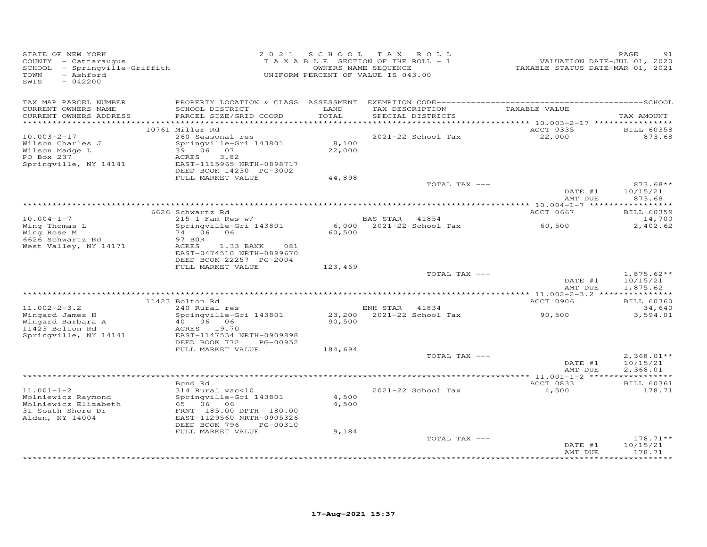| STATE OF NEW YORK<br>COUNTY - Cattaraugus<br>SCHOOL - Springville-Griffith<br>- Ashford<br>TOWN<br>SWIS<br>$-042200$ |                                                                                                                                             |                 | 2021 SCHOOL TAX ROLL<br>TAXABLE SECTION OF THE ROLL - 1<br>OWNERS NAME SEQUENCE<br>UNIFORM PERCENT OF VALUE IS 043.00 | VALUATION DATE-JUL 01, 2020<br>TAXABLE STATUS DATE-MAR 01, 2021 | PAGE<br>91                           |
|----------------------------------------------------------------------------------------------------------------------|---------------------------------------------------------------------------------------------------------------------------------------------|-----------------|-----------------------------------------------------------------------------------------------------------------------|-----------------------------------------------------------------|--------------------------------------|
| TAX MAP PARCEL NUMBER<br>CURRENT OWNERS NAME<br>CURRENT OWNERS ADDRESS<br>************************                   | SCHOOL DISTRICT<br>PARCEL SIZE/GRID COORD                                                                                                   | LAND<br>TOTAL   | TAX DESCRIPTION<br>SPECIAL DISTRICTS                                                                                  | TAXABLE VALUE                                                   | TAX AMOUNT                           |
|                                                                                                                      | 10761 Miller Rd                                                                                                                             |                 |                                                                                                                       | ACCT 0335                                                       | <b>BILL 60358</b>                    |
| $10.003 - 2 - 17$<br>Wilson Charles J<br>Wilson Madge L<br>PO Box 237<br>Springville, NY 14141                       | 260 Seasonal res<br>Springville-Gri 143801<br>39 06 07<br>ACRES<br>3.82<br>EAST-1115965 NRTH-0898717<br>DEED BOOK 14230 PG-3002             | 8,100<br>22,000 | 2021-22 School Tax                                                                                                    | 22,000                                                          | 873.68                               |
|                                                                                                                      | FULL MARKET VALUE                                                                                                                           | 44,898          | TOTAL TAX ---                                                                                                         |                                                                 | $873.68**$                           |
|                                                                                                                      |                                                                                                                                             |                 |                                                                                                                       | DATE #1<br>AMT DUE                                              | 10/15/21<br>873.68                   |
|                                                                                                                      | 6626 Schwartz Rd                                                                                                                            |                 |                                                                                                                       | ACCT 0667                                                       | <b>BILL 60359</b>                    |
| $10.004 - 1 - 7$                                                                                                     | $215$ 1 Fam Res w/                                                                                                                          |                 | BAS STAR 41854                                                                                                        |                                                                 | 14,700                               |
| Wing Thomas L<br>Wing Rose M<br>6626 Schwartz Rd<br>West Valley, NY 14171                                            | Springville-Gri 143801<br>74 06<br>06<br>97 BOR<br>ACRES<br>1.33 BANK<br>081<br>EAST-0474510 NRTH-0899670                                   | 60,500          | 6,000 2021-22 School Tax                                                                                              | 60,500                                                          | 2,402.62                             |
|                                                                                                                      | DEED BOOK 22257 PG-2004                                                                                                                     |                 |                                                                                                                       |                                                                 |                                      |
|                                                                                                                      | FULL MARKET VALUE                                                                                                                           | 123,469         | TOTAL TAX ---                                                                                                         | DATE #1<br>AMT DUE                                              | $1,875.62**$<br>10/15/21<br>1,875.62 |
|                                                                                                                      |                                                                                                                                             |                 |                                                                                                                       |                                                                 |                                      |
| $11.002 - 2 - 3.2$                                                                                                   | 11423 Bolton Rd<br>240 Rural res                                                                                                            |                 | ENH STAR 41834                                                                                                        | ACCT 0906                                                       | <b>BILL 60360</b><br>34,640          |
| Wingard James H<br>Wingard Barbara A<br>11423 Bolton Rd<br>Springville, NY 14141                                     | Springville-Gri 143801<br>40 06 06<br>ACRES 19.70<br>EAST-1147534 NRTH-0909898<br>DEED BOOK 772<br>PG-00952                                 | 90,500          | 23,200 2021-22 School Tax                                                                                             | 90,500                                                          | 3,594.01                             |
|                                                                                                                      | FULL MARKET VALUE                                                                                                                           | 184,694         | TOTAL TAX ---                                                                                                         |                                                                 | $2,368.01**$                         |
|                                                                                                                      |                                                                                                                                             |                 |                                                                                                                       | DATE #1<br>AMT DUE                                              | 10/15/21<br>2,368.01                 |
|                                                                                                                      | Bond Rd                                                                                                                                     |                 |                                                                                                                       | ACCT 0833                                                       |                                      |
| $11.001 - 1 - 2$<br>Wolniewicz Raymond<br>Wolniewicz Elizabeth<br>31 South Shore Dr<br>Alden, NY 14004               | 314 Rural vac<10<br>Springville-Gri 143801<br>65 06 06<br>FRNT 185.00 DPTH 180.00<br>EAST-1129560 NRTH-0905326<br>DEED BOOK 796<br>PG-00310 | 4,500<br>4,500  | 2021-22 School Tax                                                                                                    | 4,500                                                           | <b>BILL 60361</b><br>178.71          |
|                                                                                                                      | FULL MARKET VALUE                                                                                                                           | 9,184           |                                                                                                                       |                                                                 |                                      |
|                                                                                                                      |                                                                                                                                             |                 | TOTAL TAX ---                                                                                                         | DATE #1<br>AMT DUE                                              | $178.71**$<br>10/15/21<br>178.71     |
|                                                                                                                      |                                                                                                                                             |                 |                                                                                                                       |                                                                 |                                      |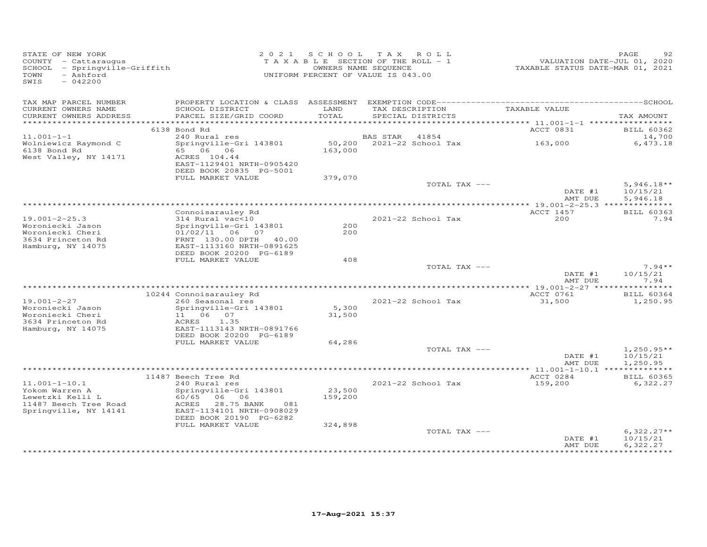| STATE OF NEW YORK<br>COUNTY - Cattaraugus<br>SCHOOL - Springville-Griffith<br>- Ashford<br>TOWN<br>$-042200$<br>SWIS |                                                                                                                                                                     | 2021 SCHOOL TAX ROLL<br>TAXABLE SECTION OF THE ROLL - 1<br>UNIFORM PERCENT OF VALUE IS 043.00 | OWNERS NAME SEQUENCE |                                      | TAXABLE STATUS DATE-MAR 01, 2021 | PAGE<br>VALUATION DATE-JUL 01, 2020  |
|----------------------------------------------------------------------------------------------------------------------|---------------------------------------------------------------------------------------------------------------------------------------------------------------------|-----------------------------------------------------------------------------------------------|----------------------|--------------------------------------|----------------------------------|--------------------------------------|
| TAX MAP PARCEL NUMBER<br>CURRENT OWNERS NAME<br>CURRENT OWNERS ADDRESS                                               | SCHOOL DISTRICT<br>PARCEL SIZE/GRID COORD                                                                                                                           | LAND<br>TOTAL                                                                                 |                      | TAX DESCRIPTION<br>SPECIAL DISTRICTS | TAXABLE VALUE                    | TAX AMOUNT                           |
| ***********************                                                                                              |                                                                                                                                                                     |                                                                                               |                      |                                      |                                  |                                      |
|                                                                                                                      | 6138 Bond Rd                                                                                                                                                        |                                                                                               |                      |                                      | ACCT 0831                        | <b>BILL 60362</b>                    |
| $11.001 - 1 - 1$                                                                                                     | 240 Rural res                                                                                                                                                       |                                                                                               | <b>BAS STAR</b>      | 41854                                |                                  | 14,700                               |
| Wolniewicz Raymond C<br>6138 Bond Rd<br>West Valley, NY 14171                                                        | Springville-Gri 143801<br>65 06 06<br>ACRES 104.44<br>EAST-1129401 NRTH-0905420                                                                                     | 163,000                                                                                       |                      | 50,200 2021-22 School Tax            | 163,000                          | 6,473.18                             |
|                                                                                                                      | DEED BOOK 20835 PG-5001                                                                                                                                             |                                                                                               |                      |                                      |                                  |                                      |
|                                                                                                                      | FULL MARKET VALUE                                                                                                                                                   | 379,070                                                                                       |                      | TOTAL TAX ---                        | DATE #1<br>AMT DUE               | $5,946.18**$<br>10/15/21<br>5,946.18 |
|                                                                                                                      |                                                                                                                                                                     |                                                                                               |                      |                                      |                                  |                                      |
|                                                                                                                      | Connoisarauley Rd                                                                                                                                                   |                                                                                               |                      |                                      | ACCT 1457                        | <b>BILL 60363</b>                    |
| $19.001 - 2 - 25.3$<br>Woroniecki Jason<br>Woroniecki Cheri<br>3634 Princeton Rd<br>Hamburg, NY 14075                | 314 Rural vac<10<br>Springville-Gri 143801<br>01/02/11 06 07<br>FRNT 130.00 DPTH 40.00<br>EAST-1113160 NRTH-0891625<br>DEED BOOK 20200 PG-6189                      | 200<br>200                                                                                    |                      | $2021 - 22$ School Tax               | 200                              | 7.94                                 |
|                                                                                                                      | FULL MARKET VALUE                                                                                                                                                   | 408                                                                                           |                      |                                      |                                  |                                      |
|                                                                                                                      |                                                                                                                                                                     |                                                                                               |                      | TOTAL TAX ---                        |                                  | $7.94**$                             |
|                                                                                                                      |                                                                                                                                                                     |                                                                                               |                      |                                      | DATE #1<br>AMT DUE               | 10/15/21<br>7.94                     |
|                                                                                                                      | 10244 Connoisarauley Rd                                                                                                                                             |                                                                                               |                      |                                      | ACCT 0761                        | <b>BILL 60364</b>                    |
| $19.001 - 2 - 27$<br>Woroniecki Jason<br>Woroniecki Cheri<br>3634 Princeton Rd                                       | 260 Seasonal res<br>Springville-Gri 143801<br>11 06 07<br>ACRES<br>1.35                                                                                             | 5,300<br>31,500                                                                               |                      | 2021-22 School Tax                   | 31,500                           | 1,250.95                             |
| Hamburg, NY 14075                                                                                                    | EAST-1113143 NRTH-0891766<br>DEED BOOK 20200 PG-6189                                                                                                                |                                                                                               |                      |                                      |                                  |                                      |
|                                                                                                                      | FULL MARKET VALUE                                                                                                                                                   | 64,286                                                                                        |                      |                                      |                                  |                                      |
|                                                                                                                      |                                                                                                                                                                     |                                                                                               |                      | TOTAL TAX ---                        | DATE #1<br>AMT DUE               | $1,250.95**$<br>10/15/21<br>1,250.95 |
|                                                                                                                      |                                                                                                                                                                     |                                                                                               |                      |                                      |                                  |                                      |
| $11.001 - 1 - 10.1$<br>Yokom Warren A<br>Lewetzki Kelli L<br>11487 Beech Tree Road<br>Springville, NY 14141          | 11487 Beech Tree Rd<br>240 Rural res<br>Springville-Gri 143801<br>60/65 06 06<br>28.75 BANK<br>ACRES<br>081<br>EAST-1134101 NRTH-0908029<br>DEED BOOK 20190 PG-6282 | 23,500<br>159,200                                                                             |                      | 2021-22 School Tax                   | ACCT 0284<br>159,200             | <b>BILL 60365</b><br>6,322.27        |
|                                                                                                                      | FULL MARKET VALUE                                                                                                                                                   | 324,898                                                                                       |                      | TOTAL TAX ---                        | DATE #1<br>AMT DUE               | $6,322.27**$<br>10/15/21<br>6,322.27 |
|                                                                                                                      |                                                                                                                                                                     |                                                                                               |                      |                                      |                                  |                                      |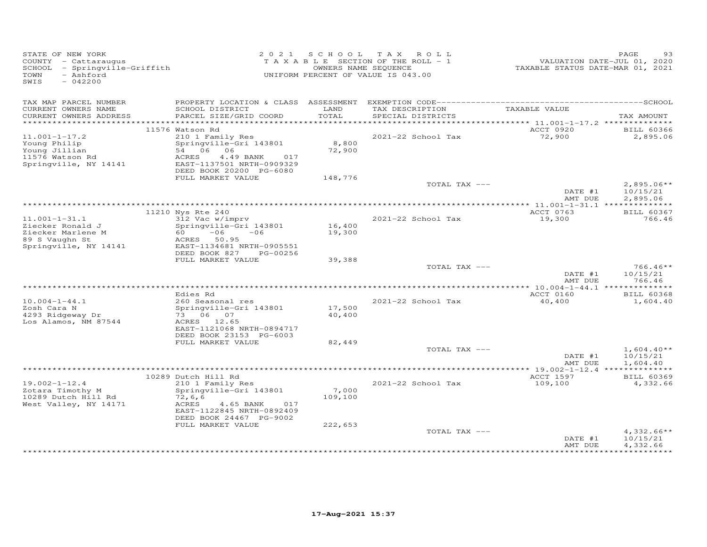| STATE OF NEW YORK<br>COUNTY - Cattaraugus<br>SCHOOL - Springville-Griffith<br>- Ashford<br>TOWN<br>$-042200$<br>SWIS |                                                        |               | 2021 SCHOOL TAX ROLL<br>TAXABLE SECTION OF THE ROLL - 1<br>OWNERS NAME SEQUENCE<br>UNIFORM PERCENT OF VALUE IS 043.00 | VALUATION DATE-JUL 01, 2020<br>TAXABLE STATUS DATE-MAR 01, 2021 | PAGE<br>93           |
|----------------------------------------------------------------------------------------------------------------------|--------------------------------------------------------|---------------|-----------------------------------------------------------------------------------------------------------------------|-----------------------------------------------------------------|----------------------|
| TAX MAP PARCEL NUMBER<br>CURRENT OWNERS NAME                                                                         | SCHOOL DISTRICT                                        | LAND<br>TOTAL | TAX DESCRIPTION TAXABLE VALUE<br>SPECIAL DISTRICTS                                                                    |                                                                 |                      |
| CURRENT OWNERS ADDRESS                                                                                               | PARCEL SIZE/GRID COORD                                 |               |                                                                                                                       |                                                                 | TAX AMOUNT           |
|                                                                                                                      | 11576 Watson Rd                                        |               |                                                                                                                       | ACCT 0920                                                       | <b>BILL 60366</b>    |
| $11.001 - 1 - 17.2$                                                                                                  | 210 1 Family Res                                       |               | 2021-22 School Tax                                                                                                    | 72,900                                                          | 2,895.06             |
| Young Philip                                                                                                         | Springville-Gri 143801                                 | 8,800         |                                                                                                                       |                                                                 |                      |
| Young Jillian                                                                                                        | 54 06 06                                               | 72,900        |                                                                                                                       |                                                                 |                      |
| 11576 Watson Rd<br>Springville, NY 14141                                                                             | ACRES<br>4.49 BANK<br>017<br>EAST-1137501 NRTH-0909329 |               |                                                                                                                       |                                                                 |                      |
|                                                                                                                      | DEED BOOK 20200 PG-6080                                |               |                                                                                                                       |                                                                 |                      |
|                                                                                                                      | FULL MARKET VALUE                                      | 148,776       |                                                                                                                       |                                                                 |                      |
|                                                                                                                      |                                                        |               | TOTAL TAX ---                                                                                                         |                                                                 | $2,895.06**$         |
|                                                                                                                      |                                                        |               |                                                                                                                       | DATE #1                                                         | 10/15/21             |
|                                                                                                                      |                                                        |               |                                                                                                                       | AMT DUE                                                         | 2,895.06             |
|                                                                                                                      | 11210 Nys Rte 240                                      |               |                                                                                                                       | ACCT 0763                                                       | <b>BILL 60367</b>    |
| $11.001 - 1 - 31.1$                                                                                                  | 312 Vac w/imprv                                        |               | 2021-22 School Tax                                                                                                    | 19,300                                                          | 766.46               |
| Ziecker Ronald J                                                                                                     | Springville-Gri 143801                                 | 16,400        |                                                                                                                       |                                                                 |                      |
| Ziecker Marlene M                                                                                                    | $60 -06 -06$                                           | 19,300        |                                                                                                                       |                                                                 |                      |
| 89 S Vaughn St<br>Springville, NY 14141                                                                              | ACRES 50.95<br>EAST-1134681 NRTH-0905551               |               |                                                                                                                       |                                                                 |                      |
|                                                                                                                      | DEED BOOK 827<br>PG-00256                              |               |                                                                                                                       |                                                                 |                      |
|                                                                                                                      | FULL MARKET VALUE                                      | 39,388        |                                                                                                                       |                                                                 |                      |
|                                                                                                                      |                                                        |               | TOTAL TAX ---                                                                                                         |                                                                 | $766.46**$           |
|                                                                                                                      |                                                        |               |                                                                                                                       | DATE #1                                                         | 10/15/21             |
|                                                                                                                      |                                                        |               |                                                                                                                       | AMT DUE                                                         | 766.46               |
|                                                                                                                      | Edies Rd                                               |               |                                                                                                                       | ACCT 0160                                                       | <b>BILL 60368</b>    |
| $10.004 - 1 - 44.1$                                                                                                  | 260 Seasonal res                                       |               | 2021-22 School Tax                                                                                                    | 40,400                                                          | 1,604.40             |
| Zosh Cara N                                                                                                          | Springville-Gri 143801                                 | 17,500        |                                                                                                                       |                                                                 |                      |
| 4293 Ridgeway Dr<br>Los Alamos, NM 87544                                                                             | 73 06 07                                               | 40,400        |                                                                                                                       |                                                                 |                      |
|                                                                                                                      | ACRES 12.65<br>EAST-1121068 NRTH-0894717               |               |                                                                                                                       |                                                                 |                      |
|                                                                                                                      | DEED BOOK 23153 PG-6003                                |               |                                                                                                                       |                                                                 |                      |
|                                                                                                                      | FULL MARKET VALUE                                      | 82,449        |                                                                                                                       |                                                                 |                      |
|                                                                                                                      |                                                        |               | TOTAL TAX ---                                                                                                         |                                                                 | $1,604.40**$         |
|                                                                                                                      |                                                        |               |                                                                                                                       | DATE #1<br>AMT DUE                                              | 10/15/21<br>1,604.40 |
|                                                                                                                      |                                                        |               |                                                                                                                       |                                                                 |                      |
|                                                                                                                      | 10289 Dutch Hill Rd                                    |               |                                                                                                                       | ACCT 1597                                                       | <b>BILL 60369</b>    |
| $19.002 - 1 - 12.4$                                                                                                  | 210 1 Family Res                                       |               | 2021-22 School Tax                                                                                                    | 109,100                                                         | 4,332.66             |
| Zotara Timothy M                                                                                                     | Springville-Gri 143801                                 | 7,000         |                                                                                                                       |                                                                 |                      |
| 10289 Dutch Hill Rd<br>West Valley, NY 14171                                                                         | 72, 6, 6<br>ACRES<br>4.65 BANK<br>017                  | 109,100       |                                                                                                                       |                                                                 |                      |
|                                                                                                                      | EAST-1122845 NRTH-0892409                              |               |                                                                                                                       |                                                                 |                      |
|                                                                                                                      | DEED BOOK 24467 PG-9002                                |               |                                                                                                                       |                                                                 |                      |
|                                                                                                                      | FULL MARKET VALUE                                      | 222,653       |                                                                                                                       |                                                                 |                      |
|                                                                                                                      |                                                        |               | TOTAL TAX ---                                                                                                         |                                                                 | $4,332.66**$         |
|                                                                                                                      |                                                        |               |                                                                                                                       | DATE #1<br>AMT DUE                                              | 10/15/21<br>4,332.66 |
|                                                                                                                      |                                                        |               |                                                                                                                       |                                                                 |                      |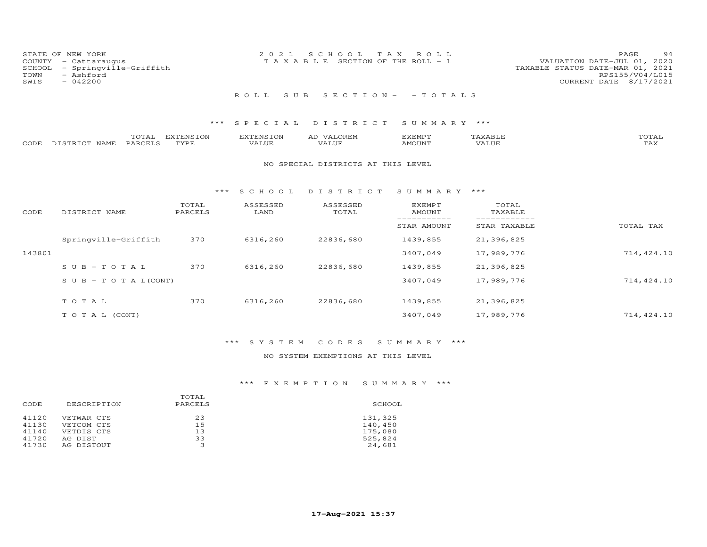| STATE OF NEW YORK<br>COUNTY - Cattaraugus<br>SCHOOL - Springville-Griffith<br>TOWN<br>- Ashford<br>SWIS<br>$-042200$ | 2021 SCHOOL TAX ROLL<br>T A X A B L E SECTION OF THE ROLL - 1 | 94<br><b>PAGE</b><br>VALUATION DATE-JUL 01, 2020<br>TAXABLE STATUS DATE-MAR 01, 2021<br>RPS155/V04/L015<br>CURRENT DATE 8/17/2021 |
|----------------------------------------------------------------------------------------------------------------------|---------------------------------------------------------------|-----------------------------------------------------------------------------------------------------------------------------------|
|                                                                                                                      | ROLL SUB SECTION- -TOTALS                                     |                                                                                                                                   |

## \*\*\* S P E C I A L D I S T R I C T S U M M A R Y \*\*\*

|      |                 | TOTAL   | EXTENSION | EXTENSION | <b>VALOREM</b><br>AD | EXEMPT        | "AXABI | TOTAL        |
|------|-----------------|---------|-----------|-----------|----------------------|---------------|--------|--------------|
| CODE | : DISTRICT NAME | PARCELS | TYPE      | VALUE     | VALUE                | <b>AMOUNT</b> |        | ጥአህ<br>1 AX. |

#### NO SPECIAL DISTRICTS AT THIS LEVEL

#### \*\*\* S C H O O L D I S T R I C T S U M M A R Y \*\*\*

| CODE   | DISTRICT NAME                    | TOTAL<br>PARCELS | ASSESSED<br>LAND | ASSESSED<br>TOTAL | <b>EXEMPT</b><br><b>AMOUNT</b> | TOTAL<br>TAXABLE |            |
|--------|----------------------------------|------------------|------------------|-------------------|--------------------------------|------------------|------------|
|        |                                  |                  |                  |                   | STAR AMOUNT                    | STAR TAXABLE     | TOTAL TAX  |
|        | Springville-Griffith             | 370              | 6316,260         | 22836,680         | 1439,855                       | 21,396,825       |            |
| 143801 |                                  |                  |                  |                   | 3407,049                       | 17,989,776       | 714,424.10 |
|        | $SUB - TO T AL$                  | 370              | 6316,260         | 22836,680         | 1439,855                       | 21,396,825       |            |
|        | $S \cup B - T \cup T A L (CONT)$ |                  |                  |                   | 3407,049                       | 17,989,776       | 714,424.10 |
|        | TOTAL                            | 370              | 6316,260         | 22836,680         | 1439,855                       | 21,396,825       |            |
|        | T O T A L (CONT)                 |                  |                  |                   | 3407,049                       | 17,989,776       | 714,424.10 |

# \*\*\* S Y S T E M C O D E S S U M M A R Y \*\*\*

## NO SYSTEM EXEMPTIONS AT THIS LEVEL

## \*\*\* E X E M P T I O N S U M M A R Y \*\*\*

| DESCRIPTION | PARCELS | SCHOOL  |
|-------------|---------|---------|
| VETWAR CTS  | 23      | 131,325 |
| VETCOM CTS  | 15      | 140,450 |
| VETDIS CTS  | 13      | 175,080 |
| AG DIST     | 33      | 525,824 |
| AG DISTOUT  |         | 24,681  |
|             |         | TOTAL   |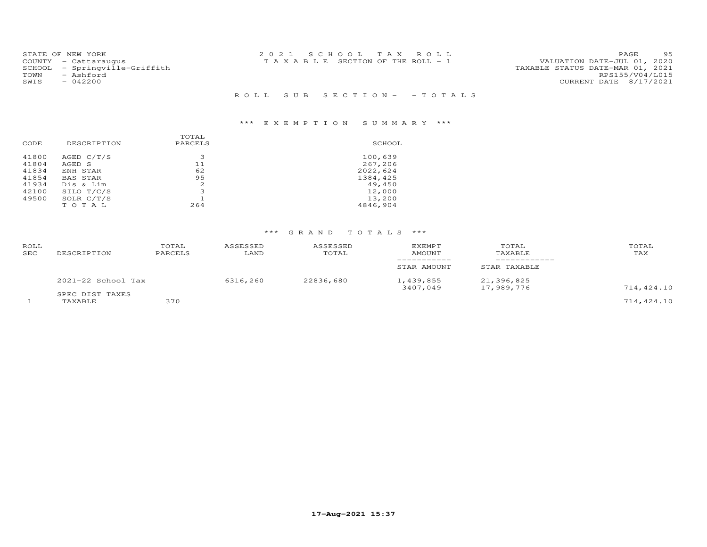|      | STATE OF NEW YORK             | 2021 SCHOOL TAX ROLL                  | 95<br>PAGE                  |
|------|-------------------------------|---------------------------------------|-----------------------------|
|      | COUNTY - Cattaraugus          | T A X A B L E SECTION OF THE ROLL - 1 | VALUATION DATE-JUL 01, 2020 |
|      | SCHOOL - Springville-Griffith | TAXABLE STATUS DATE-MAR 01, 2021      |                             |
| TOWN | - Ashford                     |                                       | RPS155/V04/L015             |
| SWIS | $-042200$                     |                                       | CURRENT DATE 8/17/2021      |
|      |                               |                                       |                             |
|      |                               | ROLL SUB SECTION- - TOTALS            |                             |

# \*\*\* E X E M P T I O N S U M M A R Y \*\*\*

| CODE  | DESCRIPTION  | TOTAL<br>PARCELS | SCHOOL   |
|-------|--------------|------------------|----------|
| 41800 | AGED C/T/S   | 3                | 100,639  |
| 41804 | AGED S       | 11               | 267,206  |
| 41834 | ENH STAR     | 62               | 2022,624 |
| 41854 | BAS STAR     | 9.5              | 1384,425 |
| 41934 | Dis & Lim    | 2.               | 49,450   |
| 42100 | SILO T/C/S   | 3                | 12,000   |
| 49500 | SOLR $C/T/S$ |                  | 13,200   |
|       | TOTAL        | 264              | 4846,904 |

# \*\*\* G R A N D T O T A L S \*\*\*

| ROLL<br><b>SEC</b> | DESCRIPTION                | TOTAL<br>PARCELS | ASSESSED<br>LAND | ASSESSED<br>TOTAL | <b>EXEMPT</b><br>AMOUNT | TOTAL<br>TAXABLE         | TOTAL<br>TAX |
|--------------------|----------------------------|------------------|------------------|-------------------|-------------------------|--------------------------|--------------|
|                    |                            |                  |                  |                   | STAR AMOUNT             | STAR TAXABLE             |              |
|                    | $2021-22$ School Tax       |                  | 6316,260         | 22836,680         | 1,439,855<br>3407,049   | 21,396,825<br>17,989,776 | 714,424.10   |
|                    | SPEC DIST TAXES<br>TAXABLE | 370              |                  |                   |                         |                          | 714,424.10   |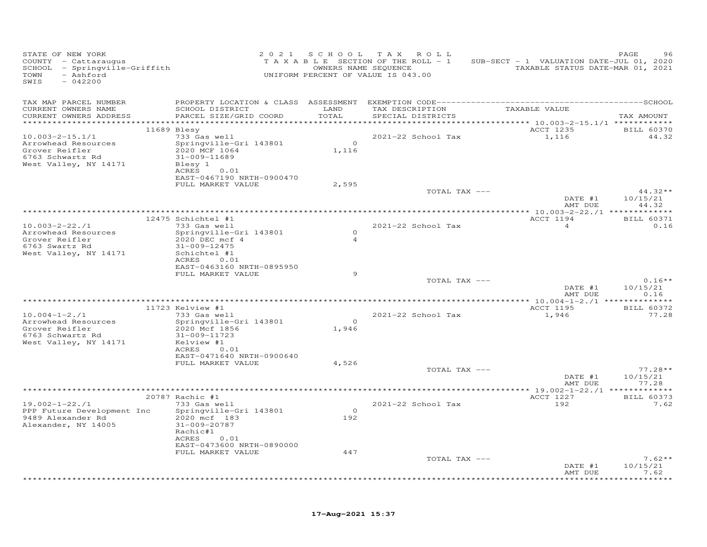| STATE OF NEW YORK<br>COUNTY - Cattaraugus<br>SCHOOL - Springville-Griffith<br>TOWN<br>- Ashford<br>SWIS<br>$-042200$ |                                                                                                                                                             | 2021 SCHOOL                     | TAX ROLL<br>TAXABLE SECTION OF THE ROLL - 1<br>OWNERS NAME SEQUENCE<br>UNIFORM PERCENT OF VALUE IS 043.00 | SUB-SECT - 1 VALUATION DATE-JUL 01, 2020<br>TAXABLE STATUS DATE-MAR 01, 2021 | PAGE                         |
|----------------------------------------------------------------------------------------------------------------------|-------------------------------------------------------------------------------------------------------------------------------------------------------------|---------------------------------|-----------------------------------------------------------------------------------------------------------|------------------------------------------------------------------------------|------------------------------|
| TAX MAP PARCEL NUMBER<br>CURRENT OWNERS NAME<br>CURRENT OWNERS ADDRESS<br>***********************                    | SCHOOL DISTRICT<br>PARCEL SIZE/GRID COORD<br>*****************************                                                                                  | LAND<br>TOTAL<br>************** | TAX DESCRIPTION<br>SPECIAL DISTRICTS                                                                      | TAXABLE VALUE                                                                | TAX AMOUNT                   |
| $10.003 - 2 - 15.1/1$<br>Arrowhead Resources<br>Grover Reifler<br>6763 Schwartz Rd<br>West Valley, NY 14171          | $11689$ Blesy<br>733 Gas well<br>Springville-Gri 143801<br>2020 MCF 1064<br>31-009-11689<br>Blesy 1<br>ACRES<br>0.01<br>EAST-0467190 NRTH-0900470           | $\Omega$<br>1,116               | 2021-22 School Tax                                                                                        | ACCT 1235<br>1,116                                                           | <b>BILL 60370</b><br>44.32   |
|                                                                                                                      | FULL MARKET VALUE                                                                                                                                           | 2,595                           | TOTAL TAX ---                                                                                             | DATE #1                                                                      | $44.32**$<br>10/15/21        |
|                                                                                                                      | 12475 Schichtel #1                                                                                                                                          |                                 | *****************************                                                                             | AMT DUE<br>*** 10.003-2-22./1 *************<br>ACCT 1194                     | 44.32<br><b>BILL 60371</b>   |
| $10.003 - 2 - 22.1$<br>Arrowhead Resources<br>Grover Reifler<br>6763 Swartz Rd<br>West Valley, NY 14171              | 733 Gas well<br>Springville-Gri 143801<br>2020 DEC mcf 4<br>31-009-12475<br>Schichtel #1<br>ACRES<br>0.01<br>EAST-0463160 NRTH-0895950<br>FULL MARKET VALUE | $\Omega$<br>$\overline{4}$<br>9 | 2021-22 School Tax                                                                                        | $\overline{4}$                                                               | 0.16                         |
|                                                                                                                      |                                                                                                                                                             |                                 | TOTAL TAX ---                                                                                             | DATE #1<br>AMT DUE                                                           | $0.16**$<br>10/15/21<br>0.16 |
|                                                                                                                      |                                                                                                                                                             |                                 | ************************************                                                                      | ******* 10.004-1-2./1 ****                                                   |                              |
| $10.004 - 1 - 2.71$<br>Arrowhead Resources<br>Grover Reifler<br>6763 Schwartz Rd<br>West Valley, NY 14171            | 11723 Kelview #1<br>733 Gas well<br>Springville-Gri 143801<br>2020 Mcf 1856<br>31-009-11723<br>Kelview #1<br>0.01<br>ACRES                                  | $\Omega$<br>1,946               | 2021-22 School Tax                                                                                        | ACCT 1195<br>1,946                                                           | <b>BILL 60372</b><br>77.28   |
|                                                                                                                      | EAST-0471640 NRTH-0900640<br>FULL MARKET VALUE                                                                                                              | 4,526                           | TOTAL TAX ---                                                                                             | DATE #1                                                                      | $77.28**$<br>10/15/21        |
|                                                                                                                      |                                                                                                                                                             |                                 |                                                                                                           | AMT DUE                                                                      | 77.28                        |
|                                                                                                                      | 20787 Rachic #1                                                                                                                                             |                                 |                                                                                                           | ACCT 1227                                                                    | BILL 60373                   |
| $19.002 - 1 - 22.1$<br>PPP Future Development Inc<br>9489 Alexander Rd<br>Alexander, NY 14005                        | 733 Gas well<br>Springville-Gri 143801<br>2020 mcf 183<br>31-009-20787<br>Rachic#1<br>0.01<br>ACRES<br>EAST-0473600 NRTH-0890000                            | $\Omega$<br>192                 | 2021-22 School Tax                                                                                        | 192                                                                          | 7.62                         |
|                                                                                                                      | FULL MARKET VALUE                                                                                                                                           | 447                             |                                                                                                           |                                                                              |                              |
|                                                                                                                      |                                                                                                                                                             |                                 | TOTAL TAX ---                                                                                             | DATE #1<br>AMT DUE                                                           | $7.62**$<br>10/15/21<br>7.62 |
|                                                                                                                      |                                                                                                                                                             |                                 |                                                                                                           |                                                                              |                              |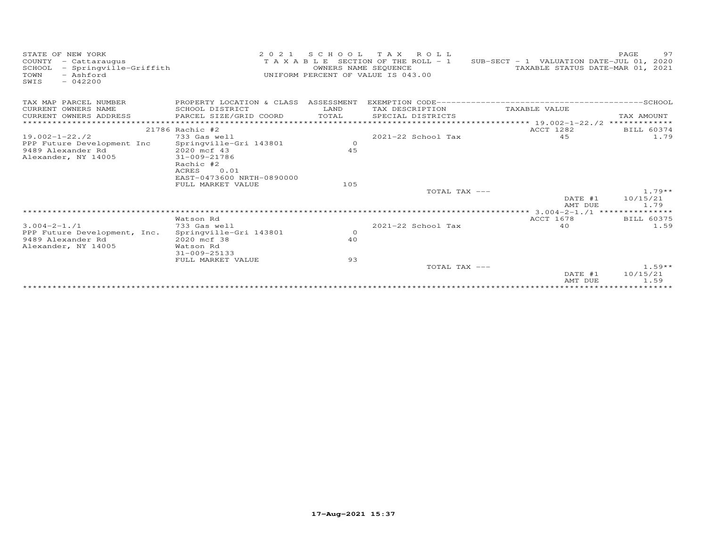| STATE OF NEW YORK<br>COUNTY<br>- Cattaraugus<br>- Springville-Griffith<br>SCHOOL<br>- Ashford<br>TOWN<br>$-042200$<br>SWIS | 2 0 2 1                                | SCHOOL<br>OWNERS NAME SEQUENCE | TAX ROLL<br>T A X A B L E SECTION OF THE ROLL - 1<br>UNIFORM PERCENT OF VALUE IS 043.00 | SUB-SECT - 1 VALUATION DATE-JUL 01, 2020<br>TAXABLE STATUS DATE-MAR 01, 2021 | 97<br>PAGE        |
|----------------------------------------------------------------------------------------------------------------------------|----------------------------------------|--------------------------------|-----------------------------------------------------------------------------------------|------------------------------------------------------------------------------|-------------------|
| TAX MAP PARCEL NUMBER                                                                                                      | PROPERTY LOCATION & CLASS ASSESSMENT   |                                |                                                                                         |                                                                              |                   |
| CURRENT OWNERS NAME                                                                                                        | SCHOOL DISTRICT                        | LAND                           | TAX DESCRIPTION                                                                         | TAXABLE VALUE                                                                |                   |
| CURRENT OWNERS ADDRESS                                                                                                     | PARCEL SIZE/GRID COORD                 | TOTAL                          | SPECIAL DISTRICTS                                                                       |                                                                              | TAX AMOUNT        |
|                                                                                                                            |                                        |                                |                                                                                         | $***************19.002-1-22.72*************$                                 |                   |
|                                                                                                                            | 21786 Rachic #2                        |                                |                                                                                         | ACCT 1282                                                                    | BILL 60374        |
| $19.002 - 1 - 22.72$<br>PPP Future Development Inc                                                                         | 733 Gas well<br>Springville-Gri 143801 | $\circ$                        | 2021-22 School Tax                                                                      | 45                                                                           | 1.79              |
| 9489 Alexander Rd                                                                                                          | 2020 mcf 43                            | 45                             |                                                                                         |                                                                              |                   |
| Alexander, NY 14005                                                                                                        | 31-009-21786                           |                                |                                                                                         |                                                                              |                   |
|                                                                                                                            | Rachic #2                              |                                |                                                                                         |                                                                              |                   |
|                                                                                                                            | 0.01<br>ACRES                          |                                |                                                                                         |                                                                              |                   |
|                                                                                                                            | EAST-0473600 NRTH-0890000              |                                |                                                                                         |                                                                              |                   |
|                                                                                                                            | FULL MARKET VALUE                      | 105                            |                                                                                         |                                                                              |                   |
|                                                                                                                            |                                        |                                | TOTAL TAX ---                                                                           |                                                                              | $1.79**$          |
|                                                                                                                            |                                        |                                |                                                                                         | DATE #1<br>AMT DUE                                                           | 10/15/21<br>1.79  |
|                                                                                                                            |                                        |                                |                                                                                         |                                                                              |                   |
|                                                                                                                            | Watson Rd                              |                                |                                                                                         | ACCT 1678                                                                    | <b>BILL 60375</b> |
| $3.004 - 2 - 1.71$                                                                                                         | 733 Gas well                           |                                | 2021-22 School Tax                                                                      | 4 O                                                                          | 1.59              |
| PPP Future Development, Inc.                                                                                               | Springville-Gri 143801                 | $\circ$                        |                                                                                         |                                                                              |                   |
| 9489 Alexander Rd                                                                                                          | 2020 mcf 38                            | 40                             |                                                                                         |                                                                              |                   |
| Alexander, NY 14005                                                                                                        | Watson Rd<br>31-009-25133              |                                |                                                                                         |                                                                              |                   |
|                                                                                                                            | FULL MARKET VALUE                      | 93                             |                                                                                         |                                                                              |                   |
|                                                                                                                            |                                        |                                | TOTAL TAX ---                                                                           |                                                                              | $1.59**$          |
|                                                                                                                            |                                        |                                |                                                                                         | DATE #1                                                                      | 10/15/21          |
|                                                                                                                            |                                        |                                |                                                                                         | AMT DUE                                                                      | 1.59              |
|                                                                                                                            |                                        |                                |                                                                                         |                                                                              |                   |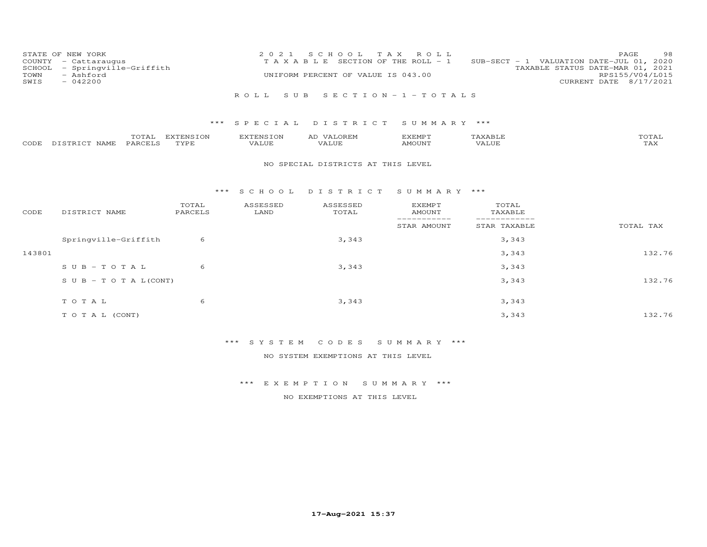| COUNTY<br>SCHOOL<br>TOWN<br>SWIS | STATE OF NEW YORK<br>- Cattaraugus<br>- Springville-Griffith<br>- Ashford<br>$-042200$ |                   | 2 0 2 1<br>TAXABLE               | S C H O O L<br>UNIFORM PERCENT OF VALUE IS 043.00 | T A X<br>ROLL<br>SECTION OF THE ROLL - 1 |                         | 98<br>PAGE<br>SUB-SECT - 1 VALUATION DATE-JUL 01, 2020<br>TAXABLE STATUS DATE-MAR 01, 2021<br>RPS155/V04/L015<br>CURRENT DATE 8/17/2021 |
|----------------------------------|----------------------------------------------------------------------------------------|-------------------|----------------------------------|---------------------------------------------------|------------------------------------------|-------------------------|-----------------------------------------------------------------------------------------------------------------------------------------|
|                                  |                                                                                        |                   | ROLL.<br>SUB                     |                                                   | SECTION - $1$ - TOTALS                   |                         |                                                                                                                                         |
|                                  |                                                                                        | ***               | SPECIAL                          | DISTRICT                                          | SUMMARY ***                              |                         |                                                                                                                                         |
| CODE                             | TOTAL<br>PARCELS<br>DISTRICT NAME                                                      | EXTENSION<br>TYPE | <b>EXTENSION</b><br><b>VALUE</b> | AD VALOREM<br>VALUE                               | <b>EXEMPT</b><br><b>AMOUNT</b>           | TAXABLE<br><b>VALUE</b> | TOTAL<br>TAX                                                                                                                            |
|                                  |                                                                                        |                   |                                  | NO SPECIAL DISTRICTS AT THIS LEVEL                |                                          |                         |                                                                                                                                         |
|                                  |                                                                                        | $***$             | SCHOOL                           | DISTRICT                                          | SUMMARY ***                              |                         |                                                                                                                                         |
| CODE                             | DISTRICT NAME                                                                          | TOTAL<br>PARCELS  | ASSESSED<br>LAND                 | ASSESSED<br>TOTAL                                 | <b>EXEMPT</b><br><b>AMOUNT</b>           | TOTAL<br>TAXABLE        |                                                                                                                                         |
|                                  |                                                                                        |                   |                                  |                                                   | -----------<br>STAR AMOUNT               | STAR TAXABLE            | TOTAL TAX                                                                                                                               |
|                                  | Springville-Griffith                                                                   | 6                 |                                  | 3,343                                             |                                          | 3,343                   |                                                                                                                                         |
| 143801                           |                                                                                        |                   |                                  |                                                   |                                          | 3,343                   | 132.76                                                                                                                                  |
|                                  | $SUB - TO T AL$                                                                        | 6                 |                                  | 3,343                                             |                                          | 3,343                   |                                                                                                                                         |
|                                  | $S \cup B - T \cup T A L (CONT)$                                                       |                   |                                  |                                                   |                                          | 3,343                   | 132.76                                                                                                                                  |
|                                  | TOTAL                                                                                  | 6                 |                                  | 3,343                                             |                                          | 3,343                   |                                                                                                                                         |
|                                  | TO TAL (CONT)                                                                          |                   |                                  |                                                   |                                          | 3,343                   | 132.76                                                                                                                                  |

\*\*\* S Y S T E M C O D E S S U M M A R Y \*\*\*

NO SYSTEM EXEMPTIONS AT THIS LEVEL

\*\*\* E X E M P T I O N S U M M A R Y \*\*\*

NO EXEMPTIONS AT THIS LEVEL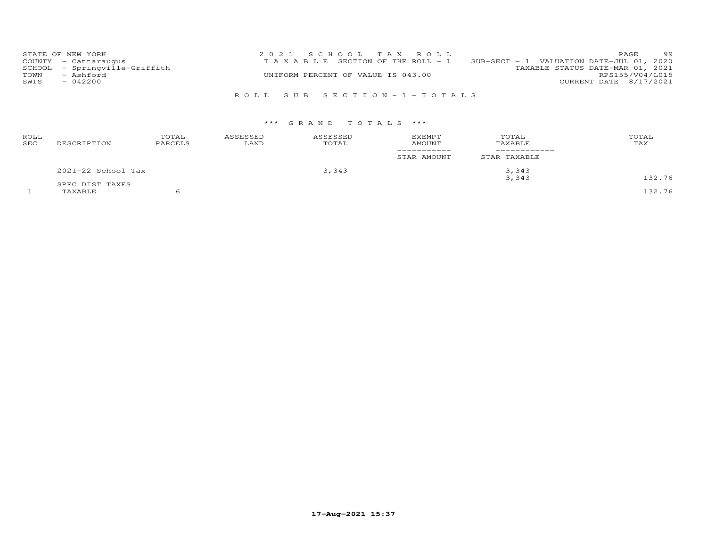| STATE OF NEW YORK             | 2021 SCHOOL TAX ROLL                  |                                               | PAGE.                  | 99 |
|-------------------------------|---------------------------------------|-----------------------------------------------|------------------------|----|
| COUNTY - Cattaraugus          | T A X A B L E SECTION OF THE ROLL - 1 | $SUB-SECTION - 1$ VALUATION DATE-JUL 01, 2020 |                        |    |
| SCHOOL - Springville-Griffith |                                       | TAXABLE STATUS DATE-MAR 01, 2021              |                        |    |
| TOWN<br>- Ashford             | UNIFORM PERCENT OF VALUE IS 043.00    |                                               | RPS155/V04/L015        |    |
| SWIS<br>$-042200$             |                                       |                                               | CURRENT DATE 8/17/2021 |    |
|                               |                                       |                                               |                        |    |

# R O L L S U B S E C T I O N - 1 - T O T A L S

## \*\*\* G R A N D T O T A L S \*\*\*

| ROLL<br>SEC | DESCRIPTION        | TOTAL<br>PARCELS | ASSESSED<br>LAND | ASSESSED<br>TOTAL | <b>EXEMPT</b><br>AMOUNT | TOTAL<br>TAXABLE | TOTAL<br>TAX |
|-------------|--------------------|------------------|------------------|-------------------|-------------------------|------------------|--------------|
|             |                    |                  |                  |                   | STAR AMOUNT             | STAR TAXABLE     |              |
|             | 2021-22 School Tax |                  |                  | 3,343             |                         | 3,343            |              |
|             | SPEC DIST TAXES    |                  |                  |                   |                         | 3,343            | 132.76       |
|             | TAXABLE            |                  |                  |                   |                         |                  | 132.76       |

**17-Aug-2021 15:37**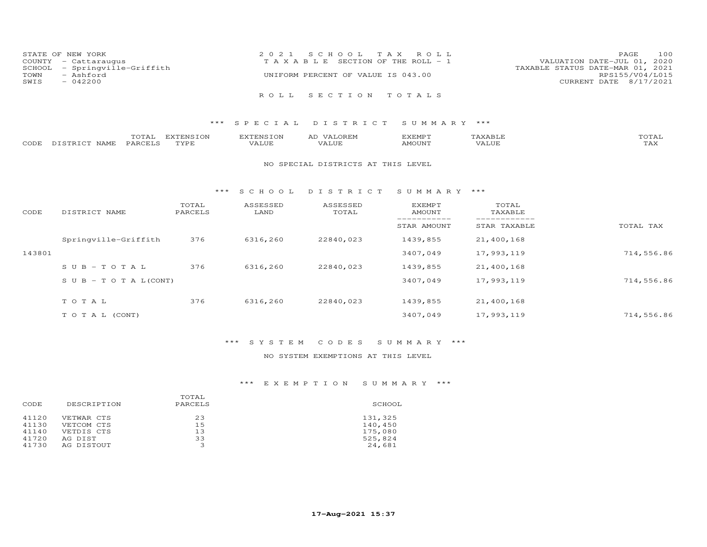| STATE OF NEW YORK             | 2021 SCHOOL TAX ROLL                  | 100<br>PAGE                      |
|-------------------------------|---------------------------------------|----------------------------------|
| COUNTY - Cattaraugus          | T A X A B L E SECTION OF THE ROLL - 1 | VALUATION DATE-JUL 01, 2020      |
| SCHOOL - Springville-Griffith |                                       | TAXABLE STATUS DATE-MAR 01, 2021 |
| - Ashford<br>TOWN             | UNIFORM PERCENT OF VALUE IS 043.00    | RPS155/V04/L015                  |
| $-042200$<br>SWIS             |                                       | CURRENT DATE 8/17/2021           |
|                               | ROLL SECTION TOTALS                   |                                  |

## \*\*\* S P E C I A L D I S T R I C T S U M M A R Y \*\*\*

|      |                  | $- - -$<br>.uial | <b>DVPDNCTOM</b><br>" HINS. | <b>EXTENSION</b>            | <b>OREM</b><br>AD     | דסאקצי<br><b>"ALM</b> | 8 X 8 1 1 1 1 | TOTAI               |
|------|------------------|------------------|-----------------------------|-----------------------------|-----------------------|-----------------------|---------------|---------------------|
| CODE | DISTRICT<br>NAME | PARCELS          | <b>TYPE</b>                 | -- - - <i>-</i> -<br>'A LUT | $- - - - - -$<br>תשבמ | AMOUNT                |               | $m \times r$<br>⊥冖⌒ |

## NO SPECIAL DISTRICTS AT THIS LEVEL

#### \*\*\* S C H O O L D I S T R I C T S U M M A R Y \*\*\*

| CODE   | DISTRICT NAME                    | TOTAL<br>PARCELS | ASSESSED<br>LAND | ASSESSED<br>TOTAL | <b>EXEMPT</b><br><b>AMOUNT</b> | TOTAL<br>TAXABLE |            |
|--------|----------------------------------|------------------|------------------|-------------------|--------------------------------|------------------|------------|
|        |                                  |                  |                  |                   | STAR AMOUNT                    | STAR TAXABLE     | TOTAL TAX  |
|        | Springville-Griffith             | 376              | 6316,260         | 22840,023         | 1439,855                       | 21,400,168       |            |
| 143801 |                                  |                  |                  |                   | 3407,049                       | 17,993,119       | 714,556.86 |
|        | $SUB - TO T AL$                  | 376              | 6316,260         | 22840,023         | 1439,855                       | 21,400,168       |            |
|        | $S \cup B - T \cup T A L (CONT)$ |                  |                  |                   | 3407,049                       | 17,993,119       | 714,556.86 |
|        | TOTAL                            | 376              | 6316,260         | 22840,023         | 1439,855                       | 21,400,168       |            |
|        | T O T A L (CONT)                 |                  |                  |                   | 3407,049                       | 17,993,119       | 714,556.86 |

# \*\*\* S Y S T E M C O D E S S U M M A R Y \*\*\*

## NO SYSTEM EXEMPTIONS AT THIS LEVEL

## \*\*\* E X E M P T I O N S U M M A R Y \*\*\*

| DESCRIPTION | TOTAL<br>PARCELS | SCHOOL  |
|-------------|------------------|---------|
| VETWAR CTS  | 23               | 131,325 |
| VETCOM CTS  | 15               | 140,450 |
| VETDIS CTS  | 13               | 175,080 |
| AG DIST     | 33               | 525,824 |
| AG DISTOUT  |                  | 24,681  |
|             |                  |         |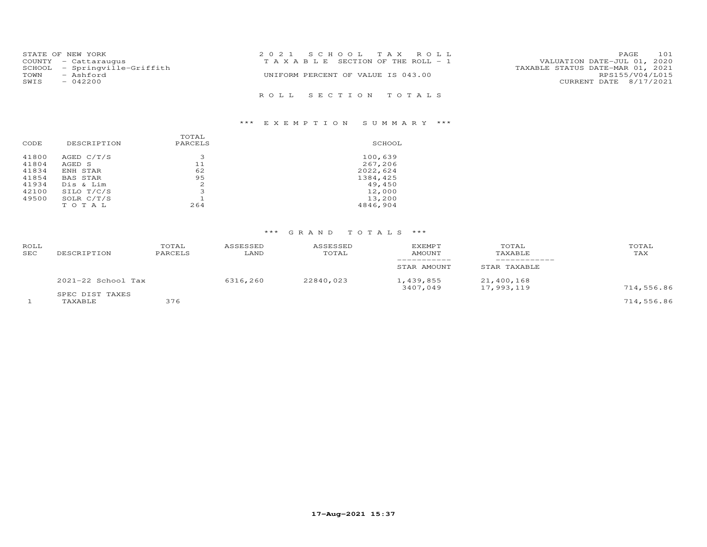| STATE OF NEW YORK |                               | 2021 SCHOOL TAX ROLL                  | 101<br>PAGE                      |
|-------------------|-------------------------------|---------------------------------------|----------------------------------|
|                   | COUNTY - Cattaraugus          | T A X A B L E SECTION OF THE ROLL - 1 | VALUATION DATE-JUL 01, 2020      |
|                   | SCHOOL - Springville-Griffith |                                       | TAXABLE STATUS DATE-MAR 01, 2021 |
| TOWN              | - Ashford                     | UNIFORM PERCENT OF VALUE IS 043.00    | RPS155/V04/L015                  |
| SWIS              | $-042200$                     |                                       | CURRENT DATE 8/17/2021           |
|                   |                               |                                       |                                  |
|                   |                               | ROLL SECTION TOTALS                   |                                  |

# \*\*\* E X E M P T I O N S U M M A R Y \*\*\*

| CODE  | DESCRIPTION  | TOTAL<br>PARCELS | SCHOOL   |
|-------|--------------|------------------|----------|
|       |              |                  |          |
| 41800 | AGED C/T/S   | 3                | 100,639  |
| 41804 | AGED S       | 11               | 267,206  |
| 41834 | ENH STAR     | 62               | 2022,624 |
| 41854 | BAS STAR     | 95               | 1384,425 |
| 41934 | Dis & Lim    | 2                | 49,450   |
| 42100 | SILO T/C/S   | 3                | 12,000   |
| 49500 | SOLR $C/T/S$ |                  | 13,200   |
|       | TOTAL        | 264              | 4846,904 |

# \*\*\* G R A N D T O T A L S \*\*\*

| ROLL<br>SEC | DESCRIPTION                | TOTAL<br>PARCELS | ASSESSED<br>LAND | ASSESSED<br>TOTAL | <b>EXEMPT</b><br>AMOUNT | TOTAL<br>TAXABLE         | TOTAL<br>TAX |
|-------------|----------------------------|------------------|------------------|-------------------|-------------------------|--------------------------|--------------|
|             |                            |                  |                  |                   | STAR AMOUNT             | STAR TAXABLE             |              |
|             | $2021-22$ School Tax       |                  | 6316,260         | 22840,023         | 1,439,855<br>3407,049   | 21,400,168<br>17,993,119 | 714,556.86   |
|             | SPEC DIST TAXES<br>TAXABLE | 376              |                  |                   |                         |                          | 714,556.86   |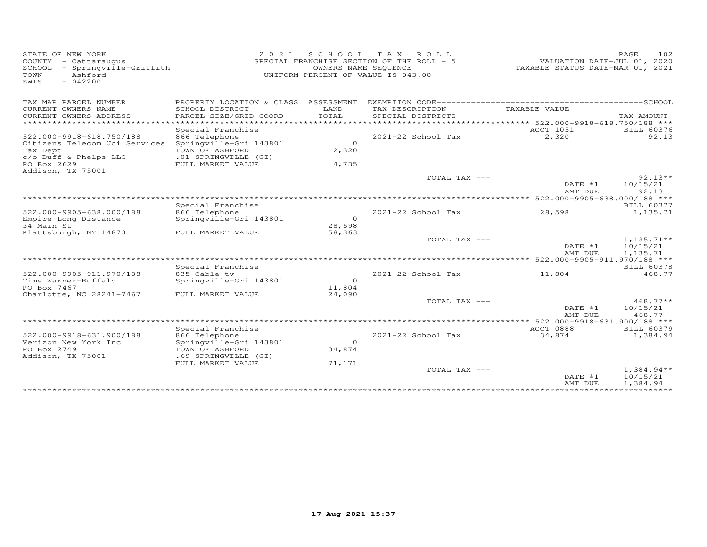| STATE OF NEW YORK<br>COUNTY - Cattaraugus<br>SCHOOL<br>- Springville-Griffith<br>- Ashford<br>TOWN<br>SWIS<br>$-042200$ | 2 0 2 1                                   | OWNERS NAME SEQUENCE | SCHOOL TAX ROLL<br>SPECIAL FRANCHISE SECTION OF THE ROLL - 5<br>UNIFORM PERCENT OF VALUE IS 043.00 | VALUATION DATE-JUL 01, 2020<br>TAXABLE STATUS DATE-MAR 01, 2021 | 102<br>PAGE       |
|-------------------------------------------------------------------------------------------------------------------------|-------------------------------------------|----------------------|----------------------------------------------------------------------------------------------------|-----------------------------------------------------------------|-------------------|
| TAX MAP PARCEL NUMBER                                                                                                   |                                           |                      |                                                                                                    |                                                                 |                   |
| CURRENT OWNERS NAME<br>CURRENT OWNERS ADDRESS                                                                           | SCHOOL DISTRICT<br>PARCEL SIZE/GRID COORD | LAND<br>TOTAL        | TAX DESCRIPTION<br>SPECIAL DISTRICTS                                                               | TAXABLE VALUE                                                   | TAX AMOUNT        |
| *************************                                                                                               |                                           |                      |                                                                                                    |                                                                 |                   |
|                                                                                                                         | Special Franchise                         |                      |                                                                                                    | <b>ACCT 1051</b>                                                | <b>BILL 60376</b> |
| 522.000-9918-618.750/188                                                                                                | 866 Telephone                             |                      | 2021-22 School Tax                                                                                 | 2,320                                                           | 92.13             |
| Citizens Telecom Uci Services                                                                                           | Springville-Gri 143801                    | $\Omega$             |                                                                                                    |                                                                 |                   |
| Tax Dept                                                                                                                | TOWN OF ASHFORD                           | 2,320                |                                                                                                    |                                                                 |                   |
| c/o Duff & Phelps LLC                                                                                                   | .01 SPRINGVILLE (GI)                      |                      |                                                                                                    |                                                                 |                   |
| PO Box 2629                                                                                                             | FULL MARKET VALUE                         | 4,735                |                                                                                                    |                                                                 |                   |
| Addison, TX 75001                                                                                                       |                                           |                      |                                                                                                    |                                                                 |                   |
|                                                                                                                         |                                           |                      | TOTAL TAX ---                                                                                      |                                                                 | $92.13**$         |
|                                                                                                                         |                                           |                      |                                                                                                    | DATE #1<br>AMT DUE                                              | 10/15/21<br>92.13 |
|                                                                                                                         |                                           |                      |                                                                                                    |                                                                 |                   |
|                                                                                                                         | Special Franchise                         |                      |                                                                                                    |                                                                 | <b>BILL 60377</b> |
| 522.000-9905-638.000/188                                                                                                | 866 Telephone                             |                      | 2021-22 School Tax                                                                                 | 28,598                                                          | 1,135.71          |
| Empire Long Distance                                                                                                    | Springville-Gri 143801                    | $\Omega$             |                                                                                                    |                                                                 |                   |
| 34 Main St                                                                                                              |                                           | 28,598               |                                                                                                    |                                                                 |                   |
| Plattsburgh, NY 14873                                                                                                   | FULL MARKET VALUE                         | 58,363               |                                                                                                    |                                                                 |                   |
|                                                                                                                         |                                           |                      | TOTAL TAX ---                                                                                      |                                                                 | $1,135.71**$      |
|                                                                                                                         |                                           |                      |                                                                                                    | DATE #1                                                         | 10/15/21          |
|                                                                                                                         |                                           |                      |                                                                                                    | AMT DUE                                                         | 1,135.71          |
| ******************************                                                                                          |                                           |                      |                                                                                                    |                                                                 |                   |
|                                                                                                                         | Special Franchise                         |                      |                                                                                                    |                                                                 | <b>BILL 60378</b> |
| 522.000-9905-911.970/188                                                                                                | 835 Cable tv                              |                      | $2021 - 22$ School Tax                                                                             | 11,804                                                          | 468.77            |
| Time Warner-Buffalo                                                                                                     | Springville-Gri 143801                    | $\circ$              |                                                                                                    |                                                                 |                   |
| PO Box 7467                                                                                                             |                                           | 11,804               |                                                                                                    |                                                                 |                   |
| Charlotte, NC 28241-7467                                                                                                | FULL MARKET VALUE                         | 24,090               | TOTAL TAX ---                                                                                      |                                                                 | $468.77**$        |
|                                                                                                                         |                                           |                      |                                                                                                    | DATE #1                                                         | 10/15/21          |
|                                                                                                                         |                                           |                      |                                                                                                    | AMT DUE                                                         | 468.77            |
|                                                                                                                         |                                           |                      |                                                                                                    | *** 522.000-9918-631.900/188 ***                                |                   |
|                                                                                                                         | Special Franchise                         |                      |                                                                                                    | ACCT 0888                                                       | <b>BILL 60379</b> |
| 522.000-9918-631.900/188                                                                                                | 866 Telephone                             |                      | 2021-22 School Tax                                                                                 | 34,874                                                          | 1,384.94          |
| Verizon New York Inc                                                                                                    | Springville-Gri 143801                    | $\Omega$             |                                                                                                    |                                                                 |                   |
| PO Box 2749                                                                                                             | TOWN OF ASHFORD                           | 34,874               |                                                                                                    |                                                                 |                   |
| Addison, TX 75001                                                                                                       | .69 SPRINGVILLE (GI)                      |                      |                                                                                                    |                                                                 |                   |
|                                                                                                                         | FULL MARKET VALUE                         | 71,171               |                                                                                                    |                                                                 |                   |
|                                                                                                                         |                                           |                      | TOTAL TAX ---                                                                                      |                                                                 | $1,384.94**$      |
|                                                                                                                         |                                           |                      |                                                                                                    | DATE #1                                                         | 10/15/21          |
|                                                                                                                         |                                           |                      |                                                                                                    | AMT DUE                                                         | 1,384.94          |
|                                                                                                                         |                                           |                      |                                                                                                    |                                                                 |                   |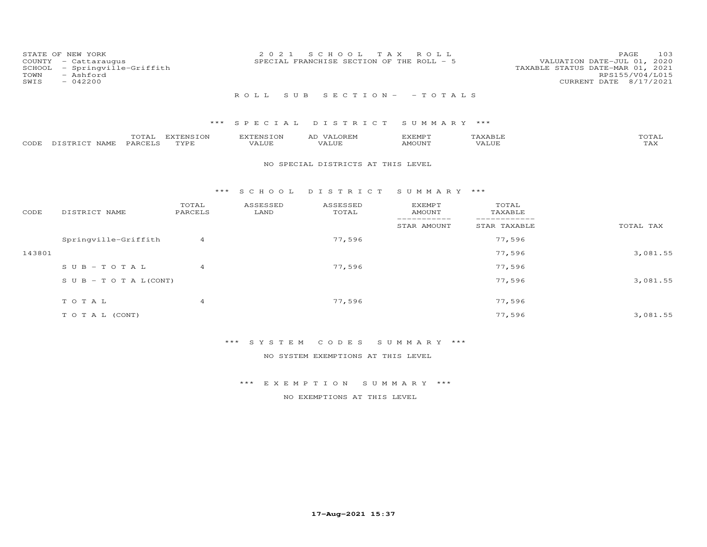| COUNTY<br>SCHOOL<br>TOWN<br>SWIS | STATE OF NEW YORK<br>- Cattaraugus<br>- Springville-Griffith<br>- Ashford<br>$-042200$ |                   | 2021                             | SCHOOL<br>SPECIAL FRANCHISE SECTION OF THE ROLL - 5 | T A X<br>R O L L                |                  | PAGE<br>103<br>VALUATION DATE-JUL 01, 2020<br>TAXABLE STATUS DATE-MAR 01, 2021<br>RPS155/V04/L015<br>CURRENT DATE 8/17/2021 |
|----------------------------------|----------------------------------------------------------------------------------------|-------------------|----------------------------------|-----------------------------------------------------|---------------------------------|------------------|-----------------------------------------------------------------------------------------------------------------------------|
|                                  |                                                                                        |                   | ROLL                             | S U B                                               | $S E C T I O N - - T O T A L S$ |                  |                                                                                                                             |
|                                  |                                                                                        | ***               |                                  | SPECIAL DISTRICT                                    | SUMMARY ***                     |                  |                                                                                                                             |
| CODE                             | TOTAL<br>PARCELS<br>DISTRICT NAME                                                      | EXTENSION<br>TYPE | <b>EXTENSION</b><br><b>VALUE</b> | AD VALOREM<br>VALUE                                 | EXEMPT<br><b>AMOUNT</b>         | TAXABLE<br>VALUE | TOTAL<br>TAX                                                                                                                |
|                                  |                                                                                        |                   |                                  | NO SPECIAL DISTRICTS AT THIS LEVEL                  |                                 |                  |                                                                                                                             |
|                                  |                                                                                        | ***               | S C H O O L                      | DISTRICT SUMMARY ***                                |                                 |                  |                                                                                                                             |
| CODE                             | DISTRICT NAME                                                                          | TOTAL<br>PARCELS  | ASSESSED<br>LAND                 | ASSESSED<br>TOTAL                                   | <b>EXEMPT</b><br><b>AMOUNT</b>  | TOTAL<br>TAXABLE |                                                                                                                             |
|                                  |                                                                                        |                   |                                  |                                                     | -----<br>STAR AMOUNT            | STAR TAXABLE     | TOTAL TAX                                                                                                                   |
|                                  | Springville-Griffith                                                                   | 4                 |                                  | 77,596                                              |                                 | 77,596           |                                                                                                                             |
| 143801                           |                                                                                        |                   |                                  |                                                     |                                 | 77,596           | 3,081.55                                                                                                                    |
|                                  | $S \cup B - TO T A L$                                                                  | $\overline{4}$    |                                  | 77,596                                              |                                 | 77,596           |                                                                                                                             |
|                                  | $S \cup B - T \cup T A L (CONT)$                                                       |                   |                                  |                                                     |                                 | 77,596           | 3,081.55                                                                                                                    |
|                                  | TOTAL                                                                                  | 4                 |                                  | 77,596                                              |                                 | 77,596           |                                                                                                                             |
|                                  | TO TAL (CONT)                                                                          |                   |                                  |                                                     |                                 | 77,596           | 3,081.55                                                                                                                    |

\*\*\* S Y S T E M C O D E S S U M M A R Y \*\*\*

NO SYSTEM EXEMPTIONS AT THIS LEVEL

\*\*\* E X E M P T I O N S U M M A R Y \*\*\*

NO EXEMPTIONS AT THIS LEVEL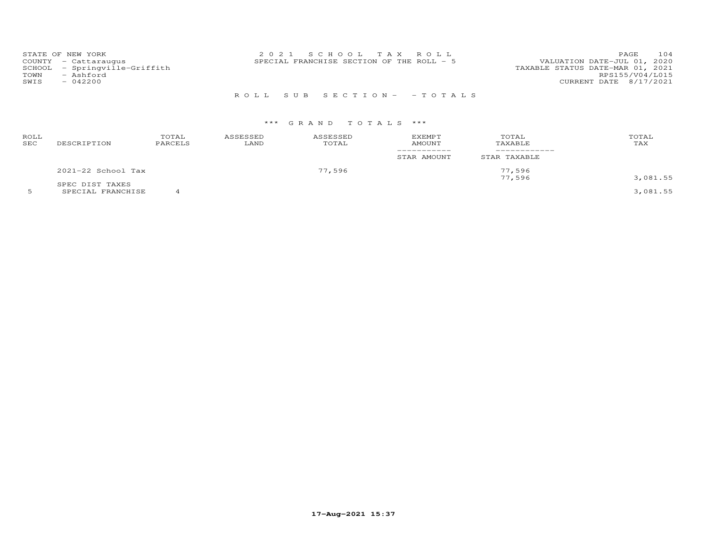|      | STATE OF NEW YORK             | 2021 SCHOOL TAX ROLL                      | 104<br>PAGE                      |
|------|-------------------------------|-------------------------------------------|----------------------------------|
|      | COUNTY - Cattaraugus          | SPECIAL FRANCHISE SECTION OF THE ROLL - 5 | VALUATION DATE-JUL 01, 2020      |
|      | SCHOOL - Springville-Griffith |                                           | TAXABLE STATUS DATE-MAR 01, 2021 |
| TOWN | - Ashford                     |                                           | RPS155/V04/L015                  |
| SWIS | $-042200$                     |                                           | CURRENT DATE 8/17/2021           |
|      |                               |                                           |                                  |
|      |                               | ROLL SUB SECTION- - TOTALS                |                                  |

## \*\*\* G R A N D T O T A L S \*\*\*

| ROLL<br>SEC | DESCRIPTION            | TOTAL<br>PARCELS | ASSESSED<br>LAND | ASSESSED<br>TOTAL | EXEMPT<br>AMOUNT | TOTAL<br>TAXABLE | TOTAL<br>TAX |
|-------------|------------------------|------------------|------------------|-------------------|------------------|------------------|--------------|
|             |                        |                  |                  |                   | STAR AMOUNT      | STAR TAXABLE     |              |
|             | $2021 - 22$ School Tax |                  | 77,596           |                   | 77,596<br>77,596 |                  |              |
|             | SPEC DIST TAXES        |                  |                  |                   |                  |                  | 3,081.55     |

5 SPECIAL FRANCHISE 4 3,081.55

**17-Aug-2021 15:37**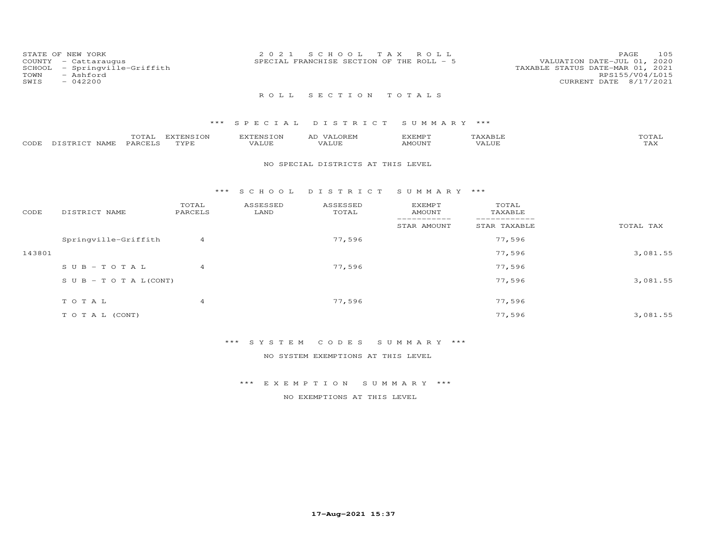| COUNTY<br>SCHOOL<br>TOWN<br>SWIS | STATE OF NEW YORK<br>- Cattaraugus<br>- Springville-Griffith<br>- Ashford<br>$-042200$ |                   | 2 0 2 1            | S C H O O L<br>SPECIAL FRANCHISE SECTION OF THE ROLL - 5 | T A X<br>ROLL                                 |                                  | 105<br>PAGE<br>VALUATION DATE-JUL 01, 2020<br>TAXABLE STATUS DATE-MAR 01, 2021<br>RPS155/V04/L015<br>CURRENT DATE 8/17/2021 |
|----------------------------------|----------------------------------------------------------------------------------------|-------------------|--------------------|----------------------------------------------------------|-----------------------------------------------|----------------------------------|-----------------------------------------------------------------------------------------------------------------------------|
|                                  |                                                                                        |                   | ROLL               | SECTION                                                  | TOTALS                                        |                                  |                                                                                                                             |
|                                  |                                                                                        | ***               | SPECIAL            | DISTRICT                                                 | SUMMARY ***                                   |                                  |                                                                                                                             |
| CODE                             | TOTAL<br>PARCELS<br>DISTRICT NAME                                                      | EXTENSION<br>TYPE | EXTENSION<br>VALUE | AD VALOREM<br>VALUE                                      | <b>EXEMPT</b><br><b>AMOUNT</b>                | TAXABLE<br><b>VALUE</b>          | TOTAL<br><b>TAX</b>                                                                                                         |
|                                  |                                                                                        |                   |                    | NO SPECIAL DISTRICTS AT THIS LEVEL                       |                                               |                                  |                                                                                                                             |
|                                  |                                                                                        | $***$             | S C H O O L        | DISTRICT                                                 | SUMMARY ***                                   |                                  |                                                                                                                             |
| CODE                             | DISTRICT NAME                                                                          | TOTAL<br>PARCELS  | ASSESSED<br>LAND   | ASSESSED<br>TOTAL                                        | <b>EXEMPT</b><br><b>AMOUNT</b><br>----------- | TOTAL<br>TAXABLE<br>------------ |                                                                                                                             |
|                                  |                                                                                        |                   |                    |                                                          | STAR AMOUNT                                   | STAR TAXABLE                     | TOTAL TAX                                                                                                                   |
|                                  | Springville-Griffith                                                                   | 4                 |                    | 77,596                                                   |                                               | 77,596                           |                                                                                                                             |
| 143801                           |                                                                                        |                   |                    |                                                          |                                               | 77,596                           | 3,081.55                                                                                                                    |
|                                  | $SUB - TO T AL$                                                                        | $\overline{4}$    |                    | 77,596                                                   |                                               | 77,596                           |                                                                                                                             |
|                                  | $S \cup B - T \cup T A L (CONT)$                                                       |                   |                    |                                                          |                                               | 77,596                           | 3,081.55                                                                                                                    |

| TOTAL         | 77,596 | 77,596 |          |
|---------------|--------|--------|----------|
| TO TAL (CONT) |        | 77,596 | 3,081.55 |

\*\*\* S Y S T E M C O D E S S U M M A R Y \*\*\*

NO SYSTEM EXEMPTIONS AT THIS LEVEL

\*\*\* E X E M P T I O N S U M M A R Y \*\*\*

NO EXEMPTIONS AT THIS LEVEL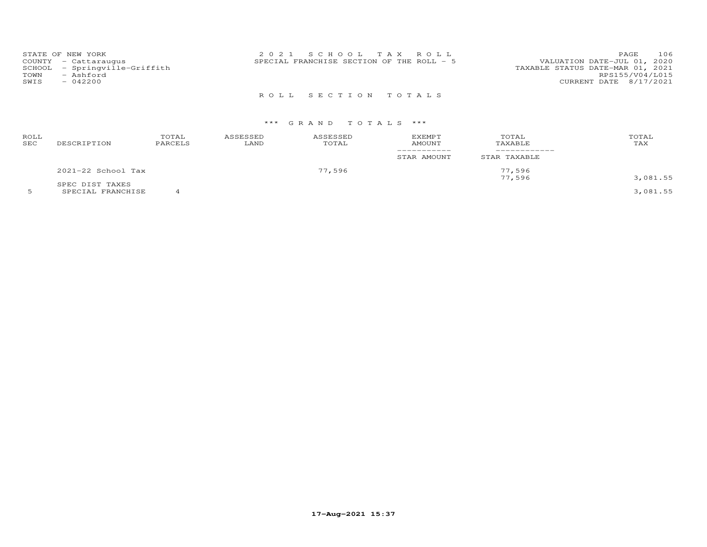| TOWN<br>SWIS | STATE OF NEW YORK<br>COUNTY - Cattaraugus<br>SCHOOL - Springville-Griffith<br>- Ashford<br>$-042200$ | 2021 SCHOOL TAX ROLL<br>SPECIAL FRANCHISE SECTION OF THE ROLL - 5 | 106<br>PAGE<br>VALUATION DATE-JUL 01, 2020<br>TAXABLE STATUS DATE-MAR 01, 2021<br>RPS155/V04/L015<br>CURRENT DATE 8/17/2021 |
|--------------|------------------------------------------------------------------------------------------------------|-------------------------------------------------------------------|-----------------------------------------------------------------------------------------------------------------------------|
|              |                                                                                                      | ROLL SECTION TOTALS                                               |                                                                                                                             |

## \*\*\* G R A N D T O T A L S \*\*\*

| ROLL<br>SEC | DESCRIPTION        | TOTAL<br>PARCELS | ASSESSED<br>LAND | ASSESSED<br>TOTAL | <b>EXEMPT</b><br>AMOUNT<br>__________<br>STAR AMOUNT | TOTAL<br>TAXABLE<br>STAR TAXABLE | TOTAL<br>TAX |
|-------------|--------------------|------------------|------------------|-------------------|------------------------------------------------------|----------------------------------|--------------|
|             | 2021-22 School Tax |                  | 77,596           |                   | 77,596                                               |                                  |              |
|             | SPEC DIST TAXES    |                  |                  |                   |                                                      | 77,596                           | 3,081.55     |

5 SPECIAL FRANCHISE 4 3,081.55

**17-Aug-2021 15:37**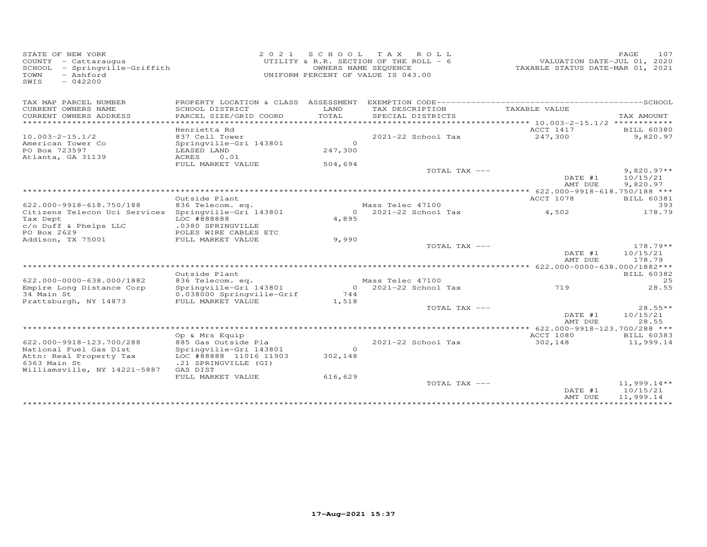| STATE OF NEW YORK<br>COUNTY - Cattaraugus<br>SCHOOL - Springville-Griffith<br>- Ashford<br>TOWN<br>SWIS<br>$-042200$ | 2 0 2 1                                        | UNIFORM PERCENT OF VALUE IS 043.00 | SCHOOL TAX ROLL<br>UTILITY & R.R. SECTION OF THE ROLL - 6<br>OWNERS NAME SEQUENCE | VALUATION DATE-JUL 01, 2020<br>TAXABLE STATUS DATE-MAR 01, 2021 | PAGE<br>107       |
|----------------------------------------------------------------------------------------------------------------------|------------------------------------------------|------------------------------------|-----------------------------------------------------------------------------------|-----------------------------------------------------------------|-------------------|
| TAX MAP PARCEL NUMBER                                                                                                | PROPERTY LOCATION & CLASS ASSESSMENT           |                                    |                                                                                   |                                                                 |                   |
| CURRENT OWNERS NAME                                                                                                  | SCHOOL DISTRICT                                | LAND                               | TAX DESCRIPTION                                                                   | TAXABLE VALUE                                                   |                   |
| CURRENT OWNERS ADDRESS                                                                                               | PARCEL SIZE/GRID COORD                         | TOTAL                              | SPECIAL DISTRICTS                                                                 |                                                                 | TAX AMOUNT        |
| **********************                                                                                               |                                                |                                    |                                                                                   |                                                                 |                   |
|                                                                                                                      | Henrietta Rd                                   |                                    |                                                                                   | ACCT 1417                                                       | <b>BILL 60380</b> |
| $10.003 - 2 - 15.1/2$                                                                                                | 837 Cell Tower                                 | $\Omega$                           | 2021-22 School Tax                                                                | 247,300                                                         | 9,820.97          |
| American Tower Co<br>PO Box 723597                                                                                   | Springville-Gri 143801<br>LEASED LAND          | 247,300                            |                                                                                   |                                                                 |                   |
| Atlanta, GA 31139                                                                                                    | ACRES<br>0.01                                  |                                    |                                                                                   |                                                                 |                   |
|                                                                                                                      | FULL MARKET VALUE                              | 504,694                            |                                                                                   |                                                                 |                   |
|                                                                                                                      |                                                |                                    | TOTAL TAX ---                                                                     |                                                                 | $9,820.97**$      |
|                                                                                                                      |                                                |                                    |                                                                                   | DATE #1                                                         | 10/15/21          |
|                                                                                                                      |                                                |                                    |                                                                                   | AMT DUE                                                         | 9,820.97          |
|                                                                                                                      |                                                |                                    |                                                                                   |                                                                 |                   |
|                                                                                                                      | Outside Plant                                  |                                    |                                                                                   | ACCT 1078                                                       | <b>BILL 60381</b> |
| 622.000-9918-618.750/188                                                                                             | 836 Telecom. eq.                               |                                    | Mass Telec 47100                                                                  |                                                                 | 393               |
| Citizens Telecon Uci Services<br>Tax Dept                                                                            | Springville-Gri 143801<br>LOC #888888          | $\Omega$<br>4,895                  | $2021 - 22$ School Tax                                                            | 4,502                                                           | 178.79            |
| c/o Duff & Phelps LLC                                                                                                | .0380 SPRINGVILLE                              |                                    |                                                                                   |                                                                 |                   |
| PO Box 2629                                                                                                          | POLES WIRE CABLES ETC                          |                                    |                                                                                   |                                                                 |                   |
| Addison, TX 75001                                                                                                    | FULL MARKET VALUE                              | 9,990                              |                                                                                   |                                                                 |                   |
|                                                                                                                      |                                                |                                    | TOTAL TAX ---                                                                     |                                                                 | $178.79**$        |
|                                                                                                                      |                                                |                                    |                                                                                   | DATE #1                                                         | 10/15/21          |
|                                                                                                                      |                                                |                                    |                                                                                   | AMT DUE                                                         | 178.79            |
|                                                                                                                      |                                                |                                    |                                                                                   |                                                                 |                   |
|                                                                                                                      | Outside Plant                                  |                                    |                                                                                   |                                                                 | BILL 60382        |
| 622.000-0000-638.000/1882                                                                                            | 836 Telecom. eq.<br>Springville-Gri 143801     | $\circ$                            | Mass Telec 47100<br>$2021 - 22$ School Tax                                        | 719                                                             | 25<br>28.55       |
| Empire Long Distance Corp<br>34 Main St                                                                              | 0.038000 Springville-Grif                      | 744                                |                                                                                   |                                                                 |                   |
| Prattsburgh, NY 14873                                                                                                | FULL MARKET VALUE                              | 1,518                              |                                                                                   |                                                                 |                   |
|                                                                                                                      |                                                |                                    | TOTAL TAX ---                                                                     |                                                                 | $28.55**$         |
|                                                                                                                      |                                                |                                    |                                                                                   | DATE #1                                                         | 10/15/21          |
|                                                                                                                      |                                                |                                    |                                                                                   | AMT DUE                                                         | 28.55             |
|                                                                                                                      |                                                |                                    |                                                                                   | ***** 622.000-9918-123.700/288 ***                              |                   |
|                                                                                                                      | Op & Mrs Equip                                 |                                    |                                                                                   | ACCT 1080                                                       | <b>BILL 60383</b> |
| 622.000-9918-123.700/288                                                                                             | 885 Gas Outside Pla                            |                                    | 2021-22 School Tax                                                                | 302,148                                                         | 11,999.14         |
| National Fuel Gas Dist                                                                                               | Springville-Gri 143801                         | $\Omega$                           |                                                                                   |                                                                 |                   |
| Attn: Real Property Tax<br>6363 Main St                                                                              | LOC #88888 11016 11903<br>.21 SPRINGVILLE (GI) | 302,148                            |                                                                                   |                                                                 |                   |
| Williamsville, NY 14221-5887                                                                                         | GAS DIST                                       |                                    |                                                                                   |                                                                 |                   |
|                                                                                                                      | FULL MARKET VALUE                              | 616,629                            |                                                                                   |                                                                 |                   |
|                                                                                                                      |                                                |                                    | TOTAL TAX ---                                                                     |                                                                 | $11,999.14**$     |
|                                                                                                                      |                                                |                                    |                                                                                   | DATE #1                                                         | 10/15/21          |
|                                                                                                                      |                                                |                                    |                                                                                   | AMT DUE                                                         | 11,999.14         |
|                                                                                                                      |                                                |                                    |                                                                                   |                                                                 |                   |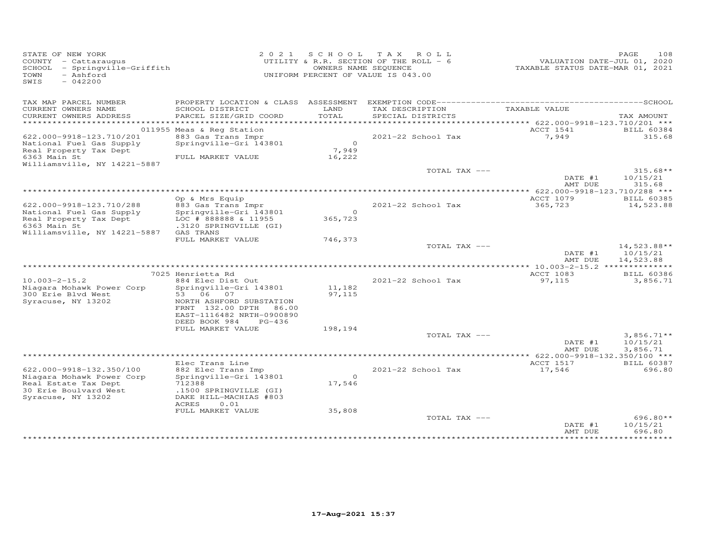| STATE OF NEW YORK<br>COUNTY - Cattaraugus<br>SCHOOL - Springville-Griffith<br>- Ashford<br>TOWN<br>SWIS<br>$-042200$           |                                                                                                                                                                              |                                   | 2021 SCHOOL TAX ROLL<br>UTILITY & R.R. SECTION OF THE ROLL - 6<br>OWNERS NAME SEQUENCE<br>UNIFORM PERCENT OF VALUE IS 043.00 | VALUATION DATE-JUL 01, 2020<br>TAXABLE STATUS DATE-MAR 01, 2021 | PAGE<br>108                            |
|--------------------------------------------------------------------------------------------------------------------------------|------------------------------------------------------------------------------------------------------------------------------------------------------------------------------|-----------------------------------|------------------------------------------------------------------------------------------------------------------------------|-----------------------------------------------------------------|----------------------------------------|
| TAX MAP PARCEL NUMBER<br>CURRENT OWNERS NAME<br>CURRENT OWNERS ADDRESS<br>***********************                              | SCHOOL DISTRICT<br>PARCEL SIZE/GRID COORD                                                                                                                                    | LAND<br>TOTAL                     | TAX DESCRIPTION<br>SPECIAL DISTRICTS                                                                                         | TAXABLE VALUE<br>*********** 622.000-9918-123.710/201 ***       | TAX AMOUNT                             |
|                                                                                                                                | 011955 Meas & Reg Station                                                                                                                                                    |                                   |                                                                                                                              | ACCT 1541                                                       | <b>BILL 60384</b>                      |
| 622.000-9918-123.710/201<br>National Fuel Gas Supply<br>Real Property Tax Dept<br>6363 Main St<br>Williamsville, NY 14221-5887 | 883 Gas Trans Impr<br>Springville-Gri 143801<br>FULL MARKET VALUE                                                                                                            | $\overline{0}$<br>7,949<br>16,222 | 2021-22 School Tax                                                                                                           | 7,949                                                           | 315.68                                 |
|                                                                                                                                |                                                                                                                                                                              |                                   | TOTAL TAX ---                                                                                                                | DATE #1<br>AMT DUE                                              | $315.68**$<br>10/15/21<br>315.68       |
|                                                                                                                                |                                                                                                                                                                              |                                   |                                                                                                                              | *** 622.000-9918-123.710/288 ***                                |                                        |
| 622.000-9918-123.710/288<br>National Fuel Gas Supply<br>Real Property Tax Dept<br>6363 Main St                                 | Op & Mrs Equip<br>883 Gas Trans Impr<br>Springville-Gri 143801<br>LOC # 888888 & 11955<br>.3120 SPRINGVILLE (GI)                                                             | $\Omega$<br>365,723               | 2021-22 School Tax                                                                                                           | ACCT 1079<br>365,723                                            | <b>BILL 60385</b><br>14,523.88         |
| Williamsville, NY 14221-5887                                                                                                   | GAS TRANS<br>FULL MARKET VALUE                                                                                                                                               | 746,373                           |                                                                                                                              |                                                                 |                                        |
|                                                                                                                                |                                                                                                                                                                              |                                   | TOTAL TAX ---                                                                                                                | DATE #1<br>AMT DUE                                              | $14,523.88**$<br>10/15/21<br>14,523.88 |
|                                                                                                                                |                                                                                                                                                                              |                                   |                                                                                                                              |                                                                 |                                        |
| $10.003 - 2 - 15.2$<br>Niagara Mohawk Power Corp<br>300 Erie Blvd West<br>Syracuse, NY 13202                                   | 7025 Henrietta Rd<br>884 Elec Dist Out<br>Springville-Gri 143801<br>53 06 07<br>NORTH ASHFORD SUBSTATION<br>FRNT 132.00 DPTH<br>86.00<br>EAST-1116482 NRTH-0900890<br>PG-436 | 11,182<br>97,115                  | 2021-22 School Tax                                                                                                           | ACCT 1083<br>97,115                                             | <b>BILL 60386</b><br>3,856.71          |
|                                                                                                                                | DEED BOOK 984<br>FULL MARKET VALUE                                                                                                                                           | 198,194                           |                                                                                                                              |                                                                 |                                        |
|                                                                                                                                |                                                                                                                                                                              |                                   | TOTAL TAX ---                                                                                                                | DATE #1<br>AMT DUE                                              | $3,856.71**$<br>10/15/21<br>3,856.71   |
|                                                                                                                                |                                                                                                                                                                              |                                   |                                                                                                                              |                                                                 |                                        |
| 622.000-9918-132.350/100<br>Niagara Mohawk Power Corp<br>Real Estate Tax Dept<br>30 Erie Boulvard West<br>Syracuse, NY 13202   | Elec Trans Line<br>882 Elec Trans Imp<br>Springville-Gri 143801<br>712388<br>.1500 SPRINGVILLE (GI)<br>DAKE HILL-MACHIAS #803<br>ACRES<br>0.01                               | $\overline{O}$<br>17,546          | 2021-22 School Tax                                                                                                           | ACCT 1517<br>17,546                                             | <b>BILL 60387</b><br>696.80            |
|                                                                                                                                | FULL MARKET VALUE                                                                                                                                                            | 35,808                            | TOTAL TAX ---                                                                                                                | DATE #1<br>AMT DUE                                              | 696.80**<br>10/15/21<br>696.80         |
|                                                                                                                                |                                                                                                                                                                              |                                   |                                                                                                                              |                                                                 |                                        |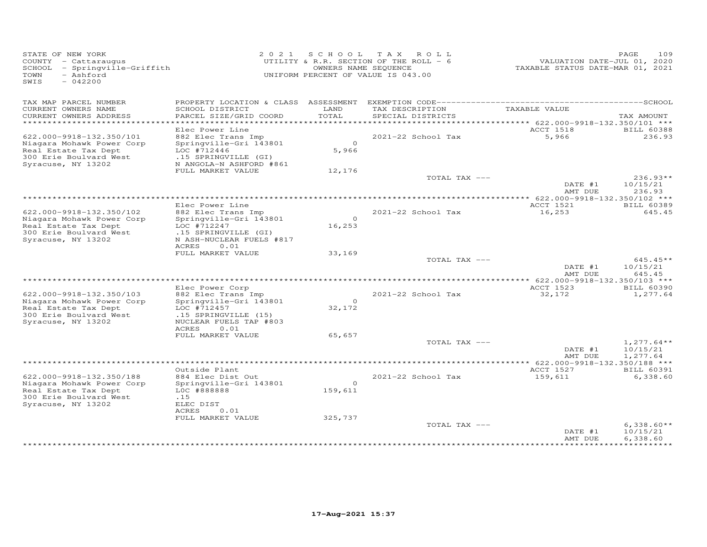| STATE OF NEW YORK<br>COUNTY - Cattaraugus<br>SCHOOL - Springville-Griffith<br>TOWN<br>- Ashford<br>SWIS<br>$-042200$          | 2 0 2 1                                                                                                                                                | OWNERS NAME SEQUENCE              | SCHOOL TAX ROLL<br>UTILITY & R.R. SECTION OF THE ROLL - 6<br>UNIFORM PERCENT OF VALUE IS 043.00 | VALUATION DATE-JUL 01, 2020<br>TAXABLE STATUS DATE-MAR 01, 2021 | 109<br>PAGE                          |
|-------------------------------------------------------------------------------------------------------------------------------|--------------------------------------------------------------------------------------------------------------------------------------------------------|-----------------------------------|-------------------------------------------------------------------------------------------------|-----------------------------------------------------------------|--------------------------------------|
| TAX MAP PARCEL NUMBER<br>CURRENT OWNERS NAME<br>CURRENT OWNERS ADDRESS<br>************************                            | SCHOOL DISTRICT<br>PARCEL SIZE/GRID COORD                                                                                                              | LAND<br>TOTAL                     | TAX DESCRIPTION<br>SPECIAL DISTRICTS                                                            | TAXABLE VALUE                                                   | TAX AMOUNT                           |
| 622.000-9918-132.350/101<br>Niagara Mohawk Power Corp<br>Real Estate Tax Dept<br>300 Erie Boulvard West<br>Syracuse, NY 13202 | Elec Power Line<br>882 Elec Trans Imp<br>Springville-Gri 143801<br>LOC #712446<br>.15 SPRINGVILLE (GI)<br>N ANGOLA-N ASHFORD #861<br>FULL MARKET VALUE | $\overline{O}$<br>5,966<br>12,176 | 2021-22 School Tax                                                                              | <b>ACCT 1518</b><br>5,966                                       | <b>BILL 60388</b><br>236.93          |
|                                                                                                                               |                                                                                                                                                        |                                   | TOTAL TAX ---                                                                                   | DATE #1<br>AMT DUE                                              | $236.93**$<br>10/15/21<br>236.93     |
|                                                                                                                               |                                                                                                                                                        |                                   |                                                                                                 | **** 622.000-9918-132.350/102 ***                               |                                      |
| 622.000-9918-132.350/102<br>Niagara Mohawk Power Corp<br>Real Estate Tax Dept<br>300 Erie Boulvard West                       | Elec Power Line<br>882 Elec Trans Imp<br>Springville-Gri 143801<br>LOC #712247<br>.15 SPRINGVILLE (GI)                                                 | $\circ$<br>16,253                 | 2021-22 School Tax                                                                              | ACCT 1521<br>16,253                                             | <b>BILL 60389</b><br>645.45          |
| Syracuse, NY 13202                                                                                                            | N ASH-NUCLEAR FUELS #817<br><b>ACRES</b><br>0.01<br>FULL MARKET VALUE                                                                                  | 33,169                            | TOTAL TAX ---                                                                                   | DATE #1                                                         | $645.45**$<br>10/15/21               |
|                                                                                                                               |                                                                                                                                                        |                                   |                                                                                                 | AMT DUE<br>*************** 622.000-9918-132.350/103 ***         | 645.45                               |
|                                                                                                                               | Elec Power Corp                                                                                                                                        |                                   |                                                                                                 | ACCT 1523                                                       | <b>BILL 60390</b>                    |
| 622.000-9918-132.350/103<br>Niagara Mohawk Power Corp<br>Real Estate Tax Dept<br>300 Erie Boulvard West<br>Syracuse, NY 13202 | 882 Elec Trans Imp<br>Springville-Gri 143801<br>LOC #712457<br>.15 SPRINGVILLE (15)<br>NUCLEAR FUELS TAP #803<br><b>ACRES</b><br>0.01                  | $\Omega$<br>32,172                | 2021-22 School Tax                                                                              | 32,172                                                          | 1,277.64                             |
|                                                                                                                               | FULL MARKET VALUE                                                                                                                                      | 65,657                            | TOTAL TAX ---                                                                                   | DATE #1                                                         | $1,277.64**$<br>10/15/21             |
|                                                                                                                               |                                                                                                                                                        |                                   | *************************                                                                       | AMT DUE<br>** 622.000-9918-132.350/188 ***                      | 1,277.64                             |
|                                                                                                                               | Outside Plant                                                                                                                                          |                                   |                                                                                                 | ACCT 1527                                                       | <b>BILL 60391</b>                    |
| 622.000-9918-132.350/188<br>Niagara Mohawk Power Corp<br>Real Estate Tax Dept<br>300 Erie Boulvard West<br>Syracuse, NY 13202 | 884 Elec Dist Out<br>Springville-Gri 143801<br>LOC #888888<br>.15<br>ELEC DIST                                                                         | $\circ$<br>159,611                | 2021-22 School Tax                                                                              | 159,611                                                         | 6,338.60                             |
|                                                                                                                               | 0.01<br>ACRES<br>FULL MARKET VALUE                                                                                                                     | 325,737                           |                                                                                                 |                                                                 |                                      |
|                                                                                                                               |                                                                                                                                                        |                                   | TOTAL TAX ---                                                                                   | DATE #1<br>AMT DUE                                              | $6,338.60**$<br>10/15/21<br>6.338.60 |
|                                                                                                                               |                                                                                                                                                        |                                   |                                                                                                 |                                                                 |                                      |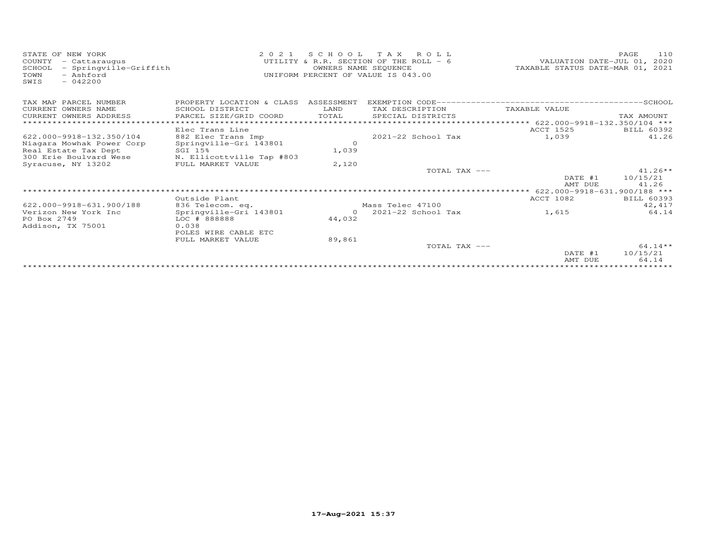| STATE OF NEW YORK<br>- Cattaraugus<br>COUNTY<br>- Springville-Griffith<br>SCHOOL<br>- Ashford<br>TOWN<br>$-042200$<br>SWIS | 2 0 2 1                   |            | SCHOOL TAX ROLL<br>UTILITY & R.R. SECTION OF THE ROLL - 6<br>OWNERS NAME SEQUENCE<br>UNIFORM PERCENT OF VALUE IS 043.00 | TAXABLE STATUS DATE-MAR 01, 2021                   | 110<br>PAGE<br>VALUATION DATE-JUL 01, 2020 |
|----------------------------------------------------------------------------------------------------------------------------|---------------------------|------------|-------------------------------------------------------------------------------------------------------------------------|----------------------------------------------------|--------------------------------------------|
| TAX MAP PARCEL NUMBER                                                                                                      | PROPERTY LOCATION & CLASS | ASSESSMENT |                                                                                                                         |                                                    |                                            |
| CURRENT OWNERS NAME                                                                                                        | SCHOOL DISTRICT           | LAND       | TAX DESCRIPTION                                                                                                         | TAXABLE VALUE                                      |                                            |
| CURRENT OWNERS ADDRESS                                                                                                     | PARCEL SIZE/GRID COORD    | TOTAL      | SPECIAL DISTRICTS                                                                                                       |                                                    | TAX AMOUNT                                 |
|                                                                                                                            |                           |            |                                                                                                                         | ********** 622.000-9918-132.350/104 ***            |                                            |
|                                                                                                                            | Elec Trans Line           |            |                                                                                                                         | ACCT 1525                                          | BILL 60392                                 |
| 622.000-9918-132.350/104                                                                                                   | 882 Elec Trans Imp        |            | $2021 - 22$ School Tax                                                                                                  | 1,039                                              | 41.26                                      |
| Niagara Mowhak Power Corp                                                                                                  | Springville-Gri 143801    | $\circ$    |                                                                                                                         |                                                    |                                            |
| Real Estate Tax Dept                                                                                                       | SGI 15%                   | 1,039      |                                                                                                                         |                                                    |                                            |
| 300 Erie Boulvard Wese                                                                                                     | N. Ellicottville Tap #803 |            |                                                                                                                         |                                                    |                                            |
| Syracuse, NY 13202                                                                                                         | FULL MARKET VALUE         | 2,120      | TOTAL TAX ---                                                                                                           |                                                    | $41.26**$                                  |
|                                                                                                                            |                           |            |                                                                                                                         | DATE #1                                            | 10/15/21                                   |
|                                                                                                                            |                           |            |                                                                                                                         | AMT DUE                                            | 41.26                                      |
|                                                                                                                            |                           |            |                                                                                                                         | ********************* 622.000-9918-631.900/188 *** |                                            |
|                                                                                                                            | Outside Plant             |            |                                                                                                                         | <b>ACCT 1082</b>                                   | <b>BILL 60393</b>                          |
| 622.000-9918-631.900/188                                                                                                   | 836 Telecom. eq.          |            | Mass Telec 47100                                                                                                        |                                                    | 42, 417                                    |
| Verizon New York Inc                                                                                                       | Springville-Gri 143801    | $\Omega$   | $2021 - 22$ School Tax                                                                                                  | 1,615                                              | 64.14                                      |
| PO Box 2749                                                                                                                | LOC # 888888              | 44,032     |                                                                                                                         |                                                    |                                            |
| Addison, TX 75001                                                                                                          | 0.038                     |            |                                                                                                                         |                                                    |                                            |
|                                                                                                                            | POLES WIRE CABLE ETC      |            |                                                                                                                         |                                                    |                                            |
|                                                                                                                            | FULL MARKET VALUE         | 89,861     |                                                                                                                         |                                                    |                                            |
|                                                                                                                            |                           |            | TOTAL TAX ---                                                                                                           |                                                    | $64.14**$                                  |
|                                                                                                                            |                           |            |                                                                                                                         | DATE #1                                            | 10/15/21                                   |
|                                                                                                                            |                           |            |                                                                                                                         | AMT DUE                                            | 64.14                                      |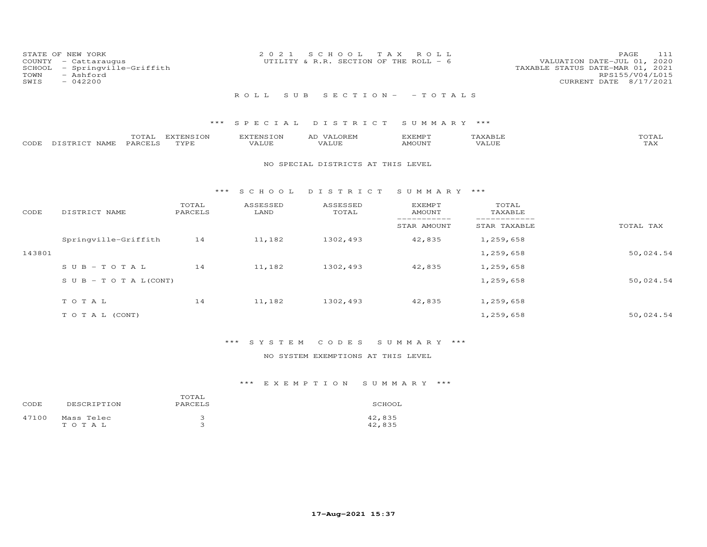| COUNTY<br>SCHOOL<br>TOWN<br>SWIS | STATE OF NEW YORK<br>- Cattaraugus<br>- Springville-Griffith<br>- Ashford<br>$-042200$ |                   | 2021                             | S C H O O L<br>UTILITY & R.R. SECTION OF THE ROLL - 6 | T A X<br>ROLL.                 |                             | 111<br>PAGE<br>2020<br>VALUATION DATE-JUL 01,<br>TAXABLE STATUS DATE-MAR 01, 2021<br>RPS155/V04/L015<br>8/17/2021<br>CURRENT DATE |
|----------------------------------|----------------------------------------------------------------------------------------|-------------------|----------------------------------|-------------------------------------------------------|--------------------------------|-----------------------------|-----------------------------------------------------------------------------------------------------------------------------------|
|                                  |                                                                                        |                   | ROLL<br>S U B                    |                                                       | $S E C T I ON - - T O T AL S$  |                             |                                                                                                                                   |
|                                  |                                                                                        | ***               | SPECIAL                          | DISTRICT                                              | SUMMARY ***                    |                             |                                                                                                                                   |
| CODE                             | TOTAL<br>PARCELS<br>DISTRICT NAME                                                      | EXTENSION<br>TYPE | <b>EXTENSION</b><br><b>VALUE</b> | AD VALOREM<br><b>VALUE</b>                            | <b>EXEMPT</b><br><b>AMOUNT</b> | TAXABLE<br><b>VALUE</b>     | TOTAL<br><b>TAX</b>                                                                                                               |
|                                  |                                                                                        |                   |                                  | NO SPECIAL DISTRICTS AT THIS LEVEL                    |                                |                             |                                                                                                                                   |
|                                  |                                                                                        |                   |                                  |                                                       |                                |                             |                                                                                                                                   |
|                                  |                                                                                        |                   |                                  |                                                       |                                |                             |                                                                                                                                   |
|                                  |                                                                                        | ***               | S C H O O L                      | DISTRICT                                              | SUMMARY ***                    |                             |                                                                                                                                   |
| CODE                             | DISTRICT NAME                                                                          | TOTAL<br>PARCELS  | ASSESSED<br>LAND                 | ASSESSED<br>TOTAL                                     | <b>EXEMPT</b><br><b>AMOUNT</b> | TOTAL<br>TAXABLE            |                                                                                                                                   |
|                                  |                                                                                        |                   |                                  |                                                       | -----------<br>STAR AMOUNT     | ___________<br>STAR TAXABLE | TOTAL TAX                                                                                                                         |
|                                  | Springville-Griffith                                                                   | 14                | 11,182                           | 1302,493                                              | 42,835                         | 1,259,658                   |                                                                                                                                   |
| 143801                           |                                                                                        |                   |                                  |                                                       |                                | 1,259,658                   | 50,024.54                                                                                                                         |
|                                  | $S \cup B - T \cup T A L$                                                              | 14                | 11,182                           | 1302,493                                              | 42,835                         | 1,259,658                   |                                                                                                                                   |
|                                  | S U B - T O T A $L$ (CONT)                                                             |                   |                                  |                                                       |                                | 1,259,658                   | 50,024.54                                                                                                                         |
|                                  | TOTAL                                                                                  | 14                | 11,182                           | 1302,493                                              | 42,835                         | 1,259,658                   |                                                                                                                                   |

# \*\*\* S Y S T E M C O D E S S U M M A R Y \*\*\*

### NO SYSTEM EXEMPTIONS AT THIS LEVEL

T O T A L (CONT) 50,024.54

| CODE  | DESCRIPTION             | TOTAL<br>PARCELS | SCHOOL           |
|-------|-------------------------|------------------|------------------|
| 47100 | Mass Telec<br>T O T A L |                  | 42,835<br>42,835 |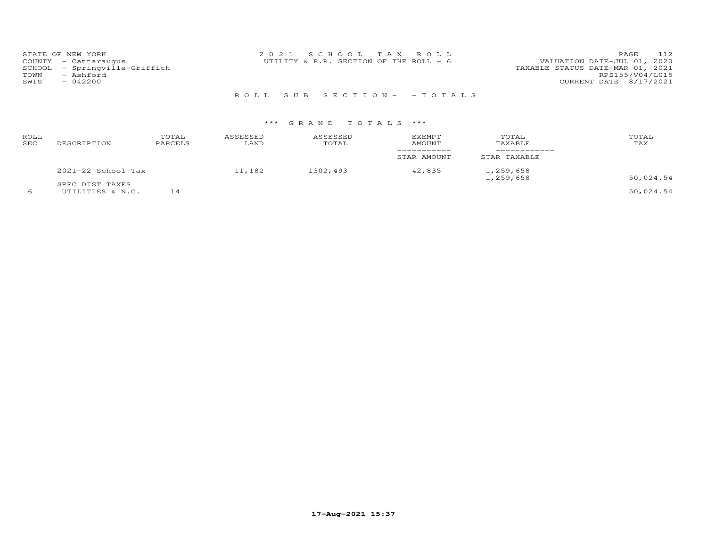| STATE OF NEW YORK             | 2021 SCHOOL TAX ROLL                     | 112<br><b>PAGE</b>               |
|-------------------------------|------------------------------------------|----------------------------------|
| COUNTY - Cattaraugus          | UTILITY & R.R. SECTION OF THE ROLL $-$ 6 | VALUATION DATE-JUL 01, 2020      |
| SCHOOL - Springville-Griffith |                                          | TAXABLE STATUS DATE-MAR 01, 2021 |
| TOWN<br>- Ashford             |                                          | RPS155/V04/L015                  |
| SWIS<br>- 042200              |                                          | CURRENT DATE 8/17/2021           |
|                               |                                          |                                  |

R O L L S U B S E C T I O N - - T O T A L S

# \*\*\* G R A N D T O T A L S \*\*\*

| ROLL<br>SEC | DESCRIPTION          | TOTAL<br>PARCELS | ASSESSED<br>LAND | ASSESSED<br>TOTAL | EXEMPT<br>AMOUNT | TOTAL<br>TAXABLE | TOTAL<br>TAX |
|-------------|----------------------|------------------|------------------|-------------------|------------------|------------------|--------------|
|             |                      |                  |                  |                   | STAR AMOUNT      | STAR TAXABLE     |              |
|             | $2021-22$ School Tax |                  | 11,182           | 1302,493          | 42,835           | 1,259,658        | 50,024.54    |
|             | SPEC DIST TAXES      |                  |                  |                   |                  | 1,259,658        |              |

6 UTILITIES & N.C. 14 50,024.54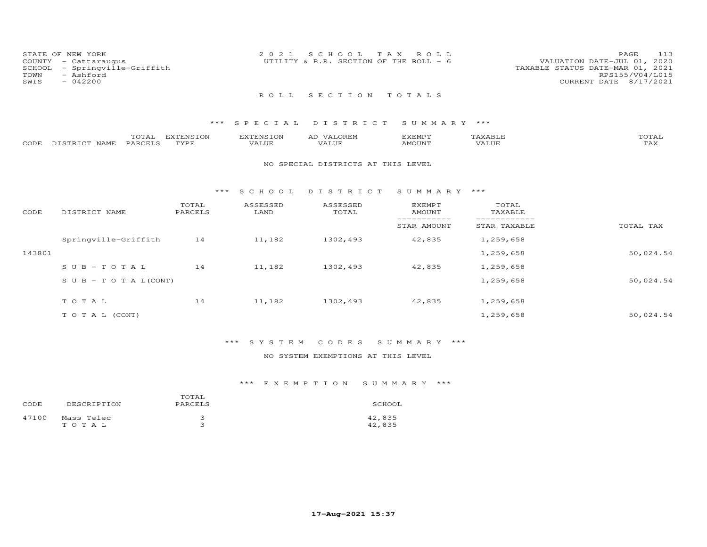| STATE OF NEW YORK<br>COUNTY - Cattaraugus<br>SCHOOL - Springville-Griffith<br>TOWN<br>- Ashford<br>SWIS<br>$-042200$ | 2021 SCHOOL TAX ROLL<br>UTILITY & R.R. SECTION OF THE ROLL $-6$ | 113<br>PAGE.<br>VALUATION DATE-JUL 01, 2020<br>TAXABLE STATUS DATE-MAR 01, 2021<br>RPS155/V04/L015<br>CURRENT DATE 8/17/2021 |
|----------------------------------------------------------------------------------------------------------------------|-----------------------------------------------------------------|------------------------------------------------------------------------------------------------------------------------------|
|                                                                                                                      | ROLL SECTION TOTALS                                             |                                                                                                                              |

|      |                         | ----- | <b>EXTENSION</b><br>⊥∪⊾ | <b>PINS</b> | .OREN<br>∼      | EXEMPT        |       | ◡⊥凸 |
|------|-------------------------|-------|-------------------------|-------------|-----------------|---------------|-------|-----|
| CODE | <b>NAMF</b><br>DISTRICT | PARO  | TVDL                    | 'ALUE       | חדד ד<br>. ALUF | <b>AMOUNT</b> | VALUE | ⊥冖⌒ |

### NO SPECIAL DISTRICTS AT THIS LEVEL

### \*\*\* S C H O O L D I S T R I C T S U M M A R Y \*\*\*

| CODE   | DISTRICT NAME                    | TOTAL<br>PARCELS | ASSESSED<br>LAND | ASSESSED<br>TOTAL | <b>EXEMPT</b><br>AMOUNT | TOTAL<br>TAXABLE |           |
|--------|----------------------------------|------------------|------------------|-------------------|-------------------------|------------------|-----------|
|        |                                  |                  |                  |                   | STAR AMOUNT             | STAR TAXABLE     | TOTAL TAX |
|        | Springville-Griffith             | 14               | 11,182           | 1302,493          | 42,835                  | 1,259,658        |           |
| 143801 |                                  |                  |                  |                   |                         | 1,259,658        | 50,024.54 |
|        | $SUB - TO T AL$                  | 14               | 11,182           | 1302,493          | 42,835                  | 1,259,658        |           |
|        | $S \cup B - T \cup T A L (CONT)$ |                  |                  |                   |                         | 1,259,658        | 50,024.54 |
|        | TOTAL                            | 14               | 11,182           | 1302,493          | 42,835                  | 1,259,658        |           |
|        | T O T A L (CONT)                 |                  |                  |                   |                         | 1,259,658        | 50,024.54 |

# \*\*\* S Y S T E M C O D E S S U M M A R Y \*\*\*

### NO SYSTEM EXEMPTIONS AT THIS LEVEL

| CODE  | DESCRIPTION             | TOTAL<br>PARCELS | SCHOOL           |
|-------|-------------------------|------------------|------------------|
| 47100 | Mass Telec<br>T O T A L |                  | 42,835<br>42,835 |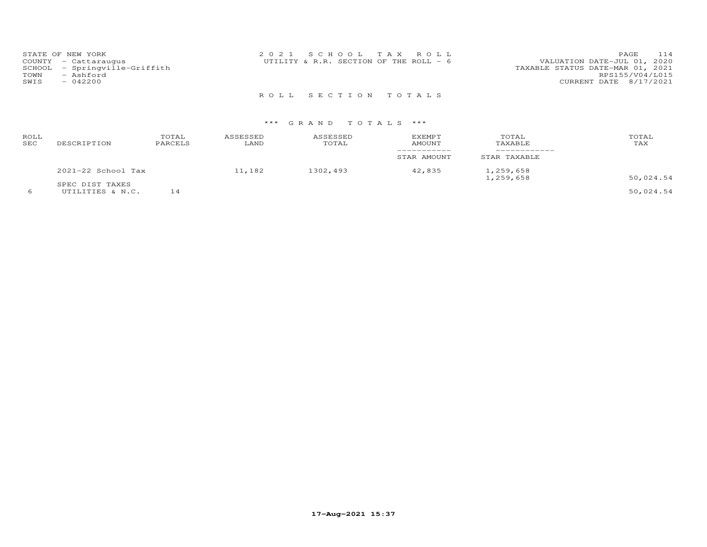|      | STATE OF NEW YORK             | 2021 SCHOOL TAX ROLL                   |  |                                  | PAGE | 114 |
|------|-------------------------------|----------------------------------------|--|----------------------------------|------|-----|
|      | COUNTY - Cattaraugus          | UTILITY & R.R. SECTION OF THE ROLL - 6 |  | VALUATION DATE-JUL 01, 2020      |      |     |
|      | SCHOOL - Springville-Griffith |                                        |  | TAXABLE STATUS DATE-MAR 01, 2021 |      |     |
| TOWN | - Ashford                     |                                        |  | RPS155/V04/L015                  |      |     |
| SWIS | $-042200$                     |                                        |  | CURRENT DATE 8/17/2021           |      |     |
|      |                               |                                        |  |                                  |      |     |

R O L L S E C T I O N T O T A L S

| ROLL<br>SEC | DESCRIPTION        | TOTAL<br>PARCELS | ASSESSED<br>LAND | ASSESSED<br>TOTAL | <b>EXEMPT</b><br>AMOUNT | TOTAL<br>TAXABLE       | TOTAL<br>TAX |
|-------------|--------------------|------------------|------------------|-------------------|-------------------------|------------------------|--------------|
|             |                    |                  |                  |                   | STAR AMOUNT             | STAR TAXABLE           |              |
|             | 2021-22 School Tax |                  | 11,182           | 1302,493          | 42,835                  | 1,259,658<br>1,259,658 | 50,024.54    |
|             | SPEC DIST TAXES    |                  |                  |                   |                         |                        |              |
|             | UTILITIES & N.C.   | 14               |                  |                   |                         |                        | 50,024.54    |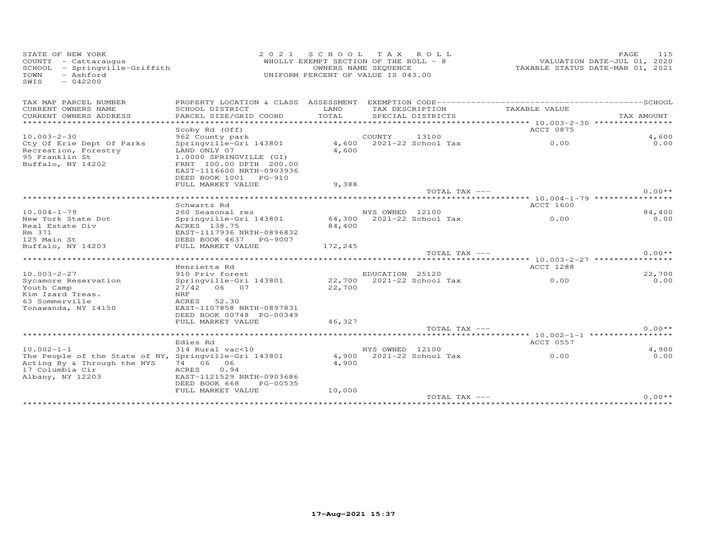| STATE OF NEW YORK<br>COUNTY - Cattaraugus<br>SCHOOL - Springville-Griffith<br>TOWN<br>- Ashford<br>$-042200$<br>SWIS |                                             | SCHOOL TAX ROLL<br>2 0 2 1<br>WHOLLY EXEMPT SECTION OF THE ROLL - 8<br>OWNERS NAME SEQUENCE<br>UNIFORM PERCENT OF VALUE IS 043.00 |                 |                           |                                  | PAGE<br>VALUATION DATE-JUL 01, 2020<br>TAXABLE STATUS DATE-MAR 01, 2021 | 115      |
|----------------------------------------------------------------------------------------------------------------------|---------------------------------------------|-----------------------------------------------------------------------------------------------------------------------------------|-----------------|---------------------------|----------------------------------|-------------------------------------------------------------------------|----------|
| TAX MAP PARCEL NUMBER                                                                                                |                                             |                                                                                                                                   |                 |                           |                                  |                                                                         |          |
| CURRENT OWNERS NAME                                                                                                  | SCHOOL DISTRICT                             | LAND                                                                                                                              |                 | TAX DESCRIPTION           | TAXABLE VALUE                    |                                                                         |          |
| CURRENT OWNERS ADDRESS                                                                                               | PARCEL SIZE/GRID COORD                      | TOTAL                                                                                                                             |                 | SPECIAL DISTRICTS         |                                  | TAX AMOUNT                                                              |          |
| **********************                                                                                               |                                             |                                                                                                                                   |                 |                           |                                  |                                                                         |          |
| $10.003 - 2 - 30$                                                                                                    | Scoby Rd (Off)<br>962 County park           |                                                                                                                                   | COUNTY          | 13100                     | ACCT 0875                        |                                                                         | 4,600    |
| Cty Of Erie Dept Of Parks                                                                                            | Springville-Gri 143801                      |                                                                                                                                   |                 | 4,600 2021-22 School Tax  | 0.00                             |                                                                         | 0.00     |
| Recreation, Forestry                                                                                                 | LAND ONLY 07                                | 4,600                                                                                                                             |                 |                           |                                  |                                                                         |          |
| 95 Franklin St                                                                                                       | 1.0000 SPRINGVILLE (GI)                     |                                                                                                                                   |                 |                           |                                  |                                                                         |          |
| Buffalo, NY 14202                                                                                                    | FRNT 100.00 DPTH 200.00                     |                                                                                                                                   |                 |                           |                                  |                                                                         |          |
|                                                                                                                      | EAST-1116600 NRTH-0903936                   |                                                                                                                                   |                 |                           |                                  |                                                                         |          |
|                                                                                                                      | DEED BOOK 1001 PG-910                       |                                                                                                                                   |                 |                           |                                  |                                                                         |          |
|                                                                                                                      | FULL MARKET VALUE                           | 9,388                                                                                                                             |                 | TOTAL TAX ---             |                                  |                                                                         | $0.00**$ |
|                                                                                                                      |                                             |                                                                                                                                   |                 |                           |                                  |                                                                         |          |
|                                                                                                                      | Schwartz Rd                                 |                                                                                                                                   |                 |                           | ACCT 1600                        |                                                                         |          |
| $10.004 - 1 - 79$                                                                                                    | 260 Seasonal res                            |                                                                                                                                   | NYS OWNED 12100 |                           |                                  |                                                                         | 84,400   |
| New York State Dot                                                                                                   | Springville-Gri 143801                      |                                                                                                                                   |                 | 64,300 2021-22 School Tax | 0.00                             |                                                                         | 0.00     |
| Real Estate Div                                                                                                      | ACRES 138.75                                | 84,400                                                                                                                            |                 |                           |                                  |                                                                         |          |
| Rm 371                                                                                                               | EAST-1117936 NRTH-0896832                   |                                                                                                                                   |                 |                           |                                  |                                                                         |          |
| 125 Main St                                                                                                          | DEED BOOK 4637 PG-9007                      |                                                                                                                                   |                 |                           |                                  |                                                                         |          |
| Buffalo, NY 14203                                                                                                    | FULL MARKET VALUE                           | 172,245                                                                                                                           |                 | TOTAL TAX ---             |                                  |                                                                         | $0.00**$ |
|                                                                                                                      |                                             |                                                                                                                                   |                 |                           |                                  |                                                                         |          |
|                                                                                                                      | Henrietta Rd                                |                                                                                                                                   |                 |                           | ACCT 1288                        |                                                                         |          |
| $10.003 - 2 - 27$                                                                                                    | 910 Priv forest                             |                                                                                                                                   | EDUCATION 25120 |                           |                                  |                                                                         | 22,700   |
| Sycamore Reservation                                                                                                 | Springville-Gri 143801                      |                                                                                                                                   |                 | 22,700 2021-22 School Tax | 0.00                             |                                                                         | 0.00     |
| Youth Camp                                                                                                           | 27/42 06 07                                 | 22,700                                                                                                                            |                 |                           |                                  |                                                                         |          |
| Kim Izard Treas.                                                                                                     | NRF                                         |                                                                                                                                   |                 |                           |                                  |                                                                         |          |
| 63 Sommerville                                                                                                       | ACRES<br>52.30<br>EAST-1107858 NRTH-0897831 |                                                                                                                                   |                 |                           |                                  |                                                                         |          |
| Tonawanda, NY 14150                                                                                                  | DEED BOOK 00748 PG-00349                    |                                                                                                                                   |                 |                           |                                  |                                                                         |          |
|                                                                                                                      | FULL MARKET VALUE                           | 46,327                                                                                                                            |                 |                           |                                  |                                                                         |          |
|                                                                                                                      |                                             |                                                                                                                                   |                 | TOTAL TAX ---             |                                  |                                                                         | $0.00**$ |
|                                                                                                                      |                                             |                                                                                                                                   |                 |                           | ***** 10.002-1-1 *************** |                                                                         |          |
|                                                                                                                      | Edies Rd                                    |                                                                                                                                   |                 |                           | ACCT 0557                        |                                                                         |          |
| $10.002 - 1 - 1$                                                                                                     | 314 Rural vac<10                            |                                                                                                                                   | NYS OWNED 12100 |                           |                                  |                                                                         | 4,900    |
| The People of the State of NY, Springville-Gri 143801                                                                |                                             |                                                                                                                                   |                 | 4,900 2021-22 School Tax  | 0.00                             |                                                                         | 0.00     |
| Acting By & Through the NYS<br>17 Columbia Cir                                                                       | 74 06<br>06<br>0.94<br>ACRES                | 4,900                                                                                                                             |                 |                           |                                  |                                                                         |          |
| Albany, NY 12203                                                                                                     | EAST-1121529 NRTH-0903686                   |                                                                                                                                   |                 |                           |                                  |                                                                         |          |
|                                                                                                                      | DEED BOOK 668<br>PG-00535                   |                                                                                                                                   |                 |                           |                                  |                                                                         |          |
|                                                                                                                      | FULL MARKET VALUE                           | 10,000                                                                                                                            |                 |                           |                                  |                                                                         |          |
|                                                                                                                      |                                             |                                                                                                                                   |                 | TOTAL TAX ---             |                                  |                                                                         | $0.00**$ |
|                                                                                                                      |                                             |                                                                                                                                   |                 |                           |                                  |                                                                         |          |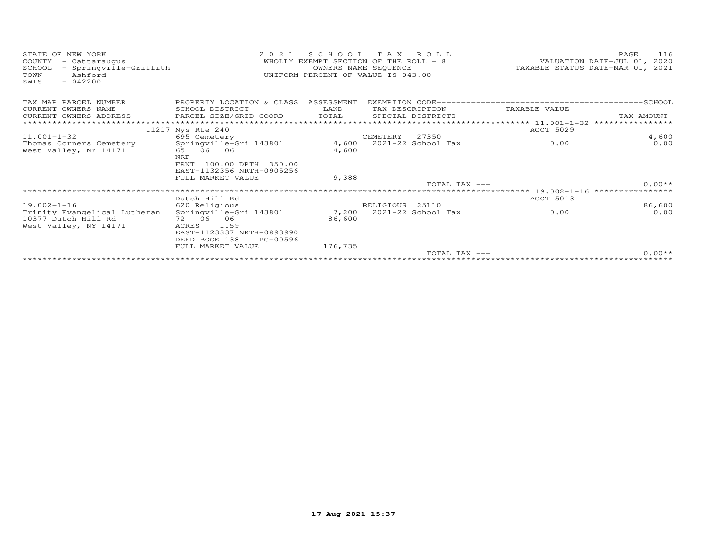| STATE OF NEW YORK<br>COUNTY<br>- Cattaraugus<br>- Springville-Griffith<br>SCHOOL<br>- Ashford<br>TOWN<br>$-042200$<br>SWIS | 2 0 2 1                                  | SCHOOL<br>WHOLLY EXEMPT SECTION OF THE ROLL - 8<br>OWNERS NAME SEQUENCE<br>UNIFORM PERCENT OF VALUE IS 043.00 | TAX ROLL        |                    |                             | 116<br>PAGE<br>VALUATION DATE-JUL 01, 2020<br>TAXABLE STATUS DATE-MAR 01, 2021 |
|----------------------------------------------------------------------------------------------------------------------------|------------------------------------------|---------------------------------------------------------------------------------------------------------------|-----------------|--------------------|-----------------------------|--------------------------------------------------------------------------------|
| TAX MAP PARCEL NUMBER                                                                                                      | PROPERTY LOCATION & CLASS ASSESSMENT     |                                                                                                               |                 |                    |                             |                                                                                |
| CURRENT OWNERS NAME                                                                                                        | SCHOOL DISTRICT                          | LAND                                                                                                          | TAX DESCRIPTION |                    | TAXABLE VALUE               |                                                                                |
| CURRENT OWNERS ADDRESS                                                                                                     | PARCEL SIZE/GRID COORD                   | TOTAL                                                                                                         |                 | SPECIAL DISTRICTS  |                             | TAX AMOUNT                                                                     |
|                                                                                                                            |                                          |                                                                                                               |                 |                    |                             | ***************                                                                |
|                                                                                                                            | 11217 Nys Rte 240                        |                                                                                                               |                 |                    | ACCT 5029                   |                                                                                |
| $11.001 - 1 - 32$                                                                                                          | 695 Cemetery                             |                                                                                                               | CEMETERY        | 27350              |                             | 4,600                                                                          |
| Thomas Corners Cemetery                                                                                                    | Springville-Gri 143801                   | 4,600                                                                                                         |                 | 2021-22 School Tax | 0.00                        | 0.00                                                                           |
| West Valley, NY 14171                                                                                                      | 65 06 06                                 | 4,600                                                                                                         |                 |                    |                             |                                                                                |
|                                                                                                                            | <b>NRF</b><br>100.00 DPTH 350.00<br>FRNT |                                                                                                               |                 |                    |                             |                                                                                |
|                                                                                                                            | EAST-1132356 NRTH-0905256                |                                                                                                               |                 |                    |                             |                                                                                |
|                                                                                                                            | FULL MARKET VALUE                        | 9,388                                                                                                         |                 |                    |                             |                                                                                |
|                                                                                                                            |                                          |                                                                                                               |                 | TOTAL TAX $---$    |                             | $0.00**$                                                                       |
|                                                                                                                            |                                          |                                                                                                               |                 |                    | *************** 19.002-1-16 |                                                                                |
|                                                                                                                            | Dutch Hill Rd                            |                                                                                                               |                 |                    | <b>ACCT 5013</b>            |                                                                                |
| $19.002 - 1 - 16$                                                                                                          | 620 Religious                            |                                                                                                               | RELIGIOUS 25110 |                    |                             | 86,600                                                                         |
| Trinity Evangelical Lutheran                                                                                               | Springville-Gri 143801                   | 7,200                                                                                                         |                 | 2021-22 School Tax | 0.00                        | 0.00                                                                           |
| 10377 Dutch Hill Rd                                                                                                        | 72 06<br>06                              | 86,600                                                                                                        |                 |                    |                             |                                                                                |
| West Valley, NY 14171                                                                                                      | 1.59<br>ACRES                            |                                                                                                               |                 |                    |                             |                                                                                |
|                                                                                                                            | EAST-1123337 NRTH-0893990                |                                                                                                               |                 |                    |                             |                                                                                |
|                                                                                                                            | DEED BOOK 138<br>PG-00596                |                                                                                                               |                 |                    |                             |                                                                                |
|                                                                                                                            | FULL MARKET VALUE                        | 176,735                                                                                                       |                 |                    |                             |                                                                                |
|                                                                                                                            |                                          |                                                                                                               |                 | TOTAL TAX ---      |                             | $0.00**$                                                                       |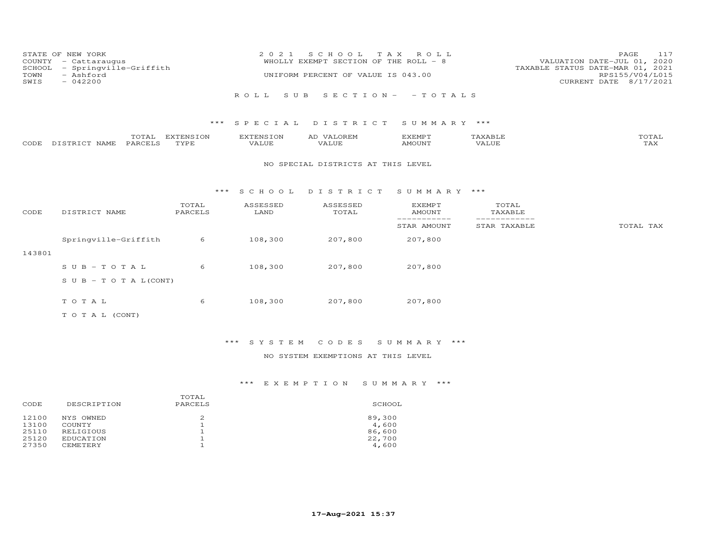| COUNTY<br>SCHOOL<br>TOWN<br>SWIS | STATE OF NEW YORK<br>- Cattaraugus<br>- Springville-Griffith<br>- Ashford<br>$-042200$ |                   | 2 0 2 1                   | S C H O O L<br>WHOLLY EXEMPT SECTION OF THE ROLL - 8<br>UNIFORM PERCENT OF VALUE IS 043.00 | T A X<br>ROLL                   |                              | PAGE<br>117<br>VALUATION DATE-JUL 01, 2020<br>TAXABLE STATUS DATE-MAR 01, 2021<br>RPS155/V04/L015<br>CURRENT DATE 8/17/2021 |
|----------------------------------|----------------------------------------------------------------------------------------|-------------------|---------------------------|--------------------------------------------------------------------------------------------|---------------------------------|------------------------------|-----------------------------------------------------------------------------------------------------------------------------|
|                                  |                                                                                        |                   | ROLL<br>S U B             |                                                                                            | $S E C T I O N - - T O T A L S$ |                              |                                                                                                                             |
|                                  |                                                                                        | ***               | SPECIAL                   | DISTRICT                                                                                   | SUMMARY ***                     |                              |                                                                                                                             |
| CODE                             | TOTAL<br>PARCELS<br>DISTRICT NAME                                                      | EXTENSION<br>TYPE | <b>EXTENSION</b><br>VALUE | AD VALOREM<br><b>VALUE</b>                                                                 | <b>EXEMPT</b><br><b>AMOUNT</b>  | TAXABLE<br><b>VALUE</b>      | TOTAL<br><b>TAX</b>                                                                                                         |
|                                  |                                                                                        |                   |                           | NO SPECIAL DISTRICTS AT THIS LEVEL                                                         |                                 |                              |                                                                                                                             |
|                                  |                                                                                        | ***               | S C H O O L               | DISTRICT                                                                                   | SUMMARY ***                     |                              |                                                                                                                             |
| CODE                             | DISTRICT NAME                                                                          | TOTAL<br>PARCELS  | ASSESSED<br>LAND          | ASSESSED<br>TOTAL                                                                          | <b>EXEMPT</b><br><b>AMOUNT</b>  | TOTAL<br>TAXABLE             |                                                                                                                             |
|                                  |                                                                                        |                   |                           |                                                                                            | ___________<br>STAR AMOUNT      | ------------<br>STAR TAXABLE | TOTAL TAX                                                                                                                   |
|                                  | Springville-Griffith                                                                   | 6                 | 108,300                   | 207,800                                                                                    | 207,800                         |                              |                                                                                                                             |
| 143801                           |                                                                                        |                   |                           |                                                                                            |                                 |                              |                                                                                                                             |
|                                  | $SUB - TO T AL$                                                                        | 6                 | 108,300                   | 207,800                                                                                    | 207,800                         |                              |                                                                                                                             |
|                                  | $S \cup B - T \cup T A L (CONT)$                                                       |                   |                           |                                                                                            |                                 |                              |                                                                                                                             |
|                                  | TOTAL                                                                                  | 6                 | 108,300                   | 207,800                                                                                    | 207,800                         |                              |                                                                                                                             |
|                                  | TO TAL (CONT)                                                                          |                   |                           |                                                                                            |                                 |                              |                                                                                                                             |

# \*\*\* S Y S T E M C O D E S S U M M A R Y \*\*\*

### NO SYSTEM EXEMPTIONS AT THIS LEVEL

| CODE           | DESCRIPTION         | TOTAL<br>PARCELS | SCHOOL          |
|----------------|---------------------|------------------|-----------------|
| 12100<br>13100 | NYS OWNED<br>COUNTY |                  | 89,300<br>4,600 |
| 25110          | RELIGIOUS           |                  | 86,600          |
| 25120          | EDUCATION           |                  | 22,700          |
| 27350          | <b>CEMETERY</b>     |                  | 4,600           |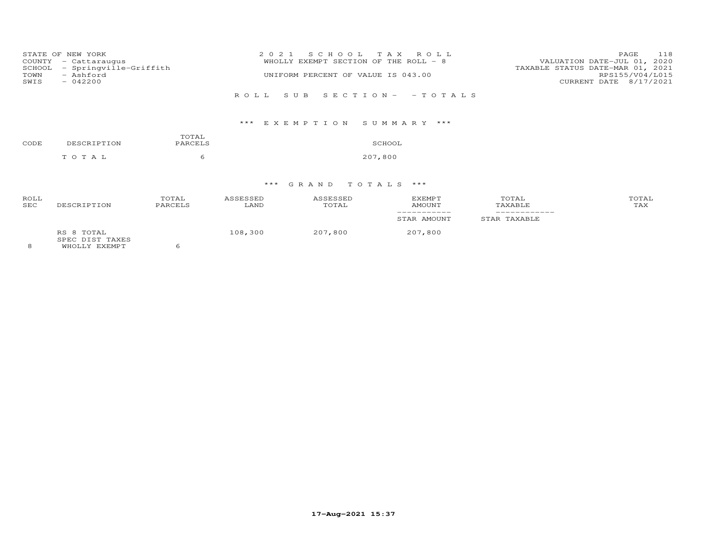| STATE OF NEW YORK<br>COUNTY<br>- Cattaraugus<br>- Springville-Griffith<br>SCHOOL | 2021 SCHOOL TAX ROLL<br>WHOLLY EXEMPT SECTION OF THE ROLL - 8 | 118<br>PAGE<br>VALUATION DATE-JUL 01, 2020<br>TAXABLE STATUS DATE-MAR 01, 2021 |  |  |
|----------------------------------------------------------------------------------|---------------------------------------------------------------|--------------------------------------------------------------------------------|--|--|
| - Ashford<br>TOWN                                                                | UNIFORM PERCENT OF VALUE IS 043.00                            | RPS155/V04/L015                                                                |  |  |
| SWIS<br>$-042200$                                                                |                                                               | CURRENT DATE 8/17/2021                                                         |  |  |
|                                                                                  | ROLL SUB SECTION- - TOTALS                                    |                                                                                |  |  |
|                                                                                  | *** EXEMPTION SUMMARY ***                                     |                                                                                |  |  |
| TOTAL                                                                            |                                                               |                                                                                |  |  |

| CODE | DESCRIPTION | PARCELS | SCHOOL  |
|------|-------------|---------|---------|
|      | TOTAL       |         | 207,800 |

# \*\*\* G R A N D T O T A L S \*\*\*

| ROLL<br><b>SEC</b> | DESCRIPTION                   | TOTAL<br>PARCELS | ASSESSED<br>LAND | ASSESSED<br>TOTAL | EXEMPT<br>AMOUNT | TOTAL<br>TAXABLE | TOTAL<br>TAX |
|--------------------|-------------------------------|------------------|------------------|-------------------|------------------|------------------|--------------|
|                    |                               |                  |                  |                   | STAR AMOUNT      | STAR TAXABLE     |              |
|                    | RS 8 TOTAL<br>SPEC DIST TAXES |                  | 108,300          | 207,800           | 207,800          |                  |              |

8 WHOLLY EXEMPT 6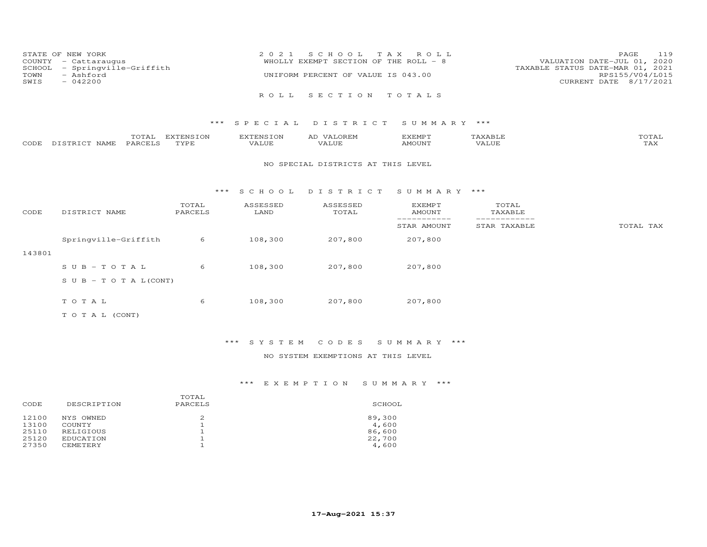| COUNTY<br>SCHOOL<br>TOWN<br>SWIS   | STATE OF NEW YORK<br>- Cattaraugus<br>- Springville-Griffith<br>- Ashford<br>$-042200$ |                          | 2 0 2 1                   | S C H O O L<br>T A X<br>WHOLLY EXEMPT SECTION OF THE ROLL - 8<br>UNIFORM PERCENT OF VALUE IS 043.00 | ROLL                           |                            | 119<br>PAGE<br>VALUATION DATE-JUL 01,<br>2020<br>TAXABLE STATUS DATE-MAR 01, 2021<br>RPS155/V04/L015<br>CURRENT DATE 8/17/2021 |
|------------------------------------|----------------------------------------------------------------------------------------|--------------------------|---------------------------|-----------------------------------------------------------------------------------------------------|--------------------------------|----------------------------|--------------------------------------------------------------------------------------------------------------------------------|
|                                    |                                                                                        |                          | ROLL.                     | SECTION                                                                                             | TOTALS                         |                            |                                                                                                                                |
|                                    |                                                                                        | ***                      | SPECIAL                   | DISTRICT                                                                                            | SUMMARY ***                    |                            |                                                                                                                                |
| CODE                               | TOTAL<br>PARCELS<br>DISTRICT NAME                                                      | <b>EXTENSION</b><br>TYPE | <b>EXTENSION</b><br>VALUE | AD VALOREM<br>VALUE                                                                                 | <b>EXEMPT</b><br>AMOUNT        | TAXABLE<br>VALUE           | TOTAL<br>TAX                                                                                                                   |
| NO SPECIAL DISTRICTS AT THIS LEVEL |                                                                                        |                          |                           |                                                                                                     |                                |                            |                                                                                                                                |
|                                    |                                                                                        | ***                      | S C H O O L               | DISTRICT                                                                                            | SUMMARY ***                    |                            |                                                                                                                                |
| CODE                               | DISTRICT NAME                                                                          | TOTAL<br>PARCELS         | ASSESSED<br>LAND          | ASSESSED<br>TOTAL                                                                                   | <b>EXEMPT</b><br><b>AMOUNT</b> | TOTAL<br>TAXABLE           |                                                                                                                                |
|                                    |                                                                                        |                          |                           |                                                                                                     | STAR AMOUNT                    | ----------<br>STAR TAXABLE | TOTAL TAX                                                                                                                      |
|                                    | Springville-Griffith                                                                   | 6                        | 108,300                   | 207,800                                                                                             | 207,800                        |                            |                                                                                                                                |
| 143801                             |                                                                                        |                          |                           |                                                                                                     |                                |                            |                                                                                                                                |
|                                    | $SUB - TO TAL$                                                                         | 6                        | 108,300                   | 207,800                                                                                             | 207,800                        |                            |                                                                                                                                |

S U B - T O T A L(CONT)

T O T A L 6 108,300 207,800 207,800

T O T A L (CONT)

\*\*\* S Y S T E M C O D E S S U M M A R Y \*\*\*

NO SYSTEM EXEMPTIONS AT THIS LEVEL

|       |             | TOTAL   |        |
|-------|-------------|---------|--------|
| CODE  | DESCRIPTION | PARCELS | SCHOOL |
| 12100 | NYS OWNED   | 2       | 89,300 |
| 13100 | COUNTY      |         | 4,600  |
| 25110 | RELIGIOUS   |         | 86,600 |
| 25120 | EDUCATION   |         | 22,700 |
| 27350 | CEMETERY    |         | 4,600  |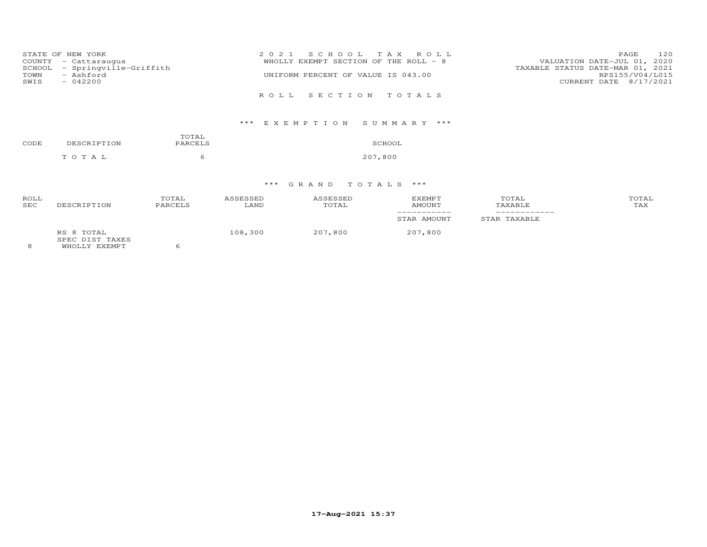| STATE OF NEW YORK<br>COUNTY - Cattaraugus<br>- Springville-Griffith<br>SCHOOL<br>- Ashford<br>TOWN<br>$-042200$<br>SWIS | 2021 SCHOOL TAX ROLL<br>WHOLLY EXEMPT SECTION OF THE ROLL - 8<br>UNIFORM PERCENT OF VALUE IS 043.00 | 120<br>PAGE<br>VALUATION DATE-JUL 01, 2020<br>TAXABLE STATUS DATE-MAR 01, 2021<br>RPS155/V04/L015<br>CURRENT DATE 8/17/2021 |
|-------------------------------------------------------------------------------------------------------------------------|-----------------------------------------------------------------------------------------------------|-----------------------------------------------------------------------------------------------------------------------------|
|                                                                                                                         | ROLL SECTION TOTALS                                                                                 |                                                                                                                             |
|                                                                                                                         |                                                                                                     |                                                                                                                             |

### E X E M P T I O N S U M M A R Y

| CODE | DESCRIPTION | TOTAL<br>PARCELS | SCHOOL  |
|------|-------------|------------------|---------|
|      | T O T A T   |                  | 207,800 |

# \*\*\* G R A N D T O T A L S \*\*\*

| <b>ROLL</b><br><b>SEC</b> | DESCRIPTION                   | TOTAL<br>PARCELS | ASSESSED<br>LAND | ASSESSED<br>TOTAL | EXEMPT<br>AMOUNT | TOTAL<br>TAXABLE | TOTAL<br>TAX |
|---------------------------|-------------------------------|------------------|------------------|-------------------|------------------|------------------|--------------|
|                           |                               |                  |                  |                   | STAR AMOUNT      | STAR TAXABLE     |              |
|                           | RS 8 TOTAL<br>SPEC DIST TAXES |                  | 108,300          | 207,800           | 207,800          |                  |              |

8 WHOLLY EXEMPT 6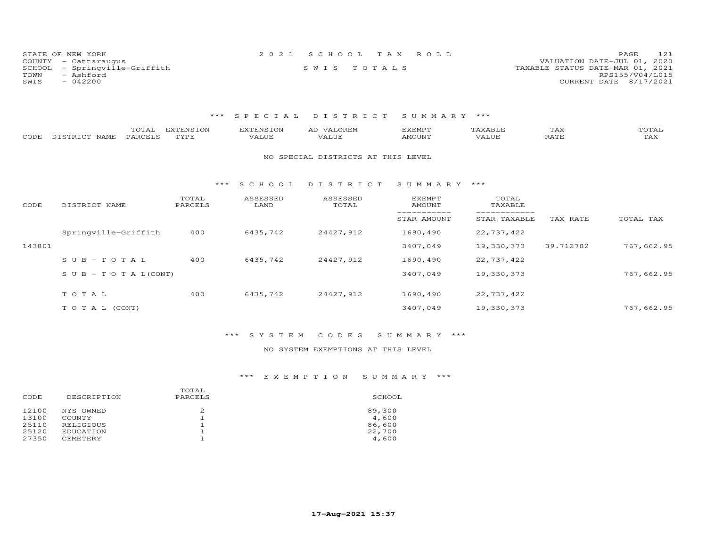| STATE OF NEW YORK             | 2021 SCHOOL TAX ROLL | 121<br>PAGE                      |
|-------------------------------|----------------------|----------------------------------|
| COUNTY - Cattaraugus          |                      | VALUATION DATE-JUL 01, 2020      |
| SCHOOL - Springville-Griffith | SWIS TOTALS          | TAXABLE STATUS DATE-MAR 01, 2021 |
| TOWN<br>- Ashford             |                      | RPS155/V04/L015                  |
| $-042200$<br>SWIS             |                      | CURRENT DATE 8/17/2021           |

| CODE   | TOTAL<br>PARCELS<br>DISTRICT NAME | <b>EXTENSION</b><br>TYPE | <b>EXTENSION</b><br><b>VALUE</b> | AD VALOREM<br>VALUE                | <b>EXEMPT</b><br><b>AMOUNT</b> | TAXABLE<br>VALUE | TAX<br><b>RATE</b> | TOTAL<br>TAX |
|--------|-----------------------------------|--------------------------|----------------------------------|------------------------------------|--------------------------------|------------------|--------------------|--------------|
|        |                                   |                          |                                  | NO SPECIAL DISTRICTS AT THIS LEVEL |                                |                  |                    |              |
|        |                                   | $***$                    | S C H O O L                      | DISTRICT                           | SUMMARY ***                    |                  |                    |              |
| CODE   | DISTRICT NAME                     | TOTAL<br>PARCELS         | ASSESSED<br>LAND                 | ASSESSED<br>TOTAL                  | EXEMPT<br>AMOUNT               | TOTAL<br>TAXABLE |                    |              |
|        |                                   |                          |                                  |                                    | STAR AMOUNT                    | STAR TAXABLE     | TAX RATE           | TOTAL TAX    |
|        | Springville-Griffith              | 400                      | 6435,742                         | 24427,912                          | 1690,490                       | 22,737,422       |                    |              |
| 143801 |                                   |                          |                                  |                                    | 3407,049                       | 19,330,373       | 39.712782          | 767,662.95   |
|        | $SUB - TO T AL$                   | 400                      | 6435,742                         | 24427,912                          | 1690,490                       | 22,737,422       |                    |              |
|        | $S \cup B - T \cup T A L (CONT)$  |                          |                                  |                                    | 3407,049                       | 19,330,373       |                    | 767,662.95   |
|        | TOTAL                             | 400                      | 6435,742                         | 24427,912                          | 1690,490                       | 22,737,422       |                    |              |
|        |                                   |                          |                                  |                                    |                                |                  |                    |              |
|        | TO TAL (CONT)                     |                          |                                  |                                    | 3407,049                       | 19,330,373       |                    | 767,662.95   |

# \*\*\* S Y S T E M C O D E S S U M M A R Y \*\*\*

### NO SYSTEM EXEMPTIONS AT THIS LEVEL

| CODE  | DESCRIPTION     | TOTAL<br>PARCELS | SCHOOL |
|-------|-----------------|------------------|--------|
| 12100 | NYS OWNED       | 2                | 89,300 |
| 13100 | COUNTY          |                  | 4,600  |
| 25110 | RELIGIOUS       |                  | 86,600 |
| 25120 | EDUCATION       |                  | 22,700 |
| 27350 | <b>CEMETERY</b> |                  | 4,600  |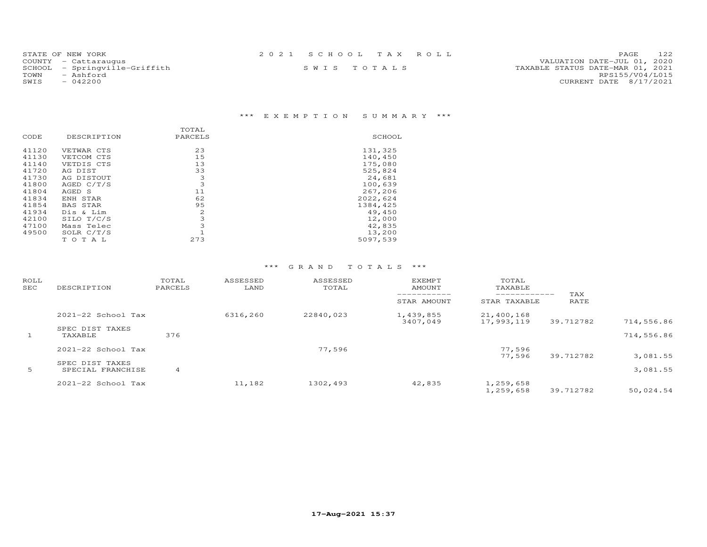| STATE OF NEW YORK             | 2021 SCHOOL TAX ROLL | 122<br><b>PAGE</b>               |
|-------------------------------|----------------------|----------------------------------|
| COUNTY - Cattaraugus          |                      | VALUATION DATE-JUL 01, 2020      |
| SCHOOL - Springville-Griffith | SWIS TOTALS          | TAXABLE STATUS DATE-MAR 01, 2021 |
| TOWN<br>- Ashford             |                      | RPS155/V04/L015                  |
| SWIS<br>$-042200$             |                      | CURRENT DATE 8/17/2021           |
|                               |                      |                                  |

# \*\*\* E X E M P T I O N S U M M A R Y \*\*\*

| DESCRIPTION     | PARCELS | SCHOOL   |
|-----------------|---------|----------|
| VETWAR CTS      | 23      | 131,325  |
| VETCOM CTS      | 15      | 140,450  |
| VETDIS CTS      | 13      | 175,080  |
| AG DIST         | 33      | 525,824  |
| AG DISTOUT      | 3       | 24,681   |
| AGED C/T/S      | 3       | 100,639  |
| AGED S          | 11      | 267,206  |
| ENH STAR        | 62      | 2022,624 |
| <b>BAS STAR</b> | 95      | 1384,425 |
| Dis & Lim       | 2       | 49,450   |
| SILO T/C/S      | 3       | 12,000   |
| Mass Telec      | 3       | 42,835   |
| SOLR $C/T/S$    |         | 13,200   |
| TOTAL           | 273     | 5097,539 |
|                 |         | TOTAL    |

| ROLL<br>SEC | DESCRIPTION                          | TOTAL<br>PARCELS | ASSESSED<br>LAND | ASSESSED<br>TOTAL | <b>EXEMPT</b><br>AMOUNT | TOTAL<br>TAXABLE             |             |            |
|-------------|--------------------------------------|------------------|------------------|-------------------|-------------------------|------------------------------|-------------|------------|
|             |                                      |                  |                  |                   | STAR AMOUNT             | ____________<br>STAR TAXABLE | TAX<br>RATE |            |
|             | $2021 - 22$ School Tax               |                  | 6316,260         | 22840,023         | 1,439,855<br>3407,049   | 21,400,168<br>17,993,119     | 39.712782   | 714,556.86 |
| 1           | SPEC DIST TAXES<br>TAXABLE           | 376              |                  |                   |                         |                              |             | 714,556.86 |
|             | $2021 - 22$ School Tax               |                  |                  | 77,596            |                         | 77,596<br>77.596             | 39.712782   | 3,081.55   |
| 5           | SPEC DIST TAXES<br>SPECIAL FRANCHISE | 4                |                  |                   |                         |                              |             | 3,081.55   |
|             | 2021-22 School Tax                   |                  | 11,182           | 1302,493          | 42,835                  | 1,259,658<br>1,259,658       | 39.712782   | 50,024.54  |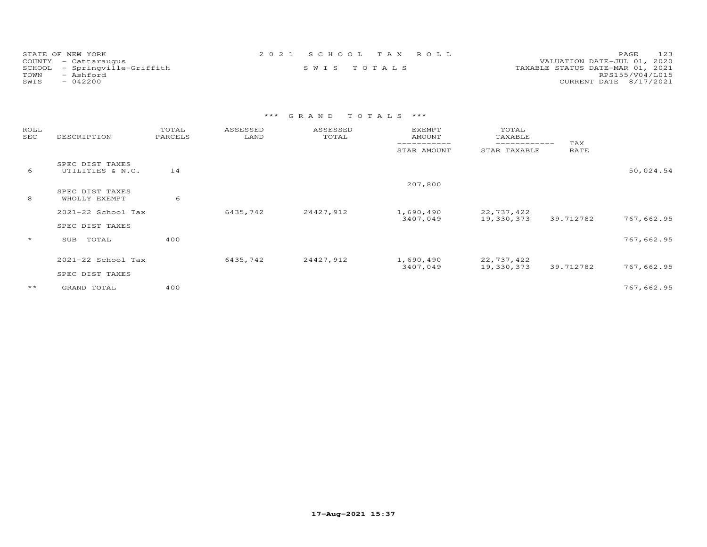| STATE OF NEW YORK             | 2021 SCHOOL TAX ROLL |  | 123<br><b>PAGE</b>               |
|-------------------------------|----------------------|--|----------------------------------|
| COUNTY - Cattaraugus          |                      |  | VALUATION DATE-JUL 01, 2020      |
| SCHOOL - Springville-Griffith | SWIS TOTALS          |  | TAXABLE STATUS DATE-MAR 01, 2021 |
| TOWN<br>- Ashford             |                      |  | RPS155/V04/L015                  |
| $-042200$<br>SWIS             |                      |  | CURRENT DATE 8/17/2021           |

| ROLL<br>SEC  | DESCRIPTION                         | TOTAL<br>PARCELS | ASSESSED<br>LAND | ASSESSED<br>TOTAL | <b>EXEMPT</b><br>AMOUNT | TOTAL<br>TAXABLE              |             |            |
|--------------|-------------------------------------|------------------|------------------|-------------------|-------------------------|-------------------------------|-------------|------------|
|              |                                     |                  |                  |                   | STAR AMOUNT             | -------------<br>STAR TAXABLE | TAX<br>RATE |            |
| 6            | SPEC DIST TAXES<br>UTILITIES & N.C. | 14               |                  |                   |                         |                               |             | 50,024.54  |
|              |                                     |                  |                  |                   | 207,800                 |                               |             |            |
| 8            | SPEC DIST TAXES<br>WHOLLY EXEMPT    | 6                |                  |                   |                         |                               |             |            |
|              | 2021-22 School Tax                  |                  | 6435,742         | 24427,912         | 1,690,490               | 22,737,422                    |             |            |
|              | SPEC DIST TAXES                     |                  |                  |                   | 3407,049                | 19,330,373                    | 39.712782   | 767,662.95 |
| $\star$      | TOTAL<br>SUB                        | 400              |                  |                   |                         |                               |             | 767,662.95 |
|              | 2021-22 School Tax                  |                  | 6435,742         | 24427,912         | 1,690,490               | 22,737,422                    |             |            |
|              |                                     |                  |                  |                   | 3407,049                | 19,330,373                    | 39.712782   | 767,662.95 |
|              | SPEC DIST TAXES                     |                  |                  |                   |                         |                               |             |            |
| $\star\star$ | GRAND TOTAL                         | 400              |                  |                   |                         |                               |             | 767,662.95 |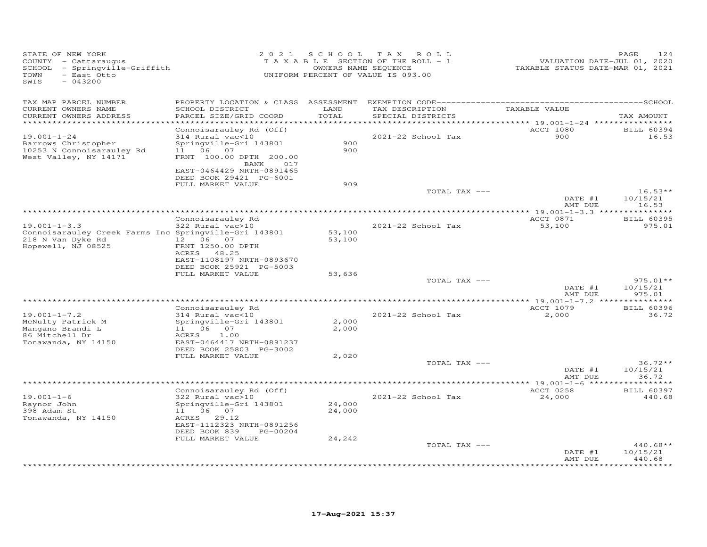| STATE OF NEW YORK<br>COUNTY - Cattaraugus<br>- Springville-Griffith<br>SCHOOL<br>- East Otto<br>TOWN<br>SWIS<br>$-043200$ | 2 0 2 1                                                                                                                                                                             | S C H O O L                   | T A X<br>ROLL<br>TAXABLE SECTION OF THE ROLL - 1<br>OWNERS NAME SEQUENCE<br>UNIFORM PERCENT OF VALUE IS 093.00 | VALUATION DATE-JUL 01, 2020<br>TAXABLE STATUS DATE-MAR 01, 2021     | PAGE<br>124                                 |
|---------------------------------------------------------------------------------------------------------------------------|-------------------------------------------------------------------------------------------------------------------------------------------------------------------------------------|-------------------------------|----------------------------------------------------------------------------------------------------------------|---------------------------------------------------------------------|---------------------------------------------|
| TAX MAP PARCEL NUMBER<br>CURRENT OWNERS NAME<br>CURRENT OWNERS ADDRESS<br>**********************                          | SCHOOL DISTRICT<br>PARCEL SIZE/GRID COORD                                                                                                                                           | LAND<br>TOTAL<br>************ | TAX DESCRIPTION<br>SPECIAL DISTRICTS<br>********************************** 19.001–1–24 ****************        | TAXABLE VALUE                                                       | TAX AMOUNT                                  |
| $19.001 - 1 - 24$<br>Barrows Christopher<br>10253 N Connoisarauley Rd<br>West Valley, NY 14171                            | Connoisarauley Rd (Off)<br>314 Rural vac<10<br>Springville-Gri 143801<br>11 06 07<br>FRNT 100.00 DPTH 200.00<br>BANK<br>017<br>EAST-0464429 NRTH-0891465<br>DEED BOOK 29421 PG-6001 | 900<br>900                    | 2021-22 School Tax                                                                                             | <b>ACCT 1080</b><br>900                                             | <b>BILL 60394</b><br>16.53                  |
|                                                                                                                           | FULL MARKET VALUE                                                                                                                                                                   | 909                           | TOTAL TAX ---                                                                                                  | DATE #1<br>AMT DUE                                                  | $16.53**$<br>10/15/21<br>16.53              |
| $19.001 - 1 - 3.3$<br>Connoisarauley Creek Farms Inc Springville-Gri 143801<br>218 N Van Dyke Rd<br>Hopewell, NJ 08525    | Connoisarauley Rd<br>322 Rural vac>10<br>12  06  07<br>FRNT 1250.00 DPTH<br>ACRES 48.25<br>EAST-1108197 NRTH-0893670                                                                | 53,100<br>53,100              | 2021-22 School Tax                                                                                             | *************** 19.001-1-3.3 ***************<br>ACCT 0871<br>53,100 | <b>BILL 60395</b><br>975.01                 |
|                                                                                                                           | DEED BOOK 25921 PG-5003<br>FULL MARKET VALUE                                                                                                                                        | 53,636                        | TOTAL TAX ---                                                                                                  | DATE #1<br>AMT DUE                                                  | $975.01**$<br>10/15/21<br>975.01            |
|                                                                                                                           |                                                                                                                                                                                     |                               |                                                                                                                |                                                                     |                                             |
| $19.001 - 1 - 7.2$<br>McNulty Patrick M<br>Mangano Brandi L<br>86 Mitchell Dr<br>Tonawanda, NY 14150                      | Connoisarauley Rd<br>314 Rural vac<10<br>Springville-Gri 143801<br>11 06<br>07<br>1.00<br>ACRES<br>EAST-0464417 NRTH-0891237                                                        | 2,000<br>2,000                | 2021-22 School Tax                                                                                             | ACCT 1079<br>2,000                                                  | <b>BILL 60396</b><br>36.72                  |
|                                                                                                                           | DEED BOOK 25803 PG-3002<br>FULL MARKET VALUE                                                                                                                                        | 2,020                         | TOTAL TAX ---                                                                                                  | DATE #1<br>AMT DUE                                                  | $36.72**$<br>10/15/21<br>36.72              |
| $19.001 - 1 - 6$<br>Raynor John<br>398 Adam St<br>Tonawanda, NY 14150                                                     | Connoisarauley Rd (Off)<br>322 Rural vac>10<br>Springville-Gri 143801<br>11 06 07<br>29.12<br>ACRES<br>EAST-1112323 NRTH-0891256<br>DEED BOOK 839<br>PG-00204                       | 24,000<br>24,000              | 2021-22 School Tax                                                                                             | ACCT 0258<br>24,000                                                 | <b>BILL 60397</b><br>440.68                 |
|                                                                                                                           | FULL MARKET VALUE                                                                                                                                                                   | 24,242                        | TOTAL TAX ---                                                                                                  | DATE #1<br>AMT DUE                                                  | $440.68**$<br>10/15/21<br>440.68<br>******* |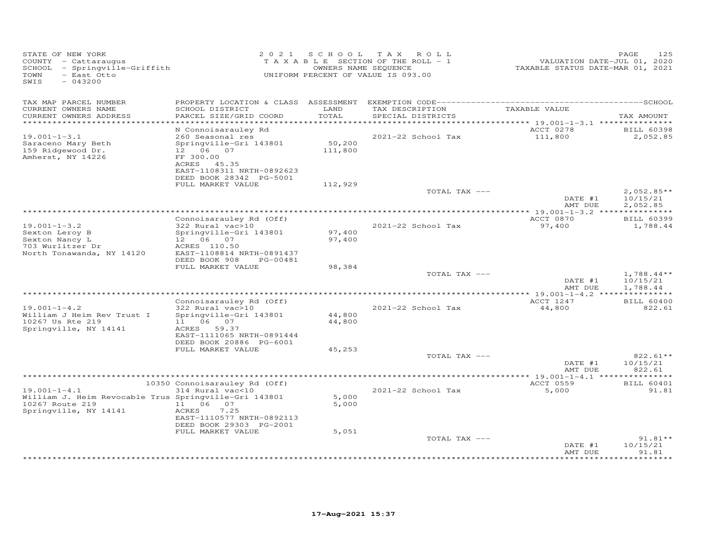| STATE OF NEW YORK<br>COUNTY - Cattaraugus<br>SCHOOL - Springville-Griffith<br>- East Otto<br>TOWN<br>SWIS<br>$-043200$  | 2 0 2 1                                                                                                                                                             | UNIFORM PERCENT OF VALUE IS 093.00 | SCHOOL TAX ROLL<br>TAXABLE SECTION OF THE ROLL - 1<br>OWNERS NAME SEQUENCE | VALUATION DATE-JUL 01, 2020<br>TAXABLE STATUS DATE-MAR 01, 2021 | 125<br>PAGE                          |
|-------------------------------------------------------------------------------------------------------------------------|---------------------------------------------------------------------------------------------------------------------------------------------------------------------|------------------------------------|----------------------------------------------------------------------------|-----------------------------------------------------------------|--------------------------------------|
| TAX MAP PARCEL NUMBER<br>CURRENT OWNERS NAME<br>CURRENT OWNERS ADDRESS                                                  | PROPERTY LOCATION & CLASS ASSESSMENT<br>SCHOOL DISTRICT<br>PARCEL SIZE/GRID COORD                                                                                   | LAND<br>TOTAL                      | TAX DESCRIPTION<br>SPECIAL DISTRICTS                                       | TAXABLE VALUE                                                   | TAX AMOUNT                           |
| ************************                                                                                                |                                                                                                                                                                     |                                    |                                                                            |                                                                 |                                      |
| $19.001 - 1 - 3.1$<br>Saraceno Mary Beth<br>159 Ridgewood Dr.<br>Amherst, NY 14226                                      | N Connoisarauley Rd<br>260 Seasonal res<br>Springville-Gri 143801<br>12  06  07<br>FF 300.00<br>ACRES 45.35<br>EAST-1108311 NRTH-0892623<br>DEED BOOK 28342 PG-5001 | 50,200<br>111,800                  | 2021-22 School Tax                                                         | ACCT 0278<br>111,800                                            | <b>BILL 60398</b><br>2,052.85        |
|                                                                                                                         | FULL MARKET VALUE                                                                                                                                                   | 112,929                            |                                                                            |                                                                 |                                      |
|                                                                                                                         |                                                                                                                                                                     |                                    | TOTAL TAX ---                                                              | DATE #1<br>AMT DUE                                              | $2,052.85**$<br>10/15/21<br>2,052.85 |
|                                                                                                                         |                                                                                                                                                                     |                                    |                                                                            |                                                                 |                                      |
| $19.001 - 1 - 3.2$                                                                                                      | Connoisarauley Rd (Off)<br>322 Rural vac>10                                                                                                                         |                                    | 2021-22 School Tax                                                         | ACCT 0870<br>97,400                                             | <b>BILL 60399</b><br>1,788.44        |
| Sexton Leroy B<br>Sexton Nancy L<br>703 Wurlitzer Dr<br>North Tonawanda, NY 14120                                       | Springville-Gri 143801<br>12  06  07<br>ACRES 110.50<br>EAST-1108814 NRTH-0891437                                                                                   | 97,400<br>97,400                   |                                                                            |                                                                 |                                      |
|                                                                                                                         | DEED BOOK 908<br>PG-00481<br>FULL MARKET VALUE                                                                                                                      | 98,384                             |                                                                            |                                                                 |                                      |
|                                                                                                                         |                                                                                                                                                                     |                                    | TOTAL TAX ---                                                              | DATE #1<br>AMT DUE                                              | $1,788.44**$<br>10/15/21<br>1,788.44 |
|                                                                                                                         |                                                                                                                                                                     |                                    |                                                                            |                                                                 |                                      |
| $19.001 - 1 - 4.2$<br>William J Heim Rev Trust I<br>10267 Us Rte 219                                                    | Connoisarauley Rd (Off)<br>322 Rural vac>10<br>Springville-Gri 143801<br>06 07<br>11                                                                                | 44,800<br>44,800                   | 2021-22 School Tax                                                         | ACCT 1247<br>44,800                                             | <b>BILL 60400</b><br>822.61          |
| Springville, NY 14141                                                                                                   | ACRES 59.37<br>EAST-1111065 NRTH-0891444<br>DEED BOOK 20886 PG-6001<br>FULL MARKET VALUE                                                                            | 45,253                             |                                                                            |                                                                 |                                      |
|                                                                                                                         |                                                                                                                                                                     |                                    | TOTAL TAX ---                                                              |                                                                 | 822.61**                             |
|                                                                                                                         |                                                                                                                                                                     |                                    |                                                                            | DATE #1<br>AMT DUE                                              | 10/15/21<br>822.61                   |
|                                                                                                                         | 10350 Connoisarauley Rd (Off)                                                                                                                                       |                                    |                                                                            | ACCT 0559                                                       | <b>BILL 60401</b>                    |
| $19.001 - 1 - 4.1$<br>William J. Heim Revocable Trus Springville-Gri 143801<br>10267 Route 219<br>Springville, NY 14141 | 314 Rural vac<10<br>11<br>06 07<br>ACRES<br>7.25<br>EAST-1110577 NRTH-0892113<br>DEED BOOK 29303 PG-2001                                                            | 5,000<br>5,000                     | 2021-22 School Tax                                                         | 5,000                                                           | 91.81                                |
|                                                                                                                         | FULL MARKET VALUE                                                                                                                                                   | 5,051                              |                                                                            |                                                                 |                                      |
|                                                                                                                         |                                                                                                                                                                     |                                    | TOTAL TAX ---<br>*********************************                         | DATE #1<br>AMT DUE                                              | $91.81**$<br>10/15/21<br>91.81       |
|                                                                                                                         |                                                                                                                                                                     |                                    |                                                                            |                                                                 |                                      |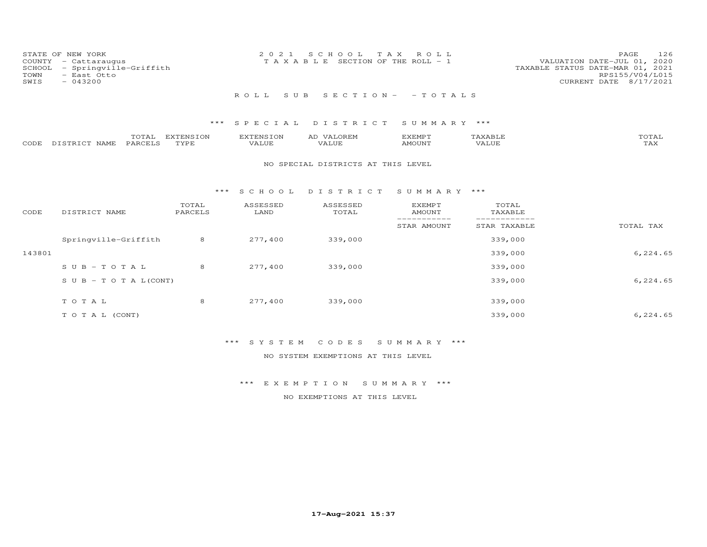| TOWN<br>SWIS | STATE OF NEW YORK<br>COUNTY - Cattaraugus<br>SCHOOL - Springville-Griffith<br>- East Otto<br>$-043200$ |  | 2021 SCHOOL TAX ROLL<br>T A X A B L E SECTION OF THE ROLL - 1 |                            | VALUATION DATE-JUL 01, 2020<br>TAXABLE STATUS DATE-MAR 01, 2021 | PAGE<br>RPS155/V04/L015<br>CURRENT DATE 8/17/2021 | 126 |
|--------------|--------------------------------------------------------------------------------------------------------|--|---------------------------------------------------------------|----------------------------|-----------------------------------------------------------------|---------------------------------------------------|-----|
|              |                                                                                                        |  |                                                               | ROLL SUB SECTION- - TOTALS |                                                                 |                                                   |     |

|                    | TOTAL          | EXTENSION | <b>EXTENSION</b> | <b>VALOREM</b><br>AD | EXEMPT        | AXABLF <sup>.</sup> | <b>TOTAL</b>        |
|--------------------|----------------|-----------|------------------|----------------------|---------------|---------------------|---------------------|
| CODE DISTRICT NAME | <b>PARCELS</b> | TYPE      | VALUE            | VALUE                | <b>AMOUNT</b> | VALUE               | $m \times r$<br>LAA |

### NO SPECIAL DISTRICTS AT THIS LEVEL

### \*\*\* S C H O O L D I S T R I C T S U M M A R Y \*\*\*

| CODE   | DISTRICT NAME                    | TOTAL<br>PARCELS | ASSESSED<br>LAND | ASSESSED<br>TOTAL | <b>EXEMPT</b><br>AMOUNT | TOTAL<br>TAXABLE |           |
|--------|----------------------------------|------------------|------------------|-------------------|-------------------------|------------------|-----------|
|        |                                  |                  |                  |                   | STAR AMOUNT             | STAR TAXABLE     | TOTAL TAX |
|        | Springville-Griffith             | 8                | 277,400          | 339,000           |                         | 339,000          |           |
| 143801 |                                  |                  |                  |                   |                         | 339,000          | 6,224.65  |
|        | $SUB - TO T AL$                  | 8                | 277,400          | 339,000           |                         | 339,000          |           |
|        | $S \cup B - T \cup T A L (CONT)$ |                  |                  |                   |                         | 339,000          | 6,224.65  |
|        | TOTAL                            | 8                | 277,400          | 339,000           |                         | 339,000          |           |
|        | T O T A L (CONT)                 |                  |                  |                   |                         | 339,000          | 6,224.65  |

# \*\*\* S Y S T E M C O D E S S U M M A R Y \*\*\*

NO SYSTEM EXEMPTIONS AT THIS LEVEL

### \*\*\* E X E M P T I O N S U M M A R Y \*\*\*

NO EXEMPTIONS AT THIS LEVEL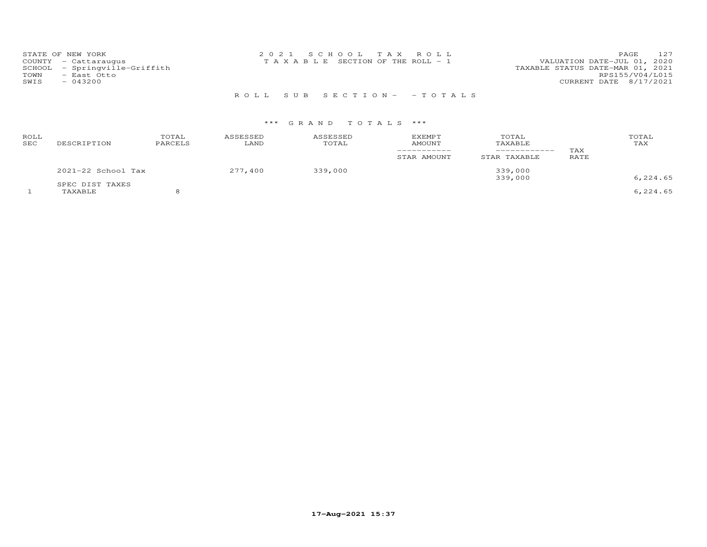| STATE OF NEW YORK             | 2021 SCHOOL TAX ROLL                  | 127<br>PAGE                      |
|-------------------------------|---------------------------------------|----------------------------------|
| COUNTY - Cattaraugus          | T A X A B L E SECTION OF THE ROLL - 1 | VALUATION DATE-JUL 01, 2020      |
| SCHOOL - Springville-Griffith |                                       | TAXABLE STATUS DATE-MAR 01, 2021 |
| TOWN<br>- East Otto           |                                       | RPS155/V04/L015                  |
| SWIS<br>$-043200$             |                                       | CURRENT DATE 8/17/2021           |
|                               |                                       |                                  |

R O L L S U B S E C T I O N - - T O T A L S

| ROLL<br>SEC | DESCRIPTION                | TOTAL<br>PARCELS | ASSESSED<br>LAND | ASSESSED<br>TOTAL | <b>EXEMPT</b><br>AMOUNT | TOTAL<br>TAXABLE<br>_________ | TAX  | TOTAL<br>TAX |
|-------------|----------------------------|------------------|------------------|-------------------|-------------------------|-------------------------------|------|--------------|
|             |                            |                  |                  |                   | STAR AMOUNT             | STAR TAXABLE                  | RATE |              |
|             | 2021-22 School Tax         |                  | 277,400          | 339,000           |                         | 339,000<br>339,000            |      | 6,224.65     |
|             | SPEC DIST TAXES<br>TAXABLE |                  |                  |                   |                         |                               |      | 6,224.65     |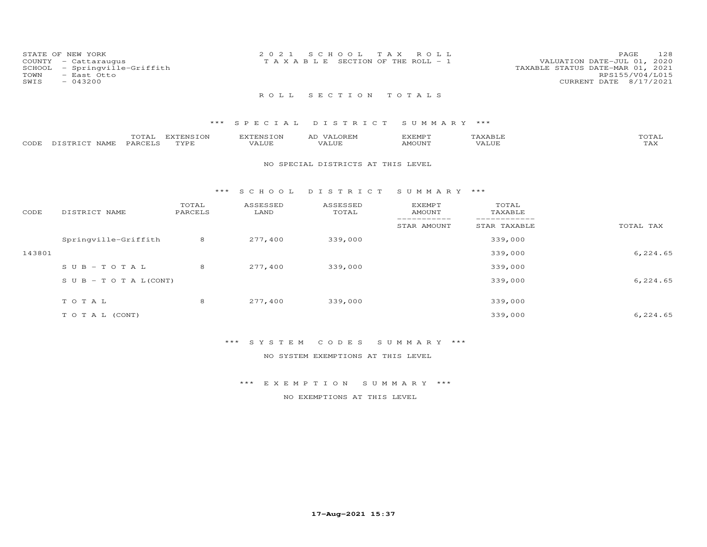|      | STATE OF NEW YORK             | 2021 SCHOOL TAX ROLL                  | 128<br>PAGE                      |
|------|-------------------------------|---------------------------------------|----------------------------------|
|      | COUNTY - Cattaraugus          | T A X A B L E SECTION OF THE ROLL - 1 | VALUATION DATE-JUL 01, 2020      |
|      | SCHOOL - Springville-Griffith |                                       | TAXABLE STATUS DATE-MAR 01, 2021 |
| TOWN | - East Otto                   |                                       | RPS155/V04/L015                  |
| SWIS | $-043200$                     |                                       | CURRENT DATE 8/17/2021           |
|      |                               | ROLL SECTION TOTALS                   |                                  |

|      |                   | $T\cap T\mathbb{Z}$<br>UIAL | $\pi$<br><b>FINN</b> | <b>EXTENSION</b>    | ΑL<br><u> \ / Д</u> | ד סMPT<br><b>DALIL</b> |       | TOTAI             |
|------|-------------------|-----------------------------|----------------------|---------------------|---------------------|------------------------|-------|-------------------|
| CODE | DISTRICT.<br>NAME | <b>PARCELS</b>              | TVDI                 | <b><i>VALUE</i></b> | VALUE               | AMOUNT                 | VALUE | <b>TRA</b><br>⊥⇔∧ |

### NO SPECIAL DISTRICTS AT THIS LEVEL

### \*\*\* S C H O O L D I S T R I C T S U M M A R Y \*\*\*

| CODE   | DISTRICT NAME                    | TOTAL<br>PARCELS | ASSESSED<br>LAND | ASSESSED<br>TOTAL | EXEMPT<br>AMOUNT | TOTAL<br>TAXABLE |           |
|--------|----------------------------------|------------------|------------------|-------------------|------------------|------------------|-----------|
|        |                                  |                  |                  |                   | STAR AMOUNT      | STAR TAXABLE     | TOTAL TAX |
|        | Springville-Griffith             | 8                | 277,400          | 339,000           |                  | 339,000          |           |
| 143801 |                                  |                  |                  |                   |                  | 339,000          | 6,224.65  |
|        | $SUB - TO T AL$                  | 8                | 277,400          | 339,000           |                  | 339,000          |           |
|        | $S \cup B - T \cup T A L (CONT)$ |                  |                  |                   |                  | 339,000          | 6,224.65  |
|        | TOTAL                            | 8                | 277,400          | 339,000           |                  | 339,000          |           |
|        | T O T A L (CONT)                 |                  |                  |                   |                  | 339,000          | 6,224.65  |

### \*\*\* S Y S T E M C O D E S S U M M A R Y \*\*\*

### NO SYSTEM EXEMPTIONS AT THIS LEVEL

### \*\*\* E X E M P T I O N S U M M A R Y \*\*\*

### NO EXEMPTIONS AT THIS LEVEL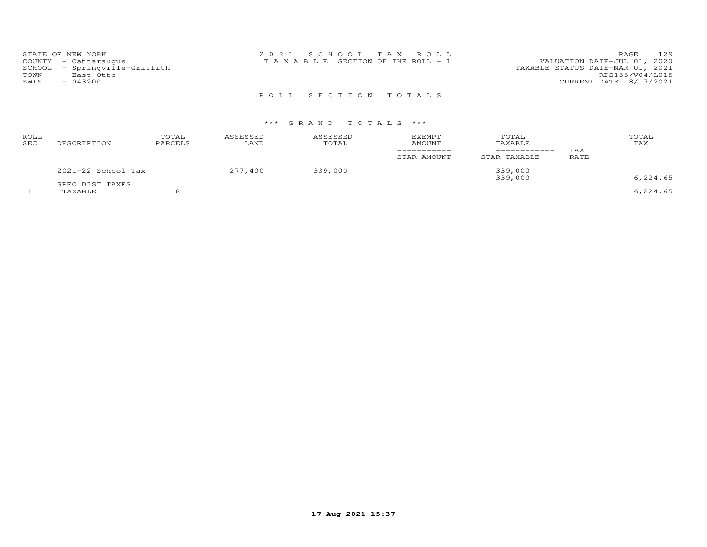| STATE OF NEW YORK             | 2021 SCHOOL TAX ROLL                  | 129<br>PAGE                      |
|-------------------------------|---------------------------------------|----------------------------------|
| COUNTY - Cattaraugus          | T A X A B L E SECTION OF THE ROLL - 1 | VALUATION DATE-JUL 01, 2020      |
| SCHOOL - Springville-Griffith |                                       | TAXABLE STATUS DATE-MAR 01, 2021 |
| TOWN<br>- East Otto           |                                       | RPS155/V04/L015                  |
| SWIS<br>$-043200$             |                                       | CURRENT DATE 8/17/2021           |
|                               |                                       |                                  |

R O L L S E C T I O N T O T A L S

| ROLL<br>SEC | DESCRIPTION                | TOTAL<br>PARCELS | ASSESSED<br>LAND | ASSESSED<br>TOTAL | EXEMPT<br>AMOUNT<br>STAR AMOUNT | TOTAL<br>TAXABLE<br>STAR TAXABLE | TAX<br>RATE | TOTAL<br>TAX |
|-------------|----------------------------|------------------|------------------|-------------------|---------------------------------|----------------------------------|-------------|--------------|
|             | 2021-22 School Tax         |                  | 277,400          | 339,000           |                                 | 339,000<br>339,000               |             | 6,224.65     |
|             | SPEC DIST TAXES<br>TAXABLE |                  |                  |                   |                                 |                                  |             | 6,224.65     |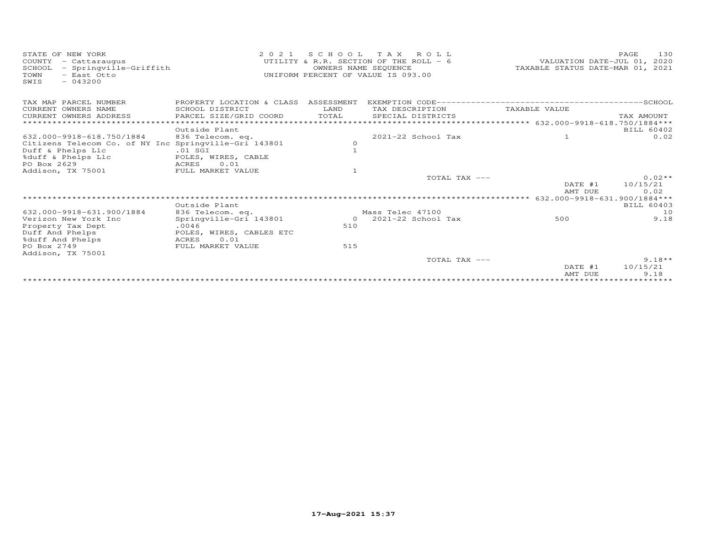| STATE OF NEW YORK<br>COUNTY<br>- Cattaraugus<br>- Springville-Griffith<br>SCHOOL<br>- East Otto<br>TOWN<br>$-043200$<br>SWIS | 2 0 2 1                              | OWNERS NAME SEQUENCE | SCHOOL TAX ROLL<br>UTILITY & R.R. SECTION OF THE ROLL - 6<br>UNIFORM PERCENT OF VALUE IS 093.00 | VALUATION DATE-JUL 01, 2020<br>TAXABLE STATUS DATE-MAR 01, 2021 | 130<br>PAGE |
|------------------------------------------------------------------------------------------------------------------------------|--------------------------------------|----------------------|-------------------------------------------------------------------------------------------------|-----------------------------------------------------------------|-------------|
| TAX MAP PARCEL NUMBER                                                                                                        | PROPERTY LOCATION & CLASS ASSESSMENT |                      |                                                                                                 |                                                                 |             |
| CURRENT OWNERS NAME                                                                                                          | SCHOOL DISTRICT                      | LAND                 | TAX DESCRIPTION                                                                                 | TAXABLE VALUE                                                   |             |
| CURRENT OWNERS ADDRESS                                                                                                       | PARCEL SIZE/GRID COORD               | TOTAL                | SPECIAL DISTRICTS                                                                               |                                                                 | TAX AMOUNT  |
| ******************************                                                                                               |                                      |                      |                                                                                                 |                                                                 |             |
|                                                                                                                              | Outside Plant                        |                      |                                                                                                 |                                                                 | BILL 60402  |
| 632.000-9918-618.750/1884                                                                                                    | 836 Telecom. eq.                     |                      | $2021 - 22$ School Tax                                                                          | $\mathbf{1}$                                                    | 0.02        |
| Citizens Telecom Co. of NY Inc Springville-Gri 143801                                                                        |                                      | $\circ$              |                                                                                                 |                                                                 |             |
| Duff & Phelps Llc                                                                                                            | $.01$ SGI                            |                      |                                                                                                 |                                                                 |             |
| %duff & Phelps Llc<br>PO Box 2629                                                                                            | POLES, WIRES, CABLE<br>ACRES<br>0.01 |                      |                                                                                                 |                                                                 |             |
| Addison, TX 75001                                                                                                            | FULL MARKET VALUE                    |                      |                                                                                                 |                                                                 |             |
|                                                                                                                              |                                      |                      | TOTAL TAX ---                                                                                   |                                                                 | $0.02**$    |
|                                                                                                                              |                                      |                      |                                                                                                 | DATE #1                                                         | 10/15/21    |
|                                                                                                                              |                                      |                      |                                                                                                 | AMT DUE                                                         | 0.02        |
|                                                                                                                              |                                      |                      |                                                                                                 | 632.000-9918-631.900/1884***                                    |             |
|                                                                                                                              | Outside Plant                        |                      |                                                                                                 |                                                                 | BILL 60403  |
| 632.000-9918-631.900/1884                                                                                                    | 836 Telecom. eq.                     |                      | Mass Telec 47100                                                                                |                                                                 | 10          |
| Verizon New York Inc                                                                                                         | Springville-Gri 143801               | $\Omega$             | 2021-22 School Tax                                                                              | 500                                                             | 9.18        |
| Property Tax Dept                                                                                                            | .0046                                | 510                  |                                                                                                 |                                                                 |             |
| Duff And Phelps                                                                                                              | POLES, WIRES, CABLES ETC             |                      |                                                                                                 |                                                                 |             |
| %duff And Phelps                                                                                                             | 0.01<br>ACRES                        |                      |                                                                                                 |                                                                 |             |
| PO Box 2749<br>Addison, TX 75001                                                                                             | FULL MARKET VALUE                    | 515                  |                                                                                                 |                                                                 |             |
|                                                                                                                              |                                      |                      | TOTAL TAX ---                                                                                   |                                                                 | $9.18**$    |
|                                                                                                                              |                                      |                      |                                                                                                 | DATE #1                                                         | 10/15/21    |
|                                                                                                                              |                                      |                      |                                                                                                 | AMT DUE                                                         | 9.18        |
|                                                                                                                              |                                      |                      |                                                                                                 |                                                                 |             |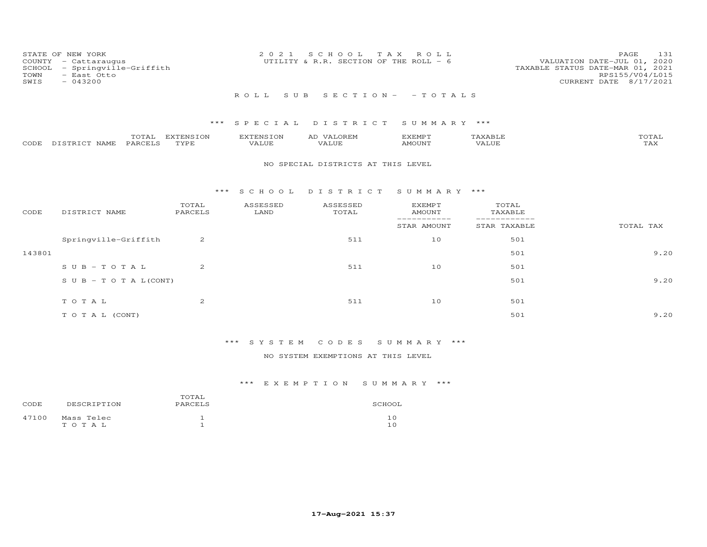| STATE OF NEW YORK<br>COUNTY - Cattaraugus<br>SCHOOL - Springville-Griffith<br>TOWN<br>- East Otto<br>SWIS<br>$-043200$ | 2021 SCHOOL TAX ROLL<br>UTILITY & R.R. SECTION OF THE ROLL - 6 | 131<br>PAGE<br>VALUATION DATE-JUL 01, 2020<br>TAXABLE STATUS DATE-MAR 01, 2021<br>RPS155/V04/L015<br>CURRENT DATE 8/17/2021 |
|------------------------------------------------------------------------------------------------------------------------|----------------------------------------------------------------|-----------------------------------------------------------------------------------------------------------------------------|
|                                                                                                                        | ROLL SUB SECTION- - TOTALS                                     |                                                                                                                             |

|                    | TOTAL   | EXTENSION | <b>EXTENSION</b> | <b>VALOREM</b><br>AD | KEMP T |       | TOTAL        |
|--------------------|---------|-----------|------------------|----------------------|--------|-------|--------------|
| CODE DISTRICT NAME | PARCELS | TYPE      | VALUE            | VALUE                | AMOUNT | VALUE | ጥአህ<br>1 AX. |

### NO SPECIAL DISTRICTS AT THIS LEVEL

### \*\*\* S C H O O L D I S T R I C T S U M M A R Y \*\*\*

| CODE   | DISTRICT NAME                    | TOTAL<br>PARCELS | ASSESSED<br>LAND | ASSESSED<br>TOTAL | EXEMPT<br>AMOUNT<br>---------- | TOTAL<br>TAXABLE |           |
|--------|----------------------------------|------------------|------------------|-------------------|--------------------------------|------------------|-----------|
|        |                                  |                  |                  |                   | STAR AMOUNT                    | STAR TAXABLE     | TOTAL TAX |
|        | Springville-Griffith             | $\overline{2}$   |                  | 511               | 10                             | 501              |           |
| 143801 |                                  |                  |                  |                   |                                | 501              | 9.20      |
|        | $SUB - TO TAL$                   | $\overline{2}$   |                  | 511               | 10                             | 501              |           |
|        | $S \cup B - T \cup T A L (CONT)$ |                  |                  |                   |                                | 501              | 9.20      |
|        |                                  |                  |                  |                   |                                |                  |           |
|        | TOTAL                            | $\overline{2}$   |                  | 511               | 10                             | 501              |           |
|        | TO TAL (CONT)                    |                  |                  |                   |                                | 501              | 9.20      |

# \*\*\* S Y S T E M C O D E S S U M M A R Y \*\*\*

### NO SYSTEM EXEMPTIONS AT THIS LEVEL

| CODE  | DESCRIPTION             | TOTAL<br>PARCELS | SCHOOL     |
|-------|-------------------------|------------------|------------|
| 47100 | Mass Telec<br>T O T A L |                  | 1 C<br>1 N |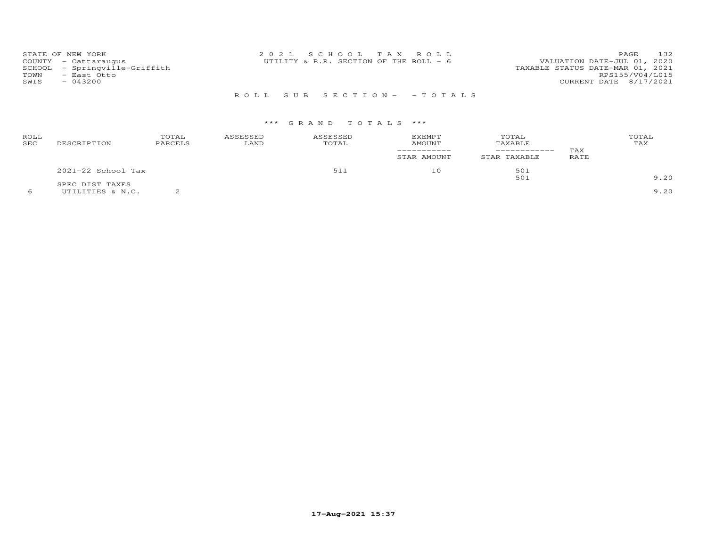|      | STATE OF NEW YORK             | 2021 SCHOOL TAX ROLL                     |  |                                  | PAGE.           | 132 |
|------|-------------------------------|------------------------------------------|--|----------------------------------|-----------------|-----|
|      | COUNTY - Cattaraugus          | UTILITY & R.R. SECTION OF THE ROLL - $6$ |  | VALUATION DATE-JUL 01, 2020      |                 |     |
|      | SCHOOL - Springville-Griffith |                                          |  | TAXABLE STATUS DATE-MAR 01, 2021 |                 |     |
| TOWN | - East Otto                   |                                          |  |                                  | RPS155/V04/L015 |     |
| SWIS | $-043200$                     |                                          |  | CURRENT DATE 8/17/2021           |                 |     |
|      |                               |                                          |  |                                  |                 |     |

R O L L S U B S E C T I O N - - T O T A L S

### \*\*\* G R A N D T O T A L S \*\*\*

| ROLL<br>SEC | DESCRIPTION          | TOTAL<br>PARCELS | ASSESSED<br>LAND | ASSESSED<br>TOTAL | <b>EXEMPT</b><br><b>AMOUNT</b><br>-----------<br>STAR AMOUNT | TOTAL<br>TAXABLE<br>-------------<br>TAXABLE<br>STAR | TAX<br>RATE | TOTAL<br>TAX |
|-------------|----------------------|------------------|------------------|-------------------|--------------------------------------------------------------|------------------------------------------------------|-------------|--------------|
|             | $2021-22$ School Tax |                  |                  | 511               | 10                                                           | 501                                                  |             |              |
|             | SPEC DIST TAXES      |                  |                  |                   |                                                              | 501                                                  |             | 9.20         |
|             | UTILITIES & N.C.     |                  |                  |                   |                                                              |                                                      |             | 9.20         |

**17-Aug-2021 15:37**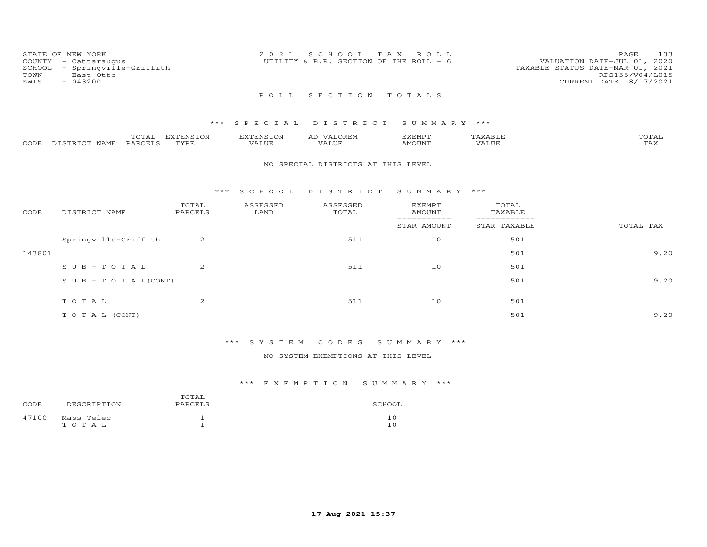| STATE OF NEW YORK<br>TOWN<br>SWIS | COUNTY - Cattaraugus<br>SCHOOL - Springville-Griffith<br>- East Otto<br>$-043200$ | 2021 SCHOOL TAX ROLL<br>UTILITY & R.R. SECTION OF THE ROLL - $6$ |  |  | 133<br>PAGE<br>VALUATION DATE-JUL 01, 2020<br>TAXABLE STATUS DATE-MAR 01, 2021<br>RPS155/V04/L015<br>CURRENT DATE 8/17/2021 |
|-----------------------------------|-----------------------------------------------------------------------------------|------------------------------------------------------------------|--|--|-----------------------------------------------------------------------------------------------------------------------------|
|                                   |                                                                                   | ROLL SECTION TOTALS                                              |  |  |                                                                                                                             |

|      |                   | $m \wedge m \wedge n$ | EXTENSION | EXTENSION     | <sup>T</sup> .OREM<br>AD | דסאתצי<br>HXEML |                     | $n \wedge m \wedge n$ |
|------|-------------------|-----------------------|-----------|---------------|--------------------------|-----------------|---------------------|-----------------------|
| CODE | NAME<br>DISTRICT. | PARCELS               | TVDF      | 7777<br>VALUE | $- - - - - -$<br>'ALUE   | AMOUNT          | <b><i>JALUE</i></b> | $m \times r$<br>⊥⇔∧   |

### NO SPECIAL DISTRICTS AT THIS LEVEL

### \*\*\* S C H O O L D I S T R I C T S U M M A R Y \*\*\*

| CODE   | DISTRICT NAME                    | TOTAL<br>PARCELS | ASSESSED<br>LAND | ASSESSED<br>TOTAL | <b>EXEMPT</b><br>AMOUNT<br>------------ | TOTAL<br>TAXABLE |           |
|--------|----------------------------------|------------------|------------------|-------------------|-----------------------------------------|------------------|-----------|
|        |                                  |                  |                  |                   | STAR AMOUNT                             | STAR TAXABLE     | TOTAL TAX |
|        | Springville-Griffith             | 2                |                  | 511               | 10                                      | 501              |           |
| 143801 |                                  |                  |                  |                   |                                         | 501              | 9.20      |
|        | $SUB - TO TAL$                   | $\overline{2}$   |                  | 511               | 10                                      | 501              |           |
|        | $S \cup B - T \cup T A L (CONT)$ |                  |                  |                   |                                         | 501              | 9.20      |
|        |                                  |                  |                  |                   |                                         |                  |           |
|        | TOTAL                            | $\overline{2}$   |                  | 511               | 10                                      | 501              |           |
|        | T O T A L (CONT)                 |                  |                  |                   |                                         | 501              | 9.20      |

# \*\*\* S Y S T E M C O D E S S U M M A R Y \*\*\*

### NO SYSTEM EXEMPTIONS AT THIS LEVEL

| CODE  | DESCRIPTION         | TOTAL<br>PARCELS | SCHOOL     |
|-------|---------------------|------------------|------------|
| 47100 | Mass Telec<br>тотаь |                  | 1 C<br>1 ດ |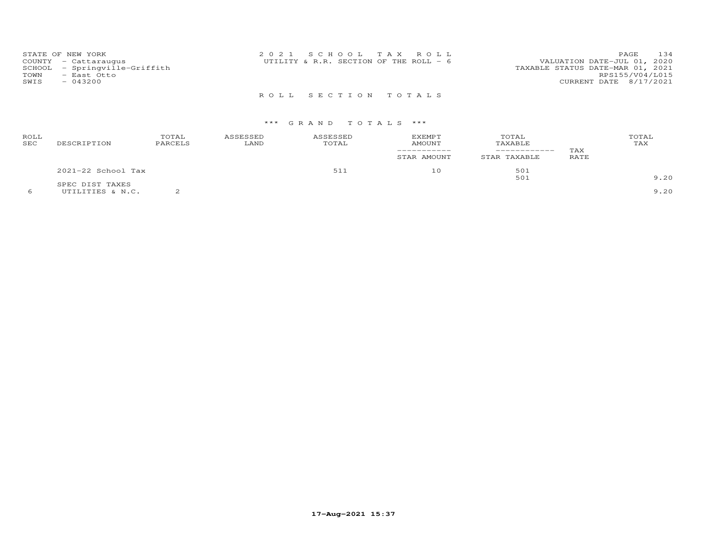| STATE OF NEW YORK                | 2021 SCHOOL TAX ROLL                   |                                  | 134<br>PAGE     |
|----------------------------------|----------------------------------------|----------------------------------|-----------------|
| COUNTY - Cattaraugus             | UTILITY & R.R. SECTION OF THE ROLL - 6 | VALUATION DATE-JUL 01, 2020      |                 |
| - Springville-Griffith<br>SCHOOL |                                        | TAXABLE STATUS DATE-MAR 01, 2021 |                 |
| TOWN<br>- East Otto              |                                        |                                  | RPS155/V04/L015 |
| SWIS<br>$-043200$                |                                        | CURRENT DATE 8/17/2021           |                 |
|                                  |                                        |                                  |                 |

R O L L S E C T I O N T O T A L S

| ROLL<br><b>SEC</b> | DESCRIPTION        | TOTAL<br>PARCELS | ASSESSED<br>LAND | ASSESSED<br>TOTAL | <b>EXEMPT</b><br><b>AMOUNT</b><br>STAR AMOUNT | TOTAL<br>TAXABLE<br>STAR TAXABLE | TAX<br>RATE | TOTAL<br>TAX |
|--------------------|--------------------|------------------|------------------|-------------------|-----------------------------------------------|----------------------------------|-------------|--------------|
|                    | 2021-22 School Tax |                  |                  | 511               | 10                                            | 501                              |             |              |
|                    | SPEC DIST TAXES    |                  |                  |                   |                                               | 501                              |             | 9.20         |
|                    | UTILITIES & N.C.   |                  |                  |                   |                                               |                                  |             | 9.20         |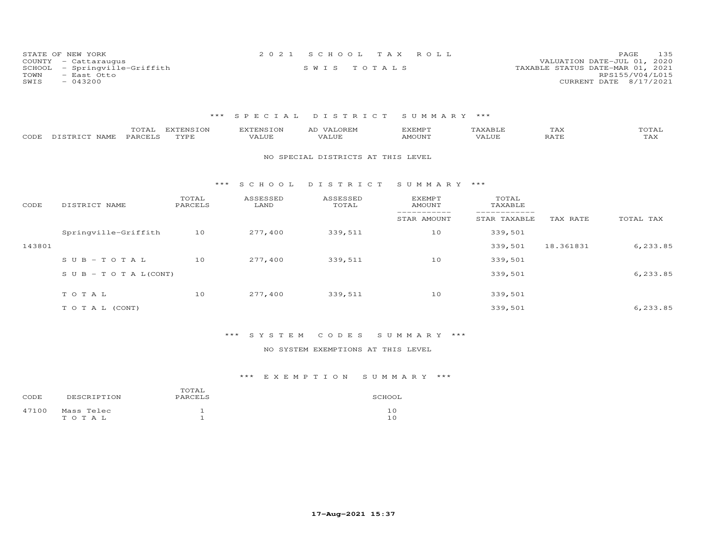| STATE OF NEW YORK             | 2021 SCHOOL TAX ROLL | 135<br>PAGE                      |
|-------------------------------|----------------------|----------------------------------|
| COUNTY - Cattaraugus          |                      | VALUATION DATE-JUL 01, 2020      |
| SCHOOL - Springville-Griffith | SWIS TOTALS          | TAXABLE STATUS DATE-MAR 01, 2021 |
| TOWN<br>- East Otto           |                      | RPS155/V04/L015                  |
| $-043200$<br>SWIS             |                      | CURRENT DATE 8/17/2021           |

| CODE   | TOTAL<br>PARCELS<br>DISTRICT NAME | <b>EXTENSION</b><br>TYPE | <b>EXTENSION</b><br>VALUE | AD VALOREM<br>VALUE                | <b>EXEMPT</b><br>AMOUNT | TAXABLE<br>VALUE | TAX<br>RATE | TOTAL<br>TAX |
|--------|-----------------------------------|--------------------------|---------------------------|------------------------------------|-------------------------|------------------|-------------|--------------|
|        |                                   |                          |                           | NO SPECIAL DISTRICTS AT THIS LEVEL |                         |                  |             |              |
|        |                                   | ***                      | S C H O O L               | DISTRICT                           | SUMMARY ***             |                  |             |              |
| CODE   | DISTRICT NAME                     | TOTAL<br>PARCELS         | ASSESSED<br>LAND          | ASSESSED<br>TOTAL                  | <b>EXEMPT</b><br>AMOUNT | TOTAL<br>TAXABLE |             |              |
|        |                                   |                          |                           |                                    | STAR AMOUNT             | STAR TAXABLE     | TAX RATE    | TOTAL TAX    |
|        | Springville-Griffith              | 10                       | 277,400                   | 339,511                            | 10                      | 339,501          |             |              |
| 143801 |                                   |                          |                           |                                    |                         | 339,501          | 18.361831   | 6,233.85     |
|        | $SUB - TO T AL$                   | 10                       | 277,400                   | 339,511                            | 10                      | 339,501          |             |              |
|        | S U B - T O T A $L$ (CONT)        |                          |                           |                                    |                         | 339,501          |             | 6,233.85     |
|        | TOTAL                             | 10                       | 277,400                   | 339,511                            | 10                      | 339,501          |             |              |
|        | TO TAL (CONT)                     |                          |                           |                                    |                         | 339,501          |             | 6,233.85     |

# \*\*\* S Y S T E M C O D E S S U M M A R Y \*\*\*

### NO SYSTEM EXEMPTIONS AT THIS LEVEL

| CODE  | DESCRIPTION         | TOTAL<br>PARCELS | SCHOOL    |
|-------|---------------------|------------------|-----------|
| 47100 | Mass Telec<br>TOTAL |                  | 10<br>1 ∩ |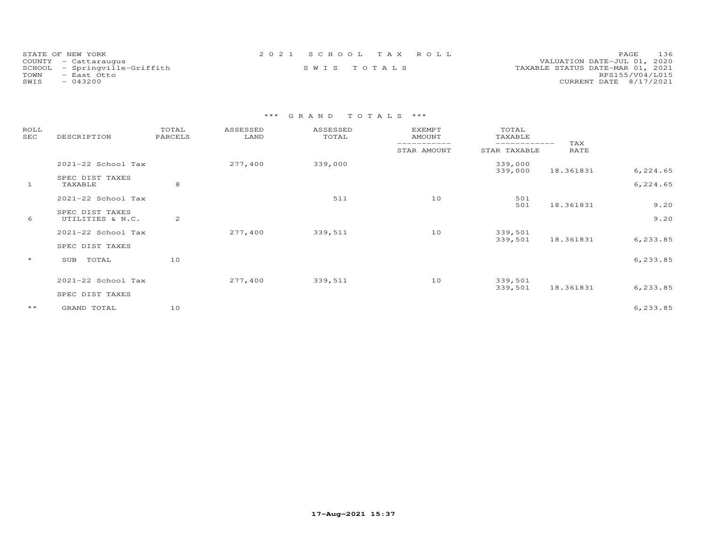| STATE OF NEW YORK             | 2021 SCHOOL TAX ROLL | PAGE 136                         |
|-------------------------------|----------------------|----------------------------------|
| COUNTY - Cattaraugus          |                      | VALUATION DATE-JUL 01, 2020      |
| SCHOOL - Springville-Griffith | SWIS TOTALS          | TAXABLE STATUS DATE-MAR 01, 2021 |
| TOWN<br>- East Otto           |                      | RPS155/V04/L015                  |
| $-043200$<br>SWIS             |                      | CURRENT DATE 8/17/2021           |

| ROLL<br>SEC  | DESCRIPTION                         | TOTAL<br>PARCELS | ASSESSED<br>LAND | ASSESSED<br>TOTAL | <b>EXEMPT</b><br><b>AMOUNT</b> | TOTAL<br>TAXABLE             |             |              |
|--------------|-------------------------------------|------------------|------------------|-------------------|--------------------------------|------------------------------|-------------|--------------|
|              |                                     |                  |                  |                   | STAR AMOUNT                    | ------------<br>STAR TAXABLE | TAX<br>RATE |              |
|              | 2021-22 School Tax                  |                  | 277,400          | 339,000           |                                | 339,000<br>339,000           | 18.361831   | 6,224.65     |
| $\mathbf{1}$ | SPEC DIST TAXES<br>TAXABLE          | 8                |                  |                   |                                |                              |             | 6,224.65     |
|              | 2021-22 School Tax                  |                  |                  | 511               | 10                             | 501                          |             |              |
| 6            | SPEC DIST TAXES<br>UTILITIES & N.C. | 2                |                  |                   |                                | 501                          | 18.361831   | 9.20<br>9.20 |
|              | 2021-22 School Tax                  |                  | 277,400          | 339,511           | 10                             | 339,501<br>339,501           | 18.361831   | 6,233.85     |
|              | SPEC DIST TAXES                     |                  |                  |                   |                                |                              |             |              |
| $\star$      | TOTAL<br>SUB                        | 10               |                  |                   |                                |                              |             | 6,233.85     |
|              | 2021-22 School Tax                  |                  | 277,400          | 339,511           | 10                             | 339,501<br>339,501           | 18.361831   | 6,233.85     |
|              | SPEC DIST TAXES                     |                  |                  |                   |                                |                              |             |              |
| $\star\star$ | GRAND TOTAL                         | 10               |                  |                   |                                |                              |             | 6,233.85     |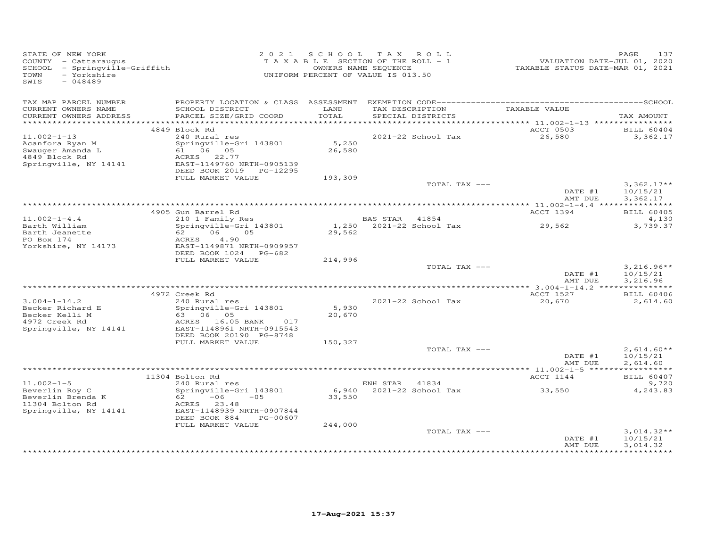| STATE OF NEW YORK<br>COUNTY - Cattaraugus<br>SCHOOL - Springville-Griffith<br>- Yorkshire<br>TOWN<br>$-048489$<br>SWIS |                                                                                                                   |                 | 2021 SCHOOL TAX ROLL<br>TAXABLE SECTION OF THE ROLL - 1<br>OWNERS NAME SEQUENCE<br>UNIFORM PERCENT OF VALUE IS 013.50 | VALUATION DATE-JUL 01, 2021<br>TAXABLE STATUS DATE-MAR 01, 2021 | 137<br>PAGE                          |
|------------------------------------------------------------------------------------------------------------------------|-------------------------------------------------------------------------------------------------------------------|-----------------|-----------------------------------------------------------------------------------------------------------------------|-----------------------------------------------------------------|--------------------------------------|
| TAX MAP PARCEL NUMBER<br>CURRENT OWNERS NAME                                                                           | SCHOOL DISTRICT                                                                                                   | LAND<br>TOTAL   | TAX DESCRIPTION                                                                                                       | TAXABLE VALUE                                                   | TAX AMOUNT                           |
| CURRENT OWNERS ADDRESS                                                                                                 | PARCEL SIZE/GRID COORD                                                                                            |                 | SPECIAL DISTRICTS                                                                                                     |                                                                 |                                      |
|                                                                                                                        | 4849 Block Rd                                                                                                     |                 |                                                                                                                       | ACCT 0503                                                       | <b>BILL 60404</b>                    |
| $11.002 - 1 - 13$<br>Acanfora Ryan M<br>Swauger Amanda L                                                               | 240 Rural res<br>Springville-Gri 143801<br>61 06 05                                                               | 5,250<br>26,580 | 2021-22 School Tax                                                                                                    | 26,580                                                          | 3,362.17                             |
| 4849 Block Rd<br>Springville, NY 14141                                                                                 | ACRES 22.77<br>EAST-1149760 NRTH-0905139<br>DEED BOOK 2019    PG-12295                                            |                 |                                                                                                                       |                                                                 |                                      |
|                                                                                                                        | FULL MARKET VALUE                                                                                                 | 193,309         |                                                                                                                       |                                                                 |                                      |
|                                                                                                                        |                                                                                                                   |                 | TOTAL TAX ---                                                                                                         | DATE #1<br>AMT DUE                                              | $3,362.17**$<br>10/15/21<br>3,362.17 |
|                                                                                                                        |                                                                                                                   |                 |                                                                                                                       |                                                                 |                                      |
|                                                                                                                        | 4905 Gun Barrel Rd                                                                                                |                 |                                                                                                                       | ACCT 1394                                                       | <b>BILL 60405</b>                    |
| $11.002 - 1 - 4.4$                                                                                                     | 210 1 Family Res                                                                                                  |                 | BAS STAR 41854                                                                                                        |                                                                 | 4,130                                |
| Barth William<br>Barth Jeanette<br>PO Box 174<br>Yorkshire, NY 14173                                                   | Springville-Gri 143801<br>06 05<br>62 — 10<br>ACRES<br>4.90<br>EAST-1149871 NRTH-0909957<br>DEED BOOK 1024 PG-682 | 29,562          | 1,250 2021-22 School Tax                                                                                              | 29,562                                                          | 3,739.37                             |
|                                                                                                                        | FULL MARKET VALUE                                                                                                 | 214,996         |                                                                                                                       |                                                                 |                                      |
|                                                                                                                        |                                                                                                                   |                 | TOTAL TAX ---                                                                                                         | DATE #1<br>AMT DUE                                              | $3,216.96**$<br>10/15/21<br>3,216.96 |
|                                                                                                                        |                                                                                                                   |                 |                                                                                                                       |                                                                 |                                      |
|                                                                                                                        | 4972 Creek Rd                                                                                                     |                 |                                                                                                                       | ACCT 1527                                                       | <b>BILL 60406</b>                    |
| $3.004 - 1 - 14.2$                                                                                                     | 240 Rural res                                                                                                     |                 | 2021-22 School Tax                                                                                                    | 20,670                                                          | 2,614.60                             |
| Becker Richard E<br>Becker Kelli M<br>4972 Creek Rd                                                                    | Springville-Gri 143801<br>63 06 05<br>ACRES 16.05 BANK 017                                                        | 5,930<br>20,670 |                                                                                                                       |                                                                 |                                      |
| Springville, NY 14141                                                                                                  | EAST-1148961 NRTH-0915543<br>DEED BOOK 20190 PG-8748                                                              |                 |                                                                                                                       |                                                                 |                                      |
|                                                                                                                        | FULL MARKET VALUE                                                                                                 | 150,327         | TOTAL TAX ---                                                                                                         |                                                                 | $2,614.60**$                         |
|                                                                                                                        |                                                                                                                   |                 |                                                                                                                       | DATE #1<br>AMT DUE                                              | 10/15/21<br>2,614.60                 |
|                                                                                                                        |                                                                                                                   |                 |                                                                                                                       |                                                                 |                                      |
| $11.002 - 1 - 5$                                                                                                       | 11304 Bolton Rd<br>240 Rural res                                                                                  |                 | ENH STAR 41834                                                                                                        | ACCT 1144                                                       | BILL 60407<br>9,720                  |
| Beverlin Roy C<br>Beverlin Brenda K                                                                                    | Springville-Gri 143801<br>62<br>$-06$<br>$-05$                                                                    | 33,550          | 6,940 2021-22 School Tax                                                                                              | 33,550                                                          | 4,243.83                             |
| 11304 Bolton Rd<br>Springville, NY 14141                                                                               | ACRES 23.48<br>EAST-1148939 NRTH-0907844<br>DEED BOOK 884<br>PG-00607                                             |                 |                                                                                                                       |                                                                 |                                      |
|                                                                                                                        | FULL MARKET VALUE                                                                                                 | 244,000         |                                                                                                                       |                                                                 |                                      |
|                                                                                                                        |                                                                                                                   |                 | TOTAL TAX ---                                                                                                         | DATE #1<br>AMT DUE                                              | $3,014.32**$<br>10/15/21<br>3,014.32 |
|                                                                                                                        |                                                                                                                   |                 |                                                                                                                       |                                                                 |                                      |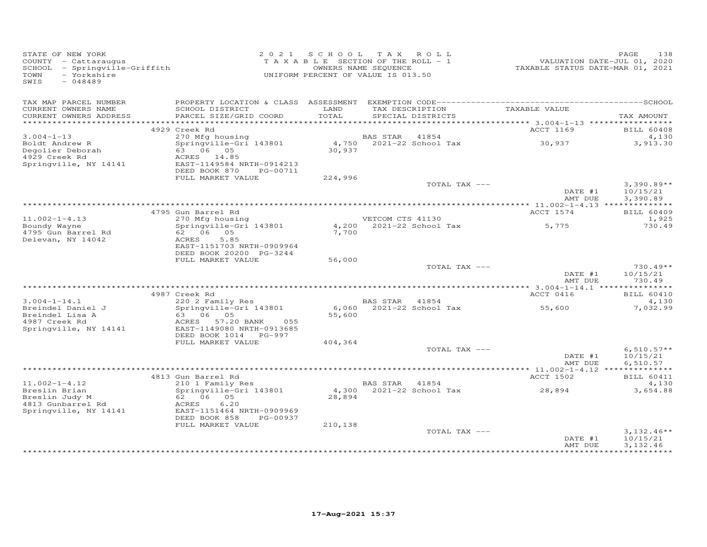| STATE OF NEW YORK<br>COUNTY - Cattaraugus<br>SCHOOL - Springville-Griffith<br>- Yorkshire<br>TOWN<br>$-048489$<br>SWIS |                                                                                                     |               | 2021 SCHOOL TAX ROLL<br>T A X A B L E SECTION OF THE ROLL - 1<br>OWNERS NAME SEQUENCE<br>UNIFORM PERCENT OF VALUE IS 013.50 | VALUATION DATE-JUL 01, 2020<br>TAXABLE STATUS DATE-MAR 01, 2021 | 138<br>PAGE                |
|------------------------------------------------------------------------------------------------------------------------|-----------------------------------------------------------------------------------------------------|---------------|-----------------------------------------------------------------------------------------------------------------------------|-----------------------------------------------------------------|----------------------------|
| TAX MAP PARCEL NUMBER<br>CURRENT OWNERS NAME<br>CURRENT OWNERS ADDRESS                                                 | SCHOOL DISTRICT<br>PARCEL SIZE/GRID COORD                                                           | LAND<br>TOTAL | SPECIAL DISTRICTS                                                                                                           | TAX DESCRIPTION TAXABLE VALUE                                   | TAX AMOUNT                 |
|                                                                                                                        |                                                                                                     |               |                                                                                                                             |                                                                 |                            |
|                                                                                                                        | 4929 Creek Rd                                                                                       |               |                                                                                                                             | ACCT 1169                                                       | <b>BILL 60408</b>          |
| $3.004 - 1 - 13$<br>Boldt Andrew R<br>Degolier Deborah                                                                 | 270 Mfg housing<br>Springville-Gri 143801<br>63 06 05                                               | 30,937        | BAS STAR 41854<br>BAS STAR    41854<br>4,750    2021-22 School Tax                                                          | 30,937                                                          | 4,130<br>3,913.30          |
| 4929 Creek Rd<br>Springville, NY 14141                                                                                 | ACRES 14.85<br>EAST-1149584 NRTH-0914213<br>DEED BOOK 870<br>PG-00711                               |               |                                                                                                                             |                                                                 |                            |
|                                                                                                                        | FULL MARKET VALUE                                                                                   | 224,996       |                                                                                                                             | TOTAL TAX ---                                                   | $3,390.89**$               |
|                                                                                                                        |                                                                                                     |               |                                                                                                                             | DATE #1<br>AMT DUE                                              | 10/15/21<br>3,390.89       |
|                                                                                                                        |                                                                                                     |               |                                                                                                                             | ACCT 1574                                                       |                            |
| $11.002 - 1 - 4.13$                                                                                                    | 4795 Gun Barrel Rd<br>270 Mfg housing                                                               |               | VETCOM CTS 41130                                                                                                            |                                                                 | <b>BILL 60409</b><br>1,925 |
| Boundy Wayne<br>4795 Gun Barrel Rd<br>Delevan, NY 14042                                                                | 270 Mig Housing<br>Springville-Gri 143801<br>62 06 05<br>5.85<br>ACRES<br>EAST-1151703 NRTH-0909964 | 7,700         |                                                                                                                             | $4,200$ 2021-22 School Tax 5,775                                | 730.49                     |
|                                                                                                                        | DEED BOOK 20200 PG-3244<br>FULL MARKET VALUE                                                        | 56,000        |                                                                                                                             |                                                                 |                            |
|                                                                                                                        |                                                                                                     |               |                                                                                                                             | TOTAL TAX ---<br>DATE #1                                        | $730.49**$<br>10/15/21     |
|                                                                                                                        |                                                                                                     |               |                                                                                                                             | AMT DUE                                                         | 730.49                     |
|                                                                                                                        | 4987 Creek Rd                                                                                       |               |                                                                                                                             | ACCT 0416                                                       | <b>BILL 60410</b>          |
| $3.004 - 1 - 14.1$                                                                                                     | 220 2 Family Res                                                                                    |               | BAS STAR 41854                                                                                                              |                                                                 | 4,130                      |
| Breindel Daniel J<br>Breindel Lisa A<br>4987 Creek Rd                                                                  | Springville-Gri 143801<br>63 06 05<br>ACRES 57.20 BANK<br>055                                       | 55,600        | 6,060 2021-22 School Tax                                                                                                    | 55,600                                                          | 7,032.99                   |
| Springville, NY 14141                                                                                                  | EAST-1149080 NRTH-0913685<br>DEED BOOK 1014 PG-997                                                  |               |                                                                                                                             |                                                                 |                            |
|                                                                                                                        | FULL MARKET VALUE                                                                                   | 404,364       |                                                                                                                             |                                                                 |                            |
|                                                                                                                        |                                                                                                     |               |                                                                                                                             | TOTAL TAX ---                                                   | $6,510.57**$               |
|                                                                                                                        |                                                                                                     |               |                                                                                                                             | DATE #1<br>AMT DUE                                              | 10/15/21<br>6,510.57       |
|                                                                                                                        | 4813 Gun Barrel Rd                                                                                  |               |                                                                                                                             | ACCT 1502                                                       | <b>BILL 60411</b>          |
| $11.002 - 1 - 4.12$                                                                                                    | 210 1 Family Res                                                                                    |               | BAS STAR 41854                                                                                                              |                                                                 | 4,130                      |
| Breslin Brian<br>Breslin Judy M<br>4813 Gunbarrel Rd                                                                   | Springville-Gri 143801<br>62 06 05<br>ACRES<br>6.20                                                 | 28,894        |                                                                                                                             | $4,300$ 2021-22 School Tax 28,894                               | 3,654.88                   |
| Springville, NY 14141                                                                                                  | EAST-1151464 NRTH-0909969<br>DEED BOOK 858<br>PG-00937                                              |               |                                                                                                                             |                                                                 |                            |
|                                                                                                                        | FULL MARKET VALUE                                                                                   | 210,138       |                                                                                                                             | TOTAL TAX ---<br>DATE #1                                        | $3,132.46**$<br>10/15/21   |
|                                                                                                                        |                                                                                                     |               |                                                                                                                             | AMT DUE                                                         | 3,132.46                   |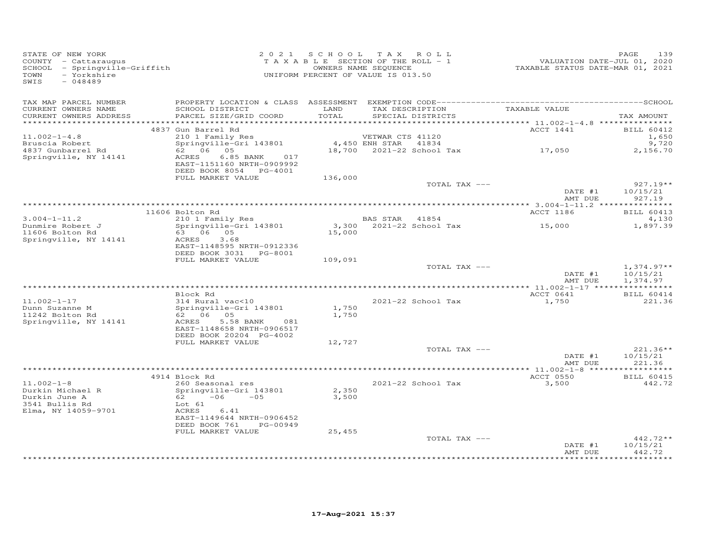| STATE OF NEW YORK<br>COUNTY - Cattaraugus<br>SCHOOL - Springville-Griffith<br>- Yorkshire<br>TOWN<br>SWIS<br>$-048489$ |                                                                                                                                                                                 | 2021 SCHOOL TAX ROLL<br>TAXABLE SECTION OF THE ROLL - 1<br>UNIFORM PERCENT OF VALUE IS 013.50 | OWNERS NAME SEQUENCE                 |                                           | 1552<br>VALUATION DATE-JUL 01, 2020<br>TAXABLE STATUS DATE-MAR 01, 2021 | PAGE<br>139                          |
|------------------------------------------------------------------------------------------------------------------------|---------------------------------------------------------------------------------------------------------------------------------------------------------------------------------|-----------------------------------------------------------------------------------------------|--------------------------------------|-------------------------------------------|-------------------------------------------------------------------------|--------------------------------------|
| TAX MAP PARCEL NUMBER<br>CURRENT OWNERS NAME<br>CURRENT OWNERS ADDRESS<br>*************************                    | SCHOOL DISTRICT<br>PARCEL SIZE/GRID COORD                                                                                                                                       | LAND<br>TOTAL                                                                                 | TAX DESCRIPTION<br>SPECIAL DISTRICTS |                                           | TAXABLE VALUE                                                           | TAX AMOUNT                           |
|                                                                                                                        | 4837 Gun Barrel Rd                                                                                                                                                              |                                                                                               |                                      |                                           | ACCT 1441                                                               | <b>BILL 60412</b>                    |
| $11.002 - 1 - 4.8$<br>Bruscia Robert<br>4837 Gunbarrel Rd<br>Springville, NY 14141                                     | 210 1 Family Res<br>Springville-Gri 143801<br>62 06 05<br>ACRES<br>6.85 BANK<br>017<br>EAST-1151160 NRTH-0909992<br>DEED BOOK 8054 PG-4001                                      |                                                                                               | VETWAR CTS 41120<br>4,450 ENH STAR   | 41834<br>18,700 2021-22 School Tax 17,050 |                                                                         | 1,650<br>9,720<br>2,156.70           |
|                                                                                                                        | FULL MARKET VALUE                                                                                                                                                               | 136,000                                                                                       |                                      |                                           |                                                                         |                                      |
|                                                                                                                        |                                                                                                                                                                                 |                                                                                               |                                      | TOTAL TAX ---                             | DATE #1<br>AMT DUE                                                      | $927.19**$<br>10/15/21<br>927.19     |
|                                                                                                                        |                                                                                                                                                                                 |                                                                                               |                                      |                                           |                                                                         |                                      |
| $3.004 - 1 - 11.2$                                                                                                     | 11606 Bolton Rd<br>210 1 Family Res                                                                                                                                             |                                                                                               | BAS STAR 41854                       |                                           | ACCT 1186                                                               | <b>BILL 60413</b><br>4,130           |
| Dunmire Robert J<br>11606 Bolton Rd<br>Springville, NY 14141                                                           | Springville-Gri 143801<br>63 06 05<br>ACRES<br>3.68<br>EAST-1148595 NRTH-0912336<br>DEED BOOK 3031 PG-8001                                                                      | 15,000                                                                                        | 3,300 2021-22 School Tax             |                                           | 15,000                                                                  | 1,897.39                             |
|                                                                                                                        | FULL MARKET VALUE                                                                                                                                                               | 109,091                                                                                       |                                      |                                           |                                                                         |                                      |
|                                                                                                                        |                                                                                                                                                                                 |                                                                                               |                                      | TOTAL TAX ---                             | DATE #1<br>AMT DUE                                                      | $1,374.97**$<br>10/15/21<br>1,374.97 |
|                                                                                                                        |                                                                                                                                                                                 |                                                                                               |                                      |                                           |                                                                         |                                      |
| $11.002 - 1 - 17$<br>Dunn Suzanne M<br>11242 Bolton Rd<br>Springville, NY 14141                                        | Block Rd<br>314 Rural vac<10<br>Springville-Gri 143801<br>62 06 05<br>ACRES<br>5.58 BANK<br>081<br>EAST-1148658 NRTH-0906517                                                    | 1,750<br>1,750                                                                                |                                      | 2021-22 School Tax                        | ACCT 0641<br>1,750                                                      | BILL 60414<br>221.36                 |
|                                                                                                                        | DEED BOOK 20204 PG-4002<br>FULL MARKET VALUE                                                                                                                                    | 12,727                                                                                        |                                      |                                           |                                                                         |                                      |
|                                                                                                                        |                                                                                                                                                                                 |                                                                                               |                                      | TOTAL TAX ---                             | DATE #1<br>AMT DUE                                                      | $221.36**$<br>10/15/21<br>221.36     |
|                                                                                                                        | 4914 Block Rd                                                                                                                                                                   |                                                                                               |                                      |                                           | ACCT 0550                                                               | <b>BILL 60415</b>                    |
| $11.002 - 1 - 8$<br>Durkin Michael R<br>Durkin June A<br>3541 Bullis Rd<br>Elma, NY 14059-9701                         | 260 Seasonal res<br>Springville-Gri 143801<br>$-06$<br>62 —<br>$-0.5$<br>Lot 61<br>ACRES<br>6.41<br>EAST-1149644 NRTH-0906452<br>DEED BOOK 761<br>PG-00949<br>FULL MARKET VALUE | 2,350<br>3,500<br>25,455                                                                      |                                      | 2021-22 School Tax                        | 3,500                                                                   | 442.72                               |
|                                                                                                                        |                                                                                                                                                                                 |                                                                                               |                                      | TOTAL TAX ---                             | DATE #1<br>AMT DUE                                                      | 442.72**<br>10/15/21<br>442.72       |
|                                                                                                                        |                                                                                                                                                                                 |                                                                                               |                                      |                                           |                                                                         |                                      |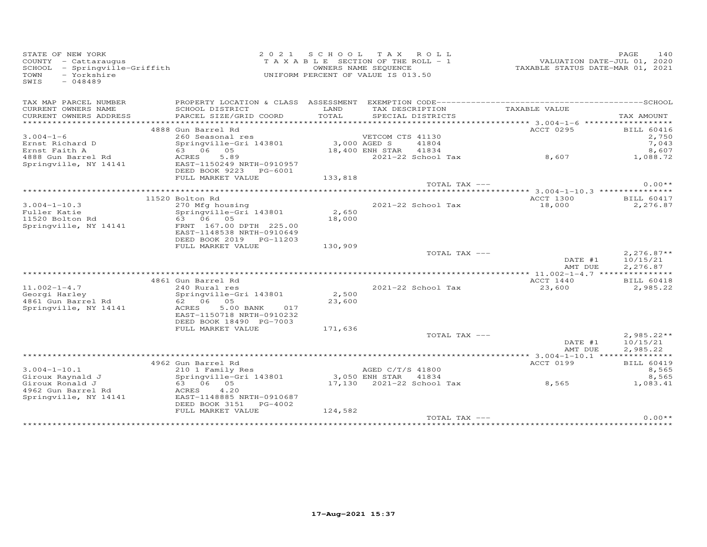| STATE OF NEW YORK<br>COUNTY - Cattaraugus<br>SCHOOL - Springville-Griffith<br>TOWN<br>- Yorkshire<br>$-048489$<br>SWIS |                                                                                   | 2021 SCHOOL TAX ROLL<br>TAXABLE SECTION OF THE ROLL - 1<br>UNIFORM PERCENT OF VALUE IS 013.50 | OWNERS NAME SEQUENCE  |                                      | TAXABLE STATUS DATE-MAR 01, 2021                                  | PAGE<br>140<br>VALUATION DATE-JUL 01, 2020 |
|------------------------------------------------------------------------------------------------------------------------|-----------------------------------------------------------------------------------|-----------------------------------------------------------------------------------------------|-----------------------|--------------------------------------|-------------------------------------------------------------------|--------------------------------------------|
| TAX MAP PARCEL NUMBER                                                                                                  |                                                                                   |                                                                                               |                       |                                      |                                                                   |                                            |
| CURRENT OWNERS NAME<br>CURRENT OWNERS ADDRESS<br>*********************                                                 | SCHOOL DISTRICT<br>PARCEL SIZE/GRID COORD                                         | LAND<br>TOTAL                                                                                 |                       | TAX DESCRIPTION<br>SPECIAL DISTRICTS | TAXABLE VALUE<br>****************** 3.004-1-6 ******************* | TAX AMOUNT                                 |
|                                                                                                                        | 4888 Gun Barrel Rd                                                                |                                                                                               |                       |                                      | ACCT 0295                                                         | <b>BILL 60416</b>                          |
| $3.004 - 1 - 6$                                                                                                        | 260 Seasonal res                                                                  |                                                                                               | VETCOM CTS 41130      |                                      |                                                                   | 2,750                                      |
| Ernst Richard D                                                                                                        | Springville-Gri 143801                                                            | 3,000 AGED S                                                                                  |                       | 41804                                |                                                                   | 7,043                                      |
| Ernst Faith A                                                                                                          | 63 06 05                                                                          |                                                                                               | 18,400 ENH STAR 41834 |                                      |                                                                   | 8,607                                      |
| 4888 Gun Barrel Rd<br>Springville, NY 14141                                                                            | 5.89<br>ACRES<br>EAST-1150249 NRTH-0910957<br>DEED BOOK 9223 PG-6001              |                                                                                               |                       | 2021-22 School Tax                   | 8,607                                                             | 1,088.72                                   |
|                                                                                                                        | FULL MARKET VALUE                                                                 | 133,818                                                                                       |                       |                                      |                                                                   |                                            |
|                                                                                                                        |                                                                                   |                                                                                               |                       | TOTAL TAX ---                        |                                                                   | $0.00**$                                   |
|                                                                                                                        | 11520 Bolton Rd                                                                   |                                                                                               |                       |                                      | ACCT 1300                                                         | <b>BILL 60417</b>                          |
| $3.004 - 1 - 10.3$                                                                                                     | 270 Mfg housing                                                                   |                                                                                               |                       | 2021-22 School Tax                   | 18,000                                                            | 2,276.87                                   |
| Fuller Katie                                                                                                           | Springville-Gri 143801                                                            | 2,650                                                                                         |                       |                                      |                                                                   |                                            |
| 11520 Bolton Rd                                                                                                        | 63 06 05                                                                          | 18,000                                                                                        |                       |                                      |                                                                   |                                            |
| Springville, NY 14141                                                                                                  | FRNT 167.00 DPTH 225.00<br>EAST-1148538 NRTH-0910649<br>DEED BOOK 2019 PG-11203   |                                                                                               |                       |                                      |                                                                   |                                            |
|                                                                                                                        | FULL MARKET VALUE                                                                 | 130,909                                                                                       |                       |                                      |                                                                   |                                            |
|                                                                                                                        |                                                                                   |                                                                                               |                       | TOTAL TAX ---                        | DATE #1<br>AMT DUE                                                | $2,276.87**$<br>10/15/21                   |
|                                                                                                                        |                                                                                   |                                                                                               |                       |                                      | ************** 11.002-1-4.7 ****************                      | 2,276.87                                   |
|                                                                                                                        | 4861 Gun Barrel Rd                                                                |                                                                                               |                       |                                      | ACCT 1440                                                         | <b>BILL 60418</b>                          |
| $11.002 - 1 - 4.7$                                                                                                     | 240 Rural res                                                                     |                                                                                               |                       | 2021-22 School Tax                   | 23,600                                                            | 2,985.22                                   |
| Georgi Harley<br>4861 Gun Barrel Rd                                                                                    | Springville-Gri 143801<br>62 06 05                                                | 2,500<br>23,600                                                                               |                       |                                      |                                                                   |                                            |
| Springville, NY 14141                                                                                                  | ACRES<br>5.00 BANK<br>017<br>EAST-1150718 NRTH-0910232<br>DEED BOOK 18490 PG-7003 |                                                                                               |                       |                                      |                                                                   |                                            |
|                                                                                                                        | FULL MARKET VALUE                                                                 | 171,636                                                                                       |                       |                                      |                                                                   |                                            |
|                                                                                                                        |                                                                                   |                                                                                               |                       | TOTAL TAX ---                        |                                                                   | $2,985.22**$                               |
|                                                                                                                        |                                                                                   |                                                                                               |                       |                                      | DATE #1<br>AMT DUE                                                | 10/15/21<br>2,985.22                       |
|                                                                                                                        |                                                                                   |                                                                                               |                       |                                      |                                                                   |                                            |
| $3.004 - 1 - 10.1$                                                                                                     | 4962 Gun Barrel Rd<br>210 1 Family Res                                            |                                                                                               | AGED C/T/S 41800      |                                      | ACCT 0199                                                         | <b>BILL 60419</b><br>8,565                 |
| Giroux Raynald J                                                                                                       | Springville-Gri 143801                                                            | 3,050 ENH STAR                                                                                |                       | 41834                                |                                                                   | 8,565                                      |
| Giroux Ronald J                                                                                                        | 63 06 05                                                                          |                                                                                               |                       | 17,130 2021-22 School Tax            | 8,565                                                             | 1,083.41                                   |
| 4962 Gun Barrel Rd<br>Springville, NY 14141                                                                            | 4.20<br>ACRES<br>EAST-1148885 NRTH-0910687<br>DEED BOOK 3151 PG-4002              |                                                                                               |                       |                                      |                                                                   |                                            |
|                                                                                                                        | FULL MARKET VALUE                                                                 | 124,582                                                                                       |                       |                                      |                                                                   |                                            |
|                                                                                                                        |                                                                                   |                                                                                               |                       | TOTAL TAX ---                        | **************************************                            | $0.00**$                                   |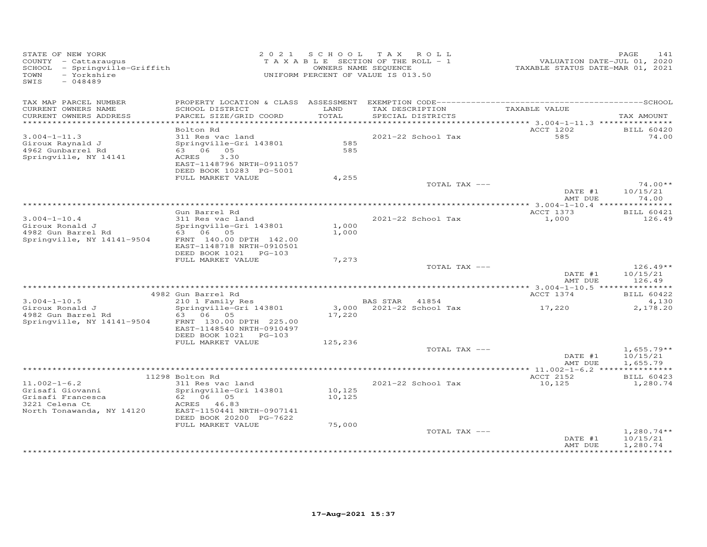| STATE OF NEW YORK<br>COUNTY - Cattaraugus<br>SCHOOL - Springville-Griffith<br>- Yorkshire<br>TOWN<br>SWIS<br>$-048489$ |                                                                                                                                         |                  | 2021 SCHOOL TAX ROLL<br>TAXABLE SECTION OF THE ROLL - 1<br>OWNERS NAME SEQUENCE<br>UNIFORM PERCENT OF VALUE IS 013.50 | VALUATION DATE-JUL 01, 2020<br>TAXABLE STATUS DATE-MAR 01, 2021 | 141<br>PAGE                          |
|------------------------------------------------------------------------------------------------------------------------|-----------------------------------------------------------------------------------------------------------------------------------------|------------------|-----------------------------------------------------------------------------------------------------------------------|-----------------------------------------------------------------|--------------------------------------|
| TAX MAP PARCEL NUMBER<br>CURRENT OWNERS NAME                                                                           | SCHOOL DISTRICT                                                                                                                         | LAND<br>TOTAL    | TAX DESCRIPTION                                                                                                       | TAXABLE VALUE                                                   |                                      |
| CURRENT OWNERS ADDRESS                                                                                                 | PARCEL SIZE/GRID COORD                                                                                                                  |                  | SPECIAL DISTRICTS                                                                                                     | ********** 3.004-1-11.3 ****************                        | TAX AMOUNT                           |
|                                                                                                                        | Bolton Rd                                                                                                                               |                  |                                                                                                                       | ACCT 1202                                                       | <b>BILL 60420</b>                    |
| $3.004 - 1 - 11.3$<br>Giroux Raynald J<br>4962 Gunbarrel Rd<br>Springville, NY 14141                                   | 311 Res vac land<br>Springville-Gri 143801<br>63 06 05<br>3.30<br>ACRES<br>EAST-1148796 NRTH-0911057<br>DEED BOOK 10283 PG-5001         | 585<br>585       | 2021-22 School Tax                                                                                                    | 585                                                             | 74.00                                |
|                                                                                                                        | FULL MARKET VALUE                                                                                                                       | 4,255            |                                                                                                                       |                                                                 |                                      |
|                                                                                                                        |                                                                                                                                         |                  | TOTAL TAX ---                                                                                                         |                                                                 | $74.00**$                            |
|                                                                                                                        |                                                                                                                                         |                  |                                                                                                                       | DATE #1<br>AMT DUE                                              | 10/15/21<br>74.00                    |
|                                                                                                                        |                                                                                                                                         |                  |                                                                                                                       |                                                                 |                                      |
|                                                                                                                        | Gun Barrel Rd                                                                                                                           |                  |                                                                                                                       | ACCT 1373                                                       | BILL 60421                           |
| $3.004 - 1 - 10.4$<br>Giroux Ronald J<br>4982 Gun Barrel Rd<br>Springville, NY 14141-9504                              | 311 Res vac land<br>Springville-Gri 143801<br>63 06 05<br>FRNT 140.00 DPTH 142.00<br>EAST-1148718 NRTH-0910501<br>DEED BOOK 1021 PG-103 | 1,000<br>1,000   | 2021-22 School Tax                                                                                                    | 1,000                                                           | 126.49                               |
|                                                                                                                        | FULL MARKET VALUE                                                                                                                       | 7,273            |                                                                                                                       |                                                                 |                                      |
|                                                                                                                        |                                                                                                                                         |                  | TOTAL TAX ---                                                                                                         | DATE #1<br>AMT DUE                                              | $126.49**$<br>10/15/21<br>126.49     |
|                                                                                                                        |                                                                                                                                         |                  |                                                                                                                       |                                                                 |                                      |
| $3.004 - 1 - 10.5$                                                                                                     | 4982 Gun Barrel Rd<br>210 1 Family Res                                                                                                  |                  | BAS STAR 41854                                                                                                        | ACCT 1374                                                       | BILL 60422<br>4,130                  |
| Giroux Ronald J<br>4982 Gun Barrel Rd<br>Springville, NY 14141-9504                                                    | Springville-Gri 143801<br>63 06 05<br>FRNT 130.00 DPTH 225.00<br>EAST-1148540 NRTH-0910497                                              | 17,220           | 3,000 2021-22 School Tax                                                                                              | 17,220                                                          | 2,178.20                             |
|                                                                                                                        | DEED BOOK 1021 PG-103                                                                                                                   |                  |                                                                                                                       |                                                                 |                                      |
|                                                                                                                        | FULL MARKET VALUE                                                                                                                       | 125,236          |                                                                                                                       |                                                                 |                                      |
|                                                                                                                        |                                                                                                                                         |                  | TOTAL TAX ---                                                                                                         | DATE #1<br>AMT DUE                                              | $1,655.79**$<br>10/15/21<br>1,655.79 |
|                                                                                                                        |                                                                                                                                         |                  |                                                                                                                       |                                                                 |                                      |
| $11.002 - 1 - 6.2$                                                                                                     | 11298 Bolton Rd<br>311 Res vac land                                                                                                     |                  | 2021-22 School Tax                                                                                                    | ACCT 2152<br>10,125                                             | <b>BILL 60423</b><br>1,280.74        |
| Grisafi Giovanni<br>Grisafi Francesca<br>3221 Celena Ct                                                                | Springville-Gri 143801<br>62 06 05<br>ACRES 46.83                                                                                       | 10,125<br>10,125 |                                                                                                                       |                                                                 |                                      |
| North Tonawanda, NY 14120                                                                                              | EAST-1150441 NRTH-0907141<br>DEED BOOK 20200 PG-7622                                                                                    |                  |                                                                                                                       |                                                                 |                                      |
|                                                                                                                        | FULL MARKET VALUE                                                                                                                       | 75,000           | TOTAL TAX ---                                                                                                         |                                                                 | $1,280.74**$                         |
|                                                                                                                        |                                                                                                                                         |                  |                                                                                                                       | DATE #1<br>AMT DUE                                              | 10/15/21<br>1,280.74                 |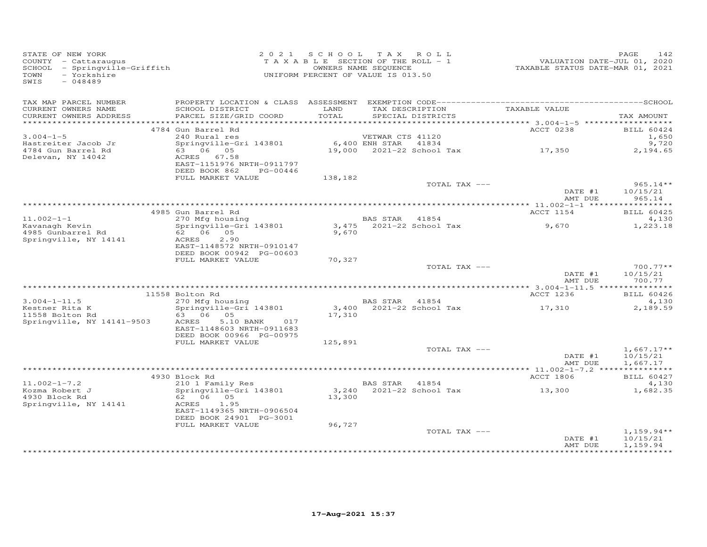| STATE OF NEW YORK<br>COUNTY - Cattaraugus<br>SCHOOL - Springville-Griffith<br>TOWN<br>- Yorkshire<br>SWIS<br>$-048489$ |                                                                                                                                               | 2021 SCHOOL TAX ROLL<br>TAXABLE SECTION OF THE ROLL - 1<br>UNIFORM PERCENT OF VALUE IS 013.50 | OWNERS NAME SEQUENCE |                                      | 1<br>2020 VALUATION DATE-JUL 01,<br>2021 TAXABLE STATUS DATE-MAR | PAGE | 142                                  |
|------------------------------------------------------------------------------------------------------------------------|-----------------------------------------------------------------------------------------------------------------------------------------------|-----------------------------------------------------------------------------------------------|----------------------|--------------------------------------|------------------------------------------------------------------|------|--------------------------------------|
| TAX MAP PARCEL NUMBER                                                                                                  |                                                                                                                                               |                                                                                               |                      |                                      |                                                                  |      |                                      |
| CURRENT OWNERS NAME<br>CURRENT OWNERS ADDRESS                                                                          | SCHOOL DISTRICT<br>PARCEL SIZE/GRID COORD                                                                                                     | LAND<br>TOTAL                                                                                 |                      | TAX DESCRIPTION<br>SPECIAL DISTRICTS | TAXABLE VALUE                                                    |      | TAX AMOUNT                           |
|                                                                                                                        |                                                                                                                                               |                                                                                               |                      |                                      |                                                                  |      |                                      |
|                                                                                                                        | 4784 Gun Barrel Rd                                                                                                                            |                                                                                               |                      |                                      | ACCT 0238                                                        |      | BILL 60424                           |
| $3.004 - 1 - 5$<br>Hastreiter Jacob Jr                                                                                 | 240 Rural res<br>Springville-Gri 143801 6,400 ENH STAR 41834                                                                                  |                                                                                               | VETWAR CTS 41120     |                                      |                                                                  |      | 1,650<br>9,720                       |
| 4784 Gun Barrel Rd                                                                                                     | 63 06 05                                                                                                                                      |                                                                                               |                      |                                      | 19,000 $2021-22$ School Tax $17,350$                             |      | 2,194.65                             |
| Delevan, NY 14042                                                                                                      | ACRES 67.58<br>EAST-1151976 NRTH-0911797<br>DEED BOOK 862<br>PG-00446                                                                         |                                                                                               |                      |                                      |                                                                  |      |                                      |
|                                                                                                                        | FULL MARKET VALUE                                                                                                                             | 138,182                                                                                       |                      |                                      |                                                                  |      |                                      |
|                                                                                                                        |                                                                                                                                               |                                                                                               |                      | TOTAL TAX ---                        |                                                                  |      | $965.14**$                           |
|                                                                                                                        |                                                                                                                                               |                                                                                               |                      |                                      | DATE #1<br>AMT DUE                                               |      | 10/15/21<br>965.14                   |
|                                                                                                                        |                                                                                                                                               |                                                                                               |                      |                                      |                                                                  |      |                                      |
|                                                                                                                        | 4985 Gun Barrel Rd                                                                                                                            |                                                                                               |                      |                                      | ACCT 1154                                                        |      | <b>BILL 60425</b>                    |
| $11.002 - 1 - 1$                                                                                                       |                                                                                                                                               |                                                                                               |                      |                                      |                                                                  |      | 4,130                                |
| Kavanagh Kevin<br>4985 Gunbarrel Rd<br>Springville, NY 14141                                                           | Gun Barrel Ru<br>270 Mfg housing<br>Springville-Gri 143801 3,475 2021-22 School Tax<br>62 06 05<br>ACRES<br>2,90<br>EAST-1148572 NRTH-0910147 | 9,670                                                                                         |                      |                                      | 9,670                                                            |      | 1,223.18                             |
|                                                                                                                        | DEED BOOK 00942 PG-00603                                                                                                                      |                                                                                               |                      |                                      |                                                                  |      |                                      |
|                                                                                                                        | FULL MARKET VALUE                                                                                                                             | 70,327                                                                                        |                      |                                      |                                                                  |      |                                      |
|                                                                                                                        |                                                                                                                                               |                                                                                               |                      | TOTAL TAX ---                        | DATE #1                                                          |      | $700.77**$<br>10/15/21               |
|                                                                                                                        |                                                                                                                                               |                                                                                               |                      |                                      | AMT DUE                                                          |      | 700.77                               |
|                                                                                                                        |                                                                                                                                               |                                                                                               |                      |                                      |                                                                  |      |                                      |
| $3.004 - 1 - 11.5$                                                                                                     | 11558 Bolton Rd<br>270 Mfg housing                                                                                                            |                                                                                               | BAS STAR 41854       |                                      | ACCT 1236                                                        |      | <b>BILL 60426</b>                    |
| Kestner Rita K                                                                                                         | Springville-Gri 143801                                                                                                                        |                                                                                               |                      | 3,400 2021-22 School Tax             | 17,310                                                           |      | 4,130<br>2,189.59                    |
| 11558 Bolton Rd                                                                                                        | 63 06 05                                                                                                                                      | 17,310                                                                                        |                      |                                      |                                                                  |      |                                      |
| Springville, NY 14141-9503                                                                                             | 5.10 BANK 017<br>ACRES                                                                                                                        |                                                                                               |                      |                                      |                                                                  |      |                                      |
|                                                                                                                        | EAST-1148603 NRTH-0911683<br>DEED BOOK 00966 PG-00975                                                                                         |                                                                                               |                      |                                      |                                                                  |      |                                      |
|                                                                                                                        | FULL MARKET VALUE                                                                                                                             | 125,891                                                                                       |                      |                                      |                                                                  |      |                                      |
|                                                                                                                        |                                                                                                                                               |                                                                                               |                      | TOTAL TAX ---                        |                                                                  |      | $1,667.17**$                         |
|                                                                                                                        |                                                                                                                                               |                                                                                               |                      |                                      | DATE #1<br>AMT DUE                                               |      | 10/15/21<br>1,667.17                 |
|                                                                                                                        |                                                                                                                                               |                                                                                               |                      |                                      |                                                                  |      |                                      |
|                                                                                                                        | 4930 Block Rd                                                                                                                                 |                                                                                               |                      |                                      | ACCT 1806                                                        |      | <b>BILL 60427</b>                    |
| $11.002 - 1 - 7.2$                                                                                                     | 210 1 Family Res                                                                                                                              |                                                                                               | BAS STAR 41854       |                                      |                                                                  |      | 4,130                                |
| Kozma Robert J<br>4930 Block Rd                                                                                        | Springville-Gri 143801<br>62 06 05                                                                                                            | 13,300                                                                                        |                      |                                      |                                                                  |      | 1,682.35                             |
| Springville, NY 14141                                                                                                  | ACRES<br>1.95<br>EAST-1149365 NRTH-0906504<br>DEED BOOK 24901 PG-3001                                                                         |                                                                                               |                      |                                      |                                                                  |      |                                      |
|                                                                                                                        | FULL MARKET VALUE                                                                                                                             | 96,727                                                                                        |                      |                                      |                                                                  |      |                                      |
|                                                                                                                        |                                                                                                                                               |                                                                                               |                      | TOTAL TAX ---                        | DATE #1<br>AMT DUE                                               |      | $1,159.94**$<br>10/15/21<br>1,159.94 |
|                                                                                                                        |                                                                                                                                               |                                                                                               |                      |                                      |                                                                  |      |                                      |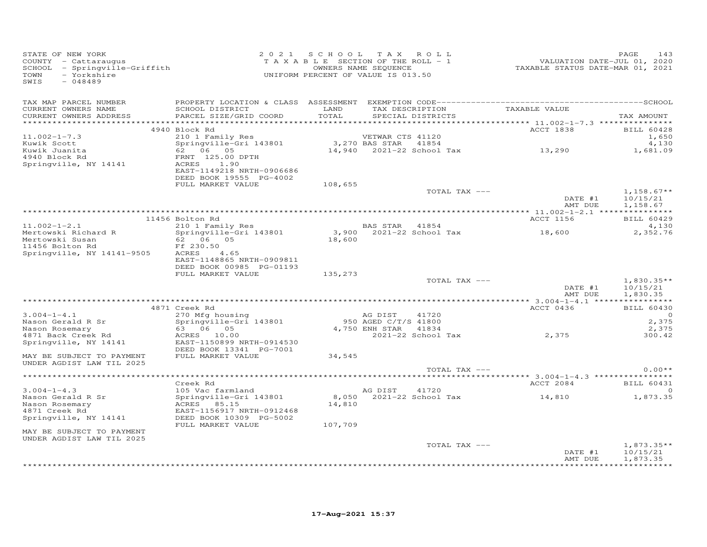| STATE OF NEW YORK<br>COUNTY - Cattaraugus<br>SCHOOL - Springville-Griffith<br>TOWN<br>- Yorkshire<br>SWIS<br>$-048489$ |                                                                      | 2021 SCHOOL TAX ROLL<br>T A X A B L E SECTION OF THE ROLL - 1<br>UNIFORM PERCENT OF VALUE IS 013.50 | OWNERS NAME SEQUENCE |                   | VALUATION DATE-JUL 01, 2020<br>TAXABLE STATUS DATE-MAR 01, 2021                                | PAGE<br>143              |
|------------------------------------------------------------------------------------------------------------------------|----------------------------------------------------------------------|-----------------------------------------------------------------------------------------------------|----------------------|-------------------|------------------------------------------------------------------------------------------------|--------------------------|
| TAX MAP PARCEL NUMBER<br>CURRENT OWNERS NAME                                                                           | SCHOOL DISTRICT LAND                                                 |                                                                                                     |                      |                   | TAX DESCRIPTION TAXABLE VALUE                                                                  |                          |
| CURRENT OWNERS ADDRESS                                                                                                 | PARCEL SIZE/GRID COORD                                               | TOTAL                                                                                               |                      | SPECIAL DISTRICTS |                                                                                                | TAX AMOUNT               |
|                                                                                                                        | 4940 Block Rd                                                        |                                                                                                     |                      |                   | ACCT 1838                                                                                      | BILL 60428               |
| $11.002 - 1 - 7.3$                                                                                                     | 210 1 Family Res                                                     |                                                                                                     | VETWAR CTS 41120     |                   |                                                                                                | 1,650                    |
| Kuwik Scott                                                                                                            | --- - - ----- <i>1</i><br>Springville-Gri 143801                     |                                                                                                     |                      |                   | 3,270 BAS STAR    41854<br>14,940    2021–22 School Tax                                 13,290 | 4,130                    |
| Kuwik Juanita<br>4940 Block Rd                                                                                         | 62 06 05                                                             |                                                                                                     |                      |                   |                                                                                                | 1,681.09                 |
| Springville, NY 14141                                                                                                  | FRNT 125.00 DPTH<br>ACRES 1.90                                       |                                                                                                     |                      |                   |                                                                                                |                          |
|                                                                                                                        | EAST-1149218 NRTH-0906686                                            |                                                                                                     |                      |                   |                                                                                                |                          |
|                                                                                                                        | DEED BOOK 19555 PG-4002                                              |                                                                                                     |                      |                   |                                                                                                |                          |
|                                                                                                                        | FULL MARKET VALUE                                                    | 108,655                                                                                             |                      |                   |                                                                                                |                          |
|                                                                                                                        |                                                                      |                                                                                                     |                      | TOTAL TAX ---     | DATE #1                                                                                        | $1,158.67**$<br>10/15/21 |
|                                                                                                                        |                                                                      |                                                                                                     |                      |                   | AMT DUE                                                                                        | 1,158.67                 |
|                                                                                                                        |                                                                      |                                                                                                     |                      |                   |                                                                                                |                          |
|                                                                                                                        | 11456 Bolton Rd                                                      |                                                                                                     |                      |                   | ACCT 1156                                                                                      | <b>BILL 60429</b>        |
| $11.002 - 1 - 2.1$                                                                                                     |                                                                      |                                                                                                     |                      |                   |                                                                                                | 4,130                    |
| Mertowski Richard R<br>Mertowski Susan                                                                                 | 210 1 Family Res<br>Springville-Gri 143801<br>62 06 05<br>Ff 230.50  |                                                                                                     |                      |                   |                                                                                                | 2,352.76                 |
| 11456 Bolton Rd                                                                                                        | Ff 230.50                                                            |                                                                                                     |                      |                   | BAS STAR 41854<br>3,900 2021-22 School Tax 18,600<br>18,600                                    |                          |
| Springville, $NY$ 14141-9505 $ACRES$ 4.65                                                                              |                                                                      |                                                                                                     |                      |                   |                                                                                                |                          |
|                                                                                                                        | EAST-1148865 NRTH-0909811<br>DEED BOOK 00985 PG-01193                |                                                                                                     |                      |                   |                                                                                                |                          |
|                                                                                                                        | FULL MARKET VALUE                                                    | 135,273                                                                                             |                      |                   |                                                                                                |                          |
|                                                                                                                        |                                                                      |                                                                                                     |                      | TOTAL TAX ---     |                                                                                                | $1,830.35**$             |
|                                                                                                                        |                                                                      |                                                                                                     |                      |                   | DATE #1                                                                                        | 10/15/21                 |
|                                                                                                                        |                                                                      |                                                                                                     |                      |                   | AMT DUE                                                                                        | 1,830.35                 |
|                                                                                                                        | 4871 Creek Rd                                                        |                                                                                                     |                      |                   | ACCT 0436                                                                                      | <b>BILL 60430</b>        |
| $3.004 - 1 - 4.1$                                                                                                      | 270 MHg housing<br>Springville-Gri 143801<br>63 06 05<br>ACRES 10.00 |                                                                                                     | AG DIST              | 41720             |                                                                                                | $\circ$                  |
| Nason Gerald R Sr                                                                                                      |                                                                      |                                                                                                     | 950 AGED C/T/S 41800 |                   |                                                                                                | 2,375                    |
| Nason Rosemary                                                                                                         |                                                                      |                                                                                                     | 4,750 ENH STAR 41834 |                   | 2021-22 School Tax 2,375                                                                       | 2,375                    |
| 4871 Back Creek Rd<br>Springville, NY 14141                                                                            | EAST-1150899 NRTH-0914530                                            |                                                                                                     |                      |                   |                                                                                                | 300.42                   |
|                                                                                                                        | DEED BOOK 13341 PG-7001                                              |                                                                                                     |                      |                   |                                                                                                |                          |
| MAY BE SUBJECT TO PAYMENT                                                                                              | FULL MARKET VALUE                                                    | 34,545                                                                                              |                      |                   |                                                                                                |                          |
| UNDER AGDIST LAW TIL 2025                                                                                              |                                                                      |                                                                                                     |                      |                   |                                                                                                |                          |
|                                                                                                                        |                                                                      |                                                                                                     |                      | TOTAL TAX ---     |                                                                                                | $0.00**$                 |
|                                                                                                                        | Creek Rd                                                             |                                                                                                     |                      |                   | ACCT 2084                                                                                      | <b>BILL 60431</b>        |
| $3.004 - 1 - 4.3$                                                                                                      | 105 Vac farmland<br>Springville-Gri 143801                           |                                                                                                     | AG DIST 41720        |                   |                                                                                                | $\Omega$                 |
| Nason Gerald R Sr                                                                                                      |                                                                      |                                                                                                     |                      |                   | 8,050 2021-22 School Tax 14,810 1,873.35                                                       |                          |
| Nason Rosemary                                                                                                         | ACRES 85.15                                                          | 14,810                                                                                              |                      |                   |                                                                                                |                          |
| 4871 Creek Rd<br>Springville, NY 14141                                                                                 | EAST-1156917 NRTH-0912468<br>DEED BOOK 10309 PG-5002                 |                                                                                                     |                      |                   |                                                                                                |                          |
|                                                                                                                        | FULL MARKET VALUE                                                    | 107,709                                                                                             |                      |                   |                                                                                                |                          |
| MAY BE SUBJECT TO PAYMENT                                                                                              |                                                                      |                                                                                                     |                      |                   |                                                                                                |                          |
| UNDER AGDIST LAW TIL 2025                                                                                              |                                                                      |                                                                                                     |                      |                   |                                                                                                |                          |
|                                                                                                                        |                                                                      |                                                                                                     |                      | TOTAL TAX ---     | DATE #1                                                                                        | $1,873.35**$<br>10/15/21 |
|                                                                                                                        |                                                                      |                                                                                                     |                      |                   | AMT DUE                                                                                        | 1,873.35                 |
|                                                                                                                        |                                                                      |                                                                                                     |                      |                   |                                                                                                |                          |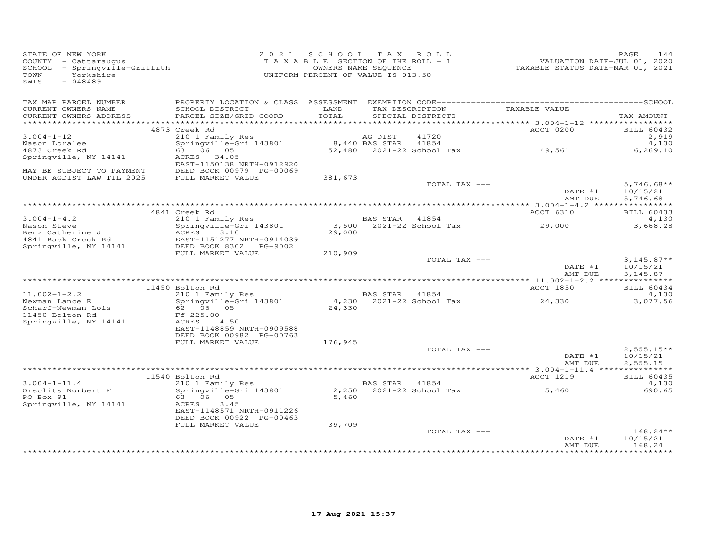| STATE OF NEW YORK<br>SIAIE OF NEW IONN<br>COUNTY - Cattaraugus<br>SCHOOL - Springville-Griffith<br>- Yorkshire<br>TOWN<br>$-048489$<br>SWIS |                                                                        | 2021 SCHOOL TAX ROLL<br>UNIFORM PERCENT OF VALUE IS 013.50 |                       |                                                    | TAXABLE SECTION OF THE ROLL - 1<br>TAXABLE SECTION OF THE ROLL - 1<br>OWNERS NAME SEQUENCE TAXABLE STATUS DATE-MAR 01, 2021 | PAGE<br>144                          |
|---------------------------------------------------------------------------------------------------------------------------------------------|------------------------------------------------------------------------|------------------------------------------------------------|-----------------------|----------------------------------------------------|-----------------------------------------------------------------------------------------------------------------------------|--------------------------------------|
| TAX MAP PARCEL NUMBER<br>CURRENT OWNERS NAME<br>CURRENT OWNERS ADDRESS                                                                      | SCHOOL DISTRICT<br>PARCEL SIZE/GRID COORD                              | LAND<br>TOTAL                                              |                       | TAX DESCRIPTION TAXABLE VALUE<br>SPECIAL DISTRICTS |                                                                                                                             | TAX AMOUNT                           |
|                                                                                                                                             |                                                                        |                                                            |                       |                                                    |                                                                                                                             |                                      |
|                                                                                                                                             | 4873 Creek Rd                                                          |                                                            |                       |                                                    | ACCT 0200                                                                                                                   | BILL 60432                           |
| $3.004 - 1 - 12$                                                                                                                            | 210 1 Family Res<br>210 1 Pamily Res<br>Springville-Gri 143801         | 8,440 BAS STAR 41854                                       | AG DIST               | 41720                                              |                                                                                                                             | 2,919<br>4,130                       |
| Nason Loralee<br>4873 Creek Rd                                                                                                              | 63 06 05                                                               |                                                            |                       |                                                    | $52,480$ 2021-22 School Tax 49,561                                                                                          | 6,269.10                             |
| Springville, NY 14141                                                                                                                       | ACRES 34.05<br>EAST-1150138 NRTH-0912920                               |                                                            |                       |                                                    |                                                                                                                             |                                      |
| MAY BE SUBJECT TO PAYMENT                                                                                                                   | DEED BOOK 00979 PG-00069                                               |                                                            |                       |                                                    |                                                                                                                             |                                      |
| UNDER AGDIST LAW TIL 2025                                                                                                                   | FULL MARKET VALUE                                                      | 381,673                                                    |                       |                                                    |                                                                                                                             |                                      |
|                                                                                                                                             |                                                                        |                                                            |                       | TOTAL TAX ---                                      | DATE #1<br>AMT DUE                                                                                                          | $5,746.68**$<br>10/15/21<br>5,746.68 |
|                                                                                                                                             |                                                                        |                                                            |                       |                                                    |                                                                                                                             |                                      |
|                                                                                                                                             | 4841 Creek Rd                                                          |                                                            |                       |                                                    | ACCT 6310                                                                                                                   | BILL 60433                           |
| s.∪04-1-4.2<br>Nason Steve                                                                                                                  |                                                                        |                                                            |                       |                                                    |                                                                                                                             | 4,130                                |
|                                                                                                                                             |                                                                        | 29,000                                                     |                       |                                                    |                                                                                                                             | 3,668.28                             |
|                                                                                                                                             |                                                                        |                                                            |                       |                                                    |                                                                                                                             |                                      |
|                                                                                                                                             | FULL MARKET VALUE                                                      | 210,909                                                    |                       |                                                    |                                                                                                                             |                                      |
|                                                                                                                                             |                                                                        |                                                            |                       | TOTAL TAX ---                                      |                                                                                                                             | $3,145.87**$                         |
|                                                                                                                                             |                                                                        |                                                            |                       |                                                    | DATE #1<br>AMT DUE                                                                                                          | 10/15/21<br>3,145.87                 |
|                                                                                                                                             |                                                                        |                                                            |                       |                                                    |                                                                                                                             |                                      |
| $11.002 - 1 - 2.2$                                                                                                                          | 11450 Bolton Rd<br>210 1 Family Res                                    |                                                            | <b>BAS STAR 41854</b> |                                                    | ACCT 1850                                                                                                                   | <b>BILL 60434</b><br>4,130           |
| Newman Lance E                                                                                                                              | Springville-Gri 143801<br>62 06 05                                     |                                                            |                       |                                                    | 4,230 2021-22 School Tax 24,330                                                                                             | 3,077.56                             |
| Scharf-Newman Lois<br>11450 Bolton Rd                                                                                                       | Ff 225.00                                                              | 24,330                                                     |                       |                                                    |                                                                                                                             |                                      |
| Springville, NY 14141                                                                                                                       | ACRES<br>4.50                                                          |                                                            |                       |                                                    |                                                                                                                             |                                      |
|                                                                                                                                             | EAST-1148859 NRTH-0909588<br>DEED BOOK 00982 PG-00763                  |                                                            |                       |                                                    |                                                                                                                             |                                      |
|                                                                                                                                             | FULL MARKET VALUE                                                      | 176,945                                                    |                       |                                                    |                                                                                                                             |                                      |
|                                                                                                                                             |                                                                        |                                                            |                       | TOTAL TAX ---                                      |                                                                                                                             | $2,555.15**$                         |
|                                                                                                                                             |                                                                        |                                                            |                       |                                                    | DATE #1<br>AMT DUE                                                                                                          | 10/15/21<br>2,555.15                 |
|                                                                                                                                             | 11540 Bolton Rd                                                        |                                                            |                       |                                                    | ACCT 1219                                                                                                                   | <b>BILL 60435</b>                    |
| $3.004 - 1 - 11.4$                                                                                                                          | 210 1 Family Res                                                       |                                                            | BAS STAR 41854        |                                                    |                                                                                                                             | 4,130                                |
| Orsolits Norbert F<br>PO Box 91                                                                                                             | Springville-Gri 143801<br>63 06 05                                     | 5,460                                                      |                       |                                                    | $2,250$ $2021-22$ School Tax $5,460$<br>5.460                                                                               | 690.65                               |
| Springville, NY 14141                                                                                                                       | ACRES<br>3.45<br>EAST-1148571 NRTH-0911226<br>DEED BOOK 00922 PG-00463 |                                                            |                       |                                                    |                                                                                                                             |                                      |
|                                                                                                                                             | FULL MARKET VALUE                                                      | 39,709                                                     |                       |                                                    |                                                                                                                             |                                      |
|                                                                                                                                             |                                                                        |                                                            |                       | TOTAL TAX ---                                      |                                                                                                                             | $168.24**$                           |
|                                                                                                                                             |                                                                        |                                                            |                       |                                                    | DATE #1<br>AMT DUE                                                                                                          | 10/15/21<br>168.24<br>**********     |
|                                                                                                                                             |                                                                        |                                                            |                       |                                                    |                                                                                                                             |                                      |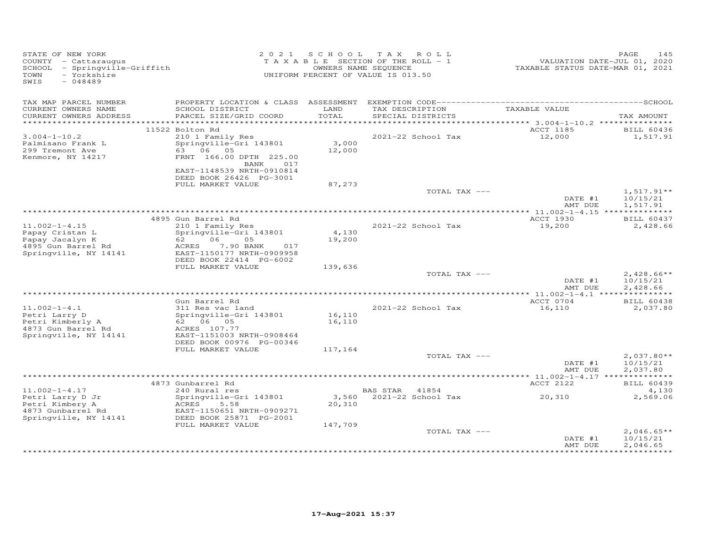| TAX MAP PARCEL NUMBER<br>TAX DESCRIPTION<br>TAXABLE VALUE<br>CURRENT OWNERS NAME<br>SCHOOL DISTRICT<br>LAND<br>PARCEL SIZE/GRID COORD<br>TOTAL<br>SPECIAL DISTRICTS<br>CURRENT OWNERS ADDRESS<br>TAX AMOUNT<br>*********** 3.004-1-10.2 ****************<br>11522 Bolton Rd<br>ACCT 1185<br><b>BILL 60436</b><br>$3.004 - 1 - 10.2$<br>210 1 Family Res<br>2021-22 School Tax<br>12,000<br>1,517.91<br>3,000<br>Springville-Gri 143801<br>Palmisano Frank L<br>299 Tremont Ave<br>63 06 05<br>12,000<br>Kenmore, NY 14217<br>FRNT 166.00 DPTH 225.00<br>BANK 017<br>EAST-1148539 NRTH-0910814<br>DEED BOOK 26426 PG-3001<br>87,273<br>FULL MARKET VALUE<br>TOTAL TAX ---<br>$1,517.91**$<br>DATE #1<br>10/15/21<br>AMT DUE<br>1,517.91<br><b>BILL 60437</b><br>4895 Gun Barrel Rd<br>ACCT 1930<br>$11.002 - 1 - 4.15$<br>210 1 Family Res<br>2021-22 School Tax<br>19,200<br>2,428.66<br>Springville-Gri 143801<br>Papay Cristan L<br>4,130<br>06<br>Papay Jacalyn K<br>62 —<br>05<br>19,200<br>7.90 BANK<br>4895 Gun Barrel Rd<br>ACRES<br>017<br>Springville, NY 14141<br>EAST-1150177 NRTH-0909958<br>DEED BOOK 22414 PG-6002<br>FULL MARKET VALUE<br>139,636<br>TOTAL TAX ---<br>$2,428.66**$<br>10/15/21<br>DATE #1<br>2,428.66<br>AMT DUE<br>ACCT 0704<br>Gun Barrel Rd<br><b>BILL 60438</b><br>$11.002 - 1 - 4.1$<br>311 Res vac land<br>2021-22 School Tax<br>16,110<br>2,037.80<br>16,110<br>Springville-Gri 143801<br>Petri Larry D<br>Petri Kimberly A<br>16,110<br>62 06 05<br>4873 Gun Barrel Rd<br>ACRES 107.77<br>Springville, NY 14141<br>EAST-1151003 NRTH-0908464<br>DEED BOOK 00976 PG-00346<br>FULL MARKET VALUE<br>117,164<br>TOTAL TAX ---<br>$2,037.80**$<br>DATE #1<br>10/15/21<br>AMT DUE<br>2,037.80<br>4873 Gunbarrel Rd<br>ACCT 2122<br><b>BILL 60439</b><br>$11.002 - 1 - 4.17$<br>240 Rural res<br>BAS STAR 41854<br>4,130<br>20,310<br>3,560 2021-22 School Tax<br>Petri Larry D Jr<br>Springville-Gri 143801<br>2,569.06<br>20,310<br>Petri Kimbery A<br>ACRES<br>5.58<br>4873 Gunbarrel Rd<br>EAST-1150651 NRTH-0909271<br>DEED BOOK 25871 PG-2001<br>Springville, NY 14141<br>147,709<br>FULL MARKET VALUE<br>TOTAL TAX ---<br>$2,046.65**$<br>10/15/21<br>DATE #1<br>AMT DUE<br>2,046.65<br>********** | STATE OF NEW YORK<br>COUNTY - Cattaraugus<br>SCHOOL - Springville-Griffith<br>- Yorkshire<br>TOWN<br>SWIS<br>$-048489$ |  | 2021 SCHOOL TAX ROLL<br>TAXABLE SECTION OF THE ROLL - 1<br>OWNERS NAME SEQUENCE<br>UNIFORM PERCENT OF VALUE IS 013.50 | VALUATION DATE-JUL 01, 2020<br>TAXABLE STATUS DATE-MAR 01, 2021 | 145<br>PAGE |
|-------------------------------------------------------------------------------------------------------------------------------------------------------------------------------------------------------------------------------------------------------------------------------------------------------------------------------------------------------------------------------------------------------------------------------------------------------------------------------------------------------------------------------------------------------------------------------------------------------------------------------------------------------------------------------------------------------------------------------------------------------------------------------------------------------------------------------------------------------------------------------------------------------------------------------------------------------------------------------------------------------------------------------------------------------------------------------------------------------------------------------------------------------------------------------------------------------------------------------------------------------------------------------------------------------------------------------------------------------------------------------------------------------------------------------------------------------------------------------------------------------------------------------------------------------------------------------------------------------------------------------------------------------------------------------------------------------------------------------------------------------------------------------------------------------------------------------------------------------------------------------------------------------------------------------------------------------------------------------------------------------------------------------------------------------------------------------------------------------------------------------------------------------------------------------------------------------------------------------------------|------------------------------------------------------------------------------------------------------------------------|--|-----------------------------------------------------------------------------------------------------------------------|-----------------------------------------------------------------|-------------|
|                                                                                                                                                                                                                                                                                                                                                                                                                                                                                                                                                                                                                                                                                                                                                                                                                                                                                                                                                                                                                                                                                                                                                                                                                                                                                                                                                                                                                                                                                                                                                                                                                                                                                                                                                                                                                                                                                                                                                                                                                                                                                                                                                                                                                                           |                                                                                                                        |  |                                                                                                                       |                                                                 |             |
|                                                                                                                                                                                                                                                                                                                                                                                                                                                                                                                                                                                                                                                                                                                                                                                                                                                                                                                                                                                                                                                                                                                                                                                                                                                                                                                                                                                                                                                                                                                                                                                                                                                                                                                                                                                                                                                                                                                                                                                                                                                                                                                                                                                                                                           |                                                                                                                        |  |                                                                                                                       |                                                                 |             |
|                                                                                                                                                                                                                                                                                                                                                                                                                                                                                                                                                                                                                                                                                                                                                                                                                                                                                                                                                                                                                                                                                                                                                                                                                                                                                                                                                                                                                                                                                                                                                                                                                                                                                                                                                                                                                                                                                                                                                                                                                                                                                                                                                                                                                                           |                                                                                                                        |  |                                                                                                                       |                                                                 |             |
|                                                                                                                                                                                                                                                                                                                                                                                                                                                                                                                                                                                                                                                                                                                                                                                                                                                                                                                                                                                                                                                                                                                                                                                                                                                                                                                                                                                                                                                                                                                                                                                                                                                                                                                                                                                                                                                                                                                                                                                                                                                                                                                                                                                                                                           |                                                                                                                        |  |                                                                                                                       |                                                                 |             |
|                                                                                                                                                                                                                                                                                                                                                                                                                                                                                                                                                                                                                                                                                                                                                                                                                                                                                                                                                                                                                                                                                                                                                                                                                                                                                                                                                                                                                                                                                                                                                                                                                                                                                                                                                                                                                                                                                                                                                                                                                                                                                                                                                                                                                                           |                                                                                                                        |  |                                                                                                                       |                                                                 |             |
|                                                                                                                                                                                                                                                                                                                                                                                                                                                                                                                                                                                                                                                                                                                                                                                                                                                                                                                                                                                                                                                                                                                                                                                                                                                                                                                                                                                                                                                                                                                                                                                                                                                                                                                                                                                                                                                                                                                                                                                                                                                                                                                                                                                                                                           |                                                                                                                        |  |                                                                                                                       |                                                                 |             |
|                                                                                                                                                                                                                                                                                                                                                                                                                                                                                                                                                                                                                                                                                                                                                                                                                                                                                                                                                                                                                                                                                                                                                                                                                                                                                                                                                                                                                                                                                                                                                                                                                                                                                                                                                                                                                                                                                                                                                                                                                                                                                                                                                                                                                                           |                                                                                                                        |  |                                                                                                                       |                                                                 |             |
|                                                                                                                                                                                                                                                                                                                                                                                                                                                                                                                                                                                                                                                                                                                                                                                                                                                                                                                                                                                                                                                                                                                                                                                                                                                                                                                                                                                                                                                                                                                                                                                                                                                                                                                                                                                                                                                                                                                                                                                                                                                                                                                                                                                                                                           |                                                                                                                        |  |                                                                                                                       |                                                                 |             |
|                                                                                                                                                                                                                                                                                                                                                                                                                                                                                                                                                                                                                                                                                                                                                                                                                                                                                                                                                                                                                                                                                                                                                                                                                                                                                                                                                                                                                                                                                                                                                                                                                                                                                                                                                                                                                                                                                                                                                                                                                                                                                                                                                                                                                                           |                                                                                                                        |  |                                                                                                                       |                                                                 |             |
|                                                                                                                                                                                                                                                                                                                                                                                                                                                                                                                                                                                                                                                                                                                                                                                                                                                                                                                                                                                                                                                                                                                                                                                                                                                                                                                                                                                                                                                                                                                                                                                                                                                                                                                                                                                                                                                                                                                                                                                                                                                                                                                                                                                                                                           |                                                                                                                        |  |                                                                                                                       |                                                                 |             |
|                                                                                                                                                                                                                                                                                                                                                                                                                                                                                                                                                                                                                                                                                                                                                                                                                                                                                                                                                                                                                                                                                                                                                                                                                                                                                                                                                                                                                                                                                                                                                                                                                                                                                                                                                                                                                                                                                                                                                                                                                                                                                                                                                                                                                                           |                                                                                                                        |  |                                                                                                                       |                                                                 |             |
|                                                                                                                                                                                                                                                                                                                                                                                                                                                                                                                                                                                                                                                                                                                                                                                                                                                                                                                                                                                                                                                                                                                                                                                                                                                                                                                                                                                                                                                                                                                                                                                                                                                                                                                                                                                                                                                                                                                                                                                                                                                                                                                                                                                                                                           |                                                                                                                        |  |                                                                                                                       |                                                                 |             |
|                                                                                                                                                                                                                                                                                                                                                                                                                                                                                                                                                                                                                                                                                                                                                                                                                                                                                                                                                                                                                                                                                                                                                                                                                                                                                                                                                                                                                                                                                                                                                                                                                                                                                                                                                                                                                                                                                                                                                                                                                                                                                                                                                                                                                                           |                                                                                                                        |  |                                                                                                                       |                                                                 |             |
|                                                                                                                                                                                                                                                                                                                                                                                                                                                                                                                                                                                                                                                                                                                                                                                                                                                                                                                                                                                                                                                                                                                                                                                                                                                                                                                                                                                                                                                                                                                                                                                                                                                                                                                                                                                                                                                                                                                                                                                                                                                                                                                                                                                                                                           |                                                                                                                        |  |                                                                                                                       |                                                                 |             |
|                                                                                                                                                                                                                                                                                                                                                                                                                                                                                                                                                                                                                                                                                                                                                                                                                                                                                                                                                                                                                                                                                                                                                                                                                                                                                                                                                                                                                                                                                                                                                                                                                                                                                                                                                                                                                                                                                                                                                                                                                                                                                                                                                                                                                                           |                                                                                                                        |  |                                                                                                                       |                                                                 |             |
|                                                                                                                                                                                                                                                                                                                                                                                                                                                                                                                                                                                                                                                                                                                                                                                                                                                                                                                                                                                                                                                                                                                                                                                                                                                                                                                                                                                                                                                                                                                                                                                                                                                                                                                                                                                                                                                                                                                                                                                                                                                                                                                                                                                                                                           |                                                                                                                        |  |                                                                                                                       |                                                                 |             |
|                                                                                                                                                                                                                                                                                                                                                                                                                                                                                                                                                                                                                                                                                                                                                                                                                                                                                                                                                                                                                                                                                                                                                                                                                                                                                                                                                                                                                                                                                                                                                                                                                                                                                                                                                                                                                                                                                                                                                                                                                                                                                                                                                                                                                                           |                                                                                                                        |  |                                                                                                                       |                                                                 |             |
|                                                                                                                                                                                                                                                                                                                                                                                                                                                                                                                                                                                                                                                                                                                                                                                                                                                                                                                                                                                                                                                                                                                                                                                                                                                                                                                                                                                                                                                                                                                                                                                                                                                                                                                                                                                                                                                                                                                                                                                                                                                                                                                                                                                                                                           |                                                                                                                        |  |                                                                                                                       |                                                                 |             |
|                                                                                                                                                                                                                                                                                                                                                                                                                                                                                                                                                                                                                                                                                                                                                                                                                                                                                                                                                                                                                                                                                                                                                                                                                                                                                                                                                                                                                                                                                                                                                                                                                                                                                                                                                                                                                                                                                                                                                                                                                                                                                                                                                                                                                                           |                                                                                                                        |  |                                                                                                                       |                                                                 |             |
|                                                                                                                                                                                                                                                                                                                                                                                                                                                                                                                                                                                                                                                                                                                                                                                                                                                                                                                                                                                                                                                                                                                                                                                                                                                                                                                                                                                                                                                                                                                                                                                                                                                                                                                                                                                                                                                                                                                                                                                                                                                                                                                                                                                                                                           |                                                                                                                        |  |                                                                                                                       |                                                                 |             |
|                                                                                                                                                                                                                                                                                                                                                                                                                                                                                                                                                                                                                                                                                                                                                                                                                                                                                                                                                                                                                                                                                                                                                                                                                                                                                                                                                                                                                                                                                                                                                                                                                                                                                                                                                                                                                                                                                                                                                                                                                                                                                                                                                                                                                                           |                                                                                                                        |  |                                                                                                                       |                                                                 |             |
|                                                                                                                                                                                                                                                                                                                                                                                                                                                                                                                                                                                                                                                                                                                                                                                                                                                                                                                                                                                                                                                                                                                                                                                                                                                                                                                                                                                                                                                                                                                                                                                                                                                                                                                                                                                                                                                                                                                                                                                                                                                                                                                                                                                                                                           |                                                                                                                        |  |                                                                                                                       |                                                                 |             |
|                                                                                                                                                                                                                                                                                                                                                                                                                                                                                                                                                                                                                                                                                                                                                                                                                                                                                                                                                                                                                                                                                                                                                                                                                                                                                                                                                                                                                                                                                                                                                                                                                                                                                                                                                                                                                                                                                                                                                                                                                                                                                                                                                                                                                                           |                                                                                                                        |  |                                                                                                                       |                                                                 |             |
|                                                                                                                                                                                                                                                                                                                                                                                                                                                                                                                                                                                                                                                                                                                                                                                                                                                                                                                                                                                                                                                                                                                                                                                                                                                                                                                                                                                                                                                                                                                                                                                                                                                                                                                                                                                                                                                                                                                                                                                                                                                                                                                                                                                                                                           |                                                                                                                        |  |                                                                                                                       |                                                                 |             |
|                                                                                                                                                                                                                                                                                                                                                                                                                                                                                                                                                                                                                                                                                                                                                                                                                                                                                                                                                                                                                                                                                                                                                                                                                                                                                                                                                                                                                                                                                                                                                                                                                                                                                                                                                                                                                                                                                                                                                                                                                                                                                                                                                                                                                                           |                                                                                                                        |  |                                                                                                                       |                                                                 |             |
|                                                                                                                                                                                                                                                                                                                                                                                                                                                                                                                                                                                                                                                                                                                                                                                                                                                                                                                                                                                                                                                                                                                                                                                                                                                                                                                                                                                                                                                                                                                                                                                                                                                                                                                                                                                                                                                                                                                                                                                                                                                                                                                                                                                                                                           |                                                                                                                        |  |                                                                                                                       |                                                                 |             |
|                                                                                                                                                                                                                                                                                                                                                                                                                                                                                                                                                                                                                                                                                                                                                                                                                                                                                                                                                                                                                                                                                                                                                                                                                                                                                                                                                                                                                                                                                                                                                                                                                                                                                                                                                                                                                                                                                                                                                                                                                                                                                                                                                                                                                                           |                                                                                                                        |  |                                                                                                                       |                                                                 |             |
|                                                                                                                                                                                                                                                                                                                                                                                                                                                                                                                                                                                                                                                                                                                                                                                                                                                                                                                                                                                                                                                                                                                                                                                                                                                                                                                                                                                                                                                                                                                                                                                                                                                                                                                                                                                                                                                                                                                                                                                                                                                                                                                                                                                                                                           |                                                                                                                        |  |                                                                                                                       |                                                                 |             |
|                                                                                                                                                                                                                                                                                                                                                                                                                                                                                                                                                                                                                                                                                                                                                                                                                                                                                                                                                                                                                                                                                                                                                                                                                                                                                                                                                                                                                                                                                                                                                                                                                                                                                                                                                                                                                                                                                                                                                                                                                                                                                                                                                                                                                                           |                                                                                                                        |  |                                                                                                                       |                                                                 |             |
|                                                                                                                                                                                                                                                                                                                                                                                                                                                                                                                                                                                                                                                                                                                                                                                                                                                                                                                                                                                                                                                                                                                                                                                                                                                                                                                                                                                                                                                                                                                                                                                                                                                                                                                                                                                                                                                                                                                                                                                                                                                                                                                                                                                                                                           |                                                                                                                        |  |                                                                                                                       |                                                                 |             |
|                                                                                                                                                                                                                                                                                                                                                                                                                                                                                                                                                                                                                                                                                                                                                                                                                                                                                                                                                                                                                                                                                                                                                                                                                                                                                                                                                                                                                                                                                                                                                                                                                                                                                                                                                                                                                                                                                                                                                                                                                                                                                                                                                                                                                                           |                                                                                                                        |  |                                                                                                                       |                                                                 |             |
|                                                                                                                                                                                                                                                                                                                                                                                                                                                                                                                                                                                                                                                                                                                                                                                                                                                                                                                                                                                                                                                                                                                                                                                                                                                                                                                                                                                                                                                                                                                                                                                                                                                                                                                                                                                                                                                                                                                                                                                                                                                                                                                                                                                                                                           |                                                                                                                        |  |                                                                                                                       |                                                                 |             |
|                                                                                                                                                                                                                                                                                                                                                                                                                                                                                                                                                                                                                                                                                                                                                                                                                                                                                                                                                                                                                                                                                                                                                                                                                                                                                                                                                                                                                                                                                                                                                                                                                                                                                                                                                                                                                                                                                                                                                                                                                                                                                                                                                                                                                                           |                                                                                                                        |  |                                                                                                                       |                                                                 |             |
|                                                                                                                                                                                                                                                                                                                                                                                                                                                                                                                                                                                                                                                                                                                                                                                                                                                                                                                                                                                                                                                                                                                                                                                                                                                                                                                                                                                                                                                                                                                                                                                                                                                                                                                                                                                                                                                                                                                                                                                                                                                                                                                                                                                                                                           |                                                                                                                        |  |                                                                                                                       |                                                                 |             |
|                                                                                                                                                                                                                                                                                                                                                                                                                                                                                                                                                                                                                                                                                                                                                                                                                                                                                                                                                                                                                                                                                                                                                                                                                                                                                                                                                                                                                                                                                                                                                                                                                                                                                                                                                                                                                                                                                                                                                                                                                                                                                                                                                                                                                                           |                                                                                                                        |  |                                                                                                                       |                                                                 |             |
|                                                                                                                                                                                                                                                                                                                                                                                                                                                                                                                                                                                                                                                                                                                                                                                                                                                                                                                                                                                                                                                                                                                                                                                                                                                                                                                                                                                                                                                                                                                                                                                                                                                                                                                                                                                                                                                                                                                                                                                                                                                                                                                                                                                                                                           |                                                                                                                        |  |                                                                                                                       |                                                                 |             |
|                                                                                                                                                                                                                                                                                                                                                                                                                                                                                                                                                                                                                                                                                                                                                                                                                                                                                                                                                                                                                                                                                                                                                                                                                                                                                                                                                                                                                                                                                                                                                                                                                                                                                                                                                                                                                                                                                                                                                                                                                                                                                                                                                                                                                                           |                                                                                                                        |  |                                                                                                                       |                                                                 |             |
|                                                                                                                                                                                                                                                                                                                                                                                                                                                                                                                                                                                                                                                                                                                                                                                                                                                                                                                                                                                                                                                                                                                                                                                                                                                                                                                                                                                                                                                                                                                                                                                                                                                                                                                                                                                                                                                                                                                                                                                                                                                                                                                                                                                                                                           |                                                                                                                        |  |                                                                                                                       |                                                                 |             |
|                                                                                                                                                                                                                                                                                                                                                                                                                                                                                                                                                                                                                                                                                                                                                                                                                                                                                                                                                                                                                                                                                                                                                                                                                                                                                                                                                                                                                                                                                                                                                                                                                                                                                                                                                                                                                                                                                                                                                                                                                                                                                                                                                                                                                                           |                                                                                                                        |  |                                                                                                                       |                                                                 |             |
|                                                                                                                                                                                                                                                                                                                                                                                                                                                                                                                                                                                                                                                                                                                                                                                                                                                                                                                                                                                                                                                                                                                                                                                                                                                                                                                                                                                                                                                                                                                                                                                                                                                                                                                                                                                                                                                                                                                                                                                                                                                                                                                                                                                                                                           |                                                                                                                        |  |                                                                                                                       |                                                                 |             |
|                                                                                                                                                                                                                                                                                                                                                                                                                                                                                                                                                                                                                                                                                                                                                                                                                                                                                                                                                                                                                                                                                                                                                                                                                                                                                                                                                                                                                                                                                                                                                                                                                                                                                                                                                                                                                                                                                                                                                                                                                                                                                                                                                                                                                                           |                                                                                                                        |  |                                                                                                                       |                                                                 |             |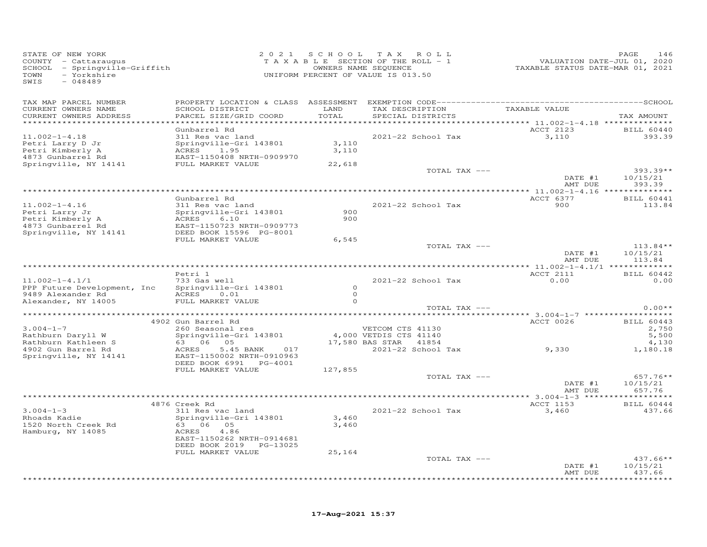| STATE OF NEW YORK<br>COUNTY - Cattaraugus<br>SCHOOL - Springville-Griffith<br>- Yorkshire<br>TOWN<br>SWIS<br>$-048489$                                                                                                                 |                                                                                                                                                   |                                | 2021 SCHOOL TAX ROLL<br>T A X A B L E SECTION OF THE ROLL - 1<br>OWNERS NAME SEQUENCE<br>UNIFORM PERCENT OF VALUE IS 013.50 | 1402<br>7220 VALUATION DATE-JUL<br>7220 TAXABLE STATUS DATE-MAR | PAGE<br>146                                              |
|----------------------------------------------------------------------------------------------------------------------------------------------------------------------------------------------------------------------------------------|---------------------------------------------------------------------------------------------------------------------------------------------------|--------------------------------|-----------------------------------------------------------------------------------------------------------------------------|-----------------------------------------------------------------|----------------------------------------------------------|
| TAX MAP PARCEL NUMBER                                                                                                                                                                                                                  |                                                                                                                                                   |                                |                                                                                                                             |                                                                 |                                                          |
| CURRENT OWNERS NAME<br>CURRENT OWNERS ADDRESS<br>************************                                                                                                                                                              | SCHOOL DISTRICT<br>PARCEL SIZE/GRID COORD                                                                                                         | LAND<br>TOTAL                  | TAX DESCRIPTION TAXABLE VALUE<br>SPECIAL DISTRICTS                                                                          |                                                                 | TAX AMOUNT                                               |
| $11.002 - 1 - 4.18$<br>Petri Larry D Jr<br>Petri Kimberly A<br>4873 Gunbarrel Rd                                                                                                                                                       | Gunbarrel Rd<br>311 Res vac land<br>Springville-Gri 143801<br>ACRES 1.95<br>EAST-1150408 NRTH-0909970                                             | 3,110<br>3,110                 | 2021-22 School Tax                                                                                                          | ACCT 2123<br>3,110                                              | BILL 60440<br>393.39                                     |
| Springville, NY 14141                                                                                                                                                                                                                  | FULL MARKET VALUE                                                                                                                                 | 22,618                         | TOTAL TAX ---                                                                                                               | DATE #1                                                         | $393.39**$<br>10/15/21                                   |
|                                                                                                                                                                                                                                        |                                                                                                                                                   |                                |                                                                                                                             | AMT DUE                                                         | 393.39                                                   |
| $11.002 - 1 - 4.16$<br>Petri Larry Jr<br>Petri Kimberly A<br>4873 Gunbarrel Rd                                                                                                                                                         | Gunbarrel Rd<br>311 Res vac land                                                                                                                  | 900<br>900                     | 2021-22 School Tax                                                                                                          | ACCT 6377<br>900                                                | <b>BILL 60441</b><br>113.84                              |
| Springville, NY 14141                                                                                                                                                                                                                  | DEED BOOK 15596 PG-8001<br>FULL MARKET VALUE                                                                                                      | 6,545                          | TOTAL TAX ---                                                                                                               | DATE #1                                                         | $113.84**$<br>10/15/21                                   |
|                                                                                                                                                                                                                                        |                                                                                                                                                   |                                |                                                                                                                             | AMT DUE                                                         | 113.84                                                   |
| $11.002 - 1 - 4.1/1$<br>PPP Future Development, Inc<br>9489 Alexander Rd<br>Alexander, NY 14005                                                                                                                                        | Petri 1<br>733 Gas well<br>Springville-Gri 143801<br>ACRES 0.01<br>FULL MARKET VALUE                                                              | $\circ$<br>$\Omega$<br>$\circ$ | 2021-22 School Tax                                                                                                          | ACCT 2111<br>0.00                                               | BILL 60442<br>0.00                                       |
|                                                                                                                                                                                                                                        |                                                                                                                                                   |                                | TOTAL TAX ---                                                                                                               |                                                                 | $0.00**$                                                 |
| VETCOM CTS 41130<br>Rathburn Daryll W Springville-Gri 143801 4,000 VETDIS CTS 41140<br>Rathburn Kathleen S 63 06 05 17,580 BAS STAR 41854<br>4902 Gun Barrel Rd ACRES 5.45 BANK 017 2021-22 School T<br>Springville, NY 14141 EAST -11 | 4902 Gun Barrel Rd                                                                                                                                |                                | 2021-22 School Tax                                                                                                          | <b>ACCT 0026</b><br>9,330                                       | <b>BILL 60443</b><br>2,750<br>5,500<br>4,130<br>1,180.18 |
|                                                                                                                                                                                                                                        | DEED BOOK 6991 PG-4001<br>FULL MARKET VALUE                                                                                                       | 127,855                        | TOTAL TAX ---                                                                                                               |                                                                 | $657.76**$                                               |
|                                                                                                                                                                                                                                        |                                                                                                                                                   |                                |                                                                                                                             | DATE #1<br>AMT DUE                                              | 10/15/21<br>657.76                                       |
|                                                                                                                                                                                                                                        | 4876 Creek Rd                                                                                                                                     |                                |                                                                                                                             | ACCT 1153                                                       | BILL 60444                                               |
| $3.004 - 1 - 3$<br>Rhoads Kadie<br>1520 North Creek Rd<br>Hamburg, NY 14085                                                                                                                                                            | 311 Res vac land<br>Springville-Gri 143801<br>63 06 05<br>ACRES 4.86<br>EAST-1150262 NRTH-0914681<br>DEED BOOK 2019 PG-13025<br>FULL MARKET VALUE | 3,460<br>3,460<br>25,164       | 2021-22 School Tax                                                                                                          | 3,460                                                           | 437.66                                                   |
|                                                                                                                                                                                                                                        |                                                                                                                                                   |                                | TOTAL TAX ---                                                                                                               |                                                                 | $437.66**$                                               |
|                                                                                                                                                                                                                                        |                                                                                                                                                   |                                |                                                                                                                             | DATE #1<br>AMT DUE                                              | 10/15/21<br>437.66                                       |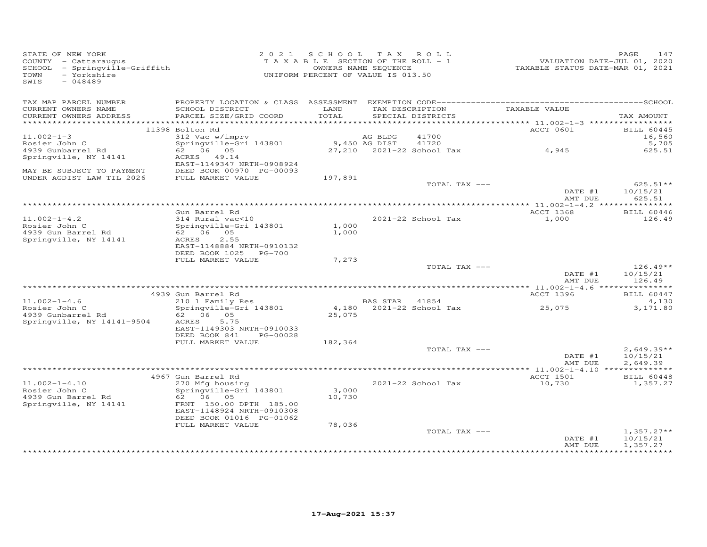| STATE OF NEW YORK<br>COUNTY - Cattaraugus<br>SCHOOL - Springville-Griffith<br>- Yorkshire<br>TOWN<br>SWIS<br>$-048489$ |                                                        |         | 2021 SCHOOL TAX ROLL<br>TAXABLE SECTION OF THE ROLL - 1<br>OWNERS NAME SEQUENCE<br>UNIFORM PERCENT OF VALUE IS 013.50 | VALUATION DATE-JUL 01, 2020<br>TAXABLE STATUS DATE-MAR 01, 2021 | PAGE<br>147                 |
|------------------------------------------------------------------------------------------------------------------------|--------------------------------------------------------|---------|-----------------------------------------------------------------------------------------------------------------------|-----------------------------------------------------------------|-----------------------------|
| TAX MAP PARCEL NUMBER<br>CURRENT OWNERS NAME                                                                           | SCHOOL DISTRICT                                        | LAND    | TAX DESCRIPTION                                                                                                       | TAXABLE VALUE                                                   |                             |
| CURRENT OWNERS ADDRESS                                                                                                 | PARCEL SIZE/GRID COORD                                 | TOTAL   | SPECIAL DISTRICTS                                                                                                     |                                                                 | TAX AMOUNT                  |
|                                                                                                                        |                                                        |         |                                                                                                                       | ACCT 0601                                                       |                             |
| $11.002 - 1 - 3$                                                                                                       | 11398 Bolton Rd<br>312 Vac w/imprv                     |         | 41700<br>AG BLDG                                                                                                      |                                                                 | <b>BILL 60445</b><br>16,560 |
| Rosier John C                                                                                                          | Springville-Gri 143801                                 |         | 9,450 AG DIST<br>41720                                                                                                |                                                                 | 5,705                       |
| 4939 Gunbarrel Rd                                                                                                      | 62 06 05                                               |         | 27,210 2021-22 School Tax                                                                                             | 4,945                                                           | 625.51                      |
| Springville, NY 14141                                                                                                  | ACRES 49.14<br>EAST-1149347 NRTH-0908924               |         |                                                                                                                       |                                                                 |                             |
| MAY BE SUBJECT TO PAYMENT                                                                                              | DEED BOOK 00970 PG-00093                               |         |                                                                                                                       |                                                                 |                             |
| UNDER AGDIST LAW TIL 2026                                                                                              | FULL MARKET VALUE                                      | 197,891 | TOTAL TAX ---                                                                                                         | DATE #1                                                         | $625.51**$<br>10/15/21      |
|                                                                                                                        |                                                        |         |                                                                                                                       | AMT DUE                                                         | 625.51                      |
|                                                                                                                        |                                                        |         |                                                                                                                       |                                                                 |                             |
|                                                                                                                        | Gun Barrel Rd                                          |         |                                                                                                                       | ACCT 1368                                                       | <b>BILL 60446</b>           |
| $11.002 - 1 - 4.2$<br>Rosier John C                                                                                    | 314 Rural vac<10<br>Springville-Gri 143801             | 1,000   | $2021 - 22$ School Tax                                                                                                | 1,000                                                           | 126.49                      |
| 4939 Gun Barrel Rd                                                                                                     | 62 06 05                                               | 1,000   |                                                                                                                       |                                                                 |                             |
| Springville, NY 14141                                                                                                  | ACRES<br>2.55                                          |         |                                                                                                                       |                                                                 |                             |
|                                                                                                                        | EAST-1148884 NRTH-0910132                              |         |                                                                                                                       |                                                                 |                             |
|                                                                                                                        | DEED BOOK 1025 PG-700<br>FULL MARKET VALUE             | 7,273   |                                                                                                                       |                                                                 |                             |
|                                                                                                                        |                                                        |         | TOTAL TAX ---                                                                                                         |                                                                 | $126.49**$                  |
|                                                                                                                        |                                                        |         |                                                                                                                       | DATE #1                                                         | 10/15/21                    |
|                                                                                                                        |                                                        |         |                                                                                                                       | AMT DUE                                                         | 126.49                      |
|                                                                                                                        | 4939 Gun Barrel Rd                                     |         |                                                                                                                       | ACCT 1396                                                       | BILL 60447                  |
| $11.002 - 1 - 4.6$                                                                                                     | 210 1 Family Res                                       |         | BAS STAR 41854                                                                                                        |                                                                 | 4,130                       |
| Rosier John C                                                                                                          | Springville-Gri 143801                                 |         | 4,180 2021-22 School Tax                                                                                              | 25,075                                                          | 3,171.80                    |
| 4939 Gunbarrel Rd                                                                                                      | 62 06 05                                               | 25,075  |                                                                                                                       |                                                                 |                             |
| Springville, NY 14141-9504                                                                                             | ACRES<br>5.75                                          |         |                                                                                                                       |                                                                 |                             |
|                                                                                                                        | EAST-1149303 NRTH-0910033<br>DEED BOOK 841<br>PG-00028 |         |                                                                                                                       |                                                                 |                             |
|                                                                                                                        | FULL MARKET VALUE                                      | 182,364 |                                                                                                                       |                                                                 |                             |
|                                                                                                                        |                                                        |         | TOTAL TAX ---                                                                                                         |                                                                 | $2,649.39**$                |
|                                                                                                                        |                                                        |         |                                                                                                                       | DATE #1                                                         | 10/15/21                    |
|                                                                                                                        |                                                        |         |                                                                                                                       | AMT DUE                                                         | 2,649.39                    |
|                                                                                                                        | 4967 Gun Barrel Rd                                     |         |                                                                                                                       | ACCT 1501                                                       | BILL 60448                  |
| $11.002 - 1 - 4.10$                                                                                                    | 270 Mfg housing                                        |         | 2021-22 School Tax                                                                                                    | 10,730                                                          | 1,357.27                    |
| Rosier John C                                                                                                          | Springville-Gri 143801                                 | 3,000   |                                                                                                                       |                                                                 |                             |
| 4939 Gun Barrel Rd                                                                                                     | 62 06 05                                               | 10,730  |                                                                                                                       |                                                                 |                             |
| Springville, NY 14141                                                                                                  | FRNT 150.00 DPTH 185.00<br>EAST-1148924 NRTH-0910308   |         |                                                                                                                       |                                                                 |                             |
|                                                                                                                        | DEED BOOK 01016 PG-01062                               |         |                                                                                                                       |                                                                 |                             |
|                                                                                                                        | FULL MARKET VALUE                                      | 78,036  |                                                                                                                       |                                                                 |                             |
|                                                                                                                        |                                                        |         | TOTAL TAX ---                                                                                                         |                                                                 | $1,357.27**$                |
|                                                                                                                        |                                                        |         |                                                                                                                       | DATE #1                                                         | 10/15/21                    |
|                                                                                                                        |                                                        |         |                                                                                                                       | AMT DUE                                                         | 1,357.27                    |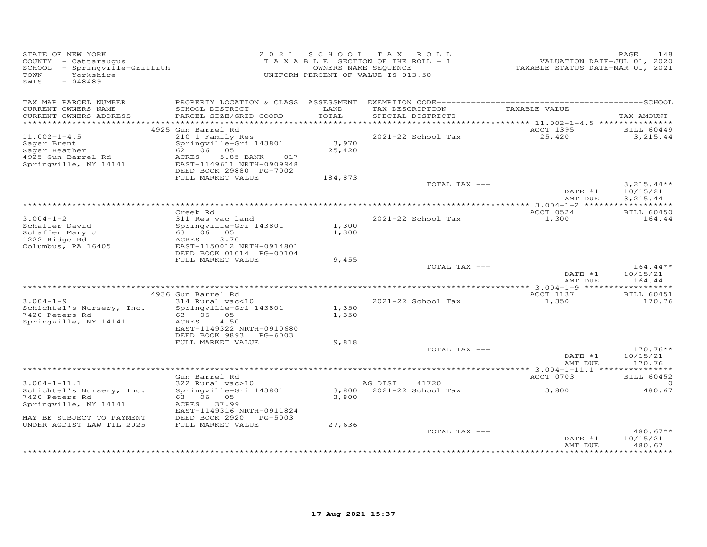| COUNTY - Cattaraugus<br>SCHOOL - Springville-Griffith<br>- Yorkshire<br>TOWN<br>SWIS<br>$-048489$ |                                                                                                          |                 | 2021 SCHOOL TAX ROLL<br>T A X A B L E SECTION OF THE ROLL - 1<br>OWNERS NAME SEQUENCE<br>UNIFORM PERCENT OF VALUE IS 013.50 | VALUATION DATE-JUL 01, 2020<br>TAXABLE STATUS DATE-MAR 01, 2021 | 148<br>PAGE                          |
|---------------------------------------------------------------------------------------------------|----------------------------------------------------------------------------------------------------------|-----------------|-----------------------------------------------------------------------------------------------------------------------------|-----------------------------------------------------------------|--------------------------------------|
| TAX MAP PARCEL NUMBER                                                                             |                                                                                                          |                 | TAX DESCRIPTION                                                                                                             |                                                                 |                                      |
| CURRENT OWNERS NAME<br>CURRENT OWNERS ADDRESS                                                     | SCHOOL DISTRICT<br>PARCEL SIZE/GRID COORD                                                                | LAND<br>TOTAL   | SPECIAL DISTRICTS                                                                                                           | TAXABLE VALUE                                                   | TAX AMOUNT                           |
|                                                                                                   | 4925 Gun Barrel Rd                                                                                       |                 |                                                                                                                             | ACCT 1395                                                       | <b>BILL 60449</b>                    |
| $11.002 - 1 - 4.5$                                                                                | 210 1 Family Res                                                                                         |                 | 2021-22 School Tax                                                                                                          | 25,420                                                          | 3,215.44                             |
| Sager Brent<br>Sager Heather<br>4925 Gun Barrel Rd<br>Springville, NY 14141                       | Springville-Gri 143801<br>ACRES<br>5.85 BANK 017<br>EAST-1149611 NRTH-0909948<br>DEED BOOK 29880 PG-7002 | 3,970<br>25,420 |                                                                                                                             |                                                                 |                                      |
|                                                                                                   | FULL MARKET VALUE                                                                                        | 184,873         |                                                                                                                             |                                                                 |                                      |
|                                                                                                   |                                                                                                          |                 | TOTAL TAX ---                                                                                                               | DATE #1<br>AMT DUE                                              | $3,215.44**$<br>10/15/21<br>3,215.44 |
|                                                                                                   |                                                                                                          |                 |                                                                                                                             |                                                                 |                                      |
|                                                                                                   | Creek Rd                                                                                                 |                 |                                                                                                                             | ACCT 0524                                                       | <b>BILL 60450</b>                    |
| $3.004 - 1 - 2$<br>Schaffer David<br>Schaffer Mary J<br>1222 Ridge Rd<br>Columbus, PA 16405       | 311 Res vac land<br>Springville-Gri 143801<br>63 06 05<br>3.70<br>ACRES<br>EAST-1150012 NRTH-0914801     | 1,300<br>1,300  | 2021-22 School Tax                                                                                                          | 1,300                                                           | 164.44                               |
|                                                                                                   | DEED BOOK 01014 PG-00104<br>FULL MARKET VALUE                                                            | 9,455           |                                                                                                                             |                                                                 |                                      |
|                                                                                                   |                                                                                                          |                 | TOTAL TAX ---                                                                                                               |                                                                 | $164.44**$                           |
|                                                                                                   |                                                                                                          |                 |                                                                                                                             | DATE #1<br>AMT DUE                                              | 10/15/21<br>164.44                   |
|                                                                                                   |                                                                                                          |                 |                                                                                                                             |                                                                 |                                      |
| $3.004 - 1 - 9$<br>Schichtel's Nursery, Inc.                                                      | 4936 Gun Barrel Rd<br>$314$ Rural vac<10<br>Springville-Gri 143801                                       | 1,350           | 2021-22 School Tax                                                                                                          | ACCT 1137<br>1,350                                              | <b>BILL 60451</b><br>170.76          |
| 7420 Peters Rd<br>Springville, NY 14141                                                           | 63 06 05<br>ACRES<br>4.50<br>EAST-1149322 NRTH-0910680<br>DEED BOOK 9893 PG-6003                         | 1,350           |                                                                                                                             |                                                                 |                                      |
|                                                                                                   | FULL MARKET VALUE                                                                                        | 9,818           | TOTAL TAX ---                                                                                                               |                                                                 | $170.76**$                           |
|                                                                                                   |                                                                                                          |                 |                                                                                                                             | DATE #1<br>AMT DUE                                              | 10/15/21<br>170.76                   |
|                                                                                                   |                                                                                                          |                 |                                                                                                                             |                                                                 |                                      |
|                                                                                                   | Gun Barrel Rd                                                                                            |                 |                                                                                                                             | ACCT 0703                                                       | <b>BILL 60452</b>                    |
| $3.004 - 1 - 11.1$<br>Schichtel's Nursery, Inc.                                                   | $322$ Rural $vac>10$<br>Springville-Gri 143801                                                           |                 | AG DIST<br>41720<br>3,800 2021-22 School Tax 3,800                                                                          |                                                                 | 0<br>480.67                          |
| 7420 Peters Rd<br>Springville, NY 14141                                                           | 63 06 05<br>ACRES 37.99                                                                                  | 3,800           |                                                                                                                             |                                                                 |                                      |
| MAY BE SUBJECT TO PAYMENT                                                                         | EAST-1149316 NRTH-0911824<br>DEED BOOK 2920 PG-5003                                                      |                 |                                                                                                                             |                                                                 |                                      |
| UNDER AGDIST LAW TIL 2025                                                                         | FULL MARKET VALUE                                                                                        | 27,636          |                                                                                                                             |                                                                 |                                      |
|                                                                                                   |                                                                                                          |                 | TOTAL TAX ---                                                                                                               | DATE #1<br>AMT DUE                                              | $480.67**$<br>10/15/21<br>480.67     |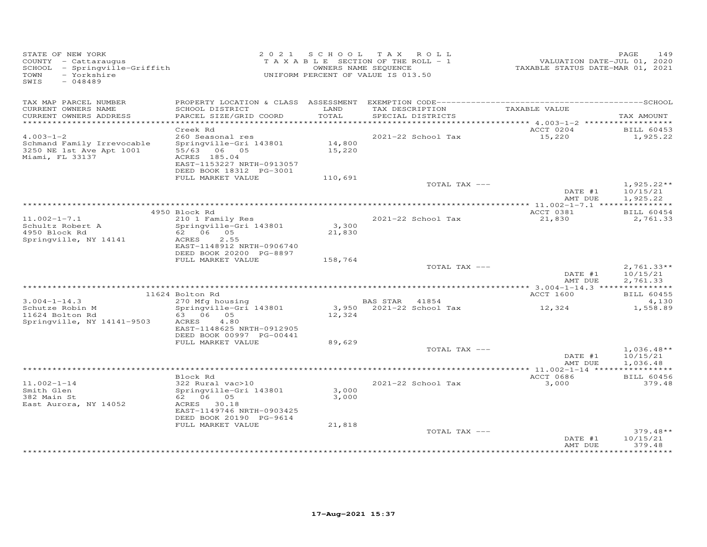| STATE OF NEW YORK<br>COUNTY - Cattaraugus<br>SCHOOL - Springville-Griffith<br>- Yorkshire<br>TOWN<br>SWIS<br>$-048489$ |                                                                                                                               | 2021 SCHOOL      | TAX ROLL<br>TAXABLE SECTION OF THE ROLL - 1<br>OWNERS NAME SEQUENCE<br>UNIFORM PERCENT OF VALUE IS 013.50 | VALUATION DATE-JUL 01, 2020<br>TAXABLE STATUS DATE-MAR 01, 2021 | PAGE<br>149                          |
|------------------------------------------------------------------------------------------------------------------------|-------------------------------------------------------------------------------------------------------------------------------|------------------|-----------------------------------------------------------------------------------------------------------|-----------------------------------------------------------------|--------------------------------------|
| TAX MAP PARCEL NUMBER                                                                                                  |                                                                                                                               |                  |                                                                                                           |                                                                 |                                      |
| CURRENT OWNERS NAME<br>CURRENT OWNERS ADDRESS<br>************************                                              | SCHOOL DISTRICT<br>PARCEL SIZE/GRID COORD                                                                                     | LAND<br>TOTAL    | TAX DESCRIPTION<br>SPECIAL DISTRICTS                                                                      | TAXABLE VALUE                                                   | TAX AMOUNT                           |
|                                                                                                                        | Creek Rd                                                                                                                      |                  |                                                                                                           | ACCT 0204                                                       | <b>BILL 60453</b>                    |
| $4.003 - 1 - 2$                                                                                                        | 260 Seasonal res                                                                                                              |                  | 2021-22 School Tax                                                                                        | 15,220                                                          | 1,925.22                             |
| Schmand Family Irrevocable<br>3250 NE 1st Ave Apt 1001<br>Miami, FL 33137                                              | Springville-Gri 143801<br>55/63 06 05<br>ACRES 185.04<br>EAST-1153227 NRTH-0913057<br>DEED BOOK 18312 PG-3001                 | 14,800<br>15,220 |                                                                                                           |                                                                 |                                      |
|                                                                                                                        | FULL MARKET VALUE                                                                                                             | 110,691          |                                                                                                           |                                                                 |                                      |
|                                                                                                                        |                                                                                                                               |                  | TOTAL TAX ---                                                                                             | DATE #1<br>AMT DUE                                              | $1,925.22**$<br>10/15/21<br>1,925.22 |
|                                                                                                                        |                                                                                                                               |                  |                                                                                                           |                                                                 |                                      |
|                                                                                                                        | 4950 Block Rd                                                                                                                 |                  |                                                                                                           | ACCT 0381                                                       | BILL 60454                           |
| $11.002 - 1 - 7.1$<br>Schultz Robert A<br>4950 Block Rd<br>Springville, NY 14141                                       | 210 1 Family Res<br>Springville-Gri 143801<br>62 06 05<br>2.55<br>ACRES<br>EAST-1148912 NRTH-0906740                          | 3,300<br>21,830  | 2021-22 School Tax                                                                                        | 21,830                                                          | 2,761.33                             |
|                                                                                                                        | DEED BOOK 20200 PG-8897                                                                                                       |                  |                                                                                                           |                                                                 |                                      |
|                                                                                                                        | FULL MARKET VALUE                                                                                                             | 158,764          | TOTAL TAX ---                                                                                             |                                                                 | $2,761.33**$                         |
|                                                                                                                        |                                                                                                                               |                  |                                                                                                           | DATE #1<br>AMT DUE                                              | 10/15/21<br>2,761.33                 |
|                                                                                                                        | 11624 Bolton Rd                                                                                                               |                  |                                                                                                           | ACCT 1600                                                       | <b>BILL 60455</b>                    |
| $3.004 - 1 - 14.3$                                                                                                     | 270 Mfg housing                                                                                                               |                  | BAS STAR 41854                                                                                            |                                                                 | 4,130                                |
| Schutze Robin M                                                                                                        | Springville-Gri 143801                                                                                                        |                  | 3,950 2021-22 School Tax                                                                                  | 12,324                                                          | 1,558.89                             |
| 11624 Bolton Rd<br>Springville, NY 14141-9503                                                                          | 63 06 05<br>4.80<br>ACRES<br>EAST-1148625 NRTH-0912905<br>DEED BOOK 00997 PG-00441<br>FULL MARKET VALUE                       | 12,324<br>89,629 |                                                                                                           |                                                                 |                                      |
|                                                                                                                        |                                                                                                                               |                  | TOTAL TAX ---                                                                                             |                                                                 | $1,036.48**$                         |
|                                                                                                                        |                                                                                                                               |                  |                                                                                                           | DATE #1<br>AMT DUE                                              | 10/15/21<br>1,036.48                 |
|                                                                                                                        |                                                                                                                               |                  |                                                                                                           |                                                                 |                                      |
| $11.002 - 1 - 14$                                                                                                      | Block Rd                                                                                                                      |                  | 2021-22 School Tax                                                                                        | ACCT 0686                                                       | <b>BILL 60456</b>                    |
| Smith Glen<br>382 Main St<br>East Aurora, NY 14052                                                                     | 322 Rural vac>10<br>Springville-Gri 143801<br>62 06 05<br>ACRES 30.18<br>EAST-1149746 NRTH-0903425<br>DEED BOOK 20190 PG-9614 | 3,000<br>3,000   |                                                                                                           | 3,000                                                           | 379.48                               |
|                                                                                                                        | FULL MARKET VALUE                                                                                                             | 21,818           |                                                                                                           |                                                                 |                                      |
|                                                                                                                        |                                                                                                                               |                  | TOTAL TAX ---                                                                                             | DATE #1<br>AMT DUE                                              | $379.48**$<br>10/15/21<br>379.48     |
|                                                                                                                        |                                                                                                                               |                  |                                                                                                           |                                                                 | **********                           |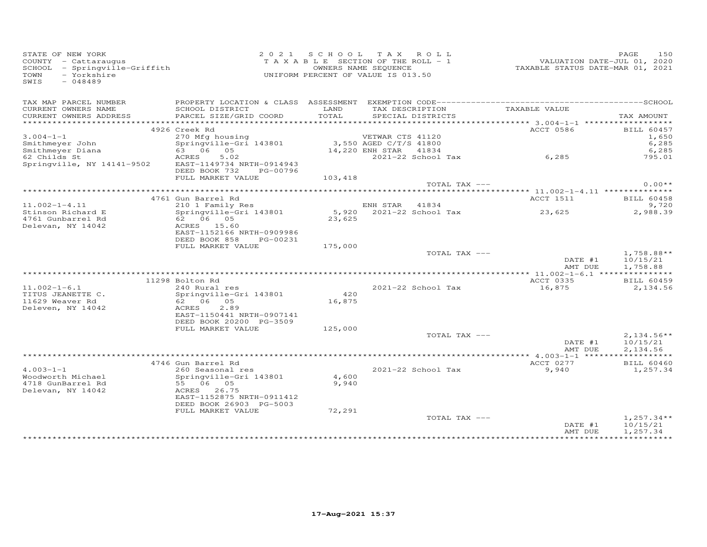| STATE OF NEW YORK<br>COUNTY - Cattaraugus<br>SCHOOL - Springville-Griffith<br>- Yorkshire<br>TOWN<br>SWIS<br>$-048489$ |                                                     | 2021 SCHOOL TAX ROLL<br>T A X A B L E SECTION OF THE ROLL - 1<br>UNIFORM PERCENT OF VALUE IS 013.50 | OWNERS NAME SEQUENCE   |                                      | VALUATION DATE-JUL 01, 2020<br>TAXABLE STATUS DATE-MAR 01, 2021 | 150<br>PAGE              |
|------------------------------------------------------------------------------------------------------------------------|-----------------------------------------------------|-----------------------------------------------------------------------------------------------------|------------------------|--------------------------------------|-----------------------------------------------------------------|--------------------------|
| TAX MAP PARCEL NUMBER                                                                                                  |                                                     |                                                                                                     |                        |                                      |                                                                 |                          |
| CURRENT OWNERS NAME<br>CURRENT OWNERS ADDRESS                                                                          | SCHOOL DISTRICT<br>PARCEL SIZE/GRID COORD           | LAND<br>TOTAL                                                                                       |                        | TAX DESCRIPTION<br>SPECIAL DISTRICTS | TAXABLE VALUE                                                   | TAX AMOUNT               |
|                                                                                                                        | 4926 Creek Rd                                       |                                                                                                     |                        |                                      | ACCT 0586                                                       | <b>BILL 60457</b>        |
| $3.004 - 1 - 1$                                                                                                        | 270 Mfg housing                                     |                                                                                                     | VETWAR CTS 41120       |                                      |                                                                 | 1,650                    |
| Smithmeyer John                                                                                                        | Springville-Gri 143801                              |                                                                                                     | 3,550 AGED C/T/S 41800 |                                      |                                                                 | 6,285                    |
| Smithmeyer Diana<br>62 Childs St                                                                                       | 63 06 05                                            |                                                                                                     | 14,220 ENH STAR 41834  |                                      |                                                                 | 6,285                    |
|                                                                                                                        | 5.02<br>ACRES                                       |                                                                                                     |                        | 2021-22 School Tax                   | 6, 285                                                          | 795.01                   |
| Springville, NY 14141-9502                                                                                             | EAST-1149734 NRTH-0914943<br>DEED BOOK 732 PG-00796 |                                                                                                     |                        |                                      |                                                                 |                          |
|                                                                                                                        | FULL MARKET VALUE                                   | 103,418                                                                                             |                        |                                      |                                                                 |                          |
|                                                                                                                        |                                                     |                                                                                                     |                        | TOTAL TAX ---                        |                                                                 | $0.00**$                 |
|                                                                                                                        | 4761 Gun Barrel Rd                                  |                                                                                                     |                        |                                      | ACCT 1511                                                       | <b>BILL 60458</b>        |
| $11.002 - 1 - 4.11$                                                                                                    | 210 1 Family Res                                    |                                                                                                     | ENH STAR 41834         |                                      |                                                                 | 9,720                    |
| Stinson Richard E                                                                                                      | Springville-Gri 143801                              |                                                                                                     |                        | 5,920 2021-22 School Tax             | 23,625                                                          | 2,988.39                 |
| 4761 Gunbarrel Rd                                                                                                      | 62 06 05                                            | 23,625                                                                                              |                        |                                      |                                                                 |                          |
| Delevan, NY 14042                                                                                                      | ACRES 15.60<br>EAST-1152166 NRTH-0909986            |                                                                                                     |                        |                                      |                                                                 |                          |
|                                                                                                                        | DEED BOOK 858<br>PG-00231<br>FULL MARKET VALUE      | 175,000                                                                                             |                        |                                      |                                                                 |                          |
|                                                                                                                        |                                                     |                                                                                                     |                        | TOTAL TAX ---                        | DATE #1                                                         | $1,758.88**$<br>10/15/21 |
|                                                                                                                        |                                                     |                                                                                                     |                        |                                      | AMT DUE                                                         | 1,758.88                 |
|                                                                                                                        | 11298 Bolton Rd                                     |                                                                                                     |                        |                                      | ACCT 0335                                                       | BILL 60459               |
| $11.002 - 1 - 6.1$                                                                                                     | 240 Rural res                                       |                                                                                                     |                        | 2021-22 School Tax                   | 16,875                                                          | 2,134.56                 |
| TITUS JEANETTE C.                                                                                                      | Springville-Gri 143801                              | 420                                                                                                 |                        |                                      |                                                                 |                          |
| 11629 Weaver Rd                                                                                                        | 62 06 05                                            | 16,875                                                                                              |                        |                                      |                                                                 |                          |
| Deleven, NY 14042                                                                                                      | 2.89<br>ACRES                                       |                                                                                                     |                        |                                      |                                                                 |                          |
|                                                                                                                        | EAST-1150441 NRTH-0907141                           |                                                                                                     |                        |                                      |                                                                 |                          |
|                                                                                                                        | DEED BOOK 20200 PG-3509                             |                                                                                                     |                        |                                      |                                                                 |                          |
|                                                                                                                        | FULL MARKET VALUE                                   | 125,000                                                                                             |                        |                                      |                                                                 |                          |
|                                                                                                                        |                                                     |                                                                                                     |                        | TOTAL TAX ---                        | DATE #1                                                         | $2,134.56**$<br>10/15/21 |
|                                                                                                                        |                                                     |                                                                                                     |                        |                                      | AMT DUE                                                         | 2,134.56                 |
|                                                                                                                        |                                                     |                                                                                                     |                        |                                      |                                                                 |                          |
|                                                                                                                        | 4746 Gun Barrel Rd                                  |                                                                                                     |                        |                                      | ACCT 0277                                                       | BILL 60460               |
| $4.003 - 1 - 1$                                                                                                        | 260 Seasonal res                                    |                                                                                                     |                        | 2021-22 School Tax                   | 9,940                                                           | 1,257.34                 |
| Woodworth Michael                                                                                                      | Springville-Gri 143801                              | 4,600                                                                                               |                        |                                      |                                                                 |                          |
| 4718 GunBarrel Rd                                                                                                      | 55 06 05                                            | 9,940                                                                                               |                        |                                      |                                                                 |                          |
| Delevan, NY 14042                                                                                                      | ACRES 26.75                                         |                                                                                                     |                        |                                      |                                                                 |                          |
|                                                                                                                        | EAST-1152875 NRTH-0911412                           |                                                                                                     |                        |                                      |                                                                 |                          |
|                                                                                                                        | DEED BOOK 26903 PG-5003                             |                                                                                                     |                        |                                      |                                                                 |                          |
|                                                                                                                        | FULL MARKET VALUE                                   | 72,291                                                                                              |                        | TOTAL TAX ---                        |                                                                 | $1,257.34**$             |
|                                                                                                                        |                                                     |                                                                                                     |                        |                                      | DATE #1<br>AMT DUE                                              | 10/15/21<br>1,257.34     |
|                                                                                                                        |                                                     |                                                                                                     |                        |                                      |                                                                 |                          |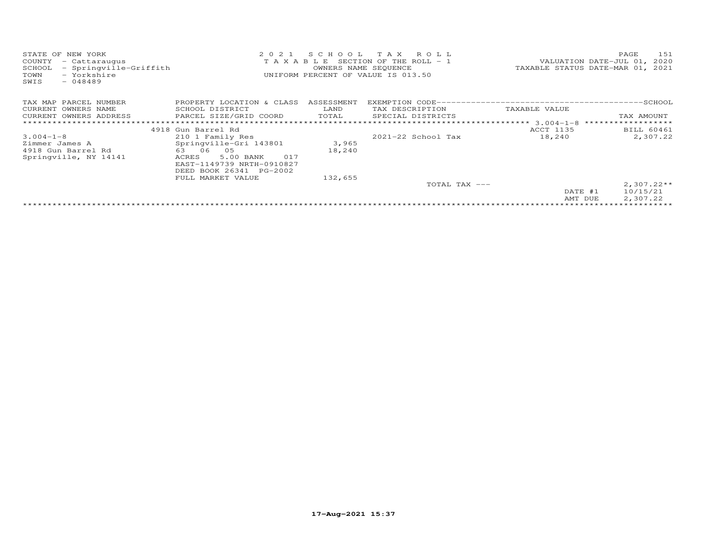| STATE OF NEW YORK<br>COUNTY<br>- Cattaraugus<br>- Springville-Griffith<br>SCHOOL | 2 0 2 1<br>T A X A B L E SECTION OF THE ROLL - 1 | TAXABLE STATUS DATE-MAR 01, | 151<br>PAGE<br>VALUATION DATE-JUL 01, 2020<br>2021 |                       |                          |
|----------------------------------------------------------------------------------|--------------------------------------------------|-----------------------------|----------------------------------------------------|-----------------------|--------------------------|
| - Yorkshire<br>TOWN<br>$-048489$<br>SWIS                                         |                                                  | OWNERS NAME SEQUENCE        | UNIFORM PERCENT OF VALUE IS 013.50                 |                       |                          |
| TAX MAP PARCEL NUMBER                                                            | PROPERTY LOCATION & CLASS                        | ASSESSMENT                  |                                                    |                       |                          |
| CURRENT OWNERS NAME                                                              | SCHOOL DISTRICT                                  | LAND                        | TAX DESCRIPTION                                    | TAXABLE VALUE         |                          |
| CURRENT OWNERS ADDRESS                                                           | PARCEL SIZE/GRID COORD                           | TOTAL                       | SPECIAL DISTRICTS                                  |                       | TAX AMOUNT               |
|                                                                                  |                                                  |                             |                                                    | *********** 3.004-1-8 | ******************       |
|                                                                                  | 4918 Gun Barrel Rd                               |                             |                                                    | ACCT 1135             | <b>BILL 60461</b>        |
| $3.004 - 1 - 8$                                                                  | 210 1 Family Res                                 |                             | 2021-22 School Tax                                 | 18,240                | 2,307.22                 |
| Zimmer James A                                                                   | Springville-Gri 143801                           | 3,965                       |                                                    |                       |                          |
| 4918 Gun Barrel Rd                                                               | 63 06<br>05                                      | 18,240                      |                                                    |                       |                          |
| Springville, NY 14141                                                            | 5.00 BANK<br>017<br>ACRES                        |                             |                                                    |                       |                          |
|                                                                                  | EAST-1149739 NRTH-0910827                        |                             |                                                    |                       |                          |
|                                                                                  | DEED BOOK 26341 PG-2002                          |                             |                                                    |                       |                          |
|                                                                                  | FULL MARKET VALUE                                | 132,655                     |                                                    |                       |                          |
|                                                                                  |                                                  |                             | TOTAL TAX ---                                      |                       | $2,307.22**$             |
|                                                                                  |                                                  |                             |                                                    | DATE #1               | 10/15/21                 |
|                                                                                  |                                                  |                             |                                                    | AMT DUE               | 2,307.22                 |
|                                                                                  |                                                  |                             |                                                    |                       | ************************ |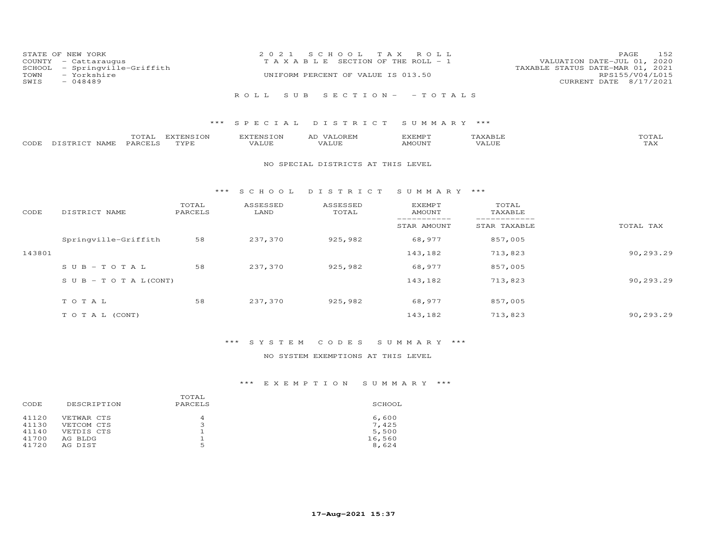| STATE OF NEW YORK<br>COUNTY - Cattaraugus<br>SCHOOL - Springville-Griffith | 2021 SCHOOL TAX ROLL<br>T A X A B L E SECTION OF THE ROLL - 1 | 152<br>PAGE<br>VALUATION DATE-JUL 01, 2020<br>TAXABLE STATUS DATE-MAR 01, 2021 |
|----------------------------------------------------------------------------|---------------------------------------------------------------|--------------------------------------------------------------------------------|
| - Yorkshire<br>TOWN<br>SWIS<br>$-048489$                                   | UNIFORM PERCENT OF VALUE IS 013.50                            | RPS155/V04/L015<br>CURRENT DATE 8/17/2021                                      |
|                                                                            | ROLL SUB SECTION- - TOTALS                                    |                                                                                |

|      |                | $- - -$<br>$\sim$         | T1170T110T011 | <b>FNSTON</b><br>737 <del>.</del><br>w | די הזא יהיא י |        | $m \wedge m \wedge n$<br>$\rightarrow$ |
|------|----------------|---------------------------|---------------|----------------------------------------|---------------|--------|----------------------------------------|
| CODE | $  -$<br>NAME. | $\mathbf{A}$ $\mathbf{B}$ | TVDI          | T T T T<br>ALUE                        | 55077377      | 'Alılı | $- - - -$<br>⊥ ∠ ∡∡ ∡                  |

#### NO SPECIAL DISTRICTS AT THIS LEVEL

#### \*\*\* S C H O O L D I S T R I C T S U M M A R Y \*\*\*

| CODE   | DISTRICT NAME                    | TOTAL<br>PARCELS | ASSESSED<br>LAND | ASSESSED<br>TOTAL | EXEMPT<br>AMOUNT | TOTAL<br>TAXABLE |           |
|--------|----------------------------------|------------------|------------------|-------------------|------------------|------------------|-----------|
|        |                                  |                  |                  |                   | STAR AMOUNT      | STAR TAXABLE     | TOTAL TAX |
|        | Springville-Griffith             | 58               | 237,370          | 925,982           | 68,977           | 857,005          |           |
| 143801 |                                  |                  |                  |                   | 143,182          | 713,823          | 90,293.29 |
|        | $SUB - TO T AL$                  | 58               | 237,370          | 925,982           | 68,977           | 857,005          |           |
|        | $S \cup B - T \cup T A L (CONT)$ |                  |                  |                   | 143,182          | 713,823          | 90,293.29 |
|        | TOTAL                            | 58               | 237,370          | 925,982           | 68,977           | 857,005          |           |
|        | T O T A L (CONT)                 |                  |                  |                   | 143,182          | 713,823          | 90,293.29 |

# \*\*\* S Y S T E M C O D E S S U M M A R Y \*\*\*

## NO SYSTEM EXEMPTIONS AT THIS LEVEL

| DESCRIPTION | PARCELS                  | SCHOOL          |
|-------------|--------------------------|-----------------|
|             |                          |                 |
|             |                          | 6,600           |
|             |                          | 7.425           |
| VETDIS CTS  |                          | 5,500           |
| AG BLDG     |                          | 16,560          |
| AG DIST     | 5                        | 8,624           |
|             | VETWAR CTS<br>VETCOM CTS | TOTAL<br>4<br>∍ |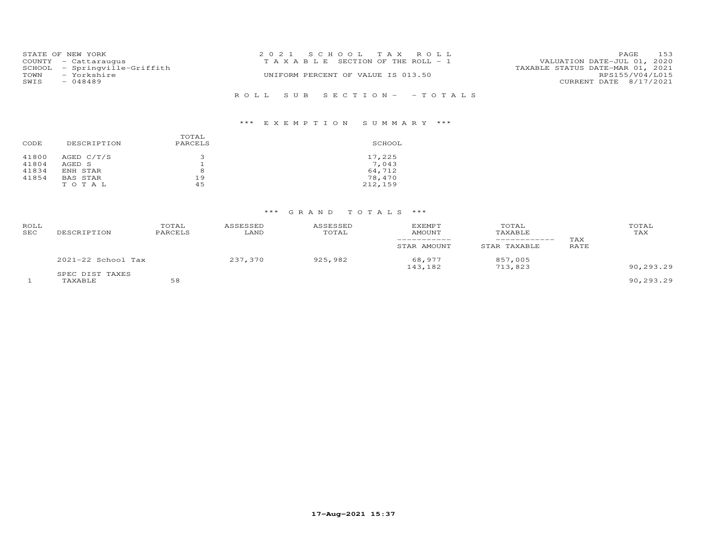|      | STATE OF NEW YORK             | 2021 SCHOOL TAX ROLL                  | 153<br><b>PAGE</b>               |  |
|------|-------------------------------|---------------------------------------|----------------------------------|--|
|      | COUNTY - Cattaraugus          | T A X A B L E SECTION OF THE ROLL - 1 | VALUATION DATE-JUL 01, 2020      |  |
|      | SCHOOL - Springville-Griffith |                                       | TAXABLE STATUS DATE-MAR 01, 2021 |  |
| TOWN | - Yorkshire                   | UNIFORM PERCENT OF VALUE IS 013.50    | RPS155/V04/L015                  |  |
| SWIS | $-048489$                     |                                       | CURRENT DATE 8/17/2021           |  |
|      |                               |                                       |                                  |  |
|      |                               | ROLL SUB SECTION- - TOTALS            |                                  |  |

| CODE                    | DESCRIPTION                        | TOTAL<br>PARCELS | SCHOOL                    |
|-------------------------|------------------------------------|------------------|---------------------------|
| 41800<br>41804<br>41834 | AGED $C/T/S$<br>AGED S<br>ENH STAR | ∍<br>8           | 17,225<br>7.043<br>64,712 |
| 41854                   | BAS STAR<br>TOTAL                  | 19<br>45         | 78,470<br>212,159         |

| ROLL<br>SEC | DESCRIPTION                | TOTAL<br>PARCELS | ASSESSED<br>LAND | ASSESSED<br>TOTAL | <b>EXEMPT</b><br>AMOUNT | TOTAL<br>TAXABLE   | TAX  | TOTAL<br>TAX |
|-------------|----------------------------|------------------|------------------|-------------------|-------------------------|--------------------|------|--------------|
|             |                            |                  |                  |                   | STAR AMOUNT             | STAR TAXABLE       | RATE |              |
|             | $2021-22$ School Tax       |                  | 237,370          | 925,982           | 68,977<br>143,182       | 857,005<br>713,823 |      | 90,293.29    |
|             | SPEC DIST TAXES<br>TAXABLE | 58               |                  |                   |                         |                    |      | 90,293.29    |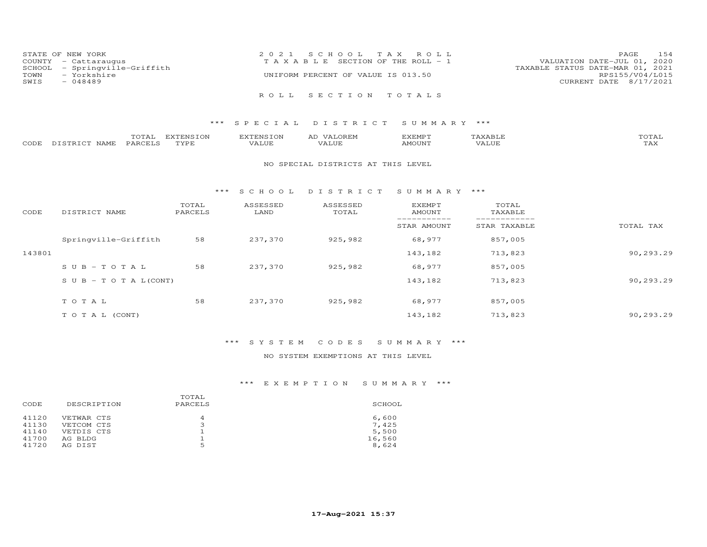|      | STATE OF NEW YORK             | 2021 SCHOOL TAX ROLL                  | PAGE                             | 154 |
|------|-------------------------------|---------------------------------------|----------------------------------|-----|
|      | COUNTY - Cattaraugus          | T A X A B L E SECTION OF THE ROLL - 1 | VALUATION DATE-JUL 01, 2020      |     |
|      | SCHOOL - Springville-Griffith |                                       | TAXABLE STATUS DATE-MAR 01, 2021 |     |
| TOWN | - Yorkshire                   | UNIFORM PERCENT OF VALUE IS 013.50    | RPS155/V04/L015                  |     |
| SWIS | $-048489$                     |                                       | CURRENT DATE 8/17/2021           |     |
|      |                               |                                       |                                  |     |
|      |                               | ROLL SECTION TOTALS                   |                                  |     |

|      |                  | $m \wedge m$<br>.uial | <b>DVPDNCTON</b><br>ENS. | EXTENSION | ΑL<br>$\sqrt{ \Delta}$              | <b>GYEMDT</b><br>حبتيت حكات | $n \wedge m \wedge r$ |
|------|------------------|-----------------------|--------------------------|-----------|-------------------------------------|-----------------------------|-----------------------|
| CODE | DISTRICT<br>NAME | <b>PARCELS</b>        | TVDF                     | VALUE     | , <del>,</del> , , , , , ,<br>'ALUE | AMOUNT                      | . <i>.</i><br>IAA     |

#### NO SPECIAL DISTRICTS AT THIS LEVEL

#### \*\*\* S C H O O L D I S T R I C T S U M M A R Y \*\*\*

| CODE   | DISTRICT NAME                    | TOTAL<br>PARCELS | ASSESSED<br>LAND | ASSESSED<br>TOTAL | <b>EXEMPT</b><br>AMOUNT | TOTAL<br>TAXABLE |           |
|--------|----------------------------------|------------------|------------------|-------------------|-------------------------|------------------|-----------|
|        |                                  |                  |                  |                   | STAR AMOUNT             | STAR TAXABLE     | TOTAL TAX |
|        | Springville-Griffith             | 58               | 237,370          | 925,982           | 68,977                  | 857,005          |           |
| 143801 |                                  |                  |                  |                   | 143,182                 | 713,823          | 90,293.29 |
|        | $SUB - TO T AL$                  | 58               | 237,370          | 925,982           | 68,977                  | 857,005          |           |
|        | $S \cup B - T \cup T A L (CONT)$ |                  |                  |                   | 143,182                 | 713,823          | 90,293.29 |
|        | TOTAL                            | 58               | 237,370          | 925,982           | 68,977                  | 857,005          |           |
|        | T O T A L (CONT)                 |                  |                  |                   | 143,182                 | 713,823          | 90,293.29 |

# \*\*\* S Y S T E M C O D E S S U M M A R Y \*\*\*

## NO SYSTEM EXEMPTIONS AT THIS LEVEL

|       |             | TOTAL   |        |
|-------|-------------|---------|--------|
| CODE  | DESCRIPTION | PARCELS | SCHOOL |
| 41120 | VETWAR CTS  | 4       | 6,600  |
| 41130 | VETCOM CTS  | 3       | 7.425  |
| 41140 | VETDIS CTS  |         | 5,500  |
| 41700 | AG BLDG     |         | 16,560 |
| 41720 | AG DIST     | 5       | 8,624  |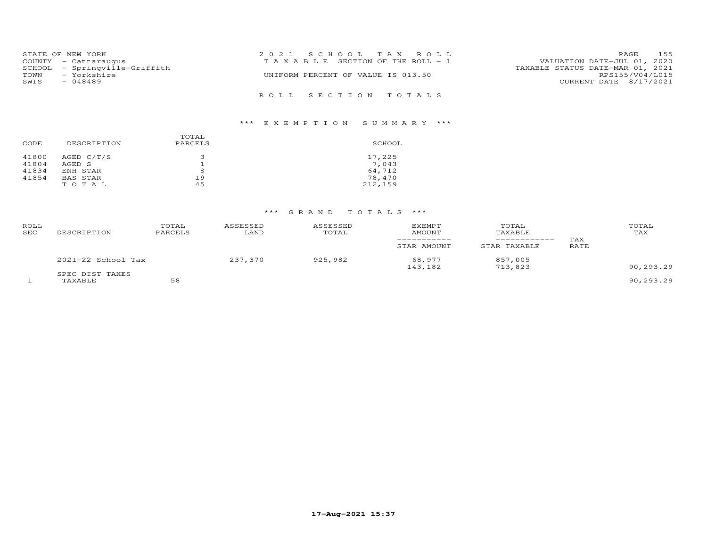|      | STATE OF NEW YORK             | 2021 SCHOOL TAX ROLL                                                 | <b>PAGE</b>            | 155 |
|------|-------------------------------|----------------------------------------------------------------------|------------------------|-----|
|      | COUNTY - Cattaraugus          | VALUATION DATE-JUL 01, 2020<br>T A X A B L E SECTION OF THE ROLL - 1 |                        |     |
|      | SCHOOL - Springville-Griffith | TAXABLE STATUS DATE-MAR 01, 2021                                     |                        |     |
| TOWN | - Yorkshire                   | UNIFORM PERCENT OF VALUE IS 013.50                                   | RPS155/V04/L015        |     |
| SWIS | $-048489$                     |                                                                      | CURRENT DATE 8/17/2021 |     |
|      |                               |                                                                      |                        |     |
|      |                               | ROLL SECTION TOTALS                                                  |                        |     |

| CODE                    | DESCRIPTION                      | TOTAL<br>PARCELS | SCHOOL                    |
|-------------------------|----------------------------------|------------------|---------------------------|
| 41800<br>41804<br>41834 | AGED C/T/S<br>AGED S<br>ENH STAR | З<br>8           | 17,225<br>7.043<br>64,712 |
| 41854                   | BAS STAR<br>TOTAL                | 19<br>45         | 78,470<br>212,159         |

| ROLL<br><b>SEC</b> | DESCRIPTION                | TOTAL<br>PARCELS | ASSESSED<br>LAND | ASSESSED<br>TOTAL | <b>EXEMPT</b><br>AMOUNT<br>__________ | TOTAL<br>TAXABLE<br>------------- | TAX  | TOTAL<br>TAX |
|--------------------|----------------------------|------------------|------------------|-------------------|---------------------------------------|-----------------------------------|------|--------------|
|                    |                            |                  |                  |                   | STAR AMOUNT                           | STAR TAXABLE                      | RATE |              |
|                    | 2021-22 School Tax         |                  | 237,370          | 925,982           | 68,977<br>143,182                     | 857,005<br>713,823                |      | 90,293.29    |
|                    | SPEC DIST TAXES<br>TAXABLE | 58               |                  |                   |                                       |                                   |      | 90,293.29    |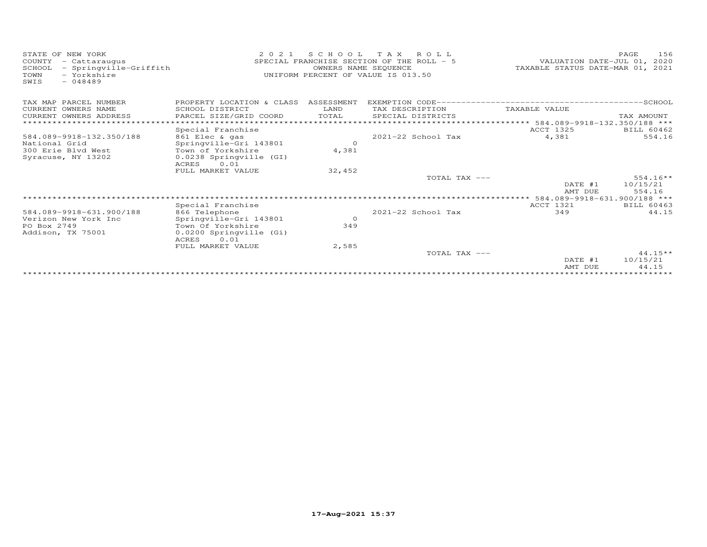| STATE OF NEW YORK<br>COUNTY<br>- Cattaraugus<br>- Springville-Griffith<br>SCHOOL<br>- Yorkshire<br>TOWN<br>$-048489$<br>SWIS | 2 0 2 1                                  | OWNERS NAME SEQUENCE | SCHOOL TAX ROLL<br>SPECIAL FRANCHISE SECTION OF THE ROLL - 5<br>UNIFORM PERCENT OF VALUE IS 013.50 | VALUATION DATE-JUL 01, 2020<br>TAXABLE STATUS DATE-MAR 01, 2021 | 156<br>PAGE |
|------------------------------------------------------------------------------------------------------------------------------|------------------------------------------|----------------------|----------------------------------------------------------------------------------------------------|-----------------------------------------------------------------|-------------|
| TAX MAP PARCEL NUMBER                                                                                                        | PROPERTY LOCATION & CLASS ASSESSMENT     |                      |                                                                                                    |                                                                 |             |
| CURRENT OWNERS NAME                                                                                                          | SCHOOL DISTRICT                          | LAND                 | TAX DESCRIPTION                                                                                    | TAXABLE VALUE                                                   |             |
| CURRENT OWNERS ADDRESS                                                                                                       | PARCEL SIZE/GRID COORD                   | TOTAL                | SPECIAL DISTRICTS                                                                                  |                                                                 | TAX AMOUNT  |
|                                                                                                                              |                                          |                      |                                                                                                    | ********************** 584.089-9918-132.350/188 ***             |             |
|                                                                                                                              | Special Franchise                        |                      |                                                                                                    | ACCT 1325                                                       | BILL 60462  |
| 584.089-9918-132.350/188                                                                                                     | 861 Elec & gas                           |                      | $2021 - 22$ School Tax                                                                             | 4,381                                                           | 554.16      |
| National Grid                                                                                                                | Springville-Gri 143801                   | $\Omega$             |                                                                                                    |                                                                 |             |
| 300 Erie Blyd West                                                                                                           | Town of Yorkshire                        | 4,381                |                                                                                                    |                                                                 |             |
| Syracuse, NY 13202                                                                                                           | 0.0238 Springville (GI)<br>0.01<br>ACRES |                      |                                                                                                    |                                                                 |             |
|                                                                                                                              | FULL MARKET VALUE                        | 32,452               |                                                                                                    |                                                                 |             |
|                                                                                                                              |                                          |                      | TOTAL TAX ---                                                                                      |                                                                 | $554.16**$  |
|                                                                                                                              |                                          |                      |                                                                                                    | DATE #1                                                         | 10/15/21    |
|                                                                                                                              |                                          |                      |                                                                                                    | AMT DUE                                                         | 554.16      |
|                                                                                                                              |                                          |                      |                                                                                                    |                                                                 |             |
|                                                                                                                              | Special Franchise                        |                      |                                                                                                    | ACCT 1321                                                       | BILL 60463  |
| 584.089-9918-631.900/188                                                                                                     | 866 Telephone                            |                      | 2021-22 School Tax                                                                                 | 349                                                             | 44.15       |
| Verizon New York Inc                                                                                                         | Springville-Gri 143801                   | $\circ$              |                                                                                                    |                                                                 |             |
| PO Box 2749                                                                                                                  | Town Of Yorkshire                        | 349                  |                                                                                                    |                                                                 |             |
| Addison, TX 75001                                                                                                            | 0.0200 Springville (Gi)<br>0.01<br>ACRES |                      |                                                                                                    |                                                                 |             |
|                                                                                                                              | FULL MARKET VALUE                        | 2,585                |                                                                                                    |                                                                 |             |
|                                                                                                                              |                                          |                      | TOTAL TAX ---                                                                                      |                                                                 | $44.15**$   |
|                                                                                                                              |                                          |                      |                                                                                                    | DATE #1                                                         | 10/15/21    |
|                                                                                                                              |                                          |                      |                                                                                                    | AMT DUE                                                         | 44.15       |
|                                                                                                                              |                                          |                      |                                                                                                    |                                                                 |             |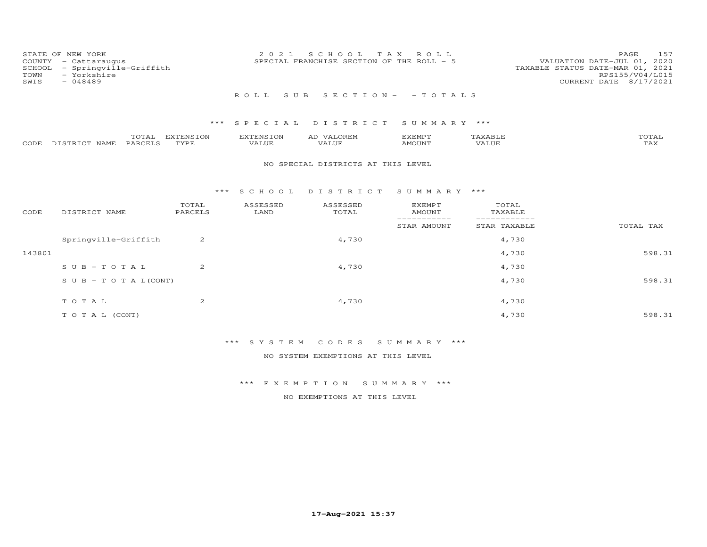| COUNTY<br>SCHOOL<br>TOWN<br>SWIS | STATE OF NEW YORK<br>- Cattaraugus<br>- Springville-Griffith<br>- Yorkshire<br>$-048489$ |                          | 2 0 2 1                          | S C H O O L<br>SPECIAL FRANCHISE SECTION OF THE ROLL - 5 | T A X<br>ROLL                   |                              | 157<br>PAGE<br>VALUATION DATE-JUL 01, 2020<br>TAXABLE STATUS DATE-MAR 01, 2021<br>RPS155/V04/L015<br>CURRENT DATE 8/17/2021 |
|----------------------------------|------------------------------------------------------------------------------------------|--------------------------|----------------------------------|----------------------------------------------------------|---------------------------------|------------------------------|-----------------------------------------------------------------------------------------------------------------------------|
|                                  |                                                                                          |                          | ROLL<br>S U B                    |                                                          | $S E C T I O N - - T O T A L S$ |                              |                                                                                                                             |
|                                  |                                                                                          |                          |                                  |                                                          |                                 |                              |                                                                                                                             |
|                                  |                                                                                          | $***$                    | SPECIAL                          | DISTRICT                                                 | SUMMARY ***                     |                              |                                                                                                                             |
| CODE                             | TOTAL<br>DISTRICT NAME<br>PARCELS                                                        | <b>EXTENSION</b><br>TYPE | <b>EXTENSION</b><br><b>VALUE</b> | AD VALOREM<br>VALUE                                      | <b>EXEMPT</b><br><b>AMOUNT</b>  | TAXABLE<br>VALUE             | TOTAL<br><b>TAX</b>                                                                                                         |
|                                  |                                                                                          |                          |                                  | NO SPECIAL DISTRICTS AT THIS LEVEL                       |                                 |                              |                                                                                                                             |
|                                  |                                                                                          | ***                      | S C H O O L                      | DISTRICT                                                 | SUMMARY ***                     |                              |                                                                                                                             |
| CODE                             | DISTRICT NAME                                                                            | TOTAL<br>PARCELS         | ASSESSED<br>LAND                 | ASSESSED<br>TOTAL                                        | <b>EXEMPT</b><br><b>AMOUNT</b>  | TOTAL<br>TAXABLE             |                                                                                                                             |
|                                  |                                                                                          |                          |                                  |                                                          | -----------<br>STAR AMOUNT      | ____________<br>STAR TAXABLE | TOTAL TAX                                                                                                                   |
|                                  | Springville-Griffith                                                                     | 2                        |                                  | 4,730                                                    |                                 | 4,730                        |                                                                                                                             |
| 143801                           |                                                                                          |                          |                                  |                                                          |                                 | 4,730                        | 598.31                                                                                                                      |
|                                  | $S \cup B - T \cup T A L$                                                                | 2                        |                                  | 4,730                                                    |                                 | 4,730                        |                                                                                                                             |
|                                  | $S \cup B - T \cup T A L (CONT)$                                                         |                          |                                  |                                                          |                                 | 4,730                        | 598.31                                                                                                                      |
|                                  |                                                                                          |                          |                                  |                                                          |                                 |                              |                                                                                                                             |
|                                  | TO TAL                                                                                   | 2                        |                                  | 4,730                                                    |                                 | 4,730                        |                                                                                                                             |

\*\*\* S Y S T E M C O D E S S U M M A R Y \*\*\*

NO SYSTEM EXEMPTIONS AT THIS LEVEL

\*\*\* E X E M P T I O N S U M M A R Y \*\*\*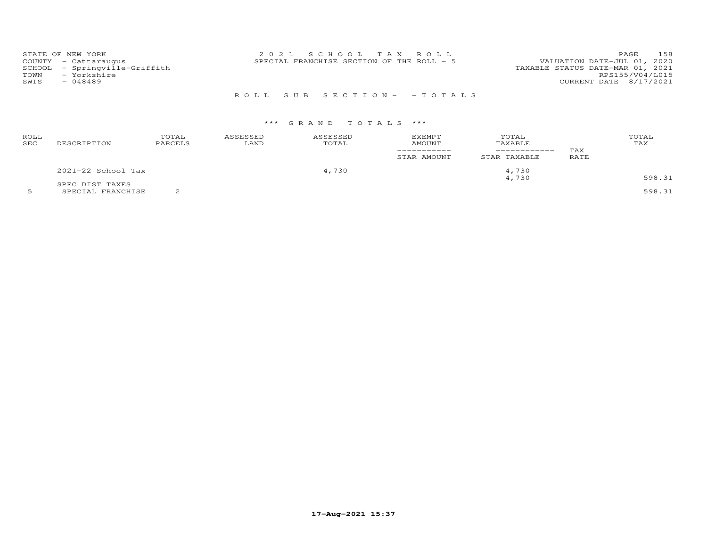| STATE OF NEW YORK<br>COUNTY - Cattaraugus<br>SCHOOL - Springville-Griffith<br>- Yorkshire<br>TOWN<br>SWIS<br>$-048489$ | 2021 SCHOOL TAX ROLL<br>SPECIAL FRANCHISE SECTION OF THE ROLL - 5 | 158<br><b>PAGE</b><br>VALUATION DATE-JUL 01, 2020<br>TAXABLE STATUS DATE-MAR 01, 2021<br>RPS155/V04/L015<br>CURRENT DATE 8/17/2021 |
|------------------------------------------------------------------------------------------------------------------------|-------------------------------------------------------------------|------------------------------------------------------------------------------------------------------------------------------------|
|                                                                                                                        | ROLL SUB SECTION- - TOTALS                                        |                                                                                                                                    |

| ROLL<br>SEC | DESCRIPTION                          | TOTAL<br>PARCELS | ASSESSED<br>LAND | ASSESSED<br>TOTAL | <b>EXEMPT</b><br><b>AMOUNT</b><br>STAR AMOUNT | TOTAL<br>TAXABLE<br>STAR TAXABLE | TAX<br><b>RATE</b> | TOTAL<br>TAX     |
|-------------|--------------------------------------|------------------|------------------|-------------------|-----------------------------------------------|----------------------------------|--------------------|------------------|
|             | $2021-22$ School Tax                 |                  |                  | 4,730             |                                               | 4,730                            |                    |                  |
|             | SPEC DIST TAXES<br>SPECIAL FRANCHISE |                  |                  |                   |                                               | 4,730                            |                    | 598.31<br>598.31 |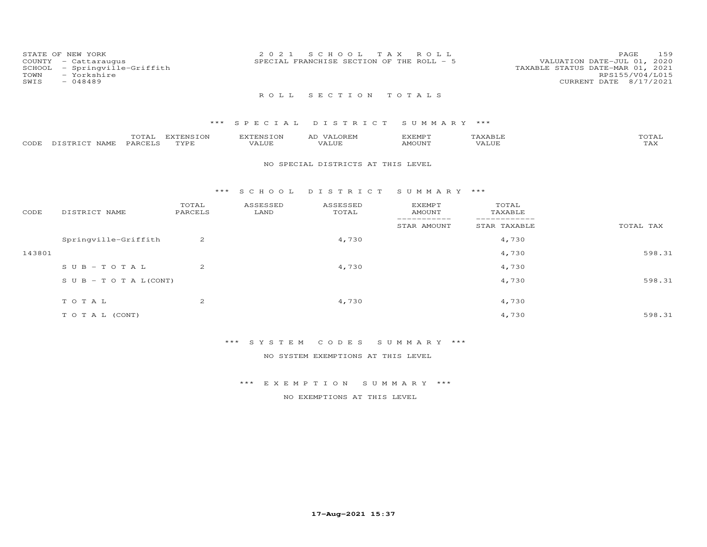| COUNTY<br>SCHOOL<br>TOWN<br>SWIS | STATE OF NEW YORK<br>- Cattaraugus<br>- Springville-Griffith<br>- Yorkshire<br>$-048489$ |         |           | 2 0 2 1   | SCHOOL TAX     | ROLL<br>SPECIAL FRANCHISE SECTION OF THE ROLL - 5 |         | 159<br>PAGE<br>VALUATION DATE-JUL 01, 2020<br>TAXABLE STATUS DATE-MAR 01, 2021<br>RPS155/V04/L015<br>CURRENT DATE 8/17/2021 |
|----------------------------------|------------------------------------------------------------------------------------------|---------|-----------|-----------|----------------|---------------------------------------------------|---------|-----------------------------------------------------------------------------------------------------------------------------|
|                                  |                                                                                          |         |           | R O T, T, | SECTION TOTALS |                                                   |         |                                                                                                                             |
|                                  |                                                                                          |         |           |           |                | *** SPECIAL DISTRICT SUMMARY ***                  |         |                                                                                                                             |
|                                  |                                                                                          | TOTAL   | EXTENSION | EXTENSION | AD VALOREM     | EXEMPT                                            | TAXABLE | TOTAL                                                                                                                       |
| CODE                             | DISTRICT NAME                                                                            | PARCELS | TYPE      | VALUE     | VALUE          | AMOUNT                                            | VALUE   | TAX                                                                                                                         |

#### NO SPECIAL DISTRICTS AT THIS LEVEL

## \*\*\* S C H O O L D I S T R I C T S U M M A R Y \*\*\*

| CODE   | DISTRICT NAME                    | TOTAL<br>PARCELS | ASSESSED<br>LAND | ASSESSED<br>TOTAL | <b>EXEMPT</b><br>AMOUNT  | TOTAL<br>TAXABLE |           |
|--------|----------------------------------|------------------|------------------|-------------------|--------------------------|------------------|-----------|
|        |                                  |                  |                  |                   | ---------<br>STAR AMOUNT | STAR TAXABLE     | TOTAL TAX |
|        | Springville-Griffith             | 2                |                  | 4,730             |                          | 4,730            |           |
| 143801 |                                  |                  |                  |                   |                          | 4,730            | 598.31    |
|        | $SUB - TO T AL$                  | 2                |                  | 4,730             |                          | 4,730            |           |
|        | $S \cup B - T \cup T A L (CONT)$ |                  |                  |                   |                          | 4,730            | 598.31    |
|        | TOTAL                            | 2                |                  | 4,730             |                          | 4,730            |           |
|        | T O T A L (CONT)                 |                  |                  |                   |                          | 4,730            | 598.31    |

# \*\*\* S Y S T E M C O D E S S U M M A R Y \*\*\*

NO SYSTEM EXEMPTIONS AT THIS LEVEL

## \*\*\* E X E M P T I O N S U M M A R Y \*\*\*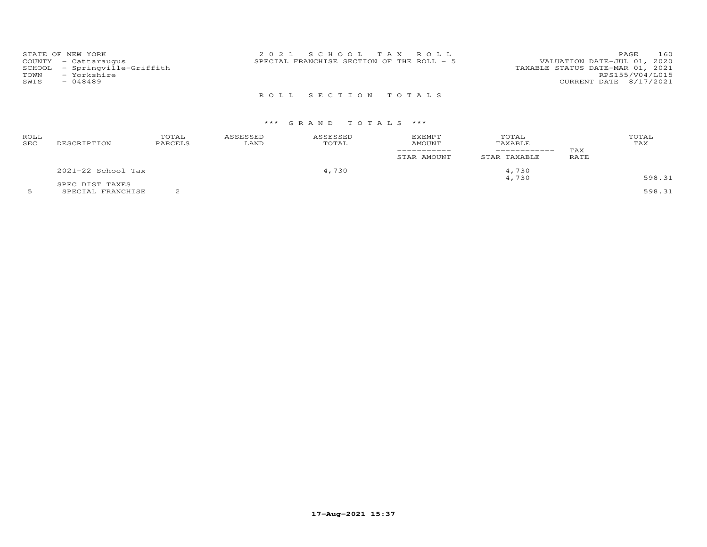| STATE OF NEW YORK<br>COUNTY - Cattaraugus<br>SCHOOL - Springville-Griffith<br>TOWN<br>- Yorkshire<br>SWIS<br>$-048489$ | 2021 SCHOOL TAX ROLL<br>SPECIAL FRANCHISE SECTION OF THE ROLL - 5 | 160<br>PAGE<br>VALUATION DATE-JUL 01, 2020<br>TAXABLE STATUS DATE-MAR 01, 2021<br>RPS155/V04/L015<br>CURRENT DATE 8/17/2021 |
|------------------------------------------------------------------------------------------------------------------------|-------------------------------------------------------------------|-----------------------------------------------------------------------------------------------------------------------------|
|                                                                                                                        | ROLL SECTION TOTALS                                               |                                                                                                                             |

## \*\*\* G R A N D T O T A L S \*\*\*

| ROLL<br>SEC | DESCRIPTION        | TOTAL<br>PARCELS | ASSESSED<br>LAND | ASSESSED<br>TOTAL | <b>EXEMPT</b><br>AMOUNT<br>_________<br>STAR AMOUNT | TOTAL<br>TAXABLE<br>-----------<br>STAR TAXABLE | TAX<br>RATE | TOTAL<br>TAX |
|-------------|--------------------|------------------|------------------|-------------------|-----------------------------------------------------|-------------------------------------------------|-------------|--------------|
|             | 2021-22 School Tax |                  |                  | 4,730             |                                                     | 4,730                                           |             |              |
|             | SPEC DIST TAXES    |                  |                  |                   |                                                     | 4,730                                           |             | 598.31       |

5 SPECIAL FRANCHISE 2 598.31

**17-Aug-2021 15:37**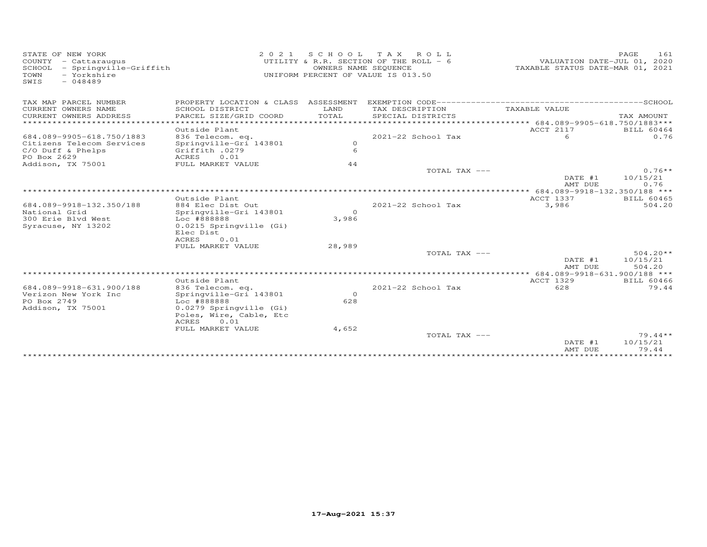| STATE OF NEW YORK<br>COUNTY - Cattaraugus<br>SCHOOL - Springville-Griffith<br>- Yorkshire<br>TOWN<br>$-048489$<br>SWIS | 2 0 2 1                                   | S C H O O L<br>OWNERS NAME SEQUENCE | TAX ROLL<br>UTILITY & R.R. SECTION OF THE ROLL - 6<br>UNIFORM PERCENT OF VALUE IS 013.50 | VALUATION DATE-JUL 01, 2020<br>TAXABLE STATUS DATE-MAR 01, 2021 | PAGE       | 161                       |
|------------------------------------------------------------------------------------------------------------------------|-------------------------------------------|-------------------------------------|------------------------------------------------------------------------------------------|-----------------------------------------------------------------|------------|---------------------------|
| TAX MAP PARCEL NUMBER                                                                                                  | PROPERTY LOCATION & CLASS ASSESSMENT      |                                     |                                                                                          |                                                                 |            |                           |
| CURRENT OWNERS NAME<br>CURRENT OWNERS ADDRESS<br>******************                                                    | SCHOOL DISTRICT<br>PARCEL SIZE/GRID COORD | LAND<br>TOTAL                       | TAX DESCRIPTION<br>SPECIAL DISTRICTS                                                     | TAXABLE VALUE                                                   | TAX AMOUNT |                           |
|                                                                                                                        |                                           |                                     |                                                                                          | ********************* 684.089-9905-618.750/1883***<br>ACCT 2117 |            |                           |
| 684.089-9905-618.750/1883                                                                                              | Outside Plant<br>836 Telecom. eq.         |                                     | 2021-22 School Tax                                                                       | 6                                                               |            | <b>BILL 60464</b><br>0.76 |
| Citizens Telecom Services                                                                                              | Springville-Gri 143801                    | $\circ$                             |                                                                                          |                                                                 |            |                           |
| C/O Duff & Phelps<br>PO Box 2629                                                                                       | Griffith .0279<br>0.01<br>ACRES           | 6                                   |                                                                                          |                                                                 |            |                           |
| Addison, TX 75001                                                                                                      | FULL MARKET VALUE                         | 44                                  |                                                                                          |                                                                 |            |                           |
|                                                                                                                        |                                           |                                     | TOTAL TAX ---                                                                            |                                                                 |            | $0.76**$                  |
|                                                                                                                        |                                           |                                     |                                                                                          | DATE #1<br>AMT DUE                                              | 10/15/21   | 0.76                      |
|                                                                                                                        |                                           |                                     |                                                                                          | ******** 684.089-9918-132.350/188 ***                           |            |                           |
|                                                                                                                        | Outside Plant                             |                                     |                                                                                          | ACCT 1337                                                       |            | <b>BILL 60465</b>         |
| 684.089-9918-132.350/188                                                                                               | 884 Elec Dist Out                         |                                     | 2021-22 School Tax                                                                       | 3,986                                                           |            | 504.20                    |
| National Grid                                                                                                          | Springville-Gri 143801                    | $\Omega$                            |                                                                                          |                                                                 |            |                           |
| 300 Erie Blvd West                                                                                                     | Loc #888888                               | 3,986                               |                                                                                          |                                                                 |            |                           |
| Syracuse, NY 13202                                                                                                     | 0.0215 Springville (Gi)                   |                                     |                                                                                          |                                                                 |            |                           |
|                                                                                                                        | Elec Dist                                 |                                     |                                                                                          |                                                                 |            |                           |
|                                                                                                                        | ACRES<br>0.01                             |                                     |                                                                                          |                                                                 |            |                           |
|                                                                                                                        | FULL MARKET VALUE                         | 28,989                              |                                                                                          |                                                                 |            |                           |
|                                                                                                                        |                                           |                                     | TOTAL TAX ---                                                                            |                                                                 |            | $504.20**$                |
|                                                                                                                        | *****************************             |                                     |                                                                                          | DATE #1<br>AMT DUE                                              | 10/15/21   | 504.20                    |
|                                                                                                                        |                                           |                                     |                                                                                          | **** 684.089-9918-631.900/188 ***                               |            |                           |
|                                                                                                                        | Outside Plant                             |                                     |                                                                                          | ACCT 1329                                                       |            | <b>BILL 60466</b>         |
| 684.089-9918-631.900/188<br>Verizon New York Inc                                                                       | 836 Telecom. eq.                          | $\circ$                             | $2021 - 22$ School Tax                                                                   | 628                                                             |            | 79.44                     |
| PO Box 2749                                                                                                            | Springville-Gri 143801<br>Loc #888888     | 628                                 |                                                                                          |                                                                 |            |                           |
| Addison, TX 75001                                                                                                      | 0.0279 Springville (Gi)                   |                                     |                                                                                          |                                                                 |            |                           |
|                                                                                                                        | Poles, Wire, Cable, Etc                   |                                     |                                                                                          |                                                                 |            |                           |
|                                                                                                                        | ACRES<br>0.01                             |                                     |                                                                                          |                                                                 |            |                           |
|                                                                                                                        | FULL MARKET VALUE                         | 4,652                               |                                                                                          |                                                                 |            |                           |
|                                                                                                                        |                                           |                                     | TOTAL TAX ---                                                                            |                                                                 |            | $79.44**$                 |
|                                                                                                                        |                                           |                                     |                                                                                          | DATE #1                                                         | 10/15/21   |                           |
|                                                                                                                        |                                           |                                     |                                                                                          | AMT DUE                                                         |            | 79.44                     |
|                                                                                                                        |                                           |                                     |                                                                                          |                                                                 |            |                           |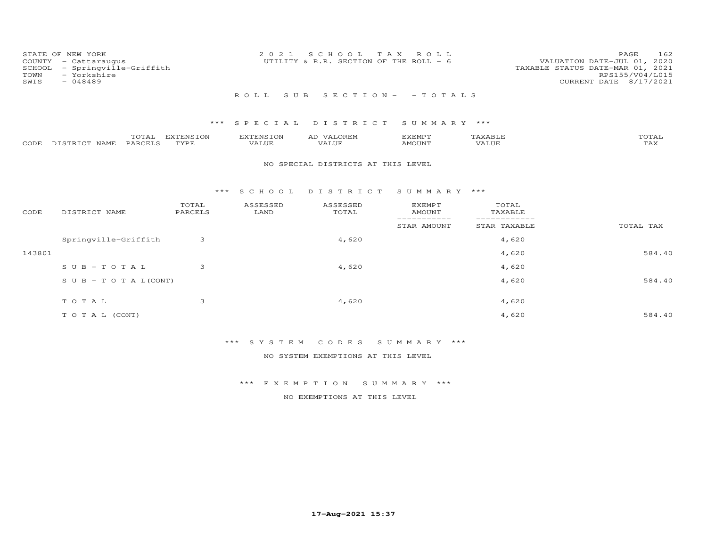| STATE OF NEW YORK<br>COUNTY - Cattaraugus<br>SCHOOL - Springville-Griffith<br>- Yorkshire<br>TOWN<br>SWIS<br>$-048489$ | 2021 SCHOOL TAX ROLL<br>UTILITY & R.R. SECTION OF THE ROLL - 6 | 162<br>PAGE<br>VALUATION DATE-JUL 01, 2020<br>TAXABLE STATUS DATE-MAR 01, 2021<br>RPS155/V04/L015<br>CURRENT DATE 8/17/2021 |
|------------------------------------------------------------------------------------------------------------------------|----------------------------------------------------------------|-----------------------------------------------------------------------------------------------------------------------------|
|                                                                                                                        | ROLL SUB SECTION- - TOTALS                                     |                                                                                                                             |

|      |                  | $- - -$<br>UTAL | ENSION:<br>T T T T T | $\blacksquare$ | A1.                              | <b>YEMP1</b> |               | $T \cap T \cap T$<br>UIAL |
|------|------------------|-----------------|----------------------|----------------|----------------------------------|--------------|---------------|---------------------------|
| CODE | רפד¤דרי<br>NAME. | PARCELS         | <b>PVDE</b>          | ALUE           | $\overline{\phantom{a}}$<br>ALUE | <b>MOUNT</b> | <i>J</i> ALUE | $m \times r$<br>L A A     |

## NO SPECIAL DISTRICTS AT THIS LEVEL

#### \*\*\* S C H O O L D I S T R I C T S U M M A R Y \*\*\*

| CODE   | DISTRICT NAME                    | TOTAL<br>PARCELS | ASSESSED<br>LAND | ASSESSED<br>TOTAL | <b>EXEMPT</b><br>AMOUNT<br>. _ _ _ _ _ _ _ _ | TOTAL<br>TAXABLE |           |
|--------|----------------------------------|------------------|------------------|-------------------|----------------------------------------------|------------------|-----------|
|        |                                  |                  |                  |                   | STAR AMOUNT                                  | STAR TAXABLE     | TOTAL TAX |
|        | Springville-Griffith             | 3                |                  | 4,620             |                                              | 4,620            |           |
| 143801 |                                  |                  |                  |                   |                                              | 4,620            | 584.40    |
|        | $SUB - TO T AL$                  | 3                |                  | 4,620             |                                              | 4,620            |           |
|        | $S \cup B - T \cup T A L (CONT)$ |                  |                  |                   |                                              | 4,620            | 584.40    |
|        | TOTAL                            | 3                |                  | 4,620             |                                              | 4,620            |           |
|        |                                  |                  |                  |                   |                                              |                  |           |
|        | T O T A L (CONT)                 |                  |                  |                   |                                              | 4,620            | 584.40    |

# \*\*\* S Y S T E M C O D E S S U M M A R Y \*\*\*

NO SYSTEM EXEMPTIONS AT THIS LEVEL

## \*\*\* E X E M P T I O N S U M M A R Y \*\*\*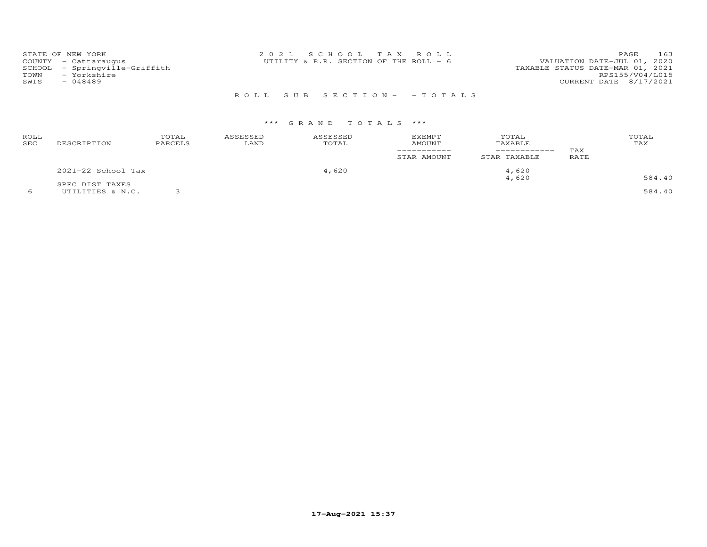| STATE OF NEW YORK             | 2021 SCHOOL TAX ROLL                     | PAGE.                            | 163 |
|-------------------------------|------------------------------------------|----------------------------------|-----|
| COUNTY - Cattaraugus          | UTILITY & R.R. SECTION OF THE ROLL - $6$ | VALUATION DATE-JUL 01, 2020      |     |
| SCHOOL - Springville-Griffith |                                          | TAXABLE STATUS DATE-MAR 01, 2021 |     |
| TOWN<br>- Yorkshire           |                                          | RPS155/V04/L015                  |     |
| SWIS<br>- 048489              |                                          | CURRENT DATE 8/17/2021           |     |
|                               |                                          |                                  |     |

# R O L L S U B S E C T I O N - - T O T A L S

# \*\*\* G R A N D T O T A L S \*\*\*

| ROLL<br>SEC | DESCRIPTION                         | TOTAL<br>PARCELS | ASSESSED<br>LAND | ASSESSED<br>TOTAL | <b>EXEMPT</b><br><b>AMOUNT</b><br>-----------<br>STAR AMOUNT | TOTAL<br>TAXABLE<br>------------<br>STAR TAXABLE | TAX<br><b>RATE</b> | TOTAL<br>TAX     |
|-------------|-------------------------------------|------------------|------------------|-------------------|--------------------------------------------------------------|--------------------------------------------------|--------------------|------------------|
|             | $2021-22$ School Tax                |                  |                  | 4,620             |                                                              | 4,620                                            |                    |                  |
|             | SPEC DIST TAXES<br>UTILITIES & N.C. |                  |                  |                   |                                                              | 4,620                                            |                    | 584.40<br>584.40 |

**17-Aug-2021 15:37**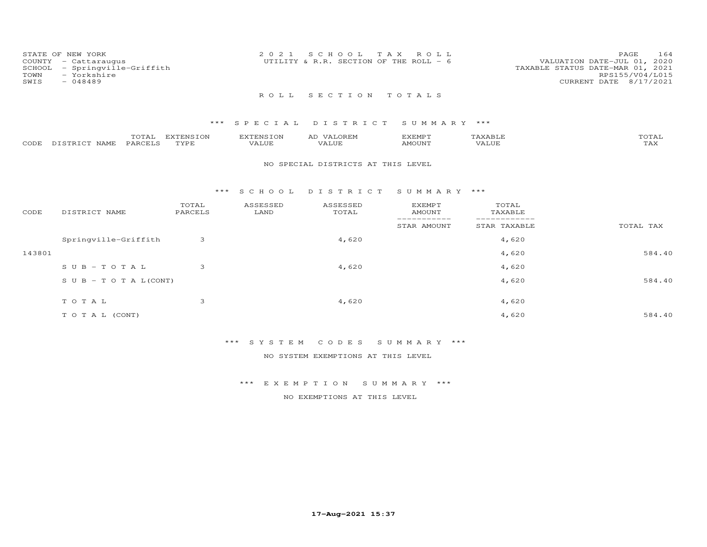| TOWN<br>SWIS | STATE OF NEW YORK<br>COUNTY - Cattaraugus<br>SCHOOL - Springville-Griffith<br>- Yorkshire<br>$-048489$ | 2021 SCHOOL TAX ROLL<br>UTILITY & R.R. SECTION OF THE ROLL - $6$ |  | 164<br>PAGE<br>VALUATION DATE-JUL 01, 2020<br>TAXABLE STATUS DATE-MAR 01, 2021<br>RPS155/V04/L015<br>CURRENT DATE 8/17/2021 |
|--------------|--------------------------------------------------------------------------------------------------------|------------------------------------------------------------------|--|-----------------------------------------------------------------------------------------------------------------------------|
|              |                                                                                                        | ROLL SECTION TOTALS                                              |  |                                                                                                                             |

|      |                 | TOTAL   | EXTENSION | EXTENSION | <b>VALOREM</b><br>AD | EXEMPT        | HAXABH | TOTAL        |
|------|-----------------|---------|-----------|-----------|----------------------|---------------|--------|--------------|
| CODE | : DISTRICT NAME | PARCELS | TYPE      | VALUE     | VALUE                | <b>AMOUNT</b> |        | ጥአህ<br>1 AX. |

#### NO SPECIAL DISTRICTS AT THIS LEVEL

#### \*\*\* S C H O O L D I S T R I C T S U M M A R Y \*\*\*

| CODE   | DISTRICT NAME                    | TOTAL<br>PARCELS | ASSESSED<br>LAND | ASSESSED<br>TOTAL | <b>EXEMPT</b><br>AMOUNT<br>--------- | TOTAL<br>TAXABLE<br>_________ |           |
|--------|----------------------------------|------------------|------------------|-------------------|--------------------------------------|-------------------------------|-----------|
|        |                                  |                  |                  |                   | STAR AMOUNT                          | STAR TAXABLE                  | TOTAL TAX |
|        | Springville-Griffith             | 3                |                  | 4,620             |                                      | 4,620                         |           |
| 143801 |                                  |                  |                  |                   |                                      | 4,620                         | 584.40    |
|        | $SUB - TO TAL$                   | 3                |                  | 4,620             |                                      | 4,620                         |           |
|        | $S \cup B - T \cup T A L (CONT)$ |                  |                  |                   |                                      | 4,620                         | 584.40    |
|        | TOTAL                            | 3                |                  | 4,620             |                                      | 4,620                         |           |
|        | T O T A L (CONT)                 |                  |                  |                   |                                      | 4,620                         | 584.40    |

## \*\*\* S Y S T E M C O D E S S U M M A R Y \*\*\*

NO SYSTEM EXEMPTIONS AT THIS LEVEL

## \*\*\* E X E M P T I O N S U M M A R Y \*\*\*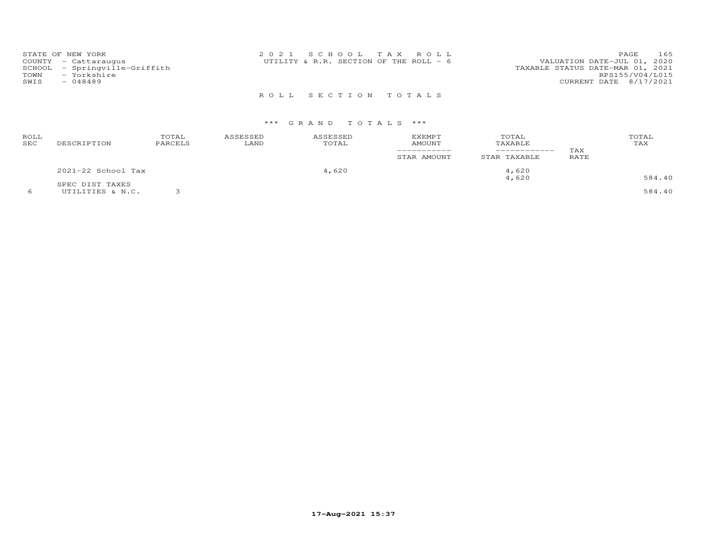|        | STATE OF NEW YORK      | 2021 SCHOOL TAX ROLL                                                   | 165<br>PAGE     |
|--------|------------------------|------------------------------------------------------------------------|-----------------|
|        | COUNTY - Cattaraugus   | VALUATION DATE-JUL 01, 2020<br>UTILITY & R.R. SECTION OF THE ROLL $-6$ |                 |
| SCHOOL | - Springville-Griffith | TAXABLE STATUS DATE-MAR 01, 2021                                       |                 |
| TOWN   | - Yorkshire            |                                                                        | RPS155/V04/L015 |
| SWIS   | $-048489$              | CURRENT DATE 8/17/2021                                                 |                 |
|        |                        |                                                                        |                 |

# R O L L S E C T I O N T O T A L S

| ROLL<br><b>SEC</b> | DESCRIPTION                         | TOTAL<br>PARCELS | ASSESSED<br>LAND | ASSESSED<br>TOTAL | EXEMPT<br>AMOUNT<br>STAR AMOUNT | TOTAL<br>TAXABLE<br>STAR TAXABLE | TAX<br>RATE | TOTAL<br>TAX |
|--------------------|-------------------------------------|------------------|------------------|-------------------|---------------------------------|----------------------------------|-------------|--------------|
|                    | 2021-22 School Tax                  |                  |                  | 4,620             |                                 | 4,620<br>4,620                   |             | 584.40       |
|                    | SPEC DIST TAXES<br>UTILITIES & N.C. |                  |                  |                   |                                 |                                  |             | 584.40       |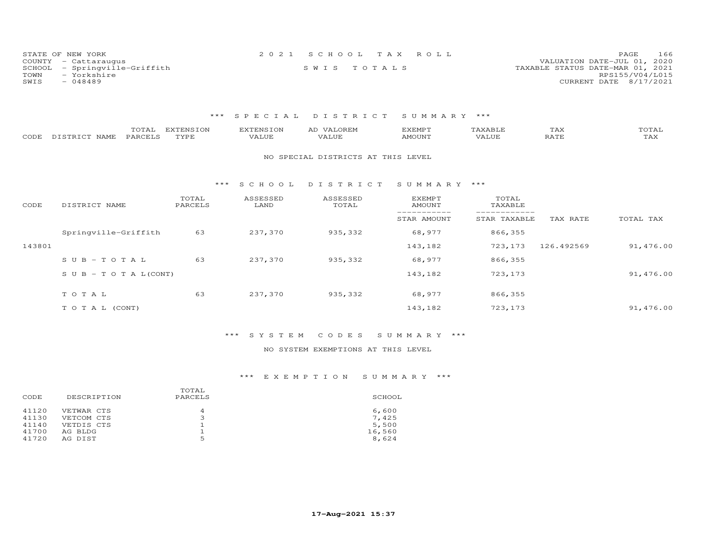| STATE OF NEW YORK             | 2021 SCHOOL TAX ROLL | 166<br>PAGE                      |
|-------------------------------|----------------------|----------------------------------|
| COUNTY - Cattaraugus          |                      | VALUATION DATE-JUL 01, 2020      |
| SCHOOL - Springville-Griffith | SWIS TOTALS          | TAXABLE STATUS DATE-MAR 01, 2021 |
| TOWN<br>- Yorkshire           |                      | RPS155/V04/L015                  |
| $-048489$<br>SWIS             |                      | CURRENT DATE 8/17/2021           |

| CODE   | TOTAL<br>PARCELS<br>DISTRICT NAME | EXTENSION<br>TYPE | <b>EXTENSION</b><br>VALUE | AD VALOREM<br>VALUE                | <b>EXEMPT</b><br><b>AMOUNT</b> | TAXABLE<br>VALUE | TAX<br>RATE | TOTAL<br>TAX |
|--------|-----------------------------------|-------------------|---------------------------|------------------------------------|--------------------------------|------------------|-------------|--------------|
|        |                                   |                   |                           | NO SPECIAL DISTRICTS AT THIS LEVEL |                                |                  |             |              |
|        |                                   | $***$             | S C H O O L               | DISTRICT                           | SUMMARY ***                    |                  |             |              |
| CODE   | DISTRICT NAME                     | TOTAL<br>PARCELS  | ASSESSED<br>LAND          | ASSESSED<br>TOTAL                  | EXEMPT<br>AMOUNT               | TOTAL<br>TAXABLE |             |              |
|        |                                   |                   |                           |                                    | STAR AMOUNT                    | STAR TAXABLE     | TAX RATE    | TOTAL TAX    |
|        | Springville-Griffith              | 63                | 237,370                   | 935, 332                           | 68,977                         | 866,355          |             |              |
| 143801 |                                   |                   |                           |                                    | 143,182                        | 723,173          | 126.492569  | 91,476.00    |
|        | $SUB - TO T AL$                   | 63                | 237,370                   | 935,332                            | 68,977                         | 866,355          |             |              |
|        | S U B - T O T A $L$ (CONT)        |                   |                           |                                    | 143,182                        | 723,173          |             | 91,476.00    |
|        | TOTAL                             | 63                | 237,370                   | 935, 332                           | 68,977                         | 866,355          |             |              |
|        | TO TAL (CONT)                     |                   |                           |                                    | 143,182                        | 723,173          |             | 91,476.00    |

# \*\*\* S Y S T E M C O D E S S U M M A R Y \*\*\*

## NO SYSTEM EXEMPTIONS AT THIS LEVEL

| DESCRIPTION | PARCELS | SCHOOL |
|-------------|---------|--------|
| VETWAR CTS  | 4       | 6,600  |
| VETCOM CTS  | ∍       | 7,425  |
| VETDIS CTS  | ᅩ       | 5,500  |
| AG BLDG     |         | 16,560 |
| AG DIST     | 5       | 8,624  |
|             |         | TOTAL  |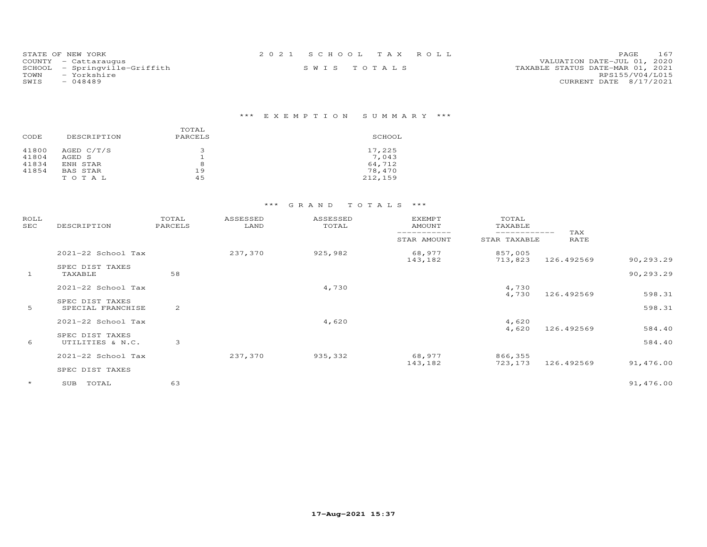| STATE OF NEW YORK             | 2021 SCHOOL TAX ROLL |  | 167<br>PAGE                      |
|-------------------------------|----------------------|--|----------------------------------|
| COUNTY - Cattaraugus          |                      |  | VALUATION DATE-JUL 01, 2020      |
| SCHOOL - Springville-Griffith | SWIS TOTALS          |  | TAXABLE STATUS DATE-MAR 01, 2021 |
| TOWN<br>– Yorkshire           |                      |  | RPS155/V04/L015                  |
| SWIS<br>- 048489              |                      |  | CURRENT DATE 8/17/2021           |

| CODE  | DESCRIPTION | TOTAL<br>PARCELS | SCHOOL  |
|-------|-------------|------------------|---------|
| 41800 | AGED C/T/S  |                  | 17,225  |
| 41804 | AGED S      |                  | 7,043   |
| 41834 | ENH STAR    | 8                | 64,712  |
| 41854 | BAS STAR    | 19               | 78,470  |
|       | TOTAL       | 45               | 212,159 |

| ROLL<br>SEC  | DESCRIPTION                          | TOTAL<br>PARCELS | ASSESSED<br>LAND | ASSESSED<br>TOTAL            | <b>EXEMPT</b><br><b>AMOUNT</b> | TOTAL<br>TAXABLE   |            |                        |
|--------------|--------------------------------------|------------------|------------------|------------------------------|--------------------------------|--------------------|------------|------------------------|
|              |                                      |                  | STAR AMOUNT      | ------------<br>STAR TAXABLE | TAX<br>RATE                    |                    |            |                        |
|              | 2021-22 School Tax                   |                  | 237,370          | 925,982                      | 68,977                         | 857,005            |            |                        |
| $\mathbf{1}$ | SPEC DIST TAXES<br>TAXABLE           | 58               |                  |                              | 143,182                        | 713,823            | 126.492569 | 90,293.29<br>90,293.29 |
|              | 2021-22 School Tax                   |                  |                  | 4,730                        |                                | 4,730<br>4,730     | 126.492569 | 598.31                 |
| 5            | SPEC DIST TAXES<br>SPECIAL FRANCHISE | 2                |                  |                              |                                |                    |            | 598.31                 |
|              | 2021-22 School Tax                   |                  |                  | 4,620                        |                                | 4,620<br>4,620     | 126.492569 | 584.40                 |
| 6            | SPEC DIST TAXES<br>UTILITIES & N.C.  | 3                |                  |                              |                                |                    |            | 584.40                 |
|              | 2021-22 School Tax                   |                  | 237,370          | 935, 332                     | 68,977<br>143,182              | 866,355<br>723,173 | 126.492569 | 91,476.00              |
|              | SPEC DIST TAXES                      |                  |                  |                              |                                |                    |            |                        |
| $\star$      | TOTAL<br>SUB                         | 63               |                  |                              |                                |                    |            | 91,476.00              |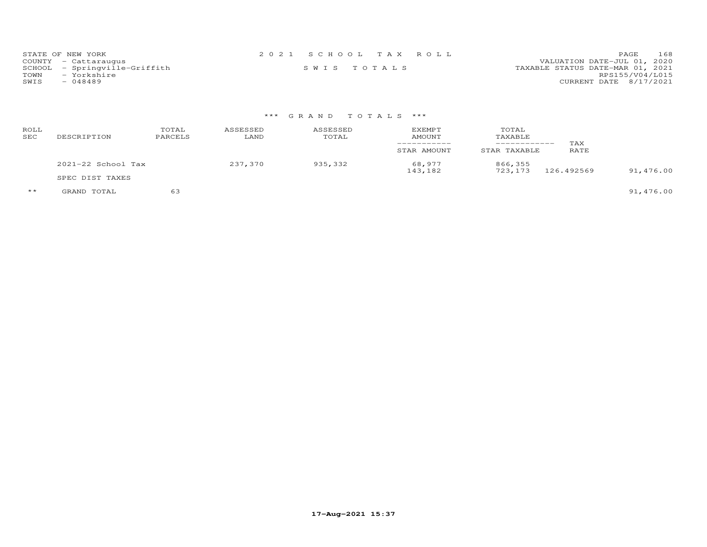| STATE OF NEW YORK             | 2021 SCHOOL TAX ROLL |  | 168<br><b>PAGE</b>               |
|-------------------------------|----------------------|--|----------------------------------|
| COUNTY - Cattaraugus          |                      |  | VALUATION DATE-JUL 01, 2020      |
| SCHOOL - Springville-Griffith | SWIS TOTALS          |  | TAXABLE STATUS DATE-MAR 01, 2021 |
| TOWN<br>- Yorkshire           |                      |  | RPS155/V04/L015                  |
| SWIS<br>- 048489              |                      |  | CURRENT DATE 8/17/2021           |

# \*\*\* G R A N D T O T A L S \*\*\*

| ROLL<br><b>SEC</b> | DESCRIPTION        | TOTAL<br>PARCELS | ASSESSED<br>LAND | ASSESSED<br>TOTAL | EXEMPT<br>AMOUNT<br>STAR AMOUNT | TOTAL<br>TAXABLE<br>__________<br>STAR TAXABLE | TAX<br>RATE |           |
|--------------------|--------------------|------------------|------------------|-------------------|---------------------------------|------------------------------------------------|-------------|-----------|
|                    | 2021-22 School Tax |                  |                  | 935,332           | 68,977                          | 866,355                                        | 126.492569  |           |
|                    | SPEC DIST TAXES    |                  |                  |                   | 143,182                         | 723,173                                        |             | 91,476.00 |

\*\* GRAND TOTAL 63 91,476.00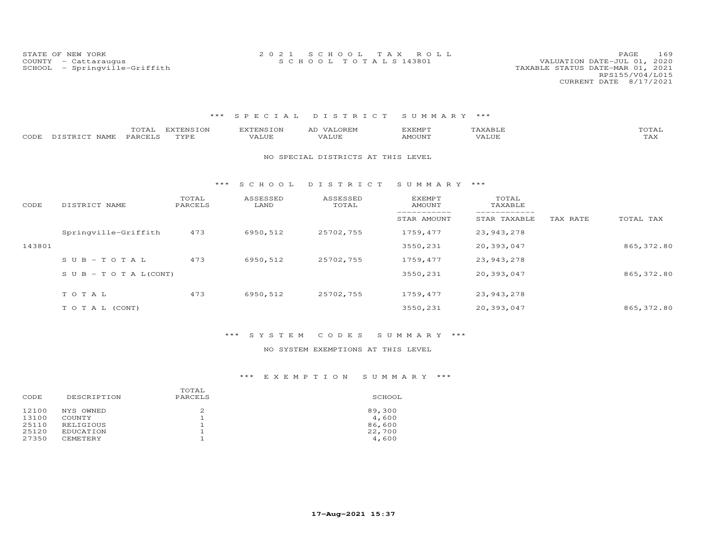STATE OF NEW YORK 2 0 2 1 S C H O O L T A X R O L L PAGE 169COUNTY - Cattaraugus S C H O O L T O T A L S 143801 VALUATION DATE-JUL 01, 2020

#### \*\*\* S P E C I A L D I S T R I C T S U M M A R Y \*\*\*

| CODE   | TOTAL<br>DISTRICT NAME<br>PARCELS | <b>EXTENSION</b><br>TYPE | <b>EXTENSION</b><br>VALUE | AD VALOREM<br>VALUE                | <b>EXEMPT</b><br><b>AMOUNT</b> | TAXABLE<br>VALUE |          | TOTAL<br>TAX |
|--------|-----------------------------------|--------------------------|---------------------------|------------------------------------|--------------------------------|------------------|----------|--------------|
|        |                                   |                          |                           | NO SPECIAL DISTRICTS AT THIS LEVEL |                                |                  |          |              |
|        |                                   | ***                      | S C H O O L               | DISTRICT                           | SUMMARY ***                    |                  |          |              |
| CODE   | DISTRICT NAME                     | TOTAL<br>PARCELS         | ASSESSED<br>LAND          | ASSESSED<br>TOTAL                  | EXEMPT<br><b>AMOUNT</b>        | TOTAL<br>TAXABLE |          |              |
|        |                                   |                          |                           |                                    | STAR AMOUNT                    | STAR TAXABLE     | TAX RATE | TOTAL TAX    |
|        | Springville-Griffith              | 473                      | 6950,512                  | 25702,755                          | 1759,477                       | 23, 943, 278     |          |              |
| 143801 |                                   |                          |                           |                                    | 3550,231                       | 20,393,047       |          | 865, 372.80  |
|        | $SUB - TO T AL$                   | 473                      | 6950,512                  | 25702,755                          | 1759,477                       | 23, 943, 278     |          |              |
|        | S U B - T O T A $L$ (CONT)        |                          |                           |                                    | 3550,231                       | 20,393,047       |          | 865, 372.80  |
|        | TOTAL                             | 473                      | 6950,512                  | 25702,755                          | 1759,477                       | 23, 943, 278     |          |              |
|        | TO TAL (CONT)                     |                          |                           |                                    | 3550,231                       | 20,393,047       |          | 865, 372.80  |

#### \*\*\* S Y S T E M C O D E S S U M M A R Y \*\*\*

#### NO SYSTEM EXEMPTIONS AT THIS LEVEL

| DESCRIPTION | PARCELS | SCHOOL |
|-------------|---------|--------|
| NYS OWNED   | 2       | 89,300 |
| COUNTY      |         | 4,600  |
| RELIGIOUS   |         | 86,600 |
| EDUCATION   |         | 22,700 |
| CEMETERY    |         | 4,600  |
|             |         | TOTAL  |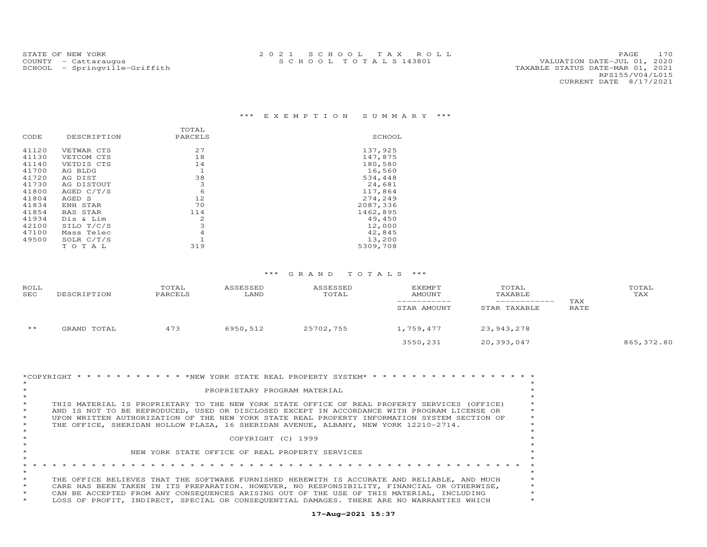|       |                 | TOTAL        |          |
|-------|-----------------|--------------|----------|
| CODE  | DESCRIPTION     | PARCELS      | SCHOOL   |
| 41120 | VETWAR CTS      | 27           | 137,925  |
| 41130 | VETCOM CTS      | 18           | 147,875  |
| 41140 | VETDIS CTS      | 14           | 180,580  |
| 41700 | AG BLDG         | $\mathbf{1}$ | 16,560   |
| 41720 | AG DIST         | 38           | 534,448  |
| 41730 | AG DISTOUT      | 3            | 24,681   |
| 41800 | AGED C/T/S      | 6            | 117,864  |
| 41804 | AGED S          | 12           | 274,249  |
| 41834 | ENH STAR        | 70           | 2087,336 |
| 41854 | <b>BAS STAR</b> | 114          | 1462,895 |
| 41934 | Dis & Lim       | 2            | 49,450   |
| 42100 | SILO T/C/S      | 3            | 12,000   |
| 47100 | Mass Telec      | 4            | 42,845   |
| 49500 | SOLR $C/T/S$    |              | 13,200   |
|       | TOTAL           | 319          | 5309,708 |

| <b>ROLL</b><br>SEC | DESCRIPTION | TOTAL<br>PARCELS | ASSESSED<br>LAND | ASSESSED<br>TOTAL | <b>EXEMPT</b><br>AMOUNT<br>STAR AMOUNT | TOTAL<br>TAXABLE<br>STAR TAXABLE | TAX<br>RATE | TOTAL<br>TAX |
|--------------------|-------------|------------------|------------------|-------------------|----------------------------------------|----------------------------------|-------------|--------------|
| $\star\star$       | GRAND TOTAL | 473              | 6950,512         | 25702,755         | 1,759,477                              | 23,943,278                       |             |              |
|                    |             |                  |                  |                   | 3550,231                               | 20,393,047                       |             | 865, 372.80  |

|         | *COPYRIGHT * * * * * * * * * * * *NEW YORK STATE REAL PROPERTY SYSTEM* * * * * * * * * * * * * * * * * * * |         |
|---------|------------------------------------------------------------------------------------------------------------|---------|
|         |                                                                                                            |         |
|         | PROPRIETARY PROGRAM MATERIAL                                                                               |         |
|         |                                                                                                            |         |
| $\star$ | THIS MATERIAL IS PROPRIETARY TO THE NEW YORK STATE OFFICE OF REAL PROPERTY SERVICES (OFFICE)               |         |
| $\star$ | AND IS NOT TO BE REPRODUCED, USED OR DISCLOSED EXCEPT IN ACCORDANCE WITH PROGRAM LICENSE OR                |         |
| $\star$ | UPON WRITTEN AUTHORIZATION OF THE NEW YORK STATE REAL PROPERTY INFORMATION SYSTEM SECTION OF               | $\star$ |
| $\star$ | THE OFFICE, SHERIDAN HOLLOW PLAZA, 16 SHERIDAN AVENUE, ALBANY, NEW YORK 12210-2714.                        |         |
|         |                                                                                                            |         |
|         | COPYRIGHT (C) 1999                                                                                         |         |
|         |                                                                                                            |         |
|         | NEW YORK STATE OFFICE OF REAL PROPERTY SERVICES                                                            |         |
|         |                                                                                                            |         |
|         |                                                                                                            |         |
| $\star$ |                                                                                                            |         |
| $\star$ | THE OFFICE BELIEVES THAT THE SOFTWARE FURNISHED HEREWITH IS ACCURATE AND RELIABLE, AND MUCH                |         |
| $\star$ | CARE HAS BEEN TAKEN IN ITS PREPARATION. HOWEVER, NO RESPONSIBILITY, FINANCIAL OR OTHERWISE,                |         |
| $\star$ | CAN BE ACCEPTED FROM ANY CONSEQUENCES ARISING OUT OF THE USE OF THIS MATERIAL, INCLUDING                   |         |
| $\star$ | LOSS OF PROFIT, INDIRECT, SPECIAL OR CONSEOUENTIAL DAMAGES. THERE ARE NO WARRANTIES WHICH                  |         |